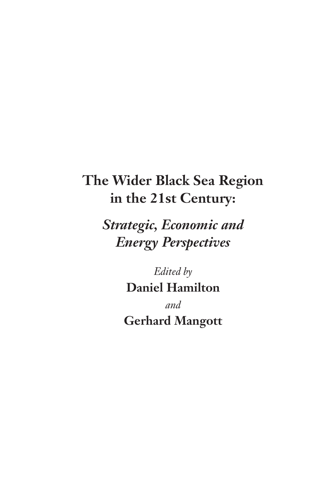# **The Wider Black Sea Region in the 21st Century:**

*Strategic, Economic and Energy Perspectives*

> *Edited by* **Daniel Hamilton** *and* **Gerhard Mangott**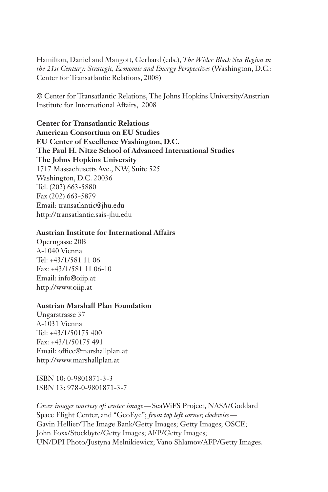Hamilton, Daniel and Mangott, Gerhard (eds.), *The Wider Black Sea Region in the 21st Century: Strategic, Economic and Energy Perspectives* (Washington, D.C.: Center for Transatlantic Relations, 2008)

© Center for Transatlantic Relations, The Johns Hopkins University/Austrian Institute for International Affairs, 2008

**Center for Transatlantic Relations American Consortium on EU Studies EU Center of Excellence Washington, D.C. The Paul H. Nitze School of Advanced International Studies The Johns Hopkins University** 1717 Massachusetts Ave., NW, Suite 525 Washington, D.C. 20036 Tel. (202) 663-5880 Fax (202) 663-5879 Email: transatlantic@jhu.edu http://transatlantic.sais-jhu.edu

#### **Austrian Institute for International Affairs**

Operngasse 20B A-1040 Vienna Tel: +43/1/581 11 06 Fax: +43/1/581 11 06-10 Email: info@oiip.at http://www.oiip.at

#### **Austrian Marshall Plan Foundation**

Ungarstrasse 37 A-1031 Vienna Tel: +43/1/50175 400 Fax: +43/1/50175 491 Email: office@marshallplan.at http://www.marshallplan.at

ISBN 10: 0-9801871-3-3 ISBN 13: 978-0-9801871-3-7

*Cover images courtesy of: center image —* SeaWiFS Project, NASA/Goddard Space Flight Center, and "GeoEye"; *from top left corner, clockwise* — Gavin Hellier/The Image Bank/Getty Images; Getty Images; OSCE; John Foxx/Stockbyte/Getty Images; AFP/Getty Images; UN/DPI Photo/Justyna Melnikiewicz; Vano Shlamov/AFP/Getty Images.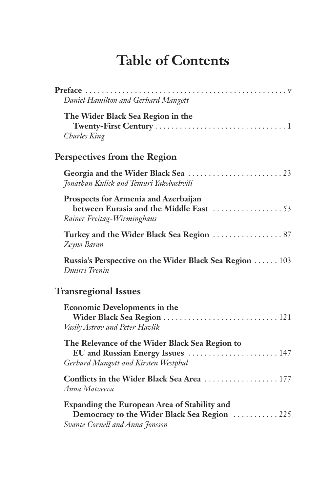# **Table of Contents**

| Daniel Hamilton and Gerhard Mangott                                                                                                    |
|----------------------------------------------------------------------------------------------------------------------------------------|
| The Wider Black Sea Region in the<br><b>Charles King</b>                                                                               |
| Perspectives from the Region                                                                                                           |
| Jonathan Kulick and Temuri Yakobashvili                                                                                                |
| Prospects for Armenia and Azerbaijan<br>Rainer Freitag-Wirminghaus                                                                     |
| Zeyno Baran                                                                                                                            |
| Russia's Perspective on the Wider Black Sea Region 103<br>Dmitri Trenin                                                                |
| <b>Transregional Issues</b>                                                                                                            |
| <b>Economic Developments in the</b><br>Vasily Astrov and Peter Havlik                                                                  |
| The Relevance of the Wider Black Sea Region to<br>EU and Russian Energy Issues  147<br>Gerhard Mangott and Kirsten Westphal            |
| Conflicts in the Wider Black Sea Area  177<br>Anna Matveeva                                                                            |
| <b>Expanding the European Area of Stability and</b><br>Democracy to the Wider Black Sea Region  225<br>Svante Cornell and Anna Jonsson |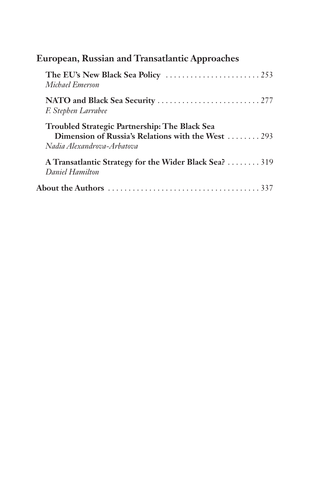| <b>European, Russian and Transatlantic Approaches</b>                                                                                    |
|------------------------------------------------------------------------------------------------------------------------------------------|
| The EU's New Black Sea Policy $\ldots \ldots \ldots \ldots \ldots \ldots \ldots \ldots$<br>Michael Emerson                               |
| F. Stephen Larrabee                                                                                                                      |
| <b>Troubled Strategic Partnership: The Black Sea</b><br>Dimension of Russia's Relations with the West  293<br>Nadia Alexandrova-Arbatova |
| A Transatlantic Strategy for the Wider Black Sea? 319<br>Daniel Hamilton                                                                 |
|                                                                                                                                          |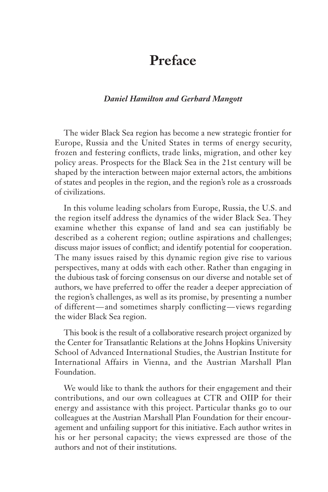## **Preface**

#### *Daniel Hamilton and Gerhard Mangott*

The wider Black Sea region has become a new strategic frontier for Europe, Russia and the United States in terms of energy security, frozen and festering conflicts, trade links, migration, and other key policy areas. Prospects for the Black Sea in the 21st century will be shaped by the interaction between major external actors, the ambitions of states and peoples in the region, and the region's role as a crossroads of civilizations.

In this volume leading scholars from Europe, Russia, the U.S. and the region itself address the dynamics of the wider Black Sea. They examine whether this expanse of land and sea can justifiably be described as a coherent region; outline aspirations and challenges; discuss major issues of conflict; and identify potential for cooperation. The many issues raised by this dynamic region give rise to various perspectives, many at odds with each other. Rather than engaging in the dubious task of forcing consensus on our diverse and notable set of authors, we have preferred to offer the reader a deeper appreciation of the region's challenges, as well as its promise, by presenting a number of different — and sometimes sharply conflicting — views regarding the wider Black Sea region.

This book is the result of a collaborative research project organized by the Center for Transatlantic Relations at the Johns Hopkins University School of Advanced International Studies, the Austrian Institute for International Affairs in Vienna, and the Austrian Marshall Plan Foundation.

We would like to thank the authors for their engagement and their contributions, and our own colleagues at CTR and OIIP for their energy and assistance with this project. Particular thanks go to our colleagues at the Austrian Marshall Plan Foundation for their encouragement and unfailing support for this initiative. Each author writes in his or her personal capacity; the views expressed are those of the authors and not of their institutions.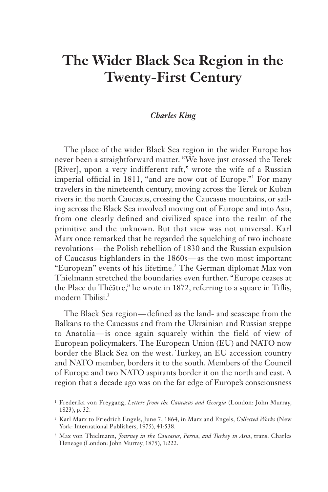## **The Wider Black Sea Region in the Twenty-First Century**

#### *Charles King*

The place of the wider Black Sea region in the wider Europe has never been a straightforward matter. "We have just crossed the Terek [River], upon a very indifferent raft," wrote the wife of a Russian imperial official in 1811, "and are now out of Europe."<sup>1</sup> For many travelers in the nineteenth century, moving across the Terek or Kuban rivers in the north Caucasus, crossing the Caucasus mountains, or sailing across the Black Sea involved moving out of Europe and into Asia, from one clearly defined and civilized space into the realm of the primitive and the unknown. But that view was not universal. Karl Marx once remarked that he regarded the squelching of two inchoate revolutions — the Polish rebellion of 1830 and the Russian expulsion of Caucasus highlanders in the 1860s — as the two most important "European" events of his lifetime.<sup>2</sup> The German diplomat Max von Thielmann stretched the boundaries even further. "Europe ceases at the Place du Théâtre," he wrote in 1872, referring to a square in Tiflis, modern Thilisi<sup>3</sup>

The Black Sea region — defined as the land- and seascape from the Balkans to the Caucasus and from the Ukrainian and Russian steppe to Anatolia — is once again squarely within the field of view of European policymakers. The European Union (EU) and NATO now border the Black Sea on the west. Turkey, an EU accession country and NATO member, borders it to the south. Members of the Council of Europe and two NATO aspirants border it on the north and east. A region that a decade ago was on the far edge of Europe's consciousness

<sup>1</sup> Frederika von Freygang, *Letters from the Caucasus and Georgia* (London: John Murray, 1823), p. 32.

<sup>2</sup> Karl Marx to Friedrich Engels, June 7, 1864, in Marx and Engels, *Collected Works* (New York: International Publishers, 1975), 41:538.

<sup>3</sup> Max von Thielmann, *Journey in the Caucasus, Persia, and Turkey in Asia*, trans. Charles Heneage (London: John Murray, 1875), 1:222.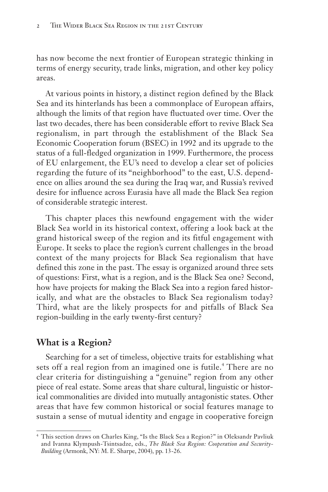has now become the next frontier of European strategic thinking in terms of energy security, trade links, migration, and other key policy areas.

At various points in history, a distinct region defined by the Black Sea and its hinterlands has been a commonplace of European affairs, although the limits of that region have fluctuated over time. Over the last two decades, there has been considerable effort to revive Black Sea regionalism, in part through the establishment of the Black Sea Economic Cooperation forum (BSEC) in 1992 and its upgrade to the status of a full-fledged organization in 1999. Furthermore, the process of EU enlargement, the EU's need to develop a clear set of policies regarding the future of its "neighborhood" to the east, U.S. dependence on allies around the sea during the Iraq war, and Russia's revived desire for influence across Eurasia have all made the Black Sea region of considerable strategic interest.

This chapter places this newfound engagement with the wider Black Sea world in its historical context, offering a look back at the grand historical sweep of the region and its fitful engagement with Europe. It seeks to place the region's current challenges in the broad context of the many projects for Black Sea regionalism that have defined this zone in the past. The essay is organized around three sets of questions: First, what is a region, and is the Black Sea one? Second, how have projects for making the Black Sea into a region fared historically, and what are the obstacles to Black Sea regionalism today? Third, what are the likely prospects for and pitfalls of Black Sea region-building in the early twenty-first century?

## **What is a Region?**

Searching for a set of timeless, objective traits for establishing what sets off a real region from an imagined one is futile.<sup>4</sup> There are no clear criteria for distinguishing a "genuine" region from any other piece of real estate. Some areas that share cultural, linguistic or historical commonalities are divided into mutually antagonistic states. Other areas that have few common historical or social features manage to sustain a sense of mutual identity and engage in cooperative foreign

<sup>4</sup> This section draws on Charles King, "Is the Black Sea a Region?" in Oleksandr Pavliuk and Ivanna Klympush-Tsintsadze, eds., *The Black Sea Region: Cooperation and Security-Building* (Armonk, NY: M. E. Sharpe, 2004), pp. 13-26.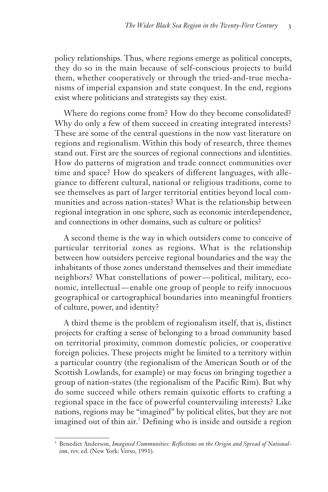policy relationships. Thus, where regions emerge as political concepts, they do so in the main because of self-conscious projects to build them, whether cooperatively or through the tried-and-true mechanisms of imperial expansion and state conquest. In the end, regions exist where politicians and strategists say they exist.

Where do regions come from? How do they become consolidated? Why do only a few of them succeed in creating integrated interests? These are some of the central questions in the now vast literature on regions and regionalism. Within this body of research, three themes stand out. First are the sources of regional connections and identities. How do patterns of migration and trade connect communities over time and space? How do speakers of different languages, with allegiance to different cultural, national or religious traditions, come to see themselves as part of larger territorial entities beyond local communities and across nation-states? What is the relationship between regional integration in one sphere, such as economic interdependence, and connections in other domains, such as culture or politics?

A second theme is the way in which outsiders come to conceive of particular territorial zones as regions. What is the relationship between how outsiders perceive regional boundaries and the way the inhabitants of those zones understand themselves and their immediate neighbors? What constellations of power — political, military, economic, intellectual — enable one group of people to reify innocuous geographical or cartographical boundaries into meaningful frontiers of culture, power, and identity?

A third theme is the problem of regionalism itself, that is, distinct projects for crafting a sense of belonging to a broad community based on territorial proximity, common domestic policies, or cooperative foreign policies. These projects might be limited to a territory within a particular country (the regionalism of the American South or of the Scottish Lowlands, for example) or may focus on bringing together a group of nation-states (the regionalism of the Pacific Rim). But why do some succeed while others remain quixotic efforts to crafting a regional space in the face of powerful countervailing interests? Like nations, regions may be "imagined" by political elites, but they are not imagined out of thin air.<sup>5</sup> Defining who is inside and outside a region

<sup>5</sup> Benedict Anderson, *Imagined Communities: Reflections on the Origin and Spread of Nationalism*, rev. ed. (New York: Verso, 1991).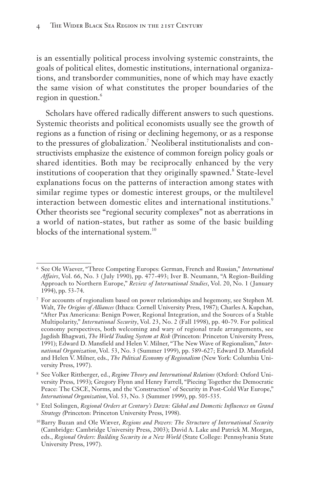is an essentially political process involving systemic constraints, the goals of political elites, domestic institutions, international organizations, and transborder communities, none of which may have exactly the same vision of what constitutes the proper boundaries of the region in question.<sup>6</sup>

Scholars have offered radically different answers to such questions. Systemic theorists and political economists usually see the growth of regions as a function of rising or declining hegemony, or as a response to the pressures of globalization.<sup>7</sup> Neoliberal institutionalists and constructivists emphasize the existence of common foreign policy goals or shared identities. Both may be reciprocally enhanced by the very institutions of cooperation that they originally spawned.<sup>8</sup> State-level explanations focus on the patterns of interaction among states with similar regime types or domestic interest groups, or the multilevel interaction between domestic elites and international institutions.<sup>9</sup> Other theorists see "regional security complexes" not as aberrations in a world of nation-states, but rather as some of the basic building blocks of the international system.<sup>10</sup>

<sup>9</sup> Etel Solingen, *Regional Orders at Century's Dawn: Global and Domestic Influences on Grand Strategy (*Princeton: Princeton University Press, 1998).

<sup>6</sup> See Ole Waever, "Three Competing Europes: German, French and Russian," *International Affairs*, Vol. 66, No. 3 ( July 1990), pp. 477-493; Iver B. Neumann, "A Region-Building Approach to Northern Europe," *Review of International Studies*, Vol. 20, No. 1 ( January 1994), pp. 53-74.

<sup>7</sup> For accounts of regionalism based on power relationships and hegemony, see Stephen M. Walt, *The Origins of Alliances* (Ithaca: Cornell University Press, 1987); Charles A. Kupchan, "After Pax Americana: Benign Power, Regional Integration, and the Sources of a Stable Multipolarity," *International Security*, Vol. 23, No. 2 (Fall 1998), pp. 40-79. For political economy perspectives, both welcoming and wary of regional trade arrangements, see Jagdish Bhagwati, *The World Trading System at Risk* (Princeton: Princeton University Press, 1991); Edward D. Mansfield and Helen V. Milner, "The New Wave of Regionalism," *International Organization*, Vol. 53, No. 3 (Summer 1999), pp. 589-627; Edward D. Mansfield and Helen V. Milner, eds., *The Political Economy of Regionalism* (New York: Columbia University Press, 1997).

<sup>8</sup> See Volker Rittberger, ed., *Regime Theory and International Relations* (Oxford: Oxford University Press, 1993); Gregory Flynn and Henry Farrell, "Piecing Together the Democratic Peace: The CSCE, Norms, and the 'Construction' of Security in Post-Cold War Europe," *International Organization*, Vol. 53, No. 3 (Summer 1999), pp. 505-535.

<sup>10</sup>Barry Buzan and Ole Wæver, *Regions and Powers: The Structure of International Security* (Cambridge: Cambridge University Press, 2003); David A. Lake and Patrick M. Morgan, eds., *Regional Orders: Building Security in a New World* (State College: Pennsylvania State University Press, 1997).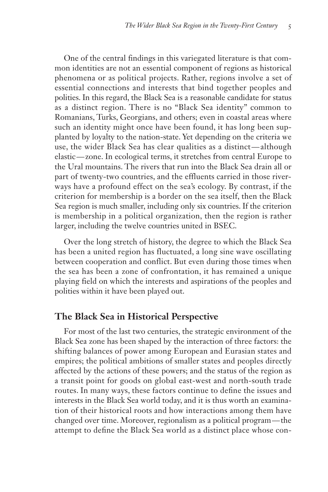One of the central findings in this variegated literature is that common identities are not an essential component of regions as historical phenomena or as political projects. Rather, regions involve a set of essential connections and interests that bind together peoples and polities. In this regard, the Black Sea is a reasonable candidate for status as a distinct region. There is no "Black Sea identity" common to Romanians, Turks, Georgians, and others; even in coastal areas where such an identity might once have been found, it has long been supplanted by loyalty to the nation-state. Yet depending on the criteria we use, the wider Black Sea has clear qualities as a distinct — although elastic — zone. In ecological terms, it stretches from central Europe to the Ural mountains. The rivers that run into the Black Sea drain all or part of twenty-two countries, and the effluents carried in those riverways have a profound effect on the sea's ecology. By contrast, if the criterion for membership is a border on the sea itself, then the Black Sea region is much smaller, including only six countries. If the criterion is membership in a political organization, then the region is rather larger, including the twelve countries united in BSEC.

Over the long stretch of history, the degree to which the Black Sea has been a united region has fluctuated, a long sine wave oscillating between cooperation and conflict. But even during those times when the sea has been a zone of confrontation, it has remained a unique playing field on which the interests and aspirations of the peoples and polities within it have been played out.

## **The Black Sea in Historical Perspective**

For most of the last two centuries, the strategic environment of the Black Sea zone has been shaped by the interaction of three factors: the shifting balances of power among European and Eurasian states and empires; the political ambitions of smaller states and peoples directly affected by the actions of these powers; and the status of the region as a transit point for goods on global east-west and north-south trade routes. In many ways, these factors continue to define the issues and interests in the Black Sea world today, and it is thus worth an examination of their historical roots and how interactions among them have changed over time. Moreover, regionalism as a political program — the attempt to define the Black Sea world as a distinct place whose con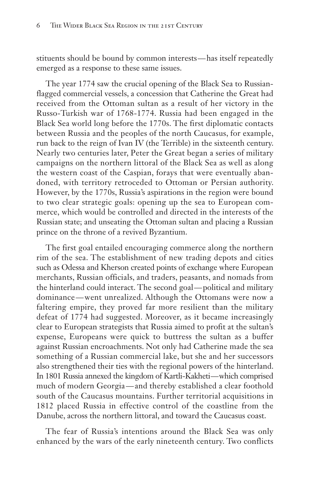stituents should be bound by common interests — has itself repeatedly emerged as a response to these same issues.

The year 1774 saw the crucial opening of the Black Sea to Russianflagged commercial vessels, a concession that Catherine the Great had received from the Ottoman sultan as a result of her victory in the Russo-Turkish war of 1768-1774. Russia had been engaged in the Black Sea world long before the 1770s. The first diplomatic contacts between Russia and the peoples of the north Caucasus, for example, run back to the reign of Ivan IV (the Terrible) in the sixteenth century. Nearly two centuries later, Peter the Great began a series of military campaigns on the northern littoral of the Black Sea as well as along the western coast of the Caspian, forays that were eventually abandoned, with territory retroceded to Ottoman or Persian authority. However, by the 1770s, Russia's aspirations in the region were bound to two clear strategic goals: opening up the sea to European commerce, which would be controlled and directed in the interests of the Russian state; and unseating the Ottoman sultan and placing a Russian prince on the throne of a revived Byzantium.

The first goal entailed encouraging commerce along the northern rim of the sea. The establishment of new trading depots and cities such as Odessa and Kherson created points of exchange where European merchants, Russian officials, and traders, peasants, and nomads from the hinterland could interact. The second goal— political and military dominance — went unrealized. Although the Ottomans were now a faltering empire, they proved far more resilient than the military defeat of 1774 had suggested. Moreover, as it became increasingly clear to European strategists that Russia aimed to profit at the sultan's expense, Europeans were quick to buttress the sultan as a buffer against Russian encroachments. Not only had Catherine made the sea something of a Russian commercial lake, but she and her successors also strengthened their ties with the regional powers of the hinterland. In 1801 Russia annexed the kingdom of Kartli-Kakheti—which comprised much of modern Georgia — and thereby established a clear foothold south of the Caucasus mountains. Further territorial acquisitions in 1812 placed Russia in effective control of the coastline from the Danube, across the northern littoral, and toward the Caucasus coast.

The fear of Russia's intentions around the Black Sea was only enhanced by the wars of the early nineteenth century. Two conflicts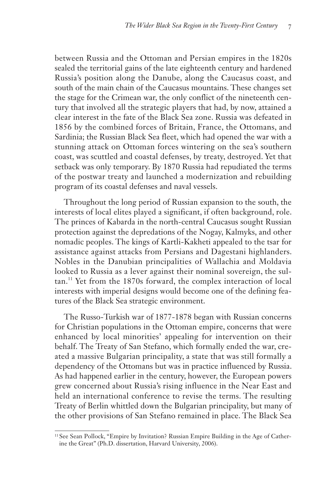between Russia and the Ottoman and Persian empires in the 1820s sealed the territorial gains of the late eighteenth century and hardened Russia's position along the Danube, along the Caucasus coast, and south of the main chain of the Caucasus mountains. These changes set the stage for the Crimean war, the only conflict of the nineteenth century that involved all the strategic players that had, by now, attained a clear interest in the fate of the Black Sea zone. Russia was defeated in 1856 by the combined forces of Britain, France, the Ottomans, and Sardinia; the Russian Black Sea fleet, which had opened the war with a stunning attack on Ottoman forces wintering on the sea's southern coast, was scuttled and coastal defenses, by treaty, destroyed. Yet that setback was only temporary. By 1870 Russia had repudiated the terms of the postwar treaty and launched a modernization and rebuilding program of its coastal defenses and naval vessels.

Throughout the long period of Russian expansion to the south, the interests of local elites played a significant, if often background, role. The princes of Kabarda in the north-central Caucasus sought Russian protection against the depredations of the Nogay, Kalmyks, and other nomadic peoples. The kings of Kartli-Kakheti appealed to the tsar for assistance against attacks from Persians and Dagestani highlanders. Nobles in the Danubian principalities of Wallachia and Moldavia looked to Russia as a lever against their nominal sovereign, the sultan.<sup>11</sup> Yet from the 1870s forward, the complex interaction of local interests with imperial designs would become one of the defining features of the Black Sea strategic environment.

The Russo-Turkish war of 1877-1878 began with Russian concerns for Christian populations in the Ottoman empire, concerns that were enhanced by local minorities' appealing for intervention on their behalf. The Treaty of San Stefano, which formally ended the war, created a massive Bulgarian principality, a state that was still formally a dependency of the Ottomans but was in practice influenced by Russia. As had happened earlier in the century, however, the European powers grew concerned about Russia's rising influence in the Near East and held an international conference to revise the terms. The resulting Treaty of Berlin whittled down the Bulgarian principality, but many of the other provisions of San Stefano remained in place. The Black Sea

<sup>&</sup>lt;sup>11</sup> See Sean Pollock, "Empire by Invitation? Russian Empire Building in the Age of Catherine the Great" (Ph.D. dissertation, Harvard University, 2006).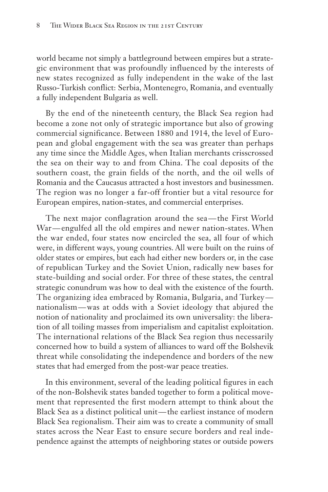world became not simply a battleground between empires but a strategic environment that was profoundly influenced by the interests of new states recognized as fully independent in the wake of the last Russo-Turkish conflict: Serbia, Montenegro, Romania, and eventually a fully independent Bulgaria as well.

By the end of the nineteenth century, the Black Sea region had become a zone not only of strategic importance but also of growing commercial significance. Between 1880 and 1914, the level of European and global engagement with the sea was greater than perhaps any time since the Middle Ages, when Italian merchants crisscrossed the sea on their way to and from China. The coal deposits of the southern coast, the grain fields of the north, and the oil wells of Romania and the Caucasus attracted a host investors and businessmen. The region was no longer a far-off frontier but a vital resource for European empires, nation-states, and commercial enterprises.

The next major conflagration around the sea—the First World War—engulfed all the old empires and newer nation-states. When the war ended, four states now encircled the sea, all four of which were, in different ways, young countries. All were built on the ruins of older states or empires, but each had either new borders or, in the case of republican Turkey and the Soviet Union, radically new bases for state-building and social order. For three of these states, the central strategic conundrum was how to deal with the existence of the fourth. The organizing idea embraced by Romania, Bulgaria, and Turkey nationalism — was at odds with a Soviet ideology that abjured the notion of nationality and proclaimed its own universality: the liberation of all toiling masses from imperialism and capitalist exploitation. The international relations of the Black Sea region thus necessarily concerned how to build a system of alliances to ward off the Bolshevik threat while consolidating the independence and borders of the new states that had emerged from the post-war peace treaties.

In this environment, several of the leading political figures in each of the non-Bolshevik states banded together to form a political movement that represented the first modern attempt to think about the Black Sea as a distinct political unit — the earliest instance of modern Black Sea regionalism. Their aim was to create a community of small states across the Near East to ensure secure borders and real independence against the attempts of neighboring states or outside powers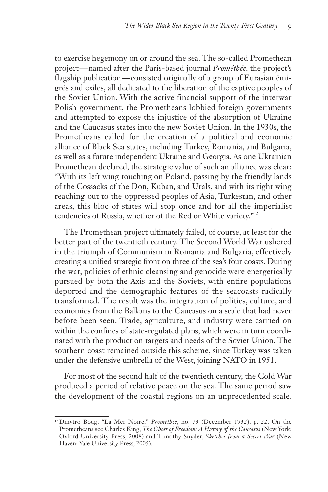to exercise hegemony on or around the sea. The so-called Promethean project — named after the Paris-based journal *Prométhée,* the project's flagship publication—consisted originally of a group of Eurasian émigrés and exiles, all dedicated to the liberation of the captive peoples of the Soviet Union. With the active financial support of the interwar Polish government, the Prometheans lobbied foreign governments and attempted to expose the injustice of the absorption of Ukraine and the Caucasus states into the new Soviet Union. In the 1930s, the Prometheans called for the creation of a political and economic alliance of Black Sea states, including Turkey, Romania, and Bulgaria, as well as a future independent Ukraine and Georgia. As one Ukrainian Promethean declared, the strategic value of such an alliance was clear: "With its left wing touching on Poland, passing by the friendly lands of the Cossacks of the Don, Kuban, and Urals, and with its right wing reaching out to the oppressed peoples of Asia, Turkestan, and other areas, this bloc of states will stop once and for all the imperialist tendencies of Russia, whether of the Red or White variety."<sup>12</sup>

The Promethean project ultimately failed, of course, at least for the better part of the twentieth century. The Second World War ushered in the triumph of Communism in Romania and Bulgaria, effectively creating a unified strategic front on three of the sea's four coasts. During the war, policies of ethnic cleansing and genocide were energetically pursued by both the Axis and the Soviets, with entire populations deported and the demographic features of the seacoasts radically transformed. The result was the integration of politics, culture, and economics from the Balkans to the Caucasus on a scale that had never before been seen. Trade, agriculture, and industry were carried on within the confines of state-regulated plans, which were in turn coordinated with the production targets and needs of the Soviet Union. The southern coast remained outside this scheme, since Turkey was taken under the defensive umbrella of the West, joining NATO in 1951.

For most of the second half of the twentieth century, the Cold War produced a period of relative peace on the sea. The same period saw the development of the coastal regions on an unprecedented scale.

<sup>12</sup>Dmytro Boug, "La Mer Noire," *Prométhée*, no. 73 (December 1932), p. 22. On the Prometheans see Charles King, *The Ghost of Freedom: A History of the Caucasus* (New York: Oxford University Press, 2008) and Timothy Snyder, *Sketches from a Secret War* (New Haven: Yale University Press, 2005).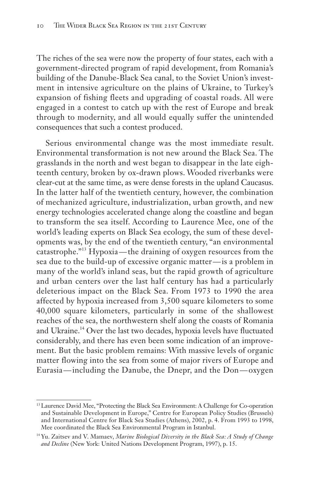The riches of the sea were now the property of four states, each with a government-directed program of rapid development, from Romania's building of the Danube-Black Sea canal, to the Soviet Union's investment in intensive agriculture on the plains of Ukraine, to Turkey's expansion of fishing fleets and upgrading of coastal roads. All were engaged in a contest to catch up with the rest of Europe and break through to modernity, and all would equally suffer the unintended consequences that such a contest produced.

Serious environmental change was the most immediate result. Environmental transformation is not new around the Black Sea. The grasslands in the north and west began to disappear in the late eighteenth century, broken by ox-drawn plows. Wooded riverbanks were clear-cut at the same time, as were dense forests in the upland Caucasus. In the latter half of the twentieth century, however, the combination of mechanized agriculture, industrialization, urban growth, and new energy technologies accelerated change along the coastline and began to transform the sea itself. According to Laurence Mee, one of the world's leading experts on Black Sea ecology, the sum of these developments was, by the end of the twentieth century, "an environmental catastrophe."<sup>13</sup> Hypoxia — the draining of oxygen resources from the sea due to the build-up of excessive organic matter — is a problem in many of the world's inland seas, but the rapid growth of agriculture and urban centers over the last half century has had a particularly deleterious impact on the Black Sea. From 1973 to 1990 the area affected by hypoxia increased from 3,500 square kilometers to some 40,000 square kilometers, particularly in some of the shallowest reaches of the sea, the northwestern shelf along the coasts of Romania and Ukraine.14 Over the last two decades, hypoxia levels have fluctuated considerably, and there has even been some indication of an improvement. But the basic problem remains: With massive levels of organic matter flowing into the sea from some of major rivers of Europe and Eurasia — including the Danube, the Dnepr, and the Don — oxygen

<sup>13</sup>Laurence David Mee, "Protecting the Black Sea Environment: A Challenge for Co-operation and Sustainable Development in Europe," Centre for European Policy Studies (Brussels) and International Centre for Black Sea Studies (Athens), 2002, p. 4. From 1993 to 1998, Mee coordinated the Black Sea Environmental Program in Istanbul.

<sup>14</sup> Yu. Zaitsev and V. Mamaev, *Marine Biological Diversity in the Black Sea: A Study of Change and Decline* (New York: United Nations Development Program, 1997), p. 15.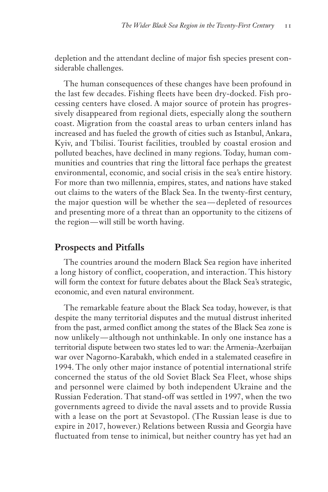depletion and the attendant decline of major fish species present considerable challenges.

The human consequences of these changes have been profound in the last few decades. Fishing fleets have been dry-docked. Fish processing centers have closed. A major source of protein has progressively disappeared from regional diets, especially along the southern coast. Migration from the coastal areas to urban centers inland has increased and has fueled the growth of cities such as Istanbul, Ankara, Kyiv, and Tbilisi. Tourist facilities, troubled by coastal erosion and polluted beaches, have declined in many regions. Today, human communities and countries that ring the littoral face perhaps the greatest environmental, economic, and social crisis in the sea's entire history. For more than two millennia, empires, states, and nations have staked out claims to the waters of the Black Sea. In the twenty-first century, the major question will be whether the sea — depleted of resources and presenting more of a threat than an opportunity to the citizens of the region — will still be worth having.

## **Prospects and Pitfalls**

The countries around the modern Black Sea region have inherited a long history of conflict, cooperation, and interaction. This history will form the context for future debates about the Black Sea's strategic, economic, and even natural environment.

The remarkable feature about the Black Sea today, however, is that despite the many territorial disputes and the mutual distrust inherited from the past, armed conflict among the states of the Black Sea zone is now unlikely — although not unthinkable. In only one instance has a territorial dispute between two states led to war: the Armenia-Azerbaijan war over Nagorno-Karabakh, which ended in a stalemated ceasefire in 1994. The only other major instance of potential international strife concerned the status of the old Soviet Black Sea Fleet, whose ships and personnel were claimed by both independent Ukraine and the Russian Federation. That stand-off was settled in 1997, when the two governments agreed to divide the naval assets and to provide Russia with a lease on the port at Sevastopol. (The Russian lease is due to expire in 2017, however.) Relations between Russia and Georgia have fluctuated from tense to inimical, but neither country has yet had an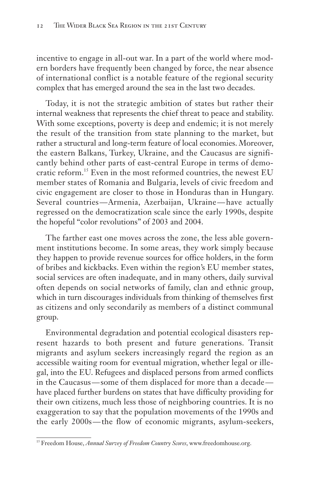incentive to engage in all-out war. In a part of the world where modern borders have frequently been changed by force, the near absence of international conflict is a notable feature of the regional security complex that has emerged around the sea in the last two decades.

Today, it is not the strategic ambition of states but rather their internal weakness that represents the chief threat to peace and stability. With some exceptions, poverty is deep and endemic; it is not merely the result of the transition from state planning to the market, but rather a structural and long-term feature of local economies. Moreover, the eastern Balkans, Turkey, Ukraine, and the Caucasus are significantly behind other parts of east-central Europe in terms of democratic reform.<sup>15</sup> Even in the most reformed countries, the newest EU member states of Romania and Bulgaria, levels of civic freedom and civic engagement are closer to those in Honduras than in Hungary. Several countries — Armenia, Azerbaijan, Ukraine — have actually regressed on the democratization scale since the early 1990s, despite the hopeful "color revolutions" of 2003 and 2004.

The farther east one moves across the zone, the less able government institutions become. In some areas, they work simply because they happen to provide revenue sources for office holders, in the form of bribes and kickbacks. Even within the region's EU member states, social services are often inadequate, and in many others, daily survival often depends on social networks of family, clan and ethnic group, which in turn discourages individuals from thinking of themselves first as citizens and only secondarily as members of a distinct communal group.

Environmental degradation and potential ecological disasters represent hazards to both present and future generations. Transit migrants and asylum seekers increasingly regard the region as an accessible waiting room for eventual migration, whether legal or illegal, into the EU. Refugees and displaced persons from armed conflicts in the Caucasus — some of them displaced for more than a decade have placed further burdens on states that have difficulty providing for their own citizens, much less those of neighboring countries. It is no exaggeration to say that the population movements of the 1990s and the early 2000s — the flow of economic migrants, asylum-seekers,

<sup>&</sup>lt;sup>15</sup> Freedom House, *Annual Survey of Freedom Country Scores*, www.freedomhouse.org.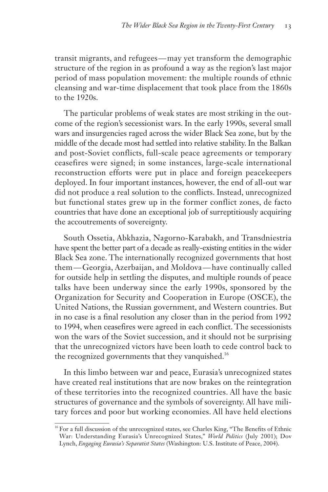transit migrants, and refugees — may yet transform the demographic structure of the region in as profound a way as the region's last major period of mass population movement: the multiple rounds of ethnic cleansing and war-time displacement that took place from the 1860s to the 1920s.

The particular problems of weak states are most striking in the outcome of the region's secessionist wars. In the early 1990s, several small wars and insurgencies raged across the wider Black Sea zone, but by the middle of the decade most had settled into relative stability. In the Balkan and post-Soviet conflicts, full-scale peace agreements or temporary ceasefires were signed; in some instances, large-scale international reconstruction efforts were put in place and foreign peacekeepers deployed. In four important instances, however, the end of all-out war did not produce a real solution to the conflicts. Instead, unrecognized but functional states grew up in the former conflict zones, de facto countries that have done an exceptional job of surreptitiously acquiring the accoutrements of sovereignty.

South Ossetia, Abkhazia, Nagorno-Karabakh, and Transdniestria have spent the better part of a decade as really-existing entities in the wider Black Sea zone. The internationally recognized governments that host them — Georgia, Azerbaijan, and Moldova — have continually called for outside help in settling the disputes, and multiple rounds of peace talks have been underway since the early 1990s, sponsored by the Organization for Security and Cooperation in Europe (OSCE), the United Nations, the Russian government, and Western countries. But in no case is a final resolution any closer than in the period from 1992 to 1994, when ceasefires were agreed in each conflict. The secessionists won the wars of the Soviet succession, and it should not be surprising that the unrecognized victors have been loath to cede control back to the recognized governments that they vanquished.<sup>16</sup>

In this limbo between war and peace, Eurasia's unrecognized states have created real institutions that are now brakes on the reintegration of these territories into the recognized countries. All have the basic structures of governance and the symbols of sovereignty. All have military forces and poor but working economies. All have held elections

<sup>&</sup>lt;sup>16</sup> For a full discussion of the unrecognized states, see Charles King, "The Benefits of Ethnic War: Understanding Eurasia's Unrecognized States," *World Politics* (July 2001); Dov Lynch, *Engaging Eurasia's Separatist States* (Washington: U.S. Institute of Peace, 2004).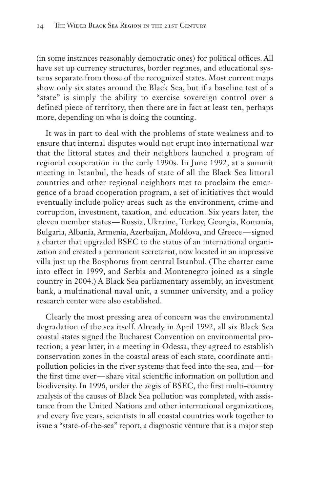(in some instances reasonably democratic ones) for political offices. All have set up currency structures, border regimes, and educational systems separate from those of the recognized states. Most current maps show only six states around the Black Sea, but if a baseline test of a "state" is simply the ability to exercise sovereign control over a defined piece of territory, then there are in fact at least ten, perhaps more, depending on who is doing the counting.

It was in part to deal with the problems of state weakness and to ensure that internal disputes would not erupt into international war that the littoral states and their neighbors launched a program of regional cooperation in the early 1990s. In June 1992, at a summit meeting in Istanbul, the heads of state of all the Black Sea littoral countries and other regional neighbors met to proclaim the emergence of a broad cooperation program, a set of initiatives that would eventually include policy areas such as the environment, crime and corruption, investment, taxation, and education. Six years later, the eleven member states — Russia, Ukraine, Turkey, Georgia, Romania, Bulgaria, Albania, Armenia, Azerbaijan, Moldova, and Greece — signed a charter that upgraded BSEC to the status of an international organization and created a permanent secretariat, now located in an impressive villa just up the Bosphorus from central Istanbul. (The charter came into effect in 1999, and Serbia and Montenegro joined as a single country in 2004.) A Black Sea parliamentary assembly, an investment bank, a multinational naval unit, a summer university, and a policy research center were also established.

Clearly the most pressing area of concern was the environmental degradation of the sea itself. Already in April 1992, all six Black Sea coastal states signed the Bucharest Convention on environmental protection; a year later, in a meeting in Odessa, they agreed to establish conservation zones in the coastal areas of each state, coordinate antipollution policies in the river systems that feed into the sea, and — for the first time ever — share vital scientific information on pollution and biodiversity. In 1996, under the aegis of BSEC, the first multi-country analysis of the causes of Black Sea pollution was completed, with assistance from the United Nations and other international organizations, and every five years, scientists in all coastal countries work together to issue a "state-of-the-sea" report, a diagnostic venture that is a major step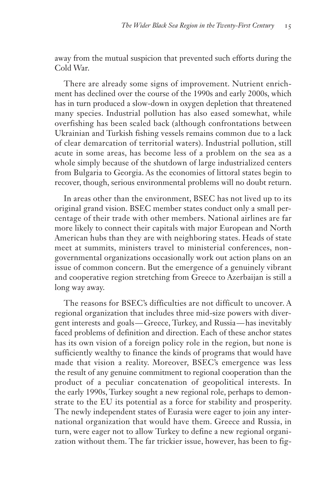away from the mutual suspicion that prevented such efforts during the Cold War.

There are already some signs of improvement. Nutrient enrichment has declined over the course of the 1990s and early 2000s, which has in turn produced a slow-down in oxygen depletion that threatened many species. Industrial pollution has also eased somewhat, while overfishing has been scaled back (although confrontations between Ukrainian and Turkish fishing vessels remains common due to a lack of clear demarcation of territorial waters). Industrial pollution, still acute in some areas, has become less of a problem on the sea as a whole simply because of the shutdown of large industrialized centers from Bulgaria to Georgia. As the economies of littoral states begin to recover, though, serious environmental problems will no doubt return.

In areas other than the environment, BSEC has not lived up to its original grand vision. BSEC member states conduct only a small percentage of their trade with other members. National airlines are far more likely to connect their capitals with major European and North American hubs than they are with neighboring states. Heads of state meet at summits, ministers travel to ministerial conferences, nongovernmental organizations occasionally work out action plans on an issue of common concern. But the emergence of a genuinely vibrant and cooperative region stretching from Greece to Azerbaijan is still a long way away.

The reasons for BSEC's difficulties are not difficult to uncover. A regional organization that includes three mid-size powers with divergent interests and goals — Greece, Turkey, and Russia — has inevitably faced problems of definition and direction. Each of these anchor states has its own vision of a foreign policy role in the region, but none is sufficiently wealthy to finance the kinds of programs that would have made that vision a reality. Moreover, BSEC's emergence was less the result of any genuine commitment to regional cooperation than the product of a peculiar concatenation of geopolitical interests. In the early 1990s, Turkey sought a new regional role, perhaps to demonstrate to the EU its potential as a force for stability and prosperity. The newly independent states of Eurasia were eager to join any international organization that would have them. Greece and Russia, in turn, were eager not to allow Turkey to define a new regional organization without them. The far trickier issue, however, has been to fig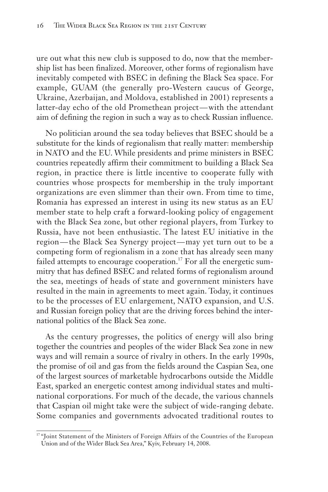ure out what this new club is supposed to do, now that the membership list has been finalized. Moreover, other forms of regionalism have inevitably competed with BSEC in defining the Black Sea space. For example, GUAM (the generally pro-Western caucus of George, Ukraine, Azerbaijan, and Moldova, established in 2001) represents a latter-day echo of the old Promethean project — with the attendant aim of defining the region in such a way as to check Russian influence.

No politician around the sea today believes that BSEC should be a substitute for the kinds of regionalism that really matter: membership in NATO and the EU. While presidents and prime ministers in BSEC countries repeatedly affirm their commitment to building a Black Sea region, in practice there is little incentive to cooperate fully with countries whose prospects for membership in the truly important organizations are even slimmer than their own. From time to time, Romania has expressed an interest in using its new status as an EU member state to help craft a forward-looking policy of engagement with the Black Sea zone, but other regional players, from Turkey to Russia, have not been enthusiastic. The latest EU initiative in the region — the Black Sea Synergy project — may yet turn out to be a competing form of regionalism in a zone that has already seen many failed attempts to encourage cooperation.<sup>17</sup> For all the energetic summitry that has defined BSEC and related forms of regionalism around the sea, meetings of heads of state and government ministers have resulted in the main in agreements to meet again. Today, it continues to be the processes of EU enlargement, NATO expansion, and U.S. and Russian foreign policy that are the driving forces behind the international politics of the Black Sea zone.

As the century progresses, the politics of energy will also bring together the countries and peoples of the wider Black Sea zone in new ways and will remain a source of rivalry in others. In the early 1990s, the promise of oil and gas from the fields around the Caspian Sea, one of the largest sources of marketable hydrocarbons outside the Middle East, sparked an energetic contest among individual states and multinational corporations. For much of the decade, the various channels that Caspian oil might take were the subject of wide-ranging debate. Some companies and governments advocated traditional routes to

<sup>&</sup>lt;sup>17</sup> "Joint Statement of the Ministers of Foreign Affairs of the Countries of the European Union and of the Wider Black Sea Area," Kyiv, February 14, 2008.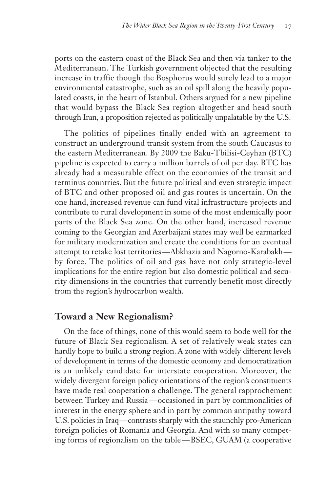ports on the eastern coast of the Black Sea and then via tanker to the Mediterranean. The Turkish government objected that the resulting increase in traffic though the Bosphorus would surely lead to a major environmental catastrophe, such as an oil spill along the heavily populated coasts, in the heart of Istanbul. Others argued for a new pipeline that would bypass the Black Sea region altogether and head south through Iran, a proposition rejected as politically unpalatable by the U.S.

The politics of pipelines finally ended with an agreement to construct an underground transit system from the south Caucasus to the eastern Mediterranean. By 2009 the Baku-Tbilisi-Ceyhan (BTC) pipeline is expected to carry a million barrels of oil per day. BTC has already had a measurable effect on the economies of the transit and terminus countries. But the future political and even strategic impact of BTC and other proposed oil and gas routes is uncertain. On the one hand, increased revenue can fund vital infrastructure projects and contribute to rural development in some of the most endemically poor parts of the Black Sea zone. On the other hand, increased revenue coming to the Georgian and Azerbaijani states may well be earmarked for military modernization and create the conditions for an eventual attempt to retake lost territories — Abkhazia and Nagorno-Karabakh by force. The politics of oil and gas have not only strategic-level implications for the entire region but also domestic political and security dimensions in the countries that currently benefit most directly from the region's hydrocarbon wealth.

## **Toward a New Regionalism?**

On the face of things, none of this would seem to bode well for the future of Black Sea regionalism. A set of relatively weak states can hardly hope to build a strong region. A zone with widely different levels of development in terms of the domestic economy and democratization is an unlikely candidate for interstate cooperation. Moreover, the widely divergent foreign policy orientations of the region's constituents have made real cooperation a challenge. The general rapprochement between Turkey and Russia — occasioned in part by commonalities of interest in the energy sphere and in part by common antipathy toward U.S. policies in Iraq—contrasts sharply with the staunchly pro-American foreign policies of Romania and Georgia. And with so many competing forms of regionalism on the table — BSEC, GUAM (a cooperative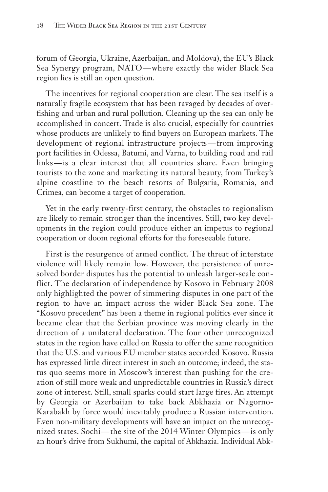forum of Georgia, Ukraine, Azerbaijan, and Moldova), the EU's Black Sea Synergy program, NATO — where exactly the wider Black Sea region lies is still an open question.

The incentives for regional cooperation are clear. The sea itself is a naturally fragile ecosystem that has been ravaged by decades of overfishing and urban and rural pollution. Cleaning up the sea can only be accomplished in concert. Trade is also crucial, especially for countries whose products are unlikely to find buyers on European markets. The development of regional infrastructure projects — from improving port facilities in Odessa, Batumi, and Varna, to building road and rail links — is a clear interest that all countries share. Even bringing tourists to the zone and marketing its natural beauty, from Turkey's alpine coastline to the beach resorts of Bulgaria, Romania, and Crimea, can become a target of cooperation.

Yet in the early twenty-first century, the obstacles to regionalism are likely to remain stronger than the incentives. Still, two key developments in the region could produce either an impetus to regional cooperation or doom regional efforts for the foreseeable future.

First is the resurgence of armed conflict. The threat of interstate violence will likely remain low. However, the persistence of unresolved border disputes has the potential to unleash larger-scale conflict. The declaration of independence by Kosovo in February 2008 only highlighted the power of simmering disputes in one part of the region to have an impact across the wider Black Sea zone. The "Kosovo precedent" has been a theme in regional politics ever since it became clear that the Serbian province was moving clearly in the direction of a unilateral declaration. The four other unrecognized states in the region have called on Russia to offer the same recognition that the U.S. and various EU member states accorded Kosovo. Russia has expressed little direct interest in such an outcome; indeed, the status quo seems more in Moscow's interest than pushing for the creation of still more weak and unpredictable countries in Russia's direct zone of interest. Still, small sparks could start large fires. An attempt by Georgia or Azerbaijan to take back Abkhazia or Nagorno-Karabakh by force would inevitably produce a Russian intervention. Even non-military developments will have an impact on the unrecognized states. Sochi — the site of the 2014 Winter Olympics — is only an hour's drive from Sukhumi, the capital of Abkhazia. Individual Abk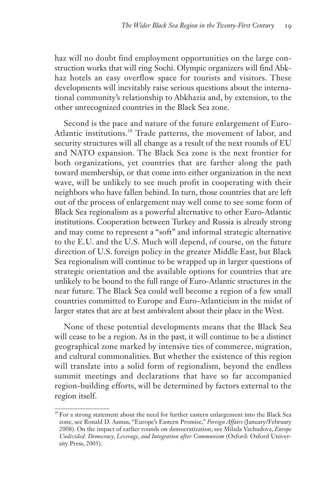haz will no doubt find employment opportunities on the large construction works that will ring Sochi. Olympic organizers will find Abkhaz hotels an easy overflow space for tourists and visitors. These developments will inevitably raise serious questions about the international community's relationship to Abkhazia and, by extension, to the other unrecognized countries in the Black Sea zone.

Second is the pace and nature of the future enlargement of Euro-Atlantic institutions.<sup>18</sup> Trade patterns, the movement of labor, and security structures will all change as a result of the next rounds of EU and NATO expansion. The Black Sea zone is the next frontier for both organizations, yet countries that are farther along the path toward membership, or that come into either organization in the next wave, will be unlikely to see much profit in cooperating with their neighbors who have fallen behind. In turn, those countries that are left out of the process of enlargement may well come to see some form of Black Sea regionalism as a powerful alternative to other Euro-Atlantic institutions. Cooperation between Turkey and Russia is already strong and may come to represent a "soft" and informal strategic alternative to the E.U. and the U.S. Much will depend, of course, on the future direction of U.S. foreign policy in the greater Middle East, but Black Sea regionalism will continue to be wrapped up in larger questions of strategic orientation and the available options for countries that are unlikely to be bound to the full range of Euro-Atlantic structures in the near future. The Black Sea could well become a region of a few small countries committed to Europe and Euro-Atlanticism in the midst of larger states that are at best ambivalent about their place in the West.

None of these potential developments means that the Black Sea will cease to be a region. As in the past, it will continue to be a distinct geographical zone marked by intensive ties of commerce, migration, and cultural commonalities. But whether the existence of this region will translate into a solid form of regionalism, beyond the endless summit meetings and declarations that have so far accompanied region-building efforts, will be determined by factors external to the region itself.

<sup>&</sup>lt;sup>18</sup> For a strong statement about the need for further eastern enlargement into the Black Sea zone, see Ronald D. Asmus, "Europe's Eastern Promise," *Foreign Affairs* (January/February 2008). On the impact of earlier rounds on democratization, see Milada Vachudova, *Europe Undivided: Democracy, Leverage, and Integration after Communism* (Oxford: Oxford University Press, 2005).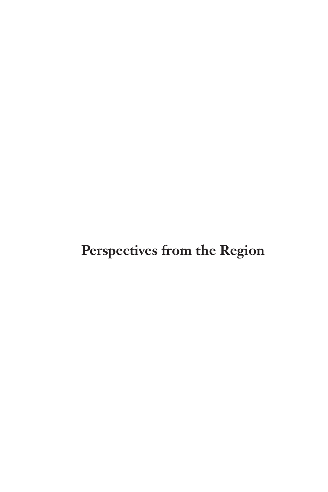**Perspectives from the Region**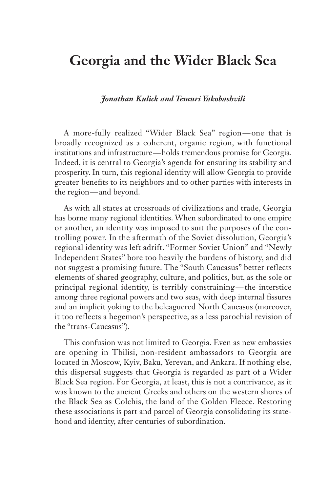## **Georgia and the Wider Black Sea**

#### *Jonathan Kulick and Temuri Yakobashvili*

A more-fully realized "Wider Black Sea" region — one that is broadly recognized as a coherent, organic region, with functional institutions and infrastructure — holds tremendous promise for Georgia. Indeed, it is central to Georgia's agenda for ensuring its stability and prosperity. In turn, this regional identity will allow Georgia to provide greater benefits to its neighbors and to other parties with interests in the region — and beyond.

As with all states at crossroads of civilizations and trade, Georgia has borne many regional identities. When subordinated to one empire or another, an identity was imposed to suit the purposes of the controlling power. In the aftermath of the Soviet dissolution, Georgia's regional identity was left adrift. "Former Soviet Union" and "Newly Independent States" bore too heavily the burdens of history, and did not suggest a promising future. The "South Caucasus" better reflects elements of shared geography, culture, and politics, but, as the sole or principal regional identity, is terribly constraining — the interstice among three regional powers and two seas, with deep internal fissures and an implicit yoking to the beleaguered North Caucasus (moreover, it too reflects a hegemon's perspective, as a less parochial revision of the "trans-Caucasus").

This confusion was not limited to Georgia. Even as new embassies are opening in Tbilisi, non-resident ambassadors to Georgia are located in Moscow, Kyiv, Baku, Yerevan, and Ankara. If nothing else, this dispersal suggests that Georgia is regarded as part of a Wider Black Sea region. For Georgia, at least, this is not a contrivance, as it was known to the ancient Greeks and others on the western shores of the Black Sea as Colchis, the land of the Golden Fleece. Restoring these associations is part and parcel of Georgia consolidating its statehood and identity, after centuries of subordination.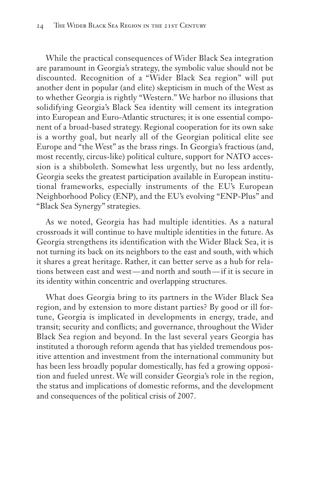While the practical consequences of Wider Black Sea integration are paramount in Georgia's strategy, the symbolic value should not be discounted. Recognition of a "Wider Black Sea region" will put another dent in popular (and elite) skepticism in much of the West as to whether Georgia is rightly "Western." We harbor no illusions that solidifying Georgia's Black Sea identity will cement its integration into European and Euro-Atlantic structures; it is one essential component of a broad-based strategy. Regional cooperation for its own sake is a worthy goal, but nearly all of the Georgian political elite see Europe and "the West" as the brass rings. In Georgia's fractious (and, most recently, circus-like) political culture, support for NATO accession is a shibboleth. Somewhat less urgently, but no less ardently, Georgia seeks the greatest participation available in European institutional frameworks, especially instruments of the EU's European Neighborhood Policy (ENP), and the EU's evolving "ENP-Plus" and "Black Sea Synergy" strategies.

As we noted, Georgia has had multiple identities. As a natural crossroads it will continue to have multiple identities in the future. As Georgia strengthens its identification with the Wider Black Sea, it is not turning its back on its neighbors to the east and south, with which it shares a great heritage. Rather, it can better serve as a hub for relations between east and west — and north and south — if it is secure in its identity within concentric and overlapping structures.

What does Georgia bring to its partners in the Wider Black Sea region, and by extension to more distant parties? By good or ill fortune, Georgia is implicated in developments in energy, trade, and transit; security and conflicts; and governance, throughout the Wider Black Sea region and beyond. In the last several years Georgia has instituted a thorough reform agenda that has yielded tremendous positive attention and investment from the international community but has been less broadly popular domestically, has fed a growing opposition and fueled unrest. We will consider Georgia's role in the region, the status and implications of domestic reforms, and the development and consequences of the political crisis of 2007.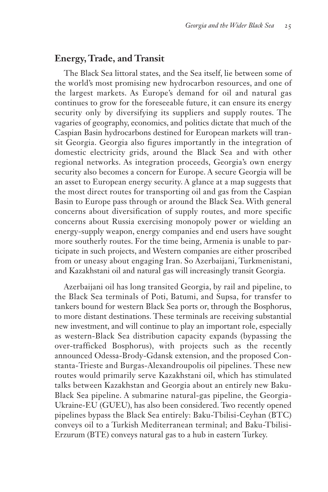### **Energy, Trade, and Transit**

The Black Sea littoral states, and the Sea itself, lie between some of the world's most promising new hydrocarbon resources, and one of the largest markets. As Europe's demand for oil and natural gas continues to grow for the foreseeable future, it can ensure its energy security only by diversifying its suppliers and supply routes. The vagaries of geography, economics, and politics dictate that much of the Caspian Basin hydrocarbons destined for European markets will transit Georgia. Georgia also figures importantly in the integration of domestic electricity grids, around the Black Sea and with other regional networks. As integration proceeds, Georgia's own energy security also becomes a concern for Europe. A secure Georgia will be an asset to European energy security. A glance at a map suggests that the most direct routes for transporting oil and gas from the Caspian Basin to Europe pass through or around the Black Sea. With general concerns about diversification of supply routes, and more specific concerns about Russia exercising monopoly power or wielding an energy-supply weapon, energy companies and end users have sought more southerly routes. For the time being, Armenia is unable to participate in such projects, and Western companies are either proscribed from or uneasy about engaging Iran. So Azerbaijani, Turkmenistani, and Kazakhstani oil and natural gas will increasingly transit Georgia.

Azerbaijani oil has long transited Georgia, by rail and pipeline, to the Black Sea terminals of Poti, Batumi, and Supsa, for transfer to tankers bound for western Black Sea ports or, through the Bosphorus, to more distant destinations. These terminals are receiving substantial new investment, and will continue to play an important role, especially as western-Black Sea distribution capacity expands (bypassing the over-trafficked Bosphorus), with projects such as the recently announced Odessa-Brody-Gdansk extension, and the proposed Constanta-Trieste and Burgas-Alexandroupolis oil pipelines. These new routes would primarily serve Kazakhstani oil, which has stimulated talks between Kazakhstan and Georgia about an entirely new Baku-Black Sea pipeline. A submarine natural-gas pipeline, the Georgia-Ukraine-EU (GUEU), has also been considered. Two recently opened pipelines bypass the Black Sea entirely: Baku-Tbilisi-Ceyhan (BTC) conveys oil to a Turkish Mediterranean terminal; and Baku-Tbilisi-Erzurum (BTE) conveys natural gas to a hub in eastern Turkey.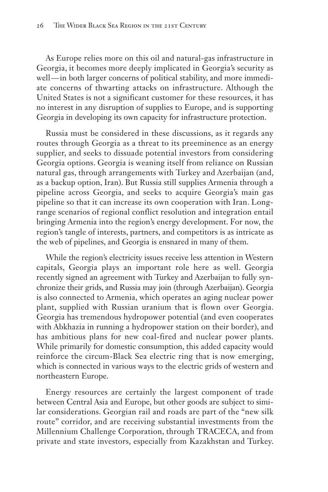As Europe relies more on this oil and natural-gas infrastructure in Georgia, it becomes more deeply implicated in Georgia's security as well-in both larger concerns of political stability, and more immediate concerns of thwarting attacks on infrastructure. Although the United States is not a significant customer for these resources, it has no interest in any disruption of supplies to Europe, and is supporting Georgia in developing its own capacity for infrastructure protection.

Russia must be considered in these discussions, as it regards any routes through Georgia as a threat to its preeminence as an energy supplier, and seeks to dissuade potential investors from considering Georgia options. Georgia is weaning itself from reliance on Russian natural gas, through arrangements with Turkey and Azerbaijan (and, as a backup option, Iran). But Russia still supplies Armenia through a pipeline across Georgia, and seeks to acquire Georgia's main gas pipeline so that it can increase its own cooperation with Iran. Longrange scenarios of regional conflict resolution and integration entail bringing Armenia into the region's energy development. For now, the region's tangle of interests, partners, and competitors is as intricate as the web of pipelines, and Georgia is ensnared in many of them.

While the region's electricity issues receive less attention in Western capitals, Georgia plays an important role here as well. Georgia recently signed an agreement with Turkey and Azerbaijan to fully synchronize their grids, and Russia may join (through Azerbaijan). Georgia is also connected to Armenia, which operates an aging nuclear power plant, supplied with Russian uranium that is flown over Georgia. Georgia has tremendous hydropower potential (and even cooperates with Abkhazia in running a hydropower station on their border), and has ambitious plans for new coal-fired and nuclear power plants. While primarily for domestic consumption, this added capacity would reinforce the circum-Black Sea electric ring that is now emerging, which is connected in various ways to the electric grids of western and northeastern Europe.

Energy resources are certainly the largest component of trade between Central Asia and Europe, but other goods are subject to similar considerations. Georgian rail and roads are part of the "new silk route" corridor, and are receiving substantial investments from the Millennium Challenge Corporation, through TRACECA, and from private and state investors, especially from Kazakhstan and Turkey.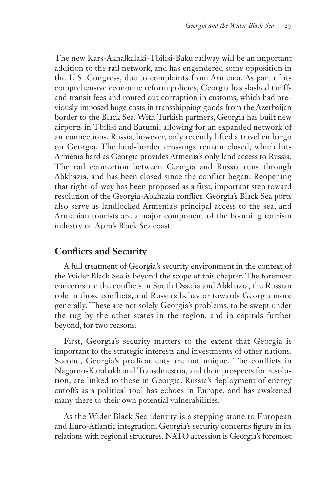The new Kars-Akhalkalaki-Tbilisi-Baku railway will be an important addition to the rail network, and has engendered some opposition in the U.S. Congress, due to complaints from Armenia. As part of its comprehensive economic reform policies, Georgia has slashed tariffs and transit fees and routed out corruption in customs, which had previously imposed huge costs in transshipping goods from the Azerbaijan border to the Black Sea. With Turkish partners, Georgia has built new airports in Tbilisi and Batumi, allowing for an expanded network of air connections. Russia, however, only recently lifted a travel embargo on Georgia. The land-border crossings remain closed, which hits Armenia hard as Georgia provides Armenia's only land access to Russia. The rail connection between Georgia and Russia runs through Abkhazia, and has been closed since the conflict began. Reopening that right-of-way has been proposed as a first, important step toward resolution of the Georgia-Abkhazia conflict. Georgia's Black Sea ports also serve as landlocked Armenia's principal access to the sea, and Armenian tourists are a major component of the booming tourism industry on Ajara's Black Sea coast.

## **Conflicts and Security**

A full treatment of Georgia's security environment in the context of the Wider Black Sea is beyond the scope of this chapter. The foremost concerns are the conflicts in South Ossetia and Abkhazia, the Russian role in those conflicts, and Russia's behavior towards Georgia more generally. These are not solely Georgia's problems, to be swept under the rug by the other states in the region, and in capitals further beyond, for two reasons.

First, Georgia's security matters to the extent that Georgia is important to the strategic interests and investments of other nations. Second, Georgia's predicaments are not unique. The conflicts in Nagorno-Karabakh and Transdniestria, and their prospects for resolution, are linked to those in Georgia. Russia's deployment of energy cutoffs as a political tool has echoes in Europe, and has awakened many there to their own potential vulnerabilities.

As the Wider Black Sea identity is a stepping stone to European and Euro-Atlantic integration, Georgia's security concerns figure in its relations with regional structures. NATO accession is Georgia's foremost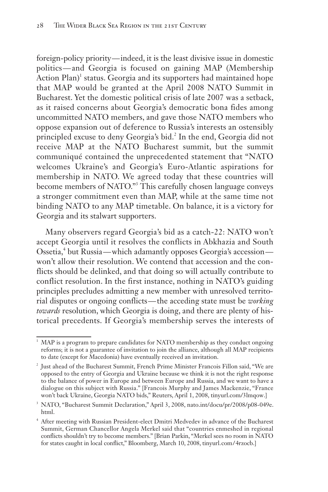foreign-policy priority— indeed, it is the least divisive issue in domestic politics — and Georgia is focused on gaining MAP (Membership Action  $Plan$ <sup>1</sup> status. Georgia and its supporters had maintained hope that MAP would be granted at the April 2008 NATO Summit in Bucharest. Yet the domestic political crisis of late 2007 was a setback, as it raised concerns about Georgia's democratic bona fides among uncommitted NATO members, and gave those NATO members who oppose expansion out of deference to Russia's interests an ostensibly principled excuse to deny Georgia's bid.<sup>2</sup> In the end, Georgia did not receive MAP at the NATO Bucharest summit, but the summit communiqué contained the unprecedented statement that "NATO welcomes Ukraine's and Georgia's Euro-Atlantic aspirations for membership in NATO. We agreed today that these countries will become members of NATO."<sup>3</sup> This carefully chosen language conveys a stronger commitment even than MAP, while at the same time not binding NATO to any MAP timetable. On balance, it is a victory for Georgia and its stalwart supporters.

Many observers regard Georgia's bid as a catch-22: NATO won't accept Georgia until it resolves the conflicts in Abkhazia and South Ossetia,<sup>4</sup> but Russia—which adamantly opposes Georgia's accession won't allow their resolution. We contend that accession and the conflicts should be delinked, and that doing so will actually contribute to conflict resolution. In the first instance, nothing in NATO's guiding principles precludes admitting a new member with unresolved territorial disputes or ongoing conflicts — the acceding state must be *working towards* resolution, which Georgia is doing, and there are plenty of historical precedents. If Georgia's membership serves the interests of

MAP is a program to prepare candidates for NATO membership as they conduct ongoing reforms; it is not a guarantee of invitation to join the alliance, although all MAP recipients to date (except for Macedonia) have eventually received an invitation.

<sup>2</sup> Just ahead of the Bucharest Summit, French Prime Minister Francois Fillon said, "We are opposed to the entry of Georgia and Ukraine because we think it is not the right response to the balance of power in Europe and between Europe and Russia, and we want to have a dialogue on this subject with Russia." [Francois Murphy and James Mackenzie, "France won't back Ukraine, Georgia NATO bids," Reuters, April 1, 2008, tinyurl.com/3lmqow.]

<sup>&</sup>lt;sup>3</sup> NATO, "Bucharest Summit Declaration," April 3, 2008, nato.int/docu/pr/2008/p08-049e. html.

After meeting with Russian President-elect Dmitri Medvedev in advance of the Bucharest Summit, German Chancellor Angela Merkel said that "countries enmeshed in regional conflicts shouldn't try to become members." [Brian Parkin, "Merkel sees no room in NATO for states caught in local conflict," Bloomberg, March 10, 2008, tinyurl. com / 4rzocb.]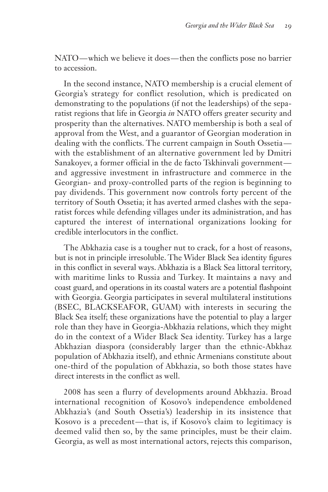NATO — which we believe it does — then the conflicts pose no barrier to accession.

In the second instance, NATO membership is a crucial element of Georgia's strategy for conflict resolution, which is predicated on demonstrating to the populations (if not the leaderships) of the separatist regions that life in Georgia *in* NATO offers greater security and prosperity than the alternatives. NATO membership is both a seal of approval from the West, and a guarantor of Georgian moderation in dealing with the conflicts. The current campaign in South Ossetia with the establishment of an alternative government led by Dmitri Sanakoyev, a former official in the de facto Tskhinvali government and aggressive investment in infrastructure and commerce in the Georgian- and proxy-controlled parts of the region is beginning to pay dividends. This government now controls forty percent of the territory of South Ossetia; it has averted armed clashes with the separatist forces while defending villages under its administration, and has captured the interest of international organizations looking for credible interlocutors in the conflict.

The Abkhazia case is a tougher nut to crack, for a host of reasons, but is not in principle irresoluble. The Wider Black Sea identity figures in this conflict in several ways. Abkhazia is a Black Sea littoral territory, with maritime links to Russia and Turkey. It maintains a navy and coast guard, and operations in its coastal waters are a potential flashpoint with Georgia. Georgia participates in several multilateral institutions (BSEC, BLACKSEAFOR, GUAM) with interests in securing the Black Sea itself; these organizations have the potential to play a larger role than they have in Georgia-Abkhazia relations, which they might do in the context of a Wider Black Sea identity. Turkey has a large Abkhazian diaspora (considerably larger than the ethnic-Abkhaz population of Abkhazia itself), and ethnic Armenians constitute about one-third of the population of Abkhazia, so both those states have direct interests in the conflict as well.

2008 has seen a flurry of developments around Abkhazia. Broad international recognition of Kosovo's independence emboldened Abkhazia's (and South Ossetia's) leadership in its insistence that Kosovo is a precedent — that is, if Kosovo's claim to legitimacy is deemed valid then so, by the same principles, must be their claim. Georgia, as well as most international actors, rejects this comparison,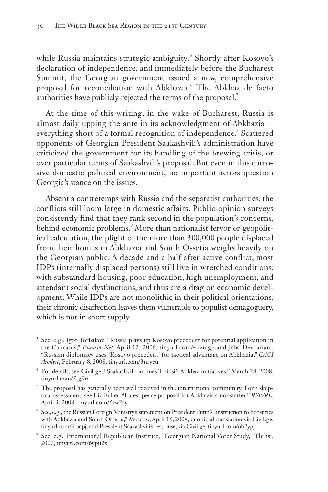while Russia maintains strategic ambiguity.<sup>5</sup> Shortly after Kosovo's declaration of independence, and immediately before the Bucharest Summit, the Georgian government issued a new, comprehensive proposal for reconciliation with Abkhazia.<sup>6</sup> The Abkhaz de facto authorities have publicly rejected the terms of the proposal.<sup>7</sup>

At the time of this writing, in the wake of Bucharest, Russia is almost daily upping the ante in its acknowledgment of Abkhazia everything short of a formal recognition of independence.<sup>8</sup> Scattered opponents of Georgian President Saakashvili's administration have criticized the government for its handling of the brewing crisis, or over particular terms of Saakashvili's proposal. But even in this corrosive domestic political environment, no important actors question Georgia's stance on the issues.

Absent a contretemps with Russia and the separatist authorities, the conflicts still loom large in domestic affairs. Public-opinion surveys consistently find that they rank second in the population's concerns, behind economic problems.<sup>9</sup> More than nationalist fervor or geopolitical calculation, the plight of the more than 300,000 people displaced from their homes in Abkhazia and South Ossetia weighs heavily on the Georgian public. A decade and a half after active conflict, most IDPs (internally displaced persons) still live in wretched conditions, with substandard housing, poor education, high unemployment, and attendant social dysfunctions, and thus are a drag on economic development. While IDPs are not monolithic in their political orientations, their chronic disaffection leaves them vulnerable to populist demagoguery, which is not in short supply.

<sup>5</sup> See, e.g., Igor Torbakov, "Russia plays up Kosovo precedent for potential application in the Caucasus," *Eurasia Net*, April 12, 2006, tinyurl.com/4hzmgj; and Jaba Devdariani, "Russian diplomacy uses 'Kosovo precedent' for tactical advantage on Abkhazia," *CACI Analyst*, February 8, 2008, tinyurl.com/3nrycu.

<sup>6</sup> For details, see Civil.ge, "Saakashvili outlines Tbilisi's Abkhaz initiatives," March 28, 2008, tinyurl.com/5tg9ra.

 $\frac{7}{1}$  The proposal has generally been well received in the international community. For a skeptical assessment, see Liz Fuller, "Latest peace proposal for Abkhazia a nonstarter," *RFE/RL*, April 3, 2008, tinyurl.com/6rw2sy.

<sup>&</sup>lt;sup>8</sup> See, e.g., the Russian Foreign Ministry's statement on President Putin's "instruction to boost ties with Abkhazia and South Ossetia," Moscow, April 16, 2008, unofficial translation via Civil.ge, tinyurl.com/3racpj; and President Saakashvili's response, via Civil.ge, tinyurl.com/6b2ypj.

<sup>9</sup> See, e.g., International Republican Institute, "Georgian National Voter Study," Tbilisi, 2007, tinyurl.com/6ypu2x.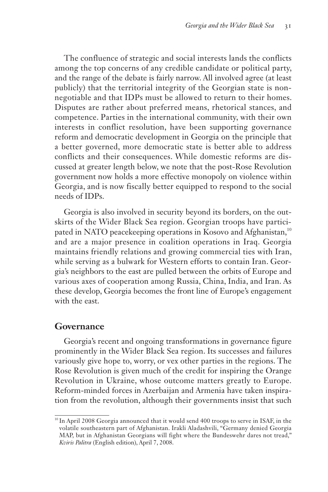The confluence of strategic and social interests lands the conflicts among the top concerns of any credible candidate or political party, and the range of the debate is fairly narrow. All involved agree (at least publicly) that the territorial integrity of the Georgian state is nonnegotiable and that IDPs must be allowed to return to their homes. Disputes are rather about preferred means, rhetorical stances, and competence. Parties in the international community, with their own interests in conflict resolution, have been supporting governance reform and democratic development in Georgia on the principle that a better governed, more democratic state is better able to address conflicts and their consequences. While domestic reforms are discussed at greater length below, we note that the post-Rose Revolution government now holds a more effective monopoly on violence within Georgia, and is now fiscally better equipped to respond to the social needs of IDPs.

Georgia is also involved in security beyond its borders, on the outskirts of the Wider Black Sea region. Georgian troops have participated in NATO peacekeeping operations in Kosovo and Afghanistan,<sup>10</sup> and are a major presence in coalition operations in Iraq. Georgia maintains friendly relations and growing commercial ties with Iran, while serving as a bulwark for Western efforts to contain Iran. Georgia's neighbors to the east are pulled between the orbits of Europe and various axes of cooperation among Russia, China, India, and Iran. As these develop, Georgia becomes the front line of Europe's engagement with the east.

#### **Governance**

Georgia's recent and ongoing transformations in governance figure prominently in the Wider Black Sea region. Its successes and failures variously give hope to, worry, or vex other parties in the regions. The Rose Revolution is given much of the credit for inspiring the Orange Revolution in Ukraine, whose outcome matters greatly to Europe. Reform-minded forces in Azerbaijan and Armenia have taken inspiration from the revolution, although their governments insist that such

<sup>&</sup>lt;sup>10</sup> In April 2008 Georgia announced that it would send 400 troops to serve in ISAF, in the volatile southeastern part of Afghanistan. Irakli Aladashvili, "Germany denied Georgia MAP, but in Afghanistan Georgians will fight where the Bundeswehr dares not tread," *Kviris Palitra* (English edition), April 7, 2008.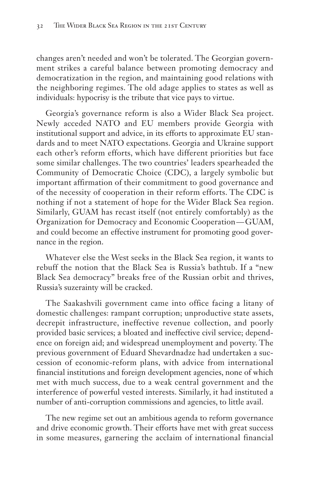changes aren't needed and won't be tolerated. The Georgian government strikes a careful balance between promoting democracy and democratization in the region, and maintaining good relations with the neighboring regimes. The old adage applies to states as well as individuals: hypocrisy is the tribute that vice pays to virtue.

Georgia's governance reform is also a Wider Black Sea project. Newly acceded NATO and EU members provide Georgia with institutional support and advice, in its efforts to approximate EU standards and to meet NATO expectations. Georgia and Ukraine support each other's reform efforts, which have different priorities but face some similar challenges. The two countries' leaders spearheaded the Community of Democratic Choice (CDC), a largely symbolic but important affirmation of their commitment to good governance and of the necessity of cooperation in their reform efforts. The CDC is nothing if not a statement of hope for the Wider Black Sea region. Similarly, GUAM has recast itself (not entirely comfortably) as the Organization for Democracy and Economic Cooperation — GUAM, and could become an effective instrument for promoting good governance in the region.

Whatever else the West seeks in the Black Sea region, it wants to rebuff the notion that the Black Sea is Russia's bathtub. If a "new Black Sea democracy" breaks free of the Russian orbit and thrives, Russia's suzerainty will be cracked.

The Saakashvili government came into office facing a litany of domestic challenges: rampant corruption; unproductive state assets, decrepit infrastructure, ineffective revenue collection, and poorly provided basic services; a bloated and ineffective civil service; dependence on foreign aid; and widespread unemployment and poverty. The previous government of Eduard Shevardnadze had undertaken a succession of economic-reform plans, with advice from international financial institutions and foreign development agencies, none of which met with much success, due to a weak central government and the interference of powerful vested interests. Similarly, it had instituted a number of anti-corruption commissions and agencies, to little avail.

The new regime set out an ambitious agenda to reform governance and drive economic growth. Their efforts have met with great success in some measures, garnering the acclaim of international financial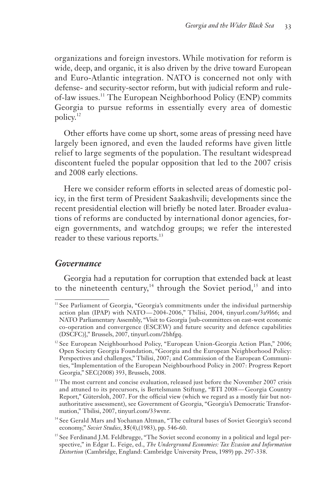organizations and foreign investors. While motivation for reform is wide, deep, and organic, it is also driven by the drive toward European and Euro-Atlantic integration. NATO is concerned not only with defense- and security-sector reform, but with judicial reform and ruleof-law issues.<sup>11</sup> The European Neighborhood Policy (ENP) commits Georgia to pursue reforms in essentially every area of domestic policy.<sup>12</sup>

Other efforts have come up short, some areas of pressing need have largely been ignored, and even the lauded reforms have given little relief to large segments of the population. The resultant widespread discontent fueled the popular opposition that led to the 2007 crisis and 2008 early elections.

Here we consider reform efforts in selected areas of domestic policy, in the first term of President Saakashvili; developments since the recent presidential election will briefly be noted later. Broader evaluations of reforms are conducted by international donor agencies, foreign governments, and watchdog groups; we refer the interested reader to these various reports.<sup>13</sup>

#### *Governance*

Georgia had a reputation for corruption that extended back at least to the nineteenth century,<sup>14</sup> through the Soviet period,<sup>15</sup> and into

<sup>&</sup>lt;sup>11</sup> See Parliament of Georgia, "Georgia's commitments under the individual partnership action plan (IPAP) with NATO-2004-2006," Tbilisi, 2004, tinyurl.com/3a9l66; and NATO Parliamentary Assembly, "Visit to Georgia [sub-committees on east-west economic co-operation and convergence (ESCEW) and future security and defence capabilities (DSCFC)]," Brussels, 2007, tinyurl.com/2bhfgq.

<sup>&</sup>lt;sup>12</sup> See European Neighbourhood Policy, "European Union-Georgia Action Plan," 2006; Open Society Georgia Foundation, "Georgia and the European Neighborhood Policy: Perspectives and challenges," Tbilisi, 2007; and Commission of the European Communities, "Implementation of the European Neighbourhood Policy in 2007: Progress Report Georgia," SEC(2008) 393, Brussels, 2008.

<sup>&</sup>lt;sup>13</sup> The most current and concise evaluation, released just before the November 2007 crisis and attuned to its precursors, is Bertelsmann Stiftung, "BTI 2008 — Georgia Country Report," Gütersloh, 2007. For the official view (which we regard as a mostly fair but notauthoritative assessment), see Government of Georgia, "Georgia's Democratic Transformation," Tbilisi, 2007, tinyurl.com/33wvnr.

<sup>&</sup>lt;sup>14</sup> See Gerald Mars and Yochanan Altman, "The cultural bases of Soviet Georgia's second economy," *Soviet Studies*, **35**(4),(1983), pp. 546-60.

<sup>&</sup>lt;sup>15</sup> See Ferdinand J.M. Feldbrugge, "The Soviet second economy in a political and legal perspective," in Edgar L. Feige, ed., *The Underground Economies: Tax Evasion and Information Distortion* (Cambridge, England: Cambridge University Press, 1989) pp. 297-338.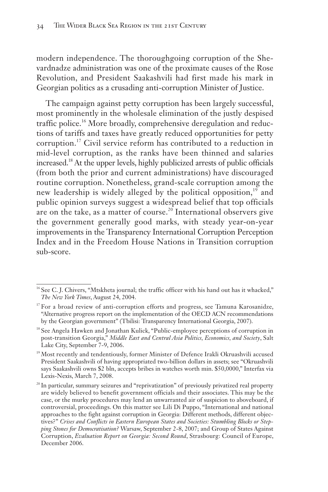modern independence. The thoroughgoing corruption of the Shevardnadze administration was one of the proximate causes of the Rose Revolution, and President Saakashvili had first made his mark in Georgian politics as a crusading anti-corruption Minister of Justice.

The campaign against petty corruption has been largely successful, most prominently in the wholesale elimination of the justly despised traffic police.<sup>16</sup> More broadly, comprehensive deregulation and reductions of tariffs and taxes have greatly reduced opportunities for petty corruption.<sup>17</sup> Civil service reform has contributed to a reduction in mid-level corruption, as the ranks have been thinned and salaries increased.18 At the upper levels, highly publicized arrests of public officials (from both the prior and current administrations) have discouraged routine corruption. Nonetheless, grand-scale corruption among the new leadership is widely alleged by the political opposition,<sup>19</sup> and public opinion surveys suggest a widespread belief that top officials are on the take, as a matter of course.<sup>20</sup> International observers give the government generally good marks, with steady year-on-year improvements in the Transparency International Corruption Perception Index and in the Freedom House Nations in Transition corruption sub-score.

 $16$  See C. J. Chivers, "Mtskheta journal; the traffic officer with his hand out has it whacked," *The New York Times*, August 24, 2004.

 $17$  For a broad review of anti-corruption efforts and progress, see Tamuna Karosanidze, "Alternative progress report on the implementation of the OECD ACN recommendations by the Georgian government" (Tbilisi: Transparency International Georgia, 2007).

<sup>&</sup>lt;sup>18</sup> See Angela Hawken and Jonathan Kulick, "Public-employee perceptions of corruption in post-transition Georgia," *Middle East and Central Asia Politics, Economics, and Society*, Salt Lake City, September 7-9, 2006.

<sup>&</sup>lt;sup>19</sup> Most recently and tendentiously, former Minister of Defence Irakli Okruashvili accused President Saakashvili of having appropriated two-billion dollars in assets; see "Okruashvili says Saakashvili owns \$2 bln, accepts bribes in watches worth min. \$50,0000," Interfax via Lexis-Nexis, March 7, 2008.

<sup>&</sup>lt;sup>20</sup> In particular, summary seizures and "reprivatization" of previously privatized real property are widely believed to benefit government officials and their associates. This may be the case, or the murky procedures may lend an unwarranted air of suspicion to aboveboard, if controversial, proceedings. On this matter see Lili Di Puppo, "International and national approaches to the fight against corruption in Georgia: Different methods, different objectives?" *Crises and Conflicts in Eastern European States and Societies: Stumbling Blocks or Stepping Stones for Democratisation?* Warsaw, September 2-8, 2007; and Group of States Against Corruption, *Evaluation Report on Georgia: Second Round*, Strasbourg: Council of Europe, December 2006.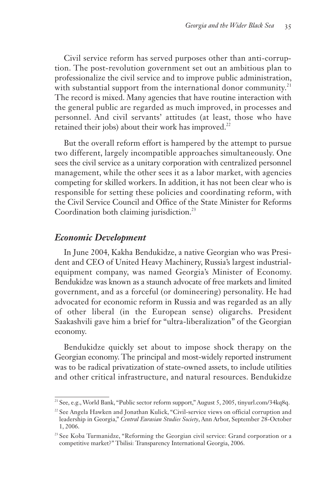Civil service reform has served purposes other than anti-corruption. The post-revolution government set out an ambitious plan to professionalize the civil service and to improve public administration, with substantial support from the international donor community.<sup>21</sup> The record is mixed. Many agencies that have routine interaction with the general public are regarded as much improved, in processes and personnel. And civil servants' attitudes (at least, those who have retained their jobs) about their work has improved.<sup>22</sup>

But the overall reform effort is hampered by the attempt to pursue two different, largely incompatible approaches simultaneously. One sees the civil service as a unitary corporation with centralized personnel management, while the other sees it as a labor market, with agencies competing for skilled workers. In addition, it has not been clear who is responsible for setting these policies and coordinating reform, with the Civil Service Council and Office of the State Minister for Reforms Coordination both claiming jurisdiction.<sup>23</sup>

#### *Economic Development*

In June 2004, Kakha Bendukidze, a native Georgian who was President and CEO of United Heavy Machinery, Russia's largest industrialequipment company, was named Georgia's Minister of Economy. Bendukidze was known as a staunch advocate of free markets and limited government, and as a forceful (or domineering) personality. He had advocated for economic reform in Russia and was regarded as an ally of other liberal (in the European sense) oligarchs. President Saakashvili gave him a brief for "ultra-liberalization" of the Georgian economy.

Bendukidze quickly set about to impose shock therapy on the Georgian economy. The principal and most-widely reported instrument was to be radical privatization of state-owned assets, to include utilities and other critical infrastructure, and natural resources. Bendukidze

<sup>21</sup> See, e.g., World Bank, "Public sector reform support," August 5, 2005, tinyurl.com/34kq8q.

<sup>&</sup>lt;sup>22</sup> See Angela Hawken and Jonathan Kulick, "Civil-service views on official corruption and leadership in Georgia," *Central Eurasian Studies Society*, Ann Arbor, September 28-October 1, 2006.

<sup>&</sup>lt;sup>23</sup> See Koba Turmanidze, "Reforming the Georgian civil service: Grand corporation or a competitive market?" Tbilisi: Transparency International Georgia, 2006.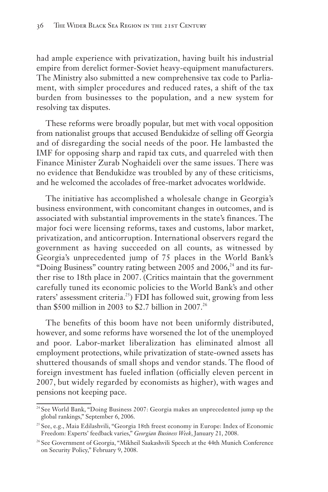had ample experience with privatization, having built his industrial empire from derelict former-Soviet heavy-equipment manufacturers. The Ministry also submitted a new comprehensive tax code to Parliament, with simpler procedures and reduced rates, a shift of the tax burden from businesses to the population, and a new system for resolving tax disputes.

These reforms were broadly popular, but met with vocal opposition from nationalist groups that accused Bendukidze of selling off Georgia and of disregarding the social needs of the poor. He lambasted the IMF for opposing sharp and rapid tax cuts, and quarreled with then Finance Minister Zurab Noghaideli over the same issues. There was no evidence that Bendukidze was troubled by any of these criticisms, and he welcomed the accolades of free-market advocates worldwide.

The initiative has accomplished a wholesale change in Georgia's business environment, with concomitant changes in outcomes, and is associated with substantial improvements in the state's finances. The major foci were licensing reforms, taxes and customs, labor market, privatization, and anticorruption. International observers regard the government as having succeeded on all counts, as witnessed by Georgia's unprecedented jump of 75 places in the World Bank's "Doing Business" country rating between 2005 and 2006, $^{24}$  and its further rise to 18th place in 2007. (Critics maintain that the government carefully tuned its economic policies to the World Bank's and other raters' assessment criteria.<sup>25</sup>) FDI has followed suit, growing from less than \$500 million in 2003 to \$2.7 billion in 2007.<sup>26</sup>

The benefits of this boom have not been uniformly distributed, however, and some reforms have worsened the lot of the unemployed and poor. Labor-market liberalization has eliminated almost all employment protections, while privatization of state-owned assets has shuttered thousands of small shops and vendor stands. The flood of foreign investment has fueled inflation (officially eleven percent in 2007, but widely regarded by economists as higher), with wages and pensions not keeping pace.

<sup>&</sup>lt;sup>24</sup> See World Bank, "Doing Business 2007: Georgia makes an unprecedented jump up the global rankings," September 6, 2006.

<sup>&</sup>lt;sup>25</sup> See, e.g., Maia Edilashvili, "Georgia 18th freest economy in Europe: Index of Economic Freedom: Experts' feedback varies," *Georgian Business Week*, January 21, 2008.

<sup>&</sup>lt;sup>26</sup> See Government of Georgia, "Mikheil Saakashvili Speech at the 44th Munich Conference on Security Policy," February 9, 2008.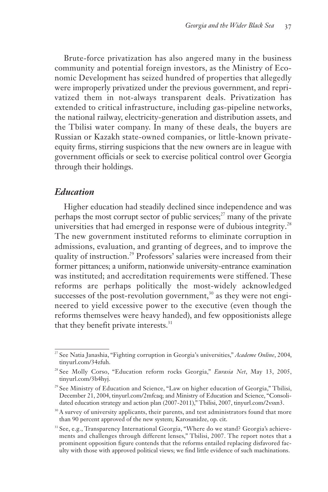Brute-force privatization has also angered many in the business community and potential foreign investors, as the Ministry of Economic Development has seized hundred of properties that allegedly were improperly privatized under the previous government, and reprivatized them in not-always transparent deals. Privatization has extended to critical infrastructure, including gas-pipeline networks, the national railway, electricity-generation and distribution assets, and the Tbilisi water company. In many of these deals, the buyers are Russian or Kazakh state-owned companies, or little-known privateequity firms, stirring suspicions that the new owners are in league with government officials or seek to exercise political control over Georgia through their holdings.

#### *Education*

Higher education had steadily declined since independence and was perhaps the most corrupt sector of public services; $^{27}$  many of the private universities that had emerged in response were of dubious integrity.<sup>28</sup> The new government instituted reforms to eliminate corruption in admissions, evaluation, and granting of degrees, and to improve the quality of instruction.<sup>29</sup> Professors' salaries were increased from their former pittances; a uniform, nationwide university-entrance examination was instituted; and accreditation requirements were stiffened. These reforms are perhaps politically the most-widely acknowledged successes of the post-revolution government,<sup>30</sup> as they were not engineered to yield excessive power to the executive (even though the reforms themselves were heavy handed), and few oppositionists allege that they benefit private interests.<sup>31</sup>

<sup>27</sup> See Natia Janashia, "Fighting corruption in Georgia's universities," *Academe Online*, 2004, tinyurl.com/34zfuh.

<sup>28</sup> See Molly Corso, "Education reform rocks Georgia," *Eurasia Net*, May 13, 2005, tinyurl.com/3b4hyj.

<sup>&</sup>lt;sup>29</sup> See Ministry of Education and Science, "Law on higher education of Georgia," Tbilisi, December 21, 2004, tinyurl.com/2mfcaq; and Ministry of Education and Science, "Consolidated education strategy and action plan (2007-2011)," Tbilisi, 2007, tinyurl.com/2vsxn3.

<sup>&</sup>lt;sup>30</sup> A survey of university applicants, their parents, and test administrators found that more than 90 percent approved of the new system; Karosanidze, op. cit.

<sup>&</sup>lt;sup>31</sup> See, e.g., Transparency International Georgia, "Where do we stand? Georgia's achievements and challenges through different lenses," Tbilisi, 2007. The report notes that a prominent opposition figure contends that the reforms entailed replacing disfavored faculty with those with approved political views; we find little evidence of such machinations.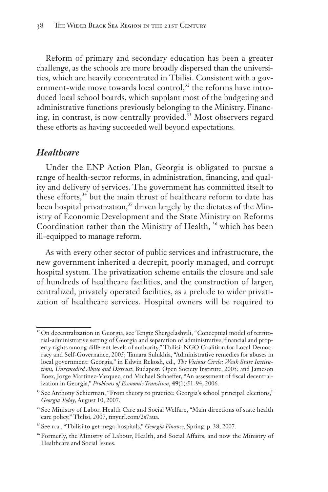Reform of primary and secondary education has been a greater challenge, as the schools are more broadly dispersed than the universities, which are heavily concentrated in Tbilisi. Consistent with a government-wide move towards local control,<sup>32</sup> the reforms have introduced local school boards, which supplant most of the budgeting and administrative functions previously belonging to the Ministry. Financing, in contrast, is now centrally provided.<sup>33</sup> Most observers regard these efforts as having succeeded well beyond expectations.

#### *Healthcare*

Under the ENP Action Plan, Georgia is obligated to pursue a range of health-sector reforms, in administration, financing, and quality and delivery of services. The government has committed itself to these efforts,<sup>34</sup> but the main thrust of healthcare reform to date has been hospital privatization,<sup>35</sup> driven largely by the dictates of the Ministry of Economic Development and the State Ministry on Reforms Coordination rather than the Ministry of Health, <sup>36</sup> which has been ill-equipped to manage reform.

As with every other sector of public services and infrastructure, the new government inherited a decrepit, poorly managed, and corrupt hospital system. The privatization scheme entails the closure and sale of hundreds of healthcare facilities, and the construction of larger, centralized, privately operated facilities, as a prelude to wider privatization of healthcare services. Hospital owners will be required to

<sup>&</sup>lt;sup>32</sup> On decentralization in Georgia, see Tengiz Shergelashvili, "Conceptual model of territorial-administrative setting of Georgia and separation of administrative, financial and property rights among different levels of authority," Tbilisi: NGO Coalition for Local Democracy and Self-Governance, 2005; Tamara Sulukhia, "Administrative remedies for abuses in local government: Georgia," in Edwin Rekosh, ed., *The Vicious Circle: Weak State Institutions, Unremedied Abuse and Distrust*, Budapest: Open Society Institute, 2005; and Jameson Boex, Jorge Martinez-Vazquez, and Michael Schaeffer, "An assessment of fiscal decentralization in Georgia," *Problems of Economic Transition*, **49**(1):51-94, 2006.

<sup>&</sup>lt;sup>33</sup> See Anthony Schierman, "From theory to practice: Georgia's school principal elections," *Georgia Today*, August 10, 2007.

<sup>&</sup>lt;sup>34</sup> See Ministry of Labor, Health Care and Social Welfare, "Main directions of state health care policy," Tbilisi, 2007, tinyurl.com/2s7aua.

<sup>35</sup> See n.a., "Tbilisi to get mega-hospitals," *Georgia Finance*, Spring, p. 38, 2007.

<sup>&</sup>lt;sup>36</sup> Formerly, the Ministry of Labour, Health, and Social Affairs, and now the Ministry of Healthcare and Social Issues.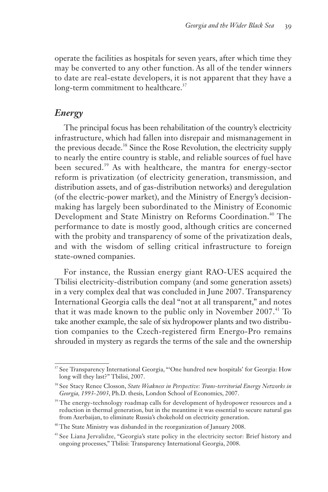operate the facilities as hospitals for seven years, after which time they may be converted to any other function. As all of the tender winners to date are real-estate developers, it is not apparent that they have a long-term commitment to healthcare.<sup>37</sup>

# *Energy*

The principal focus has been rehabilitation of the country's electricity infrastructure, which had fallen into disrepair and mismanagement in the previous decade.<sup>38</sup> Since the Rose Revolution, the electricity supply to nearly the entire country is stable, and reliable sources of fuel have been secured.<sup>39</sup> As with healthcare, the mantra for energy-sector reform is privatization (of electricity generation, transmission, and distribution assets, and of gas-distribution networks) and deregulation (of the electric-power market), and the Ministry of Energy's decisionmaking has largely been subordinated to the Ministry of Economic Development and State Ministry on Reforms Coordination.<sup>40</sup> The performance to date is mostly good, although critics are concerned with the probity and transparency of some of the privatization deals, and with the wisdom of selling critical infrastructure to foreign state-owned companies.

For instance, the Russian energy giant RAO-UES acquired the Tbilisi electricity-distribution company (and some generation assets) in a very complex deal that was concluded in June 2007. Transparency International Georgia calls the deal "not at all transparent," and notes that it was made known to the public only in November 2007.<sup>41</sup> To take another example, the sale of six hydropower plants and two distribution companies to the Czech-registered firm Energo-Pro remains shrouded in mystery as regards the terms of the sale and the ownership

<sup>&</sup>lt;sup>37</sup> See Transparency International Georgia, "'One hundred new hospitals' for Georgia: How long will they last?" Tbilisi, 2007.

<sup>38</sup> See Stacy Renee Closson, *State Weakness in Perspective: Trans-territorial Energy Networks in Georgia, 1993-2003*, Ph.D. thesis, London School of Economics, 2007.

<sup>&</sup>lt;sup>39</sup> The energy-technology roadmap calls for development of hydropower resources and a reduction in thermal generation, but in the meantime it was essential to secure natural gas from Azerbaijan, to eliminate Russia's chokehold on electricity generation.

<sup>&</sup>lt;sup>40</sup> The State Ministry was disbanded in the reorganization of January 2008.

<sup>&</sup>lt;sup>41</sup> See Liana Jervalidze, "Georgia's state policy in the electricity sector: Brief history and ongoing processes," Tbilisi: Transparency International Georgia, 2008.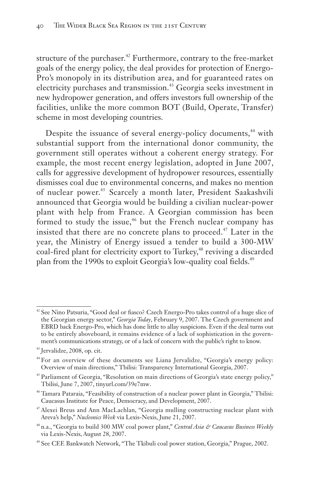structure of the purchaser.<sup>42</sup> Furthermore, contrary to the free-market goals of the energy policy, the deal provides for protection of Energo-Pro's monopoly in its distribution area, and for guaranteed rates on electricity purchases and transmission.<sup>43</sup> Georgia seeks investment in new hydropower generation, and offers investors full ownership of the facilities, unlike the more common BOT (Build, Operate, Transfer) scheme in most developing countries.

Despite the issuance of several energy-policy documents,<sup>44</sup> with substantial support from the international donor community, the government still operates without a coherent energy strategy. For example, the most recent energy legislation, adopted in June 2007, calls for aggressive development of hydropower resources, essentially dismisses coal due to environmental concerns, and makes no mention of nuclear power.<sup>45</sup> Scarcely a month later, President Saakashvili announced that Georgia would be building a civilian nuclear-power plant with help from France. A Georgian commission has been formed to study the issue,<sup>46</sup> but the French nuclear company has insisted that there are no concrete plans to proceed.<sup>47</sup> Later in the year, the Ministry of Energy issued a tender to build a 300-MW coal-fired plant for electricity export to Turkey,<sup>48</sup> reviving a discarded plan from the 1990s to exploit Georgia's low-quality coal fields.<sup>49</sup>

<sup>42</sup> See Nino Patsuria, "Good deal or fiasco? Czech Energo-Pro takes control of a huge slice of the Georgian energy sector," *Georgia Today*, February 9, 2007. The Czech government and EBRD back Energo-Pro, which has done little to allay suspicions. Even if the deal turns out to be entirely aboveboard, it remains evidence of a lack of sophistication in the government's communications strategy, or of a lack of concern with the public's right to know.

<sup>43</sup> Jervalidze, 2008, op. cit.

<sup>44</sup> For an overview of these documents see Liana Jervalidze, "Georgia's energy policy: Overview of main directions," Tbilisi: Transparency International Georgia, 2007.

<sup>&</sup>lt;sup>45</sup> Parliament of Georgia, "Resolution on main directions of Georgia's state energy policy," Tbilisi, June 7, 2007, tinyurl.com/39e7mw.

<sup>46</sup> Tamara Pataraia, "Feasibility of construction of a nuclear power plant in Georgia," Tbilisi: Caucasus Institute for Peace, Democracy, and Development, 2007.

<sup>&</sup>lt;sup>47</sup> Alexei Breus and Ann MacLachlan, "Georgia mulling constructing nuclear plant with Areva's help," *Nucleonics Week* via Lexis-Nexis, June 21, 2007.

<sup>48</sup> n.a., "Georgia to build 300 MW coal power plant," *Central Asia & Caucasus Business Weekly* via Lexis-Nexis, August 28, 2007.

<sup>49</sup> See CEE Bankwatch Network, "The Tkibuli coal power station, Georgia," Prague, 2002.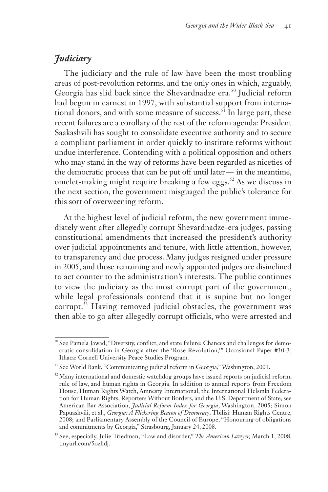# *Judiciary*

The judiciary and the rule of law have been the most troubling areas of post-revolution reforms, and the only ones in which, arguably, Georgia has slid back since the Shevardnadze era.<sup>50</sup> Judicial reform had begun in earnest in 1997, with substantial support from international donors, and with some measure of success.<sup>51</sup> In large part, these recent failures are a corollary of the rest of the reform agenda: President Saakashvili has sought to consolidate executive authority and to secure a compliant parliament in order quickly to institute reforms without undue interference. Contending with a political opposition and others who may stand in the way of reforms have been regarded as niceties of the democratic process that can be put off until later — in the meantime, omelet-making might require breaking a few eggs.<sup>52</sup> As we discuss in the next section, the government misguaged the public's tolerance for this sort of overweening reform.

At the highest level of judicial reform, the new government immediately went after allegedly corrupt Shevardnadze-era judges, passing constitutional amendments that increased the president's authority over judicial appointments and tenure, with little attention, however, to transparency and due process. Many judges resigned under pressure in 2005, and those remaining and newly appointed judges are disinclined to act counter to the administration's interests. The public continues to view the judiciary as the most corrupt part of the government, while legal professionals contend that it is supine but no longer corrupt.<sup>53</sup> Having removed judicial obstacles, the government was then able to go after allegedly corrupt officials, who were arrested and

<sup>50</sup> See Pamela Jawad, "Diversity, conflict, and state failure: Chances and challenges for democratic consolidation in Georgia after the 'Rose Revolution,'" Occasional Paper #30-3, Ithaca: Cornell University Peace Studies Program.

<sup>51</sup> See World Bank, "Communicating judicial reform in Georgia," Washington, 2001.

 $52$  Many international and domestic watchdog groups have issued reports on judicial reform, rule of law, and human rights in Georgia. In addition to annual reports from Freedom House, Human Rights Watch, Amnesty International, the International Helsinki Federation for Human Rights, Reporters Without Borders, and the U.S. Department of State, see American Bar Association, *Judicial Reform Index for Georgia*, Washington, 2005; Simon Papuashvili, et al., *Georgia: A Flickering Beacon of Democracy*, Tbilisi: Human Rights Centre, 2008; and Parliamentary Assembly of the Council of Europe, "Honouring of obligations and commitments by Georgia," Strasbourg, January 24, 2008.

<sup>53</sup> See, especially, Julie Triedman, "Law and disorder," *The American Lawyer,* March 1, 2008, tinyurl.com/5ozhdj.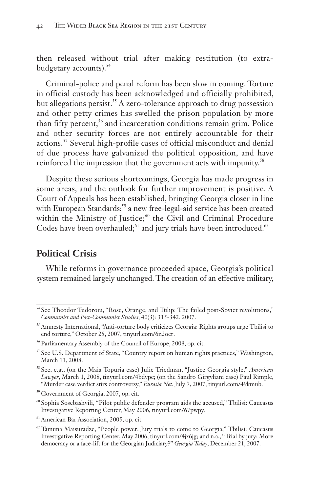then released without trial after making restitution (to extrabudgetary accounts).<sup>54</sup>

Criminal-police and penal reform has been slow in coming. Torture in official custody has been acknowledged and officially prohibited, but allegations persist.<sup>55</sup> A zero-tolerance approach to drug possession and other petty crimes has swelled the prison population by more than fifty percent,<sup>56</sup> and incarceration conditions remain grim. Police and other security forces are not entirely accountable for their actions.<sup>57</sup> Several high-profile cases of official misconduct and denial of due process have galvanized the political opposition, and have reinforced the impression that the government acts with impunity.<sup>58</sup>

Despite these serious shortcomings, Georgia has made progress in some areas, and the outlook for further improvement is positive. A Court of Appeals has been established, bringing Georgia closer in line with European Standards;<sup>59</sup> a new free-legal-aid service has been created within the Ministry of Justice;<sup>60</sup> the Civil and Criminal Procedure Codes have been overhauled; $61$  and jury trials have been introduced. $62$ 

## **Political Crisis**

While reforms in governance proceeded apace, Georgia's political system remained largely unchanged. The creation of an effective military,

<sup>&</sup>lt;sup>54</sup> See Theodor Tudoroiu, "Rose, Orange, and Tulip: The failed post-Soviet revolutions," *Communist and Post-Communist Studies*, 40(3): 315-342, 2007.

<sup>&</sup>lt;sup>55</sup> Amnesty International, "Anti-torture body criticizes Georgia: Rights groups urge Tbilisi to end torture," October 25, 2007, tinyurl.com/6n2oer.

<sup>56</sup> Parliamentary Assembly of the Council of Europe, 2008, op. cit.

 $57$  See U.S. Department of State, "Country report on human rights practices," Washington, March 11, 2008.

<sup>58</sup> See, e.g., (on the Maia Topuria case) Julie Triedman, "Justice Georgia style," *American Lawyer*, March 1, 2008, tinyurl.com/4bdvpc; (on the Sandro Girgvliani case) Paul Rimple, "Murder case verdict stirs controversy," *Eurasia Net*, July 7, 2007, tinyurl.com/49kmub.

<sup>59</sup> Government of Georgia, 2007, op. cit.

<sup>60</sup> Sophia Sosebashvili, "Pilot public defender program aids the accused," Tbilisi: Caucasus Investigative Reporting Center, May 2006, tinyurl.com/67pwpy.

<sup>61</sup> American Bar Association, 2005, op. cit.

 $62$  Tamuna Maisuradze, "People power: Jury trials to come to Georgia," Tbilisi: Caucasus Investigative Reporting Center, May 2006, tinyurl.com/4jx6jg; and n.a., "Trial by jury: More democracy or a face-lift for the Georgian Judiciary?" *Georgia Today*, December 21, 2007.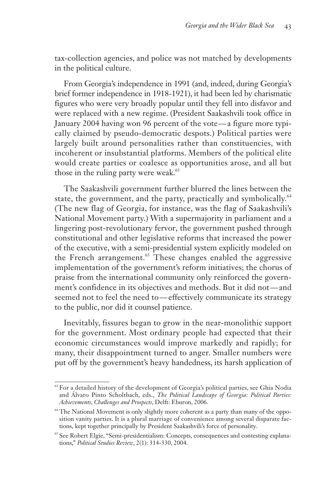tax-collection agencies, and police was not matched by developments in the political culture.

From Georgia's independence in 1991 (and, indeed, during Georgia's brief former independence in 1918-1921), it had been led by charismatic figures who were very broadly popular until they fell into disfavor and were replaced with a new regime. (President Saakashvili took office in January 2004 having won 96 percent of the vote—a figure more typically claimed by pseudo-democratic despots.) Political parties were largely built around personalities rather than constituencies, with incoherent or insubstantial platforms. Members of the political elite would create parties or coalesce as opportunities arose, and all but those in the ruling party were weak.<sup>63</sup>

The Saakashvili government further blurred the lines between the state, the government, and the party, practically and symbolically.<sup>64</sup> (The new flag of Georgia, for instance, was the flag of Saakashvili's National Movement party.) With a supermajority in parliament and a lingering post-revolutionary fervor, the government pushed through constitutional and other legislative reforms that increased the power of the executive, with a semi-presidential system explicitly modeled on the French arrangement.<sup>65</sup> These changes enabled the aggressive implementation of the government's reform initiatives; the chorus of praise from the international community only reinforced the government's confidence in its objectives and methods. But it did not — and seemed not to feel the need to — effectively communicate its strategy to the public, nor did it counsel patience.

Inevitably, fissures began to grow in the near-monolithic support for the government. Most ordinary people had expected that their economic circumstances would improve markedly and rapidly; for many, their disappointment turned to anger. Smaller numbers were put off by the government's heavy handedness, its harsh application of

<sup>&</sup>lt;sup>63</sup> For a detailed history of the development of Georgia's political parties, see Ghia Nodia and Álvaro Pinto Scholtbach, eds., *The Political Landscape of Georgia: Political Parties: Achievements, Challenges and Prospects*, Delft: Eburon, 2006.

<sup>&</sup>lt;sup>64</sup> The National Movement is only slightly more coherent as a party than many of the opposition vanity parties. It is a plural marriage of convenience among several disparate factions, kept together principally by President Saakashvili's force of personality.

<sup>&</sup>lt;sup>65</sup> See Robert Elgie, "Semi-presidentialism: Concepts, consequences and contesting explanations," *Political Studies Review*, 2(1): 314-330, 2004.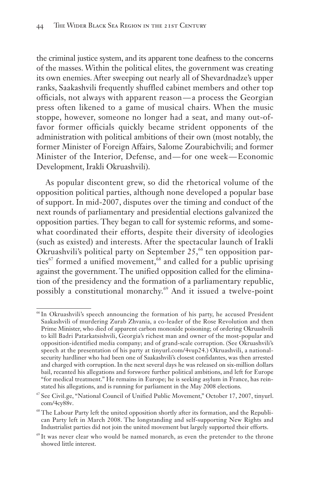the criminal justice system, and its apparent tone deafness to the concerns of the masses. Within the political elites, the government was creating its own enemies. After sweeping out nearly all of Shevardnadze's upper ranks, Saakashvili frequently shuffled cabinet members and other top officials, not always with apparent reason — a process the Georgian press often likened to a game of musical chairs. When the music stoppe, however, someone no longer had a seat, and many out-offavor former officials quickly became strident opponents of the administration with political ambitions of their own (most notably, the former Minister of Foreign Affairs, Salome Zourabichvili; and former Minister of the Interior, Defense, and — for one week— Economic Development, Irakli Okruashvili).

As popular discontent grew, so did the rhetorical volume of the opposition political parties, although none developed a popular base of support. In mid-2007, disputes over the timing and conduct of the next rounds of parliamentary and presidential elections galvanized the opposition parties. They began to call for systemic reforms, and somewhat coordinated their efforts, despite their diversity of ideologies (such as existed) and interests. After the spectacular launch of Irakli Okruashvili's political party on September  $25,66$  ten opposition parties<sup>67</sup> formed a unified movement,  $68$  and called for a public uprising against the government. The unified opposition called for the elimination of the presidency and the formation of a parliamentary republic, possibly a constitutional monarchy.<sup>69</sup> And it issued a twelve-point

<sup>66</sup> In Okruashvili's speech announcing the formation of his party, he accused President Saakashvili of murdering Zurab Zhvania, a co-leader of the Rose Revolution and then Prime Minister, who died of apparent carbon monoxide poisoning; of ordering Okruashvili to kill Badri Patarkatsishvili, Georgia's richest man and owner of the most-popular and opposition-identified media company; and of grand-scale corruption. (See Okruashvili's speech at the presentation of his party at tinyurl.com/4vup24.) Okruashvili, a nationalsecurity hardliner who had been one of Saakashvili's closest confidantes, was then arrested and charged with corruption. In the next several days he was released on six-million dollars bail, recanted his allegations and forswore further political ambitions, and left for Europe "for medical treatment." He remains in Europe; he is seeking asylum in France, has reinstated his allegations, and is running for parliament in the May 2008 elections.

<sup>67</sup> See Civil.ge, "National Council of Unified Public Movement," October 17, 2007, tinyurl. com/4cy88v.

<sup>68</sup> The Labour Party left the united opposition shortly after its formation, and the Republican Party left in March 2008. The longstanding and self-supporting New Rights and Industrialist parties did not join the united movement but largely supported their efforts.

<sup>69</sup> It was never clear who would be named monarch, as even the pretender to the throne showed little interest.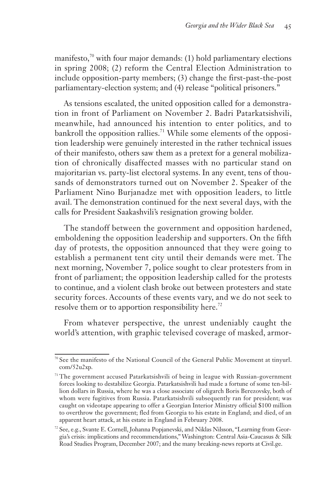manifesto, $70$  with four major demands: (1) hold parliamentary elections in spring 2008; (2) reform the Central Election Administration to include opposition-party members; (3) change the first-past-the-post parliamentary-election system; and (4) release "political prisoners."

As tensions escalated, the united opposition called for a demonstration in front of Parliament on November 2. Badri Patarkatsishvili, meanwhile, had announced his intention to enter politics, and to bankroll the opposition rallies.<sup>71</sup> While some elements of the opposition leadership were genuinely interested in the rather technical issues of their manifesto, others saw them as a pretext for a general mobilization of chronically disaffected masses with no particular stand on majoritarian vs. party-list electoral systems. In any event, tens of thousands of demonstrators turned out on November 2. Speaker of the Parliament Nino Burjanadze met with opposition leaders, to little avail. The demonstration continued for the next several days, with the calls for President Saakashvili's resignation growing bolder.

The standoff between the government and opposition hardened, emboldening the opposition leadership and supporters. On the fifth day of protests, the opposition announced that they were going to establish a permanent tent city until their demands were met. The next morning, November 7, police sought to clear protesters from in front of parliament; the opposition leadership called for the protests to continue, and a violent clash broke out between protesters and state security forces. Accounts of these events vary, and we do not seek to resolve them or to apportion responsibility here.<sup>72</sup>

From whatever perspective, the unrest undeniably caught the world's attention, with graphic televised coverage of masked, armor-

<sup>70</sup> See the manifesto of the National Council of the General Public Movement at tinyurl. com/52u2xp.

<sup>&</sup>lt;sup>71</sup> The government accused Patarkatsishvili of being in league with Russian-government forces looking to destabilize Georgia. Patarkatsishvili had made a fortune of some ten-billion dollars in Russia, where he was a close associate of oligarch Boris Berezovsky, both of whom were fugitives from Russia. Patarkatsishvili subsequently ran for president; was caught on videotape appearing to offer a Georgian Interior Ministry official \$100 million to overthrow the government; fled from Georgia to his estate in England; and died, of an apparent heart attack, at his estate in England in February 2008.

<sup>72</sup> See, e.g., Svante E. Cornell, Johanna Popjanevski, and Niklas Nilsson, "Learning from Georgia's crisis: implications and recommendations," Washington: Central Asia-Caucasus & Silk Road Studies Program, December 2007; and the many breaking-news reports at Civil.ge.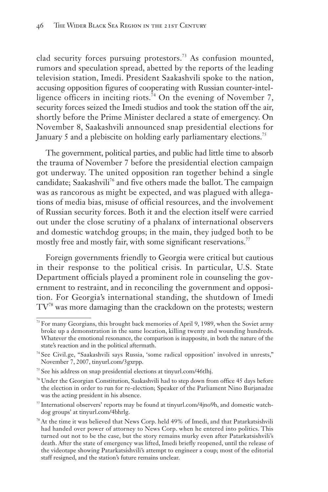clad security forces pursuing protestors.<sup>73</sup> As confusion mounted, rumors and speculation spread, abetted by the reports of the leading television station, Imedi. President Saakashvili spoke to the nation, accusing opposition figures of cooperating with Russian counter-intelligence officers in inciting riots.<sup>74</sup> On the evening of November 7, security forces seized the Imedi studios and took the station off the air, shortly before the Prime Minister declared a state of emergency. On November 8, Saakashvili announced snap presidential elections for January 5 and a plebiscite on holding early parliamentary elections.<sup>75</sup>

The government, political parties, and public had little time to absorb the trauma of November 7 before the presidential election campaign got underway. The united opposition ran together behind a single candidate; Saakashvili<sup>76</sup> and five others made the ballot. The campaign was as rancorous as might be expected, and was plagued with allegations of media bias, misuse of official resources, and the involvement of Russian security forces. Both it and the election itself were carried out under the close scrutiny of a phalanx of international observers and domestic watchdog groups; in the main, they judged both to be mostly free and mostly fair, with some significant reservations.<sup>77</sup>

Foreign governments friendly to Georgia were critical but cautious in their response to the political crisis. In particular, U.S. State Department officials played a prominent role in counseling the government to restraint, and in reconciling the government and opposition. For Georgia's international standing, the shutdown of Imedi TV78 was more damaging than the crackdown on the protests; western

<sup>&</sup>lt;sup>73</sup> For many Georgians, this brought back memories of April 9, 1989, when the Soviet army broke up a demonstration in the same location, killing twenty and wounding hundreds. Whatever the emotional resonance, the comparison is inapposite, in both the nature of the state's reaction and in the political aftermath.

<sup>74</sup> See Civil.ge, "Saakashvili says Russia, 'some radical opposition' involved in unrests," November 7, 2007, tinyurl.com/3gxrpp.

<sup>&</sup>lt;sup>75</sup> See his address on snap presidential elections at tinyurl.com/46tlhj.

<sup>76</sup> Under the Georgian Constitution, Saakashvili had to step down from office 45 days before the election in order to run for re-election; Speaker of the Parliament Nino Burjanadze was the acting president in his absence.

<sup>77</sup> International observers' reports may be found at tinyurl.com/4jno9h, and domestic watchdog groups' at tinyurl.com/4bhrlg.

<sup>&</sup>lt;sup>78</sup> At the time it was believed that News Corp. held 49% of Imedi, and that Patarkatsishvili had handed over power of attorney to News Corp. when he entered into politics. This turned out not to be the case, but the story remains murky even after Patarkatsishvili's death. After the state of emergency was lifted, Imedi briefly reopened, until the release of the videotape showing Patarkatsishvili's attempt to engineer a coup; most of the editorial staff resigned, and the station's future remains unclear.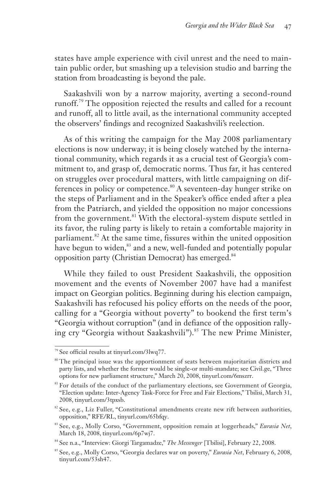states have ample experience with civil unrest and the need to maintain public order, but smashing up a television studio and barring the station from broadcasting is beyond the pale.

Saakashvili won by a narrow majority, averting a second-round runoff.<sup>79</sup> The opposition rejected the results and called for a recount and runoff, all to little avail, as the international community accepted the observers' findings and recognized Saakashvili's reelection.

As of this writing the campaign for the May 2008 parliamentary elections is now underway; it is being closely watched by the international community, which regards it as a crucial test of Georgia's commitment to, and grasp of, democratic norms. Thus far, it has centered on struggles over procedural matters, with little campaigning on differences in policy or competence.<sup>80</sup> A seventeen-day hunger strike on the steps of Parliament and in the Speaker's office ended after a plea from the Patriarch, and yielded the opposition no major concessions from the government.<sup>81</sup> With the electoral-system dispute settled in its favor, the ruling party is likely to retain a comfortable majority in parliament.<sup>82</sup> At the same time, fissures within the united opposition have begun to widen,<sup>83</sup> and a new, well-funded and potentially popular opposition party (Christian Democrat) has emerged.<sup>84</sup>

While they failed to oust President Saakashvili, the opposition movement and the events of November 2007 have had a manifest impact on Georgian politics. Beginning during his election campaign, Saakashvili has refocused his policy efforts on the needs of the poor, calling for a "Georgia without poverty" to bookend the first term's "Georgia without corruption" (and in defiance of the opposition rallying cry "Georgia without Saakashvili").<sup>85</sup> The new Prime Minister,

<sup>79</sup> See official results at tinyurl.com/3lwq77.

<sup>&</sup>lt;sup>80</sup> The principal issue was the apportionment of seats between majoritarian districts and party lists, and whether the former would be single-or multi-mandate; see Civil.ge, "Three options for new parliament structure," March 20, 2008, tinyurl.com/6mszrr.

 $81$  For details of the conduct of the parliamentary elections, see Government of Georgia, "Election update: Inter-Agency Task-Force for Free and Fair Elections," Tbilisi, March 31, 2008, tinyurl.com/3tpxsb.

 $82$  See, e.g., Liz Fuller, "Constitutional amendments create new rift between authorities, opposition," RFE/RL, tinyurl.com/65bfqy.

<sup>83</sup> See, e.g., Molly Corso, "Government, opposition remain at loggerheads," *Eurasia Net*, March 18, 2008, tinyurl.com/6p7wj7.

<sup>84</sup> See n.a., "Interview: Giorgi Targamadze," *The Messenger* [Tbilisi], February 22, 2008.

<sup>85</sup> See, e.g., Molly Corso, "Georgia declares war on poverty," *Eurasia Net*, February 6, 2008, tinyurl.com/53sh47.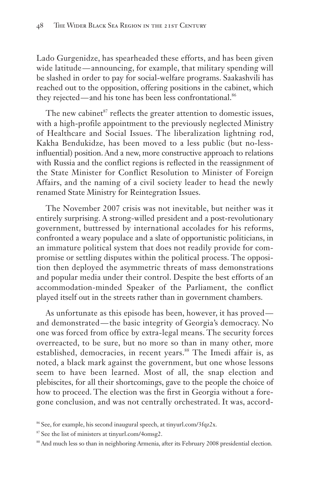Lado Gurgenidze, has spearheaded these efforts, and has been given wide latitude — announcing, for example, that military spending will be slashed in order to pay for social-welfare programs. Saakashvili has reached out to the opposition, offering positions in the cabinet, which they rejected—and his tone has been less confrontational.<sup>86</sup>

The new cabinet<sup>87</sup> reflects the greater attention to domestic issues, with a high-profile appointment to the previously neglected Ministry of Healthcare and Social Issues. The liberalization lightning rod, Kakha Bendukidze, has been moved to a less public (but no-lessinfluential) position. And a new, more constructive approach to relations with Russia and the conflict regions is reflected in the reassignment of the State Minister for Conflict Resolution to Minister of Foreign Affairs, and the naming of a civil society leader to head the newly renamed State Ministry for Reintegration Issues.

The November 2007 crisis was not inevitable, but neither was it entirely surprising. A strong-willed president and a post-revolutionary government, buttressed by international accolades for his reforms, confronted a weary populace and a slate of opportunistic politicians, in an immature political system that does not readily provide for compromise or settling disputes within the political process. The opposition then deployed the asymmetric threats of mass demonstrations and popular media under their control. Despite the best efforts of an accommodation-minded Speaker of the Parliament, the conflict played itself out in the streets rather than in government chambers.

As unfortunate as this episode has been, however, it has proved and demonstrated — the basic integrity of Georgia's democracy. No one was forced from office by extra-legal means. The security forces overreacted, to be sure, but no more so than in many other, more established, democracies, in recent years.<sup>88</sup> The Imedi affair is, as noted, a black mark against the government, but one whose lessons seem to have been learned. Most of all, the snap election and plebiscites, for all their shortcomings, gave to the people the choice of how to proceed. The election was the first in Georgia without a foregone conclusion, and was not centrally orchestrated. It was, accord-

<sup>86</sup> See, for example, his second inaugural speech, at tinyurl.com/3fqz2x.

<sup>&</sup>lt;sup>87</sup> See the list of ministers at tinyurl.com/4omsg2.

<sup>&</sup>lt;sup>88</sup> And much less so than in neighboring Armenia, after its February 2008 presidential election.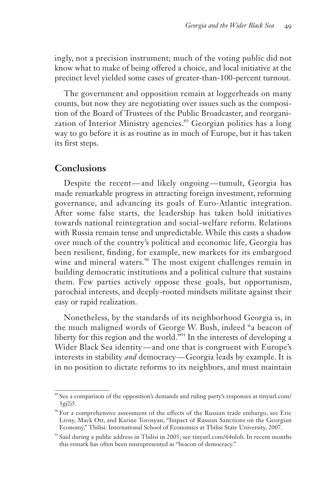ingly, not a precision instrument; much of the voting public did not know what to make of being offered a choice, and local initiative at the precinct level yielded some cases of greater-than-100-percent turnout.

The government and opposition remain at loggerheads on many counts, but now they are negotiating over issues such as the composition of the Board of Trustees of the Public Broadcaster, and reorganization of Interior Ministry agencies.<sup>89</sup> Georgian politics has a long way to go before it is as routine as in much of Europe, but it has taken its first steps.

## **Conclusions**

Despite the recent—and likely ongoing—tumult, Georgia has made remarkable progress in attracting foreign investment, reforming governance, and advancing its goals of Euro-Atlantic integration. After some false starts, the leadership has taken bold initiatives towards national reintegration and social-welfare reform. Relations with Russia remain tense and unpredictable. While this casts a shadow over much of the country's political and economic life, Georgia has been resilient, finding, for example, new markets for its embargoed wine and mineral waters.<sup>90</sup> The most exigent challenges remain in building democratic institutions and a political culture that sustains them. Few parties actively oppose these goals, but opportunism, parochial interests, and deeply-rooted mindsets militate against their easy or rapid realization.

Nonetheless, by the standards of its neighborhood Georgia is, in the much maligned words of George W. Bush, indeed "a beacon of liberty for this region and the world."<sup>91</sup> In the interests of developing a Wider Black Sea identity — and one that is congruent with Europe's interests in stability *and* democracy — Georgia leads by example. It is in no position to dictate reforms to its neighbors, and must maintain

<sup>&</sup>lt;sup>89</sup> See a comparison of the opposition's demands and ruling party's responses at tinyurl.com/ 3gj2j5.

<sup>90</sup> For a comprehensive assessment of the effects of the Russian trade embargo, see Eric Livny, Mack Ott, and Karine Torosyan, "Impact of Russian Sanctions on the Georgian Economy," Tbilisi: International School of Economics at Tbilisi State University, 2007.

<sup>&</sup>lt;sup>91</sup> Said during a public address in Tbilisi in 2005; see tinyurl.com/64ulob. In recent months this remark has often been misrepresented as "beacon of democracy."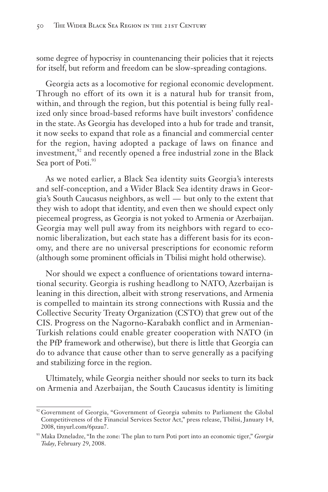some degree of hypocrisy in countenancing their policies that it rejects for itself, but reform and freedom can be slow-spreading contagions.

Georgia acts as a locomotive for regional economic development. Through no effort of its own it is a natural hub for transit from, within, and through the region, but this potential is being fully realized only since broad-based reforms have built investors' confidence in the state. As Georgia has developed into a hub for trade and transit, it now seeks to expand that role as a financial and commercial center for the region, having adopted a package of laws on finance and investment, $92$  and recently opened a free industrial zone in the Black Sea port of Poti.<sup>93</sup>

As we noted earlier, a Black Sea identity suits Georgia's interests and self-conception, and a Wider Black Sea identity draws in Georgia's South Caucasus neighbors, as well — but only to the extent that they wish to adopt that identity, and even then we should expect only piecemeal progress, as Georgia is not yoked to Armenia or Azerbaijan. Georgia may well pull away from its neighbors with regard to economic liberalization, but each state has a different basis for its economy, and there are no universal prescriptions for economic reform (although some prominent officials in Tbilisi might hold otherwise).

Nor should we expect a confluence of orientations toward international security. Georgia is rushing headlong to NATO, Azerbaijan is leaning in this direction, albeit with strong reservations, and Armenia is compelled to maintain its strong connections with Russia and the Collective Security Treaty Organization (CSTO) that grew out of the CIS. Progress on the Nagorno-Karabakh conflict and in Armenian-Turkish relations could enable greater cooperation with NATO (in the PfP framework and otherwise), but there is little that Georgia can do to advance that cause other than to serve generally as a pacifying and stabilizing force in the region.

Ultimately, while Georgia neither should nor seeks to turn its back on Armenia and Azerbaijan, the South Caucasus identity is limiting

<sup>&</sup>lt;sup>92</sup> Government of Georgia, "Government of Georgia submits to Parliament the Global Competitiveness of the Financial Services Sector Act," press release, Tbilisi, January 14, 2008, tinyurl.com/6pzau7.

<sup>93</sup> Maka Dzneladze, "In the zone: The plan to turn Poti port into an economic tiger," *Georgia Today*, February 29, 2008.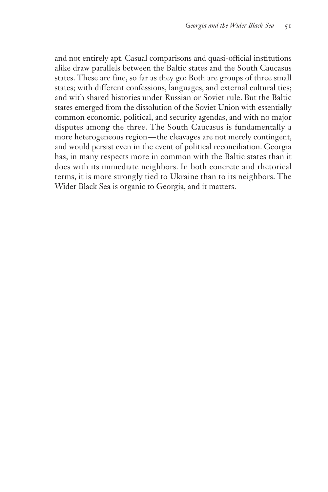and not entirely apt. Casual comparisons and quasi-official institutions alike draw parallels between the Baltic states and the South Caucasus states. These are fine, so far as they go: Both are groups of three small states; with different confessions, languages, and external cultural ties; and with shared histories under Russian or Soviet rule. But the Baltic states emerged from the dissolution of the Soviet Union with essentially common economic, political, and security agendas, and with no major disputes among the three. The South Caucasus is fundamentally a more heterogeneous region — the cleavages are not merely contingent, and would persist even in the event of political reconciliation. Georgia has, in many respects more in common with the Baltic states than it does with its immediate neighbors. In both concrete and rhetorical terms, it is more strongly tied to Ukraine than to its neighbors. The Wider Black Sea is organic to Georgia, and it matters.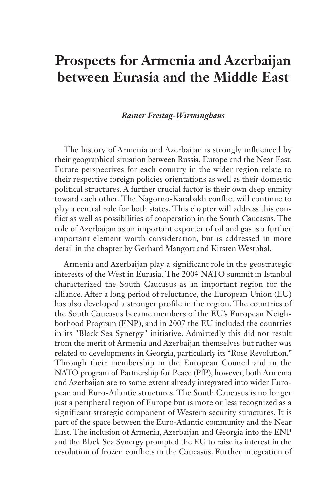# **Prospects for Armenia and Azerbaijan between Eurasia and the Middle East**

#### *Rainer Freitag-Wirminghaus*

The history of Armenia and Azerbaijan is strongly influenced by their geographical situation between Russia, Europe and the Near East. Future perspectives for each country in the wider region relate to their respective foreign policies orientations as well as their domestic political structures. A further crucial factor is their own deep enmity toward each other. The Nagorno-Karabakh conflict will continue to play a central role for both states. This chapter will address this conflict as well as possibilities of cooperation in the South Caucasus. The role of Azerbaijan as an important exporter of oil and gas is a further important element worth consideration, but is addressed in more detail in the chapter by Gerhard Mangott and Kirsten Westphal.

Armenia and Azerbaijan play a significant role in the geostrategic interests of the West in Eurasia. The 2004 NATO summit in Istanbul characterized the South Caucasus as an important region for the alliance. After a long period of reluctance, the European Union (EU) has also developed a stronger profile in the region. The countries of the South Caucasus became members of the EU's European Neighborhood Program (ENP), and in 2007 the EU included the countries in its "Black Sea Synergy" initiative. Admittedly this did not result from the merit of Armenia and Azerbaijan themselves but rather was related to developments in Georgia, particularly its "Rose Revolution." Through their membership in the European Council and in the NATO program of Partnership for Peace (PfP), however, both Armenia and Azerbaijan are to some extent already integrated into wider European and Euro-Atlantic structures. The South Caucasus is no longer just a peripheral region of Europe but is more or less recognized as a significant strategic component of Western security structures. It is part of the space between the Euro-Atlantic community and the Near East. The inclusion of Armenia, Azerbaijan and Georgia into the ENP and the Black Sea Synergy prompted the EU to raise its interest in the resolution of frozen conflicts in the Caucasus. Further integration of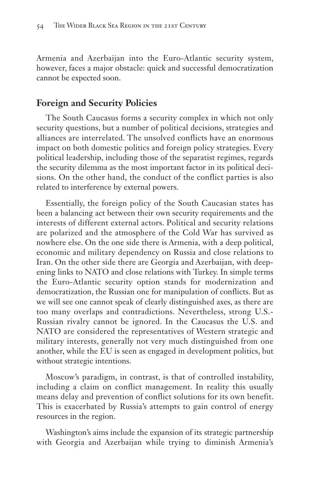Armenia and Azerbaijan into the Euro-Atlantic security system, however, faces a major obstacle: quick and successful democratization cannot be expected soon.

## **Foreign and Security Policies**

The South Caucasus forms a security complex in which not only security questions, but a number of political decisions, strategies and alliances are interrelated. The unsolved conflicts have an enormous impact on both domestic politics and foreign policy strategies. Every political leadership, including those of the separatist regimes, regards the security dilemma as the most important factor in its political decisions. On the other hand, the conduct of the conflict parties is also related to interference by external powers.

Essentially, the foreign policy of the South Caucasian states has been a balancing act between their own security requirements and the interests of different external actors. Political and security relations are polarized and the atmosphere of the Cold War has survived as nowhere else. On the one side there is Armenia, with a deep political, economic and military dependency on Russia and close relations to Iran. On the other side there are Georgia and Azerbaijan, with deepening links to NATO and close relations with Turkey. In simple terms the Euro-Atlantic security option stands for modernization and democratization, the Russian one for manipulation of conflicts. But as we will see one cannot speak of clearly distinguished axes, as there are too many overlaps and contradictions. Nevertheless, strong U.S.- Russian rivalry cannot be ignored. In the Caucasus the U.S. and NATO are considered the representatives of Western strategic and military interests, generally not very much distinguished from one another, while the EU is seen as engaged in development politics, but without strategic intentions.

Moscow's paradigm, in contrast, is that of controlled instability, including a claim on conflict management. In reality this usually means delay and prevention of conflict solutions for its own benefit. This is exacerbated by Russia's attempts to gain control of energy resources in the region.

Washington's aims include the expansion of its strategic partnership with Georgia and Azerbaijan while trying to diminish Armenia's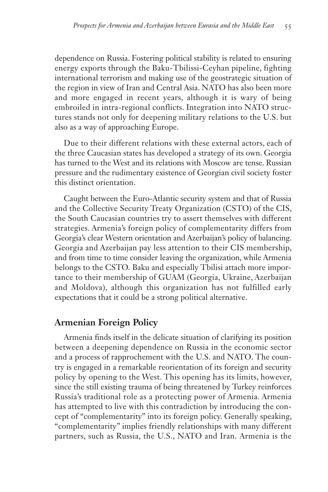dependence on Russia. Fostering political stability is related to ensuring energy exports through the Baku-Tbilissi-Ceyhan pipeline, fighting international terrorism and making use of the geostrategic situation of the region in view of Iran and Central Asia. NATO has also been more and more engaged in recent years, although it is wary of being embroiled in intra-regional conflicts. Integration into NATO structures stands not only for deepening military relations to the U.S. but also as a way of approaching Europe.

Due to their different relations with these external actors, each of the three Caucasian states has developed a strategy of its own. Georgia has turned to the West and its relations with Moscow are tense. Russian pressure and the rudimentary existence of Georgian civil society foster this distinct orientation.

Caught between the Euro-Atlantic security system and that of Russia and the Collective Security Treaty Organization (CSTO) of the CIS, the South Caucasian countries try to assert themselves with different strategies. Armenia's foreign policy of complementarity differs from Georgia's clear Western orientation and Azerbaijan's policy of balancing. Georgia and Azerbaijan pay less attention to their CIS membership, and from time to time consider leaving the organization, while Armenia belongs to the CSTO. Baku and especially Tbilisi attach more importance to their membership of GUAM (Georgia, Ukraine, Azerbaijan and Moldova), although this organization has not fulfilled early expectations that it could be a strong political alternative.

#### **Armenian Foreign Policy**

Armenia finds itself in the delicate situation of clarifying its position between a deepening dependence on Russia in the economic sector and a process of rapprochement with the U.S. and NATO. The country is engaged in a remarkable reorientation of its foreign and security policy by opening to the West. This opening has its limits, however, since the still existing trauma of being threatened by Turkey reinforces Russia's traditional role as a protecting power of Armenia. Armenia has attempted to live with this contradiction by introducing the concept of "complementarity" into its foreign policy. Generally speaking, "complementarity" implies friendly relationships with many different partners, such as Russia, the U.S., NATO and Iran. Armenia is the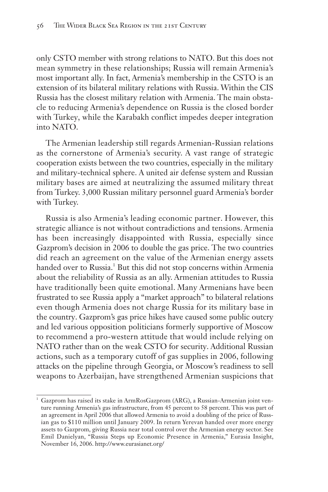only CSTO member with strong relations to NATO. But this does not mean symmetry in these relationships; Russia will remain Armenia's most important ally. In fact, Armenia's membership in the CSTO is an extension of its bilateral military relations with Russia. Within the CIS Russia has the closest military relation with Armenia. The main obstacle to reducing Armenia's dependence on Russia is the closed border with Turkey, while the Karabakh conflict impedes deeper integration into NATO.

The Armenian leadership still regards Armenian-Russian relations as the cornerstone of Armenia's security. A vast range of strategic cooperation exists between the two countries, especially in the military and military-technical sphere. A united air defense system and Russian military bases are aimed at neutralizing the assumed military threat from Turkey. 3,000 Russian military personnel guard Armenia's border with Turkey.

Russia is also Armenia's leading economic partner. However, this strategic alliance is not without contradictions and tensions. Armenia has been increasingly disappointed with Russia, especially since Gazprom's decision in 2006 to double the gas price. The two countries did reach an agreement on the value of the Armenian energy assets handed over to Russia.<sup>1</sup> But this did not stop concerns within Armenia about the reliability of Russia as an ally. Armenian attitudes to Russia have traditionally been quite emotional. Many Armenians have been frustrated to see Russia apply a "market approach" to bilateral relations even though Armenia does not charge Russia for its military base in the country. Gazprom's gas price hikes have caused some public outcry and led various opposition politicians formerly supportive of Moscow to recommend a pro-western attitude that would include relying on NATO rather than on the weak CSTO for security. Additional Russian actions, such as a temporary cutoff of gas supplies in 2006, following attacks on the pipeline through Georgia, or Moscow's readiness to sell weapons to Azerbaijan, have strengthened Armenian suspicions that

<sup>&</sup>lt;sup>1</sup> Gazprom has raised its stake in ArmRosGazprom (ARG), a Russian-Armenian joint venture running Armenia's gas infrastructure, from 45 percent to 58 percent. This was part of an agreement in April 2006 that allowed Armenia to avoid a doubling of the price of Russian gas to \$110 million until January 2009. In return Yerevan handed over more energy assets to Gazprom, giving Russia near total control over the Armenian energy sector. See Emil Danielyan, "Russia Steps up Economic Presence in Armenia," Eurasia Insight, November 16, 2006. http://www.eurasianet.org/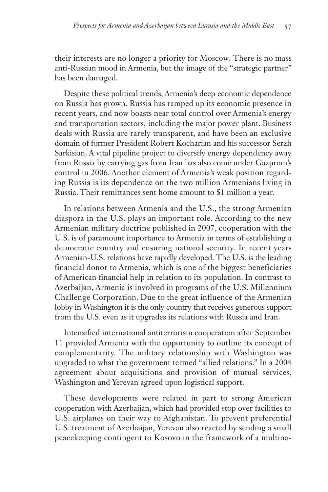their interests are no longer a priority for Moscow. There is no mass anti-Russian mood in Armenia, but the image of the "strategic partner" has been damaged.

Despite these political trends, Armenia's deep economic dependence on Russia has grown. Russia has ramped up its economic presence in recent years, and now boasts near total control over Armenia's energy and transportation sectors, including the major power plant. Business deals with Russia are rarely transparent, and have been an exclusive domain of former President Robert Kocharian and his successor Serzh Sarkisian. A vital pipeline project to diversify energy dependency away from Russia by carrying gas from Iran has also come under Gazprom's control in 2006. Another element of Armenia's weak position regarding Russia is its dependence on the two million Armenians living in Russia. Their remittances sent home amount to \$1 million a year.

In relations between Armenia and the U.S., the strong Armenian diaspora in the U.S. plays an important role. According to the new Armenian military doctrine published in 2007, cooperation with the U.S. is of paramount importance to Armenia in terms of establishing a democratic country and ensuring national security. In recent years Armenian-U.S. relations have rapidly developed. The U.S. is the leading financial donor to Armenia, which is one of the biggest beneficiaries of American financial help in relation to its population. In contrast to Azerbaijan, Armenia is involved in programs of the U.S. Millennium Challenge Corporation. Due to the great influence of the Armenian lobby in Washington it is the only country that receives generous support from the U.S. even as it upgrades its relations with Russia and Iran.

Intensified international antiterrorism cooperation after September 11 provided Armenia with the opportunity to outline its concept of complementarity. The military relationship with Washington was upgraded to what the government termed "allied relations." In a 2004 agreement about acquisitions and provision of mutual services, Washington and Yerevan agreed upon logistical support.

These developments were related in part to strong American cooperation with Azerbaijan, which had provided stop over facilities to U.S. airplanes on their way to Afghanistan. To prevent preferential U.S. treatment of Azerbaijan, Yerevan also reacted by sending a small peacekeeping contingent to Kosovo in the framework of a multina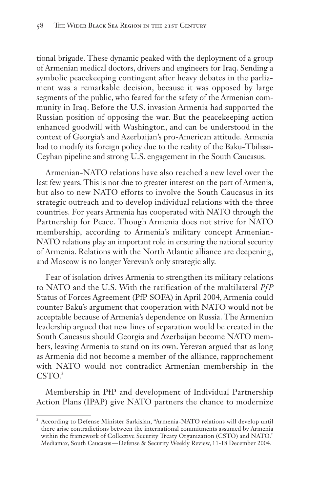tional brigade. These dynamic peaked with the deployment of a group of Armenian medical doctors, drivers and engineers for Iraq. Sending a symbolic peacekeeping contingent after heavy debates in the parliament was a remarkable decision, because it was opposed by large segments of the public, who feared for the safety of the Armenian community in Iraq. Before the U.S. invasion Armenia had supported the Russian position of opposing the war. But the peacekeeping action enhanced goodwill with Washington, and can be understood in the context of Georgia's and Azerbaijan's pro-American attitude. Armenia had to modify its foreign policy due to the reality of the Baku-Tbilissi-Ceyhan pipeline and strong U.S. engagement in the South Caucasus.

Armenian-NATO relations have also reached a new level over the last few years. This is not due to greater interest on the part of Armenia, but also to new NATO efforts to involve the South Caucasus in its strategic outreach and to develop individual relations with the three countries. For years Armenia has cooperated with NATO through the Partnership for Peace. Though Armenia does not strive for NATO membership, according to Armenia's military concept Armenian-NATO relations play an important role in ensuring the national security of Armenia. Relations with the North Atlantic alliance are deepening, and Moscow is no longer Yerevan's only strategic ally.

Fear of isolation drives Armenia to strengthen its military relations to NATO and the U.S. With the ratification of the multilateral *PfP* Status of Forces Agreement (PfP SOFA) in April 2004, Armenia could counter Baku's argument that cooperation with NATO would not be acceptable because of Armenia's dependence on Russia. The Armenian leadership argued that new lines of separation would be created in the South Caucasus should Georgia and Azerbaijan become NATO members, leaving Armenia to stand on its own. Yerevan argued that as long as Armenia did not become a member of the alliance, rapprochement with NATO would not contradict Armenian membership in the  $CSTO.<sup>2</sup>$ 

Membership in PfP and development of Individual Partnership Action Plans (IPAP) give NATO partners the chance to modernize

<sup>&</sup>lt;sup>2</sup> According to Defense Minister Sarkisian, "Armenia-NATO relations will develop until there arise contradictions between the international commitments assumed by Armenia within the framework of Collective Security Treaty Organization (CSTO) and NATO." Mediamax, South Caucasus — Defense & Security Weekly Review, 11-18 December 2004.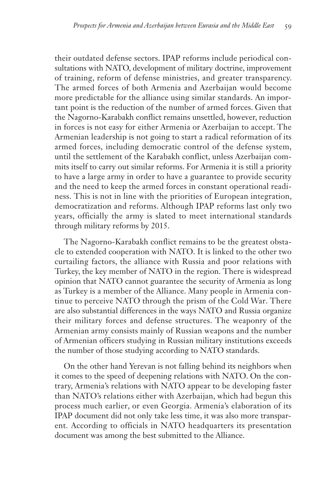their outdated defense sectors. IPAP reforms include periodical consultations with NATO, development of military doctrine, improvement of training, reform of defense ministries, and greater transparency. The armed forces of both Armenia and Azerbaijan would become more predictable for the alliance using similar standards. An important point is the reduction of the number of armed forces. Given that the Nagorno-Karabakh conflict remains unsettled, however, reduction in forces is not easy for either Armenia or Azerbaijan to accept. The Armenian leadership is not going to start a radical reformation of its armed forces, including democratic control of the defense system, until the settlement of the Karabakh conflict, unless Azerbaijan commits itself to carry out similar reforms. For Armenia it is still a priority to have a large army in order to have a guarantee to provide security and the need to keep the armed forces in constant operational readiness. This is not in line with the priorities of European integration, democratization and reforms. Although IPAP reforms last only two years, officially the army is slated to meet international standards through military reforms by 2015.

The Nagorno-Karabakh conflict remains to be the greatest obstacle to extended cooperation with NATO. It is linked to the other two curtailing factors, the alliance with Russia and poor relations with Turkey, the key member of NATO in the region. There is widespread opinion that NATO cannot guarantee the security of Armenia as long as Turkey is a member of the Alliance. Many people in Armenia continue to perceive NATO through the prism of the Cold War. There are also substantial differences in the ways NATO and Russia organize their military forces and defense structures. The weaponry of the Armenian army consists mainly of Russian weapons and the number of Armenian officers studying in Russian military institutions exceeds the number of those studying according to NATO standards.

On the other hand Yerevan is not falling behind its neighbors when it comes to the speed of deepening relations with NATO. On the contrary, Armenia's relations with NATO appear to be developing faster than NATO's relations either with Azerbaijan, which had begun this process much earlier, or even Georgia. Armenia's elaboration of its IPAP document did not only take less time, it was also more transparent. According to officials in NATO headquarters its presentation document was among the best submitted to the Alliance.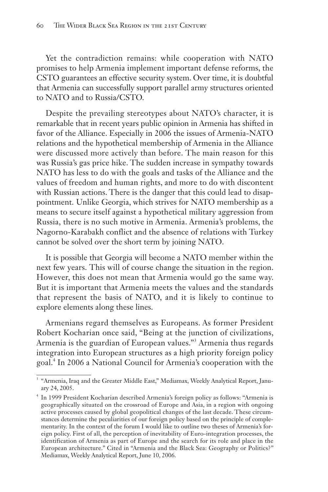Yet the contradiction remains: while cooperation with NATO promises to help Armenia implement important defense reforms, the CSTO guarantees an effective security system. Over time, it is doubtful that Armenia can successfully support parallel army structures oriented to NATO and to Russia/CSTO.

Despite the prevailing stereotypes about NATO's character, it is remarkable that in recent years public opinion in Armenia has shifted in favor of the Alliance. Especially in 2006 the issues of Armenia-NATO relations and the hypothetical membership of Armenia in the Alliance were discussed more actively than before. The main reason for this was Russia's gas price hike. The sudden increase in sympathy towards NATO has less to do with the goals and tasks of the Alliance and the values of freedom and human rights, and more to do with discontent with Russian actions. There is the danger that this could lead to disappointment. Unlike Georgia, which strives for NATO membership as a means to secure itself against a hypothetical military aggression from Russia, there is no such motive in Armenia. Armenia's problems, the Nagorno-Karabakh conflict and the absence of relations with Turkey cannot be solved over the short term by joining NATO.

It is possible that Georgia will become a NATO member within the next few years. This will of course change the situation in the region. However, this does not mean that Armenia would go the same way. But it is important that Armenia meets the values and the standards that represent the basis of NATO, and it is likely to continue to explore elements along these lines.

Armenians regard themselves as Europeans. As former President Robert Kocharian once said, "Being at the junction of civilizations, Armenia is the guardian of European values."<sup>3</sup> Armenia thus regards integration into European structures as a high priority foreign policy goal.<sup>4</sup> In 2006 a National Council for Armenia's cooperation with the

<sup>&</sup>lt;sup>3</sup> "Armenia, Iraq and the Greater Middle East," Mediamax, Weekly Analytical Report, January 24, 2005.

<sup>4</sup> In 1999 President Kocharian described Armenia's foreign policy as follows: "Armenia is geographically situated on the crossroad of Europe and Asia, in a region with ongoing active processes caused by global geopolitical changes of the last decade. These circumstances determine the peculiarities of our foreign policy based on the principle of complementarity. In the context of the forum I would like to outline two theses of Armenia's foreign policy. First of all, the perception of inevitability of Euro-integration processes, the identification of Armenia as part of Europe and the search for its role and place in the European architecture." Cited in "Armenia and the Black Sea: Geography or Politics?" Mediamax, Weekly Analytical Report, June 10, 2006.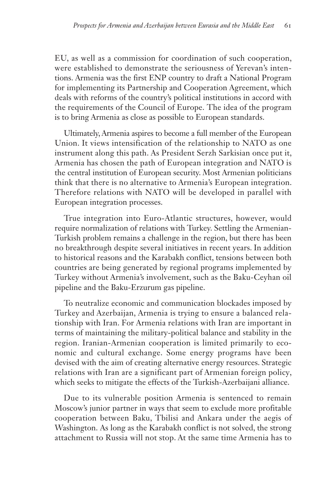EU, as well as a commission for coordination of such cooperation, were established to demonstrate the seriousness of Yerevan's intentions. Armenia was the first ENP country to draft a National Program for implementing its Partnership and Cooperation Agreement, which deals with reforms of the country's political institutions in accord with the requirements of the Council of Europe. The idea of the program is to bring Armenia as close as possible to European standards.

Ultimately, Armenia aspires to become a full member of the European Union. It views intensification of the relationship to NATO as one instrument along this path. As President Serzh Sarkisian once put it, Armenia has chosen the path of European integration and NATO is the central institution of European security. Most Armenian politicians think that there is no alternative to Armenia's European integration. Therefore relations with NATO will be developed in parallel with European integration processes.

True integration into Euro-Atlantic structures, however, would require normalization of relations with Turkey. Settling the Armenian-Turkish problem remains a challenge in the region, but there has been no breakthrough despite several initiatives in recent years. In addition to historical reasons and the Karabakh conflict, tensions between both countries are being generated by regional programs implemented by Turkey without Armenia's involvement, such as the Baku-Ceyhan oil pipeline and the Baku-Erzurum gas pipeline.

To neutralize economic and communication blockades imposed by Turkey and Azerbaijan, Armenia is trying to ensure a balanced relationship with Iran. For Armenia relations with Iran are important in terms of maintaining the military-political balance and stability in the region. Iranian-Armenian cooperation is limited primarily to economic and cultural exchange. Some energy programs have been devised with the aim of creating alternative energy resources. Strategic relations with Iran are a significant part of Armenian foreign policy, which seeks to mitigate the effects of the Turkish-Azerbaijani alliance.

Due to its vulnerable position Armenia is sentenced to remain Moscow's junior partner in ways that seem to exclude more profitable cooperation between Baku, Tbilisi and Ankara under the aegis of Washington. As long as the Karabakh conflict is not solved, the strong attachment to Russia will not stop. At the same time Armenia has to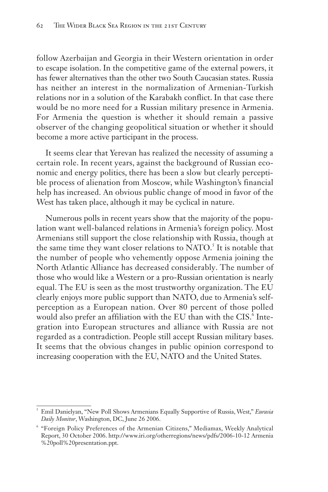follow Azerbaijan and Georgia in their Western orientation in order to escape isolation. In the competitive game of the external powers, it has fewer alternatives than the other two South Caucasian states. Russia has neither an interest in the normalization of Armenian-Turkish relations nor in a solution of the Karabakh conflict. In that case there would be no more need for a Russian military presence in Armenia. For Armenia the question is whether it should remain a passive observer of the changing geopolitical situation or whether it should become a more active participant in the process.

It seems clear that Yerevan has realized the necessity of assuming a certain role. In recent years, against the background of Russian economic and energy politics, there has been a slow but clearly perceptible process of alienation from Moscow, while Washington's financial help has increased. An obvious public change of mood in favor of the West has taken place, although it may be cyclical in nature.

Numerous polls in recent years show that the majority of the population want well-balanced relations in Armenia's foreign policy. Most Armenians still support the close relationship with Russia, though at the same time they want closer relations to NATO.<sup>5</sup> It is notable that the number of people who vehemently oppose Armenia joining the North Atlantic Alliance has decreased considerably. The number of those who would like a Western or a pro-Russian orientation is nearly equal. The EU is seen as the most trustworthy organization. The EU clearly enjoys more public support than NATO, due to Armenia's selfperception as a European nation. Over 80 percent of those polled would also prefer an affiliation with the EU than with the CIS.<sup>6</sup> Integration into European structures and alliance with Russia are not regarded as a contradiction. People still accept Russian military bases. It seems that the obvious changes in public opinion correspond to increasing cooperation with the EU, NATO and the United States.

<sup>5</sup> Emil Danielyan, "New Poll Shows Armenians Equally Supportive of Russia, West," *Eurasia Daily Monitor*, Washington, DC, June 26 2006.

<sup>6</sup> "Foreign Policy Preferences of the Armenian Citizens," Mediamax, Weekly Analytical Report, 30 October 2006. http://www.iri.org/otherregions/news/pdfs/2006-10-12 Armenia %20poll%20presentation.ppt.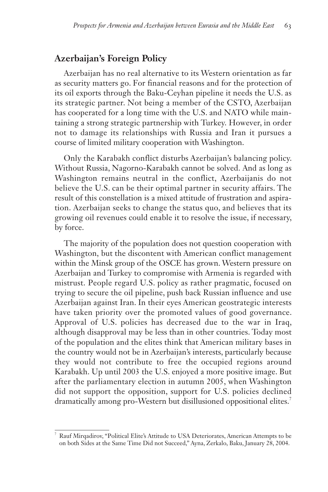# **Azerbaijan's Foreign Policy**

Azerbaijan has no real alternative to its Western orientation as far as security matters go. For financial reasons and for the protection of its oil exports through the Baku-Ceyhan pipeline it needs the U.S. as its strategic partner. Not being a member of the CSTO, Azerbaijan has cooperated for a long time with the U.S. and NATO while maintaining a strong strategic partnership with Turkey. However, in order not to damage its relationships with Russia and Iran it pursues a course of limited military cooperation with Washington.

Only the Karabakh conflict disturbs Azerbaijan's balancing policy. Without Russia, Nagorno-Karabakh cannot be solved. And as long as Washington remains neutral in the conflict, Azerbaijanis do not believe the U.S. can be their optimal partner in security affairs. The result of this constellation is a mixed attitude of frustration and aspiration. Azerbaijan seeks to change the status quo, and believes that its growing oil revenues could enable it to resolve the issue, if necessary, by force.

The majority of the population does not question cooperation with Washington, but the discontent with American conflict management within the Minsk group of the OSCE has grown. Western pressure on Azerbaijan and Turkey to compromise with Armenia is regarded with mistrust. People regard U.S. policy as rather pragmatic, focused on trying to secure the oil pipeline, push back Russian influence and use Azerbaijan against Iran. In their eyes American geostrategic interests have taken priority over the promoted values of good governance. Approval of U.S. policies has decreased due to the war in Iraq, although disapproval may be less than in other countries. Today most of the population and the elites think that American military bases in the country would not be in Azerbaijan's interests, particularly because they would not contribute to free the occupied regions around Karabakh. Up until 2003 the U.S. enjoyed a more positive image. But after the parliamentary election in autumn 2005, when Washington did not support the opposition, support for U.S. policies declined dramatically among pro-Western but disillusioned oppositional elites.<sup>7</sup>

<sup>7</sup> Rauf Mirqadirov, "Political Elite's Attitude to USA Deteriorates, American Attempts to be on both Sides at the Same Time Did not Succeed," Ayna, Zerkalo, Baku, January 28, 2004.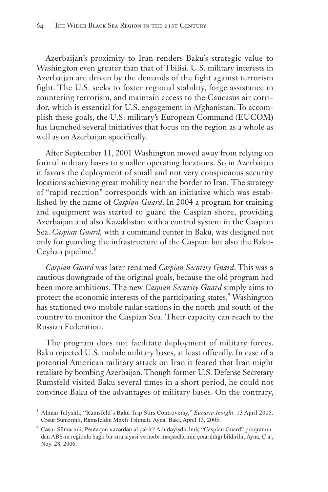Azerbaijan's proximity to Iran renders Baku's strategic value to Washington even greater than that of Tbilisi. U.S. military interests in Azerbaijan are driven by the demands of the fight against terrorism fight. The U.S. seeks to foster regional stability, forge assistance in countering terrorism, and maintain access to the Caucasus air corridor, which is essential for U.S. engagement in Afghanistan. To accomplish these goals, the U.S. military's European Command (EUCOM) has launched several initiatives that focus on the region as a whole as well as on Azerbaijan specifically.

After September 11, 2001 Washington moved away from relying on formal military bases to smaller operating locations. So in Azerbaijan it favors the deployment of small and not very conspicuous security locations achieving great mobility near the border to Iran. The strategy of "rapid reaction" corresponds with an initiative which was established by the name of *Caspian Guard*. In 2004 a program for training and equipment was started to guard the Caspian shore, providing Azerbaijan and also Kazakhstan with a control system in the Caspian Sea. *Caspian Guard,* with a command center in Baku, was designed not only for guarding the infrastructure of the Caspian but also the Baku-Ceyhan pipeline.<sup>8</sup>

*Caspian Guard* was later renamed *Caspian Security Guard*. This was a cautious downgrade of the original goals, because the old program had been more ambitious. The new *Caspian Security Guard* simply aims to protect the economic interests of the participating states.<sup>9</sup> Washington has stationed two mobile radar stations in the north and south of the country to monitor the Caspian Sea. Their capacity can reach to the Russian Federation.

The program does not facilitate deployment of military forces. Baku rejected U.S. mobile military bases, at least officially. In case of a potential American military attack on Iran it feared that Iran might retaliate by bombing Azerbaijan. Though former U.S. Defense Secretary Rumsfeld visited Baku several times in a short period, he could not convince Baku of the advantages of military bases. On the contrary,

<sup>8</sup> Alman Talyshli, "Rumsfeld's Baku Trip Stirs Controversy," *Eurasia Insight,* 13 April 2005. Cəsur Sümərinli, Ramsfeldin Məxfi Təlimatı, Ayna, Bakı, Aprel 13, 2005.

<sup>9</sup> Cəsur Sümərinli, Pentaqon xəzərdən əl çəkir? Adı dəyişdirilmiş "Caspian Guard" proqramından ABŞ-ın regionla bağlı bir sıra siyasi və hərbi məqsədlərinin çıxarıldığı bildirilir, Ayna, Ç.a., Noy. 28, 2006.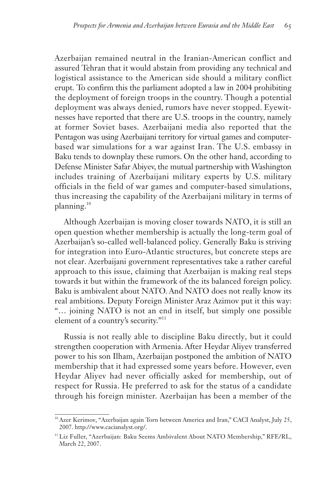Azerbaijan remained neutral in the Iranian-American conflict and assured Tehran that it would abstain from providing any technical and logistical assistance to the American side should a military conflict erupt. To confirm this the parliament adopted a law in 2004 prohibiting the deployment of foreign troops in the country. Though a potential deployment was always denied, rumors have never stopped. Eyewitnesses have reported that there are U.S. troops in the country, namely at former Soviet bases. Azerbaijani media also reported that the Pentagon was using Azerbaijani territory for virtual games and computerbased war simulations for a war against Iran. The U.S. embassy in Baku tends to downplay these rumors. On the other hand, according to Defense Minister Safar Abiyev, the mutual partnership with Washington includes training of Azerbaijani military experts by U.S. military officials in the field of war games and computer-based simulations, thus increasing the capability of the Azerbaijani military in terms of planning.<sup>10</sup>

Although Azerbaijan is moving closer towards NATO, it is still an open question whether membership is actually the long-term goal of Azerbaijan's so-called well-balanced policy. Generally Baku is striving for integration into Euro-Atlantic structures, but concrete steps are not clear. Azerbaijani government representatives take a rather careful approach to this issue, claiming that Azerbaijan is making real steps towards it but within the framework of the its balanced foreign policy. Baku is ambivalent about NATO. And NATO does not really know its real ambitions. Deputy Foreign Minister Araz Azimov put it this way: "… joining NATO is not an end in itself, but simply one possible element of a country's security."<sup>11</sup>

Russia is not really able to discipline Baku directly, but it could strengthen cooperation with Armenia. After Heydar Aliyev transferred power to his son Ilham, Azerbaijan postponed the ambition of NATO membership that it had expressed some years before. However, even Heydar Aliyev had never officially asked for membership, out of respect for Russia. He preferred to ask for the status of a candidate through his foreign minister. Azerbaijan has been a member of the

<sup>&</sup>lt;sup>10</sup> Azer Kerimov, "Azerbaijan again Torn between America and Iran," CACI Analyst, July 25, 2007. http://www.cacianalyst.org/.

<sup>&</sup>lt;sup>11</sup> Liz Fuller, "Azerbaijan: Baku Seems Ambivalent About NATO Membership," RFE/RL, March 22, 2007.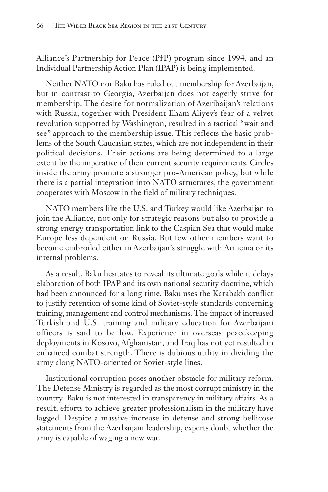Alliance's Partnership for Peace (PfP) program since 1994, and an Individual Partnership Action Plan (IPAP) is being implemented.

Neither NATO nor Baku has ruled out membership for Azerbaijan, but in contrast to Georgia, Azerbaijan does not eagerly strive for membership. The desire for normalization of Azeribaijan's relations with Russia, together with President Ilham Aliyev's fear of a velvet revolution supported by Washington, resulted in a tactical "wait and see" approach to the membership issue. This reflects the basic problems of the South Caucasian states, which are not independent in their political decisions. Their actions are being determined to a large extent by the imperative of their current security requirements. Circles inside the army promote a stronger pro-American policy, but while there is a partial integration into NATO structures, the government cooperates with Moscow in the field of military techniques.

NATO members like the U.S. and Turkey would like Azerbaijan to join the Alliance, not only for strategic reasons but also to provide a strong energy transportation link to the Caspian Sea that would make Europe less dependent on Russia. But few other members want to become embroiled either in Azerbaijan's struggle with Armenia or its internal problems.

As a result, Baku hesitates to reveal its ultimate goals while it delays elaboration of both IPAP and its own national security doctrine, which had been announced for a long time. Baku uses the Karabakh conflict to justify retention of some kind of Soviet-style standards concerning training, management and control mechanisms. The impact of increased Turkish and U.S. training and military education for Azerbaijani officers is said to be low. Experience in overseas peacekeeping deployments in Kosovo, Afghanistan, and Iraq has not yet resulted in enhanced combat strength. There is dubious utility in dividing the army along NATO-oriented or Soviet-style lines.

Institutional corruption poses another obstacle for military reform. The Defense Ministry is regarded as the most corrupt ministry in the country. Baku is not interested in transparency in military affairs. As a result, efforts to achieve greater professionalism in the military have lagged. Despite a massive increase in defense and strong bellicose statements from the Azerbaijani leadership, experts doubt whether the army is capable of waging a new war.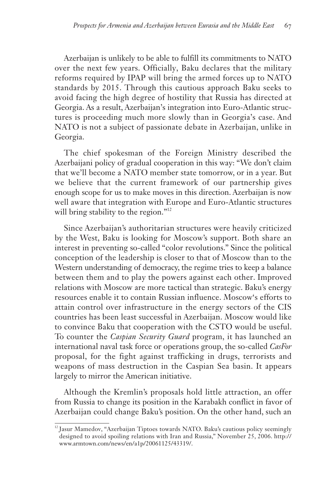Azerbaijan is unlikely to be able to fulfill its commitments to NATO over the next few years. Officially, Baku declares that the military reforms required by IPAP will bring the armed forces up to NATO standards by 2015. Through this cautious approach Baku seeks to avoid facing the high degree of hostility that Russia has directed at Georgia. As a result, Azerbaijan's integration into Euro-Atlantic structures is proceeding much more slowly than in Georgia's case. And NATO is not a subject of passionate debate in Azerbaijan, unlike in Georgia.

The chief spokesman of the Foreign Ministry described the Azerbaijani policy of gradual cooperation in this way: "We don't claim that we'll become a NATO member state tomorrow, or in a year. But we believe that the current framework of our partnership gives enough scope for us to make moves in this direction. Azerbaijan is now well aware that integration with Europe and Euro-Atlantic structures will bring stability to the region."<sup>12</sup>

Since Azerbaijan's authoritarian structures were heavily criticized by the West, Baku is looking for Moscow's support. Both share an interest in preventing so-called "color revolutions." Since the political conception of the leadership is closer to that of Moscow than to the Western understanding of democracy, the regime tries to keep a balance between them and to play the powers against each other. Improved relations with Moscow are more tactical than strategic. Baku's energy resources enable it to contain Russian influence. Moscow's efforts to attain control over infrastructure in the energy sectors of the CIS countries has been least successful in Azerbaijan. Moscow would like to convince Baku that cooperation with the CSTO would be useful. To counter the *Caspian Security Guard* program, it has launched an international naval task force or operations group, the so-called *CasFor* proposal, for the fight against trafficking in drugs, terrorists and weapons of mass destruction in the Caspian Sea basin. It appears largely to mirror the American initiative.

Although the Kremlin's proposals hold little attraction, an offer from Russia to change its position in the Karabakh conflict in favor of Azerbaijan could change Baku's position. On the other hand, such an

<sup>&</sup>lt;sup>12</sup> Jasur Mamedov, "Azerbaijan Tiptoes towards NATO. Baku's cautious policy seemingly designed to avoid spoiling relations with Iran and Russia," November 25, 2006. http:// www.armtown.com/news/en/a1p/20061125/43319/.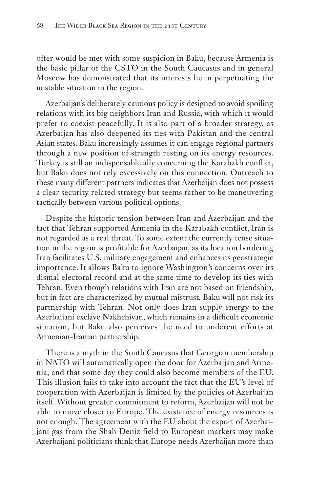offer would be met with some suspicion in Baku, because Armenia is the basic pillar of the CSTO in the South Caucasus and in general Moscow has demonstrated that its interests lie in perpetuating the unstable situation in the region.

Azerbaijan's deliberately cautious policy is designed to avoid spoiling relations with its big neighbors Iran and Russia, with which it would prefer to coexist peacefully. It is also part of a broader strategy, as Azerbaijan has also deepened its ties with Pakistan and the central Asian states. Baku increasingly assumes it can engage regional partners through a new position of strength resting on its energy resources. Turkey is still an indispensable ally concerning the Karabakh conflict, but Baku does not rely excessively on this connection. Outreach to these many different partners indicates that Azerbaijan does not possess a clear security related strategy but seems rather to be maneuvering tactically between various political options.

Despite the historic tension between Iran and Azerbaijan and the fact that Tehran supported Armenia in the Karabakh conflict, Iran is not regarded as a real threat. To some extent the currently tense situation in the region is profitable for Azerbaijan, as its location bordering Iran facilitates U.S. military engagement and enhances its geostrategic importance. It allows Baku to ignore Washington's concerns over its dismal electoral record and at the same time to develop its ties with Tehran. Even though relations with Iran are not based on friendship, but in fact are characterized by mutual mistrust, Baku will not risk its partnership with Tehran. Not only does Iran supply energy to the Azerbaijani exclave Nakhchivan, which remains in a difficult economic situation, but Baku also perceives the need to undercut efforts at Armenian-Iranian partnership.

There is a myth in the South Caucasus that Georgian membership in NATO will automatically open the door for Azerbaijan and Armenia, and that some day they could also become members of the EU. This illusion fails to take into account the fact that the EU's level of cooperation with Azerbaijan is limited by the policies of Azerbaijan itself. Without greater commitment to reform, Azerbaijan will not be able to move closer to Europe. The existence of energy resources is not enough. The agreement with the EU about the export of Azerbaijani gas from the Shah Deniz field to European markets may make Azerbaijani politicians think that Europe needs Azerbaijan more than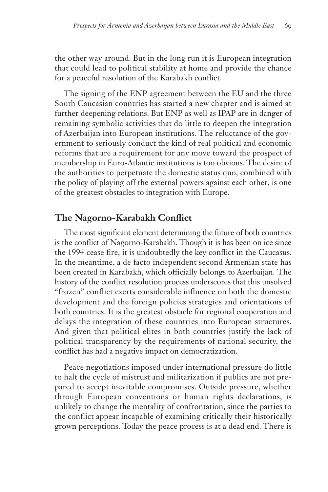the other way around. But in the long run it is European integration that could lead to political stability at home and provide the chance for a peaceful resolution of the Karabakh conflict.

The signing of the ENP agreement between the EU and the three South Caucasian countries has started a new chapter and is aimed at further deepening relations. But ENP as well as IPAP are in danger of remaining symbolic activities that do little to deepen the integration of Azerbaijan into European institutions. The reluctance of the government to seriously conduct the kind of real political and economic reforms that are a requirement for any move toward the prospect of membership in Euro-Atlantic institutions is too obvious. The desire of the authorities to perpetuate the domestic status quo, combined with the policy of playing off the external powers against each other, is one of the greatest obstacles to integration with Europe.

# **The Nagorno-Karabakh Conflict**

The most significant element determining the future of both countries is the conflict of Nagorno-Karabakh. Though it is has been on ice since the 1994 cease fire, it is undoubtedly the key conflict in the Caucasus. In the meantime, a de facto independent second Armenian state has been created in Karabakh, which officially belongs to Azerbaijan. The history of the conflict resolution process underscores that this unsolved "frozen" conflict exerts considerable influence on both the domestic development and the foreign policies strategies and orientations of both countries. It is the greatest obstacle for regional cooperation and delays the integration of these countries into European structures. And given that political elites in both countries justify the lack of political transparency by the requirements of national security, the conflict has had a negative impact on democratization.

Peace negotiations imposed under international pressure do little to halt the cycle of mistrust and militarization if publics are not prepared to accept inevitable compromises. Outside pressure, whether through European conventions or human rights declarations, is unlikely to change the mentality of confrontation, since the parties to the conflict appear incapable of examining critically their historically grown perceptions. Today the peace process is at a dead end. There is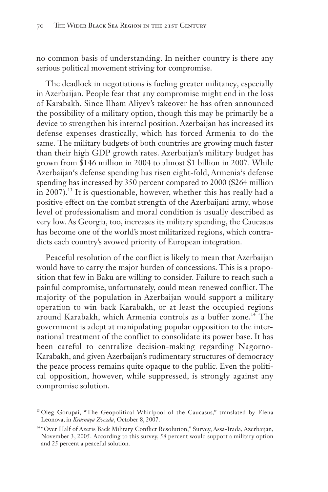no common basis of understanding. In neither country is there any serious political movement striving for compromise.

The deadlock in negotiations is fueling greater militancy, especially in Azerbaijan. People fear that any compromise might end in the loss of Karabakh. Since Ilham Aliyev's takeover he has often announced the possibility of a military option, though this may be primarily be a device to strengthen his internal position. Azerbaijan has increased its defense expenses drastically, which has forced Armenia to do the same. The military budgets of both countries are growing much faster than their high GDP growth rates. Azerbaijan's military budget has grown from \$146 million in 2004 to almost \$1 billion in 2007. While Azerbaijan's defense spending has risen eight-fold, Armenia's defense spending has increased by 350 percent compared to 2000 (\$264 million in 2007).<sup>13</sup> It is questionable, however, whether this has really had a positive effect on the combat strength of the Azerbaijani army, whose level of professionalism and moral condition is usually described as very low. As Georgia, too, increases its military spending, the Caucasus has become one of the world's most militarized regions, which contradicts each country's avowed priority of European integration.

Peaceful resolution of the conflict is likely to mean that Azerbaijan would have to carry the major burden of concessions. This is a proposition that few in Baku are willing to consider. Failure to reach such a painful compromise, unfortunately, could mean renewed conflict. The majority of the population in Azerbaijan would support a military operation to win back Karabakh, or at least the occupied regions around Karabakh, which Armenia controls as a buffer zone.<sup>14</sup> The government is adept at manipulating popular opposition to the international treatment of the conflict to consolidate its power base. It has been careful to centralize decision-making regarding Nagorno-Karabakh, and given Azerbaijan's rudimentary structures of democracy the peace process remains quite opaque to the public. Even the political opposition, however, while suppressed, is strongly against any compromise solution.

<sup>&</sup>lt;sup>13</sup> Oleg Gorupai, "The Geopolitical Whirlpool of the Caucasus," translated by Elena Leonova, in *Krasnaya Zvezda*, October 8, 2007.

<sup>14</sup> "Over Half of Azeris Back Military Conflict Resolution," Survey, Assa-Irada, Azerbaijan, November 3, 2005. According to this survey, 58 percent would support a military option and 25 percent a peaceful solution.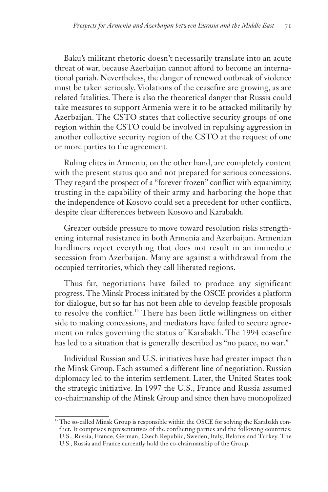Baku's militant rhetoric doesn't necessarily translate into an acute threat of war, because Azerbaijan cannot afford to become an international pariah. Nevertheless, the danger of renewed outbreak of violence must be taken seriously. Violations of the ceasefire are growing, as are related fatalities. There is also the theoretical danger that Russia could take measures to support Armenia were it to be attacked militarily by Azerbaijan. The CSTO states that collective security groups of one region within the CSTO could be involved in repulsing aggression in another collective security region of the CSTO at the request of one or more parties to the agreement.

Ruling elites in Armenia, on the other hand, are completely content with the present status quo and not prepared for serious concessions. They regard the prospect of a "forever frozen" conflict with equanimity, trusting in the capability of their army and harboring the hope that the independence of Kosovo could set a precedent for other conflicts, despite clear differences between Kosovo and Karabakh.

Greater outside pressure to move toward resolution risks strengthening internal resistance in both Armenia and Azerbaijan. Armenian hardliners reject everything that does not result in an immediate secession from Azerbaijan. Many are against a withdrawal from the occupied territories, which they call liberated regions.

Thus far, negotiations have failed to produce any significant progress. The Minsk Process initiated by the OSCE provides a platform for dialogue, but so far has not been able to develop feasible proposals to resolve the conflict.<sup>15</sup> There has been little willingness on either side to making concessions, and mediators have failed to secure agreement on rules governing the status of Karabakh. The 1994 ceasefire has led to a situation that is generally described as "no peace, no war."

Individual Russian and U.S. initiatives have had greater impact than the Minsk Group. Each assumed a different line of negotiation. Russian diplomacy led to the interim settlement. Later, the United States took the strategic initiative. In 1997 the U.S., France and Russia assumed co-chairmanship of the Minsk Group and since then have monopolized

<sup>&</sup>lt;sup>15</sup> The so-called Minsk Group is responsible within the OSCE for solving the Karabakh conflict. It comprises representatives of the conflicting parties and the following countries: U.S., Russia, France, German, Czech Republic, Sweden, Italy, Belarus and Turkey. The U.S., Russia and France currently hold the co-chairmanship of the Group.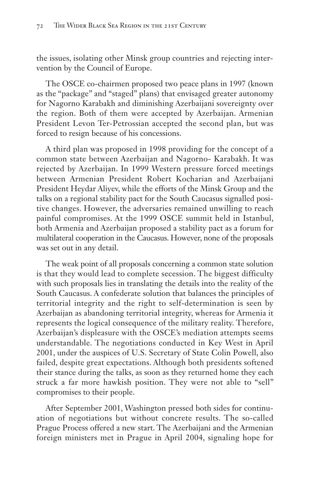the issues, isolating other Minsk group countries and rejecting intervention by the Council of Europe.

The OSCE co-chairmen proposed two peace plans in 1997 (known as the "package" and "staged" plans) that envisaged greater autonomy for Nagorno Karabakh and diminishing Azerbaijani sovereignty over the region. Both of them were accepted by Azerbaijan. Armenian President Levon Ter-Petrossian accepted the second plan, but was forced to resign because of his concessions.

A third plan was proposed in 1998 providing for the concept of a common state between Azerbaijan and Nagorno- Karabakh. It was rejected by Azerbaijan. In 1999 Western pressure forced meetings between Armenian President Robert Kocharian and Azerbaijani President Heydar Aliyev, while the efforts of the Minsk Group and the talks on a regional stability pact for the South Caucasus signalled positive changes. However, the adversaries remained unwilling to reach painful compromises. At the 1999 OSCE summit held in Istanbul, both Armenia and Azerbaijan proposed a stability pact as a forum for multilateral cooperation in the Caucasus. However, none of the proposals was set out in any detail.

The weak point of all proposals concerning a common state solution is that they would lead to complete secession. The biggest difficulty with such proposals lies in translating the details into the reality of the South Caucasus. A confederate solution that balances the principles of territorial integrity and the right to self-determination is seen by Azerbaijan as abandoning territorial integrity, whereas for Armenia it represents the logical consequence of the military reality. Therefore, Azerbaijan's displeasure with the OSCE's mediation attempts seems understandable. The negotiations conducted in Key West in April 2001, under the auspices of U.S. Secretary of State Colin Powell, also failed, despite great expectations. Although both presidents softened their stance during the talks, as soon as they returned home they each struck a far more hawkish position. They were not able to "sell" compromises to their people.

After September 2001, Washington pressed both sides for continuation of negotiations but without concrete results. The so-called Prague Process offered a new start. The Azerbaijani and the Armenian foreign ministers met in Prague in April 2004, signaling hope for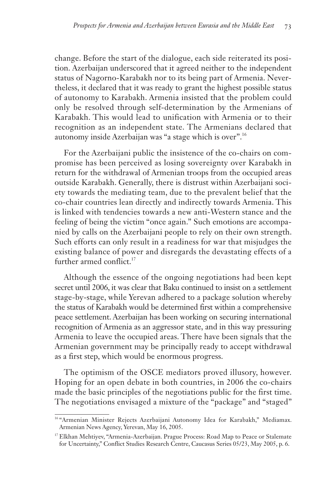change. Before the start of the dialogue, each side reiterated its position. Azerbaijan underscored that it agreed neither to the independent status of Nagorno-Karabakh nor to its being part of Armenia. Nevertheless, it declared that it was ready to grant the highest possible status of autonomy to Karabakh. Armenia insisted that the problem could only be resolved through self-determination by the Armenians of Karabakh. This would lead to unification with Armenia or to their recognition as an independent state. The Armenians declared that autonomy inside Azerbaijan was "a stage which is over".16

For the Azerbaijani public the insistence of the co-chairs on compromise has been perceived as losing sovereignty over Karabakh in return for the withdrawal of Armenian troops from the occupied areas outside Karabakh. Generally, there is distrust within Azerbaijani society towards the mediating team, due to the prevalent belief that the co-chair countries lean directly and indirectly towards Armenia. This is linked with tendencies towards a new anti-Western stance and the feeling of being the victim "once again." Such emotions are accompanied by calls on the Azerbaijani people to rely on their own strength. Such efforts can only result in a readiness for war that misjudges the existing balance of power and disregards the devastating effects of a further armed conflict.<sup>17</sup>

Although the essence of the ongoing negotiations had been kept secret until 2006, it was clear that Baku continued to insist on a settlement stage-by-stage, while Yerevan adhered to a package solution whereby the status of Karabakh would be determined first within a comprehensive peace settlement. Azerbaijan has been working on securing international recognition of Armenia as an aggressor state, and in this way pressuring Armenia to leave the occupied areas. There have been signals that the Armenian government may be principally ready to accept withdrawal as a first step, which would be enormous progress.

The optimism of the OSCE mediators proved illusory, however. Hoping for an open debate in both countries, in 2006 the co-chairs made the basic principles of the negotiations public for the first time. The negotiations envisaged a mixture of the "package" and "staged"

<sup>&</sup>lt;sup>16</sup> "Armenian Minister Rejects Azerbaijani Autonomy Idea for Karabakh," Mediamax. Armenian News Agency, Yerevan, May 16, 2005.

<sup>&</sup>lt;sup>17</sup> Elkhan Mehtiyev, "Armenia-Azerbaijan. Prague Process: Road Map to Peace or Stalemate for Uncertainty," Conflict Studies Research Centre, Caucasus Series 05/23, May 2005, p. 6.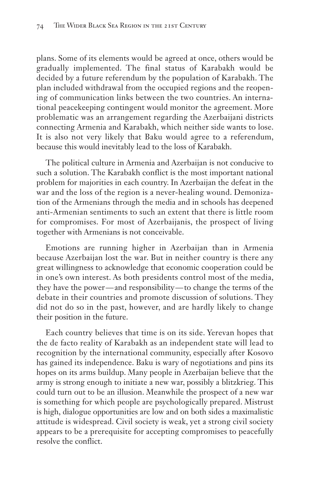plans. Some of its elements would be agreed at once, others would be gradually implemented. The final status of Karabakh would be decided by a future referendum by the population of Karabakh. The plan included withdrawal from the occupied regions and the reopening of communication links between the two countries. An international peacekeeping contingent would monitor the agreement. More problematic was an arrangement regarding the Azerbaijani districts connecting Armenia and Karabakh, which neither side wants to lose. It is also not very likely that Baku would agree to a referendum, because this would inevitably lead to the loss of Karabakh.

The political culture in Armenia and Azerbaijan is not conducive to such a solution. The Karabakh conflict is the most important national problem for majorities in each country. In Azerbaijan the defeat in the war and the loss of the region is a never-healing wound. Demonization of the Armenians through the media and in schools has deepened anti-Armenian sentiments to such an extent that there is little room for compromises. For most of Azerbaijanis, the prospect of living together with Armenians is not conceivable.

Emotions are running higher in Azerbaijan than in Armenia because Azerbaijan lost the war. But in neither country is there any great willingness to acknowledge that economic cooperation could be in one's own interest. As both presidents control most of the media, they have the power — and responsibility — to change the terms of the debate in their countries and promote discussion of solutions. They did not do so in the past, however, and are hardly likely to change their position in the future.

Each country believes that time is on its side. Yerevan hopes that the de facto reality of Karabakh as an independent state will lead to recognition by the international community, especially after Kosovo has gained its independence. Baku is wary of negotiations and pins its hopes on its arms buildup. Many people in Azerbaijan believe that the army is strong enough to initiate a new war, possibly a blitzkrieg. This could turn out to be an illusion. Meanwhile the prospect of a new war is something for which people are psychologically prepared. Mistrust is high, dialogue opportunities are low and on both sides a maximalistic attitude is widespread. Civil society is weak, yet a strong civil society appears to be a prerequisite for accepting compromises to peacefully resolve the conflict.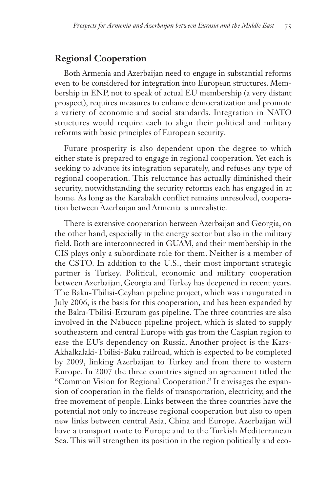## **Regional Cooperation**

Both Armenia and Azerbaijan need to engage in substantial reforms even to be considered for integration into European structures. Membership in ENP, not to speak of actual EU membership (a very distant prospect), requires measures to enhance democratization and promote a variety of economic and social standards. Integration in NATO structures would require each to align their political and military reforms with basic principles of European security.

Future prosperity is also dependent upon the degree to which either state is prepared to engage in regional cooperation. Yet each is seeking to advance its integration separately, and refuses any type of regional cooperation. This reluctance has actually diminished their security, notwithstanding the security reforms each has engaged in at home. As long as the Karabakh conflict remains unresolved, cooperation between Azerbaijan and Armenia is unrealistic.

There is extensive cooperation between Azerbaijan and Georgia, on the other hand, especially in the energy sector but also in the military field. Both are interconnected in GUAM, and their membership in the CIS plays only a subordinate role for them. Neither is a member of the CSTO. In addition to the U.S., their most important strategic partner is Turkey. Political, economic and military cooperation between Azerbaijan, Georgia and Turkey has deepened in recent years. The Baku-Tbilisi-Ceyhan pipeline project, which was inaugurated in July 2006, is the basis for this cooperation, and has been expanded by the Baku-Tbilisi-Erzurum gas pipeline. The three countries are also involved in the Nabucco pipeline project, which is slated to supply southeastern and central Europe with gas from the Caspian region to ease the EU's dependency on Russia. Another project is the Kars-Akhalkalaki-Tbilisi-Baku railroad, which is expected to be completed by 2009, linking Azerbaijan to Turkey and from there to western Europe. In 2007 the three countries signed an agreement titled the "Common Vision for Regional Cooperation." It envisages the expansion of cooperation in the fields of transportation, electricity, and the free movement of people. Links between the three countries have the potential not only to increase regional cooperation but also to open new links between central Asia, China and Europe. Azerbaijan will have a transport route to Europe and to the Turkish Mediterranean Sea. This will strengthen its position in the region politically and eco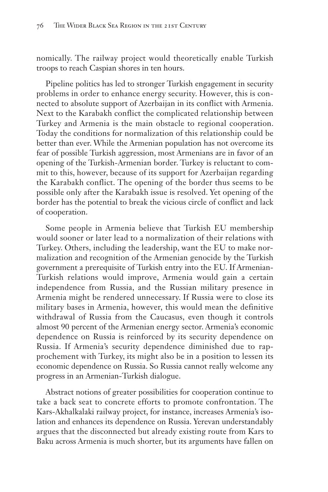nomically. The railway project would theoretically enable Turkish troops to reach Caspian shores in ten hours.

Pipeline politics has led to stronger Turkish engagement in security problems in order to enhance energy security. However, this is connected to absolute support of Azerbaijan in its conflict with Armenia. Next to the Karabakh conflict the complicated relationship between Turkey and Armenia is the main obstacle to regional cooperation. Today the conditions for normalization of this relationship could be better than ever. While the Armenian population has not overcome its fear of possible Turkish aggression, most Armenians are in favor of an opening of the Turkish-Armenian border. Turkey is reluctant to commit to this, however, because of its support for Azerbaijan regarding the Karabakh conflict. The opening of the border thus seems to be possible only after the Karabakh issue is resolved. Yet opening of the border has the potential to break the vicious circle of conflict and lack of cooperation.

Some people in Armenia believe that Turkish EU membership would sooner or later lead to a normalization of their relations with Turkey. Others, including the leadership, want the EU to make normalization and recognition of the Armenian genocide by the Turkish government a prerequisite of Turkish entry into the EU. If Armenian-Turkish relations would improve, Armenia would gain a certain independence from Russia, and the Russian military presence in Armenia might be rendered unnecessary. If Russia were to close its military bases in Armenia, however, this would mean the definitive withdrawal of Russia from the Caucasus, even though it controls almost 90 percent of the Armenian energy sector. Armenia's economic dependence on Russia is reinforced by its security dependence on Russia. If Armenia's security dependence diminished due to rapprochement with Turkey, its might also be in a position to lessen its economic dependence on Russia. So Russia cannot really welcome any progress in an Armenian-Turkish dialogue.

Abstract notions of greater possibilities for cooperation continue to take a back seat to concrete efforts to promote confrontation. The Kars-Akhalkalaki railway project, for instance, increases Armenia's isolation and enhances its dependence on Russia. Yerevan understandably argues that the disconnected but already existing route from Kars to Baku across Armenia is much shorter, but its arguments have fallen on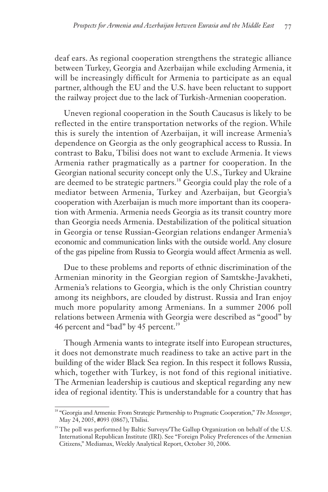deaf ears. As regional cooperation strengthens the strategic alliance between Turkey, Georgia and Azerbaijan while excluding Armenia, it will be increasingly difficult for Armenia to participate as an equal partner, although the EU and the U.S. have been reluctant to support the railway project due to the lack of Turkish-Armenian cooperation.

Uneven regional cooperation in the South Caucasus is likely to be reflected in the entire transportation networks of the region. While this is surely the intention of Azerbaijan, it will increase Armenia's dependence on Georgia as the only geographical access to Russia. In contrast to Baku, Tbilisi does not want to exclude Armenia. It views Armenia rather pragmatically as a partner for cooperation. In the Georgian national security concept only the U.S., Turkey and Ukraine are deemed to be strategic partners.<sup>18</sup> Georgia could play the role of a mediator between Armenia, Turkey and Azerbaijan, but Georgia's cooperation with Azerbaijan is much more important than its cooperation with Armenia. Armenia needs Georgia as its transit country more than Georgia needs Armenia. Destabilization of the political situation in Georgia or tense Russian-Georgian relations endanger Armenia's economic and communication links with the outside world. Any closure of the gas pipeline from Russia to Georgia would affect Armenia as well.

Due to these problems and reports of ethnic discrimination of the Armenian minority in the Georgian region of Samtskhe-Javakheti, Armenia's relations to Georgia, which is the only Christian country among its neighbors, are clouded by distrust. Russia and Iran enjoy much more popularity among Armenians. In a summer 2006 poll relations between Armenia with Georgia were described as "good" by 46 percent and "bad" by 45 percent.<sup>19</sup>

Though Armenia wants to integrate itself into European structures, it does not demonstrate much readiness to take an active part in the building of the wider Black Sea region. In this respect it follows Russia, which, together with Turkey, is not fond of this regional initiative. The Armenian leadership is cautious and skeptical regarding any new idea of regional identity. This is understandable for a country that has

<sup>&</sup>lt;sup>18</sup> "Georgia and Armenia: From Strategic Partnership to Pragmatic Cooperation," The Messenger, May 24, 2005, #093 (0867), Tbilisi.

 $19$ <sup>19</sup> The poll was performed by Baltic Surveys/The Gallup Organization on behalf of the U.S. International Republican Institute (IRI). See "Foreign Policy Preferences of the Armenian Citizens," Mediamax, Weekly Analytical Report, October 30, 2006.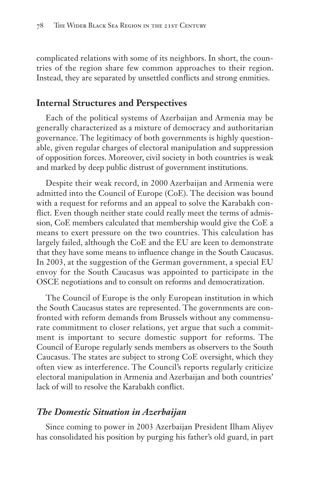complicated relations with some of its neighbors. In short, the countries of the region share few common approaches to their region. Instead, they are separated by unsettled conflicts and strong enmities.

# **Internal Structures and Perspectives**

Each of the political systems of Azerbaijan and Armenia may be generally characterized as a mixture of democracy and authoritarian governance. The legitimacy of both governments is highly questionable, given regular charges of electoral manipulation and suppression of opposition forces. Moreover, civil society in both countries is weak and marked by deep public distrust of government institutions.

Despite their weak record, in 2000 Azerbaijan and Armenia were admitted into the Council of Europe (CoE). The decision was bound with a request for reforms and an appeal to solve the Karabakh conflict. Even though neither state could really meet the terms of admission, CoE members calculated that membership would give the CoE a means to exert pressure on the two countries. This calculation has largely failed, although the CoE and the EU are keen to demonstrate that they have some means to influence change in the South Caucasus. In 2003, at the suggestion of the German government, a special EU envoy for the South Caucasus was appointed to participate in the OSCE negotiations and to consult on reforms and democratization.

The Council of Europe is the only European institution in which the South Caucasus states are represented. The governments are confronted with reform demands from Brussels without any commensurate commitment to closer relations, yet argue that such a commitment is important to secure domestic support for reforms. The Council of Europe regularly sends members as observers to the South Caucasus. The states are subject to strong CoE oversight, which they often view as interference. The Council's reports regularly criticize electoral manipulation in Armenia and Azerbaijan and both countries' lack of will to resolve the Karabakh conflict.

## *The Domestic Situation in Azerbaijan*

Since coming to power in 2003 Azerbaijan President Ilham Aliyev has consolidated his position by purging his father's old guard, in part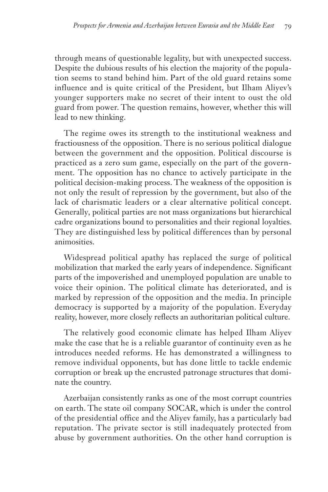through means of questionable legality, but with unexpected success. Despite the dubious results of his election the majority of the population seems to stand behind him. Part of the old guard retains some influence and is quite critical of the President, but Ilham Aliyev's younger supporters make no secret of their intent to oust the old guard from power. The question remains, however, whether this will lead to new thinking.

The regime owes its strength to the institutional weakness and fractiousness of the opposition. There is no serious political dialogue between the government and the opposition. Political discourse is practiced as a zero sum game, especially on the part of the government. The opposition has no chance to actively participate in the political decision-making process. The weakness of the opposition is not only the result of repression by the government, but also of the lack of charismatic leaders or a clear alternative political concept. Generally, political parties are not mass organizations but hierarchical cadre organizations bound to personalities and their regional loyalties. They are distinguished less by political differences than by personal animosities.

Widespread political apathy has replaced the surge of political mobilization that marked the early years of independence. Significant parts of the impoverished and unemployed population are unable to voice their opinion. The political climate has deteriorated, and is marked by repression of the opposition and the media. In principle democracy is supported by a majority of the population. Everyday reality, however, more closely reflects an authoritarian political culture.

The relatively good economic climate has helped Ilham Aliyev make the case that he is a reliable guarantor of continuity even as he introduces needed reforms. He has demonstrated a willingness to remove individual opponents, but has done little to tackle endemic corruption or break up the encrusted patronage structures that dominate the country.

Azerbaijan consistently ranks as one of the most corrupt countries on earth. The state oil company SOCAR, which is under the control of the presidential office and the Aliyev family, has a particularly bad reputation. The private sector is still inadequately protected from abuse by government authorities. On the other hand corruption is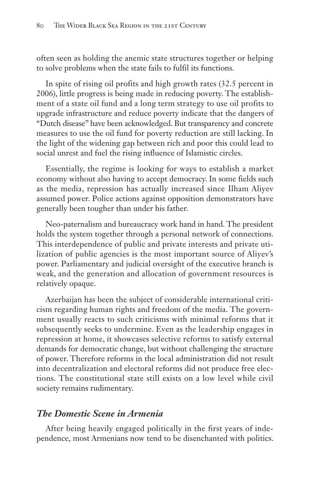often seen as holding the anemic state structures together or helping to solve problems when the state fails to fulfil its functions.

In spite of rising oil profits and high growth rates (32.5 percent in 2006), little progress is being made in reducing poverty. The establishment of a state oil fund and a long term strategy to use oil profits to upgrade infrastructure and reduce poverty indicate that the dangers of "Dutch disease" have been acknowledged. But transparency and concrete measures to use the oil fund for poverty reduction are still lacking. In the light of the widening gap between rich and poor this could lead to social unrest and fuel the rising influence of Islamistic circles.

Essentially, the regime is looking for ways to establish a market economy without also having to accept democracy. In some fields such as the media, repression has actually increased since Ilham Aliyev assumed power. Police actions against opposition demonstrators have generally been tougher than under his father.

Neo-paternalism and bureaucracy work hand in hand. The president holds the system together through a personal network of connections. This interdependence of public and private interests and private utilization of public agencies is the most important source of Aliyev's power. Parliamentary and judicial oversight of the executive branch is weak, and the generation and allocation of government resources is relatively opaque.

Azerbaijan has been the subject of considerable international criticism regarding human rights and freedom of the media. The government usually reacts to such criticisms with minimal reforms that it subsequently seeks to undermine. Even as the leadership engages in repression at home, it showcases selective reforms to satisfy external demands for democratic change, but without challenging the structure of power. Therefore reforms in the local administration did not result into decentralization and electoral reforms did not produce free elections. The constitutional state still exists on a low level while civil society remains rudimentary.

# *The Domestic Scene in Armenia*

After being heavily engaged politically in the first years of independence, most Armenians now tend to be disenchanted with politics.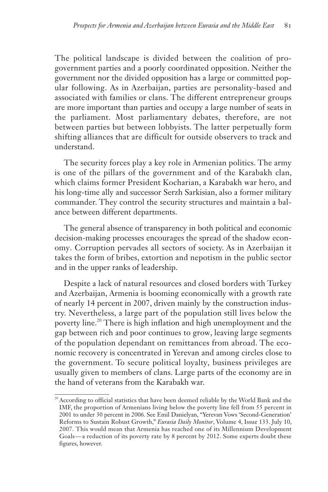The political landscape is divided between the coalition of progovernment parties and a poorly coordinated opposition. Neither the government nor the divided opposition has a large or committed popular following. As in Azerbaijan, parties are personality-based and associated with families or clans. The different entrepreneur groups are more important than parties and occupy a large number of seats in the parliament. Most parliamentary debates, therefore, are not between parties but between lobbyists. The latter perpetually form shifting alliances that are difficult for outside observers to track and understand.

The security forces play a key role in Armenian politics. The army is one of the pillars of the government and of the Karabakh clan, which claims former President Kocharian, a Karabakh war hero, and his long-time ally and successor Serzh Sarkisian, also a former military commander. They control the security structures and maintain a balance between different departments.

The general absence of transparency in both political and economic decision-making processes encourages the spread of the shadow economy. Corruption pervades all sectors of society. As in Azerbaijan it takes the form of bribes, extortion and nepotism in the public sector and in the upper ranks of leadership.

Despite a lack of natural resources and closed borders with Turkey and Azerbaijan, Armenia is booming economically with a growth rate of nearly 14 percent in 2007, driven mainly by the construction industry. Nevertheless, a large part of the population still lives below the poverty line.<sup>20</sup> There is high inflation and high unemployment and the gap between rich and poor continues to grow, leaving large segments of the population dependant on remittances from abroad. The economic recovery is concentrated in Yerevan and among circles close to the government. To secure political loyalty, business privileges are usually given to members of clans. Large parts of the economy are in the hand of veterans from the Karabakh war.

<sup>&</sup>lt;sup>20</sup> According to official statistics that have been deemed reliable by the World Bank and the IMF, the proportion of Armenians living below the poverty line fell from 55 percent in 2001 to under 30 percent in 2006. See Emil Danielyan, "Yerevan Vows 'Second-Generation' Reforms to Sustain Robust Growth," *Eurasia Daily Monitor*, Volume 4, Issue 133. July 10, 2007. This would mean that Armenia has reached one of its Millennium Development Goals — a reduction of its poverty rate by 8 percent by 2012. Some experts doubt these figures, however.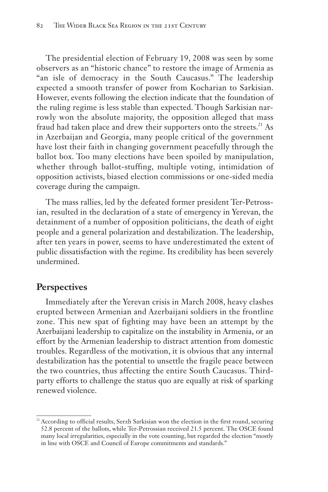The presidential election of February 19, 2008 was seen by some observers as an "historic chance" to restore the image of Armenia as "an isle of democracy in the South Caucasus." The leadership expected a smooth transfer of power from Kocharian to Sarkisian. However, events following the election indicate that the foundation of the ruling regime is less stable than expected. Though Sarkisian narrowly won the absolute majority, the opposition alleged that mass fraud had taken place and drew their supporters onto the streets.<sup>21</sup> As in Azerbaijan and Georgia, many people critical of the government have lost their faith in changing government peacefully through the ballot box. Too many elections have been spoiled by manipulation, whether through ballot-stuffing, multiple voting, intimidation of opposition activists, biased election commissions or one-sided media coverage during the campaign.

The mass rallies, led by the defeated former president Ter-Petrossian, resulted in the declaration of a state of emergency in Yerevan, the detainment of a number of opposition politicians, the death of eight people and a general polarization and destabilization. The leadership, after ten years in power, seems to have underestimated the extent of public dissatisfaction with the regime. Its credibility has been severely undermined.

#### **Perspectives**

Immediately after the Yerevan crisis in March 2008, heavy clashes erupted between Armenian and Azerbaijani soldiers in the frontline zone. This new spat of fighting may have been an attempt by the Azerbaijani leadership to capitalize on the instability in Armenia, or an effort by the Armenian leadership to distract attention from domestic troubles. Regardless of the motivation, it is obvious that any internal destabilization has the potential to unsettle the fragile peace between the two countries, thus affecting the entire South Caucasus. Thirdparty efforts to challenge the status quo are equally at risk of sparking renewed violence.

<sup>&</sup>lt;sup>21</sup> According to official results, Serzh Sarkisian won the election in the first round, securing 52.8 percent of the ballots, while Ter-Petrossian received 21.5 percent. The OSCE found many local irregularities, especially in the vote counting, but regarded the election "mostly in line with OSCE and Council of Europe commitments and standards."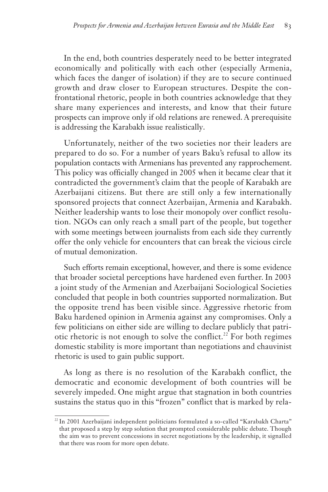In the end, both countries desperately need to be better integrated economically and politically with each other (especially Armenia, which faces the danger of isolation) if they are to secure continued growth and draw closer to European structures. Despite the confrontational rhetoric, people in both countries acknowledge that they share many experiences and interests, and know that their future prospects can improve only if old relations are renewed. A prerequisite is addressing the Karabakh issue realistically.

Unfortunately, neither of the two societies nor their leaders are prepared to do so. For a number of years Baku's refusal to allow its population contacts with Armenians has prevented any rapprochement. This policy was officially changed in 2005 when it became clear that it contradicted the government's claim that the people of Karabakh are Azerbaijani citizens. But there are still only a few internationally sponsored projects that connect Azerbaijan, Armenia and Karabakh. Neither leadership wants to lose their monopoly over conflict resolution. NGOs can only reach a small part of the people, but together with some meetings between journalists from each side they currently offer the only vehicle for encounters that can break the vicious circle of mutual demonization.

Such efforts remain exceptional, however, and there is some evidence that broader societal perceptions have hardened even further. In 2003 a joint study of the Armenian and Azerbaijani Sociological Societies concluded that people in both countries supported normalization. But the opposite trend has been visible since. Aggressive rhetoric from Baku hardened opinion in Armenia against any compromises. Only a few politicians on either side are willing to declare publicly that patriotic rhetoric is not enough to solve the conflict.<sup>22</sup> For both regimes domestic stability is more important than negotiations and chauvinist rhetoric is used to gain public support.

As long as there is no resolution of the Karabakh conflict, the democratic and economic development of both countries will be severely impeded. One might argue that stagnation in both countries sustains the status quo in this "frozen" conflict that is marked by rela-

<sup>&</sup>lt;sup>22</sup> In 2001 Azerbaijani independent politicians formulated a so-called "Karabakh Charta" that proposed a step by step solution that prompted considerable public debate. Though the aim was to prevent concessions in secret negotiations by the leadership, it signalled that there was room for more open debate.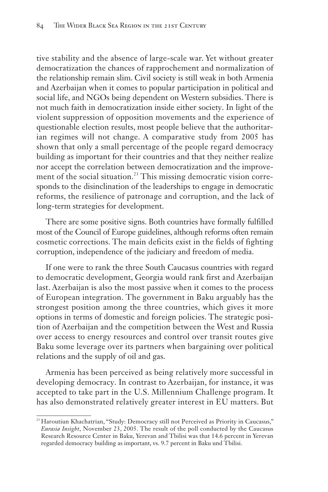tive stability and the absence of large-scale war. Yet without greater democratization the chances of rapprochement and normalization of the relationship remain slim. Civil society is still weak in both Armenia and Azerbaijan when it comes to popular participation in political and social life, and NGOs being dependent on Western subsidies. There is not much faith in democratization inside either society. In light of the violent suppression of opposition movements and the experience of questionable election results, most people believe that the authoritarian regimes will not change. A comparative study from 2005 has shown that only a small percentage of the people regard democracy building as important for their countries and that they neither realize nor accept the correlation between democratization and the improvement of the social situation.<sup>23</sup> This missing democratic vision corresponds to the disinclination of the leaderships to engage in democratic reforms, the resilience of patronage and corruption, and the lack of long-term strategies for development.

There are some positive signs. Both countries have formally fulfilled most of the Council of Europe guidelines, although reforms often remain cosmetic corrections. The main deficits exist in the fields of fighting corruption, independence of the judiciary and freedom of media.

If one were to rank the three South Caucasus countries with regard to democratic development, Georgia would rank first and Azerbaijan last. Azerbaijan is also the most passive when it comes to the process of European integration. The government in Baku arguably has the strongest position among the three countries, which gives it more options in terms of domestic and foreign policies. The strategic position of Azerbaijan and the competition between the West and Russia over access to energy resources and control over transit routes give Baku some leverage over its partners when bargaining over political relations and the supply of oil and gas.

Armenia has been perceived as being relatively more successful in developing democracy. In contrast to Azerbaijan, for instance, it was accepted to take part in the U.S. Millennium Challenge program. It has also demonstrated relatively greater interest in EU matters. But

<sup>&</sup>lt;sup>23</sup> Haroutiun Khachatrian, "Study: Democracy still not Perceived as Priority in Caucasus," *Eurasia Insight*, November 23, 2005. The result of the poll conducted by the Caucasus Research Resource Center in Baku, Yerevan and Tbilisi was that 14.6 percent in Yerevan regarded democracy building as important, vs. 9.7 percent in Baku und Tbilisi.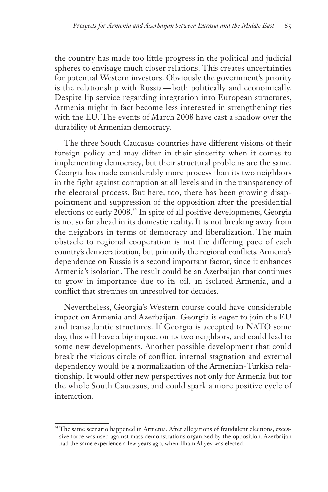the country has made too little progress in the political and judicial spheres to envisage much closer relations. This creates uncertainties for potential Western investors. Obviously the government's priority is the relationship with Russia — both politically and economically. Despite lip service regarding integration into European structures, Armenia might in fact become less interested in strengthening ties with the EU. The events of March 2008 have cast a shadow over the durability of Armenian democracy.

The three South Caucasus countries have different visions of their foreign policy and may differ in their sincerity when it comes to implementing democracy, but their structural problems are the same. Georgia has made considerably more process than its two neighbors in the fight against corruption at all levels and in the transparency of the electoral process. But here, too, there has been growing disappointment and suppression of the opposition after the presidential elections of early 2008.<sup>24</sup> In spite of all positive developments, Georgia is not so far ahead in its domestic reality. It is not breaking away from the neighbors in terms of democracy and liberalization. The main obstacle to regional cooperation is not the differing pace of each country's democratization, but primarily the regional conflicts. Armenia's dependence on Russia is a second important factor, since it enhances Armenia's isolation. The result could be an Azerbaijan that continues to grow in importance due to its oil, an isolated Armenia, and a conflict that stretches on unresolved for decades.

Nevertheless, Georgia's Western course could have considerable impact on Armenia and Azerbaijan. Georgia is eager to join the EU and transatlantic structures. If Georgia is accepted to NATO some day, this will have a big impact on its two neighbors, and could lead to some new developments. Another possible development that could break the vicious circle of conflict, internal stagnation and external dependency would be a normalization of the Armenian-Turkish relationship. It would offer new perspectives not only for Armenia but for the whole South Caucasus, and could spark a more positive cycle of interaction.

<sup>&</sup>lt;sup>24</sup> The same scenario happened in Armenia. After allegations of fraudulent elections, excessive force was used against mass demonstrations organized by the opposition. Azerbaijan had the same experience a few years ago, when Ilham Aliyev was elected.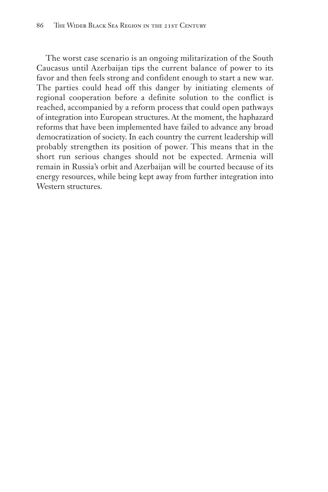The worst case scenario is an ongoing militarization of the South Caucasus until Azerbaijan tips the current balance of power to its favor and then feels strong and confident enough to start a new war. The parties could head off this danger by initiating elements of regional cooperation before a definite solution to the conflict is reached, accompanied by a reform process that could open pathways of integration into European structures. At the moment, the haphazard reforms that have been implemented have failed to advance any broad democratization of society. In each country the current leadership will probably strengthen its position of power. This means that in the short run serious changes should not be expected. Armenia will remain in Russia's orbit and Azerbaijan will be courted because of its energy resources, while being kept away from further integration into Western structures.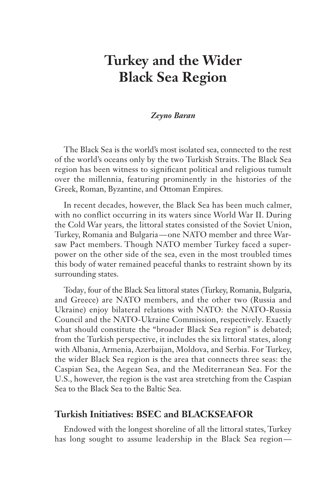# **Turkey and the Wider Black Sea Region**

#### *Zeyno Baran*

The Black Sea is the world's most isolated sea, connected to the rest of the world's oceans only by the two Turkish Straits. The Black Sea region has been witness to significant political and religious tumult over the millennia, featuring prominently in the histories of the Greek, Roman, Byzantine, and Ottoman Empires.

In recent decades, however, the Black Sea has been much calmer, with no conflict occurring in its waters since World War II. During the Cold War years, the littoral states consisted of the Soviet Union, Turkey, Romania and Bulgaria— one NATO member and three Warsaw Pact members. Though NATO member Turkey faced a superpower on the other side of the sea, even in the most troubled times this body of water remained peaceful thanks to restraint shown by its surrounding states.

Today, four of the Black Sea littoral states (Turkey, Romania, Bulgaria, and Greece) are NATO members, and the other two (Russia and Ukraine) enjoy bilateral relations with NATO: the NATO-Russia Council and the NATO-Ukraine Commission, respectively. Exactly what should constitute the "broader Black Sea region" is debated; from the Turkish perspective, it includes the six littoral states, along with Albania, Armenia, Azerbaijan, Moldova, and Serbia. For Turkey, the wider Black Sea region is the area that connects three seas: the Caspian Sea, the Aegean Sea, and the Mediterranean Sea. For the U.S., however, the region is the vast area stretching from the Caspian Sea to the Black Sea to the Baltic Sea.

# **Turkish Initiatives: BSEC and BLACKSEAFOR**

Endowed with the longest shoreline of all the littoral states, Turkey has long sought to assume leadership in the Black Sea region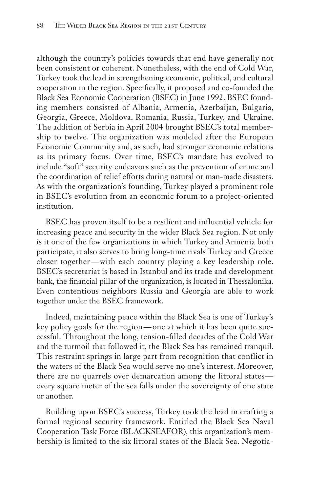although the country's policies towards that end have generally not been consistent or coherent. Nonetheless, with the end of Cold War, Turkey took the lead in strengthening economic, political, and cultural cooperation in the region. Specifically, it proposed and co-founded the Black Sea Economic Cooperation (BSEC) in June 1992. BSEC founding members consisted of Albania, Armenia, Azerbaijan, Bulgaria, Georgia, Greece, Moldova, Romania, Russia, Turkey, and Ukraine. The addition of Serbia in April 2004 brought BSEC's total membership to twelve. The organization was modeled after the European Economic Community and, as such, had stronger economic relations as its primary focus. Over time, BSEC's mandate has evolved to include "soft" security endeavors such as the prevention of crime and the coordination of relief efforts during natural or man-made disasters. As with the organization's founding, Turkey played a prominent role in BSEC's evolution from an economic forum to a project-oriented institution.

BSEC has proven itself to be a resilient and influential vehicle for increasing peace and security in the wider Black Sea region. Not only is it one of the few organizations in which Turkey and Armenia both participate, it also serves to bring long-time rivals Turkey and Greece closer together— with each country playing a key leadership role. BSEC's secretariat is based in Istanbul and its trade and development bank, the financial pillar of the organization, is located in Thessalonika. Even contentious neighbors Russia and Georgia are able to work together under the BSEC framework.

Indeed, maintaining peace within the Black Sea is one of Turkey's key policy goals for the region— one at which it has been quite successful. Throughout the long, tension-filled decades of the Cold War and the turmoil that followed it, the Black Sea has remained tranquil. This restraint springs in large part from recognition that conflict in the waters of the Black Sea would serve no one's interest. Moreover, there are no quarrels over demarcation among the littoral states every square meter of the sea falls under the sovereignty of one state or another.

Building upon BSEC's success, Turkey took the lead in crafting a formal regional security framework. Entitled the Black Sea Naval Cooperation Task Force (BLACKSEAFOR), this organization's membership is limited to the six littoral states of the Black Sea. Negotia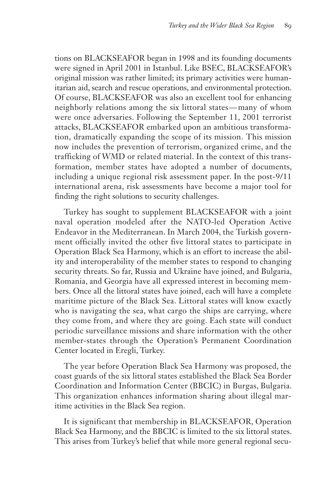tions on BLACKSEAFOR began in 1998 and its founding documents were signed in April 2001 in Istanbul. Like BSEC, BLACKSEAFOR's original mission was rather limited; its primary activities were humanitarian aid, search and rescue operations, and environmental protection. Of course, BLACKSEAFOR was also an excellent tool for enhancing neighborly relations among the six littoral states— many of whom were once adversaries. Following the September 11, 2001 terrorist attacks, BLACKSEAFOR embarked upon an ambitious transformation, dramatically expanding the scope of its mission. This mission now includes the prevention of terrorism, organized crime, and the trafficking of WMD or related material. In the context of this transformation, member states have adopted a number of documents, including a unique regional risk assessment paper. In the post-9/11 international arena, risk assessments have become a major tool for finding the right solutions to security challenges.

Turkey has sought to supplement BLACKSEAFOR with a joint naval operation modeled after the NATO-led Operation Active Endeavor in the Mediterranean. In March 2004, the Turkish government officially invited the other five littoral states to participate in Operation Black Sea Harmony, which is an effort to increase the ability and interoperability of the member states to respond to changing security threats. So far, Russia and Ukraine have joined, and Bulgaria, Romania, and Georgia have all expressed interest in becoming members. Once all the littoral states have joined, each will have a complete maritime picture of the Black Sea. Littoral states will know exactly who is navigating the sea, what cargo the ships are carrying, where they come from, and where they are going. Each state will conduct periodic surveillance missions and share information with the other member-states through the Operation's Permanent Coordination Center located in Eregli, Turkey.

The year before Operation Black Sea Harmony was proposed, the coast guards of the six littoral states established the Black Sea Border Coordination and Information Center (BBCIC) in Burgas, Bulgaria. This organization enhances information sharing about illegal maritime activities in the Black Sea region.

It is significant that membership in BLACKSEAFOR, Operation Black Sea Harmony, and the BBCIC is limited to the six littoral states. This arises from Turkey's belief that while more general regional secu-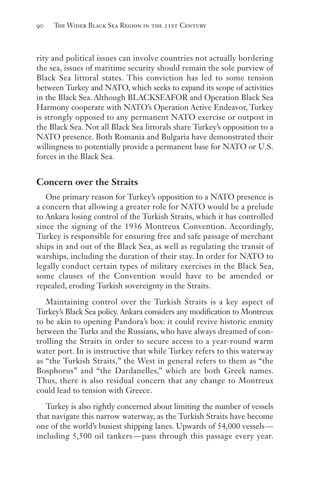rity and political issues can involve countries not actually bordering the sea, issues of maritime security should remain the sole purview of Black Sea littoral states. This conviction has led to some tension between Turkey and NATO, which seeks to expand its scope of activities in the Black Sea. Although BLACKSEAFOR and Operation Black Sea Harmony cooperate with NATO's Operation Active Endeavor, Turkey is strongly opposed to any permanent NATO exercise or outpost in the Black Sea. Not all Black Sea littorals share Turkey's opposition to a NATO presence. Both Romania and Bulgaria have demonstrated their willingness to potentially provide a permanent base for NATO or U.S. forces in the Black Sea.

# **Concern over the Straits**

One primary reason for Turkey's opposition to a NATO presence is a concern that allowing a greater role for NATO would be a prelude to Ankara losing control of the Turkish Straits, which it has controlled since the signing of the 1936 Montreux Convention. Accordingly, Turkey is responsible for ensuring free and safe passage of merchant ships in and out of the Black Sea, as well as regulating the transit of warships, including the duration of their stay. In order for NATO to legally conduct certain types of military exercises in the Black Sea, some clauses of the Convention would have to be amended or repealed, eroding Turkish sovereignty in the Straits.

Maintaining control over the Turkish Straits is a key aspect of Turkey's Black Sea policy. Ankara considers any modification to Montreux to be akin to opening Pandora's box: it could revive historic enmity between the Turks and the Russians, who have always dreamed of controlling the Straits in order to secure access to a year-round warm water port. In is instructive that while Turkey refers to this waterway as "the Turkish Straits," the West in general refers to them as "the Bosphorus" and "the Dardanelles," which are both Greek names. Thus, there is also residual concern that any change to Montreux could lead to tension with Greece.

Turkey is also rightly concerned about limiting the number of vessels that navigate this narrow waterway, as the Turkish Straits have become one of the world's busiest shipping lanes. Upwards of 54,000 vessels including 5,500 oil tankers— pass through this passage every year.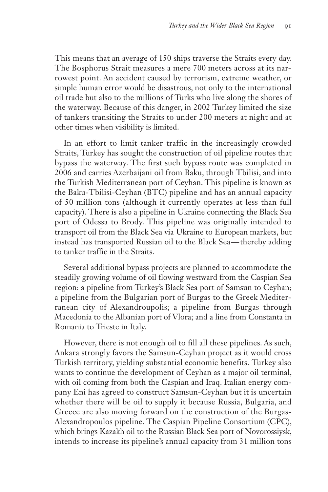This means that an average of 150 ships traverse the Straits every day. The Bosphorus Strait measures a mere 700 meters across at its narrowest point. An accident caused by terrorism, extreme weather, or simple human error would be disastrous, not only to the international oil trade but also to the millions of Turks who live along the shores of the waterway. Because of this danger, in 2002 Turkey limited the size of tankers transiting the Straits to under 200 meters at night and at other times when visibility is limited.

In an effort to limit tanker traffic in the increasingly crowded Straits, Turkey has sought the construction of oil pipeline routes that bypass the waterway. The first such bypass route was completed in 2006 and carries Azerbaijani oil from Baku, through Tbilisi, and into the Turkish Mediterranean port of Ceyhan. This pipeline is known as the Baku-Tbilisi-Ceyhan (BTC) pipeline and has an annual capacity of 50 million tons (although it currently operates at less than full capacity). There is also a pipeline in Ukraine connecting the Black Sea port of Odessa to Brody. This pipeline was originally intended to transport oil from the Black Sea via Ukraine to European markets, but instead has transported Russian oil to the Black Sea— thereby adding to tanker traffic in the Straits.

Several additional bypass projects are planned to accommodate the steadily growing volume of oil flowing westward from the Caspian Sea region: a pipeline from Turkey's Black Sea port of Samsun to Ceyhan; a pipeline from the Bulgarian port of Burgas to the Greek Mediterranean city of Alexandroupolis; a pipeline from Burgas through Macedonia to the Albanian port of Vlora; and a line from Constanta in Romania to Trieste in Italy.

However, there is not enough oil to fill all these pipelines. As such, Ankara strongly favors the Samsun-Ceyhan project as it would cross Turkish territory, yielding substantial economic benefits. Turkey also wants to continue the development of Ceyhan as a major oil terminal, with oil coming from both the Caspian and Iraq. Italian energy company Eni has agreed to construct Samsun-Ceyhan but it is uncertain whether there will be oil to supply it because Russia, Bulgaria, and Greece are also moving forward on the construction of the Burgas-Alexandropoulos pipeline. The Caspian Pipeline Consortium (CPC), which brings Kazakh oil to the Russian Black Sea port of Novorossiysk, intends to increase its pipeline's annual capacity from 31 million tons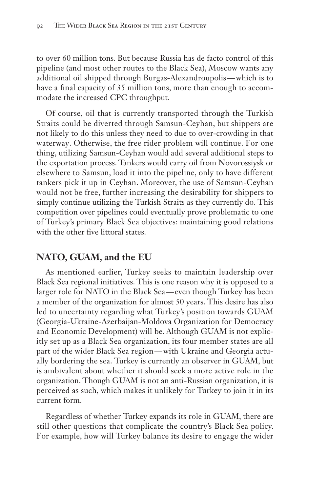to over 60 million tons. But because Russia has de facto control of this pipeline (and most other routes to the Black Sea), Moscow wants any additional oil shipped through Burgas-Alexandroupolis— which is to have a final capacity of 35 million tons, more than enough to accommodate the increased CPC throughput.

Of course, oil that is currently transported through the Turkish Straits could be diverted through Samsun-Ceyhan, but shippers are not likely to do this unless they need to due to over-crowding in that waterway. Otherwise, the free rider problem will continue. For one thing, utilizing Samsun-Ceyhan would add several additional steps to the exportation process. Tankers would carry oil from Novorossiysk or elsewhere to Samsun, load it into the pipeline, only to have different tankers pick it up in Ceyhan. Moreover, the use of Samsun-Ceyhan would not be free, further increasing the desirability for shippers to simply continue utilizing the Turkish Straits as they currently do. This competition over pipelines could eventually prove problematic to one of Turkey's primary Black Sea objectives: maintaining good relations with the other five littoral states.

# **NATO, GUAM, and the EU**

As mentioned earlier, Turkey seeks to maintain leadership over Black Sea regional initiatives. This is one reason why it is opposed to a larger role for NATO in the Black Sea— even though Turkey has been a member of the organization for almost 50 years. This desire has also led to uncertainty regarding what Turkey's position towards GUAM (Georgia-Ukraine-Azerbaijan-Moldova Organization for Democracy and Economic Development) will be. Although GUAM is not explicitly set up as a Black Sea organization, its four member states are all part of the wider Black Sea region— with Ukraine and Georgia actually bordering the sea. Turkey is currently an observer in GUAM, but is ambivalent about whether it should seek a more active role in the organization. Though GUAM is not an anti-Russian organization, it is perceived as such, which makes it unlikely for Turkey to join it in its current form.

Regardless of whether Turkey expands its role in GUAM, there are still other questions that complicate the country's Black Sea policy. For example, how will Turkey balance its desire to engage the wider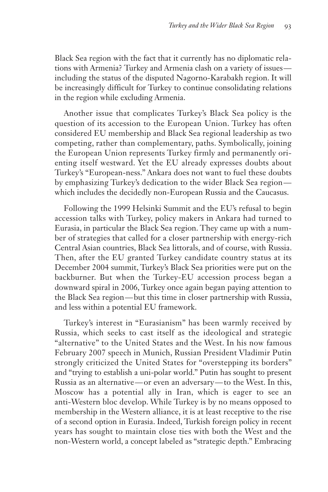Black Sea region with the fact that it currently has no diplomatic relations with Armenia? Turkey and Armenia clash on a variety of issues including the status of the disputed Nagorno-Karabakh region. It will be increasingly difficult for Turkey to continue consolidating relations in the region while excluding Armenia.

Another issue that complicates Turkey's Black Sea policy is the question of its accession to the European Union. Turkey has often considered EU membership and Black Sea regional leadership as two competing, rather than complementary, paths. Symbolically, joining the European Union represents Turkey firmly and permanently orienting itself westward. Yet the EU already expresses doubts about Turkey's "European-ness." Ankara does not want to fuel these doubts by emphasizing Turkey's dedication to the wider Black Sea region which includes the decidedly non-European Russia and the Caucasus.

Following the 1999 Helsinki Summit and the EU's refusal to begin accession talks with Turkey, policy makers in Ankara had turned to Eurasia, in particular the Black Sea region. They came up with a number of strategies that called for a closer partnership with energy-rich Central Asian countries, Black Sea littorals, and of course, with Russia. Then, after the EU granted Turkey candidate country status at its December 2004 summit, Turkey's Black Sea priorities were put on the backburner. But when the Turkey-EU accession process began a downward spiral in 2006, Turkey once again began paying attention to the Black Sea region— but this time in closer partnership with Russia, and less within a potential EU framework.

Turkey's interest in "Eurasianism" has been warmly received by Russia, which seeks to cast itself as the ideological and strategic "alternative" to the United States and the West. In his now famous February 2007 speech in Munich, Russian President Vladimir Putin strongly criticized the United States for "overstepping its borders" and "trying to establish a uni-polar world." Putin has sought to present Russia as an alternative— or even an adversary— to the West. In this, Moscow has a potential ally in Iran, which is eager to see an anti-Western bloc develop. While Turkey is by no means opposed to membership in the Western alliance, it is at least receptive to the rise of a second option in Eurasia. Indeed, Turkish foreign policy in recent years has sought to maintain close ties with both the West and the non-Western world, a concept labeled as "strategic depth." Embracing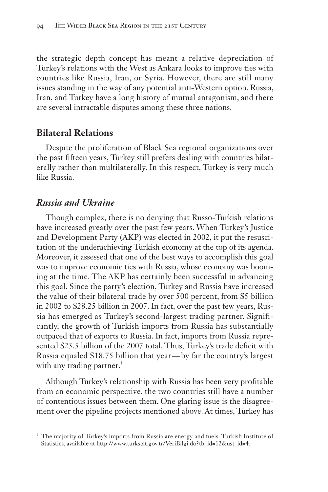the strategic depth concept has meant a relative depreciation of Turkey's relations with the West as Ankara looks to improve ties with countries like Russia, Iran, or Syria. However, there are still many issues standing in the way of any potential anti-Western option. Russia, Iran, and Turkey have a long history of mutual antagonism, and there are several intractable disputes among these three nations.

# **Bilateral Relations**

Despite the proliferation of Black Sea regional organizations over the past fifteen years, Turkey still prefers dealing with countries bilaterally rather than multilaterally. In this respect, Turkey is very much like Russia.

# *Russia and Ukraine*

Though complex, there is no denying that Russo-Turkish relations have increased greatly over the past few years. When Turkey's Justice and Development Party (AKP) was elected in 2002, it put the resuscitation of the underachieving Turkish economy at the top of its agenda. Moreover, it assessed that one of the best ways to accomplish this goal was to improve economic ties with Russia, whose economy was booming at the time. The AKP has certainly been successful in advancing this goal. Since the party's election, Turkey and Russia have increased the value of their bilateral trade by over 500 percent, from \$5 billion in 2002 to \$28.25 billion in 2007. In fact, over the past few years, Russia has emerged as Turkey's second-largest trading partner. Significantly, the growth of Turkish imports from Russia has substantially outpaced that of exports to Russia. In fact, imports from Russia represented \$23.5 billion of the 2007 total. Thus, Turkey's trade deficit with Russia equaled \$18.75 billion that year— by far the country's largest with any trading partner.<sup>1</sup>

Although Turkey's relationship with Russia has been very profitable from an economic perspective, the two countries still have a number of contentious issues between them. One glaring issue is the disagreement over the pipeline projects mentioned above. At times, Turkey has

<sup>&</sup>lt;sup>1</sup> The majority of Turkey's imports from Russia are energy and fuels. Turkish Institute of Statistics, available at http://www.turkstat.gov.tr/VeriBilgi.do?tb\_id=12&ust\_id=4.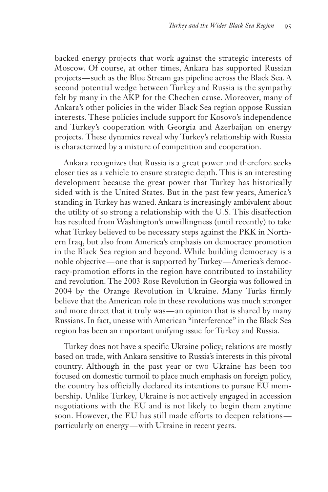backed energy projects that work against the strategic interests of Moscow. Of course, at other times, Ankara has supported Russian projects— such as the Blue Stream gas pipeline across the Black Sea. A second potential wedge between Turkey and Russia is the sympathy felt by many in the AKP for the Chechen cause. Moreover, many of Ankara's other policies in the wider Black Sea region oppose Russian interests. These policies include support for Kosovo's independence and Turkey's cooperation with Georgia and Azerbaijan on energy projects. These dynamics reveal why Turkey's relationship with Russia is characterized by a mixture of competition and cooperation.

Ankara recognizes that Russia is a great power and therefore seeks closer ties as a vehicle to ensure strategic depth. This is an interesting development because the great power that Turkey has historically sided with is the United States. But in the past few years, America's standing in Turkey has waned. Ankara is increasingly ambivalent about the utility of so strong a relationship with the U.S. This disaffection has resulted from Washington's unwillingness (until recently) to take what Turkey believed to be necessary steps against the PKK in Northern Iraq, but also from America's emphasis on democracy promotion in the Black Sea region and beyond. While building democracy is a noble objective— one that is supported by Turkey— America's democracy-promotion efforts in the region have contributed to instability and revolution. The 2003 Rose Revolution in Georgia was followed in 2004 by the Orange Revolution in Ukraine. Many Turks firmly believe that the American role in these revolutions was much stronger and more direct that it truly was— an opinion that is shared by many Russians. In fact, unease with American "interference" in the Black Sea region has been an important unifying issue for Turkey and Russia.

Turkey does not have a specific Ukraine policy; relations are mostly based on trade, with Ankara sensitive to Russia's interests in this pivotal country. Although in the past year or two Ukraine has been too focused on domestic turmoil to place much emphasis on foreign policy, the country has officially declared its intentions to pursue EU membership. Unlike Turkey, Ukraine is not actively engaged in accession negotiations with the EU and is not likely to begin them anytime soon. However, the EU has still made efforts to deepen relations particularly on energy— with Ukraine in recent years.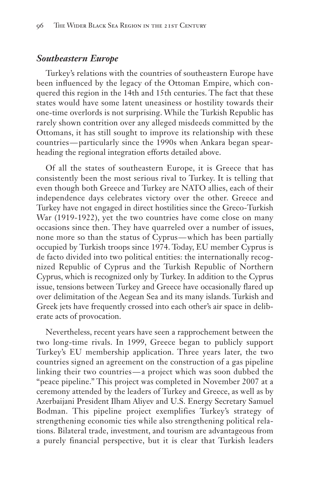#### *Southeastern Europe*

Turkey's relations with the countries of southeastern Europe have been influenced by the legacy of the Ottoman Empire, which conquered this region in the 14th and 15th centuries. The fact that these states would have some latent uneasiness or hostility towards their one-time overlords is not surprising. While the Turkish Republic has rarely shown contrition over any alleged misdeeds committed by the Ottomans, it has still sought to improve its relationship with these countries — particularly since the 1990s when Ankara began spearheading the regional integration efforts detailed above.

Of all the states of southeastern Europe, it is Greece that has consistently been the most serious rival to Turkey. It is telling that even though both Greece and Turkey are NATO allies, each of their independence days celebrates victory over the other. Greece and Turkey have not engaged in direct hostilities since the Greco-Turkish War (1919-1922), yet the two countries have come close on many occasions since then. They have quarreled over a number of issues, none more so than the status of Cyprus— which has been partially occupied by Turkish troops since 1974. Today, EU member Cyprus is de facto divided into two political entities: the internationally recognized Republic of Cyprus and the Turkish Republic of Northern Cyprus, which is recognized only by Turkey. In addition to the Cyprus issue, tensions between Turkey and Greece have occasionally flared up over delimitation of the Aegean Sea and its many islands. Turkish and Greek jets have frequently crossed into each other's air space in deliberate acts of provocation.

Nevertheless, recent years have seen a rapprochement between the two long-time rivals. In 1999, Greece began to publicly support Turkey's EU membership application. Three years later, the two countries signed an agreement on the construction of a gas pipeline linking their two countries— a project which was soon dubbed the "peace pipeline." This project was completed in November 2007 at a ceremony attended by the leaders of Turkey and Greece, as well as by Azerbaijani President Ilham Aliyev and U.S. Energy Secretary Samuel Bodman. This pipeline project exemplifies Turkey's strategy of strengthening economic ties while also strengthening political relations. Bilateral trade, investment, and tourism are advantageous from a purely financial perspective, but it is clear that Turkish leaders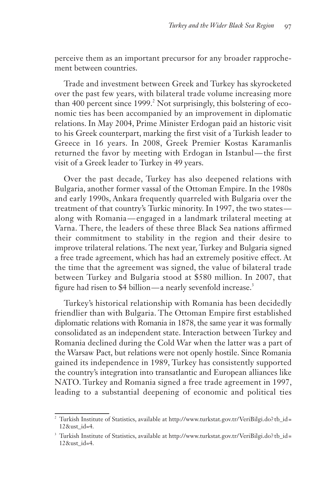perceive them as an important precursor for any broader rapprochement between countries.

Trade and investment between Greek and Turkey has skyrocketed over the past few years, with bilateral trade volume increasing more than 400 percent since 1999.<sup>2</sup> Not surprisingly, this bolstering of economic ties has been accompanied by an improvement in diplomatic relations. In May 2004, Prime Minister Erdogan paid an historic visit to his Greek counterpart, marking the first visit of a Turkish leader to Greece in 16 years. In 2008, Greek Premier Kostas Karamanlis returned the favor by meeting with Erdogan in Istanbul— the first visit of a Greek leader to Turkey in 49 years.

Over the past decade, Turkey has also deepened relations with Bulgaria, another former vassal of the Ottoman Empire. In the 1980s and early 1990s, Ankara frequently quarreled with Bulgaria over the treatment of that country's Turkic minority. In 1997, the two states along with Romania— engaged in a landmark trilateral meeting at Varna. There, the leaders of these three Black Sea nations affirmed their commitment to stability in the region and their desire to improve trilateral relations. The next year, Turkey and Bulgaria signed a free trade agreement, which has had an extremely positive effect. At the time that the agreement was signed, the value of bilateral trade between Turkey and Bulgaria stood at \$580 million. In 2007, that figure had risen to \$4 billion—a nearly sevenfold increase.<sup>3</sup>

Turkey's historical relationship with Romania has been decidedly friendlier than with Bulgaria. The Ottoman Empire first established diplomatic relations with Romania in 1878, the same year it was formally consolidated as an independent state. Interaction between Turkey and Romania declined during the Cold War when the latter was a part of the Warsaw Pact, but relations were not openly hostile. Since Romania gained its independence in 1989, Turkey has consistently supported the country's integration into transatlantic and European alliances like NATO. Turkey and Romania signed a free trade agreement in 1997, leading to a substantial deepening of economic and political ties

<sup>&</sup>lt;sup>2</sup> Turkish Institute of Statistics, available at http://www.turkstat.gov.tr/VeriBilgi.do?tb\_id= 12&ust\_id=4.

<sup>&</sup>lt;sup>3</sup> Turkish Institute of Statistics, available at http://www.turkstat.gov.tr/VeriBilgi.do?tb\_id= 12&ust\_id=4.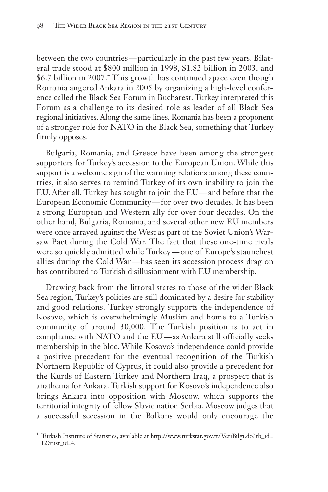between the two countries— particularly in the past few years. Bilateral trade stood at \$800 million in 1998, \$1.82 billion in 2003, and \$6.7 billion in 2007.<sup>4</sup> This growth has continued apace even though Romania angered Ankara in 2005 by organizing a high-level conference called the Black Sea Forum in Bucharest. Turkey interpreted this Forum as a challenge to its desired role as leader of all Black Sea regional initiatives. Along the same lines, Romania has been a proponent of a stronger role for NATO in the Black Sea, something that Turkey firmly opposes.

Bulgaria, Romania, and Greece have been among the strongest supporters for Turkey's accession to the European Union. While this support is a welcome sign of the warming relations among these countries, it also serves to remind Turkey of its own inability to join the EU. After all, Turkey has sought to join the EU— and before that the European Economic Community— for over two decades. It has been a strong European and Western ally for over four decades. On the other hand, Bulgaria, Romania, and several other new EU members were once arrayed against the West as part of the Soviet Union's Warsaw Pact during the Cold War. The fact that these one-time rivals were so quickly admitted while Turkey— one of Europe's staunchest allies during the Cold War— has seen its accession process drag on has contributed to Turkish disillusionment with EU membership.

Drawing back from the littoral states to those of the wider Black Sea region, Turkey's policies are still dominated by a desire for stability and good relations. Turkey strongly supports the independence of Kosovo, which is overwhelmingly Muslim and home to a Turkish community of around 30,000. The Turkish position is to act in compliance with NATO and the EU— as Ankara still officially seeks membership in the bloc. While Kosovo's independence could provide a positive precedent for the eventual recognition of the Turkish Northern Republic of Cyprus, it could also provide a precedent for the Kurds of Eastern Turkey and Northern Iraq, a prospect that is anathema for Ankara. Turkish support for Kosovo's independence also brings Ankara into opposition with Moscow, which supports the territorial integrity of fellow Slavic nation Serbia. Moscow judges that a successful secession in the Balkans would only encourage the

<sup>4</sup> Turkish Institute of Statistics, available at http://www.turkstat.gov.tr/ VeriBilgi.do? tb\_id = 12&ust\_id=4.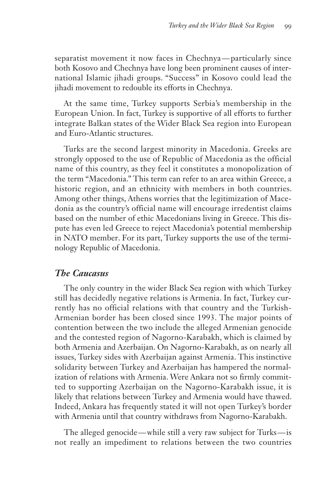separatist movement it now faces in Chechnya— particularly since both Kosovo and Chechnya have long been prominent causes of international Islamic jihadi groups. "Success" in Kosovo could lead the jihadi movement to redouble its efforts in Chechnya.

At the same time, Turkey supports Serbia's membership in the European Union. In fact, Turkey is supportive of all efforts to further integrate Balkan states of the Wider Black Sea region into European and Euro-Atlantic structures.

Turks are the second largest minority in Macedonia. Greeks are strongly opposed to the use of Republic of Macedonia as the official name of this country, as they feel it constitutes a monopolization of the term "Macedonia." This term can refer to an area within Greece, a historic region, and an ethnicity with members in both countries. Among other things, Athens worries that the legitimization of Macedonia as the country's official name will encourage irredentist claims based on the number of ethic Macedonians living in Greece. This dispute has even led Greece to reject Macedonia's potential membership in NATO member. For its part, Turkey supports the use of the terminology Republic of Macedonia.

# *The Caucasus*

The only country in the wider Black Sea region with which Turkey still has decidedly negative relations is Armenia. In fact, Turkey currently has no official relations with that country and the Turkish-Armenian border has been closed since 1993. The major points of contention between the two include the alleged Armenian genocide and the contested region of Nagorno-Karabakh, which is claimed by both Armenia and Azerbaijan. On Nagorno-Karabakh, as on nearly all issues, Turkey sides with Azerbaijan against Armenia. This instinctive solidarity between Turkey and Azerbaijan has hampered the normalization of relations with Armenia. Were Ankara not so firmly committed to supporting Azerbaijan on the Nagorno-Karabakh issue, it is likely that relations between Turkey and Armenia would have thawed. Indeed, Ankara has frequently stated it will not open Turkey's border with Armenia until that country withdraws from Nagorno-Karabakh.

The alleged genocide— while still a very raw subject for Turks— is not really an impediment to relations between the two countries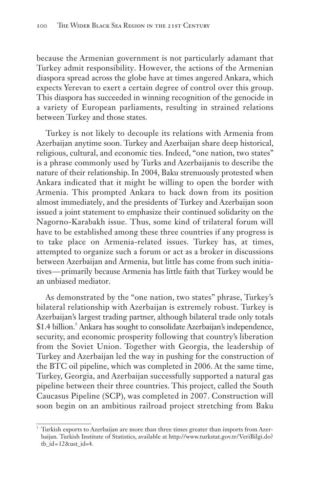because the Armenian government is not particularly adamant that Turkey admit responsibility. However, the actions of the Armenian diaspora spread across the globe have at times angered Ankara, which expects Yerevan to exert a certain degree of control over this group. This diaspora has succeeded in winning recognition of the genocide in a variety of European parliaments, resulting in strained relations between Turkey and those states.

Turkey is not likely to decouple its relations with Armenia from Azerbaijan anytime soon. Turkey and Azerbaijan share deep historical, religious, cultural, and economic ties. Indeed, "one nation, two states" is a phrase commonly used by Turks and Azerbaijanis to describe the nature of their relationship. In 2004, Baku strenuously protested when Ankara indicated that it might be willing to open the border with Armenia. This prompted Ankara to back down from its position almost immediately, and the presidents of Turkey and Azerbaijan soon issued a joint statement to emphasize their continued solidarity on the Nagorno-Karabakh issue. Thus, some kind of trilateral forum will have to be established among these three countries if any progress is to take place on Armenia-related issues. Turkey has, at times, attempted to organize such a forum or act as a broker in discussions between Azerbaijan and Armenia, but little has come from such initiatives— primarily because Armenia has little faith that Turkey would be an unbiased mediator.

As demonstrated by the "one nation, two states" phrase, Turkey's bilateral relationship with Azerbaijan is extremely robust. Turkey is Azerbaijan's largest trading partner, although bilateral trade only totals \$1.4 billion.<sup>5</sup> Ankara has sought to consolidate Azerbaijan's independence, security, and economic prosperity following that country's liberation from the Soviet Union. Together with Georgia, the leadership of Turkey and Azerbaijan led the way in pushing for the construction of the BTC oil pipeline, which was completed in 2006. At the same time, Turkey, Georgia, and Azerbaijan successfully supported a natural gas pipeline between their three countries. This project, called the South Caucasus Pipeline (SCP), was completed in 2007. Construction will soon begin on an ambitious railroad project stretching from Baku

<sup>&</sup>lt;sup>5</sup> Turkish exports to Azerbaijan are more than three times greater than imports from Azerbaijan. Turkish Institute of Statistics, available at http://www.turkstat.gov.tr/ VeriBilgi.do? tb  $id = 12$ &ust  $id = 4$ .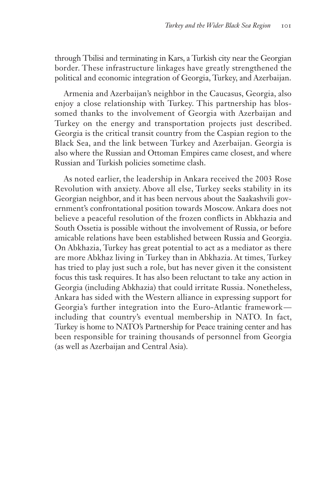through Tbilisi and terminating in Kars, a Turkish city near the Georgian border. These infrastructure linkages have greatly strengthened the political and economic integration of Georgia, Turkey, and Azerbaijan.

Armenia and Azerbaijan's neighbor in the Caucasus, Georgia, also enjoy a close relationship with Turkey. This partnership has blossomed thanks to the involvement of Georgia with Azerbaijan and Turkey on the energy and transportation projects just described. Georgia is the critical transit country from the Caspian region to the Black Sea, and the link between Turkey and Azerbaijan. Georgia is also where the Russian and Ottoman Empires came closest, and where Russian and Turkish policies sometime clash.

As noted earlier, the leadership in Ankara received the 2003 Rose Revolution with anxiety. Above all else, Turkey seeks stability in its Georgian neighbor, and it has been nervous about the Saakashvili government's confrontational position towards Moscow. Ankara does not believe a peaceful resolution of the frozen conflicts in Abkhazia and South Ossetia is possible without the involvement of Russia, or before amicable relations have been established between Russia and Georgia. On Abkhazia, Turkey has great potential to act as a mediator as there are more Abkhaz living in Turkey than in Abkhazia. At times, Turkey has tried to play just such a role, but has never given it the consistent focus this task requires. It has also been reluctant to take any action in Georgia (including Abkhazia) that could irritate Russia. Nonetheless, Ankara has sided with the Western alliance in expressing support for Georgia's further integration into the Euro-Atlantic framework including that country's eventual membership in NATO. In fact, Turkey is home to NATO's Partnership for Peace training center and has been responsible for training thousands of personnel from Georgia (as well as Azerbaijan and Central Asia).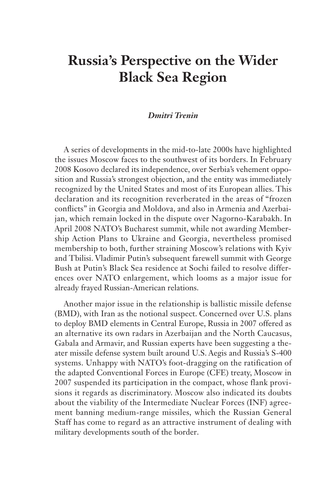# **Russia's Perspective on the Wider Black Sea Region**

#### *Dmitri Trenin*

A series of developments in the mid-to-late 2000s have highlighted the issues Moscow faces to the southwest of its borders. In February 2008 Kosovo declared its independence, over Serbia's vehement opposition and Russia's strongest objection, and the entity was immediately recognized by the United States and most of its European allies. This declaration and its recognition reverberated in the areas of "frozen conflicts" in Georgia and Moldova, and also in Armenia and Azerbaijan, which remain locked in the dispute over Nagorno-Karabakh. In April 2008 NATO's Bucharest summit, while not awarding Membership Action Plans to Ukraine and Georgia, nevertheless promised membership to both, further straining Moscow's relations with Kyiv and Tbilisi. Vladimir Putin's subsequent farewell summit with George Bush at Putin's Black Sea residence at Sochi failed to resolve differences over NATO enlargement, which looms as a major issue for already frayed Russian-American relations.

Another major issue in the relationship is ballistic missile defense (BMD), with Iran as the notional suspect. Concerned over U.S. plans to deploy BMD elements in Central Europe, Russia in 2007 offered as an alternative its own radars in Azerbaijan and the North Caucasus, Gabala and Armavir, and Russian experts have been suggesting a theater missile defense system built around U.S. Aegis and Russia's S-400 systems. Unhappy with NATO's foot-dragging on the ratification of the adapted Conventional Forces in Europe (CFE) treaty, Moscow in 2007 suspended its participation in the compact, whose flank provisions it regards as discriminatory. Moscow also indicated its doubts about the viability of the Intermediate Nuclear Forces (INF) agreement banning medium-range missiles, which the Russian General Staff has come to regard as an attractive instrument of dealing with military developments south of the border.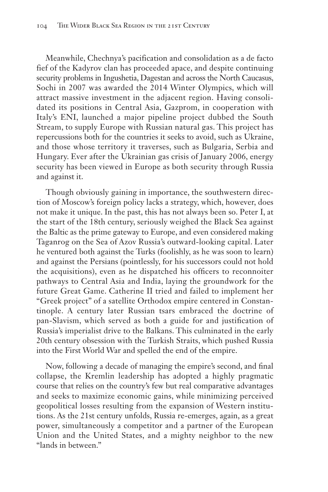Meanwhile, Chechnya's pacification and consolidation as a de facto fief of the Kadyrov clan has proceeded apace, and despite continuing security problems in Ingushetia, Dagestan and across the North Caucasus, Sochi in 2007 was awarded the 2014 Winter Olympics, which will attract massive investment in the adjacent region. Having consolidated its positions in Central Asia, Gazprom, in cooperation with Italy's ENI, launched a major pipeline project dubbed the South Stream, to supply Europe with Russian natural gas. This project has repercussions both for the countries it seeks to avoid, such as Ukraine, and those whose territory it traverses, such as Bulgaria, Serbia and Hungary. Ever after the Ukrainian gas crisis of January 2006, energy security has been viewed in Europe as both security through Russia and against it.

Though obviously gaining in importance, the southwestern direction of Moscow's foreign policy lacks a strategy, which, however, does not make it unique. In the past, this has not always been so. Peter I, at the start of the 18th century, seriously weighed the Black Sea against the Baltic as the prime gateway to Europe, and even considered making Taganrog on the Sea of Azov Russia's outward-looking capital. Later he ventured both against the Turks (foolishly, as he was soon to learn) and against the Persians (pointlessly, for his successors could not hold the acquisitions), even as he dispatched his officers to reconnoiter pathways to Central Asia and India, laying the groundwork for the future Great Game. Catherine II tried and failed to implement her "Greek project" of a satellite Orthodox empire centered in Constantinople. A century later Russian tsars embraced the doctrine of pan-Slavism, which served as both a guide for and justification of Russia's imperialist drive to the Balkans. This culminated in the early 20th century obsession with the Turkish Straits, which pushed Russia into the First World War and spelled the end of the empire.

Now, following a decade of managing the empire's second, and final collapse, the Kremlin leadership has adopted a highly pragmatic course that relies on the country's few but real comparative advantages and seeks to maximize economic gains, while minimizing perceived geopolitical losses resulting from the expansion of Western institutions. As the 21st century unfolds, Russia re-emerges, again, as a great power, simultaneously a competitor and a partner of the European Union and the United States, and a mighty neighbor to the new "lands in between."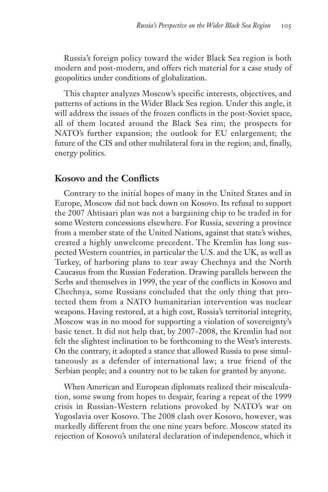Russia's foreign policy toward the wider Black Sea region is both modern and post-modern, and offers rich material for a case study of geopolitics under conditions of globalization.

This chapter analyzes Moscow's specific interests, objectives, and patterns of actions in the Wider Black Sea region. Under this angle, it will address the issues of the frozen conflicts in the post-Soviet space, all of them located around the Black Sea rim; the prospects for NATO's further expansion; the outlook for EU enlargement; the future of the CIS and other multilateral fora in the region; and, finally, energy politics.

### **Kosovo and the Conflicts**

Contrary to the initial hopes of many in the United States and in Europe, Moscow did not back down on Kosovo. Its refusal to support the 2007 Ahtisaari plan was not a bargaining chip to be traded in for some Western concessions elsewhere. For Russia, severing a province from a member state of the United Nations, against that state's wishes, created a highly unwelcome precedent. The Kremlin has long suspected Western countries, in particular the U.S. and the UK, as well as Turkey, of harboring plans to tear away Chechnya and the North Caucasus from the Russian Federation. Drawing parallels between the Serbs and themselves in 1999, the year of the conflicts in Kosovo and Chechnya, some Russians concluded that the only thing that protected them from a NATO humanitarian intervention was nuclear weapons. Having restored, at a high cost, Russia's territorial integrity, Moscow was in no mood for supporting a violation of sovereignty's basic tenet. It did not help that, by 2007-2008, the Kremlin had not felt the slightest inclination to be forthcoming to the West's interests. On the contrary, it adopted a stance that allowed Russia to pose simultaneously as a defender of international law; a true friend of the Serbian people; and a country not to be taken for granted by anyone.

When American and European diplomats realized their miscalculation, some swung from hopes to despair, fearing a repeat of the 1999 crisis in Russian-Western relations provoked by NATO's war on Yugoslavia over Kosovo. The 2008 clash over Kosovo, however, was markedly different from the one nine years before. Moscow stated its rejection of Kosovo's unilateral declaration of independence, which it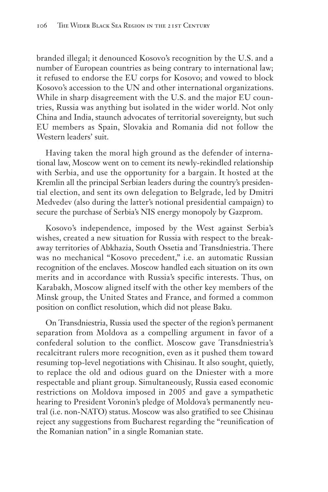branded illegal; it denounced Kosovo's recognition by the U.S. and a number of European countries as being contrary to international law; it refused to endorse the EU corps for Kosovo; and vowed to block Kosovo's accession to the UN and other international organizations. While in sharp disagreement with the U.S. and the major EU countries, Russia was anything but isolated in the wider world. Not only China and India, staunch advocates of territorial sovereignty, but such EU members as Spain, Slovakia and Romania did not follow the Western leaders' suit.

Having taken the moral high ground as the defender of international law, Moscow went on to cement its newly-rekindled relationship with Serbia, and use the opportunity for a bargain. It hosted at the Kremlin all the principal Serbian leaders during the country's presidential election, and sent its own delegation to Belgrade, led by Dmitri Medvedev (also during the latter's notional presidential campaign) to secure the purchase of Serbia's NIS energy monopoly by Gazprom.

Kosovo's independence, imposed by the West against Serbia's wishes, created a new situation for Russia with respect to the breakaway territories of Abkhazia, South Ossetia and Transdniestria. There was no mechanical "Kosovo precedent," i.e. an automatic Russian recognition of the enclaves. Moscow handled each situation on its own merits and in accordance with Russia's specific interests. Thus, on Karabakh, Moscow aligned itself with the other key members of the Minsk group, the United States and France, and formed a common position on conflict resolution, which did not please Baku.

On Transdniestria, Russia used the specter of the region's permanent separation from Moldova as a compelling argument in favor of a confederal solution to the conflict. Moscow gave Transdniestria's recalcitrant rulers more recognition, even as it pushed them toward resuming top-level negotiations with Chisinau. It also sought, quietly, to replace the old and odious guard on the Dniester with a more respectable and pliant group. Simultaneously, Russia eased economic restrictions on Moldova imposed in 2005 and gave a sympathetic hearing to President Voronin's pledge of Moldova's permanently neutral (i.e. non-NATO) status. Moscow was also gratified to see Chisinau reject any suggestions from Bucharest regarding the "reunification of the Romanian nation" in a single Romanian state.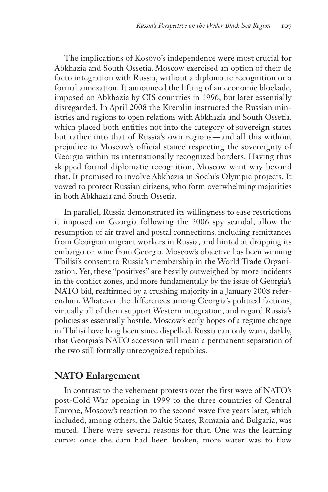The implications of Kosovo's independence were most crucial for Abkhazia and South Ossetia. Moscow exercised an option of their de facto integration with Russia, without a diplomatic recognition or a formal annexation. It announced the lifting of an economic blockade, imposed on Abkhazia by CIS countries in 1996, but later essentially disregarded. In April 2008 the Kremlin instructed the Russian ministries and regions to open relations with Abkhazia and South Ossetia, which placed both entities not into the category of sovereign states but rather into that of Russia's own regions— and all this without prejudice to Moscow's official stance respecting the sovereignty of Georgia within its internationally recognized borders. Having thus skipped formal diplomatic recognition, Moscow went way beyond that. It promised to involve Abkhazia in Sochi's Olympic projects. It vowed to protect Russian citizens, who form overwhelming majorities in both Abkhazia and South Ossetia.

In parallel, Russia demonstrated its willingness to ease restrictions it imposed on Georgia following the 2006 spy scandal, allow the resumption of air travel and postal connections, including remittances from Georgian migrant workers in Russia, and hinted at dropping its embargo on wine from Georgia. Moscow's objective has been winning Tbilisi's consent to Russia's membership in the World Trade Organization. Yet, these "positives" are heavily outweighed by more incidents in the conflict zones, and more fundamentally by the issue of Georgia's NATO bid, reaffirmed by a crushing majority in a January 2008 referendum. Whatever the differences among Georgia's political factions, virtually all of them support Western integration, and regard Russia's policies as essentially hostile. Moscow's early hopes of a regime change in Tbilisi have long been since dispelled. Russia can only warn, darkly, that Georgia's NATO accession will mean a permanent separation of the two still formally unrecognized republics.

### **NATO Enlargement**

In contrast to the vehement protests over the first wave of NATO's post-Cold War opening in 1999 to the three countries of Central Europe, Moscow's reaction to the second wave five years later, which included, among others, the Baltic States, Romania and Bulgaria, was muted. There were several reasons for that. One was the learning curve: once the dam had been broken, more water was to flow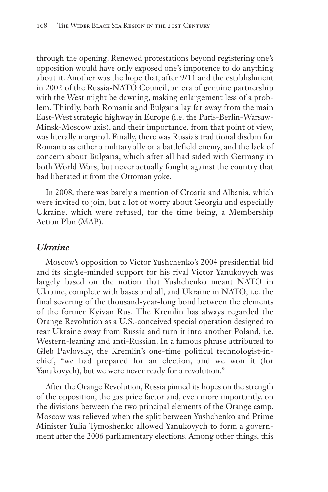through the opening. Renewed protestations beyond registering one's opposition would have only exposed one's impotence to do anything about it. Another was the hope that, after 9/11 and the establishment in 2002 of the Russia-NATO Council, an era of genuine partnership with the West might be dawning, making enlargement less of a problem. Thirdly, both Romania and Bulgaria lay far away from the main East-West strategic highway in Europe (i.e. the Paris-Berlin-Warsaw-Minsk-Moscow axis), and their importance, from that point of view, was literally marginal. Finally, there was Russia's traditional disdain for Romania as either a military ally or a battlefield enemy, and the lack of concern about Bulgaria, which after all had sided with Germany in both World Wars, but never actually fought against the country that had liberated it from the Ottoman yoke.

In 2008, there was barely a mention of Croatia and Albania, which were invited to join, but a lot of worry about Georgia and especially Ukraine, which were refused, for the time being, a Membership Action Plan (MAP).

#### *Ukraine*

Moscow's opposition to Victor Yushchenko's 2004 presidential bid and its single-minded support for his rival Victor Yanukovych was largely based on the notion that Yushchenko meant NATO in Ukraine, complete with bases and all, and Ukraine in NATO, i.e. the final severing of the thousand-year-long bond between the elements of the former Kyivan Rus. The Kremlin has always regarded the Orange Revolution as a U.S.-conceived special operation designed to tear Ukraine away from Russia and turn it into another Poland, i.e. Western-leaning and anti-Russian. In a famous phrase attributed to Gleb Pavlovsky, the Kremlin's one-time political technologist-inchief, "we had prepared for an election, and we won it (for Yanukovych), but we were never ready for a revolution."

After the Orange Revolution, Russia pinned its hopes on the strength of the opposition, the gas price factor and, even more importantly, on the divisions between the two principal elements of the Orange camp. Moscow was relieved when the split between Yushchenko and Prime Minister Yulia Tymoshenko allowed Yanukovych to form a government after the 2006 parliamentary elections. Among other things, this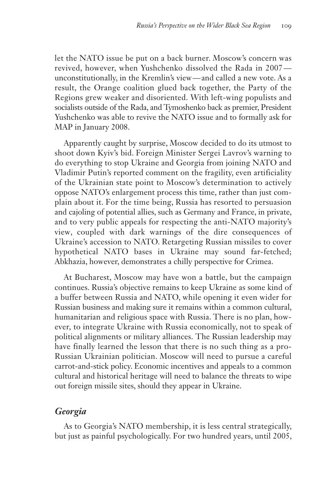let the NATO issue be put on a back burner. Moscow's concern was revived, however, when Yushchenko dissolved the Rada in 2007 unconstitutionally, in the Kremlin's view— and called a new vote. As a result, the Orange coalition glued back together, the Party of the Regions grew weaker and disoriented. With left-wing populists and socialists outside of the Rada, and Tymoshenko back as premier, President Yushchenko was able to revive the NATO issue and to formally ask for MAP in January 2008.

Apparently caught by surprise, Moscow decided to do its utmost to shoot down Kyiv's bid. Foreign Minister Sergei Lavrov's warning to do everything to stop Ukraine and Georgia from joining NATO and Vladimir Putin's reported comment on the fragility, even artificiality of the Ukrainian state point to Moscow's determination to actively oppose NATO's enlargement process this time, rather than just complain about it. For the time being, Russia has resorted to persuasion and cajoling of potential allies, such as Germany and France, in private, and to very public appeals for respecting the anti-NATO majority's view, coupled with dark warnings of the dire consequences of Ukraine's accession to NATO. Retargeting Russian missiles to cover hypothetical NATO bases in Ukraine may sound far-fetched; Abkhazia, however, demonstrates a chilly perspective for Crimea.

At Bucharest, Moscow may have won a battle, but the campaign continues. Russia's objective remains to keep Ukraine as some kind of a buffer between Russia and NATO, while opening it even wider for Russian business and making sure it remains within a common cultural, humanitarian and religious space with Russia. There is no plan, however, to integrate Ukraine with Russia economically, not to speak of political alignments or military alliances. The Russian leadership may have finally learned the lesson that there is no such thing as a pro-Russian Ukrainian politician. Moscow will need to pursue a careful carrot-and-stick policy. Economic incentives and appeals to a common cultural and historical heritage will need to balance the threats to wipe out foreign missile sites, should they appear in Ukraine.

# *Georgia*

As to Georgia's NATO membership, it is less central strategically, but just as painful psychologically. For two hundred years, until 2005,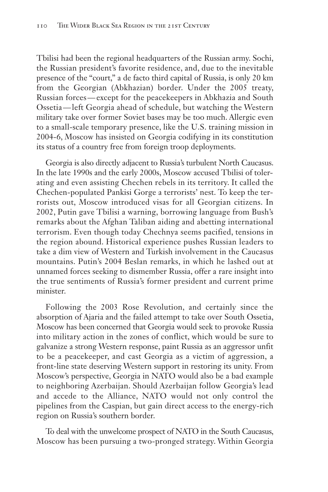Tbilisi had been the regional headquarters of the Russian army. Sochi, the Russian president's favorite residence, and, due to the inevitable presence of the "court," a de facto third capital of Russia, is only 20 km from the Georgian (Abkhazian) border. Under the 2005 treaty, Russian forces— except for the peacekeepers in Abkhazia and South Ossetia— left Georgia ahead of schedule, but watching the Western military take over former Soviet bases may be too much. Allergic even to a small-scale temporary presence, like the U.S. training mission in 2004-6, Moscow has insisted on Georgia codifying in its constitution its status of a country free from foreign troop deployments.

Georgia is also directly adjacent to Russia's turbulent North Caucasus. In the late 1990s and the early 2000s, Moscow accused Tbilisi of tolerating and even assisting Chechen rebels in its territory. It called the Chechen-populated Pankisi Gorge a terrorists' nest. To keep the terrorists out, Moscow introduced visas for all Georgian citizens. In 2002, Putin gave Tbilisi a warning, borrowing language from Bush's remarks about the Afghan Taliban aiding and abetting international terrorism. Even though today Chechnya seems pacified, tensions in the region abound. Historical experience pushes Russian leaders to take a dim view of Western and Turkish involvement in the Caucasus mountains. Putin's 2004 Beslan remarks, in which he lashed out at unnamed forces seeking to dismember Russia, offer a rare insight into the true sentiments of Russia's former president and current prime minister.

Following the 2003 Rose Revolution, and certainly since the absorption of Ajaria and the failed attempt to take over South Ossetia, Moscow has been concerned that Georgia would seek to provoke Russia into military action in the zones of conflict, which would be sure to galvanize a strong Western response, paint Russia as an aggressor unfit to be a peacekeeper, and cast Georgia as a victim of aggression, a front-line state deserving Western support in restoring its unity. From Moscow's perspective, Georgia in NATO would also be a bad example to neighboring Azerbaijan. Should Azerbaijan follow Georgia's lead and accede to the Alliance, NATO would not only control the pipelines from the Caspian, but gain direct access to the energy-rich region on Russia's southern border.

To deal with the unwelcome prospect of NATO in the South Caucasus, Moscow has been pursuing a two-pronged strategy. Within Georgia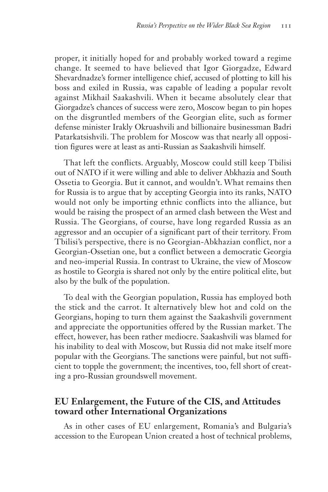proper, it initially hoped for and probably worked toward a regime change. It seemed to have believed that Igor Giorgadze, Edward Shevardnadze's former intelligence chief, accused of plotting to kill his boss and exiled in Russia, was capable of leading a popular revolt against Mikhail Saakashvili. When it became absolutely clear that Giorgadze's chances of success were zero, Moscow began to pin hopes on the disgruntled members of the Georgian elite, such as former defense minister Irakly Okruashvili and billionaire businessman Badri Patarkatsishvili. The problem for Moscow was that nearly all opposition figures were at least as anti-Russian as Saakashvili himself.

That left the conflicts. Arguably, Moscow could still keep Tbilisi out of NATO if it were willing and able to deliver Abkhazia and South Ossetia to Georgia. But it cannot, and wouldn't. What remains then for Russia is to argue that by accepting Georgia into its ranks, NATO would not only be importing ethnic conflicts into the alliance, but would be raising the prospect of an armed clash between the West and Russia. The Georgians, of course, have long regarded Russia as an aggressor and an occupier of a significant part of their territory. From Tbilisi's perspective, there is no Georgian-Abkhazian conflict, nor a Georgian-Ossetian one, but a conflict between a democratic Georgia and neo-imperial Russia. In contrast to Ukraine, the view of Moscow as hostile to Georgia is shared not only by the entire political elite, but also by the bulk of the population.

To deal with the Georgian population, Russia has employed both the stick and the carrot. It alternatively blew hot and cold on the Georgians, hoping to turn them against the Saakashvili government and appreciate the opportunities offered by the Russian market. The effect, however, has been rather mediocre. Saakashvili was blamed for his inability to deal with Moscow, but Russia did not make itself more popular with the Georgians. The sanctions were painful, but not sufficient to topple the government; the incentives, too, fell short of creating a pro-Russian groundswell movement.

## **EU Enlargement, the Future of the CIS, and Attitudes toward other International Organizations**

As in other cases of EU enlargement, Romania's and Bulgaria's accession to the European Union created a host of technical problems,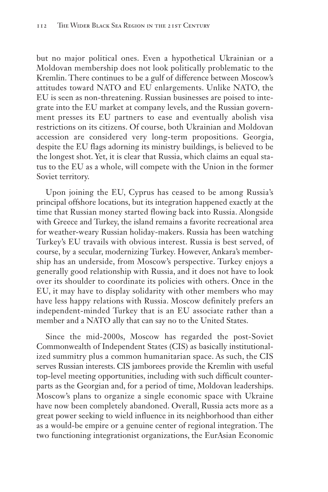but no major political ones. Even a hypothetical Ukrainian or a Moldovan membership does not look politically problematic to the Kremlin. There continues to be a gulf of difference between Moscow's attitudes toward NATO and EU enlargements. Unlike NATO, the EU is seen as non-threatening. Russian businesses are poised to integrate into the EU market at company levels, and the Russian government presses its EU partners to ease and eventually abolish visa restrictions on its citizens. Of course, both Ukrainian and Moldovan accession are considered very long-term propositions. Georgia, despite the EU flags adorning its ministry buildings, is believed to be the longest shot. Yet, it is clear that Russia, which claims an equal status to the EU as a whole, will compete with the Union in the former Soviet territory.

Upon joining the EU, Cyprus has ceased to be among Russia's principal offshore locations, but its integration happened exactly at the time that Russian money started flowing back into Russia. Alongside with Greece and Turkey, the island remains a favorite recreational area for weather-weary Russian holiday-makers. Russia has been watching Turkey's EU travails with obvious interest. Russia is best served, of course, by a secular, modernizing Turkey. However, Ankara's membership has an underside, from Moscow's perspective. Turkey enjoys a generally good relationship with Russia, and it does not have to look over its shoulder to coordinate its policies with others. Once in the EU, it may have to display solidarity with other members who may have less happy relations with Russia. Moscow definitely prefers an independent-minded Turkey that is an EU associate rather than a member and a NATO ally that can say no to the United States.

Since the mid-2000s, Moscow has regarded the post-Soviet Commonwealth of Independent States (CIS) as basically institutionalized summitry plus a common humanitarian space. As such, the CIS serves Russian interests. CIS jamborees provide the Kremlin with useful top-level meeting opportunities, including with such difficult counterparts as the Georgian and, for a period of time, Moldovan leaderships. Moscow's plans to organize a single economic space with Ukraine have now been completely abandoned. Overall, Russia acts more as a great power seeking to wield influence in its neighborhood than either as a would-be empire or a genuine center of regional integration. The two functioning integrationist organizations, the EurAsian Economic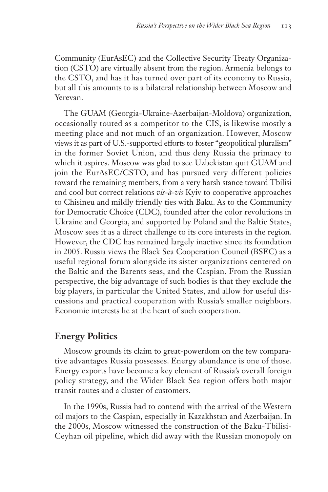Community (EurAsEC) and the Collective Security Treaty Organization (CSTO) are virtually absent from the region. Armenia belongs to the CSTO, and has it has turned over part of its economy to Russia, but all this amounts to is a bilateral relationship between Moscow and Yerevan.

The GUAM (Georgia-Ukraine-Azerbaijan-Moldova) organization, occasionally touted as a competitor to the CIS, is likewise mostly a meeting place and not much of an organization. However, Moscow views it as part of U.S.-supported efforts to foster "geopolitical pluralism" in the former Soviet Union, and thus deny Russia the primacy to which it aspires. Moscow was glad to see Uzbekistan quit GUAM and join the EurAsEC/CSTO, and has pursued very different policies toward the remaining members, from a very harsh stance toward Tbilisi and cool but correct relations *vis-à-vis* Kyiv to cooperative approaches to Chisineu and mildly friendly ties with Baku. As to the Community for Democratic Choice (CDC), founded after the color revolutions in Ukraine and Georgia, and supported by Poland and the Baltic States, Moscow sees it as a direct challenge to its core interests in the region. However, the CDC has remained largely inactive since its foundation in 2005. Russia views the Black Sea Cooperation Council (BSEC) as a useful regional forum alongside its sister organizations centered on the Baltic and the Barents seas, and the Caspian. From the Russian perspective, the big advantage of such bodies is that they exclude the big players, in particular the United States, and allow for useful discussions and practical cooperation with Russia's smaller neighbors. Economic interests lie at the heart of such cooperation.

# **Energy Politics**

Moscow grounds its claim to great-powerdom on the few comparative advantages Russia possesses. Energy abundance is one of those. Energy exports have become a key element of Russia's overall foreign policy strategy, and the Wider Black Sea region offers both major transit routes and a cluster of customers.

In the 1990s, Russia had to contend with the arrival of the Western oil majors to the Caspian, especially in Kazakhstan and Azerbaijan. In the 2000s, Moscow witnessed the construction of the Baku-Tbilisi-Ceyhan oil pipeline, which did away with the Russian monopoly on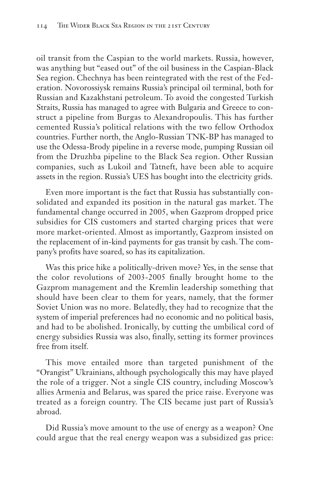oil transit from the Caspian to the world markets. Russia, however, was anything but "eased out" of the oil business in the Caspian-Black Sea region. Chechnya has been reintegrated with the rest of the Federation. Novorossiysk remains Russia's principal oil terminal, both for Russian and Kazakhstani petroleum. To avoid the congested Turkish Straits, Russia has managed to agree with Bulgaria and Greece to construct a pipeline from Burgas to Alexandropoulis. This has further cemented Russia's political relations with the two fellow Orthodox countries. Further north, the Anglo-Russian TNK-BP has managed to use the Odessa-Brody pipeline in a reverse mode, pumping Russian oil from the Druzhba pipeline to the Black Sea region. Other Russian companies, such as Lukoil and Tatneft, have been able to acquire assets in the region. Russia's UES has bought into the electricity grids.

Even more important is the fact that Russia has substantially consolidated and expanded its position in the natural gas market. The fundamental change occurred in 2005, when Gazprom dropped price subsidies for CIS customers and started charging prices that were more market-oriented. Almost as importantly, Gazprom insisted on the replacement of in-kind payments for gas transit by cash. The company's profits have soared, so has its capitalization.

Was this price hike a politically-driven move? Yes, in the sense that the color revolutions of 2003-2005 finally brought home to the Gazprom management and the Kremlin leadership something that should have been clear to them for years, namely, that the former Soviet Union was no more. Belatedly, they had to recognize that the system of imperial preferences had no economic and no political basis, and had to be abolished. Ironically, by cutting the umbilical cord of energy subsidies Russia was also, finally, setting its former provinces free from itself.

This move entailed more than targeted punishment of the "Orangist" Ukrainians, although psychologically this may have played the role of a trigger. Not a single CIS country, including Moscow's allies Armenia and Belarus, was spared the price raise. Everyone was treated as a foreign country. The CIS became just part of Russia's abroad.

Did Russia's move amount to the use of energy as a weapon? One could argue that the real energy weapon was a subsidized gas price: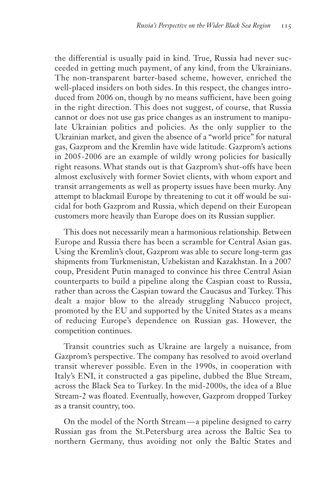the differential is usually paid in kind. True, Russia had never succeeded in getting much payment, of any kind, from the Ukrainians. The non-transparent barter-based scheme, however, enriched the well-placed insiders on both sides. In this respect, the changes introduced from 2006 on, though by no means sufficient, have been going in the right direction. This does not suggest, of course, that Russia cannot or does not use gas price changes as an instrument to manipulate Ukrainian politics and policies. As the only supplier to the Ukrainian market, and given the absence of a "world price" for natural gas, Gazprom and the Kremlin have wide latitude. Gazprom's actions in 2005-2006 are an example of wildly wrong policies for basically right reasons. What stands out is that Gazprom's shut-offs have been almost exclusively with former Soviet clients, with whom export and transit arrangements as well as property issues have been murky. Any attempt to blackmail Europe by threatening to cut it off would be suicidal for both Gazprom and Russia, which depend on their European customers more heavily than Europe does on its Russian supplier.

This does not necessarily mean a harmonious relationship. Between Europe and Russia there has been a scramble for Central Asian gas. Using the Kremlin's clout, Gazprom was able to secure long-term gas shipments from Turkmenistan, Uzbekistan and Kazakhstan. In a 2007 coup, President Putin managed to convince his three Central Asian counterparts to build a pipeline along the Caspian coast to Russia, rather than across the Caspian toward the Caucasus and Turkey. This dealt a major blow to the already struggling Nabucco project, promoted by the EU and supported by the United States as a means of reducing Europe's dependence on Russian gas. However, the competition continues.

Transit countries such as Ukraine are largely a nuisance, from Gazprom's perspective. The company has resolved to avoid overland transit wherever possible. Even in the 1990s, in cooperation with Italy's ENI, it constructed a gas pipeline, dubbed the Blue Stream, across the Black Sea to Turkey. In the mid-2000s, the idea of a Blue Stream-2 was floated. Eventually, however, Gazprom dropped Turkey as a transit country, too.

On the model of the North Stream— a pipeline designed to carry Russian gas from the St.Petersburg area across the Baltic Sea to northern Germany, thus avoiding not only the Baltic States and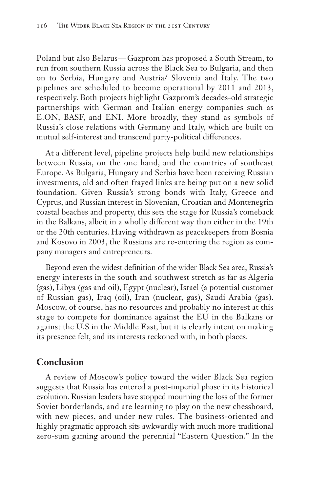Poland but also Belarus— Gazprom has proposed a South Stream, to run from southern Russia across the Black Sea to Bulgaria, and then on to Serbia, Hungary and Austria/ Slovenia and Italy. The two pipelines are scheduled to become operational by 2011 and 2013, respectively. Both projects highlight Gazprom's decades-old strategic partnerships with German and Italian energy companies such as E.ON, BASF, and ENI. More broadly, they stand as symbols of Russia's close relations with Germany and Italy, which are built on mutual self-interest and transcend party-political differences.

At a different level, pipeline projects help build new relationships between Russia, on the one hand, and the countries of southeast Europe. As Bulgaria, Hungary and Serbia have been receiving Russian investments, old and often frayed links are being put on a new solid foundation. Given Russia's strong bonds with Italy, Greece and Cyprus, and Russian interest in Slovenian, Croatian and Montenegrin coastal beaches and property, this sets the stage for Russia's comeback in the Balkans, albeit in a wholly different way than either in the 19th or the 20th centuries. Having withdrawn as peacekeepers from Bosnia and Kosovo in 2003, the Russians are re-entering the region as company managers and entrepreneurs.

Beyond even the widest definition of the wider Black Sea area, Russia's energy interests in the south and southwest stretch as far as Algeria (gas), Libya (gas and oil), Egypt (nuclear), Israel (a potential customer of Russian gas), Iraq (oil), Iran (nuclear, gas), Saudi Arabia (gas). Moscow, of course, has no resources and probably no interest at this stage to compete for dominance against the EU in the Balkans or against the U.S in the Middle East, but it is clearly intent on making its presence felt, and its interests reckoned with, in both places.

### **Conclusion**

A review of Moscow's policy toward the wider Black Sea region suggests that Russia has entered a post-imperial phase in its historical evolution. Russian leaders have stopped mourning the loss of the former Soviet borderlands, and are learning to play on the new chessboard, with new pieces, and under new rules. The business-oriented and highly pragmatic approach sits awkwardly with much more traditional zero-sum gaming around the perennial "Eastern Question." In the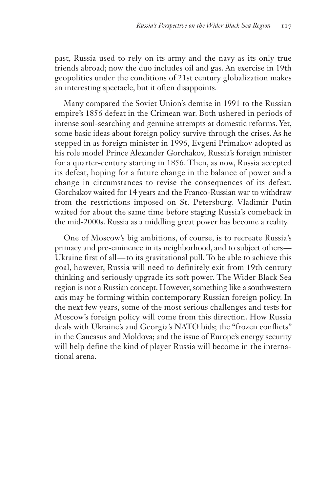past, Russia used to rely on its army and the navy as its only true friends abroad; now the duo includes oil and gas. An exercise in 19th geopolitics under the conditions of 21st century globalization makes an interesting spectacle, but it often disappoints.

Many compared the Soviet Union's demise in 1991 to the Russian empire's 1856 defeat in the Crimean war. Both ushered in periods of intense soul-searching and genuine attempts at domestic reforms. Yet, some basic ideas about foreign policy survive through the crises. As he stepped in as foreign minister in 1996, Evgeni Primakov adopted as his role model Prince Alexander Gorchakov, Russia's foreign minister for a quarter-century starting in 1856. Then, as now, Russia accepted its defeat, hoping for a future change in the balance of power and a change in circumstances to revise the consequences of its defeat. Gorchakov waited for 14 years and the Franco-Russian war to withdraw from the restrictions imposed on St. Petersburg. Vladimir Putin waited for about the same time before staging Russia's comeback in the mid-2000s. Russia as a middling great power has become a reality.

One of Moscow's big ambitions, of course, is to recreate Russia's primacy and pre-eminence in its neighborhood, and to subject others — Ukraine first of all—to its gravitational pull. To be able to achieve this goal, however, Russia will need to definitely exit from 19th century thinking and seriously upgrade its soft power. The Wider Black Sea region is not a Russian concept. However, something like a southwestern axis may be forming within contemporary Russian foreign policy. In the next few years, some of the most serious challenges and tests for Moscow's foreign policy will come from this direction. How Russia deals with Ukraine's and Georgia's NATO bids; the "frozen conflicts" in the Caucasus and Moldova; and the issue of Europe's energy security will help define the kind of player Russia will become in the international arena.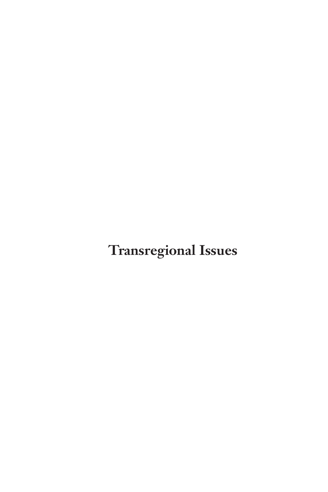**Transregional Issues**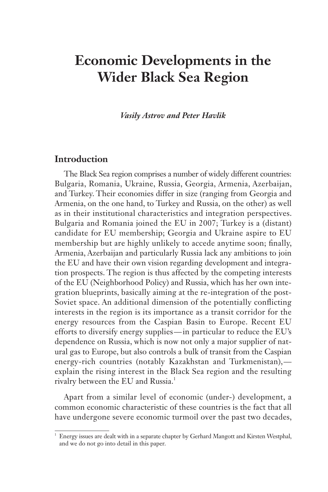# **Economic Developments in the Wider Black Sea Region**

*Vasily Astrov and Peter Havlik*

#### **Introduction**

The Black Sea region comprises a number of widely different countries: Bulgaria, Romania, Ukraine, Russia, Georgia, Armenia, Azerbaijan, and Turkey. Their economies differ in size (ranging from Georgia and Armenia, on the one hand, to Turkey and Russia, on the other) as well as in their institutional characteristics and integration perspectives. Bulgaria and Romania joined the EU in 2007; Turkey is a (distant) candidate for EU membership; Georgia and Ukraine aspire to EU membership but are highly unlikely to accede anytime soon; finally, Armenia, Azerbaijan and particularly Russia lack any ambitions to join the EU and have their own vision regarding development and integration prospects. The region is thus affected by the competing interests of the EU (Neighborhood Policy) and Russia, which has her own integration blueprints, basically aiming at the re-integration of the post-Soviet space. An additional dimension of the potentially conflicting interests in the region is its importance as a transit corridor for the energy resources from the Caspian Basin to Europe. Recent EU efforts to diversify energy supplies — in particular to reduce the EU's dependence on Russia, which is now not only a major supplier of natural gas to Europe, but also controls a bulk of transit from the Caspian energy-rich countries (notably Kazakhstan and Turkmenistan), explain the rising interest in the Black Sea region and the resulting rivalry between the EU and Russia.<sup>1</sup>

Apart from a similar level of economic (under-) development, a common economic characteristic of these countries is the fact that all have undergone severe economic turmoil over the past two decades,

<sup>1</sup> Energy issues are dealt with in a separate chapter by Gerhard Mangott and Kirsten Westphal, and we do not go into detail in this paper.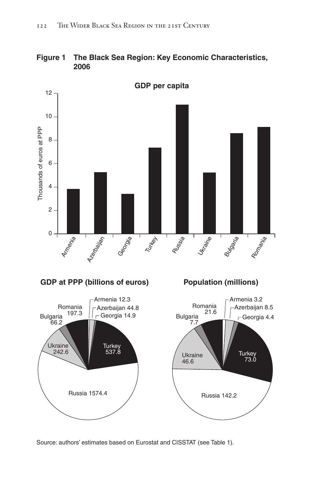



Source: authors' estimates based on Eurostat and CISSTAT (see Table 1).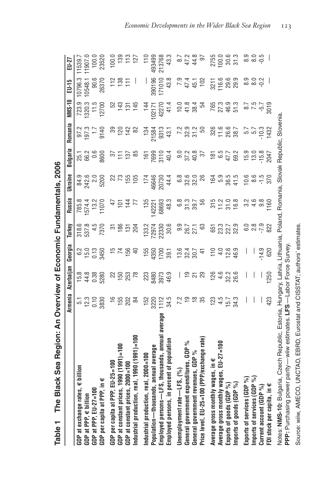|                                                  |               | Armenia Azerbaijan   | Georgia              | Turkey          | Russia           | Ukraine                 | Bulgaria          | Romania                    | <b>NMS-10</b>  | EU-15                    | EU-27             |
|--------------------------------------------------|---------------|----------------------|----------------------|-----------------|------------------|-------------------------|-------------------|----------------------------|----------------|--------------------------|-------------------|
| $GDP$ at exchange rates, $\epsilon$ billion      |               |                      |                      | 318.6           |                  |                         |                   |                            | 723.9          | 10796.3                  | 11539.7           |
| $GDP$ at PPP, $\in$ billion                      | 5. 1<br>12. 3 | $15.8$<br>44.8       | 6.2<br>15.0          | 537.8           | 785.8<br>1574.4  |                         | 25.1<br>66.2      | 97.3<br>197.3              | 320.3          | 0548.1                   | 11907.0           |
| GDP at PPP, EU-27=100                            | 0.10          | 0.38                 | $\frac{13}{2}$       | 4.5             | $\frac{13}{12}$  | 94.9<br>84.21<br>84.21  | 0.6               | $\frac{1}{2}$              | 11.5           | 90.6                     | 100.0             |
| GDP per capita at PPP, in $\epsilon$             | 3830          | 5280                 | 3450                 | 7370            | 1070             | 5200                    | <b>9600</b>       | 9140                       | 12700          | 26370                    | 23520             |
| GDP per capita at PPP, EU-25=100                 | $\frac{6}{1}$ |                      |                      |                 | 47               |                         |                   |                            | 52             | 112                      | 100.0             |
| GDP at constant prices, 1990 (1991)=100          | 155           | 22<br>150<br>253     | 15<br>15<br>15<br>15 | $rac{25}{180}$  | $\overline{5}$   | 22<br>73                | $rac{11}{56}$     | ន<br>ខេ                    | 143            | $\frac{28}{11}$          | 139               |
| GDP at constant prices, 2000=100                 | 202           |                      |                      | $\frac{1}{3}$   | $\frac{4}{3}$    | 155                     | 137               | 142                        | 131            |                          |                   |
| Industrial production, real, 1990 (1991)=100     | 84            | 78                   | $\triangleq$         | 204             | F                | 105                     | 85                | 82                         | 145            | $\overline{\phantom{a}}$ | $113$<br>$127$    |
| Industrial production, real, 2000=100            | 152           | 223                  | 155                  | 133.2           | 135              | 174                     | $\frac{1}{6}$     | 134                        | 144            | I                        | 110               |
| Population-thousands, annual average             | 3220          | 3480                 | 4350                 | 72974           | 42221            | 6646                    | 7699              | 21584                      | 02171          | 390196                   | 493499            |
| Employed persons —LFS, thousands, annual average | 1112          | 3973                 | 1700                 | 22330           | 68693            | 20730                   | 3110              | 9313                       | 42270          | 171010                   | 213768            |
| Employed persons, in percent of population       | 34.5          | 46.9                 | 39.1                 | 30.6            | 48.3             | 44.4                    | 40.4              | 43.1                       | 41.4           | 43.8                     | 43.3              |
| Unemployment rate $-\mathsf{LFS}$ , (%)          | 7.2           | L                    | 13.6                 | 9.9             | 6.8              | 6.8                     | 0.0               | 7.2                        | 10.0           |                          | 8.7               |
| General government expenditures, GDP %           | $\frac{1}{2}$ |                      |                      | 26.7<br>27.1    |                  | 32.0<br>32.0            | 37.2<br>40.8      |                            |                | $745.1$<br>45.1          | 47.2<br>44.8      |
| General government revenues, GDP %               | $\frac{8}{1}$ | $\frac{9}{2}$ ភ្ន    | $32.7$<br>$30.7$     |                 | 33.7             |                         |                   | 32.3<br>31.2               | $41.8$<br>38.4 |                          |                   |
| Price level, EU-25=100 (PPP/exchange rate)       | 35            |                      | $\ddot{+}$           | 63              | 56               | 26                      | 57                | 50                         | 54             | 102                      | 57                |
| Average gross monthly wages, in €                | 123           |                      |                      | 651             | 315              | 164                     |                   | 326                        | 765            | 3211                     | 2755              |
| $EU-27 = 100$<br>Average gross monthly wages,    | 4.5           |                      |                      | 23.3            |                  |                         |                   |                            | 27.3           | 116.6                    | 100.0             |
| Exports of goods (GDP %)                         | 15.7          | $126$<br>4.6<br>32.2 |                      | 22.7            | $7.08$<br>$7.08$ | 5<br>5 5 5 9<br>5 9 5 9 | $47.7$<br>47.7    | $7.66$<br>$7.88$<br>$7.88$ | 46.9           | 29.6                     | 30.6              |
| Imports of goods (GDP %)                         | 34.3          | 26.6                 | 46.9                 | 32.9            |                  |                         | 69.2              |                            | 51.3           | 29.9                     | 31.3              |
| Exports of services (GDP %)                      | I             | I                    | I                    | C.O             | 3.2              | 10.6                    | 15.9              |                            |                |                          | 8.9               |
| Imports of services (GDP %)                      | I             | I                    | I                    | $2.9$<br>$-7.9$ | 498              | $8.5$<br>$-1.5$         |                   | 5.7<br>5.7<br>5.7<br>5.7   | 3757<br>875    | တ္ ၀ လု<br>ထိ ထိ ဝု      | $\frac{6}{6}$ , 8 |
| Current account (GDP %)                          |               | I                    | $-14.9$              |                 |                  |                         | $13.0$<br>$-15.8$ |                            |                |                          |                   |
| FDI stock per capita, in €                       | 423           | 1250                 | 620                  | 822             | 1160             | 370                     | 2047              | 1432                       | 3019           |                          |                   |

Table 1 The Black Sea Region: An Overview of Economic Fundamentals, 2006 **Table 1 The Black Sea Region: An Overview of Economic Fundamentals, 2006** Notes: **NMS-10:** Bulgaria, Czech Republic, Estonia, Hungary, Latvia, Lithuania, Poland, Romania, Slovak Republic, Slovenia.<br>PPP: Purchasing power parity—wiw estimates. LFS—Labor Force Survey. Notes: **NMS-10:** Bulgaria, Czech Republic, Estonia, Hungary, Latvia, Lithuania, Poland, Romania, Slovak Republic, Slovenia. **PPP:** Purchasing power parity — wiiw estimates. **LFS** — Labor Force Survey.

Source: wiiw, AMECO, UNCTAD, EBRD, Eurostat and CISSTAT; authors' estimates. Source: wiiw, AMECO, UNCTAD, EBRD, Eurostat and CISSTAT; authors' estimates.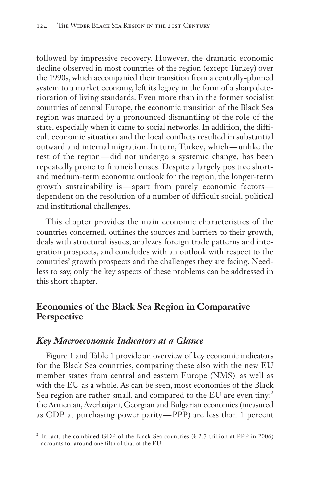followed by impressive recovery. However, the dramatic economic decline observed in most countries of the region (except Turkey) over the 1990s, which accompanied their transition from a centrally-planned system to a market economy, left its legacy in the form of a sharp deterioration of living standards. Even more than in the former socialist countries of central Europe, the economic transition of the Black Sea region was marked by a pronounced dismantling of the role of the state, especially when it came to social networks. In addition, the difficult economic situation and the local conflicts resulted in substantial outward and internal migration. In turn, Turkey, which — unlike the rest of the region — did not undergo a systemic change, has been repeatedly prone to financial crises. Despite a largely positive shortand medium-term economic outlook for the region, the longer-term growth sustainability is — apart from purely economic factors dependent on the resolution of a number of difficult social, political and institutional challenges.

This chapter provides the main economic characteristics of the countries concerned, outlines the sources and barriers to their growth, deals with structural issues, analyzes foreign trade patterns and integration prospects, and concludes with an outlook with respect to the countries' growth prospects and the challenges they are facing. Needless to say, only the key aspects of these problems can be addressed in this short chapter.

# **Economies of the Black Sea Region in Comparative Perspective**

### *Key Macroeconomic Indicators at a Glance*

Figure 1 and Table 1 provide an overview of key economic indicators for the Black Sea countries, comparing these also with the new EU member states from central and eastern Europe (NMS), as well as with the EU as a whole. As can be seen, most economies of the Black Sea region are rather small, and compared to the EU are even tiny:<sup>2</sup> the Armenian, Azerbaijani, Georgian and Bulgarian economies (measured as GDP at purchasing power parity — PPP) are less than 1 percent

<sup>&</sup>lt;sup>2</sup> In fact, the combined GDP of the Black Sea countries ( $\epsilon$  2.7 trillion at PPP in 2006) accounts for around one fifth of that of the EU.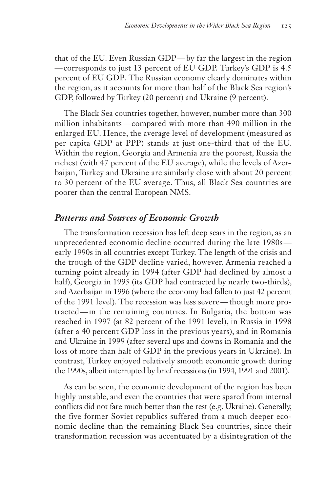that of the EU. Even Russian GDP — by far the largest in the region — corresponds to just 13 percent of EU GDP. Turkey's GDP is 4.5 percent of EU GDP. The Russian economy clearly dominates within the region, as it accounts for more than half of the Black Sea region's GDP, followed by Turkey (20 percent) and Ukraine (9 percent).

The Black Sea countries together, however, number more than 300 million inhabitants — compared with more than 490 million in the enlarged EU. Hence, the average level of development (measured as per capita GDP at PPP) stands at just one-third that of the EU. Within the region, Georgia and Armenia are the poorest, Russia the richest (with 47 percent of the EU average), while the levels of Azerbaijan, Turkey and Ukraine are similarly close with about 20 percent to 30 percent of the EU average. Thus, all Black Sea countries are poorer than the central European NMS.

## *Patterns and Sources of Economic Growth*

The transformation recession has left deep scars in the region, as an unprecedented economic decline occurred during the late 1980searly 1990s in all countries except Turkey. The length of the crisis and the trough of the GDP decline varied, however. Armenia reached a turning point already in 1994 (after GDP had declined by almost a half), Georgia in 1995 (its GDP had contracted by nearly two-thirds), and Azerbaijan in 1996 (where the economy had fallen to just 42 percent of the 1991 level). The recession was less severe — though more protracted — in the remaining countries. In Bulgaria, the bottom was reached in 1997 (at 82 percent of the 1991 level), in Russia in 1998 (after a 40 percent GDP loss in the previous years), and in Romania and Ukraine in 1999 (after several ups and downs in Romania and the loss of more than half of GDP in the previous years in Ukraine). In contrast, Turkey enjoyed relatively smooth economic growth during the 1990s, albeit interrupted by brief recessions (in 1994, 1991 and 2001).

As can be seen, the economic development of the region has been highly unstable, and even the countries that were spared from internal conflicts did not fare much better than the rest (e.g. Ukraine). Generally, the five former Soviet republics suffered from a much deeper economic decline than the remaining Black Sea countries, since their transformation recession was accentuated by a disintegration of the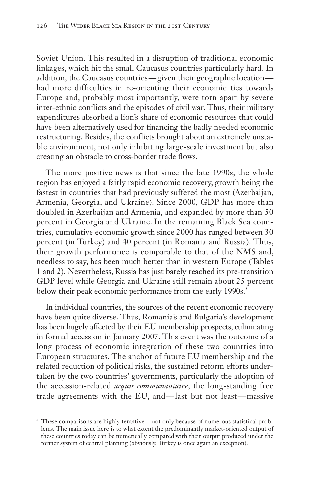Soviet Union. This resulted in a disruption of traditional economic linkages, which hit the small Caucasus countries particularly hard. In addition, the Caucasus countries — given their geographic location had more difficulties in re-orienting their economic ties towards Europe and, probably most importantly, were torn apart by severe inter-ethnic conflicts and the episodes of civil war. Thus, their military expenditures absorbed a lion's share of economic resources that could have been alternatively used for financing the badly needed economic restructuring. Besides, the conflicts brought about an extremely unstable environment, not only inhibiting large-scale investment but also creating an obstacle to cross-border trade flows.

The more positive news is that since the late 1990s, the whole region has enjoyed a fairly rapid economic recovery, growth being the fastest in countries that had previously suffered the most (Azerbaijan, Armenia, Georgia, and Ukraine). Since 2000, GDP has more than doubled in Azerbaijan and Armenia, and expanded by more than 50 percent in Georgia and Ukraine. In the remaining Black Sea countries, cumulative economic growth since 2000 has ranged between 30 percent (in Turkey) and 40 percent (in Romania and Russia). Thus, their growth performance is comparable to that of the NMS and, needless to say, has been much better than in western Europe (Tables 1 and 2). Nevertheless, Russia has just barely reached its pre-transition GDP level while Georgia and Ukraine still remain about 25 percent below their peak economic performance from the early 1990s.<sup>3</sup>

In individual countries, the sources of the recent economic recovery have been quite diverse. Thus, Romania's and Bulgaria's development has been hugely affected by their EU membership prospects, culminating in formal accession in January 2007. This event was the outcome of a long process of economic integration of these two countries into European structures. The anchor of future EU membership and the related reduction of political risks, the sustained reform efforts undertaken by the two countries' governments, particularly the adoption of the accession-related *acquis communautaire*, the long-standing free trade agreements with the EU, and — last but not least — massive

These comparisons are highly tentative — not only because of numerous statistical problems. The main issue here is to what extent the predominantly market-oriented output of these countries today can be numerically compared with their output produced under the former system of central planning (obviously, Turkey is once again an exception).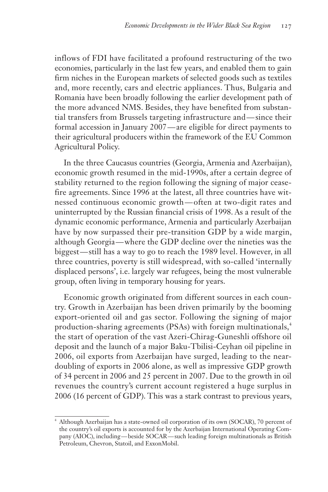inflows of FDI have facilitated a profound restructuring of the two economies, particularly in the last few years, and enabled them to gain firm niches in the European markets of selected goods such as textiles and, more recently, cars and electric appliances. Thus, Bulgaria and Romania have been broadly following the earlier development path of the more advanced NMS. Besides, they have benefited from substantial transfers from Brussels targeting infrastructure and — since their formal accession in January 2007 — are eligible for direct payments to their agricultural producers within the framework of the EU Common Agricultural Policy.

In the three Caucasus countries (Georgia, Armenia and Azerbaijan), economic growth resumed in the mid-1990s, after a certain degree of stability returned to the region following the signing of major ceasefire agreements. Since 1996 at the latest, all three countries have witnessed continuous economic growth — often at two-digit rates and uninterrupted by the Russian financial crisis of 1998. As a result of the dynamic economic performance, Armenia and particularly Azerbaijan have by now surpassed their pre-transition GDP by a wide margin, although Georgia — where the GDP decline over the nineties was the biggest — still has a way to go to reach the 1989 level. However, in all three countries, poverty is still widespread, with so-called 'internally displaced persons', i.e. largely war refugees, being the most vulnerable group, often living in temporary housing for years.

Economic growth originated from different sources in each country. Growth in Azerbaijan has been driven primarily by the booming export-oriented oil and gas sector. Following the signing of major production-sharing agreements (PSAs) with foreign multinationals,<sup>4</sup> the start of operation of the vast Azeri-Chirag-Guneshli offshore oil deposit and the launch of a major Baku-Tbilisi-Ceyhan oil pipeline in 2006, oil exports from Azerbaijan have surged, leading to the neardoubling of exports in 2006 alone, as well as impressive GDP growth of 34 percent in 2006 and 25 percent in 2007. Due to the growth in oil revenues the country's current account registered a huge surplus in 2006 (16 percent of GDP). This was a stark contrast to previous years,

<sup>4</sup> Although Azerbaijan has a state-owned oil corporation of its own (SOCAR), 70 percent of the country's oil exports is accounted for by the Azerbaijan International Operating Company (AIOC), including — beside SOCAR — such leading foreign multinationals as British Petroleum, Chevron, Statoil, and ExxonMobil.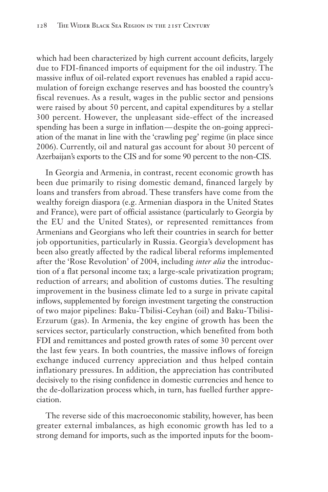which had been characterized by high current account deficits, largely due to FDI-financed imports of equipment for the oil industry. The massive influx of oil-related export revenues has enabled a rapid accumulation of foreign exchange reserves and has boosted the country's fiscal revenues. As a result, wages in the public sector and pensions were raised by about 50 percent, and capital expenditures by a stellar 300 percent. However, the unpleasant side-effect of the increased spending has been a surge in inflation — despite the on-going appreciation of the manat in line with the 'crawling peg' regime (in place since 2006). Currently, oil and natural gas account for about 30 percent of Azerbaijan's exports to the CIS and for some 90 percent to the non-CIS.

In Georgia and Armenia, in contrast, recent economic growth has been due primarily to rising domestic demand, financed largely by loans and transfers from abroad. These transfers have come from the wealthy foreign diaspora (e.g. Armenian diaspora in the United States and France), were part of official assistance (particularly to Georgia by the EU and the United States), or represented remittances from Armenians and Georgians who left their countries in search for better job opportunities, particularly in Russia. Georgia's development has been also greatly affected by the radical liberal reforms implemented after the 'Rose Revolution' of 2004, including *inter alia* the introduction of a flat personal income tax; a large-scale privatization program; reduction of arrears; and abolition of customs duties. The resulting improvement in the business climate led to a surge in private capital inflows, supplemented by foreign investment targeting the construction of two major pipelines: Baku-Tbilisi-Ceyhan (oil) and Baku-Tbilisi-Erzurum (gas). In Armenia, the key engine of growth has been the services sector, particularly construction, which benefited from both FDI and remittances and posted growth rates of some 30 percent over the last few years. In both countries, the massive inflows of foreign exchange induced currency appreciation and thus helped contain inflationary pressures. In addition, the appreciation has contributed decisively to the rising confidence in domestic currencies and hence to the de-dollarization process which, in turn, has fuelled further appreciation.

The reverse side of this macroeconomic stability, however, has been greater external imbalances, as high economic growth has led to a strong demand for imports, such as the imported inputs for the boom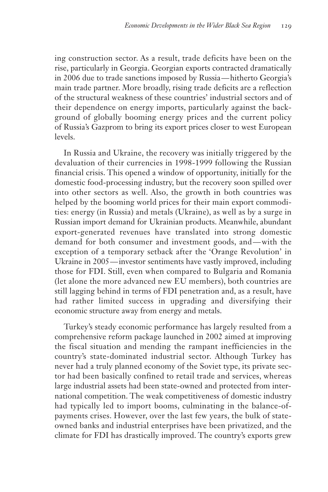ing construction sector. As a result, trade deficits have been on the rise, particularly in Georgia. Georgian exports contracted dramatically in 2006 due to trade sanctions imposed by Russia — hitherto Georgia's main trade partner. More broadly, rising trade deficits are a reflection of the structural weakness of these countries' industrial sectors and of their dependence on energy imports, particularly against the background of globally booming energy prices and the current policy of Russia's Gazprom to bring its export prices closer to west European levels.

In Russia and Ukraine, the recovery was initially triggered by the devaluation of their currencies in 1998-1999 following the Russian financial crisis. This opened a window of opportunity, initially for the domestic food-processing industry, but the recovery soon spilled over into other sectors as well. Also, the growth in both countries was helped by the booming world prices for their main export commodities: energy (in Russia) and metals (Ukraine), as well as by a surge in Russian import demand for Ukrainian products. Meanwhile, abundant export-generated revenues have translated into strong domestic demand for both consumer and investment goods, and — with the exception of a temporary setback after the 'Orange Revolution' in Ukraine in 2005 — investor sentiments have vastly improved, including those for FDI. Still, even when compared to Bulgaria and Romania (let alone the more advanced new EU members), both countries are still lagging behind in terms of FDI penetration and, as a result, have had rather limited success in upgrading and diversifying their economic structure away from energy and metals.

Turkey's steady economic performance has largely resulted from a comprehensive reform package launched in 2002 aimed at improving the fiscal situation and mending the rampant inefficiencies in the country's state-dominated industrial sector. Although Turkey has never had a truly planned economy of the Soviet type, its private sector had been basically confined to retail trade and services, whereas large industrial assets had been state-owned and protected from international competition. The weak competitiveness of domestic industry had typically led to import booms, culminating in the balance-ofpayments crises. However, over the last few years, the bulk of stateowned banks and industrial enterprises have been privatized, and the climate for FDI has drastically improved. The country's exports grew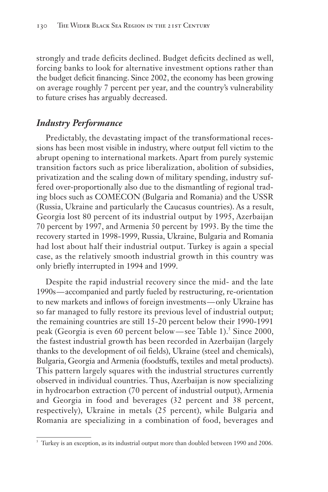strongly and trade deficits declined. Budget deficits declined as well, forcing banks to look for alternative investment options rather than the budget deficit financing. Since 2002, the economy has been growing on average roughly 7 percent per year, and the country's vulnerability to future crises has arguably decreased.

# *Industry Performance*

Predictably, the devastating impact of the transformational recessions has been most visible in industry, where output fell victim to the abrupt opening to international markets. Apart from purely systemic transition factors such as price liberalization, abolition of subsidies, privatization and the scaling down of military spending, industry suffered over-proportionally also due to the dismantling of regional trading blocs such as COMECON (Bulgaria and Romania) and the USSR (Russia, Ukraine and particularly the Caucasus countries). As a result, Georgia lost 80 percent of its industrial output by 1995, Azerbaijan 70 percent by 1997, and Armenia 50 percent by 1993. By the time the recovery started in 1998-1999, Russia, Ukraine, Bulgaria and Romania had lost about half their industrial output. Turkey is again a special case, as the relatively smooth industrial growth in this country was only briefly interrupted in 1994 and 1999.

Despite the rapid industrial recovery since the mid- and the late 1990s — accompanied and partly fueled by restructuring, re-orientation to new markets and inflows of foreign investments — only Ukraine has so far managed to fully restore its previous level of industrial output; the remaining countries are still 15-20 percent below their 1990-1991 peak (Georgia is even 60 percent below—see Table 1).<sup>5</sup> Since 2000, the fastest industrial growth has been recorded in Azerbaijan (largely thanks to the development of oil fields), Ukraine (steel and chemicals), Bulgaria, Georgia and Armenia (foodstuffs, textiles and metal products). This pattern largely squares with the industrial structures currently observed in individual countries. Thus, Azerbaijan is now specializing in hydrocarbon extraction (70 percent of industrial output), Armenia and Georgia in food and beverages (32 percent and 38 percent, respectively), Ukraine in metals (25 percent), while Bulgaria and Romania are specializing in a combination of food, beverages and

 $5$  Turkey is an exception, as its industrial output more than doubled between 1990 and 2006.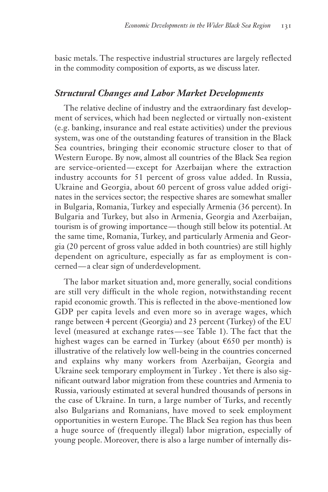basic metals. The respective industrial structures are largely reflected in the commodity composition of exports, as we discuss later.

### *Structural Changes and Labor Market Developments*

The relative decline of industry and the extraordinary fast development of services, which had been neglected or virtually non-existent (e.g. banking, insurance and real estate activities) under the previous system, was one of the outstanding features of transition in the Black Sea countries, bringing their economic structure closer to that of Western Europe. By now, almost all countries of the Black Sea region are service-oriented — except for Azerbaijan where the extraction industry accounts for 51 percent of gross value added. In Russia, Ukraine and Georgia, about 60 percent of gross value added originates in the services sector; the respective shares are somewhat smaller in Bulgaria, Romania, Turkey and especially Armenia (36 percent). In Bulgaria and Turkey, but also in Armenia, Georgia and Azerbaijan, tourism is of growing importance — though still below its potential. At the same time, Romania, Turkey, and particularly Armenia and Georgia (20 percent of gross value added in both countries) are still highly dependent on agriculture, especially as far as employment is concerned — a clear sign of underdevelopment.

The labor market situation and, more generally, social conditions are still very difficult in the whole region, notwithstanding recent rapid economic growth. This is reflected in the above-mentioned low GDP per capita levels and even more so in average wages, which range between 4 percent (Georgia) and 23 percent (Turkey) of the EU level (measured at exchange rates — see Table 1). The fact that the highest wages can be earned in Turkey (about  $\epsilon$ 650 per month) is illustrative of the relatively low well-being in the countries concerned and explains why many workers from Azerbaijan, Georgia and Ukraine seek temporary employment in Turkey . Yet there is also significant outward labor migration from these countries and Armenia to Russia, variously estimated at several hundred thousands of persons in the case of Ukraine. In turn, a large number of Turks, and recently also Bulgarians and Romanians, have moved to seek employment opportunities in western Europe. The Black Sea region has thus been a huge source of (frequently illegal) labor migration, especially of young people. Moreover, there is also a large number of internally dis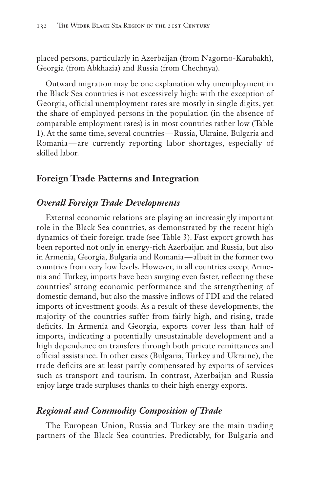placed persons, particularly in Azerbaijan (from Nagorno-Karabakh), Georgia (from Abkhazia) and Russia (from Chechnya).

Outward migration may be one explanation why unemployment in the Black Sea countries is not excessively high: with the exception of Georgia, official unemployment rates are mostly in single digits, yet the share of employed persons in the population (in the absence of comparable employment rates) is in most countries rather low (Table 1). At the same time, several countries — Russia, Ukraine, Bulgaria and Romania — are currently reporting labor shortages, especially of skilled labor.

### **Foreign Trade Patterns and Integration**

#### *Overall Foreign Trade Developments*

External economic relations are playing an increasingly important role in the Black Sea countries, as demonstrated by the recent high dynamics of their foreign trade (see Table 3). Fast export growth has been reported not only in energy-rich Azerbaijan and Russia, but also in Armenia, Georgia, Bulgaria and Romania — albeit in the former two countries from very low levels. However, in all countries except Armenia and Turkey, imports have been surging even faster, reflecting these countries' strong economic performance and the strengthening of domestic demand, but also the massive inflows of FDI and the related imports of investment goods. As a result of these developments, the majority of the countries suffer from fairly high, and rising, trade deficits. In Armenia and Georgia, exports cover less than half of imports, indicating a potentially unsustainable development and a high dependence on transfers through both private remittances and official assistance. In other cases (Bulgaria, Turkey and Ukraine), the trade deficits are at least partly compensated by exports of services such as transport and tourism. In contrast, Azerbaijan and Russia enjoy large trade surpluses thanks to their high energy exports.

#### *Regional and Commodity Composition of Trade*

The European Union, Russia and Turkey are the main trading partners of the Black Sea countries. Predictably, for Bulgaria and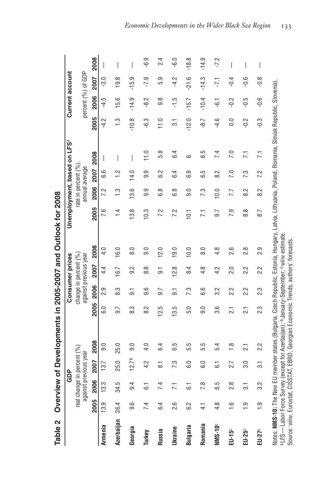| ۱<br>$\overline{\phantom{a}}$<br>Ò |
|------------------------------------|
| l                                  |
| )<br>5<br>.<br>ŝ<br>¢              |
| ı<br>Ï<br>$\frac{1}{2}$<br>Ċ<br>i  |
| :<br>:<br>:<br>l<br>ı              |
| i                                  |
| ı<br>Ţ                             |
|                                    |
|                                    |
| I<br>C<br>ı<br>ı<br>ļ              |

|                      |               |                       | GDP                  |                                                                                                                                                                              |                 |                | Consumer prices                                |                   |                                                                                                                                  |                      |                | Unemployment, based on LFS <sup>ª</sup> |                        | Current account    |           |                          |
|----------------------|---------------|-----------------------|----------------------|------------------------------------------------------------------------------------------------------------------------------------------------------------------------------|-----------------|----------------|------------------------------------------------|-------------------|----------------------------------------------------------------------------------------------------------------------------------|----------------------|----------------|-----------------------------------------|------------------------|--------------------|-----------|--------------------------|
|                      | real ch       | against previous year | hange in percent (%) |                                                                                                                                                                              |                 |                | change in percent (%)<br>against previous year |                   |                                                                                                                                  | rate in percent (%), | annual average |                                         |                        | percent (%) of GDP |           |                          |
|                      | 2005          | 2006                  | 2007                 | 2008                                                                                                                                                                         | 2005            | 2006           | 2007                                           | 2008              | 2005                                                                                                                             | 2006                 | 2007 2008      |                                         | 2005                   | 2006               | 2007      | 2008                     |
| Armenia              | 13.9          | 13.3                  | 13.7                 | $\overline{9}$ .0                                                                                                                                                            | <u>င</u>        | 0.9            | $4\overline{4}$                                | 4.0               | 7.6                                                                                                                              | 7.2                  | ە<br>ق         | $\overline{\phantom{a}}$                | 5<br>4.                | $-4.5$             | <u>ား</u> | $\overline{\phantom{a}}$ |
| Azerbaijan 26.4      |               | 34.5                  | 25.0                 | 25.0                                                                                                                                                                         | 9.7             | 8.3            | 16.7                                           | 16.0              | $1\overline{4}$                                                                                                                  | <u>ო</u>             | $\frac{2}{1}$  |                                         | $\ddot{\ddot{\omega}}$ | 15.6               | 19.8      |                          |
| Georgia              | 9.6           | 9.4                   | 12.7 <sup>b</sup>    | 0.6                                                                                                                                                                          | 8.3             | $\overline{5}$ | 9.2                                            | 8.0               | 13.8                                                                                                                             | 13.6                 | 14.0           | I                                       | $-10.8$                | $-14.9$            | $-15.9$   | I                        |
| Turkey               | 7.4           | ن<br>0                | 4.2                  | 4.0                                                                                                                                                                          | 8.2             | 9.6            | $\frac{8}{8}$                                  | 0.6               | 10.3                                                                                                                             | 9.9                  | 9.9            | $\frac{0}{11}$                          | -6.3                   | $-8.2$             | $-7.9$    | $-6.9$                   |
| Russia               | 6.4           | 7.4                   | $\overline{\circ}$   | 6.4                                                                                                                                                                          | 12.5            | 9.7            | 5                                              | 12.0              | 7.2                                                                                                                              | 6.8                  | 6.2            | 5.8                                     | 11.0                   | $9.\overline{8}$   | 5.9       | 2.4                      |
| <b>Ukraine</b>       | 2.6           | $\overline{2}$        | 7.3                  | 6.5                                                                                                                                                                          | 13.5            | $\overline{5}$ | 12.8                                           | 19.0              | 7.2                                                                                                                              | 6.8                  | 6.4            | 6.4                                     | 5.1                    | 5. ۲-              | $-4.2$    | $-6.0$                   |
| Bulgaria             | 6.2           | .<br>ය                | $\overline{6}$ .0    | 5.5                                                                                                                                                                          | 5.0             | 7.3            | 8.4                                            | 10.0              | $\overline{10}$                                                                                                                  | $\overline{0}$       | 6.9            | ဖ                                       | $-12.0$                | $-15.7$            | $-21.6$   | $-18.8$                  |
| Romania              | $\frac{1}{4}$ | 7.8                   | 6.0                  | 5.5                                                                                                                                                                          | 0.6             | 6.6            | 4.8                                            | $\overline{8}$ .0 | $\overline{1}$                                                                                                                   | 7.3                  | 6.5            | 6.5                                     | $-8.7$                 | $-10.4$            | $-14.3$   | $-14.9$                  |
| <b>NMS-10°</b>       | $\frac{8}{4}$ | 6.5                   | $\overline{6}$       | 5.4                                                                                                                                                                          | 3.6             | 3.2            | 4.2                                            | 4.8               | 9.7                                                                                                                              | 10.0                 | 8.2            | 7.4                                     | $-4.6$                 |                    | -7,1      | $-7.2$                   |
| EU-15 <sup>c</sup>   | ڢ             | $\infty$<br>نّہ       | 2.7                  | $\frac{8}{1}$                                                                                                                                                                | $\overline{21}$ | 2.2            | 2.0                                            | 2.6               | 7.9                                                                                                                              | 7.7                  | 7.0            | $\overline{7.0}$                        | 0.0                    | $-0.2$             | $-0.4$    | $\overline{\phantom{a}}$ |
| EU-25°               | $\frac{1}{1}$ | $\overline{3}$        | 3.0                  | $\overline{21}$                                                                                                                                                              | $\overline{21}$ | 2.2            | 2.2                                            | $2.\overline{8}$  | $\infty$<br>∞                                                                                                                    | 8.2                  | 7.3            | $\overline{7.1}$                        | $-0.2$                 | $-0.5$             | $-0.6$    | I                        |
| EU-27 <sup>c</sup>   | <u>ာ</u>      | 3.2                   | 5.1                  | 2.2                                                                                                                                                                          | 23              | 2.3            | 2.2                                            | 2.9               | 8.7                                                                                                                              | 8.2                  | 7.2            | 7.1                                     | $-0.3$                 | $-0.6$             | 8.o-      | I                        |
| Notes: NMS-10: The N |               |                       |                      | aLFS—Labor Force Survey (except for Azerbaijan); bJanuary-September; swiiw estimate.<br>Source: wiiw, Eurostat, CISSTAT, EBRD, Georgian Economic Trends, authors' forecasts. |                 |                |                                                |                   | lew EU member states (Bulgaria, Czech Republic, Estonia, Hungary, Latvia, Lithuania, Poland, Romania, Slovak Republic, Slovenia) |                      |                |                                         |                        |                    |           |                          |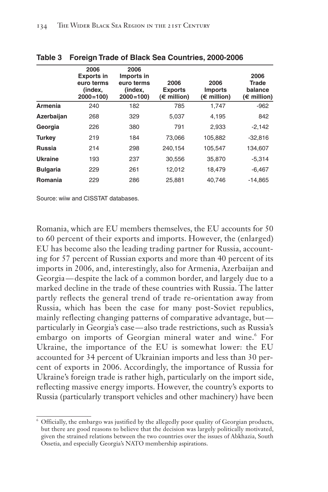|                 | 2006<br><b>Exports in</b><br>euro terms<br>(index,<br>$2000 = 100$ | 2006<br>Imports in<br>euro terms<br>(index,<br>$2000 = 100$ | 2006<br><b>Exports</b><br>$(\epsilon$ million) | 2006<br><b>Imports</b><br>$(\epsilon$ million) | 2006<br><b>Trade</b><br>balance<br>$(\epsilon$ million) |
|-----------------|--------------------------------------------------------------------|-------------------------------------------------------------|------------------------------------------------|------------------------------------------------|---------------------------------------------------------|
| Armenia         | 240                                                                | 182                                                         | 785                                            | 1.747                                          | $-962$                                                  |
| Azerbaijan      | 268                                                                | 329                                                         | 5,037                                          | 4,195                                          | 842                                                     |
| Georgia         | 226                                                                | 380                                                         | 791                                            | 2.933                                          | $-2,142$                                                |
| <b>Turkey</b>   | 219                                                                | 184                                                         | 73.066                                         | 105,882                                        | $-32,816$                                               |
| Russia          | 214                                                                | 298                                                         | 240.154                                        | 105.547                                        | 134.607                                                 |
| <b>Ukraine</b>  | 193                                                                | 237                                                         | 30,556                                         | 35,870                                         | $-5,314$                                                |
| <b>Bulgaria</b> | 229                                                                | 261                                                         | 12.012                                         | 18,479                                         | $-6,467$                                                |
| Romania         | 229                                                                | 286                                                         | 25.881                                         | 40.746                                         | $-14.865$                                               |

#### **Table 3 Foreign Trade of Black Sea Countries, 2000-2006**

Source: wiiw and CISSTAT databases.

Romania, which are EU members themselves, the EU accounts for 50 to 60 percent of their exports and imports. However, the (enlarged) EU has become also the leading trading partner for Russia, accounting for 57 percent of Russian exports and more than 40 percent of its imports in 2006, and, interestingly, also for Armenia, Azerbaijan and Georgia — despite the lack of a common border, and largely due to a marked decline in the trade of these countries with Russia. The latter partly reflects the general trend of trade re-orientation away from Russia, which has been the case for many post-Soviet republics, mainly reflecting changing patterns of comparative advantage, but particularly in Georgia's case — also trade restrictions, such as Russia's embargo on imports of Georgian mineral water and wine.<sup>6</sup> For Ukraine, the importance of the EU is somewhat lower: the EU accounted for 34 percent of Ukrainian imports and less than 30 percent of exports in 2006. Accordingly, the importance of Russia for Ukraine's foreign trade is rather high, particularly on the import side, reflecting massive energy imports. However, the country's exports to Russia (particularly transport vehicles and other machinery) have been

<sup>6</sup> Officially, the embargo was justified by the allegedly poor quality of Georgian products, but there are good reasons to believe that the decision was largely politically motivated, given the strained relations between the two countries over the issues of Abkhazia, South Ossetia, and especially Georgia's NATO membership aspirations.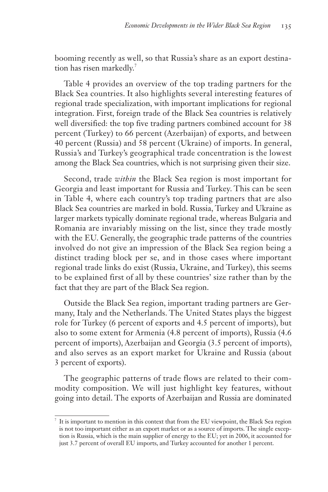booming recently as well, so that Russia's share as an export destination has risen markedly.<sup>7</sup>

Table 4 provides an overview of the top trading partners for the Black Sea countries. It also highlights several interesting features of regional trade specialization, with important implications for regional integration. First, foreign trade of the Black Sea countries is relatively well diversified: the top five trading partners combined account for 38 percent (Turkey) to 66 percent (Azerbaijan) of exports, and between 40 percent (Russia) and 58 percent (Ukraine) of imports. In general, Russia's and Turkey's geographical trade concentration is the lowest among the Black Sea countries, which is not surprising given their size.

Second, trade *within* the Black Sea region is most important for Georgia and least important for Russia and Turkey. This can be seen in Table 4, where each country's top trading partners that are also Black Sea countries are marked in bold. Russia, Turkey and Ukraine as larger markets typically dominate regional trade, whereas Bulgaria and Romania are invariably missing on the list, since they trade mostly with the EU. Generally, the geographic trade patterns of the countries involved do not give an impression of the Black Sea region being a distinct trading block per se, and in those cases where important regional trade links do exist (Russia, Ukraine, and Turkey), this seems to be explained first of all by these countries' size rather than by the fact that they are part of the Black Sea region.

Outside the Black Sea region, important trading partners are Germany, Italy and the Netherlands. The United States plays the biggest role for Turkey (6 percent of exports and 4.5 percent of imports), but also to some extent for Armenia (4.8 percent of imports), Russia (4.6 percent of imports), Azerbaijan and Georgia (3.5 percent of imports), and also serves as an export market for Ukraine and Russia (about 3 percent of exports).

The geographic patterns of trade flows are related to their commodity composition. We will just highlight key features, without going into detail. The exports of Azerbaijan and Russia are dominated

It is important to mention in this context that from the EU viewpoint, the Black Sea region is not too important either as an export market or as a source of imports. The single exception is Russia, which is the main supplier of energy to the EU; yet in 2006, it accounted for just 3.7 percent of overall EU imports, and Turkey accounted for another 1 percent.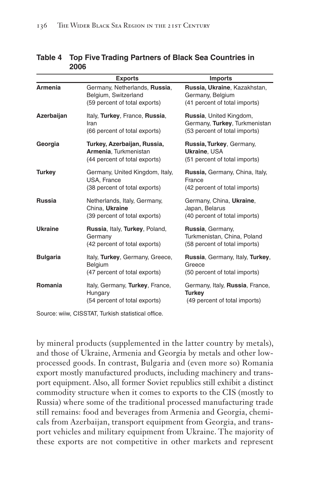|                 | <b>Exports</b>                                                                         | <b>Imports</b>                                                                            |
|-----------------|----------------------------------------------------------------------------------------|-------------------------------------------------------------------------------------------|
| Armenia         | Germany, Netherlands, Russia,<br>Belgium, Switzerland<br>(59 percent of total exports) | Russia, Ukraine, Kazakhstan,<br>Germany, Belgium<br>(41 percent of total imports)         |
| Azerbaijan      | Italy, Turkey, France, Russia,<br>Iran<br>(66 percent of total exports)                | Russia, United Kingdom,<br>Germany, Turkey, Turkmenistan<br>(53 percent of total imports) |
| Georgia         | Turkey, Azerbaijan, Russia,<br>Armenia, Turkmenistan<br>(44 percent of total exports)  | Russia, Turkey, Germany,<br>Ukraine, USA<br>(51 percent of total imports)                 |
| <b>Turkey</b>   | Germany, United Kingdom, Italy,<br>USA, France<br>(38 percent of total exports)        | Russia, Germany, China, Italy,<br>France<br>(42 percent of total imports)                 |
| <b>Russia</b>   | Netherlands, Italy, Germany,<br>China, Ukraine<br>(39 percent of total exports)        | Germany, China, Ukraine,<br>Japan, Belarus<br>(40 percent of total imports)               |
| <b>Ukraine</b>  | Russia, Italy, Turkey, Poland,<br>Germany<br>(42 percent of total exports)             | Russia, Germany,<br>Turkmenistan, China, Poland<br>(58 percent of total imports)          |
| <b>Bulgaria</b> | Italy, Turkey, Germany, Greece,<br>Belgium<br>(47 percent of total exports)            | Russia, Germany, Italy, Turkey,<br>Greece<br>(50 percent of total imports)                |
| Romania         | Italy, Germany, Turkey, France,<br>Hungary<br>(54 percent of total exports)            | Germany, Italy, Russia, France,<br><b>Turkey</b><br>(49 percent of total imports)         |

#### **Table 4 Top Five Trading Partners of Black Sea Countries in 2006**

Source: wiiw, CISSTAT, Turkish statistical office.

by mineral products (supplemented in the latter country by metals), and those of Ukraine, Armenia and Georgia by metals and other lowprocessed goods. In contrast, Bulgaria and (even more so) Romania export mostly manufactured products, including machinery and transport equipment. Also, all former Soviet republics still exhibit a distinct commodity structure when it comes to exports to the CIS (mostly to Russia) where some of the traditional processed manufacturing trade still remains: food and beverages from Armenia and Georgia, chemicals from Azerbaijan, transport equipment from Georgia, and transport vehicles and military equipment from Ukraine. The majority of these exports are not competitive in other markets and represent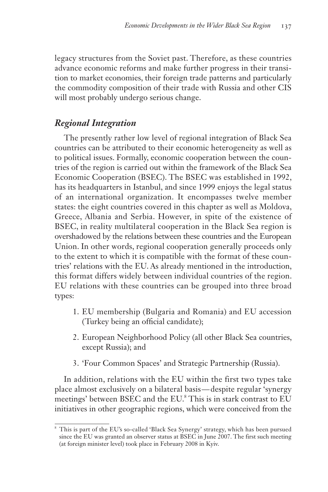legacy structures from the Soviet past. Therefore, as these countries advance economic reforms and make further progress in their transition to market economies, their foreign trade patterns and particularly the commodity composition of their trade with Russia and other CIS will most probably undergo serious change.

# *Regional Integration*

The presently rather low level of regional integration of Black Sea countries can be attributed to their economic heterogeneity as well as to political issues. Formally, economic cooperation between the countries of the region is carried out within the framework of the Black Sea Economic Cooperation (BSEC). The BSEC was established in 1992, has its headquarters in Istanbul, and since 1999 enjoys the legal status of an international organization. It encompasses twelve member states: the eight countries covered in this chapter as well as Moldova, Greece, Albania and Serbia. However, in spite of the existence of BSEC, in reality multilateral cooperation in the Black Sea region is overshadowed by the relations between these countries and the European Union. In other words, regional cooperation generally proceeds only to the extent to which it is compatible with the format of these countries' relations with the EU. As already mentioned in the introduction, this format differs widely between individual countries of the region. EU relations with these countries can be grouped into three broad types:

- 1. EU membership (Bulgaria and Romania) and EU accession (Turkey being an official candidate);
- 2. European Neighborhood Policy (all other Black Sea countries, except Russia); and
- 3. 'Four Common Spaces' and Strategic Partnership (Russia).

In addition, relations with the EU within the first two types take place almost exclusively on a bilateral basis — despite regular 'synergy meetings' between BSEC and the EU.<sup>8</sup> This is in stark contrast to EU initiatives in other geographic regions, which were conceived from the

<sup>8</sup> This is part of the EU's so-called 'Black Sea Synergy' strategy, which has been pursued since the EU was granted an observer status at BSEC in June 2007. The first such meeting (at foreign minister level) took place in February 2008 in Kyiv.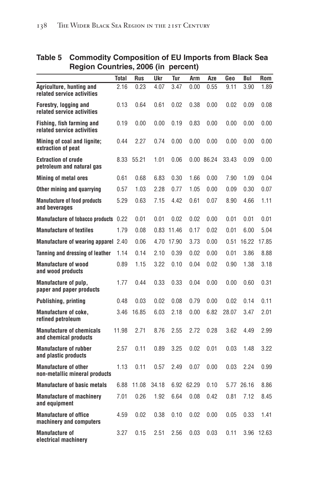|                                                              |       | V     |       |            |            |            |       |            |            |
|--------------------------------------------------------------|-------|-------|-------|------------|------------|------------|-------|------------|------------|
|                                                              | Total | Rus   | Ukr   | Tur        | Arm        | Aze        | Geo   | Bul        | Rom        |
| Agriculture, hunting and<br>related service activities       | 2.16  | 0.23  | 4.07  | 3.47       | 0.00       | 0.55       | 9.11  | 3.90       | 1.89       |
| Forestry, logging and<br>related service activities          | 0.13  | 0.64  | 0.61  | 0.02       | 0.38       | 0.00       | 0.02  | 0.09       | 0.08       |
| Fishing, fish farming and<br>related service activities      | 0.19  | 0.00  | 0.00  | 0.19       | 0.83       | 0.00       | 0.00  | 0.00       | 0.00       |
| Mining of coal and lignite;<br>extraction of peat            | 0.44  | 2.27  | 0.74  | 0.00       | 0.00       | 0.00       | 0.00  | 0.00       | 0.00       |
| <b>Extraction of crude</b><br>petroleum and natural gas      | 8.33  | 55.21 | 1.01  | 0.06       |            | 0.00 86.24 | 33.43 | 0.09       | 0.00       |
| <b>Mining of metal ores</b>                                  | 0.61  | 0.68  | 6.83  | 0.30       | 1.66       | 0.00       | 7.90  | 1.09       | 0.04       |
| Other mining and quarrying                                   | 0.57  | 1.03  | 2.28  | 0.77       | 1.05       | 0.00       | 0.09  | 0.30       | 0.07       |
| <b>Manufacture of food products</b><br>and beverages         | 5.29  | 0.63  | 7.15  | 4.42       | 0.61       | 0.07       | 8.90  | 4.66       | 1.11       |
| <b>Manufacture of tobacco products</b>                       | 0.22  | 0.01  | 0.01  | 0.02       | 0.02       | 0.00       | 0.01  | 0.01       | 0.01       |
| <b>Manufacture of textiles</b>                               | 1.79  | 0.08  |       | 0.83 11.46 | 0.17       | 0.02       | 0.01  | 6.00       | 5.04       |
| <b>Manufacture of wearing apparel 2.40</b>                   |       | 0.06  |       | 4.70 17.90 | 3.73       | 0.00       | 0.51  | 16.22      | 17.85      |
| Tanning and dressing of leather                              | 1.14  | 0.14  | 2.10  | 0.39       | 0.02       | 0.00       | 0.01  | 3.86       | 8.88       |
| <b>Manufacture of wood</b><br>and wood products              | 0.89  | 1.15  | 3.22  | 0.10       | 0.04       | 0.02       | 0.90  | 1.38       | 3.18       |
| Manufacture of pulp,<br>paper and paper products             | 1.77  | 0.44  | 0.33  | 0.33       | 0.04       | 0.00       | 0.00  | 0.60       | 0.31       |
| <b>Publishing, printing</b>                                  | 0.48  | 0.03  | 0.02  | 0.08       | 0.79       | 0.00       | 0.02  | 0.14       | 0.11       |
| Manufacture of coke,<br>refined petroleum                    | 3.46  | 16.85 | 6.03  | 2.18       | 0.00       | 6.82       | 28.07 | 3.47       | 2.01       |
| <b>Manufacture of chemicals</b><br>and chemical products     | 11.98 | 2.71  | 8.76  | 2.55       | 2.72       | 0.28       | 3.62  | 4.49       | 2.99       |
| <b>Manufacture of rubber</b><br>and plastic products         | 2.57  | 0.11  | 0.89  | 3.25       | 0.02       | 0.01       | 0.03  | 1.48       | 3.22       |
| <b>Manufacture of other</b><br>non-metallic mineral products | 1.13  | 0.11  | 0.57  | 2.49       | 0.07       | 0.00       | 0.03  | 2.24       | 0.99       |
| <b>Manufacture of basic metals</b>                           | 6.88  | 11.08 | 34.18 |            | 6.92 62.29 | 0.10       |       | 5.77 26.16 | 8.86       |
| <b>Manufacture of machinery</b><br>and equipment             | 7.01  | 0.26  | 1.92  | 6.64       | 0.08       | 0.42       | 0.81  | 7.12       | 8.45       |
| <b>Manufacture of office</b><br>machinery and computers      | 4.59  | 0.02  | 0.38  | 0.10       | 0.02       | 0.00       | 0.05  | 0.33       | 1.41       |
| <b>Manufacture of</b><br>electrical machinery                | 3.27  | 0.15  | 2.51  | 2.56       | 0.03       | 0.03       | 0.11  |            | 3.96 12.63 |

#### **Table 5 Commodity Composition of EU Imports from Black Sea Region Countries, 2006 (in percent)**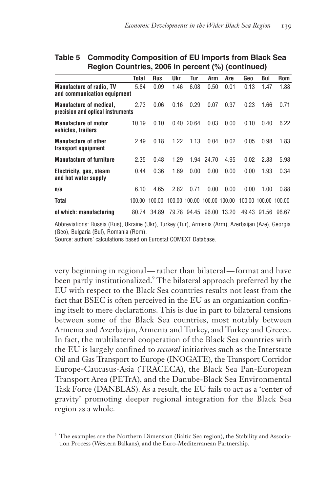|                                                                     | Total  | <b>Rus</b> | Ukr  | Tur         | Arm                         | Aze         | Geo  | Bul                  | <b>Rom</b> |
|---------------------------------------------------------------------|--------|------------|------|-------------|-----------------------------|-------------|------|----------------------|------------|
| <b>Manufacture of radio, TV</b><br>and communication equipment      | 5.84   | 0.09       | 1.46 | 6.08        | 0.50                        | 0.01        | 0.13 | 1.47                 | 1.88       |
| <b>Manufacture of medical.</b><br>precision and optical instruments | 2.73   | 0.06       | 0.16 | 0.29        | 0.07                        | 0.37        | 0.23 | 1.66                 | 0.71       |
| <b>Manufacture of motor</b><br>vehicles, trailers                   | 10.19  | 0.10       |      | 0.40 20.64  | 0.03                        | 0.00        | 0.10 | 0.40                 | 6.22       |
| <b>Manufacture of other</b><br>transport equipment                  | 2.49   | 0.18       | 1.22 | 1.13        | 0.04                        | 0.02        | 0.05 | 0.98                 | 1.83       |
| <b>Manufacture of furniture</b>                                     | 2.35   | 0.48       | 1.29 |             | 1.94 24.70                  | 4.95        | 0.02 | 2.83                 | 5.98       |
| Electricity, gas, steam<br>and hot water supply                     | 0.44   | 0.36       | 1.69 | 0.00        | 0.00                        | 0.00        | 0.00 | 1.93                 | 0.34       |
| n/a                                                                 | 6.10   | 4.65       | 2.82 | 0.71        | 0.00                        | 0.00        | 0.00 | 1.00                 | 0.88       |
| Total                                                               | 100.00 | 100.00     |      |             | 100.00 100.00 100.00 100.00 |             |      | 100.00 100.00 100.00 |            |
| of which: manufacturing                                             | 80.74  | 34.89      |      | 79.78 94.45 |                             | 96.00 13.20 |      | 49.43 91.56          | 96.67      |

#### **Table 5 Commodity Composition of EU Imports from Black Sea Region Countries, 2006 in percent (%) (continued)**

Abbreviations: Russia (Rus), Ukraine (Ukr), Turkey (Tur), Armenia (Arm), Azerbaijan (Aze), Georgia (Geo), Bulgaria (Bul), Romania (Rom).

Source: authors' calculations based on Eurostat COMEXT Database.

very beginning in regional — rather than bilateral — format and have been partly institutionalized.<sup>9</sup> The bilateral approach preferred by the EU with respect to the Black Sea countries results not least from the fact that BSEC is often perceived in the EU as an organization confining itself to mere declarations. This is due in part to bilateral tensions between some of the Black Sea countries, most notably between Armenia and Azerbaijan, Armenia and Turkey, and Turkey and Greece. In fact, the multilateral cooperation of the Black Sea countries with the EU is largely confined to *sectoral* initiatives such as the Interstate Oil and Gas Transport to Europe (INOGATE), the Transport Corridor Europe-Caucasus-Asia (TRACECA), the Black Sea Pan-European Transport Area (PETrA), and the Danube-Black Sea Environmental Task Force (DANBLAS). As a result, the EU fails to act as a 'center of gravity' promoting deeper regional integration for the Black Sea region as a whole.

The examples are the Northern Dimension (Baltic Sea region), the Stability and Association Process (Western Balkans), and the Euro-Mediterranean Partnership.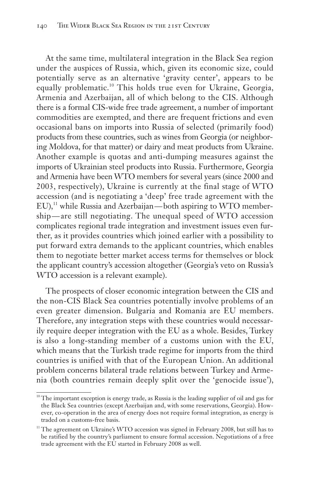At the same time, multilateral integration in the Black Sea region under the auspices of Russia, which, given its economic size, could potentially serve as an alternative 'gravity center', appears to be equally problematic.<sup>10</sup> This holds true even for Ukraine, Georgia, Armenia and Azerbaijan, all of which belong to the CIS. Although there is a formal CIS-wide free trade agreement, a number of important commodities are exempted, and there are frequent frictions and even occasional bans on imports into Russia of selected (primarily food) products from these countries, such as wines from Georgia (or neighboring Moldova, for that matter) or dairy and meat products from Ukraine. Another example is quotas and anti-dumping measures against the imports of Ukrainian steel products into Russia. Furthermore, Georgia and Armenia have been WTO members for several years (since 2000 and 2003, respectively), Ukraine is currently at the final stage of WTO accession (and is negotiating a 'deep' free trade agreement with the  $EU$ ,<sup>11</sup> while Russia and Azerbaijan—both aspiring to WTO membership — are still negotiating. The unequal speed of WTO accession complicates regional trade integration and investment issues even further, as it provides countries which joined earlier with a possibility to put forward extra demands to the applicant countries, which enables them to negotiate better market access terms for themselves or block the applicant country's accession altogether (Georgia's veto on Russia's WTO accession is a relevant example).

The prospects of closer economic integration between the CIS and the non-CIS Black Sea countries potentially involve problems of an even greater dimension. Bulgaria and Romania are EU members. Therefore, any integration steps with these countries would necessarily require deeper integration with the EU as a whole. Besides, Turkey is also a long-standing member of a customs union with the EU, which means that the Turkish trade regime for imports from the third countries is unified with that of the European Union. An additional problem concerns bilateral trade relations between Turkey and Armenia (both countries remain deeply split over the 'genocide issue'),

<sup>&</sup>lt;sup>10</sup> The important exception is energy trade, as Russia is the leading supplier of oil and gas for the Black Sea countries (except Azerbaijan and, with some reservations, Georgia). However, co-operation in the area of energy does not require formal integration, as energy is traded on a customs-free basis.

<sup>&</sup>lt;sup>11</sup> The agreement on Ukraine's WTO accession was signed in February 2008, but still has to be ratified by the country's parliament to ensure formal accession. Negotiations of a free trade agreement with the EU started in February 2008 as well.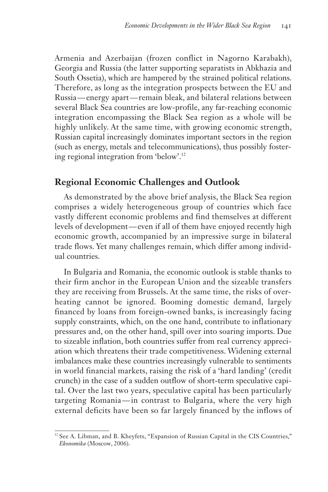Armenia and Azerbaijan (frozen conflict in Nagorno Karabakh), Georgia and Russia (the latter supporting separatists in Abkhazia and South Ossetia), which are hampered by the strained political relations. Therefore, as long as the integration prospects between the EU and Russia — energy apart — remain bleak, and bilateral relations between several Black Sea countries are low-profile, any far-reaching economic integration encompassing the Black Sea region as a whole will be highly unlikely. At the same time, with growing economic strength, Russian capital increasingly dominates important sectors in the region (such as energy, metals and telecommunications), thus possibly fostering regional integration from 'below'.<sup>12</sup>

# **Regional Economic Challenges and Outlook**

As demonstrated by the above brief analysis, the Black Sea region comprises a widely heterogeneous group of countries which face vastly different economic problems and find themselves at different levels of development — even if all of them have enjoyed recently high economic growth, accompanied by an impressive surge in bilateral trade flows. Yet many challenges remain, which differ among individual countries.

In Bulgaria and Romania, the economic outlook is stable thanks to their firm anchor in the European Union and the sizeable transfers they are receiving from Brussels. At the same time, the risks of overheating cannot be ignored. Booming domestic demand, largely financed by loans from foreign-owned banks, is increasingly facing supply constraints, which, on the one hand, contribute to inflationary pressures and, on the other hand, spill over into soaring imports. Due to sizeable inflation, both countries suffer from real currency appreciation which threatens their trade competitiveness. Widening external imbalances make these countries increasingly vulnerable to sentiments in world financial markets, raising the risk of a 'hard landing' (credit crunch) in the case of a sudden outflow of short-term speculative capital. Over the last two years, speculative capital has been particularly targeting Romania — in contrast to Bulgaria, where the very high external deficits have been so far largely financed by the inflows of

<sup>&</sup>lt;sup>12</sup> See A. Libman, and B. Kheyfets, "Expansion of Russian Capital in the CIS Countries," *Ekonomika* (Moscow, 2006).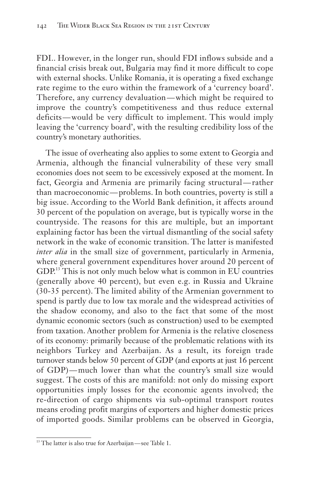FDI.. However, in the longer run, should FDI inflows subside and a financial crisis break out, Bulgaria may find it more difficult to cope with external shocks. Unlike Romania, it is operating a fixed exchange rate regime to the euro within the framework of a 'currency board'. Therefore, any currency devaluation — which might be required to improve the country's competitiveness and thus reduce external deficits — would be very difficult to implement. This would imply leaving the 'currency board', with the resulting credibility loss of the country's monetary authorities.

The issue of overheating also applies to some extent to Georgia and Armenia, although the financial vulnerability of these very small economies does not seem to be excessively exposed at the moment. In fact, Georgia and Armenia are primarily facing structural — rather than macroeconomic — problems. In both countries, poverty is still a big issue. According to the World Bank definition, it affects around 30 percent of the population on average, but is typically worse in the countryside. The reasons for this are multiple, but an important explaining factor has been the virtual dismantling of the social safety network in the wake of economic transition. The latter is manifested *inter alia* in the small size of government, particularly in Armenia, where general government expenditures hover around 20 percent of GDP.<sup>13</sup> This is not only much below what is common in EU countries (generally above 40 percent), but even e.g. in Russia and Ukraine (30-35 percent). The limited ability of the Armenian government to spend is partly due to low tax morale and the widespread activities of the shadow economy, and also to the fact that some of the most dynamic economic sectors (such as construction) used to be exempted from taxation. Another problem for Armenia is the relative closeness of its economy: primarily because of the problematic relations with its neighbors Turkey and Azerbaijan. As a result, its foreign trade turnover stands below 50 percent of GDP (and exports at just 16 percent of GDP) — much lower than what the country's small size would suggest. The costs of this are manifold: not only do missing export opportunities imply losses for the economic agents involved; the re-direction of cargo shipments via sub-optimal transport routes means eroding profit margins of exporters and higher domestic prices of imported goods. Similar problems can be observed in Georgia,

<sup>&</sup>lt;sup>13</sup> The latter is also true for Azerbaijan-see Table 1.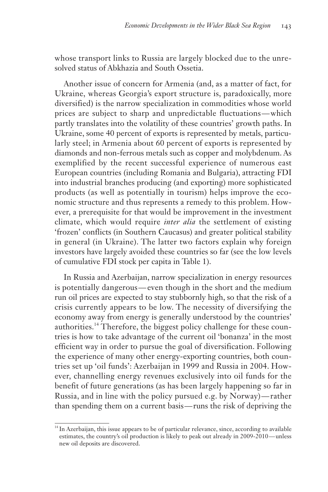whose transport links to Russia are largely blocked due to the unresolved status of Abkhazia and South Ossetia.

Another issue of concern for Armenia (and, as a matter of fact, for Ukraine, whereas Georgia's export structure is, paradoxically, more diversified) is the narrow specialization in commodities whose world prices are subject to sharp and unpredictable fluctuations — which partly translates into the volatility of these countries' growth paths. In Ukraine, some 40 percent of exports is represented by metals, particularly steel; in Armenia about 60 percent of exports is represented by diamonds and non-ferrous metals such as copper and molybdenum. As exemplified by the recent successful experience of numerous east European countries (including Romania and Bulgaria), attracting FDI into industrial branches producing (and exporting) more sophisticated products (as well as potentially in tourism) helps improve the economic structure and thus represents a remedy to this problem. However, a prerequisite for that would be improvement in the investment climate, which would require *inter alia* the settlement of existing 'frozen' conflicts (in Southern Caucasus) and greater political stability in general (in Ukraine). The latter two factors explain why foreign investors have largely avoided these countries so far (see the low levels of cumulative FDI stock per capita in Table 1).

In Russia and Azerbaijan, narrow specialization in energy resources is potentially dangerous — even though in the short and the medium run oil prices are expected to stay stubbornly high, so that the risk of a crisis currently appears to be low. The necessity of diversifying the economy away from energy is generally understood by the countries' authorities.<sup>14</sup> Therefore, the biggest policy challenge for these countries is how to take advantage of the current oil 'bonanza' in the most efficient way in order to pursue the goal of diversification. Following the experience of many other energy-exporting countries, both countries set up 'oil funds': Azerbaijan in 1999 and Russia in 2004. However, channelling energy revenues exclusively into oil funds for the benefit of future generations (as has been largely happening so far in Russia, and in line with the policy pursued e.g. by Norway) — rather than spending them on a current basis — runs the risk of depriving the

<sup>&</sup>lt;sup>14</sup> In Azerbaijan, this issue appears to be of particular relevance, since, according to available estimates, the country's oil production is likely to peak out already in 2009-2010 — unless new oil deposits are discovered.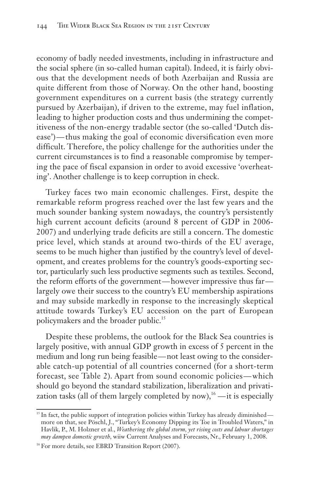economy of badly needed investments, including in infrastructure and the social sphere (in so-called human capital). Indeed, it is fairly obvious that the development needs of both Azerbaijan and Russia are quite different from those of Norway. On the other hand, boosting government expenditures on a current basis (the strategy currently pursued by Azerbaijan), if driven to the extreme, may fuel inflation, leading to higher production costs and thus undermining the competitiveness of the non-energy tradable sector (the so-called 'Dutch disease') — thus making the goal of economic diversification even more difficult. Therefore, the policy challenge for the authorities under the current circumstances is to find a reasonable compromise by tempering the pace of fiscal expansion in order to avoid excessive 'overheating'. Another challenge is to keep corruption in check.

Turkey faces two main economic challenges. First, despite the remarkable reform progress reached over the last few years and the much sounder banking system nowadays, the country's persistently high current account deficits (around 8 percent of GDP in 2006- 2007) and underlying trade deficits are still a concern. The domestic price level, which stands at around two-thirds of the EU average, seems to be much higher than justified by the country's level of development, and creates problems for the country's goods-exporting sector, particularly such less productive segments such as textiles. Second, the reform efforts of the government—however impressive thus far largely owe their success to the country's EU membership aspirations and may subside markedly in response to the increasingly skeptical attitude towards Turkey's EU accession on the part of European policymakers and the broader public.<sup>15</sup>

Despite these problems, the outlook for the Black Sea countries is largely positive, with annual GDP growth in excess of 5 percent in the medium and long run being feasible — not least owing to the considerable catch-up potential of all countries concerned (for a short-term forecast, see Table 2). Apart from sound economic policies — which should go beyond the standard stabilization, liberalization and privatization tasks (all of them largely completed by now),<sup>16</sup> — it is especially

<sup>&</sup>lt;sup>15</sup> In fact, the public support of integration policies within Turkey has already diminished more on that, see Pöschl, J., "Turkey's Economy Dipping its Toe in Troubled Waters," in Havlik, P., M. Holzner et al., *Weathering the global storm, yet rising costs and labour shortages may dampen domestic growth,* wiiw Current Analyses and Forecasts, Nr., February 1, 2008.

<sup>&</sup>lt;sup>16</sup> For more details, see EBRD Transition Report (2007).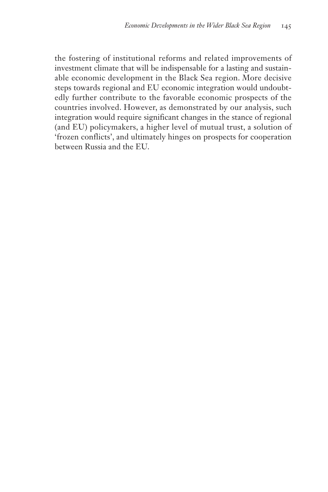the fostering of institutional reforms and related improvements of investment climate that will be indispensable for a lasting and sustainable economic development in the Black Sea region. More decisive steps towards regional and EU economic integration would undoubtedly further contribute to the favorable economic prospects of the countries involved. However, as demonstrated by our analysis, such integration would require significant changes in the stance of regional (and EU) policymakers, a higher level of mutual trust, a solution of 'frozen conflicts', and ultimately hinges on prospects for cooperation between Russia and the EU.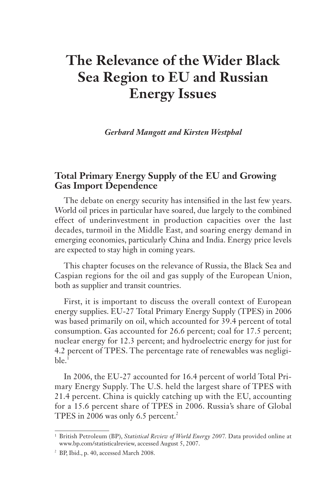# **The Relevance of the Wider Black Sea Region to EU and Russian Energy Issues**

*Gerhard Mangott and Kirsten Westphal*

### **Total Primary Energy Supply of the EU and Growing Gas Import Dependence**

The debate on energy security has intensified in the last few years. World oil prices in particular have soared, due largely to the combined effect of underinvestment in production capacities over the last decades, turmoil in the Middle East, and soaring energy demand in emerging economies, particularly China and India. Energy price levels are expected to stay high in coming years.

This chapter focuses on the relevance of Russia, the Black Sea and Caspian regions for the oil and gas supply of the European Union, both as supplier and transit countries.

First, it is important to discuss the overall context of European energy supplies. EU-27 Total Primary Energy Supply (TPES) in 2006 was based primarily on oil, which accounted for 39.4 percent of total consumption. Gas accounted for 26.6 percent; coal for 17.5 percent; nuclear energy for 12.3 percent; and hydroelectric energy for just for 4.2 percent of TPES. The percentage rate of renewables was negligi $ble<sup>1</sup>$ 

In 2006, the EU-27 accounted for 16.4 percent of world Total Primary Energy Supply. The U.S. held the largest share of TPES with 21.4 percent. China is quickly catching up with the EU, accounting for a 15.6 percent share of TPES in 2006. Russia's share of Global TPES in 2006 was only 6.5 percent.<sup>2</sup>

<sup>&</sup>lt;sup>1</sup> British Petroleum (BP), *Statistical Review of World Energy 2007*. Data provided online at www.bp.com/statisticalreview, accessed August 5, 2007.

 $2$  BP, Ibid., p. 40, accessed March 2008.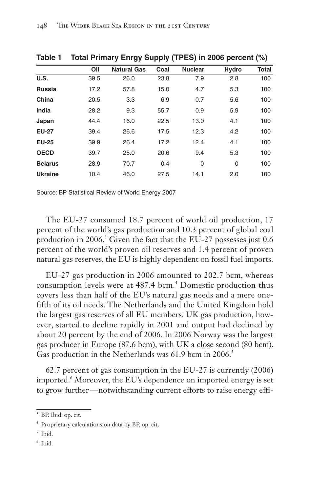| ,<br>.<br>.<br>$\cdots$ |                    |      |                |     |       |  |  |  |  |
|-------------------------|--------------------|------|----------------|-----|-------|--|--|--|--|
| Oil                     | <b>Natural Gas</b> | Coal | <b>Nuclear</b> |     | Total |  |  |  |  |
| 39.5                    | 26.0               | 23.8 | 7.9            | 2.8 | 100   |  |  |  |  |
| 17.2                    | 57.8               | 15.0 | 4.7            | 5.3 | 100   |  |  |  |  |
| 20.5                    | 3.3                | 6.9  | 0.7            | 5.6 | 100   |  |  |  |  |
| 28.2                    | 9.3                | 55.7 | 0.9            | 5.9 | 100   |  |  |  |  |
| 44.4                    | 16.0               | 22.5 | 13.0           | 4.1 | 100   |  |  |  |  |
| 39.4                    | 26.6               | 17.5 | 12.3           | 4.2 | 100   |  |  |  |  |
| 39.9                    | 26.4               | 17.2 | 12.4           | 4.1 | 100   |  |  |  |  |
| 39.7                    | 25.0               | 20.6 | 9.4            | 5.3 | 100   |  |  |  |  |
| 28.9                    | 70.7               | 0.4  | 0              | 0   | 100   |  |  |  |  |
| 10.4                    | 46.0               | 27.5 | 14.1           | 2.0 | 100   |  |  |  |  |
|                         |                    |      |                |     | Hydro |  |  |  |  |

**Table 1 Total Primary Enrgy Supply (TPES) in 2006 percent (%)**

Source: BP Statistical Review of World Energy 2007

The EU-27 consumed 18.7 percent of world oil production, 17 percent of the world's gas production and 10.3 percent of global coal production in 2006.<sup>3</sup> Given the fact that the EU-27 possesses just 0.6 percent of the world's proven oil reserves and 1.4 percent of proven natural gas reserves, the EU is highly dependent on fossil fuel imports.

EU-27 gas production in 2006 amounted to 202.7 bcm, whereas consumption levels were at 487.4 bcm.<sup>4</sup> Domestic production thus covers less than half of the EU's natural gas needs and a mere onefifth of its oil needs. The Netherlands and the United Kingdom hold the largest gas reserves of all EU members. UK gas production, however, started to decline rapidly in 2001 and output had declined by about 20 percent by the end of 2006. In 2006 Norway was the largest gas producer in Europe (87.6 bcm), with UK a close second (80 bcm). Gas production in the Netherlands was 61.9 bcm in 2006.

62.7 percent of gas consumption in the EU-27 is currently (2006) imported.<sup>6</sup> Moreover, the EU's dependence on imported energy is set to grow further — notwithstanding current efforts to raise energy effi-

<sup>6</sup> Ibid.

<sup>3</sup> BP. Ibid. op. cit.

<sup>4</sup> Proprietary calculations on data by BP, op. cit.

 $<sup>5</sup>$  Ibid.</sup>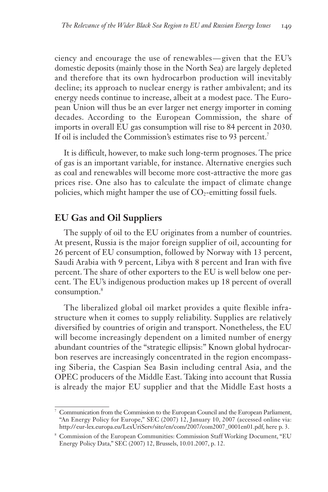ciency and encourage the use of renewables — given that the EU's domestic deposits (mainly those in the North Sea) are largely depleted and therefore that its own hydrocarbon production will inevitably decline; its approach to nuclear energy is rather ambivalent; and its energy needs continue to increase, albeit at a modest pace. The European Union will thus be an ever larger net energy importer in coming decades. According to the European Commission, the share of imports in overall EU gas consumption will rise to 84 percent in 2030. If oil is included the Commission's estimates rise to 93 percent.<sup>7</sup>

It is difficult, however, to make such long-term prognoses. The price of gas is an important variable, for instance. Alternative energies such as coal and renewables will become more cost-attractive the more gas prices rise. One also has to calculate the impact of climate change policies, which might hamper the use of  $CO<sub>2</sub>$ -emitting fossil fuels.

#### **EU Gas and Oil Suppliers**

The supply of oil to the EU originates from a number of countries. At present, Russia is the major foreign supplier of oil, accounting for 26 percent of EU consumption, followed by Norway with 13 percent, Saudi Arabia with 9 percent, Libya with 8 percent and Iran with five percent. The share of other exporters to the EU is well below one percent. The EU's indigenous production makes up 18 percent of overall consumption.<sup>8</sup>

The liberalized global oil market provides a quite flexible infrastructure when it comes to supply reliability. Supplies are relatively diversified by countries of origin and transport. Nonetheless, the EU will become increasingly dependent on a limited number of energy abundant countries of the "strategic ellipsis:" Known global hydrocarbon reserves are increasingly concentrated in the region encompassing Siberia, the Caspian Sea Basin including central Asia, and the OPEC producers of the Middle East. Taking into account that Russia is already the major EU supplier and that the Middle East hosts a

<sup>7</sup> Communication from the Commission to the European Council and the European Parliament, "An Energy Policy for Europe," SEC (2007) 12, January 10, 2007 (accessed online via: http:// eur-lex.europa.eu/LexUriServ/site/en/com/2007/com2007\_0001en01.pdf, here p. 3.

<sup>&</sup>lt;sup>8</sup> Commission of the European Communities: Commission Staff Working Document, "EU Energy Policy Data," SEC (2007) 12, Brussels, 10.01.2007, p. 12.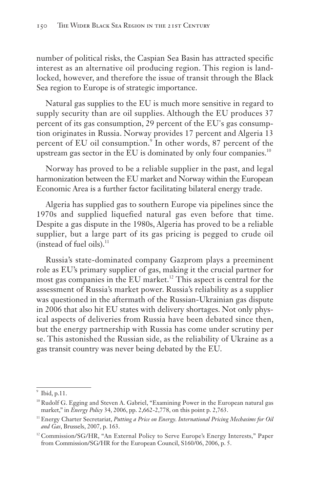number of political risks, the Caspian Sea Basin has attracted specific interest as an alternative oil producing region. This region is landlocked, however, and therefore the issue of transit through the Black Sea region to Europe is of strategic importance.

Natural gas supplies to the EU is much more sensitive in regard to supply security than are oil supplies. Although the EU produces 37 percent of its gas consumption, 29 percent of the EU's gas consumption originates in Russia. Norway provides 17 percent and Algeria 13 percent of EU oil consumption.<sup>9</sup> In other words, 87 percent of the upstream gas sector in the EU is dominated by only four companies.<sup>10</sup>

Norway has proved to be a reliable supplier in the past, and legal harmonization between the EU market and Norway within the European Economic Area is a further factor facilitating bilateral energy trade.

Algeria has supplied gas to southern Europe via pipelines since the 1970s and supplied liquefied natural gas even before that time. Despite a gas dispute in the 1980s, Algeria has proved to be a reliable supplier, but a large part of its gas pricing is pegged to crude oil (instead of fuel oils). $^{11}$ 

Russia's state-dominated company Gazprom plays a preeminent role as EU's primary supplier of gas, making it the crucial partner for most gas companies in the EU market.<sup>12</sup> This aspect is central for the assessment of Russia's market power. Russia's reliability as a supplier was questioned in the aftermath of the Russian-Ukrainian gas dispute in 2006 that also hit EU states with delivery shortages. Not only physical aspects of deliveries from Russia have been debated since then, but the energy partnership with Russia has come under scrutiny per se. This astonished the Russian side, as the reliability of Ukraine as a gas transit country was never being debated by the EU.

<sup>9</sup> Ibid, p.11.

<sup>&</sup>lt;sup>10</sup> Rudolf G. Egging and Steven A. Gabriel, "Examining Power in the European natural gas market," in *Energy Policy* 34, 2006, pp. 2,662-2,778, on this point p. 2,763.

<sup>&</sup>lt;sup>11</sup> Energy Charter Secretariat, *Putting a Price on Energy. International Pricing Mechasims for Oil and Gas*, Brussels, 2007, p. 163.

 $12$  Commission/SG/HR, "An External Policy to Serve Europe's Energy Interests," Paper from Commission/SG/HR for the European Council, S160/06, 2006, p. 5.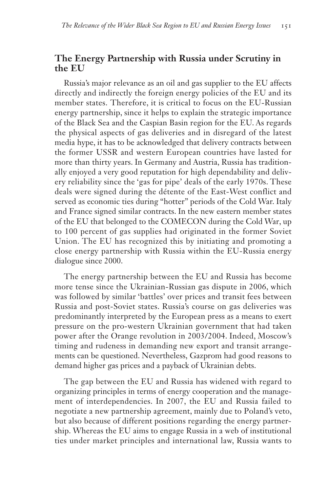#### **The Energy Partnership with Russia under Scrutiny in the EU**

Russia's major relevance as an oil and gas supplier to the EU affects directly and indirectly the foreign energy policies of the EU and its member states. Therefore, it is critical to focus on the EU-Russian energy partnership, since it helps to explain the strategic importance of the Black Sea and the Caspian Basin region for the EU. As regards the physical aspects of gas deliveries and in disregard of the latest media hype, it has to be acknowledged that delivery contracts between the former USSR and western European countries have lasted for more than thirty years. In Germany and Austria, Russia has traditionally enjoyed a very good reputation for high dependability and delivery reliability since the 'gas for pipe' deals of the early 1970s. These deals were signed during the détente of the East-West conflict and served as economic ties during "hotter" periods of the Cold War. Italy and France signed similar contracts. In the new eastern member states of the EU that belonged to the COMECON during the Cold War, up to 100 percent of gas supplies had originated in the former Soviet Union. The EU has recognized this by initiating and promoting a close energy partnership with Russia within the EU-Russia energy dialogue since 2000.

The energy partnership between the EU and Russia has become more tense since the Ukrainian-Russian gas dispute in 2006, which was followed by similar 'battles' over prices and transit fees between Russia and post-Soviet states. Russia's course on gas deliveries was predominantly interpreted by the European press as a means to exert pressure on the pro-western Ukrainian government that had taken power after the Orange revolution in 2003/2004. Indeed, Moscow's timing and rudeness in demanding new export and transit arrangements can be questioned. Nevertheless, Gazprom had good reasons to demand higher gas prices and a payback of Ukrainian debts.

The gap between the EU and Russia has widened with regard to organizing principles in terms of energy cooperation and the management of interdependencies. In 2007, the EU and Russia failed to negotiate a new partnership agreement, mainly due to Poland's veto, but also because of different positions regarding the energy partnership. Whereas the EU aims to engage Russia in a web of institutional ties under market principles and international law, Russia wants to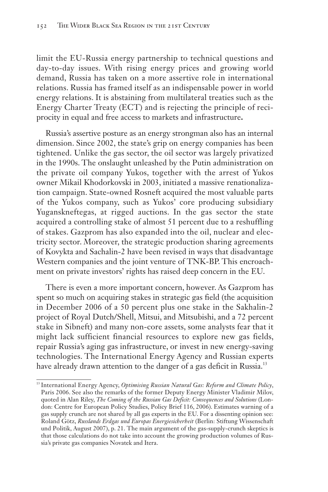limit the EU-Russia energy partnership to technical questions and day-to-day issues. With rising energy prices and growing world demand, Russia has taken on a more assertive role in international relations. Russia has framed itself as an indispensable power in world energy relations. It is abstaining from multilateral treaties such as the Energy Charter Treaty (ECT) and is rejecting the principle of reciprocity in equal and free access to markets and infrastructure**.**

Russia's assertive posture as an energy strongman also has an internal dimension. Since 2002, the state's grip on energy companies has been tightened. Unlike the gas sector, the oil sector was largely privatized in the 1990s. The onslaught unleashed by the Putin administration on the private oil company Yukos, together with the arrest of Yukos owner Mikail Khodorkovski in 2003, initiated a massive renationalization campaign. State-owned Rosneft acquired the most valuable parts of the Yukos company, such as Yukos' core producing subsidiary Yuganskneftegas, at rigged auctions. In the gas sector the state acquired a controlling stake of almost 51 percent due to a reshuffling of stakes. Gazprom has also expanded into the oil, nuclear and electricity sector. Moreover, the strategic production sharing agreements of Kovykta and Sachalin-2 have been revised in ways that disadvantage Western companies and the joint venture of TNK-BP. This encroachment on private investors' rights has raised deep concern in the EU.

There is even a more important concern, however. As Gazprom has spent so much on acquiring stakes in strategic gas field (the acquisition in December 2006 of a 50 percent plus one stake in the Sakhalin-2 project of Royal Dutch/Shell, Mitsui, and Mitsubishi, and a 72 percent stake in Sibneft) and many non-core assets, some analysts fear that it might lack sufficient financial resources to explore new gas fields, repair Russia's aging gas infrastructure, or invest in new energy-saving technologies. The International Energy Agency and Russian experts have already drawn attention to the danger of a gas deficit in Russia.<sup>13</sup>

<sup>&</sup>lt;sup>13</sup> International Energy Agency, Optimising Russian Natural Gas: Reform and Climate Policy, Paris 2006. See also the remarks of the former Deputy Energy Minister Vladimir Milov, quoted in Alan Riley, *The Coming of the Russian Gas Deficit: Consequences and Solutions* (London: Centre for European Policy Studies, Policy Brief 116, 2006). Estimates warning of a gas supply crunch are not shared by all gas experts in the EU. For a dissenting opinion see: Roland Götz, *Russlands Erdgas und Europas Energiesicherheit* (Berlin: Stiftung Wissenschaft und Politik, August 2007), p. 21. The main argument of the gas-supply-crunch skeptics is that those calculations do not take into account the growing production volumes of Russia's private gas companies Novatek and Itera.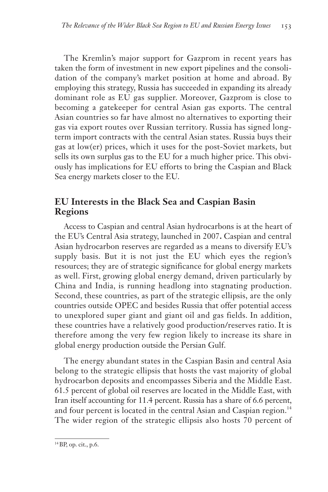The Kremlin's major support for Gazprom in recent years has taken the form of investment in new export pipelines and the consolidation of the company's market position at home and abroad. By employing this strategy, Russia has succeeded in expanding its already dominant role as EU gas supplier. Moreover, Gazprom is close to becoming a gatekeeper for central Asian gas exports. The central Asian countries so far have almost no alternatives to exporting their gas via export routes over Russian territory. Russia has signed longterm import contracts with the central Asian states. Russia buys their gas at low(er) prices, which it uses for the post-Soviet markets, but sells its own surplus gas to the EU for a much higher price. This obviously has implications for EU efforts to bring the Caspian and Black Sea energy markets closer to the EU.

# **EU Interests in the Black Sea and Caspian Basin Regions**

Access to Caspian and central Asian hydrocarbons is at the heart of the EU's Central Asia strategy, launched in 2007**.** Caspian and central Asian hydrocarbon reserves are regarded as a means to diversify EU's supply basis. But it is not just the EU which eyes the region's resources; they are of strategic significance for global energy markets as well. First, growing global energy demand, driven particularly by China and India, is running headlong into stagnating production. Second, these countries, as part of the strategic ellipsis, are the only countries outside OPEC and besides Russia that offer potential access to unexplored super giant and giant oil and gas fields. In addition, these countries have a relatively good production/reserves ratio. It is therefore among the very few region likely to increase its share in global energy production outside the Persian Gulf.

The energy abundant states in the Caspian Basin and central Asia belong to the strategic ellipsis that hosts the vast majority of global hydrocarbon deposits and encompasses Siberia and the Middle East. 61.5 percent of global oil reserves are located in the Middle East, with Iran itself accounting for 11.4 percent. Russia has a share of 6.6 percent, and four percent is located in the central Asian and Caspian region.<sup>14</sup> The wider region of the strategic ellipsis also hosts 70 percent of

<sup>14</sup>BP, op. cit., p.6.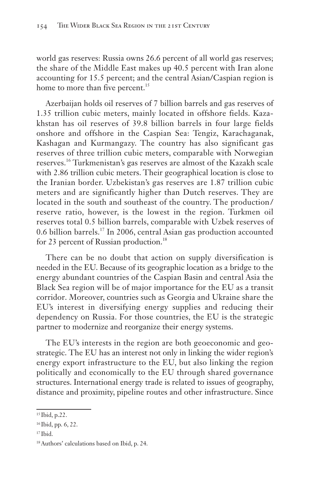world gas reserves: Russia owns 26.6 percent of all world gas reserves; the share of the Middle East makes up 40.5 percent with Iran alone accounting for 15.5 percent; and the central Asian/Caspian region is home to more than five percent.<sup>15</sup>

Azerbaijan holds oil reserves of 7 billion barrels and gas reserves of 1.35 trillion cubic meters, mainly located in offshore fields. Kazakhstan has oil reserves of 39.8 billion barrels in four large fields onshore and offshore in the Caspian Sea: Tengiz, Karachaganak, Kashagan and Kurmangazy. The country has also significant gas reserves of three trillion cubic meters, comparable with Norwegian reserves.<sup>16</sup> Turkmenistan's gas reserves are almost of the Kazakh scale with 2.86 trillion cubic meters. Their geographical location is close to the Iranian border. Uzbekistan's gas reserves are 1.87 trillion cubic meters and are significantly higher than Dutch reserves. They are located in the south and southeast of the country. The production / reserve ratio, however, is the lowest in the region. Turkmen oil reserves total 0.5 billion barrels, comparable with Uzbek reserves of 0.6 billion barrels.<sup>17</sup> In 2006, central Asian gas production accounted for 23 percent of Russian production.<sup>18</sup>

There can be no doubt that action on supply diversification is needed in the EU. Because of its geographic location as a bridge to the energy abundant countries of the Caspian Basin and central Asia the Black Sea region will be of major importance for the EU as a transit corridor. Moreover, countries such as Georgia and Ukraine share the EU's interest in diversifying energy supplies and reducing their dependency on Russia. For those countries, the EU is the strategic partner to modernize and reorganize their energy systems.

The EU's interests in the region are both geoeconomic and geostrategic. The EU has an interest not only in linking the wider region's energy export infrastructure to the EU, but also linking the region politically and economically to the EU through shared governance structures. International energy trade is related to issues of geography, distance and proximity, pipeline routes and other infrastructure. Since

<sup>17</sup> Ibid.

<sup>15</sup> Ibid, p.22.

<sup>16</sup> Ibid, pp. 6, 22.

<sup>18</sup>Authors' calculations based on Ibid, p. 24.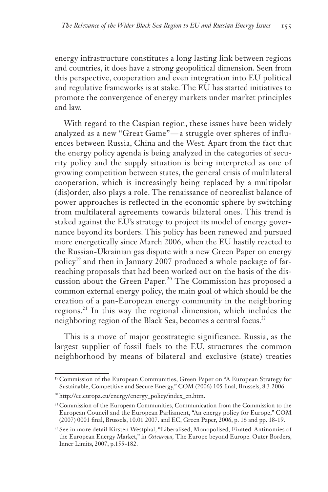energy infrastructure constitutes a long lasting link between regions and countries, it does have a strong geopolitical dimension. Seen from this perspective, cooperation and even integration into EU political and regulative frameworks is at stake. The EU has started initiatives to promote the convergence of energy markets under market principles and law.

With regard to the Caspian region, these issues have been widely analyzed as a new "Great Game"-a struggle over spheres of influences between Russia, China and the West. Apart from the fact that the energy policy agenda is being analyzed in the categories of security policy and the supply situation is being interpreted as one of growing competition between states, the general crisis of multilateral cooperation, which is increasingly being replaced by a multipolar (dis)order, also plays a role. The renaissance of neorealist balance of power approaches is reflected in the economic sphere by switching from multilateral agreements towards bilateral ones. This trend is staked against the EU's strategy to project its model of energy governance beyond its borders. This policy has been renewed and pursued more energetically since March 2006, when the EU hastily reacted to the Russian-Ukrainian gas dispute with a new Green Paper on energy policy<sup>19</sup> and then in January 2007 produced a whole package of farreaching proposals that had been worked out on the basis of the discussion about the Green Paper.<sup>20</sup> The Commission has proposed a common external energy policy, the main goal of which should be the creation of a pan-European energy community in the neighboring regions.<sup>21</sup> In this way the regional dimension, which includes the neighboring region of the Black Sea, becomes a central focus.<sup>22</sup>

This is a move of major geostrategic significance. Russia, as the largest supplier of fossil fuels to the EU, structures the common neighborhood by means of bilateral and exclusive (state) treaties

<sup>19</sup>Commission of the European Communities, Green Paper on "A European Strategy for Sustainable, Competitive and Secure Energy," COM (2006) 105 final, Brussels, 8.3.2006.

<sup>&</sup>lt;sup>20</sup> http://ec.europa.eu/energy/energy\_policy/index\_en.htm.

<sup>21</sup>Commission of the European Communities, Communication from the Commission to the European Council and the European Parliament, "An energy policy for Europe," COM (2007) 0001 final, Brussels, 10.01 2007. and EC, Green Paper, 2006, p. 16 and pp. 18-19.

<sup>22</sup>See in more detail Kirsten Westphal, "Liberalised, Monopolised, Fixated. Antinomies of the European Energy Market," in *Osteuropa,* The Europe beyond Europe. Outer Borders, Inner Limits, 2007, p.155-182.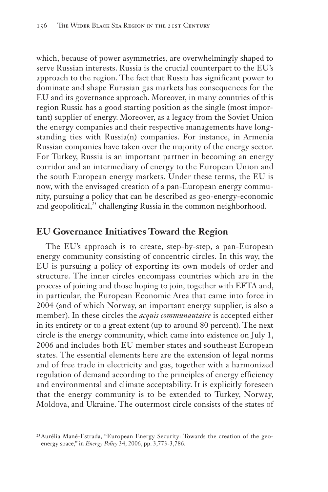which, because of power asymmetries, are overwhelmingly shaped to serve Russian interests. Russia is the crucial counterpart to the EU's approach to the region. The fact that Russia has significant power to dominate and shape Eurasian gas markets has consequences for the EU and its governance approach. Moreover, in many countries of this region Russia has a good starting position as the single (most important) supplier of energy. Moreover, as a legacy from the Soviet Union the energy companies and their respective managements have longstanding ties with Russia(n) companies. For instance, in Armenia Russian companies have taken over the majority of the energy sector. For Turkey, Russia is an important partner in becoming an energy corridor and an intermediary of energy to the European Union and the south European energy markets. Under these terms, the EU is now, with the envisaged creation of a pan-European energy community, pursuing a policy that can be described as geo-energy-economic and geopolitical,<sup>23</sup> challenging Russia in the common neighborhood.

#### **EU Governance Initiatives Toward the Region**

The EU's approach is to create, step-by-step, a pan-European energy community consisting of concentric circles. In this way, the EU is pursuing a policy of exporting its own models of order and structure. The inner circles encompass countries which are in the process of joining and those hoping to join, together with EFTA and, in particular, the European Economic Area that came into force in 2004 (and of which Norway, an important energy supplier, is also a member). In these circles the *acquis communautaire* is accepted either in its entirety or to a great extent (up to around 80 percent). The next circle is the energy community, which came into existence on July 1, 2006 and includes both EU member states and southeast European states. The essential elements here are the extension of legal norms and of free trade in electricity and gas, together with a harmonized regulation of demand according to the principles of energy efficiency and environmental and climate acceptability. It is explicitly foreseen that the energy community is to be extended to Turkey, Norway, Moldova, and Ukraine. The outermost circle consists of the states of

<sup>23</sup>Aurélia Mané-Estrada, "European Energy Security: Towards the creation of the geoenergy space," in *Energy Policy* 34, 2006, pp. 3,773-3,786.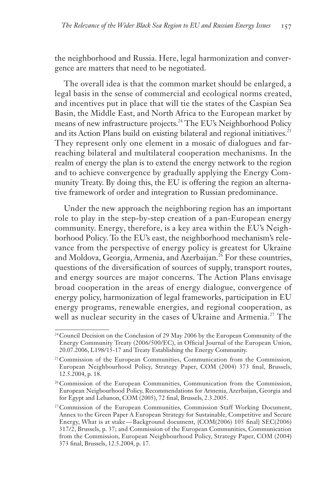the neighborhood and Russia. Here, legal harmonization and convergence are matters that need to be negotiated.

The overall idea is that the common market should be enlarged, a legal basis in the sense of commercial and ecological norms created, and incentives put in place that will tie the states of the Caspian Sea Basin, the Middle East, and North Africa to the European market by means of new infrastructure projects.<sup>24</sup> The EU's Neighborhood Policy and its Action Plans build on existing bilateral and regional initiatives.<sup>25</sup> They represent only one element in a mosaic of dialogues and farreaching bilateral and multilateral cooperation mechanisms. In the realm of energy the plan is to extend the energy network to the region and to achieve convergence by gradually applying the Energy Community Treaty. By doing this, the EU is offering the region an alternative framework of order and integration to Russian predominance.

Under the new approach the neighboring region has an important role to play in the step-by-step creation of a pan-European energy community. Energy, therefore, is a key area within the EU's Neighborhood Policy. To the EU's east, the neighborhood mechanism's relevance from the perspective of energy policy is greatest for Ukraine and Moldova, Georgia, Armenia, and Azerbaijan.<sup>26</sup> For these countries, questions of the diversification of sources of supply, transport routes, and energy sources are major concerns. The Action Plans envisage broad cooperation in the areas of energy dialogue, convergence of energy policy, harmonization of legal frameworks, participation in EU energy programs, renewable energies, and regional cooperation, as well as nuclear security in the cases of Ukraine and Armenia.<sup>27</sup> The

<sup>&</sup>lt;sup>24</sup> Council Decision on the Conclusion of 29 May 2006 by the European Community of the Energy Community Treaty (2006/500/EC), in Official Journal of the European Union, 20.07.2006, L198/15-17 and Treaty Establishing the Energy Community.

<sup>25</sup>Commission of the European Communities, Communication from the Commission, European Neighbourhood Policy, Strategy Paper, COM (2004) 373 final, Brussels, 12.5.2004, p. 18.

<sup>26</sup>Commission of the European Communities, Communication from the Commission, European Neigbourhood Policy, Recommendations for Armenia, Azerbaijan, Georgia and for Egypt and Lebanon, COM (2005), 72 final, Brussels, 2.3.2005.

<sup>27</sup>Commission of the European Communities, Commission Staff Working Document, Annex to the Green Paper A European Strategy for Sustainable, Competitive and Secure Energy, What is at stake — Background document, {COM(2006) 105 final} SEC(2006) 317/2, Brussels, p. 37; and Commission of the European Communities, Communication from the Commission, European Neighbourhood Policy, Strategy Paper, COM (2004) 373 final, Brussels, 12.5.2004, p. 17.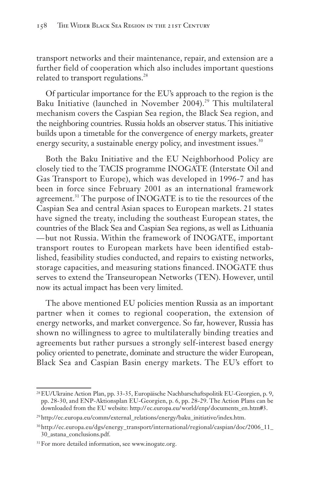transport networks and their maintenance, repair, and extension are a further field of cooperation which also includes important questions related to transport regulations.<sup>28</sup>

Of particular importance for the EU's approach to the region is the Baku Initiative (launched in November 2004).<sup>29</sup> This multilateral mechanism covers the Caspian Sea region, the Black Sea region, and the neighboring countries. Russia holds an observer status. This initiative builds upon a timetable for the convergence of energy markets, greater energy security, a sustainable energy policy, and investment issues.<sup>30</sup>

Both the Baku Initiative and the EU Neighborhood Policy are closely tied to the TACIS programme INOGATE (Interstate Oil and Gas Transport to Europe), which was developed in 1996-7 and has been in force since February 2001 as an international framework agreement.<sup>31</sup> The purpose of INOGATE is to tie the resources of the Caspian Sea and central Asian spaces to European markets. 21 states have signed the treaty, including the southeast European states, the countries of the Black Sea and Caspian Sea regions, as well as Lithuania —but not Russia. Within the framework of INOGATE, important transport routes to European markets have been identified established, feasibility studies conducted, and repairs to existing networks, storage capacities, and measuring stations financed. INOGATE thus serves to extend the Transeuropean Networks (TEN). However, until now its actual impact has been very limited.

The above mentioned EU policies mention Russia as an important partner when it comes to regional cooperation, the extension of energy networks, and market convergence. So far, however, Russia has shown no willingness to agree to multilaterally binding treaties and agreements but rather pursues a strongly self-interest based energy policy oriented to penetrate, dominate and structure the wider European, Black Sea and Caspian Basin energy markets. The EU's effort to

<sup>28</sup>EU/Ukraine Action Plan, pp. 33-35, Europäische Nachbarschaftspolitik EU-Georgien, p. 9, pp. 28-30, and ENP-Aktionsplan EU-Georgien, p. 6, pp. 28-29. The Action Plans can be downloaded from the EU website: http:// ec.europa.eu/ world/enp/ documents\_en. htm#3.

<sup>29</sup>http://ec.europa.eu/comm/external\_relations/energy/baku\_initiative/index.htm.

<sup>30</sup>http://ec.europa.eu/dgs/energy\_transport/international/regional/caspian/doc/2006\_11\_ 30\_astana\_conclusions.pdf.

<sup>31</sup>For more detailed information, see www.inogate.org.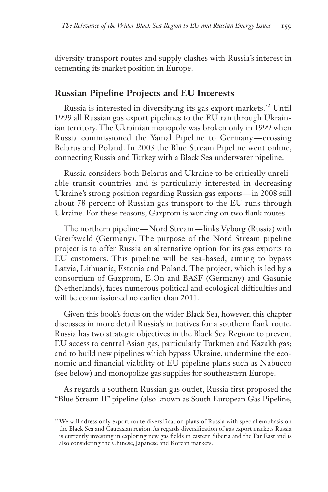diversify transport routes and supply clashes with Russia's interest in cementing its market position in Europe.

#### **Russian Pipeline Projects and EU Interests**

Russia is interested in diversifying its gas export markets.<sup>32</sup> Until 1999 all Russian gas export pipelines to the EU ran through Ukrainian territory. The Ukrainian monopoly was broken only in 1999 when Russia commissioned the Yamal Pipeline to Germany — crossing Belarus and Poland. In 2003 the Blue Stream Pipeline went online, connecting Russia and Turkey with a Black Sea underwater pipeline.

Russia considers both Belarus and Ukraine to be critically unreliable transit countries and is particularly interested in decreasing Ukraine's strong position regarding Russian gas exports — in 2008 still about 78 percent of Russian gas transport to the EU runs through Ukraine. For these reasons, Gazprom is working on two flank routes.

The northern pipeline — Nord Stream — links Vyborg (Russia) with Greifswald (Germany). The purpose of the Nord Stream pipeline project is to offer Russia an alternative option for its gas exports to EU customers. This pipeline will be sea-based, aiming to bypass Latvia, Lithuania, Estonia and Poland. The project, which is led by a consortium of Gazprom, E.On and BASF (Germany) and Gasunie (Netherlands), faces numerous political and ecological difficulties and will be commissioned no earlier than 2011.

Given this book's focus on the wider Black Sea, however, this chapter discusses in more detail Russia's initiatives for a southern flank route. Russia has two strategic objectives in the Black Sea Region: to prevent EU access to central Asian gas, particularly Turkmen and Kazakh gas; and to build new pipelines which bypass Ukraine, undermine the economic and financial viability of EU pipeline plans such as Nabucco (see below) and monopolize gas supplies for southeastern Europe.

As regards a southern Russian gas outlet, Russia first proposed the "Blue Stream II" pipeline (also known as South European Gas Pipeline,

<sup>&</sup>lt;sup>32</sup> We will adress only export route diversification plans of Russia with special emphasis on the Black Sea and Caucasian region. As regards diversification of gas export markets Russia is currently investing in exploring new gas fields in eastern Siberia and the Far East and is also considering the Chinese, Japanese and Korean markets.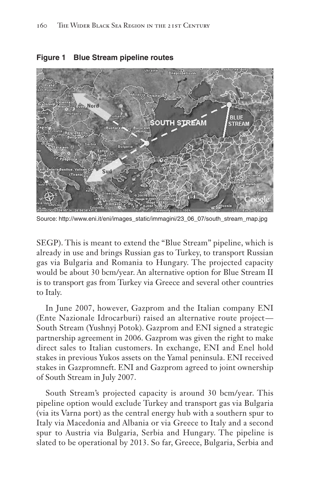

**Figure 1 Blue Stream pipeline routes**

Source: http://www.eni.it/eni/images\_static/immagini/23\_06\_07/south\_stream\_map.jpg

SEGP). This is meant to extend the "Blue Stream" pipeline, which is already in use and brings Russian gas to Turkey, to transport Russian gas via Bulgaria and Romania to Hungary. The projected capacity would be about 30 bcm/year. An alternative option for Blue Stream II is to transport gas from Turkey via Greece and several other countries to Italy.

In June 2007, however, Gazprom and the Italian company ENI (Ente Nazionale Idrocarburi) raised an alternative route project — South Stream (Yushnyj Potok). Gazprom and ENI signed a strategic partnership agreement in 2006. Gazprom was given the right to make direct sales to Italian customers. In exchange, ENI and Enel hold stakes in previous Yukos assets on the Yamal peninsula. ENI received stakes in Gazpromneft. ENI and Gazprom agreed to joint ownership of South Stream in July 2007.

South Stream's projected capacity is around 30 bcm/year. This pipeline option would exclude Turkey and transport gas via Bulgaria (via its Varna port) as the central energy hub with a southern spur to Italy via Macedonia and Albania or via Greece to Italy and a second spur to Austria via Bulgaria, Serbia and Hungary. The pipeline is slated to be operational by 2013. So far, Greece, Bulgaria, Serbia and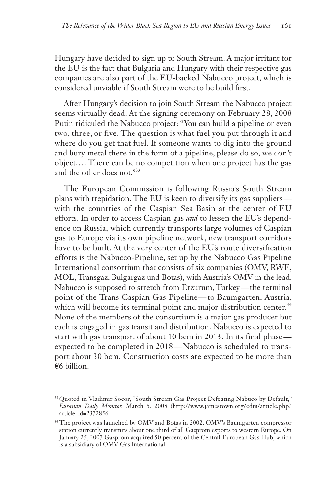Hungary have decided to sign up to South Stream. A major irritant for the EU is the fact that Bulgaria and Hungary with their respective gas companies are also part of the EU-backed Nabucco project, which is considered unviable if South Stream were to be build first.

After Hungary's decision to join South Stream the Nabucco project seems virtually dead. At the signing ceremony on February 28, 2008 Putin ridiculed the Nabucco project: "You can build a pipeline or even two, three, or five. The question is what fuel you put through it and where do you get that fuel. If someone wants to dig into the ground and bury metal there in the form of a pipeline, please do so, we don't object.... There can be no competition when one project has the gas and the other does not."33

The European Commission is following Russia's South Stream plans with trepidation. The EU is keen to diversify its gas suppliers with the countries of the Caspian Sea Basin at the center of EU efforts. In order to access Caspian gas *and* to lessen the EU's dependence on Russia, which currently transports large volumes of Caspian gas to Europe via its own pipeline network, new transport corridors have to be built. At the very center of the EU's route diversification efforts is the Nabucco-Pipeline, set up by the Nabucco Gas Pipeline International consortium that consists of six companies (OMV, RWE, MOL, Transgaz, Bulgargaz und Botas), with Austria's OMV in the lead. Nabucco is supposed to stretch from Erzurum, Turkey—the terminal point of the Trans Caspian Gas Pipeline — to Baumgarten, Austria, which will become its terminal point and major distribution center.<sup>34</sup> None of the members of the consortium is a major gas producer but each is engaged in gas transit and distribution. Nabucco is expected to start with gas transport of about 10 bcm in 2013. In its final phase expected to be completed in 2018 — Nabucco is scheduled to transport about 30 bcm. Construction costs are expected to be more than €6 billion.

<sup>&</sup>lt;sup>33</sup> Quoted in Vladimir Socor, "South Stream Gas Project Defeating Nabuco by Default," *Eurasian Daily Monitor,* March 5, 2008 (http://www.jamestown.org/edm/article.php? article\_id=2372856.

<sup>&</sup>lt;sup>34</sup>The project was launched by OMV and Botas in 2002. OMV's Baumgarten compressor station currently transmits about one third of all Gazprom exports to western Europe. On January 25, 2007 Gazprom acquired 50 percent of the Central European Gas Hub, which is a subsidiary of OMV Gas International.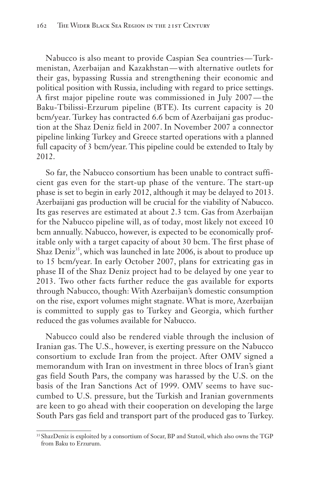Nabucco is also meant to provide Caspian Sea countries — Turkmenistan, Azerbaijan and Kazakhstan — with alternative outlets for their gas, bypassing Russia and strengthening their economic and political position with Russia, including with regard to price settings. A first major pipeline route was commissioned in July 2007 — the Baku-Tbilissi-Erzurum pipeline (BTE). Its current capacity is 20 bcm/year. Turkey has contracted 6.6 bcm of Azerbaijani gas production at the Shaz Deniz field in 2007. In November 2007 a connector pipeline linking Turkey and Greece started operations with a planned full capacity of 3 bcm/year. This pipeline could be extended to Italy by 2012.

So far, the Nabucco consortium has been unable to contract sufficient gas even for the start-up phase of the venture. The start-up phase is set to begin in early 2012, although it may be delayed to 2013. Azerbaijani gas production will be crucial for the viability of Nabucco. Its gas reserves are estimated at about 2.3 tcm. Gas from Azerbaijan for the Nabucco pipeline will, as of today, most likely not exceed 10 bcm annually. Nabucco, however, is expected to be economically profitable only with a target capacity of about 30 bcm. The first phase of Shaz Deniz<sup>35</sup>, which was launched in late 2006, is about to produce up to 15 bcm/year. In early October 2007, plans for extricating gas in phase II of the Shaz Deniz project had to be delayed by one year to 2013. Two other facts further reduce the gas available for exports through Nabucco, though: With Azerbaijan's domestic consumption on the rise, export volumes might stagnate. What is more, Azerbaijan is committed to supply gas to Turkey and Georgia, which further reduced the gas volumes available for Nabucco.

Nabucco could also be rendered viable through the inclusion of Iranian gas. The U.S., however, is exerting pressure on the Nabucco consortium to exclude Iran from the project. After OMV signed a memorandum with Iran on investment in three blocs of Iran's giant gas field South Pars, the company was harassed by the U.S. on the basis of the Iran Sanctions Act of 1999. OMV seems to have succumbed to U.S. pressure, but the Turkish and Iranian governments are keen to go ahead with their cooperation on developing the large South Pars gas field and transport part of the produced gas to Turkey.

<sup>&</sup>lt;sup>35</sup> ShazDeniz is exploited by a consortium of Socar, BP and Statoil, which also owns the TGP from Baku to Erzurum.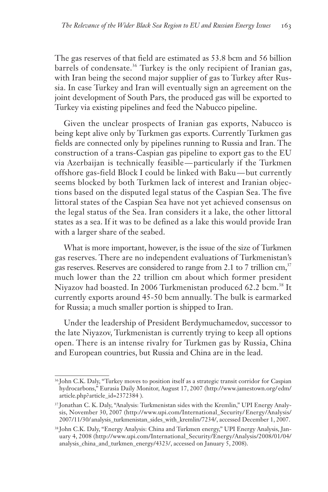The gas reserves of that field are estimated as 53.8 bcm and 56 billion barrels of condensate.<sup>36</sup> Turkey is the only recipient of Iranian gas, with Iran being the second major supplier of gas to Turkey after Russia. In case Turkey and Iran will eventually sign an agreement on the joint development of South Pars, the produced gas will be exported to Turkey via existing pipelines and feed the Nabucco pipeline.

Given the unclear prospects of Iranian gas exports, Nabucco is being kept alive only by Turkmen gas exports. Currently Turkmen gas fields are connected only by pipelines running to Russia and Iran. The construction of a trans-Caspian gas pipeline to export gas to the EU via Azerbaijan is technically feasible — particularly if the Turkmen offshore gas-field Block I could be linked with Baku — but currently seems blocked by both Turkmen lack of interest and Iranian objections based on the disputed legal status of the Caspian Sea. The five littoral states of the Caspian Sea have not yet achieved consensus on the legal status of the Sea. Iran considers it a lake, the other littoral states as a sea. If it was to be defined as a lake this would provide Iran with a larger share of the seabed.

What is more important, however, is the issue of the size of Turkmen gas reserves. There are no independent evaluations of Turkmenistan's gas reserves. Reserves are considered to range from 2.1 to 7 trillion cm,<sup>37</sup> much lower than the 22 trillion cm about which former president Niyazov had boasted. In 2006 Turkmenistan produced 62.2 bcm.<sup>38</sup> It currently exports around 45-50 bcm annually. The bulk is earmarked for Russia; a much smaller portion is shipped to Iran.

Under the leadership of President Berdymuchamedov, successor to the late Niyazov, Turkmenistan is currently trying to keep all options open. There is an intense rivalry for Turkmen gas by Russia, China and European countries, but Russia and China are in the lead.

<sup>36</sup> John C.K. Daly, "Turkey moves to position itself as a strategic transit corridor for Caspian hydrocarbons," Eurasia Daily Monitor, August 17, 2007 (http://www.jamestown.org/ edm/ article.php?article\_id=2372384 ).

<sup>37</sup> Jonathan C. K. Daly, "Analysis: Turkmenistan sides with the Kremlin," UPI Energy Analysis, November 30, 2007 (http://www.upi.com/International\_Security/ Energy/Analysis/ 2007/11/30/ analysis\_turkmenistan\_sides\_with\_kremlin/7234/, accessed December 1, 2007.

<sup>38</sup> John C.K. Daly, "Energy Analysis: China and Turkmen energy," UPI Energy Analysis, January 4, 2008 (http://www.upi.com/International\_Security/Energy/Analysis/2008/01/04/ analysis\_china\_and\_turkmen\_energy/4323/, accessed on January 5, 2008).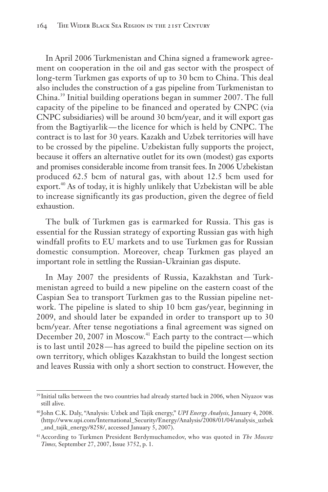In April 2006 Turkmenistan and China signed a framework agreement on cooperation in the oil and gas sector with the prospect of long-term Turkmen gas exports of up to 30 bcm to China. This deal also includes the construction of a gas pipeline from Turkmenistan to China.<sup>39</sup> Initial building operations began in summer 2007. The full capacity of the pipeline to be financed and operated by CNPC (via CNPC subsidiaries) will be around 30 bcm/year, and it will export gas from the Bagtiyarlik — the licence for which is held by CNPC. The contract is to last for 30 years. Kazakh and Uzbek territories will have to be crossed by the pipeline. Uzbekistan fully supports the project, because it offers an alternative outlet for its own (modest) gas exports and promises considerable income from transit fees. In 2006 Uzbekistan produced 62.5 bcm of natural gas, with about 12.5 bcm used for export.<sup>40</sup> As of today, it is highly unlikely that Uzbekistan will be able to increase significantly its gas production, given the degree of field exhaustion.

The bulk of Turkmen gas is earmarked for Russia. This gas is essential for the Russian strategy of exporting Russian gas with high windfall profits to EU markets and to use Turkmen gas for Russian domestic consumption. Moreover, cheap Turkmen gas played an important role in settling the Russian-Ukrainian gas dispute.

In May 2007 the presidents of Russia, Kazakhstan and Turkmenistan agreed to build a new pipeline on the eastern coast of the Caspian Sea to transport Turkmen gas to the Russian pipeline network. The pipeline is slated to ship 10 bcm gas/year, beginning in 2009, and should later be expanded in order to transport up to 30 bcm/year. After tense negotiations a final agreement was signed on December 20, 2007 in Moscow.<sup>41</sup> Each party to the contract—which is to last until 2028 — has agreed to build the pipeline section on its own territory, which obliges Kazakhstan to build the longest section and leaves Russia with only a short section to construct. However, the

<sup>&</sup>lt;sup>39</sup> Initial talks between the two countries had already started back in 2006, when Niyazov was still alive.

<sup>40</sup> John C.K. Daly, "Analysis: Uzbek and Tajik energy," *UPI Energy Analysis,* January 4, 2008. (http://www.upi.com/International\_Security/Energy/Analysis/2008/01/04/analysis\_uzbek \_and\_tajik\_energy/8258/, accessed January 5, 2007).

<sup>41</sup>According to Turkmen President Berdymuchamedov, who was quoted in *The Moscow Times,* September 27, 2007, Issue 3752, p. 1.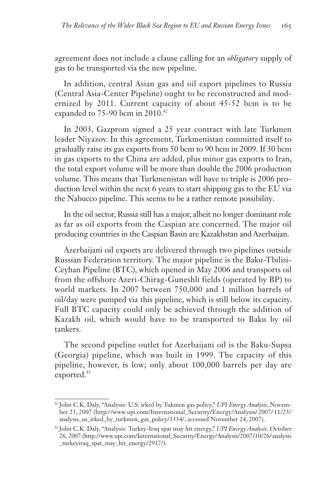agreement does not include a clause calling for an *obligatory* supply of gas to be transported via the new pipeline.

In addition, central Asian gas and oil export pipelines to Russia (Central Asia-Center Pipeline) ought to be reconstructed and modernized by 2011. Current capacity of about 45-52 bcm is to be expanded to 75-90 bcm in 2010.<sup>42</sup>

In 2003, Gazprom signed a 25 year contract with late Turkmen leader Niyazov. In this agreement, Turkmenistan committed itself to gradually raise its gas exports from 50 bcm to 90 bcm in 2009. If 30 bcm in gas exports to the China are added, plus minor gas exports to Iran, the total export volume will be more than double the 2006 production volume. This means that Turkmenistan will have to triple is 2006 production level within the next 6 years to start shipping gas to the EU via the Nabucco pipeline. This seems to be a rather remote possibility.

In the oil sector, Russia still has a major, albeit no longer dominant role as far as oil exports from the Caspian are concerned. The major oil producing countries in the Caspian Basin are Kazakhstan and Azerbaijan.

Azerbaijani oil exports are delivered through two pipelines outside Russian Federation territory. The major pipeline is the Baku-Tbilisi-Ceyhan Pipeline (BTC), which opened in May 2006 and transports oil from the offshore Azeri-Chirag-Guneshli fields (operated by BP) to world markets. In 2007 between 750,000 and 1 million barrels of oil/day were pumped via this pipeline, which is still below its capacity. Full BTC capacity could only be achieved through the addition of Kazakh oil, which would have to be transported to Baku by oil tankers.

The second pipeline outlet for Azerbaijani oil is the Baku-Supsa (Georgia) pipeline, which was built in 1999. The capacity of this pipeline, however, is low; only about 100,000 barrels per day are exported. $43$ 

<sup>42</sup> John C.K. Daly, "Analysis: U.S. irked by Tukmen gas policy," *UPI Energy Analysis,* November 23, 2007 (http://www.upi.com/International\_Security/Energy/Analysis/ 2007/ 11/23/ analysis\_us\_irked\_by\_turkmen\_gas\_policy/1334/, accessed November 24, 2007).

<sup>43</sup> John C.K. Daly, "Analysis: Turkey-Iraq spat may hit energy," *UPI Energy Analysis,* October 26, 2007 (http://www.upi.com/International\_Security/Energy/Analysis/2007/10/26/ analysis \_turkeyiraq\_spat\_may\_hit\_energy/2917/).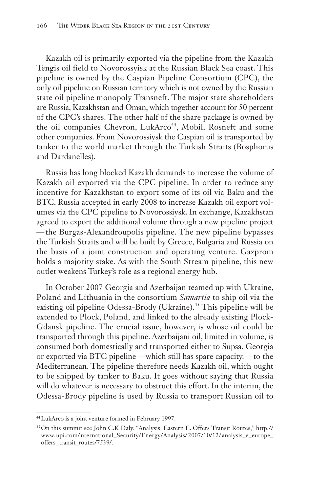Kazakh oil is primarily exported via the pipeline from the Kazakh Tengis oil field to Novorossyisk at the Russian Black Sea coast. This pipeline is owned by the Caspian Pipeline Consortium (CPC), the only oil pipeline on Russian territory which is not owned by the Russian state oil pipeline monopoly Transneft. The major state shareholders are Russia, Kazakhstan and Oman, which together account for 50 percent of the CPC's shares. The other half of the share package is owned by the oil companies Chevron, LukArco<sup>44</sup>, Mobil, Rosneft and some other companies. From Novorossiysk the Caspian oil is transported by tanker to the world market through the Turkish Straits (Bosphorus and Dardanelles).

Russia has long blocked Kazakh demands to increase the volume of Kazakh oil exported via the CPC pipeline. In order to reduce any incentive for Kazakhstan to export some of its oil via Baku and the BTC, Russia accepted in early 2008 to increase Kazakh oil export volumes via the CPC pipeline to Novorossiysk. In exchange, Kazakhstan agreed to export the additional volume through a new pipeline project — the Burgas-Alexandroupolis pipeline. The new pipeline bypasses the Turkish Straits and will be built by Greece, Bulgaria and Russia on the basis of a joint construction and operating venture. Gazprom holds a majority stake. As with the South Stream pipeline, this new outlet weakens Turkey's role as a regional energy hub.

In October 2007 Georgia and Azerbaijan teamed up with Ukraine, Poland and Lithuania in the consortium *Samartia* to ship oil via the existing oil pipeline Odessa-Brody (Ukraine).<sup>45</sup> This pipeline will be extended to Plock, Poland, and linked to the already existing Plock-Gdansk pipeline. The crucial issue, however, is whose oil could be transported through this pipeline. Azerbaijani oil, limited in volume, is consumed both domestically and transported either to Supsa, Georgia or exported via BTC pipeline — which still has spare capacity. — to the Mediterranean. The pipeline therefore needs Kazakh oil, which ought to be shipped by tanker to Baku. It goes without saying that Russia will do whatever is necessary to obstruct this effort. In the interim, the Odessa-Brody pipeline is used by Russia to transport Russian oil to

<sup>44</sup>LukArco is a joint venture formed in February 1997.

<sup>45</sup>On this summit see John C.K Daly, "Analysis: Eastern E. Offers Transit Routes," http:// www. upi.com/ nternational\_Security/Energy/Analysis/ 2007/10/12/ analysis\_e\_europe\_ offers \_transit\_routes/7539/.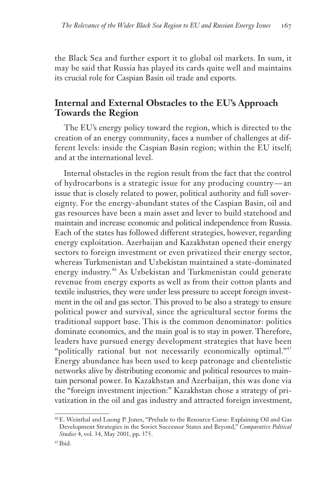the Black Sea and further export it to global oil markets. In sum, it may be said that Russia has played its cards quite well and maintains its crucial role for Caspian Basin oil trade and exports.

#### **Internal and External Obstacles to the EU's Approach Towards the Region**

The EU's energy policy toward the region, which is directed to the creation of an energy community, faces a number of challenges at different levels: inside the Caspian Basin region; within the EU itself; and at the international level.

Internal obstacles in the region result from the fact that the control of hydrocarbons is a strategic issue for any producing country — an issue that is closely related to power, political authority and full sovereignty. For the energy-abundant states of the Caspian Basin, oil and gas resources have been a main asset and lever to build statehood and maintain and increase economic and political independence from Russia. Each of the states has followed different strategies, however, regarding energy exploitation. Azerbaijan and Kazakhstan opened their energy sectors to foreign investment or even privatized their energy sector, whereas Turkmenistan and Uzbekistan maintained a state-dominated energy industry.<sup>46</sup> As Uzbekistan and Turkmenistan could generate revenue from energy exports as well as from their cotton plants and textile industries, they were under less pressure to accept foreign investment in the oil and gas sector. This proved to be also a strategy to ensure political power and survival, since the agricultural sector forms the traditional support base. This is the common denominator: politics dominate economics, and the main goal is to stay in power. Therefore, leaders have pursued energy development strategies that have been "politically rational but not necessarily economically optimal."<sup>47</sup> Energy abundance has been used to keep patronage and clientelistic networks alive by distributing economic and political resources to maintain personal power. In Kazakhstan and Azerbaijan, this was done via the "foreign investment injection:" Kazakhstan chose a strategy of privatization in the oil and gas industry and attracted foreign investment,

<sup>46</sup>E. Weinthal and Luong P. Jones, "Prelude to the Resource Curse: Explaining Oil and Gas Development Strategies in the Soviet Successor States and Beyond," *Comparative Political Studies* 4, vol. 34, May 2001, pp. 375.

 $47$  Ibid.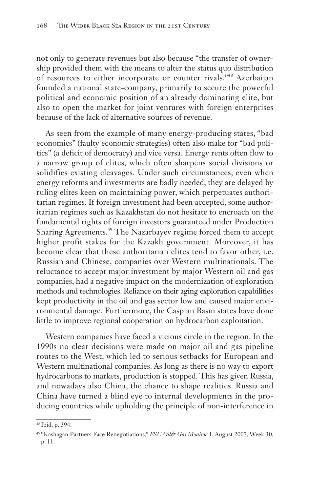not only to generate revenues but also because "the transfer of ownership provided them with the means to alter the status quo distribution of resources to either incorporate or counter rivals."<sup>48</sup> Azerbaijan founded a national state-company, primarily to secure the powerful political and economic position of an already dominating elite, but also to open the market for joint ventures with foreign enterprises because of the lack of alternative sources of revenue.

As seen from the example of many energy-producing states, "bad economics" (faulty economic strategies) often also make for "bad politics" (a deficit of democracy) and vice versa. Energy rents often flow to a narrow group of elites, which often sharpens social divisions or solidifies existing cleavages. Under such circumstances, even when energy reforms and investments are badly needed, they are delayed by ruling elites keen on maintaining power, which perpetuates authoritarian regimes. If foreign investment had been accepted, some authoritarian regimes such as Kazakhstan do not hesitate to encroach on the fundamental rights of foreign investors guaranteed under Production Sharing Agreements.<sup>49</sup> The Nazarbayev regime forced them to accept higher profit stakes for the Kazakh government. Moreover, it has become clear that these authoritarian elites tend to favor other, i.e. Russian and Chinese, companies over Western multinationals. The reluctance to accept major investment by major Western oil and gas companies, had a negative impact on the modernization of exploration methods and technologies. Reliance on their aging exploration capabilities kept productivity in the oil and gas sector low and caused major environmental damage. Furthermore, the Caspian Basin states have done little to improve regional cooperation on hydrocarbon exploitation.

Western companies have faced a vicious circle in the region. In the 1990s no clear decisions were made on major oil and gas pipeline routes to the West, which led to serious setbacks for European and Western multinational companies. As long as there is no way to export hydrocarbons to markets, production is stopped. This has given Russia, and nowadays also China, the chance to shape realities. Russia and China have turned a blind eye to internal developments in the producing countries while upholding the principle of non-interference in

<sup>48</sup> Ibid, p. 394.

<sup>&</sup>lt;sup>49 "</sup>Kashagan Partners Face Renegotiations," *FSU Oil& Gas Monitor* 1, August 2007, Week 30, p. 11.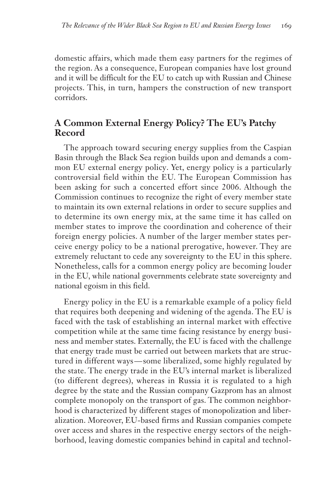domestic affairs, which made them easy partners for the regimes of the region. As a consequence, European companies have lost ground and it will be difficult for the EU to catch up with Russian and Chinese projects. This, in turn, hampers the construction of new transport corridors.

# **A Common External Energy Policy? The EU's Patchy Record**

The approach toward securing energy supplies from the Caspian Basin through the Black Sea region builds upon and demands a common EU external energy policy. Yet, energy policy is a particularly controversial field within the EU. The European Commission has been asking for such a concerted effort since 2006. Although the Commission continues to recognize the right of every member state to maintain its own external relations in order to secure supplies and to determine its own energy mix, at the same time it has called on member states to improve the coordination and coherence of their foreign energy policies. A number of the larger member states perceive energy policy to be a national prerogative, however. They are extremely reluctant to cede any sovereignty to the EU in this sphere. Nonetheless, calls for a common energy policy are becoming louder in the EU, while national governments celebrate state sovereignty and national egoism in this field.

Energy policy in the EU is a remarkable example of a policy field that requires both deepening and widening of the agenda. The EU is faced with the task of establishing an internal market with effective competition while at the same time facing resistance by energy business and member states. Externally, the EU is faced with the challenge that energy trade must be carried out between markets that are structured in different ways — some liberalized, some highly regulated by the state. The energy trade in the EU's internal market is liberalized (to different degrees), whereas in Russia it is regulated to a high degree by the state and the Russian company Gazprom has an almost complete monopoly on the transport of gas. The common neighborhood is characterized by different stages of monopolization and liberalization. Moreover, EU-based firms and Russian companies compete over access and shares in the respective energy sectors of the neighborhood, leaving domestic companies behind in capital and technol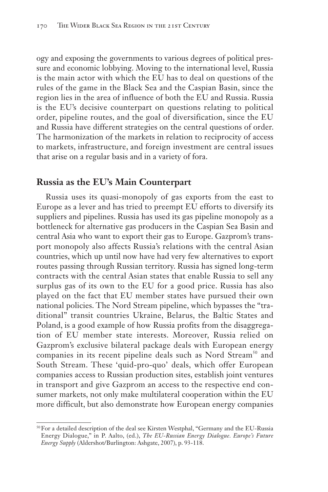ogy and exposing the governments to various degrees of political pressure and economic lobbying. Moving to the international level, Russia is the main actor with which the EU has to deal on questions of the rules of the game in the Black Sea and the Caspian Basin, since the region lies in the area of influence of both the EU and Russia. Russia is the EU's decisive counterpart on questions relating to political order, pipeline routes, and the goal of diversification, since the EU and Russia have different strategies on the central questions of order. The harmonization of the markets in relation to reciprocity of access to markets, infrastructure, and foreign investment are central issues that arise on a regular basis and in a variety of fora.

#### **Russia as the EU's Main Counterpart**

Russia uses its quasi-monopoly of gas exports from the east to Europe as a lever and has tried to preempt EU efforts to diversify its suppliers and pipelines. Russia has used its gas pipeline monopoly as a bottleneck for alternative gas producers in the Caspian Sea Basin and central Asia who want to export their gas to Europe. Gazprom's transport monopoly also affects Russia's relations with the central Asian countries, which up until now have had very few alternatives to export routes passing through Russian territory. Russia has signed long-term contracts with the central Asian states that enable Russia to sell any surplus gas of its own to the EU for a good price. Russia has also played on the fact that EU member states have pursued their own national policies. The Nord Stream pipeline, which bypasses the "traditional" transit countries Ukraine, Belarus, the Baltic States and Poland, is a good example of how Russia profits from the disaggregation of EU member state interests. Moreover, Russia relied on Gazprom's exclusive bilateral package deals with European energy companies in its recent pipeline deals such as Nord Stream<sup>50</sup> and South Stream. These 'quid-pro-quo' deals, which offer European companies access to Russian production sites, establish joint ventures in transport and give Gazprom an access to the respective end consumer markets, not only make multilateral cooperation within the EU more difficult, but also demonstrate how European energy companies

<sup>50</sup>For a detailed description of the deal see Kirsten Westphal, "Germany and the EU-Russia Energy Dialogue," in P. Aalto, (ed.), *The EU-Russian Energy Dialogue. Europe's Future Energy Supply* (Aldershot/Burlington: Ashgate, 2007), p. 93-118.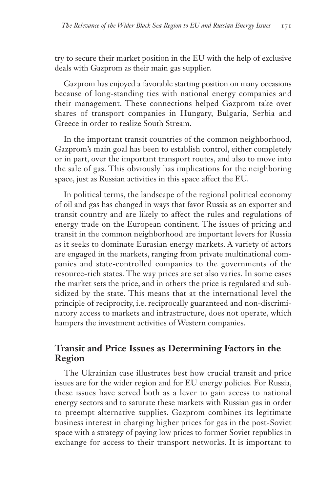try to secure their market position in the EU with the help of exclusive deals with Gazprom as their main gas supplier.

Gazprom has enjoyed a favorable starting position on many occasions because of long-standing ties with national energy companies and their management. These connections helped Gazprom take over shares of transport companies in Hungary, Bulgaria, Serbia and Greece in order to realize South Stream.

In the important transit countries of the common neighborhood, Gazprom's main goal has been to establish control, either completely or in part, over the important transport routes, and also to move into the sale of gas. This obviously has implications for the neighboring space, just as Russian activities in this space affect the EU.

In political terms, the landscape of the regional political economy of oil and gas has changed in ways that favor Russia as an exporter and transit country and are likely to affect the rules and regulations of energy trade on the European continent. The issues of pricing and transit in the common neighborhood are important levers for Russia as it seeks to dominate Eurasian energy markets. A variety of actors are engaged in the markets, ranging from private multinational companies and state-controlled companies to the governments of the resource-rich states. The way prices are set also varies. In some cases the market sets the price, and in others the price is regulated and subsidized by the state. This means that at the international level the principle of reciprocity, i.e. reciprocally guaranteed and non-discriminatory access to markets and infrastructure, does not operate, which hampers the investment activities of Western companies.

# **Transit and Price Issues as Determining Factors in the Region**

The Ukrainian case illustrates best how crucial transit and price issues are for the wider region and for EU energy policies. For Russia, these issues have served both as a lever to gain access to national energy sectors and to saturate these markets with Russian gas in order to preempt alternative supplies. Gazprom combines its legitimate business interest in charging higher prices for gas in the post-Soviet space with a strategy of paying low prices to former Soviet republics in exchange for access to their transport networks. It is important to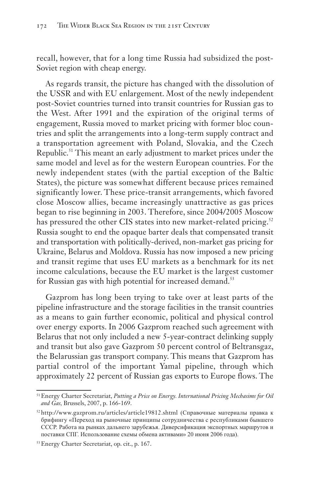recall, however, that for a long time Russia had subsidized the post-Soviet region with cheap energy.

As regards transit, the picture has changed with the dissolution of the USSR and with EU enlargement. Most of the newly independent post-Soviet countries turned into transit countries for Russian gas to the West. After 1991 and the expiration of the original terms of engagement, Russia moved to market pricing with former bloc countries and split the arrangements into a long-term supply contract and a transportation agreement with Poland, Slovakia, and the Czech Republic.<sup>51</sup> This meant an early adjustment to market prices under the same model and level as for the western European countries. For the newly independent states (with the partial exception of the Baltic States), the picture was somewhat different because prices remained significantly lower. These price-transit arrangements, which favored close Moscow allies, became increasingly unattractive as gas prices began to rise beginning in 2003. Therefore, since 2004/2005 Moscow has pressured the other CIS states into new market-related pricing.<sup>52</sup> Russia sought to end the opaque barter deals that compensated transit and transportation with politically-derived, non-market gas pricing for Ukraine, Belarus and Moldova. Russia has now imposed a new pricing and transit regime that uses EU markets as a benchmark for its net income calculations, because the EU market is the largest customer for Russian gas with high potential for increased demand.<sup>53</sup>

Gazprom has long been trying to take over at least parts of the pipeline infrastructure and the storage facilities in the transit countries as a means to gain further economic, political and physical control over energy exports. In 2006 Gazprom reached such agreement with Belarus that not only included a new 5-year-contract delinking supply and transit but also gave Gazprom 50 percent control of Beltransgaz, the Belarussian gas transport company. This means that Gazprom has partial control of the important Yamal pipeline, through which approximately 22 percent of Russian gas exports to Europe flows. The

<sup>51</sup>Energy Charter Secretariat, *Putting a Price on Energy. International Pricing Mechasims for Oil and Gas,* Brussels, 2007, p. 166-169.

<sup>&</sup>lt;sup>52</sup>http://www.gazprom.ru/articles/article19812.shtml (Справочные материалы правка к брифингу «Переход на рыночные принципы сотрудничества с республиками бывшего СССР. Работа на рынках дальнего зарубежья. Диверсификация экспортных маршрутов и поставки СПГ. Использование схемы обмена активами» 20 июня 2006 года).

<sup>53</sup>Energy Charter Secretariat, op. cit., p. 167.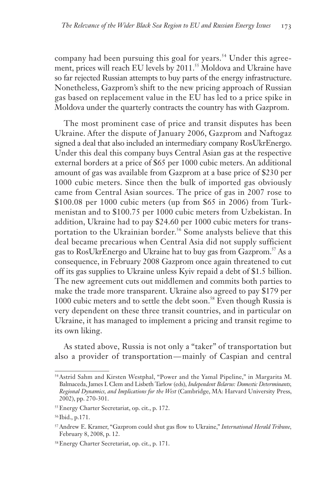company had been pursuing this goal for years.<sup>54</sup> Under this agreement, prices will reach EU levels by 2011.<sup>55</sup> Moldova and Ukraine have so far rejected Russian attempts to buy parts of the energy infrastructure. Nonetheless, Gazprom's shift to the new pricing approach of Russian gas based on replacement value in the EU has led to a price spike in Moldova under the quarterly contracts the country has with Gazprom.

The most prominent case of price and transit disputes has been Ukraine. After the dispute of January 2006, Gazprom and Naftogaz signed a deal that also included an intermediary company RosUkrEnergo. Under this deal this company buys Central Asian gas at the respective external borders at a price of \$65 per 1000 cubic meters. An additional amount of gas was available from Gazprom at a base price of \$230 per 1000 cubic meters. Since then the bulk of imported gas obviously came from Central Asian sources. The price of gas in 2007 rose to \$100.08 per 1000 cubic meters (up from \$65 in 2006) from Turkmenistan and to \$100.75 per 1000 cubic meters from Uzbekistan. In addition, Ukraine had to pay \$24.60 per 1000 cubic meters for transportation to the Ukrainian border.<sup>56</sup> Some analysts believe that this deal became precarious when Central Asia did not supply sufficient gas to RosUkrEnergo and Ukraine hat to buy gas from Gazprom.<sup>57</sup> As a consequence, in February 2008 Gazprom once again threatened to cut off its gas supplies to Ukraine unless Kyiv repaid a debt of \$1.5 billion. The new agreement cuts out middlemen and commits both parties to make the trade more transparent. Ukraine also agreed to pay \$179 per 1000 cubic meters and to settle the debt soon.<sup>58</sup> Even though Russia is very dependent on these three transit countries, and in particular on Ukraine, it has managed to implement a pricing and transit regime to its own liking.

As stated above, Russia is not only a "taker" of transportation but also a provider of transportation — mainly of Caspian and central

<sup>54</sup>Astrid Sahm and Kirsten Westphal, "Power and the Yamal Pipeline," in Margarita M. Balmaceda, James I. Clem and Lisbeth Tarlow (eds), *Independent Belarus: Domestic Determinants, Regional Dynamics, and Implications for the West* (Cambridge, MA: Harvard University Press, 2002), pp. 270-301.

<sup>55</sup>Energy Charter Secretariat, op. cit., p. 172.

<sup>56</sup> Ibid., p.171.

<sup>57</sup>Andrew E. Kramer, "Gazprom could shut gas flow to Ukraine," *International Herald Tribune,* February 8, 2008, p. 12.

<sup>58</sup>Energy Charter Secretariat, op. cit., p. 171.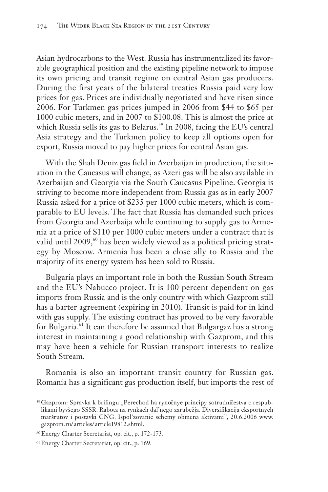Asian hydrocarbons to the West. Russia has instrumentalized its favorable geographical position and the existing pipeline network to impose its own pricing and transit regime on central Asian gas producers. During the first years of the bilateral treaties Russia paid very low prices for gas. Prices are individually negotiated and have risen since 2006. For Turkmen gas prices jumped in 2006 from \$44 to \$65 per 1000 cubic meters, and in 2007 to \$100.08. This is almost the price at which Russia sells its gas to Belarus.<sup>59</sup> In 2008, facing the EU's central Asia strategy and the Turkmen policy to keep all options open for export, Russia moved to pay higher prices for central Asian gas.

With the Shah Deniz gas field in Azerbaijan in production, the situation in the Caucasus will change, as Azeri gas will be also available in Azerbaijan and Georgia via the South Caucasus Pipeline. Georgia is striving to become more independent from Russia gas as in early 2007 Russia asked for a price of \$235 per 1000 cubic meters, which is comparable to EU levels. The fact that Russia has demanded such prices from Georgia and Azerbaija while continuing to supply gas to Armenia at a price of \$110 per 1000 cubic meters under a contract that is valid until 2009,<sup>60</sup> has been widely viewed as a political pricing strategy by Moscow. Armenia has been a close ally to Russia and the majority of its energy system has been sold to Russia.

Bulgaria plays an important role in both the Russian South Stream and the EU's Nabucco project. It is 100 percent dependent on gas imports from Russia and is the only country with which Gazprom still has a barter agreement (expiring in 2010). Transit is paid for in kind with gas supply. The existing contract has proved to be very favorable for Bulgaria.<sup>61</sup> It can therefore be assumed that Bulgargaz has a strong interest in maintaining a good relationship with Gazprom, and this may have been a vehicle for Russian transport interests to realize South Stream.

Romania is also an important transit country for Russian gas. Romania has a significant gas production itself, but imports the rest of

<sup>59</sup> Gazprom: Spravka k brifingu "Perechod ha rynočnye principy sotrudničestva c respublikami byvšego SSSR. Rabota na rynkach dal'nego zarubežja. Diversifikacija eksportnych maršrutov i postavki CNG. Ispol'zovanie schemy obmena aktivami", 20.6.2006 www. gazprom. ru/ articles/ article19812.shtml.

<sup>60</sup> Energy Charter Secretariat, op. cit., p. 172-173.

<sup>61</sup>Energy Charter Secretariat, op. cit., p. 169.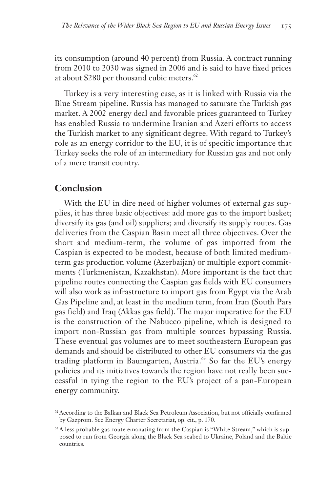its consumption (around 40 percent) from Russia. A contract running from 2010 to 2030 was signed in 2006 and is said to have fixed prices at about \$280 per thousand cubic meters.<sup>62</sup>

Turkey is a very interesting case, as it is linked with Russia via the Blue Stream pipeline. Russia has managed to saturate the Turkish gas market. A 2002 energy deal and favorable prices guaranteed to Turkey has enabled Russia to undermine Iranian and Azeri efforts to access the Turkish market to any significant degree. With regard to Turkey's role as an energy corridor to the EU, it is of specific importance that Turkey seeks the role of an intermediary for Russian gas and not only of a mere transit country.

#### **Conclusion**

With the EU in dire need of higher volumes of external gas supplies, it has three basic objectives: add more gas to the import basket; diversify its gas (and oil) suppliers; and diversify its supply routes. Gas deliveries from the Caspian Basin meet all three objectives. Over the short and medium-term, the volume of gas imported from the Caspian is expected to be modest, because of both limited mediumterm gas production volume (Azerbaijan) or multiple export commitments (Turkmenistan, Kazakhstan). More important is the fact that pipeline routes connecting the Caspian gas fields with EU consumers will also work as infrastructure to import gas from Egypt via the Arab Gas Pipeline and, at least in the medium term, from Iran (South Pars gas field) and Iraq (Akkas gas field). The major imperative for the EU is the construction of the Nabucco pipeline, which is designed to import non-Russian gas from multiple sources bypassing Russia. These eventual gas volumes are to meet southeastern European gas demands and should be distributed to other EU consumers via the gas trading platform in Baumgarten, Austria.<sup>63</sup> So far the EU's energy policies and its initiatives towards the region have not really been successful in tying the region to the EU's project of a pan-European energy community.

 $62$  According to the Balkan and Black Sea Petroleum Association, but not officially confirmed by Gazprom. See Energy Charter Secretariat, op. cit., p. 170.

 $63A$  less probable gas route emanating from the Caspian is "White Stream," which is supposed to run from Georgia along the Black Sea seabed to Ukraine, Poland and the Baltic countries.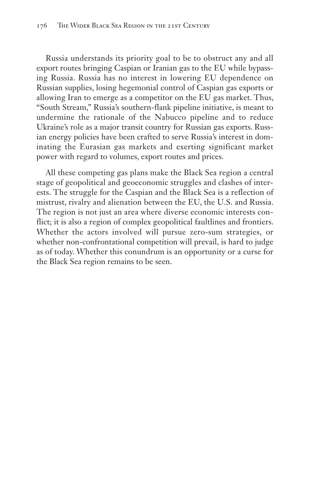Russia understands its priority goal to be to obstruct any and all export routes bringing Caspian or Iranian gas to the EU while bypassing Russia. Russia has no interest in lowering EU dependence on Russian supplies, losing hegemonial control of Caspian gas exports or allowing Iran to emerge as a competitor on the EU gas market. Thus, "South Stream," Russia's southern-flank pipeline initiative, is meant to undermine the rationale of the Nabucco pipeline and to reduce Ukraine's role as a major transit country for Russian gas exports. Russian energy policies have been crafted to serve Russia's interest in dominating the Eurasian gas markets and exerting significant market power with regard to volumes, export routes and prices.

All these competing gas plans make the Black Sea region a central stage of geopolitical and geoeconomic struggles and clashes of interests. The struggle for the Caspian and the Black Sea is a reflection of mistrust, rivalry and alienation between the EU, the U.S. and Russia. The region is not just an area where diverse economic interests conflict; it is also a region of complex geopolitical faultlines and frontiers. Whether the actors involved will pursue zero-sum strategies, or whether non-confrontational competition will prevail, is hard to judge as of today. Whether this conundrum is an opportunity or a curse for the Black Sea region remains to be seen.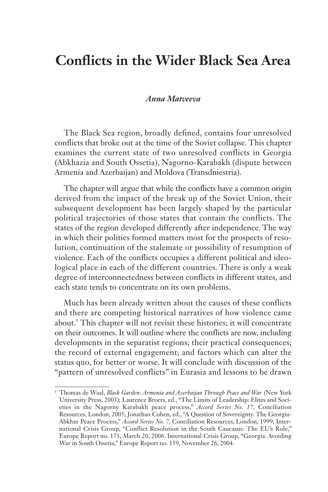# **Conflicts in the Wider Black Sea Area**

#### *Anna Matveeva*

The Black Sea region, broadly defined, contains four unresolved conflicts that broke out at the time of the Soviet collapse. This chapter examines the current state of two unresolved conflicts in Georgia (Abkhazia and South Ossetia), Nagorno-Karabakh (dispute between Armenia and Azerbaijan) and Moldova (Transdniestria).

The chapter will argue that while the conflicts have a common origin derived from the impact of the break up of the Soviet Union, their subsequent development has been largely shaped by the particular political trajectories of those states that contain the conflicts. The states of the region developed differently after independence. The way in which their polities formed matters most for the prospects of resolution, continuation of the stalemate or possibility of resumption of violence. Each of the conflicts occupies a different political and ideological place in each of the different countries. There is only a weak degree of interconnectedness between conflicts in different states, and each state tends to concentrate on its own problems.

Much has been already written about the causes of these conflicts and there are competing historical narratives of how violence came about.<sup>1</sup> This chapter will not revisit these histories; it will concentrate on their outcomes. It will outline where the conflicts are now, including developments in the separatist regions; their practical consequences; the record of external engagement; and factors which can alter the status quo, for better or worse. It will conclude with discussion of the "pattern of unresolved conflicts" in Eurasia and lessons to be drawn

<sup>1</sup> Thomas de Waal, *Black Garden: Armenia and Azerbaijan Through Peace and War (*New York University Press, 2003); Laurence Broers, ed., "The Limits of Leadership: Elites and Societies in the Nagorny Karabakh peace process," *Accord Series No. 17,* Conciliation Resources, London, 2005; Jonathan Cohen, ed., "A Question of Sovereignty. The Georgia-Abkhaz Peace Process," *Accord Series No. 7,* Conciliation Resources, London, 1999; International Crisis Group, "Conflict Resolution in the South Caucasus: The EU's Role," Europe Report no. 173, March 20, 2006. International Crisis Group, "Georgia: Avoiding War in South Ossetia," Europe Report no. 159, November 26, 2004.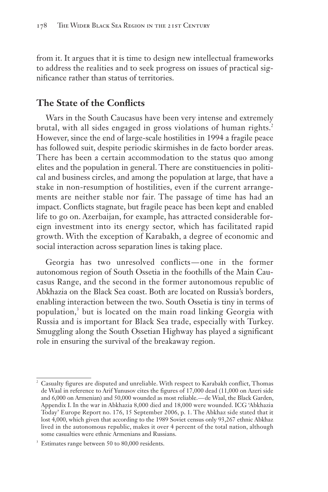from it. It argues that it is time to design new intellectual frameworks to address the realities and to seek progress on issues of practical significance rather than status of territories.

## **The State of the Conflicts**

Wars in the South Caucasus have been very intense and extremely brutal, with all sides engaged in gross violations of human rights.<sup>2</sup> However, since the end of large-scale hostilities in 1994 a fragile peace has followed suit, despite periodic skirmishes in de facto border areas. There has been a certain accommodation to the status quo among elites and the population in general. There are constituencies in political and business circles, and among the population at large, that have a stake in non-resumption of hostilities, even if the current arrangements are neither stable nor fair. The passage of time has had an impact. Conflicts stagnate, but fragile peace has been kept and enabled life to go on. Azerbaijan, for example, has attracted considerable foreign investment into its energy sector, which has facilitated rapid growth. With the exception of Karabakh, a degree of economic and social interaction across separation lines is taking place.

Georgia has two unresolved conflicts — one in the former autonomous region of South Ossetia in the foothills of the Main Caucasus Range, and the second in the former autonomous republic of Abkhazia on the Black Sea coast. Both are located on Russia's borders, enabling interaction between the two. South Ossetia is tiny in terms of population,<sup>3</sup> but is located on the main road linking Georgia with Russia and is important for Black Sea trade, especially with Turkey. Smuggling along the South Ossetian Highway has played a significant role in ensuring the survival of the breakaway region.

<sup>2</sup> Casualty figures are disputed and unreliable. With respect to Karabakh conflict, Thomas de Waal in reference to Arif Yunusov cites the figures of 17,000 dead (11,000 on Azeri side and 6,000 on Armenian) and 50,000 wounded as most reliable. — de Waal, the Black Garden, Appendix I. In the war in Abkhazia 8,000 died and 18,000 were wounded. ICG 'Abkhazia Today' Europe Report no. 176, 15 September 2006, p. 1. The Abkhaz side stated that it lost 4,000, which given that according to the 1989 Soviet census only 93,267 ethnic Abkhaz lived in the autonomous republic, makes it over 4 percent of the total nation, although some casualties were ethnic Armenians and Russians.

Estimates range between 50 to 80,000 residents.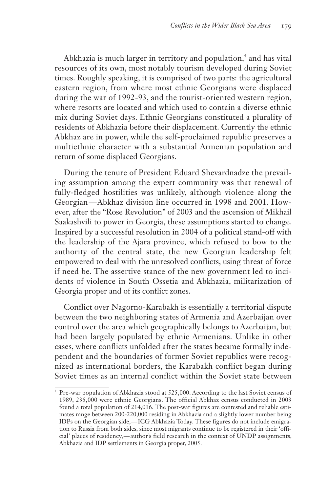Abkhazia is much larger in territory and population,<sup>4</sup> and has vital resources of its own, most notably tourism developed during Soviet times. Roughly speaking, it is comprised of two parts: the agricultural eastern region, from where most ethnic Georgians were displaced during the war of 1992-93, and the tourist-oriented western region, where resorts are located and which used to contain a diverse ethnic mix during Soviet days. Ethnic Georgians constituted a plurality of residents of Abkhazia before their displacement. Currently the ethnic Abkhaz are in power, while the self-proclaimed republic preserves a multiethnic character with a substantial Armenian population and return of some displaced Georgians.

During the tenure of President Eduard Shevardnadze the prevailing assumption among the expert community was that renewal of fully-fledged hostilities was unlikely, although violence along the Georgian — Abkhaz division line occurred in 1998 and 2001. However, after the "Rose Revolution" of 2003 and the ascension of Mikhail Saakashvili to power in Georgia, these assumptions started to change. Inspired by a successful resolution in 2004 of a political stand-off with the leadership of the Ajara province, which refused to bow to the authority of the central state, the new Georgian leadership felt empowered to deal with the unresolved conflicts, using threat of force if need be. The assertive stance of the new government led to incidents of violence in South Ossetia and Abkhazia, militarization of Georgia proper and of its conflict zones.

Conflict over Nagorno-Karabakh is essentially a territorial dispute between the two neighboring states of Armenia and Azerbaijan over control over the area which geographically belongs to Azerbaijan, but had been largely populated by ethnic Armenians. Unlike in other cases, where conflicts unfolded after the states became formally independent and the boundaries of former Soviet republics were recognized as international borders, the Karabakh conflict began during Soviet times as an internal conflict within the Soviet state between

Pre-war population of Abkhazia stood at 525,000. According to the last Soviet census of 1989, 235,000 were ethnic Georgians. The official Abkhaz census conducted in 2003 found a total population of 214,016. The post-war figures are contested and reliable estimates range between 200-220,000 residing in Abkhazia and a slightly lower number being IDPs on the Georgian side, — ICG Abkhazia Today. These figures do not include emigration to Russia from both sides, since most migrants continue to be registered in their 'official' places of residency, — author's field research in the context of UNDP assignments, Abkhazia and IDP settlements in Georgia proper, 2005.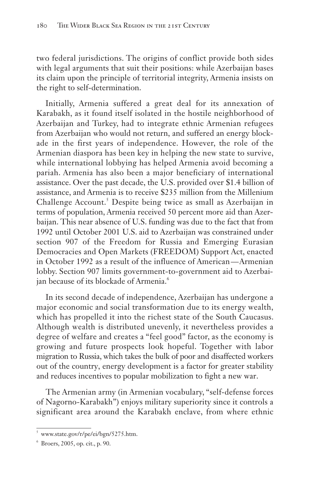two federal jurisdictions. The origins of conflict provide both sides with legal arguments that suit their positions: while Azerbaijan bases its claim upon the principle of territorial integrity, Armenia insists on the right to self-determination.

Initially, Armenia suffered a great deal for its annexation of Karabakh, as it found itself isolated in the hostile neighborhood of Azerbaijan and Turkey, had to integrate ethnic Armenian refugees from Azerbaijan who would not return, and suffered an energy blockade in the first years of independence. However, the role of the Armenian diaspora has been key in helping the new state to survive, while international lobbying has helped Armenia avoid becoming a pariah. Armenia has also been a major beneficiary of international assistance. Over the past decade, the U.S. provided over \$1.4 billion of assistance, and Armenia is to receive \$235 million from the Millenium Challenge Account.<sup>5</sup> Despite being twice as small as Azerbaijan in terms of population, Armenia received 50 percent more aid than Azerbaijan. This near absence of U.S. funding was due to the fact that from 1992 until October 2001 U.S. aid to Azerbaijan was constrained under section 907 of the Freedom for Russia and Emerging Eurasian Democracies and Open Markets (FREEDOM) Support Act, enacted in October 1992 as a result of the influence of American — Armenian lobby. Section 907 limits government-to-government aid to Azerbaijan because of its blockade of Armenia.<sup>6</sup>

In its second decade of independence, Azerbaijan has undergone a major economic and social transformation due to its energy wealth, which has propelled it into the richest state of the South Caucasus. Although wealth is distributed unevenly, it nevertheless provides a degree of welfare and creates a "feel good" factor, as the economy is growing and future prospects look hopeful. Together with labor migration to Russia, which takes the bulk of poor and disaffected workers out of the country, energy development is a factor for greater stability and reduces incentives to popular mobilization to fight a new war.

The Armenian army (in Armenian vocabulary, "self-defense forces of Nagorno-Karabakh") enjoys military superiority since it controls a significant area around the Karabakh enclave, from where ethnic

<sup>5</sup> www.state.gov/r/pe/ei/bgn/5275.htm.

 $6$  Broers, 2005, op. cit., p. 90.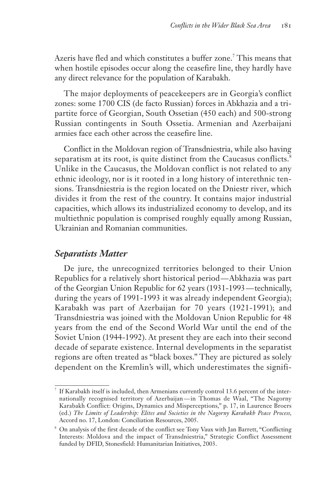Azeris have fled and which constitutes a buffer zone.<sup>7</sup> This means that when hostile episodes occur along the ceasefire line, they hardly have any direct relevance for the population of Karabakh.

The major deployments of peacekeepers are in Georgia's conflict zones: some 1700 CIS (de facto Russian) forces in Abkhazia and a tripartite force of Georgian, South Ossetian (450 each) and 500-strong Russian contingents in South Ossetia. Armenian and Azerbaijani armies face each other across the ceasefire line.

Conflict in the Moldovan region of Transdniestria, while also having separatism at its root, is quite distinct from the Caucasus conflicts.<sup>8</sup> Unlike in the Caucasus, the Moldovan conflict is not related to any ethnic ideology, nor is it rooted in a long history of interethnic tensions. Transdniestria is the region located on the Dniestr river, which divides it from the rest of the country. It contains major industrial capacities, which allows its industrialized economy to develop, and its multiethnic population is comprised roughly equally among Russian, Ukrainian and Romanian communities.

#### *Separatists Matter*

De jure, the unrecognized territories belonged to their Union Republics for a relatively short historical period — Abkhazia was part of the Georgian Union Republic for 62 years (1931-1993 — technically, during the years of 1991-1993 it was already independent Georgia); Karabakh was part of Azerbaijan for 70 years (1921-1991); and Transdniestria was joined with the Moldovan Union Republic for 48 years from the end of the Second World War until the end of the Soviet Union (1944-1992). At present they are each into their second decade of separate existence. Internal developments in the separatist regions are often treated as "black boxes." They are pictured as solely dependent on the Kremlin's will, which underestimates the signifi-

If Karabakh itself is included, then Armenians currently control 13.6 percent of the internationally recognised territory of Azerbaijan — in Thomas de Waal, "The Nagorny Karabakh Conflict: Origins, Dynamics and Misperceptions," p. 17, in Laurence Broers (ed.) *The Limits of Leadership: Elites and Societies in the Nagorny Karabakh Peace Process,* Accord no. 17, London: Conciliation Resources, 2005.

<sup>8</sup> On analysis of the first decade of the conflict see Tony Vaux with Jan Barrett, "Conflicting Interests: Moldova and the impact of Transdniestria," Strategic Conflict Assessment funded by DFID, Stonesfield: Humanitarian Initiatives, 2003.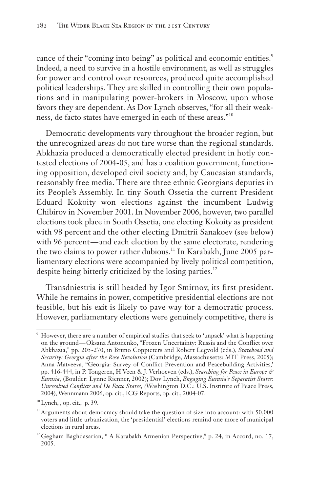cance of their "coming into being" as political and economic entities.<sup>9</sup> Indeed, a need to survive in a hostile environment, as well as struggles for power and control over resources, produced quite accomplished political leaderships. They are skilled in controlling their own populations and in manipulating power-brokers in Moscow, upon whose favors they are dependent. As Dov Lynch observes, "for all their weakness, de facto states have emerged in each of these areas."10

Democratic developments vary throughout the broader region, but the unrecognized areas do not fare worse than the regional standards. Abkhazia produced a democratically elected president in hotly contested elections of 2004-05, and has a coalition government, functioning opposition, developed civil society and, by Caucasian standards, reasonably free media. There are three ethnic Georgians deputies in its People's Assembly. In tiny South Ossetia the current President Eduard Kokoity won elections against the incumbent Ludwig Chibirov in November 2001. In November 2006, however, two parallel elections took place in South Ossetia, one electing Kokoity as president with 98 percent and the other electing Dmitrii Sanakoev (see below) with 96 percent—and each election by the same electorate, rendering the two claims to power rather dubious.<sup>11</sup> In Karabakh, June 2005 parliamentary elections were accompanied by lively political competition, despite being bitterly criticized by the losing parties.<sup>12</sup>

Transdniestria is still headed by Igor Smirnov, its first president. While he remains in power, competitive presidential elections are not feasible, but his exit is likely to pave way for a democratic process. However, parliamentary elections were genuinely competitive, there is

<sup>9</sup> However, there are a number of empirical studies that seek to 'unpack' what is happening on the ground — Oksana Antonenko, "Frozen Uncertainty: Russia and the Conflict over Abkhazia," pp. 205-270, in Bruno Coppieters and Robert Legvold (eds.), *Statehood and Security: Georgia after the Rose Revolution* (Cambridge, Massachusetts: MIT Press, 2005); Anna Matveeva, "Georgia: Survey of Conflict Prevention and Peacebuilding Activities,' pp. 416-444, in P. Tongeren, H Veen & J. Verhoeven (eds.), *Searching for Peace in Europe & Eurasia,* (Boulder: Lynne Rienner, 2002); Dov Lynch, *Engaging Eurasia's Separatist States: Unresolved Conflicts and De Facto States, (*Washington D.C.: U.S. Institute of Peace Press, 2004), Wennmann 2006, op. cit., ICG Reports, op. cit., 2004-07.

 $10$  Lynch, , op. cit., p. 39.

<sup>&</sup>lt;sup>11</sup> Arguments about democracy should take the question of size into account: with 50,000 voters and little urbanization, the 'presidential' elections remind one more of municipal elections in rural areas.

<sup>&</sup>lt;sup>12</sup> Gegham Baghdasarian, " A Karabakh Armenian Perspective," p. 24, in Accord, no. 17, 2005.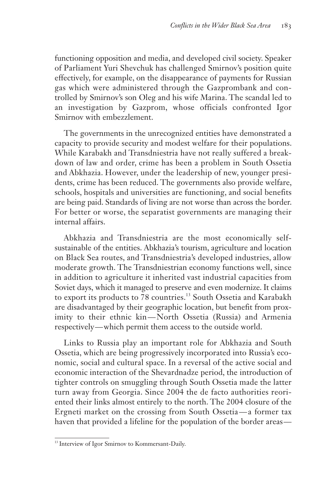functioning opposition and media, and developed civil society. Speaker of Parliament Yuri Shevchuk has challenged Smirnov's position quite effectively, for example, on the disappearance of payments for Russian gas which were administered through the Gazprombank and controlled by Smirnov's son Oleg and his wife Marina. The scandal led to an investigation by Gazprom, whose officials confronted Igor Smirnov with embezzlement.

The governments in the unrecognized entities have demonstrated a capacity to provide security and modest welfare for their populations. While Karabakh and Transdniestria have not really suffered a breakdown of law and order, crime has been a problem in South Ossetia and Abkhazia. However, under the leadership of new, younger presidents, crime has been reduced. The governments also provide welfare, schools, hospitals and universities are functioning, and social benefits are being paid. Standards of living are not worse than across the border. For better or worse, the separatist governments are managing their internal affairs.

Abkhazia and Transdniestria are the most economically selfsustainable of the entities. Abkhazia's tourism, agriculture and location on Black Sea routes, and Transdniestria's developed industries, allow moderate growth. The Transdniestrian economy functions well, since in addition to agriculture it inherited vast industrial capacities from Soviet days, which it managed to preserve and even modernize. It claims to export its products to 78 countries.<sup>13</sup> South Ossetia and Karabakh are disadvantaged by their geographic location, but benefit from proximity to their ethnic kin-North Ossetia (Russia) and Armenia respectively—which permit them access to the outside world.

Links to Russia play an important role for Abkhazia and South Ossetia, which are being progressively incorporated into Russia's economic, social and cultural space. In a reversal of the active social and economic interaction of the Shevardnadze period, the introduction of tighter controls on smuggling through South Ossetia made the latter turn away from Georgia. Since 2004 the de facto authorities reoriented their links almost entirely to the north. The 2004 closure of the Ergneti market on the crossing from South Ossetia — a former tax haven that provided a lifeline for the population of the border areas—

<sup>&</sup>lt;sup>13</sup> Interview of Igor Smirnov to Kommersant-Daily.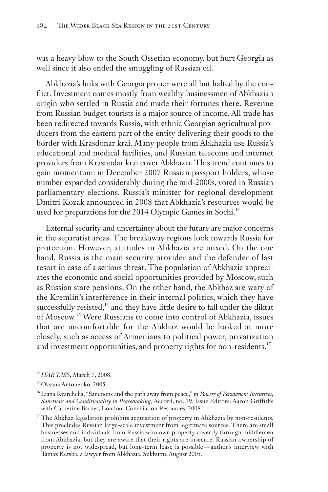was a heavy blow to the South Ossetian economy, but hurt Georgia as well since it also ended the smuggling of Russian oil.

Abkhazia's links with Georgia proper were all but halted by the conflict. Investment comes mostly from wealthy businessmen of Abkhazian origin who settled in Russia and made their fortunes there. Revenue from Russian budget tourists is a major source of income. All trade has been redirected towards Russia, with ethnic Georgian agricultural producers from the eastern part of the entity delivering their goods to the border with Krasdonar krai. Many people from Abkhazia use Russia's educational and medical facilities, and Russian telecoms and internet providers from Krasnodar krai cover Abkhazia. This trend continues to gain momentum: in December 2007 Russian passport holders, whose number expanded considerably during the mid-2000s, voted in Russian parliamentary elections. Russia's minister for regional development Dmitri Kozak announced in 2008 that Abkhazia's resources would be used for preparations for the 2014 Olympic Games in Sochi.<sup>14</sup>

External security and uncertainty about the future are major concerns in the separatist areas. The breakaway regions look towards Russia for protection. However, attitudes in Abkhazia are mixed. On the one hand, Russia is the main security provider and the defender of last resort in case of a serious threat. The population of Abkhazia appreciates the economic and social opportunities provided by Moscow, such as Russian state pensions. On the other hand, the Abkhaz are wary of the Kremlin's interference in their internal politics, which they have successfully resisted,<sup>15</sup> and they have little desire to fall under the diktat of Moscow.<sup>16</sup> Were Russians to come into control of Abkhazia, issues that are uncomfortable for the Abkhaz would be looked at more closely, such as access of Armenians to political power, privatization and investment opportunities, and property rights for non-residents.<sup>17</sup>

<sup>14</sup> *ITAR TASS*, March 7, 2008.

<sup>15</sup> Oksana Antonenko, 2005.

<sup>16</sup> Liana Kvarchelia, "Sanctions and the path away from peace," in *Powers of Persuasion: Incentives, Sanctions and Conditionality in Peacemaking,* Accord, no. 19. Issue Editors: Aaron Griffiths with Catherine Barnes, London: Conciliation Resources, 2008.

<sup>&</sup>lt;sup>17</sup> The Abkhaz legislation prohibits acquisition of property in Abkhazia by non-residents. This precludes Russian large-scale investment from legitimate sources. There are small businesses and individuals from Russia who own property covertly through middlemen from Abkhazia, but they are aware that their rights are insecure. Russian ownership of property is not widespread, but long-term lease is possible — author's interview with Tamaz Ketsba, a lawyer from Abkhazia, Sukhumi, August 2005.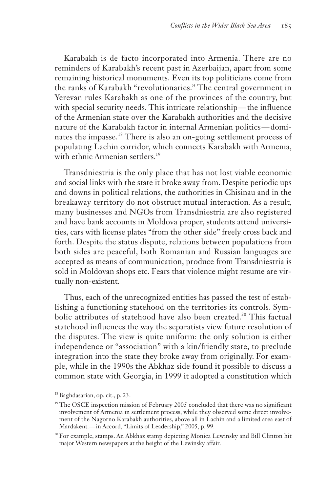Karabakh is de facto incorporated into Armenia. There are no reminders of Karabakh's recent past in Azerbaijan, apart from some remaining historical monuments. Even its top politicians come from the ranks of Karabakh "revolutionaries." The central government in Yerevan rules Karabakh as one of the provinces of the country, but with special security needs. This intricate relationship — the influence of the Armenian state over the Karabakh authorities and the decisive nature of the Karabakh factor in internal Armenian politics — dominates the impasse.<sup>18</sup> There is also an on-going settlement process of populating Lachin corridor, which connects Karabakh with Armenia, with ethnic Armenian settlers.<sup>19</sup>

Transdniestria is the only place that has not lost viable economic and social links with the state it broke away from. Despite periodic ups and downs in political relations, the authorities in Chisinau and in the breakaway territory do not obstruct mutual interaction. As a result, many businesses and NGOs from Transdniestria are also registered and have bank accounts in Moldova proper, students attend universities, cars with license plates "from the other side" freely cross back and forth. Despite the status dispute, relations between populations from both sides are peaceful, both Romanian and Russian languages are accepted as means of communication, produce from Transdniestria is sold in Moldovan shops etc. Fears that violence might resume are virtually non-existent.

Thus, each of the unrecognized entities has passed the test of establishing a functioning statehood on the territories its controls. Symbolic attributes of statehood have also been created.<sup>20</sup> This factual statehood influences the way the separatists view future resolution of the disputes. The view is quite uniform: the only solution is either independence or "association" with a kin/friendly state, to preclude integration into the state they broke away from originally. For example, while in the 1990s the Abkhaz side found it possible to discuss a common state with Georgia, in 1999 it adopted a constitution which

<sup>&</sup>lt;sup>18</sup> Baghdasarian, op. cit., p. 23.

<sup>&</sup>lt;sup>19</sup> The OSCE inspection mission of February 2005 concluded that there was no significant involvement of Armenia in settlement process, while they observed some direct involvement of the Nagorno Karabakh authorities, above all in Lachin and a limited area east of Mardakent. — in Accord, "Limits of Leadership," 2005, p. 99.

<sup>&</sup>lt;sup>20</sup> For example, stamps. An Abkhaz stamp depicting Monica Lewinsky and Bill Clinton hit major Western newspapers at the height of the Lewinsky affair.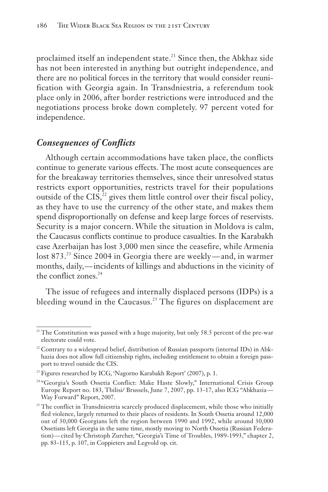proclaimed itself an independent state.<sup>21</sup> Since then, the Abkhaz side has not been interested in anything but outright independence, and there are no political forces in the territory that would consider reunification with Georgia again. In Transdniestria, a referendum took place only in 2006, after border restrictions were introduced and the negotiations process broke down completely. 97 percent voted for independence.

## *Consequences of Conflicts*

Although certain accommodations have taken place, the conflicts continue to generate various effects. The most acute consequences are for the breakaway territories themselves, since their unresolved status restricts export opportunities, restricts travel for their populations outside of the  $CIS$ ,<sup>22</sup> gives them little control over their fiscal policy, as they have to use the currency of the other state, and makes them spend disproportionally on defense and keep large forces of reservists. Security is a major concern. While the situation in Moldova is calm, the Caucasus conflicts continue to produce casualties. In the Karabakh case Azerbaijan has lost 3,000 men since the ceasefire, while Armenia lost 873.<sup>23</sup> Since 2004 in Georgia there are weekly—and, in warmer months, daily, — incidents of killings and abductions in the vicinity of the conflict zones.<sup>24</sup>

The issue of refugees and internally displaced persons (IDPs) is a bleeding wound in the Caucasus.<sup>25</sup> The figures on displacement are

<sup>&</sup>lt;sup>21</sup> The Constitution was passed with a huge majority, but only 58.5 percent of the pre-war electorate could vote.

<sup>&</sup>lt;sup>22</sup> Contrary to a widespread belief, distribution of Russian passports (internal IDs) in Abkhazia does not allow full citizenship rights, including entitlement to obtain a foreign passport to travel outside the CIS.

<sup>&</sup>lt;sup>23</sup> Figures researched by ICG, 'Nagorno Karabakh Report' (2007), p. 1.

<sup>&</sup>lt;sup>24 "</sup>Georgia's South Ossetia Conflict: Make Haste Slowly," International Crisis Group Europe Report no. 183, Tbilisi/ Brussels, June 7, 2007, pp. 13-17, also ICG "Abkhazia — Way Forward" Report, 2007.

 $25$  The conflict in Transdniestria scarcely produced displacement, while those who initially fled violence, largely returned to their places of residents. In South Ossetia around 12,000 out of 30,000 Georgians left the region between 1990 and 1992, while around 30,000 Ossetians left Georgia in the same time, mostly moving to North Ossetia (Russian Federation) — cited by Christoph Zurcher, "Georgia's Time of Troubles, 1989-1993," chapter 2, pp. 83-115, p. 107, in Coppieters and Legvold op. cit.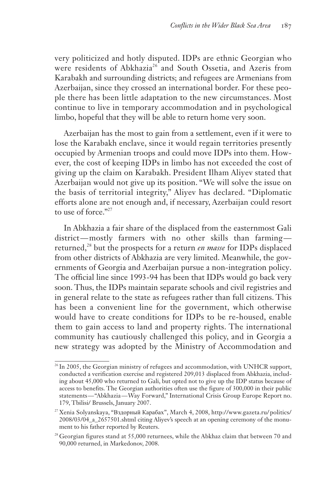very politicized and hotly disputed. IDPs are ethnic Georgian who were residents of Abkhazia<sup>26</sup> and South Ossetia, and Azeris from Karabakh and surrounding districts; and refugees are Armenians from Azerbaijan, since they crossed an international border. For these people there has been little adaptation to the new circumstances. Most continue to live in temporary accommodation and in psychological limbo, hopeful that they will be able to return home very soon.

Azerbaijan has the most to gain from a settlement, even if it were to lose the Karabakh enclave, since it would regain territories presently occupied by Armenian troops and could move IDPs into them. However, the cost of keeping IDPs in limbo has not exceeded the cost of giving up the claim on Karabakh. President Ilham Aliyev stated that Azerbaijan would not give up its position. "We will solve the issue on the basis of territorial integrity," Aliyev has declared. "Diplomatic efforts alone are not enough and, if necessary, Azerbaijan could resort to use of force  $"27$ 

In Abkhazia a fair share of the displaced from the easternmost Gali district-mostly farmers with no other skills than farmingreturned,<sup>28</sup> but the prospects for a return *en masse* for IDPs displaced from other districts of Abkhazia are very limited. Meanwhile, the governments of Georgia and Azerbaijan pursue a non-integration policy. The official line since 1993-94 has been that IDPs would go back very soon. Thus, the IDPs maintain separate schools and civil registries and in general relate to the state as refugees rather than full citizens. This has been a convenient line for the government, which otherwise would have to create conditions for IDPs to be re-housed, enable them to gain access to land and property rights. The international community has cautiously challenged this policy, and in Georgia a new strategy was adopted by the Ministry of Accommodation and

<sup>&</sup>lt;sup>26</sup> In 2005, the Georgian ministry of refugees and accommodation, with UNHCR support, conducted a verification exercise and registered 209,013 displaced from Abkhazia, including about 45,000 who returned to Gali, but opted not to give up the IDP status because of access to benefits. The Georgian authorities often use the figure of 300,000 in their public statements — "Abkhazia — Way Forward," International Crisis Group Europe Report no. 179, Tbilisi/ Brussels, January 2007.

<sup>27</sup> Xenia Solyanskaya, "Вздорный Карабах", March 4, 2008, http://www.gazeta.ru/ politics/ 2008/03/04\_a\_2657501.shtml citing Aliyev's speech at an opening ceremony of the monument to his father reported by Reuters.

 $28$  Georgian figures stand at 55,000 returnees, while the Abkhaz claim that between 70 and 90,000 returned, in Markedonov, 2008.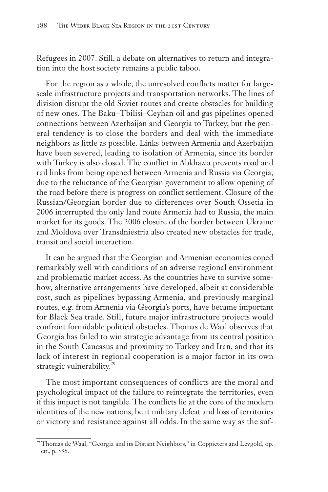Refugees in 2007. Still, a debate on alternatives to return and integration into the host society remains a public taboo.

For the region as a whole, the unresolved conflicts matter for largescale infrastructure projects and transportation networks. The lines of division disrupt the old Soviet routes and create obstacles for building of new ones. The Baku–Tbilisi–Ceyhan oil and gas pipelines opened connections between Azerbaijan and Georgia to Turkey, but the general tendency is to close the borders and deal with the immediate neighbors as little as possible. Links between Armenia and Azerbaijan have been severed, leading to isolation of Armenia, since its border with Turkey is also closed. The conflict in Abkhazia prevents road and rail links from being opened between Armenia and Russia via Georgia, due to the reluctance of the Georgian government to allow opening of the road before there is progress on conflict settlement. Closure of the Russian/Georgian border due to differences over South Ossetia in 2006 interrupted the only land route Armenia had to Russia, the main market for its goods. The 2006 closure of the border between Ukraine and Moldova over Transdniestria also created new obstacles for trade, transit and social interaction.

It can be argued that the Georgian and Armenian economies coped remarkably well with conditions of an adverse regional environment and problematic market access. As the countries have to survive somehow, alternative arrangements have developed, albeit at considerable cost, such as pipelines bypassing Armenia, and previously marginal routes, e.g. from Armenia via Georgia's ports, have became important for Black Sea trade. Still, future major infrastructure projects would confront formidable political obstacles. Thomas de Waal observes that Georgia has failed to win strategic advantage from its central position in the South Caucasus and proximity to Turkey and Iran, and that its lack of interest in regional cooperation is a major factor in its own strategic vulnerability.<sup>29</sup>

The most important consequences of conflicts are the moral and psychological impact of the failure to reintegrate the territories, even if this impact is not tangible. The conflicts lie at the core of the modern identities of the new nations, be it military defeat and loss of territories or victory and resistance against all odds. In the same way as the suf-

<sup>&</sup>lt;sup>29</sup> Thomas de Waal, "Georgia and its Distant Neighbors," in Coppieters and Levgold, op. cit., p. 336.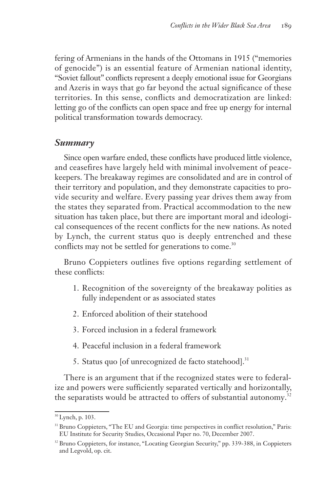fering of Armenians in the hands of the Ottomans in 1915 ("memories of genocide") is an essential feature of Armenian national identity, "Soviet fallout" conflicts represent a deeply emotional issue for Georgians and Azeris in ways that go far beyond the actual significance of these territories. In this sense, conflicts and democratization are linked: letting go of the conflicts can open space and free up energy for internal political transformation towards democracy.

#### *Summary*

Since open warfare ended, these conflicts have produced little violence, and ceasefires have largely held with minimal involvement of peacekeepers. The breakaway regimes are consolidated and are in control of their territory and population, and they demonstrate capacities to provide security and welfare. Every passing year drives them away from the states they separated from. Practical accommodation to the new situation has taken place, but there are important moral and ideological consequences of the recent conflicts for the new nations. As noted by Lynch, the current status quo is deeply entrenched and these conflicts may not be settled for generations to come.<sup>30</sup>

Bruno Coppieters outlines five options regarding settlement of these conflicts:

- 1. Recognition of the sovereignty of the breakaway polities as fully independent or as associated states
- 2. Enforced abolition of their statehood
- 3. Forced inclusion in a federal framework
- 4. Peaceful inclusion in a federal framework
- 5. Status quo [of unrecognized de facto statehood].<sup>31</sup>

There is an argument that if the recognized states were to federalize and powers were sufficiently separated vertically and horizontally, the separatists would be attracted to offers of substantial autonomy.<sup>32</sup>

<sup>30</sup> Lynch, p. 103.

<sup>&</sup>lt;sup>31</sup> Bruno Coppieters, "The EU and Georgia: time perspectives in conflict resolution," Paris: EU Institute for Security Studies, Occasional Paper no. 70, December 2007.

<sup>&</sup>lt;sup>32</sup> Bruno Coppieters, for instance, "Locating Georgian Security," pp. 339-388, in Coppieters and Legvold, op. cit.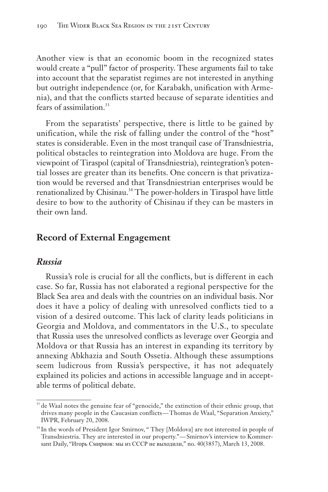Another view is that an economic boom in the recognized states would create a "pull" factor of prosperity. These arguments fail to take into account that the separatist regimes are not interested in anything but outright independence (or, for Karabakh, unification with Armenia), and that the conflicts started because of separate identities and fears of assimilation.<sup>33</sup>

From the separatists' perspective, there is little to be gained by unification, while the risk of falling under the control of the "host" states is considerable. Even in the most tranquil case of Transdniestria, political obstacles to reintegration into Moldova are huge. From the viewpoint of Tiraspol (capital of Transdniestria), reintegration's potential losses are greater than its benefits. One concern is that privatization would be reversed and that Transdniestrian enterprises would be renationalized by Chisinau.<sup>34</sup> The power-holders in Tiraspol have little desire to bow to the authority of Chisinau if they can be masters in their own land.

#### **Record of External Engagement**

#### *Russia*

Russia's role is crucial for all the conflicts, but is different in each case. So far, Russia has not elaborated a regional perspective for the Black Sea area and deals with the countries on an individual basis. Nor does it have a policy of dealing with unresolved conflicts tied to a vision of a desired outcome. This lack of clarity leads politicians in Georgia and Moldova, and commentators in the U.S., to speculate that Russia uses the unresolved conflicts as leverage over Georgia and Moldova or that Russia has an interest in expanding its territory by annexing Abkhazia and South Ossetia. Although these assumptions seem ludicrous from Russia's perspective, it has not adequately explained its policies and actions in accessible language and in acceptable terms of political debate.

<sup>&</sup>lt;sup>33</sup> de Waal notes the genuine fear of "genocide," the extinction of their ethnic group, that drives many people in the Caucasian conflicts — Thomas de Waal, "Separation Anxiety," IWPR, February 20, 2008.

<sup>&</sup>lt;sup>34</sup> In the words of President Igor Smirnov, " They [Moldova] are not interested in people of Transdniestria. They are interested in our property." — Smirnov's interview to Kommersant Daily, "Игорь Смирнов: мы из СССР не выходили," no. 40(3857), March 13, 2008.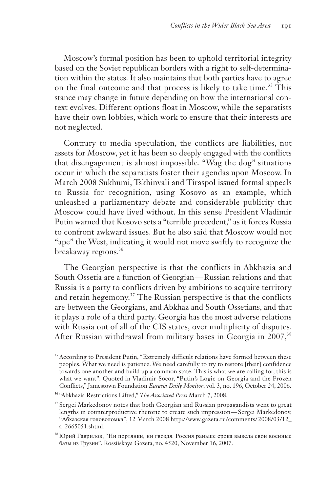Moscow's formal position has been to uphold territorial integrity based on the Soviet republican borders with a right to self-determination within the states. It also maintains that both parties have to agree on the final outcome and that process is likely to take time.<sup>35</sup> This stance may change in future depending on how the international context evolves. Different options float in Moscow, while the separatists have their own lobbies, which work to ensure that their interests are not neglected.

Contrary to media speculation, the conflicts are liabilities, not assets for Moscow, yet it has been so deeply engaged with the conflicts that disengagement is almost impossible. "Wag the dog" situations occur in which the separatists foster their agendas upon Moscow. In March 2008 Sukhumi, Tskhinvali and Tiraspol issued formal appeals to Russia for recognition, using Kosovo as an example, which unleashed a parliamentary debate and considerable publicity that Moscow could have lived without. In this sense President Vladimir Putin warned that Kosovo sets a "terrible precedent," as it forces Russia to confront awkward issues. But he also said that Moscow would not "ape" the West, indicating it would not move swiftly to recognize the breakaway regions.<sup>36</sup>

The Georgian perspective is that the conflicts in Abkhazia and South Ossetia are a function of Georgian — Russian relations and that Russia is a party to conflicts driven by ambitions to acquire territory and retain hegemony.<sup>37</sup> The Russian perspective is that the conflicts are between the Georgians, and Abkhaz and South Ossetians, and that it plays a role of a third party. Georgia has the most adverse relations with Russia out of all of the CIS states, over multiplicity of disputes. After Russian withdrawal from military bases in Georgia in 2007,<sup>38</sup>

<sup>&</sup>lt;sup>35</sup> According to President Putin, "Extremely difficult relations have formed between these peoples. What we need is patience. We need carefully to try to restore [their] confidence towards one another and build up a common state. This is what we are calling for, this is what we want". Quoted in Vladimir Socor, "Putin's Logic on Georgia and the Frozen Conflicts," Jamestown Foundation *Eurasia Daily Monitor*, vol. 3, no. 196, October 24, 2006.

<sup>36</sup> "Abkhazia Restrictions Lifted," *The Associated Press* March 7, 2008.

<sup>&</sup>lt;sup>37</sup> Sergei Markedonov notes that both Georgian and Russian propagandists went to great lengths in counterproductive rhetoric to create such impression — Sergei Markedonov, "Абхазская головоломка", 12 March 2008 http://www.gazeta.ru/comments/ 2008/03/12\_ a\_2665051.shtml.

<sup>38</sup> Юрий Гаврилов, "Ни портянки, ни гвоздя. Россия раньше срока вывела свои военные базы из Грузии", Rossiiskaya Gazeta, no. 4520, November 16, 2007.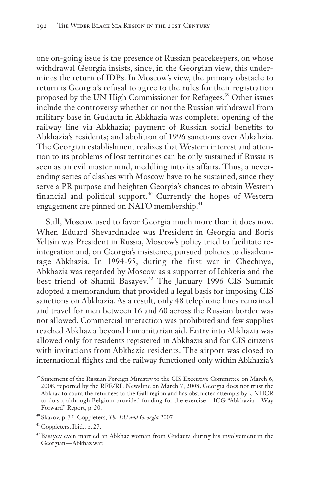one on-going issue is the presence of Russian peacekeepers, on whose withdrawal Georgia insists, since, in the Georgian view, this undermines the return of IDPs. In Moscow's view, the primary obstacle to return is Georgia's refusal to agree to the rules for their registration proposed by the UN High Commissioner for Refugees.<sup>39</sup> Other issues include the controversy whether or not the Russian withdrawal from military base in Gudauta in Abkhazia was complete; opening of the railway line via Abkhazia; payment of Russian social benefits to Abkhazia's residents; and abolition of 1996 sanctions over Abkahzia. The Georgian establishment realizes that Western interest and attention to its problems of lost territories can be only sustained if Russia is seen as an evil mastermind, meddling into its affairs. Thus, a neverending series of clashes with Moscow have to be sustained, since they serve a PR purpose and heighten Georgia's chances to obtain Western financial and political support.<sup>40</sup> Currently the hopes of Western engagement are pinned on NATO membership.<sup>41</sup>

Still, Moscow used to favor Georgia much more than it does now. When Eduard Shevardnadze was President in Georgia and Boris Yeltsin was President in Russia, Moscow's policy tried to facilitate reintegration and, on Georgia's insistence, pursued policies to disadvantage Abkhazia. In 1994-95, during the first war in Chechnya, Abkhazia was regarded by Moscow as a supporter of Ichkeria and the best friend of Shamil Basayev.<sup>42</sup> The January 1996 CIS Summit adopted a memorandum that provided a legal basis for imposing CIS sanctions on Abkhazia. As a result, only 48 telephone lines remained and travel for men between 16 and 60 across the Russian border was not allowed. Commercial interaction was prohibited and few supplies reached Abkhazia beyond humanitarian aid. Entry into Abkhazia was allowed only for residents registered in Abkhazia and for CIS citizens with invitations from Abkhazia residents. The airport was closed to international flights and the railway functioned only within Abkhazia's

<sup>&</sup>lt;sup>39</sup> Statement of the Russian Foreign Ministry to the CIS Executive Committee on March 6, 2008, reported by the RFE/RL Newsline on March 7, 2008. Georgia does not trust the Abkhaz to count the returnees to the Gali region and has obstructed attempts by UNHCR to do so, although Belgium provided funding for the exercise — ICG "Abkhazia — Way Forward" Report, p. 20.

<sup>40</sup> Skakov, p. 35, Coppieters, *The EU and Georgia* 2007.

<sup>41</sup> Coppieters, Ibid., p. 27.

<sup>&</sup>lt;sup>42</sup> Basayev even married an Abkhaz woman from Gudauta during his involvement in the Georgian — Abkhaz war.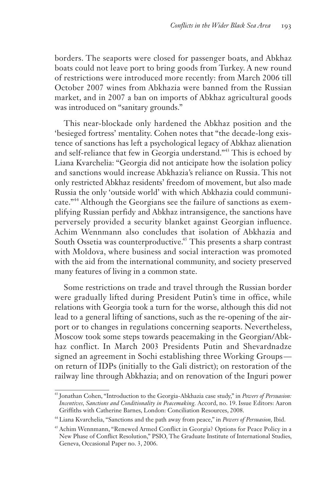borders. The seaports were closed for passenger boats, and Abkhaz boats could not leave port to bring goods from Turkey. A new round of restrictions were introduced more recently: from March 2006 till October 2007 wines from Abkhazia were banned from the Russian market, and in 2007 a ban on imports of Abkhaz agricultural goods was introduced on "sanitary grounds."

This near-blockade only hardened the Abkhaz position and the 'besieged fortress' mentality. Cohen notes that "the decade-long existence of sanctions has left a psychological legacy of Abkhaz alienation and self-reliance that few in Georgia understand."<sup>43</sup> This is echoed by Liana Kvarchelia: "Georgia did not anticipate how the isolation policy and sanctions would increase Abkhazia's reliance on Russia. This not only restricted Abkhaz residents' freedom of movement, but also made Russia the only 'outside world' with which Abkhazia could communicate."<sup>44</sup> Although the Georgians see the failure of sanctions as exemplifying Russian perfidy and Abkhaz intransigence, the sanctions have perversely provided a security blanket against Georgian influence. Achim Wennmann also concludes that isolation of Abkhazia and South Ossetia was counterproductive.<sup>45</sup> This presents a sharp contrast with Moldova, where business and social interaction was promoted with the aid from the international community, and society preserved many features of living in a common state.

Some restrictions on trade and travel through the Russian border were gradually lifted during President Putin's time in office, while relations with Georgia took a turn for the worse, although this did not lead to a general lifting of sanctions, such as the re-opening of the airport or to changes in regulations concerning seaports. Nevertheless, Moscow took some steps towards peacemaking in the Georgian/Abkhaz conflict. In March 2003 Presidents Putin and Shevardnadze signed an agreement in Sochi establishing three Working Groups on return of IDPs (initially to the Gali district); on restoration of the railway line through Abkhazia; and on renovation of the Inguri power

<sup>43</sup> Jonathan Cohen, "Introduction to the Georgia-Abkhazia case study," in *Powers of Persuasion: Incentives, Sanctions and Conditionality in Peacemaking.* Accord, no. 19. Issue Editors: Aaron Griffiths with Catherine Barnes, London: Conciliation Resources, 2008.

<sup>44</sup> Liana Kvarchelia, "Sanctions and the path away from peace," in *Powers of Persuasion,* Ibid.

<sup>45</sup> Achim Wennmann, "Renewed Armed Conflict in Georgia? Options for Peace Policy in a New Phase of Conflict Resolution," PSIO, The Graduate Institute of International Studies, Geneva, Occasional Paper no. 3, 2006.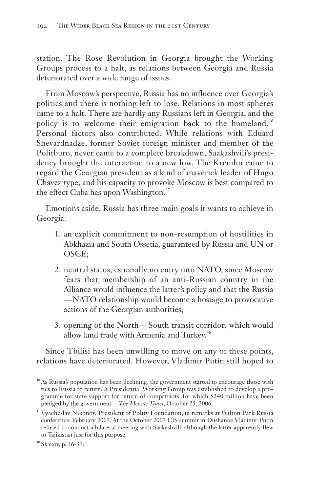station. The Rose Revolution in Georgia brought the Working Groups process to a halt, as relations between Georgia and Russia deteriorated over a wide range of issues.

From Moscow's perspective, Russia has no influence over Georgia's politics and there is nothing left to lose. Relations in most spheres came to a halt. There are hardly any Russians left in Georgia, and the policy is to welcome their emigration back to the homeland.<sup>46</sup> Personal factors also contributed. While relations with Eduard Shevardnadze, former Soviet foreign minister and member of the Politburo, never came to a complete breakdown, Saakashvili's presidency brought the interaction to a new low. The Kremlin came to regard the Georgian president as a kind of maverick leader of Hugo Chavez type, and his capacity to provoke Moscow is best compared to the effect Cuba has upon Washington.<sup>47</sup>

Emotions aside, Russia has three main goals it wants to achieve in Georgia:

- 1. an explicit commitment to non-resumption of hostilities in Abkhazia and South Ossetia, guaranteed by Russia and UN or OSCE;
- 2. neutral status, especially no entry into NATO, since Moscow fears that membership of an anti-Russian country in the Alliance would influence the latter's policy and that the Russia — NATO relationship would become a hostage to provocative actions of the Georgian authorities;
- 3. opening of the North South transit corridor, which would allow land trade with Armenia and Turkey.<sup>48</sup>

Since Tbilisi has been unwilling to move on any of these points, relations have deteriorated. However, Vladimir Putin still hoped to

<sup>&</sup>lt;sup>46</sup> As Russia's population has been declining, the government started to encourage those with ties to Russia to return. A Presidential Working Group was established to develop a programme for state support for return of compatriots, for which \$240 million have been pledged by the government — *The Moscow Times*, October 25, 2006.

<sup>47</sup> Vyacheslav Nikonov, President of Polity Foundation, in remarks at Wilton Park Russia conference, February 2007. At the October 2007 CIS summit in Dushanbe Vladimir Putin refused to conduct a bilateral meeting with Saakashvili, although the latter apparently flew to Tajikistan just for this purpose.

<sup>48</sup> Skakov, p. 36-37.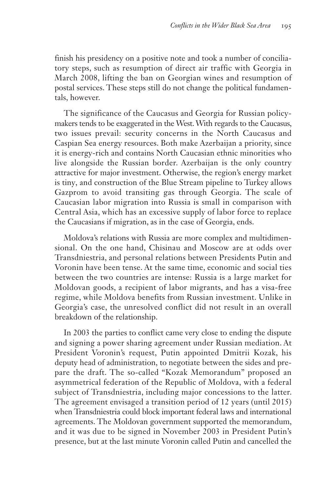finish his presidency on a positive note and took a number of conciliatory steps, such as resumption of direct air traffic with Georgia in March 2008, lifting the ban on Georgian wines and resumption of postal services. These steps still do not change the political fundamentals, however.

The significance of the Caucasus and Georgia for Russian policymakers tends to be exaggerated in the West. With regards to the Caucasus, two issues prevail: security concerns in the North Caucasus and Caspian Sea energy resources. Both make Azerbaijan a priority, since it is energy-rich and contains North Caucasian ethnic minorities who live alongside the Russian border. Azerbaijan is the only country attractive for major investment. Otherwise, the region's energy market is tiny, and construction of the Blue Stream pipeline to Turkey allows Gazprom to avoid transiting gas through Georgia. The scale of Caucasian labor migration into Russia is small in comparison with Central Asia, which has an excessive supply of labor force to replace the Caucasians if migration, as in the case of Georgia, ends.

Moldova's relations with Russia are more complex and multidimensional. On the one hand, Chisinau and Moscow are at odds over Transdniestria, and personal relations between Presidents Putin and Voronin have been tense. At the same time, economic and social ties between the two countries are intense: Russia is a large market for Moldovan goods, a recipient of labor migrants, and has a visa-free regime, while Moldova benefits from Russian investment. Unlike in Georgia's case, the unresolved conflict did not result in an overall breakdown of the relationship.

In 2003 the parties to conflict came very close to ending the dispute and signing a power sharing agreement under Russian mediation. At President Voronin's request, Putin appointed Dmitrii Kozak, his deputy head of administration, to negotiate between the sides and prepare the draft. The so-called "Kozak Memorandum" proposed an asymmetrical federation of the Republic of Moldova, with a federal subject of Transdniestria, including major concessions to the latter. The agreement envisaged a transition period of 12 years (until 2015) when Transdniestria could block important federal laws and international agreements. The Moldovan government supported the memorandum, and it was due to be signed in November 2003 in President Putin's presence, but at the last minute Voronin called Putin and cancelled the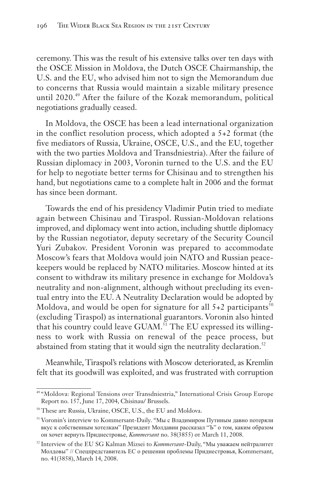ceremony. This was the result of his extensive talks over ten days with the OSCE Mission in Moldova, the Dutch OSCE Chairmanship, the U.S. and the EU, who advised him not to sign the Memorandum due to concerns that Russia would maintain a sizable military presence until 2020.<sup>49</sup> After the failure of the Kozak memorandum, political negotiations gradually ceased.

In Moldova, the OSCE has been a lead international organization in the conflict resolution process, which adopted a 5+2 format (the five mediators of Russia, Ukraine, OSCE, U.S., and the EU, together with the two parties Moldova and Transdniestria). After the failure of Russian diplomacy in 2003, Voronin turned to the U.S. and the EU for help to negotiate better terms for Chisinau and to strengthen his hand, but negotiations came to a complete halt in 2006 and the format has since been dormant.

Towards the end of his presidency Vladimir Putin tried to mediate again between Chisinau and Tiraspol. Russian-Moldovan relations improved, and diplomacy went into action, including shuttle diplomacy by the Russian negotiator, deputy secretary of the Security Council Yuri Zubakov. President Voronin was prepared to accommodate Moscow's fears that Moldova would join NATO and Russian peacekeepers would be replaced by NATO militaries. Moscow hinted at its consent to withdraw its military presence in exchange for Moldova's neutrality and non-alignment, although without precluding its eventual entry into the EU. A Neutrality Declaration would be adopted by Moldova, and would be open for signature for all  $5+2$  participants<sup>50</sup> (excluding Tiraspol) as international guarantors. Voronin also hinted that his country could leave GUAM.<sup>51</sup> The EU expressed its willingness to work with Russia on renewal of the peace process, but abstained from stating that it would sign the neutrality declaration.<sup>52</sup>

Meanwhile, Tiraspol's relations with Moscow deteriorated, as Kremlin felt that its goodwill was exploited, and was frustrated with corruption

<sup>49</sup> "Moldova: Regional Tensions over Transdniestria," International Crisis Group Europe Report no. 157, June 17, 2004, Chisinau/ Brussels.

<sup>50</sup> These are Russia, Ukraine, OSCE, U.S., the EU and Moldova.

<sup>&</sup>lt;sup>51</sup> Voronin's interview to Kommersant-Daily. "Мы с Владимиром Путиным давно потеряли вкус к собственным хотелкам" Президент Молдавии рассказал "Ъ" о том, каким образом он хочет вернуть Приднестровье, *Kommersant* no. 38(3855) от March 11, 2008.

<sup>52</sup> Interview of the EU SG Kalman Mizsei to *Kommersant*-Daily, "Мы уважаем нейтралитет Молдовы" // Спецпредставитель ЕС о решении проблемы Приднестровья, Kommersant, no. 41(3858), March 14, 2008.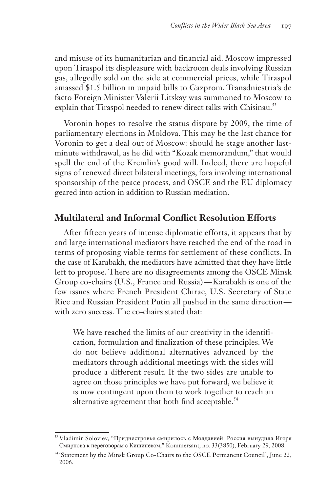and misuse of its humanitarian and financial aid. Moscow impressed upon Tiraspol its displeasure with backroom deals involving Russian gas, allegedly sold on the side at commercial prices, while Tiraspol amassed \$1.5 billion in unpaid bills to Gazprom. Transdniestria's de facto Foreign Minister Valerii Litskay was summoned to Moscow to explain that Tiraspol needed to renew direct talks with Chisinau.<sup>53</sup>

Voronin hopes to resolve the status dispute by 2009, the time of parliamentary elections in Moldova. This may be the last chance for Voronin to get a deal out of Moscow: should he stage another lastminute withdrawal, as he did with "Kozak memorandum," that would spell the end of the Kremlin's good will. Indeed, there are hopeful signs of renewed direct bilateral meetings, fora involving international sponsorship of the peace process, and OSCE and the EU diplomacy geared into action in addition to Russian mediation.

#### **Multilateral and Informal Conflict Resolution Efforts**

After fifteen years of intense diplomatic efforts, it appears that by and large international mediators have reached the end of the road in terms of proposing viable terms for settlement of these conflicts. In the case of Karabakh, the mediators have admitted that they have little left to propose. There are no disagreements among the OSCE Minsk Group co-chairs (U.S., France and Russia) — Karabakh is one of the few issues where French President Chirac, U.S. Secretary of State Rice and Russian President Putin all pushed in the same direction with zero success. The co-chairs stated that:

We have reached the limits of our creativity in the identification, formulation and finalization of these principles. We do not believe additional alternatives advanced by the mediators through additional meetings with the sides will produce a different result. If the two sides are unable to agree on those principles we have put forward, we believe it is now contingent upon them to work together to reach an alternative agreement that both find acceptable.<sup>54</sup>

<sup>&</sup>lt;sup>53</sup> Vladimir Soloviev, "Приднестровье смирилось с Молдавией: Россия вынудила Игоря Смирнова к переговорам с Кишиневом," Kommersant, no. 33(3850), February 29, 2008.

<sup>&</sup>lt;sup>54</sup> 'Statement by the Minsk Group Co-Chairs to the OSCE Permanent Council', June 22, 2006.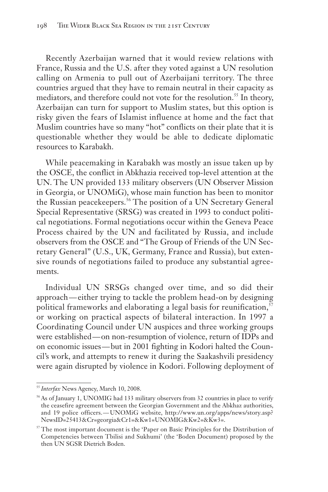Recently Azerbaijan warned that it would review relations with France, Russia and the U.S. after they voted against a UN resolution calling on Armenia to pull out of Azerbaijani territory. The three countries argued that they have to remain neutral in their capacity as mediators, and therefore could not vote for the resolution.<sup>55</sup> In theory, Azerbaijan can turn for support to Muslim states, but this option is risky given the fears of Islamist influence at home and the fact that Muslim countries have so many "hot" conflicts on their plate that it is questionable whether they would be able to dedicate diplomatic resources to Karabakh.

While peacemaking in Karabakh was mostly an issue taken up by the OSCE, the conflict in Abkhazia received top-level attention at the UN. The UN provided 133 military observers (UN Observer Mission in Georgia, or UNOMiG), whose main function has been to monitor the Russian peacekeepers.<sup>56</sup> The position of a UN Secretary General Special Representative (SRSG) was created in 1993 to conduct political negotiations. Formal negotiations occur within the Geneva Peace Process chaired by the UN and facilitated by Russia, and include observers from the OSCE and "The Group of Friends of the UN Secretary General" (U.S., UK, Germany, France and Russia), but extensive rounds of negotiations failed to produce any substantial agreements.

Individual UN SRSGs changed over time, and so did their approach — either trying to tackle the problem head-on by designing political frameworks and elaborating a legal basis for reunification,  $\frac{57}{2}$ or working on practical aspects of bilateral interaction. In 1997 a Coordinating Council under UN auspices and three working groups were established — on non-resumption of violence, return of IDPs and on economic issues — but in 2001 fighting in Kodori halted the Council's work, and attempts to renew it during the Saakashvili presidency were again disrupted by violence in Kodori. Following deployment of

<sup>&</sup>lt;sup>55</sup> Interfax News Agency, March 10, 2008.

<sup>&</sup>lt;sup>56</sup> As of January 1, UNOMIG had 133 military observers from 32 countries in place to verify the ceasefire agreement between the Georgian Government and the Abkhaz authorities, and 19 police officers. — UNOMiG website, http://www.un.org/apps/news/story.asp? NewsID=25413&Cr=georgia&Cr1=&Kw1=UNOMIG&Kw2=&Kw3=.

<sup>&</sup>lt;sup>57</sup> The most important document is the 'Paper on Basic Principles for the Distribution of Competencies between Tbilisi and Sukhumi' (the 'Boden Document) proposed by the then UN SGSR Dietrich Boden.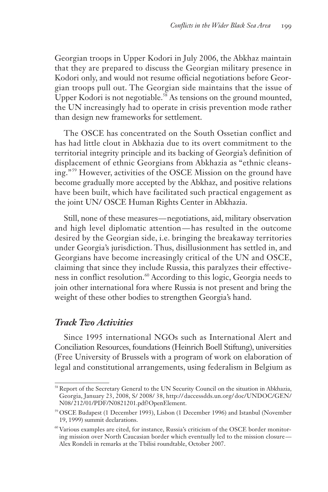Georgian troops in Upper Kodori in July 2006, the Abkhaz maintain that they are prepared to discuss the Georgian military presence in Kodori only, and would not resume official negotiations before Georgian troops pull out. The Georgian side maintains that the issue of Upper Kodori is not negotiable.<sup>58</sup> As tensions on the ground mounted, the UN increasingly had to operate in crisis prevention mode rather than design new frameworks for settlement.

The OSCE has concentrated on the South Ossetian conflict and has had little clout in Abkhazia due to its overt commitment to the territorial integrity principle and its backing of Georgia's definition of displacement of ethnic Georgians from Abkhazia as "ethnic cleansing."<sup>59</sup> However, activities of the OSCE Mission on the ground have become gradually more accepted by the Abkhaz, and positive relations have been built, which have facilitated such practical engagement as the joint UN/ OSCE Human Rights Center in Abkhazia.

Still, none of these measures — negotiations, aid, military observation and high level diplomatic attention — has resulted in the outcome desired by the Georgian side, i.e. bringing the breakaway territories under Georgia's jurisdiction. Thus, disillusionment has settled in, and Georgians have become increasingly critical of the UN and OSCE, claiming that since they include Russia, this paralyzes their effectiveness in conflict resolution.<sup>60</sup> According to this logic, Georgia needs to join other international fora where Russia is not present and bring the weight of these other bodies to strengthen Georgia's hand.

#### *Track Two Activities*

Since 1995 international NGOs such as International Alert and Conciliation Resources, foundations (Heinrich Boell Stiftung), universities (Free University of Brussels with a program of work on elaboration of legal and constitutional arrangements, using federalism in Belgium as

<sup>&</sup>lt;sup>58</sup> Report of the Secretary General to the UN Security Council on the situation in Abkhazia, Georgia, January 23, 2008, S/ 2008/ 38, http:// daccessdds.un.org/ doc/UNDOC/GEN/ N08/ 212/01/PDF/N0821201.pdf?OpenElement.

<sup>59</sup> OSCE Budapest (1 December 1993), Lisbon (1 December 1996) and Istanbul (November 19, 1999) summit declarations.

<sup>60</sup> Various examples are cited, for instance, Russia's criticism of the OSCE border monitoring mission over North Caucasian border which eventually led to the mission closure — Alex Rondeli in remarks at the Tbilisi roundtable, October 2007.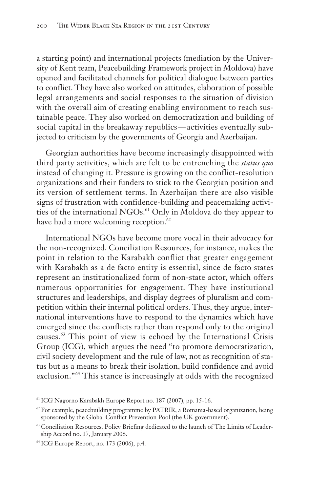a starting point) and international projects (mediation by the University of Kent team, Peacebuilding Framework project in Moldova) have opened and facilitated channels for political dialogue between parties to conflict. They have also worked on attitudes, elaboration of possible legal arrangements and social responses to the situation of division with the overall aim of creating enabling environment to reach sustainable peace. They also worked on democratization and building of social capital in the breakaway republics — activities eventually subjected to criticism by the governments of Georgia and Azerbaijan.

Georgian authorities have become increasingly disappointed with third party activities, which are felt to be entrenching the *status quo* instead of changing it. Pressure is growing on the conflict-resolution organizations and their funders to stick to the Georgian position and its version of settlement terms. In Azerbaijan there are also visible signs of frustration with confidence-building and peacemaking activities of the international NGOs.<sup>61</sup> Only in Moldova do they appear to have had a more welcoming reception.<sup>62</sup>

International NGOs have become more vocal in their advocacy for the non-recognized. Conciliation Resources, for instance, makes the point in relation to the Karabakh conflict that greater engagement with Karabakh as a de facto entity is essential, since de facto states represent an institutionalized form of non-state actor, which offers numerous opportunities for engagement. They have institutional structures and leaderships, and display degrees of pluralism and competition within their internal political orders. Thus, they argue, international interventions have to respond to the dynamics which have emerged since the conflicts rather than respond only to the original causes.<sup>63</sup> This point of view is echoed by the International Crisis Group (ICG), which argues the need "to promote democratization, civil society development and the rule of law, not as recognition of status but as a means to break their isolation, build confidence and avoid exclusion."<sup>64</sup> This stance is increasingly at odds with the recognized

<sup>61</sup> ICG Nagorno Karabakh Europe Report no. 187 (2007), pp. 15-16.

 $62$  For example, peacebuilding programme by PATRIR, a Romania-based organization, being sponsored by the Global Conflict Prevention Pool (the UK government).

<sup>&</sup>lt;sup>63</sup> Conciliation Resources, Policy Briefing dedicated to the launch of The Limits of Leadership Accord no. 17, January 2006.

<sup>64</sup> ICG Europe Report, no. 173 (2006), p.4.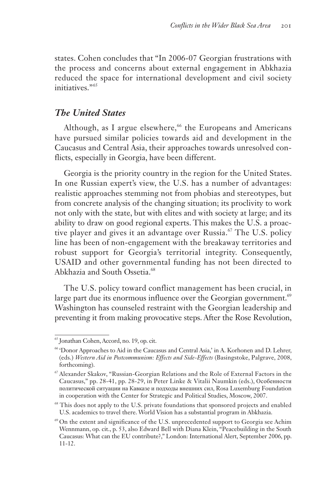states. Cohen concludes that "In 2006-07 Georgian frustrations with the process and concerns about external engagement in Abkhazia reduced the space for international development and civil society initiatives."<sup>65</sup>

#### *The United States*

Although, as I argue elsewhere,<sup>66</sup> the Europeans and Americans have pursued similar policies towards aid and development in the Caucasus and Central Asia, their approaches towards unresolved conflicts, especially in Georgia, have been different.

Georgia is the priority country in the region for the United States. In one Russian expert's view, the U.S. has a number of advantages: realistic approaches stemming not from phobias and stereotypes, but from concrete analysis of the changing situation; its proclivity to work not only with the state, but with elites and with society at large; and its ability to draw on good regional experts. This makes the U.S. a proactive player and gives it an advantage over Russia.<sup>67</sup> The U.S. policy line has been of non-engagement with the breakaway territories and robust support for Georgia's territorial integrity. Consequently, USAID and other governmental funding has not been directed to Abkhazia and South Ossetia.<sup>68</sup>

The U.S. policy toward conflict management has been crucial, in large part due its enormous influence over the Georgian government. $69$ Washington has counseled restraint with the Georgian leadership and preventing it from making provocative steps. After the Rose Revolution,

<sup>65</sup> Jonathan Cohen, Accord, no. 19, op. cit.

<sup>66</sup> 'Donor Approaches to Aid in the Caucasus and Central Asia,' in A. Korhonen and D. Lehrer, (eds.) *Western Aid in Postcommunism: Effects and Side-Effects* (Basingstoke, Palgrave, 2008, forthcoming).

<sup>67</sup> Alexander Skakov, "Russian-Georgian Relations and the Role of External Factors in the Caucasus," pp. 28-41, pp. 28-29, in Peter Linke & Vitalii Naumkin (eds.), Особенности политической ситуации на Кавказе и подходы внешних сил, Rosa Luxemburg Foundation in cooperation with the Center for Strategic and Political Studies, Moscow, 2007.

<sup>&</sup>lt;sup>68</sup> This does not apply to the U.S. private foundations that sponsored projects and enabled U.S. academics to travel there. World Vision has a substantial program in Abkhazia.

<sup>69</sup> On the extent and significance of the U.S. unprecedented support to Georgia see Achim Wennmann, op. cit., p. 53, also Edward Bell with Diana Klein, "Peacebuilding in the South Caucasus: What can the EU contribute?," London: International Alert, September 2006, pp. 11-12.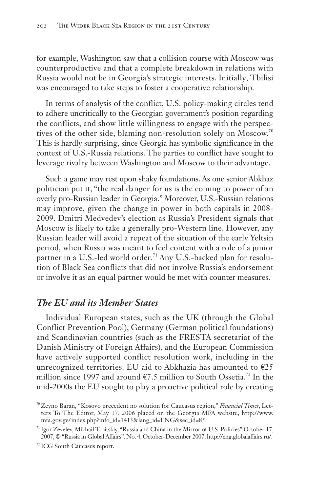for example, Washington saw that a collision course with Moscow was counterproductive and that a complete breakdown in relations with Russia would not be in Georgia's strategic interests. Initially, Tbilisi was encouraged to take steps to foster a cooperative relationship.

In terms of analysis of the conflict, U.S. policy-making circles tend to adhere uncritically to the Georgian government's position regarding the conflicts, and show little willingness to engage with the perspectives of the other side, blaming non-resolution solely on Moscow.<sup>70</sup> This is hardly surprising, since Georgia has symbolic significance in the context of U.S.-Russia relations. The parties to conflict have sought to leverage rivalry between Washington and Moscow to their advantage.

Such a game may rest upon shaky foundations. As one senior Abkhaz politician put it, "the real danger for us is the coming to power of an overly pro-Russian leader in Georgia." Moreover, U.S.-Russian relations may improve, given the change in power in both capitals in 2008- 2009. Dmitri Medvedev's election as Russia's President signals that Moscow is likely to take a generally pro-Western line. However, any Russian leader will avoid a repeat of the situation of the early Yeltsin period, when Russia was meant to feel content with a role of a junior partner in a U.S.-led world order.<sup>71</sup> Any U.S.-backed plan for resolution of Black Sea conflicts that did not involve Russia's endorsement or involve it as an equal partner would be met with counter measures.

### *The EU and its Member States*

Individual European states, such as the UK (through the Global Conflict Prevention Pool), Germany (German political foundations) and Scandinavian countries (such as the FRESTA secretariat of the Danish Ministry of Foreign Affairs), and the European Commission have actively supported conflict resolution work, including in the unrecognized territories. EU aid to Abkhazia has amounted to  $E25$ million since 1997 and around  $\epsilon$ 7.5 million to South Ossetia.<sup>72</sup> In the mid-2000s the EU sought to play a proactive political role by creating

<sup>70</sup> Zeyno Baran, "Kosovo precedent no solution for Caucasus region," *Financial Times*, Letters To The Editor, May 17, 2006 placed on the Georgia MFA website, http://www. mfa.gov.ge/ index.php?info\_id=1413&lang\_id=ENG&sec\_id=85.

<sup>&</sup>lt;sup>71</sup> Igor Zevelev, Mikhail Troitskiy, "Russia and China in the Mirror of U.S. Policies" October 17, 2007, © "Russia in Global Affairs". No. 4, October-December 2007, http://eng.globalaffairs.ru/.

<sup>&</sup>lt;sup>72</sup> ICG South Caucasus report.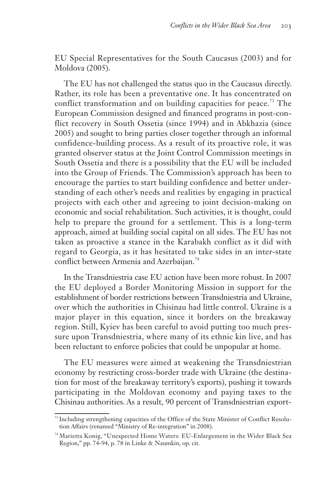EU Special Representatives for the South Caucasus (2003) and for Moldova (2005).

The EU has not challenged the status quo in the Caucasus directly. Rather, its role has been a preventative one. It has concentrated on conflict transformation and on building capacities for peace.<sup>73</sup> The European Commission designed and financed programs in post-conflict recovery in South Ossetia (since 1994) and in Abkhazia (since 2005) and sought to bring parties closer together through an informal confidence-building process. As a result of its proactive role, it was granted observer status at the Joint Control Commission meetings in South Ossetia and there is a possibility that the EU will be included into the Group of Friends. The Commission's approach has been to encourage the parties to start building confidence and better understanding of each other's needs and realities by engaging in practical projects with each other and agreeing to joint decision-making on economic and social rehabilitation. Such activities, it is thought, could help to prepare the ground for a settlement. This is a long-term approach, aimed at building social capital on all sides. The EU has not taken as proactive a stance in the Karabakh conflict as it did with regard to Georgia, as it has hesitated to take sides in an inter-state conflict between Armenia and Azerbaijan.<sup>74</sup>

In the Transdniestria case EU action have been more robust. In 2007 the EU deployed a Border Monitoring Mission in support for the establishment of border restrictions between Transdniestria and Ukraine, over which the authorities in Chisinau had little control. Ukraine is a major player in this equation, since it borders on the breakaway region. Still, Kyiev has been careful to avoid putting too much pressure upon Transdniestria, where many of its ethnic kin live, and has been reluctant to enforce policies that could be unpopular at home.

The EU measures were aimed at weakening the Transdniestrian economy by restricting cross-border trade with Ukraine (the destination for most of the breakaway territory's exports), pushing it towards participating in the Moldovan economy and paying taxes to the Chisinau authorities. As a result, 90 percent of Transdniestrian export-

<sup>&</sup>lt;sup>73</sup> Including strengthening capacities of the Office of the State Minister of Conflict Resolution Affairs (renamed "Ministry of Re-integration" in 2008).

<sup>74</sup> Marietta Konig, "Unexpected Home Waters: EU-Enlargement in the Wider Black Sea Region," pp. 74-94, p. 78 in Linke & Naumkin, op. cit.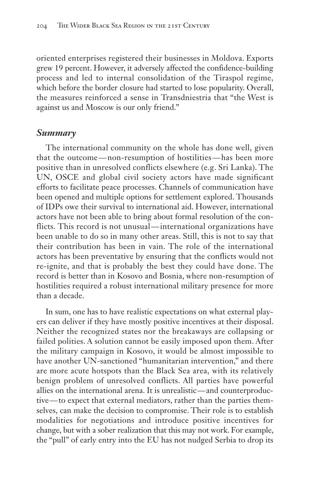oriented enterprises registered their businesses in Moldova. Exports grew 19 percent. However, it adversely affected the confidence-building process and led to internal consolidation of the Tiraspol regime, which before the border closure had started to lose popularity. Overall, the measures reinforced a sense in Transdniestria that "the West is against us and Moscow is our only friend."

#### *Summary*

The international community on the whole has done well, given that the outcome — non-resumption of hostilities — has been more positive than in unresolved conflicts elsewhere (e.g. Sri Lanka). The UN, OSCE and global civil society actors have made significant efforts to facilitate peace processes. Channels of communication have been opened and multiple options for settlement explored. Thousands of IDPs owe their survival to international aid. However, international actors have not been able to bring about formal resolution of the conflicts. This record is not unusual — international organizations have been unable to do so in many other areas. Still, this is not to say that their contribution has been in vain. The role of the international actors has been preventative by ensuring that the conflicts would not re-ignite, and that is probably the best they could have done. The record is better than in Kosovo and Bosnia, where non-resumption of hostilities required a robust international military presence for more than a decade.

In sum, one has to have realistic expectations on what external players can deliver if they have mostly positive incentives at their disposal. Neither the recognized states nor the breakaways are collapsing or failed polities. A solution cannot be easily imposed upon them. After the military campaign in Kosovo, it would be almost impossible to have another UN-sanctioned "humanitarian intervention," and there are more acute hotspots than the Black Sea area, with its relatively benign problem of unresolved conflicts. All parties have powerful allies on the international arena. It is unrealistic — and counterproductive — to expect that external mediators, rather than the parties themselves, can make the decision to compromise. Their role is to establish modalities for negotiations and introduce positive incentives for change, but with a sober realization that this may not work. For example, the "pull" of early entry into the EU has not nudged Serbia to drop its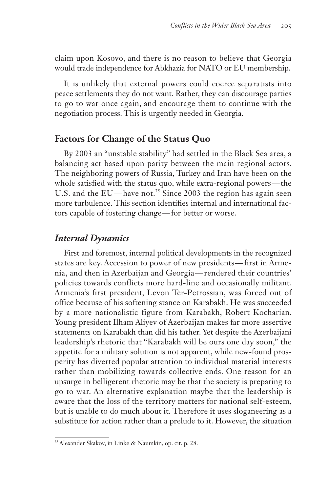claim upon Kosovo, and there is no reason to believe that Georgia would trade independence for Abkhazia for NATO or EU membership.

It is unlikely that external powers could coerce separatists into peace settlements they do not want. Rather, they can discourage parties to go to war once again, and encourage them to continue with the negotiation process. This is urgently needed in Georgia.

### **Factors for Change of the Status Quo**

By 2003 an "unstable stability" had settled in the Black Sea area, a balancing act based upon parity between the main regional actors. The neighboring powers of Russia, Turkey and Iran have been on the whole satisfied with the status quo, while extra-regional powers—the U.S. and the EU—have not.<sup>75</sup> Since 2003 the region has again seen more turbulence. This section identifies internal and international factors capable of fostering change — for better or worse.

## *Internal Dynamics*

First and foremost, internal political developments in the recognized states are key. Accession to power of new presidents — first in Armenia, and then in Azerbaijan and Georgia — rendered their countries' policies towards conflicts more hard-line and occasionally militant. Armenia's first president, Levon Ter-Petrossian, was forced out of office because of his softening stance on Karabakh. He was succeeded by a more nationalistic figure from Karabakh, Robert Kocharian. Young president Ilham Aliyev of Azerbaijan makes far more assertive statements on Karabakh than did his father. Yet despite the Azerbaijani leadership's rhetoric that "Karabakh will be ours one day soon," the appetite for a military solution is not apparent, while new-found prosperity has diverted popular attention to individual material interests rather than mobilizing towards collective ends. One reason for an upsurge in belligerent rhetoric may be that the society is preparing to go to war. An alternative explanation maybe that the leadership is aware that the loss of the territory matters for national self-esteem, but is unable to do much about it. Therefore it uses sloganeering as a substitute for action rather than a prelude to it. However, the situation

<sup>75</sup> Alexander Skakov, in Linke & Naumkin, op. cit. p. 28.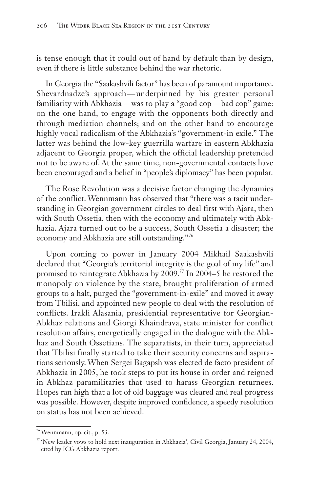is tense enough that it could out of hand by default than by design, even if there is little substance behind the war rhetoric.

In Georgia the "Saakashvili factor" has been of paramount importance. Shevardnadze's approach — underpinned by his greater personal familiarity with Abkhazia—was to play a "good cop—bad cop" game: on the one hand, to engage with the opponents both directly and through mediation channels; and on the other hand to encourage highly vocal radicalism of the Abkhazia's "government-in exile." The latter was behind the low-key guerrilla warfare in eastern Abkhazia adjacent to Georgia proper, which the official leadership pretended not to be aware of. At the same time, non-governmental contacts have been encouraged and a belief in "people's diplomacy" has been popular.

The Rose Revolution was a decisive factor changing the dynamics of the conflict. Wennmann has observed that "there was a tacit understanding in Georgian government circles to deal first with Ajara, then with South Ossetia, then with the economy and ultimately with Abkhazia. Ajara turned out to be a success, South Ossetia a disaster; the economy and Abkhazia are still outstanding."<sup>76</sup>

Upon coming to power in January 2004 Mikhail Saakashvili declared that "Georgia's territorial integrity is the goal of my life" and promised to reintegrate Abkhazia by 2009.<sup>77</sup> In 2004–5 he restored the monopoly on violence by the state, brought proliferation of armed groups to a halt, purged the "government-in-exile" and moved it away from Tbilisi, and appointed new people to deal with the resolution of conflicts. Irakli Alasania, presidential representative for Georgian-Abkhaz relations and Giorgi Khaindrava, state minister for conflict resolution affairs, energetically engaged in the dialogue with the Abkhaz and South Ossetians. The separatists, in their turn, appreciated that Tbilisi finally started to take their security concerns and aspirations seriously. When Sergei Bagapsh was elected de facto president of Abkhazia in 2005, he took steps to put its house in order and reigned in Abkhaz paramilitaries that used to harass Georgian returnees. Hopes ran high that a lot of old baggage was cleared and real progress was possible. However, despite improved confidence, a speedy resolution on status has not been achieved.

<sup>76</sup>Wennmann, op. cit., p. 53.

<sup>77</sup> 'New leader vows to hold next inauguration in Abkhazia', Civil Georgia, January 24, 2004, cited by ICG Abkhazia report.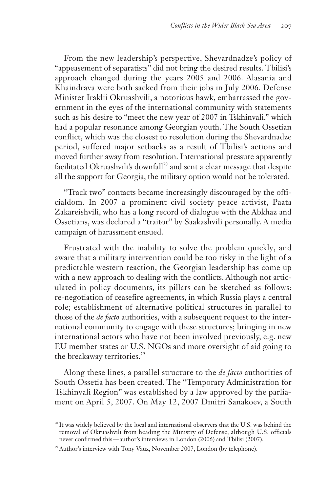From the new leadership's perspective, Shevardnadze's policy of "appeasement of separatists" did not bring the desired results. Tbilisi's approach changed during the years 2005 and 2006. Alasania and Khaindrava were both sacked from their jobs in July 2006. Defense Minister Iraklii Okruashvili, a notorious hawk, embarrassed the government in the eyes of the international community with statements such as his desire to "meet the new year of 2007 in Tskhinvali," which had a popular resonance among Georgian youth. The South Ossetian conflict, which was the closest to resolution during the Shevardnadze period, suffered major setbacks as a result of Tbilisi's actions and moved further away from resolution. International pressure apparently facilitated Okruashvili's downfall<sup>78</sup> and sent a clear message that despite all the support for Georgia, the military option would not be tolerated.

"Track two" contacts became increasingly discouraged by the officialdom. In 2007 a prominent civil society peace activist, Paata Zakareishvili, who has a long record of dialogue with the Abkhaz and Ossetians, was declared a "traitor" by Saakashvili personally. A media campaign of harassment ensued.

Frustrated with the inability to solve the problem quickly, and aware that a military intervention could be too risky in the light of a predictable western reaction, the Georgian leadership has come up with a new approach to dealing with the conflicts. Although not articulated in policy documents, its pillars can be sketched as follows: re-negotiation of ceasefire agreements, in which Russia plays a central role; establishment of alternative political structures in parallel to those of the *de facto* authorities, with a subsequent request to the international community to engage with these structures; bringing in new international actors who have not been involved previously, e.g. new EU member states or U.S. NGOs and more oversight of aid going to the breakaway territories.<sup>79</sup>

Along these lines, a parallel structure to the *de facto* authorities of South Ossetia has been created. The "Temporary Administration for Tskhinvali Region" was established by a law approved by the parliament on April 5, 2007. On May 12, 2007 Dmitri Sanakoev, a South

<sup>&</sup>lt;sup>78</sup> It was widely believed by the local and international observers that the U.S. was behind the removal of Okruashvili from heading the Ministry of Defense, although U.S. officials never confirmed this — author's interviews in London (2006) and Tbilisi (2007).

<sup>79</sup> Author's interview with Tony Vaux, November 2007, London (by telephone).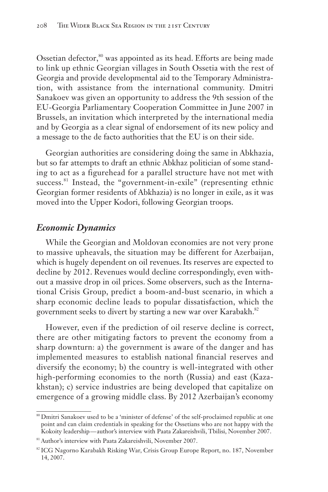Ossetian defector,<sup>80</sup> was appointed as its head. Efforts are being made to link up ethnic Georgian villages in South Ossetia with the rest of Georgia and provide developmental aid to the Temporary Administration, with assistance from the international community. Dmitri Sanakoev was given an opportunity to address the 9th session of the EU-Georgia Parliamentary Cooperation Committee in June 2007 in Brussels, an invitation which interpreted by the international media and by Georgia as a clear signal of endorsement of its new policy and a message to the de facto authorities that the EU is on their side.

Georgian authorities are considering doing the same in Abkhazia, but so far attempts to draft an ethnic Abkhaz politician of some standing to act as a figurehead for a parallel structure have not met with success.<sup>81</sup> Instead, the "government-in-exile" (representing ethnic Georgian former residents of Abkhazia) is no longer in exile, as it was moved into the Upper Kodori, following Georgian troops.

#### *Economic Dynamics*

While the Georgian and Moldovan economies are not very prone to massive upheavals, the situation may be different for Azerbaijan, which is hugely dependent on oil revenues. Its reserves are expected to decline by 2012. Revenues would decline correspondingly, even without a massive drop in oil prices. Some observers, such as the International Crisis Group, predict a boom-and-bust scenario, in which a sharp economic decline leads to popular dissatisfaction, which the government seeks to divert by starting a new war over Karabakh.<sup>82</sup>

However, even if the prediction of oil reserve decline is correct, there are other mitigating factors to prevent the economy from a sharp downturn: a) the government is aware of the danger and has implemented measures to establish national financial reserves and diversify the economy; b) the country is well-integrated with other high-performing economies to the north (Russia) and east (Kazakhstan); c) service industries are being developed that capitalize on emergence of a growing middle class. By 2012 Azerbaijan's economy

<sup>80</sup> Dmitri Sanakoev used to be a 'minister of defense' of the self-proclaimed republic at one point and can claim credentials in speaking for the Ossetians who are not happy with the Kokoity leadership — author's interview with Paata Zakareishvili, Tbilisi, November 2007.

<sup>81</sup> Author's interview with Paata Zakareishvili, November 2007.

<sup>&</sup>lt;sup>82</sup> ICG Nagorno Karabakh Risking War, Crisis Group Europe Report, no. 187, November 14, 2007.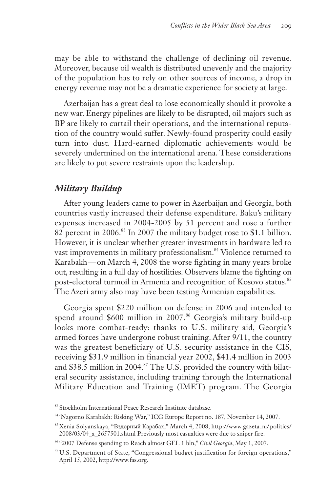may be able to withstand the challenge of declining oil revenue. Moreover, because oil wealth is distributed unevenly and the majority of the population has to rely on other sources of income, a drop in energy revenue may not be a dramatic experience for society at large.

Azerbaijan has a great deal to lose economically should it provoke a new war. Energy pipelines are likely to be disrupted, oil majors such as BP are likely to curtail their operations, and the international reputation of the country would suffer. Newly-found prosperity could easily turn into dust. Hard-earned diplomatic achievements would be severely undermined on the international arena. These considerations are likely to put severe restraints upon the leadership.

#### *Military Buildup*

After young leaders came to power in Azerbaijan and Georgia, both countries vastly increased their defense expenditure. Baku's military expenses increased in 2004-2005 by 51 percent and rose a further 82 percent in 2006.<sup>83</sup> In 2007 the military budget rose to \$1.1 billion. However, it is unclear whether greater investments in hardware led to vast improvements in military professionalism.<sup>84</sup> Violence returned to Karabakh — on March 4, 2008 the worse fighting in many years broke out, resulting in a full day of hostilities. Observers blame the fighting on post-electoral turmoil in Armenia and recognition of Kosovo status.<sup>85</sup> The Azeri army also may have been testing Armenian capabilities.

Georgia spent \$220 million on defense in 2006 and intended to spend around \$600 million in 2007.<sup>86</sup> Georgia's military build-up looks more combat-ready: thanks to U.S. military aid, Georgia's armed forces have undergone robust training. After 9/11, the country was the greatest beneficiary of U.S. security assistance in the CIS, receiving \$31.9 million in financial year 2002, \$41.4 million in 2003 and \$38.5 million in 2004.<sup>87</sup> The U.S. provided the country with bilateral security assistance, including training through the International Military Education and Training (IMET) program. The Georgia

<sup>83</sup> Stockholm International Peace Research Institute database.

<sup>84</sup> 'Nagorno Karabakh: Risking War," ICG Europe Report no. 187, November 14, 2007.

<sup>85</sup> Xenia Solyanskaya, "Вздорный Карабах," March 4, 2008, http://www.gazeta.ru/ politics/ 2008/03/04\_a\_2657501.shtml Previously most casualties were due to sniper fire.

<sup>86</sup> "2007 Defense spending to Reach almost GEL 1 bln," *Civil Georgia*, May 1, 2007.

<sup>87</sup> U.S. Department of State, "Congressional budget justification for foreign operations," April 15, 2002, http://www.fas.org.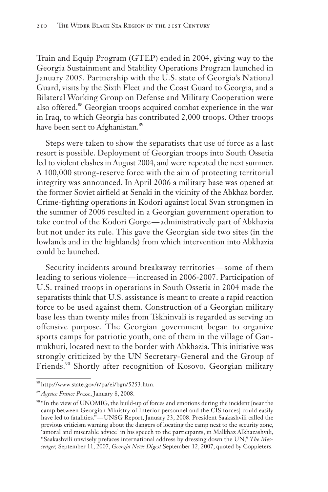Train and Equip Program (GTEP) ended in 2004, giving way to the Georgia Sustainment and Stability Operations Program launched in January 2005. Partnership with the U.S. state of Georgia's National Guard, visits by the Sixth Fleet and the Coast Guard to Georgia, and a Bilateral Working Group on Defense and Military Cooperation were also offered.<sup>88</sup> Georgian troops acquired combat experience in the war in Iraq, to which Georgia has contributed 2,000 troops. Other troops have been sent to Afghanistan.<sup>89</sup>

Steps were taken to show the separatists that use of force as a last resort is possible. Deployment of Georgian troops into South Ossetia led to violent clashes in August 2004, and were repeated the next summer. A 100,000 strong-reserve force with the aim of protecting territorial integrity was announced. In April 2006 a military base was opened at the former Soviet airfield at Senaki in the vicinity of the Abkhaz border. Crime-fighting operations in Kodori against local Svan strongmen in the summer of 2006 resulted in a Georgian government operation to take control of the Kodori Gorge-administratively part of Abkhazia but not under its rule. This gave the Georgian side two sites (in the lowlands and in the highlands) from which intervention into Abkhazia could be launched.

Security incidents around breakaway territories-some of them leading to serious violence — increased in 2006-2007. Participation of U.S. trained troops in operations in South Ossetia in 2004 made the separatists think that U.S. assistance is meant to create a rapid reaction force to be used against them. Construction of a Georgian military base less than twenty miles from Tskhinvali is regarded as serving an offensive purpose. The Georgian government began to organize sports camps for patriotic youth, one of them in the village of Ganmukhuri, located next to the border with Abkhazia. This initiative was strongly criticized by the UN Secretary-General and the Group of Friends.<sup>90</sup> Shortly after recognition of Kosovo, Georgian military

<sup>88</sup> http://www.state.gov/r/pa/ei/bgn/5253.htm.

<sup>89</sup> *Agence France Presse*, January 8, 2008.

<sup>90</sup> "In the view of UNOMIG, the build-up of forces and emotions during the incident [near the camp between Georgian Ministry of Interior personnel and the CIS forces] could easily have led to fatalities." — UNSG Report, January 23, 2008. President Saakashvili called the previous criticism warning about the dangers of locating the camp next to the security zone, 'amoral and miserable advice' in his speech to the participants, in Malkhaz Alkhazashvili, "Saakashvili unwisely prefaces international address by dressing down the UN," *The Messenger,* September 11, 2007, *Georgia News Digest* September 12, 2007, quoted by Coppieters.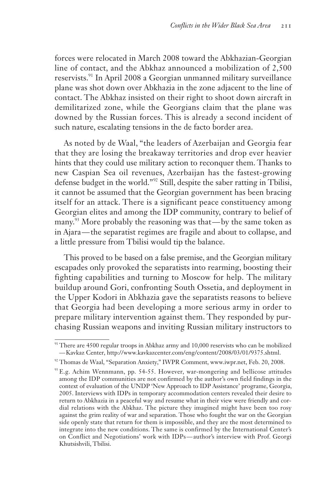forces were relocated in March 2008 toward the Abkhazian-Georgian line of contact, and the Abkhaz announced a mobilization of 2,500 reservists.<sup>91</sup> In April 2008 a Georgian unmanned military surveillance plane was shot down over Abkhazia in the zone adjacent to the line of contact. The Abkhaz insisted on their right to shoot down aircraft in demilitarized zone, while the Georgians claim that the plane was downed by the Russian forces. This is already a second incident of such nature, escalating tensions in the de facto border area.

As noted by de Waal, "the leaders of Azerbaijan and Georgia fear that they are losing the breakaway territories and drop ever heavier hints that they could use military action to reconquer them. Thanks to new Caspian Sea oil revenues, Azerbaijan has the fastest-growing defense budget in the world."<sup>92</sup> Still, despite the saber ratting in Tbilisi, it cannot be assumed that the Georgian government has been bracing itself for an attack. There is a significant peace constituency among Georgian elites and among the IDP community, contrary to belief of many.<sup>93</sup> More probably the reasoning was that—by the same token as in Ajara — the separatist regimes are fragile and about to collapse, and a little pressure from Tbilisi would tip the balance.

This proved to be based on a false premise, and the Georgian military escapades only provoked the separatists into rearming, boosting their fighting capabilities and turning to Moscow for help. The military buildup around Gori, confronting South Ossetia, and deployment in the Upper Kodori in Abkhazia gave the separatists reasons to believe that Georgia had been developing a more serious army in order to prepare military intervention against them. They responded by purchasing Russian weapons and inviting Russian military instructors to

<sup>91</sup> There are 4500 regular troops in Abkhaz army and 10,000 reservists who can be mobilized — Kavkaz Center, http://www.kavkazcenter.com/eng/content/2008/03/01/9375.shtml.

<sup>92</sup> Thomas de Waal, "Separation Anxiety," IWPR Comment, www.iwpr.net, Feb. 20, 2008.

<sup>93</sup> E.g. Achim Wennmann, pp. 54-55. However, war-mongering and bellicose attitudes among the IDP communities are not confirmed by the author's own field findings in the context of evaluation of the UNDP 'New Approach to IDP Assistance' programe, Georgia, 2005. Interviews with IDPs in temporary accommodation centers revealed their desire to return to Abkhazia in a peaceful way and resume what in their view were friendly and cordial relations with the Abkhaz. The picture they imagined might have been too rosy against the grim reality of war and separation. Those who fought the war on the Georgian side openly state that return for them is impossible, and they are the most determined to integrate into the new conditions. The same is confirmed by the International Center's on Conflict and Negotiations' work with IDPs — author's interview with Prof. Georgi Khutsishvili, Tbilisi.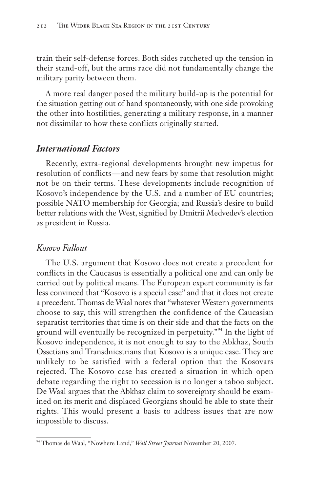train their self-defense forces. Both sides ratcheted up the tension in their stand-off, but the arms race did not fundamentally change the military parity between them.

A more real danger posed the military build-up is the potential for the situation getting out of hand spontaneously, with one side provoking the other into hostilities, generating a military response, in a manner not dissimilar to how these conflicts originally started.

#### *International Factors*

Recently, extra-regional developments brought new impetus for resolution of conflicts — and new fears by some that resolution might not be on their terms. These developments include recognition of Kosovo's independence by the U.S. and a number of EU countries; possible NATO membership for Georgia; and Russia's desire to build better relations with the West, signified by Dmitrii Medvedev's election as president in Russia.

#### *Kosovo Fallout*

The U.S. argument that Kosovo does not create a precedent for conflicts in the Caucasus is essentially a political one and can only be carried out by political means. The European expert community is far less convinced that "Kosovo is a special case" and that it does not create a precedent. Thomas de Waal notes that "whatever Western governments choose to say, this will strengthen the confidence of the Caucasian separatist territories that time is on their side and that the facts on the ground will eventually be recognized in perpetuity."<sup>94</sup> In the light of Kosovo independence, it is not enough to say to the Abkhaz, South Ossetians and Transdniestrians that Kosovo is a unique case. They are unlikely to be satisfied with a federal option that the Kosovars rejected. The Kosovo case has created a situation in which open debate regarding the right to secession is no longer a taboo subject. De Waal argues that the Abkhaz claim to sovereignty should be examined on its merit and displaced Georgians should be able to state their rights. This would present a basis to address issues that are now impossible to discuss.

<sup>94</sup> Thomas de Waal, "Nowhere Land," *Wall Street Journal* November 20, 2007.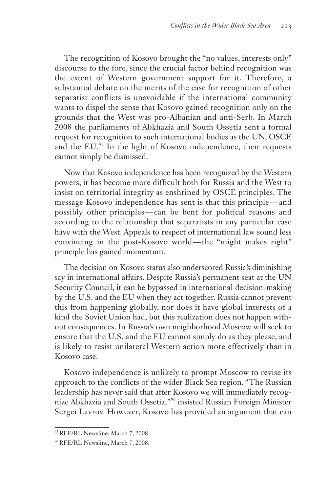The recognition of Kosovo brought the "no values, interests only" discourse to the fore, since the crucial factor behind recognition was the extent of Western government support for it. Therefore, a substantial debate on the merits of the case for recognition of other separatist conflicts is unavoidable if the international community wants to dispel the sense that Kosovo gained recognition only on the grounds that the West was pro-Albanian and anti-Serb. In March 2008 the parliaments of Abkhazia and South Ossetia sent a formal request for recognition to such international bodies as the UN, OSCE and the EU.<sup>95</sup> In the light of Kosovo independence, their requests cannot simply be dismissed.

Now that Kosovo independence has been recognized by the Western powers, it has become more difficult both for Russia and the West to insist on territorial integrity as enshrined by OSCE principles. The message Kosovo independence has sent is that this principle — and possibly other principles — can be bent for political reasons and according to the relationship that separatists in any particular case have with the West. Appeals to respect of international law sound less convincing in the post-Kosovo world — the "might makes right" principle has gained momentum.

The decision on Kosovo status also underscored Russia's diminishing say in international affairs. Despite Russia's permanent seat at the UN Security Council, it can be bypassed in international decision-making by the U.S. and the EU when they act together. Russia cannot prevent this from happening globally, nor does it have global interests of a kind the Soviet Union had, but this realization does not happen without consequences. In Russia's own neighborhood Moscow will seek to ensure that the U.S. and the EU cannot simply do as they please, and is likely to resist unilateral Western action more effectively than in Kosovo case.

Kosovo independence is unlikely to prompt Moscow to revise its approach to the conflicts of the wider Black Sea region. "The Russian leadership has never said that after Kosovo we will immediately recognize Abkhazia and South Ossetia,"<sup>96</sup> insisted Russian Foreign Minister Sergei Lavrov. However, Kosovo has provided an argument that can

<sup>&</sup>lt;sup>95</sup> RFE/RL Newsline, March 7, 2008.

<sup>&</sup>lt;sup>96</sup> RFE/RL Newsline, March 7, 2008.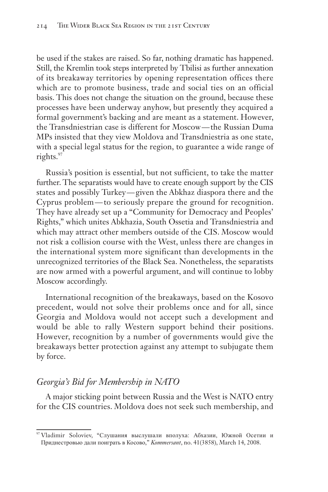be used if the stakes are raised. So far, nothing dramatic has happened. Still, the Kremlin took steps interpreted by Tbilisi as further annexation of its breakaway territories by opening representation offices there which are to promote business, trade and social ties on an official basis. This does not change the situation on the ground, because these processes have been underway anyhow, but presently they acquired a formal government's backing and are meant as a statement. However, the Transdniestrian case is different for Moscow — the Russian Duma MPs insisted that they view Moldova and Transdniestria as one state, with a special legal status for the region, to guarantee a wide range of rights.<sup>97</sup>

Russia's position is essential, but not sufficient, to take the matter further. The separatists would have to create enough support by the CIS states and possibly Turkey — given the Abkhaz diaspora there and the Cyprus problem — to seriously prepare the ground for recognition. They have already set up a "Community for Democracy and Peoples' Rights," which unites Abkhazia, South Ossetia and Transdniestria and which may attract other members outside of the CIS. Moscow would not risk a collision course with the West, unless there are changes in the international system more significant than developments in the unrecognized territories of the Black Sea. Nonetheless, the separatists are now armed with a powerful argument, and will continue to lobby Moscow accordingly.

International recognition of the breakaways, based on the Kosovo precedent, would not solve their problems once and for all, since Georgia and Moldova would not accept such a development and would be able to rally Western support behind their positions. However, recognition by a number of governments would give the breakaways better protection against any attempt to subjugate them by force.

### *Georgia's Bid for Membership in NATO*

A major sticking point between Russia and the West is NATO entry for the CIS countries. Moldova does not seek such membership, and

<sup>97</sup> Vladimir Soloviev, "Слушания выслушали вполуха: Абхазии, Южной Осетии и Приднестровью дали поиграть в Косово," *Kommersant*, no. 41(3858), March 14, 2008.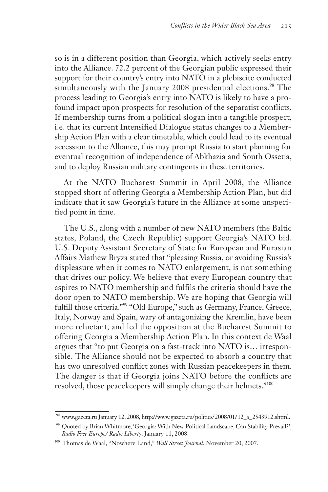so is in a different position than Georgia, which actively seeks entry into the Alliance. 72.2 percent of the Georgian public expressed their support for their country's entry into NATO in a plebiscite conducted simultaneously with the January 2008 presidential elections.<sup>98</sup> The process leading to Georgia's entry into NATO is likely to have a profound impact upon prospects for resolution of the separatist conflicts. If membership turns from a political slogan into a tangible prospect, i.e. that its current Intensified Dialogue status changes to a Membership Action Plan with a clear timetable, which could lead to its eventual accession to the Alliance, this may prompt Russia to start planning for eventual recognition of independence of Abkhazia and South Ossetia, and to deploy Russian military contingents in these territories.

At the NATO Bucharest Summit in April 2008, the Alliance stopped short of offering Georgia a Membership Action Plan, but did indicate that it saw Georgia's future in the Alliance at some unspecified point in time.

The U.S., along with a number of new NATO members (the Baltic states, Poland, the Czech Republic) support Georgia's NATO bid. U.S. Deputy Assistant Secretary of State for European and Eurasian Affairs Mathew Bryza stated that "pleasing Russia, or avoiding Russia's displeasure when it comes to NATO enlargement, is not something that drives our policy. We believe that every European country that aspires to NATO membership and fulfils the criteria should have the door open to NATO membership. We are hoping that Georgia will fulfill those criteria."<sup>99</sup> "Old Europe," such as Germany, France, Greece, Italy, Norway and Spain, wary of antagonizing the Kremlin, have been more reluctant, and led the opposition at the Bucharest Summit to offering Georgia a Membership Action Plan. In this context de Waal argues that "to put Georgia on a fast-track into NATO is… irresponsible. The Alliance should not be expected to absorb a country that has two unresolved conflict zones with Russian peacekeepers in them. The danger is that if Georgia joins NATO before the conflicts are resolved, those peacekeepers will simply change their helmets."<sup>100</sup>

www.gazeta.ru January 12, 2008, http://www.gazeta.ru/politics/2008/01/12\_a\_2543912.shtml.

<sup>99</sup> Quoted by Brian Whitmore, 'Georgia: With New Political Landscape, Can Stability Prevail?', *Radio Free Europe/ Radio Liberty*, January 11, 2008.

<sup>100</sup> Thomas de Waal, "Nowhere Land," *Wall Street Journal*, November 20, 2007.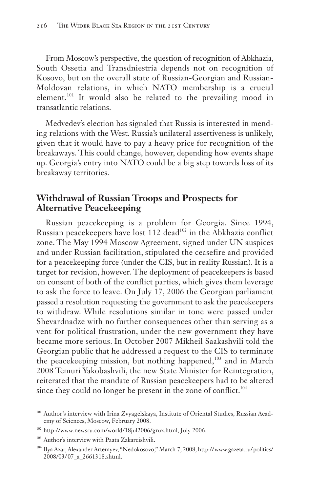From Moscow's perspective, the question of recognition of Abkhazia, South Ossetia and Transdniestria depends not on recognition of Kosovo, but on the overall state of Russian-Georgian and Russian-Moldovan relations, in which NATO membership is a crucial element.<sup>101</sup> It would also be related to the prevailing mood in transatlantic relations.

Medvedev's election has signaled that Russia is interested in mending relations with the West. Russia's unilateral assertiveness is unlikely, given that it would have to pay a heavy price for recognition of the breakaways. This could change, however, depending how events shape up. Georgia's entry into NATO could be a big step towards loss of its breakaway territories.

## **Withdrawal of Russian Troops and Prospects for Alternative Peacekeeping**

Russian peacekeeping is a problem for Georgia. Since 1994, Russian peacekeepers have lost 112 dead<sup>102</sup> in the Abkhazia conflict zone. The May 1994 Moscow Agreement, signed under UN auspices and under Russian facilitation, stipulated the ceasefire and provided for a peacekeeping force (under the CIS, but in reality Russian). It is a target for revision, however. The deployment of peacekeepers is based on consent of both of the conflict parties, which gives them leverage to ask the force to leave. On July 17, 2006 the Georgian parliament passed a resolution requesting the government to ask the peacekeepers to withdraw. While resolutions similar in tone were passed under Shevardnadze with no further consequences other than serving as a vent for political frustration, under the new government they have became more serious. In October 2007 Mikheil Saakashvili told the Georgian public that he addressed a request to the CIS to terminate the peacekeeping mission, but nothing happened,<sup>103</sup> and in March 2008 Temuri Yakobashvili, the new State Minister for Reintegration, reiterated that the mandate of Russian peacekeepers had to be altered since they could no longer be present in the zone of conflict.<sup>104</sup>

<sup>103</sup> Author's interview with Paata Zakareishvili.

<sup>&</sup>lt;sup>101</sup> Author's interview with Irina Zvyagelskaya, Institute of Oriental Studies, Russian Academy of Sciences, Moscow, February 2008.

<sup>102</sup> http://www.newsru.com/world/18jul2006/gruz.html, July 2006.

<sup>104</sup> Ilya Azar, Alexander Artemyev, "Nedokosovo," March 7, 2008, http:// www.gazeta.ru/ politics/ 2008/03/ 07\_a\_2661318.shtml.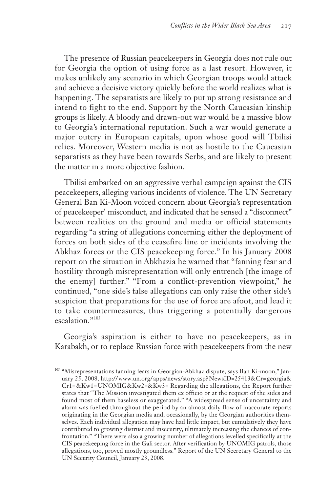The presence of Russian peacekeepers in Georgia does not rule out for Georgia the option of using force as a last resort. However, it makes unlikely any scenario in which Georgian troops would attack and achieve a decisive victory quickly before the world realizes what is happening. The separatists are likely to put up strong resistance and intend to fight to the end. Support by the North Caucasian kinship groups is likely. A bloody and drawn-out war would be a massive blow to Georgia's international reputation. Such a war would generate a major outcry in European capitals, upon whose good will Tbilisi relies. Moreover, Western media is not as hostile to the Caucasian separatists as they have been towards Serbs, and are likely to present the matter in a more objective fashion.

Tbilisi embarked on an aggressive verbal campaign against the CIS peacekeepers, alleging various incidents of violence. The UN Secretary General Ban Ki-Moon voiced concern about Georgia's representation of peacekeeper' misconduct, and indicated that he sensed a "disconnect" between realities on the ground and media or official statements regarding "a string of allegations concerning either the deployment of forces on both sides of the ceasefire line or incidents involving the Abkhaz forces or the CIS peacekeeping force." In his January 2008 report on the situation in Abkhazia he warned that "fanning fear and hostility through misrepresentation will only entrench [the image of the enemy] further." "From a conflict-prevention viewpoint," he continued, "one side's false allegations can only raise the other side's suspicion that preparations for the use of force are afoot, and lead it to take countermeasures, thus triggering a potentially dangerous escalation."<sup>105</sup>

Georgia's aspiration is either to have no peacekeepers, as in Karabakh, or to replace Russian force with peacekeepers from the new

<sup>105</sup> "Misrepresentations fanning fears in Georgian-Abkhaz dispute, says Ban Ki-moon," January 25, 2008, http:// www.un.org/ apps/news/story.asp? NewsID=25413&Cr= georgia& Cr1= &Kw1= UNOMIG&Kw2=&Kw3= Regarding the allegations, the Report further states that "The Mission investigated them ex officio or at the request of the sides and found most of them baseless or exaggerated." "A widespread sense of uncertainty and alarm was fuelled throughout the period by an almost daily flow of inaccurate reports originating in the Georgian media and, occasionally, by the Georgian authorities themselves. Each individual allegation may have had little impact, but cumulatively they have contributed to growing distrust and insecurity, ultimately increasing the chances of confrontation." "There were also a growing number of allegations levelled specifically at the CIS peacekeeping force in the Gali sector. After verification by UNOMIG patrols, those allegations, too, proved mostly groundless." Report of the UN Secretary General to the UN Security Council, January 23, 2008.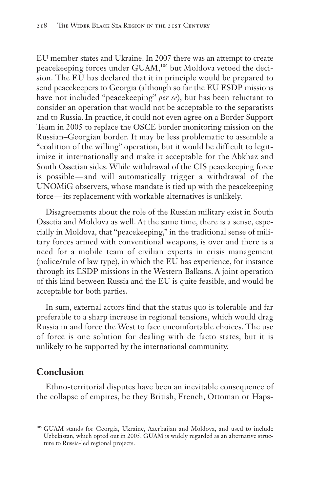EU member states and Ukraine. In 2007 there was an attempt to create peacekeeping forces under GUAM,<sup>106</sup> but Moldova vetoed the decision. The EU has declared that it in principle would be prepared to send peacekeepers to Georgia (although so far the EU ESDP missions have not included "peacekeeping" *per se*), but has been reluctant to consider an operation that would not be acceptable to the separatists and to Russia. In practice, it could not even agree on a Border Support Team in 2005 to replace the OSCE border monitoring mission on the Russian–Georgian border. It may be less problematic to assemble a "coalition of the willing" operation, but it would be difficult to legitimize it internationally and make it acceptable for the Abkhaz and South Ossetian sides. While withdrawal of the CIS peacekeeping force is possible — and will automatically trigger a withdrawal of the UNOMiG observers, whose mandate is tied up with the peacekeeping force — its replacement with workable alternatives is unlikely.

Disagreements about the role of the Russian military exist in South Ossetia and Moldova as well. At the same time, there is a sense, especially in Moldova, that "peacekeeping," in the traditional sense of military forces armed with conventional weapons, is over and there is a need for a mobile team of civilian experts in crisis management (police/rule of law type), in which the EU has experience, for instance through its ESDP missions in the Western Balkans. A joint operation of this kind between Russia and the EU is quite feasible, and would be acceptable for both parties.

In sum, external actors find that the status quo is tolerable and far preferable to a sharp increase in regional tensions, which would drag Russia in and force the West to face uncomfortable choices. The use of force is one solution for dealing with de facto states, but it is unlikely to be supported by the international community.

### **Conclusion**

Ethno-territorial disputes have been an inevitable consequence of the collapse of empires, be they British, French, Ottoman or Haps-

<sup>106</sup> GUAM stands for Georgia, Ukraine, Azerbaijan and Moldova, and used to include Uzbekistan, which opted out in 2005. GUAM is widely regarded as an alternative structure to Russia-led regional projects.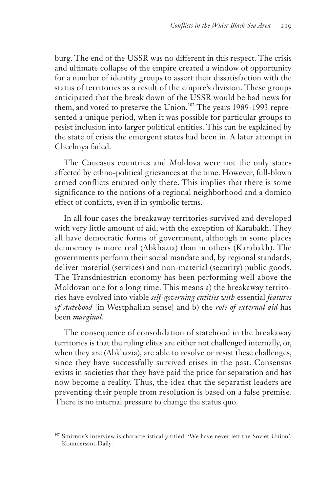burg. The end of the USSR was no different in this respect. The crisis and ultimate collapse of the empire created a window of opportunity for a number of identity groups to assert their dissatisfaction with the status of territories as a result of the empire's division. These groups anticipated that the break down of the USSR would be bad news for them, and voted to preserve the Union.<sup>107</sup> The years 1989-1993 represented a unique period, when it was possible for particular groups to resist inclusion into larger political entities. This can be explained by the state of crisis the emergent states had been in. A later attempt in Chechnya failed.

The Caucasus countries and Moldova were not the only states affected by ethno-political grievances at the time. However, full-blown armed conflicts erupted only there. This implies that there is some significance to the notions of a regional neighborhood and a domino effect of conflicts, even if in symbolic terms.

In all four cases the breakaway territories survived and developed with very little amount of aid, with the exception of Karabakh. They all have democratic forms of government, although in some places democracy is more real (Abkhazia) than in others (Karabakh). The governments perform their social mandate and, by regional standards, deliver material (services) and non-material (security) public goods. The Transdniestrian economy has been performing well above the Moldovan one for a long time. This means a) the breakaway territories have evolved into viable *self-governing entities with* essential *features of statehood* [in Westphalian sense] and b) the *role of external aid* has been *marginal*.

The consequence of consolidation of statehood in the breakaway territories is that the ruling elites are either not challenged internally, or, when they are (Abkhazia), are able to resolve or resist these challenges, since they have successfully survived crises in the past. Consensus exists in societies that they have paid the price for separation and has now become a reality. Thus, the idea that the separatist leaders are preventing their people from resolution is based on a false premise. There is no internal pressure to change the status quo.

<sup>107</sup> Smirnov's interview is characteristically titled: 'We have never left the Soviet Union', Kommersant-Daily.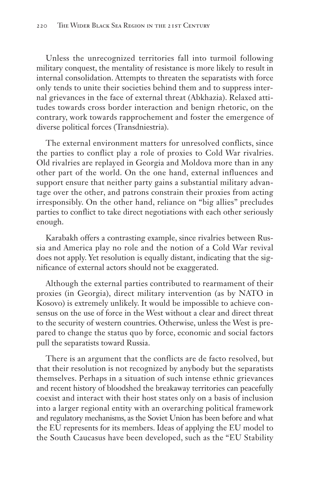Unless the unrecognized territories fall into turmoil following military conquest, the mentality of resistance is more likely to result in internal consolidation. Attempts to threaten the separatists with force only tends to unite their societies behind them and to suppress internal grievances in the face of external threat (Abkhazia). Relaxed attitudes towards cross border interaction and benign rhetoric, on the contrary, work towards rapprochement and foster the emergence of diverse political forces (Transdniestria).

The external environment matters for unresolved conflicts, since the parties to conflict play a role of proxies to Cold War rivalries. Old rivalries are replayed in Georgia and Moldova more than in any other part of the world. On the one hand, external influences and support ensure that neither party gains a substantial military advantage over the other, and patrons constrain their proxies from acting irresponsibly. On the other hand, reliance on "big allies" precludes parties to conflict to take direct negotiations with each other seriously enough.

Karabakh offers a contrasting example, since rivalries between Russia and America play no role and the notion of a Cold War revival does not apply. Yet resolution is equally distant, indicating that the significance of external actors should not be exaggerated.

Although the external parties contributed to rearmament of their proxies (in Georgia), direct military intervention (as by NATO in Kosovo) is extremely unlikely. It would be impossible to achieve consensus on the use of force in the West without a clear and direct threat to the security of western countries. Otherwise, unless the West is prepared to change the status quo by force, economic and social factors pull the separatists toward Russia.

There is an argument that the conflicts are de facto resolved, but that their resolution is not recognized by anybody but the separatists themselves. Perhaps in a situation of such intense ethnic grievances and recent history of bloodshed the breakaway territories can peacefully coexist and interact with their host states only on a basis of inclusion into a larger regional entity with an overarching political framework and regulatory mechanisms, as the Soviet Union has been before and what the EU represents for its members. Ideas of applying the EU model to the South Caucasus have been developed, such as the "EU Stability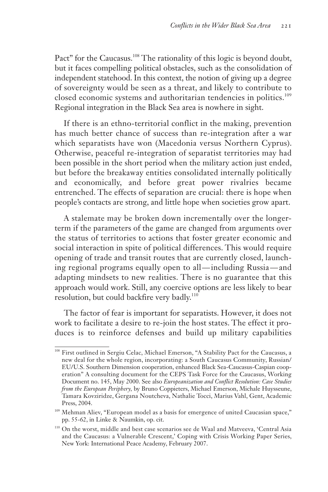Pact" for the Caucasus.<sup>108</sup> The rationality of this logic is beyond doubt, but it faces compelling political obstacles, such as the consolidation of independent statehood. In this context, the notion of giving up a degree of sovereignty would be seen as a threat, and likely to contribute to closed economic systems and authoritarian tendencies in politics.<sup>109</sup> Regional integration in the Black Sea area is nowhere in sight.

If there is an ethno-territorial conflict in the making, prevention has much better chance of success than re-integration after a war which separatists have won (Macedonia versus Northern Cyprus). Otherwise, peaceful re-integration of separatist territories may had been possible in the short period when the military action just ended, but before the breakaway entities consolidated internally politically and economically, and before great power rivalries became entrenched. The effects of separation are crucial: there is hope when people's contacts are strong, and little hope when societies grow apart.

A stalemate may be broken down incrementally over the longerterm if the parameters of the game are changed from arguments over the status of territories to actions that foster greater economic and social interaction in spite of political differences. This would require opening of trade and transit routes that are currently closed, launching regional programs equally open to all — including Russia — and adapting mindsets to new realities. There is no guarantee that this approach would work. Still, any coercive options are less likely to bear resolution, but could backfire very badly.<sup>110</sup>

The factor of fear is important for separatists. However, it does not work to facilitate a desire to re-join the host states. The effect it produces is to reinforce defenses and build up military capabilities

<sup>108</sup> First outlined in Sergiu Celac, Michael Emerson, "A Stability Pact for the Caucasus, a new deal for the whole region, incorporating: a South Caucasus Community, Russian/ EU/U.S. Southern Dimension cooperation, enhanced Black Sea-Caucasus-Caspian cooperation" A consulting document for the CEPS Task Force for the Caucasus, Working Document no. 145, May 2000. See also *Europeanization and Conflict Resolution: Case Studies from the European Periphery,* by Bruno Coppieters, Michael Emerson, Michale Huysseune, Tamara Kovziridze, Gergana Noutcheva, Nathalie Tocci, Marius Vahl, Gent, Academic Press, 2004.

<sup>109</sup> Mehman Aliev, "European model as a basis for emergence of united Caucasian space," pp. 55-62, in Linke & Naumkin, op. cit.

<sup>110</sup> On the worst, middle and best case scenarios see de Waal and Matveeva, 'Central Asia and the Caucasus: a Vulnerable Crescent,' Coping with Crisis Working Paper Series, New York: International Peace Academy, February 2007.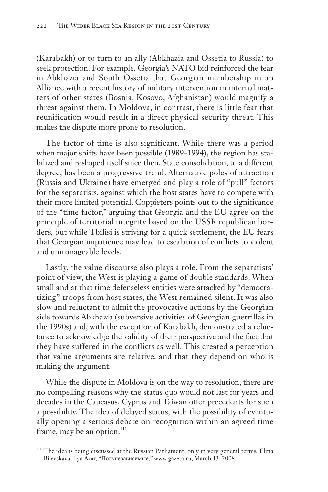(Karabakh) or to turn to an ally (Abkhazia and Ossetia to Russia) to seek protection. For example, Georgia's NATO bid reinforced the fear in Abkhazia and South Ossetia that Georgian membership in an Alliance with a recent history of military intervention in internal matters of other states (Bosnia, Kosovo, Afghanistan) would magnify a threat against them. In Moldova, in contrast, there is little fear that reunification would result in a direct physical security threat. This makes the dispute more prone to resolution.

The factor of time is also significant. While there was a period when major shifts have been possible (1989-1994), the region has stabilized and reshaped itself since then. State consolidation, to a different degree, has been a progressive trend. Alternative poles of attraction (Russia and Ukraine) have emerged and play a role of "pull" factors for the separatists, against which the host states have to compete with their more limited potential. Coppieters points out to the significance of the "time factor," arguing that Georgia and the EU agree on the principle of territorial integrity based on the USSR republican borders, but while Tbilisi is striving for a quick settlement, the EU fears that Georgian impatience may lead to escalation of conflicts to violent and unmanageable levels.

Lastly, the value discourse also plays a role. From the separatists' point of view, the West is playing a game of double standards. When small and at that time defenseless entities were attacked by "democratizing" troops from host states, the West remained silent. It was also slow and reluctant to admit the provocative actions by the Georgian side towards Abkhazia (subversive activities of Georgian guerrillas in the 1990s) and, with the exception of Karabakh, demonstrated a reluctance to acknowledge the validity of their perspective and the fact that they have suffered in the conflicts as well. This created a perception that value arguments are relative, and that they depend on who is making the argument.

While the dispute in Moldova is on the way to resolution, there are no compelling reasons why the status quo would not last for years and decades in the Caucasus. Cyprus and Taiwan offer precedents for such a possibility. The idea of delayed status, with the possibility of eventually opening a serious debate on recognition within an agreed time frame, may be an option. $111$ 

<sup>&</sup>lt;sup>111</sup> The idea is being discussed at the Russian Parliament, only in very general terms. Elina Bilevskaya, Ilya Azar, "Полунезависимые," www.gazeta.ru, March 13, 2008.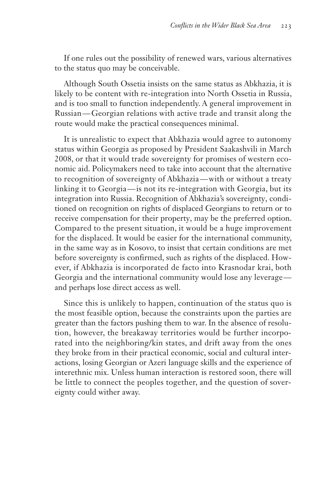If one rules out the possibility of renewed wars, various alternatives to the status quo may be conceivable.

Although South Ossetia insists on the same status as Abkhazia, it is likely to be content with re-integration into North Ossetia in Russia, and is too small to function independently. A general improvement in Russian — Georgian relations with active trade and transit along the route would make the practical consequences minimal.

It is unrealistic to expect that Abkhazia would agree to autonomy status within Georgia as proposed by President Saakashvili in March 2008, or that it would trade sovereignty for promises of western economic aid. Policymakers need to take into account that the alternative to recognition of sovereignty of Abkhazia — with or without a treaty linking it to Georgia— is not its re-integration with Georgia, but its integration into Russia. Recognition of Abkhazia's sovereignty, conditioned on recognition on rights of displaced Georgians to return or to receive compensation for their property, may be the preferred option. Compared to the present situation, it would be a huge improvement for the displaced. It would be easier for the international community, in the same way as in Kosovo, to insist that certain conditions are met before sovereignty is confirmed, such as rights of the displaced. However, if Abkhazia is incorporated de facto into Krasnodar krai, both Georgia and the international community would lose any leverage and perhaps lose direct access as well.

Since this is unlikely to happen, continuation of the status quo is the most feasible option, because the constraints upon the parties are greater than the factors pushing them to war. In the absence of resolution, however, the breakaway territories would be further incorporated into the neighboring/kin states, and drift away from the ones they broke from in their practical economic, social and cultural interactions, losing Georgian or Azeri language skills and the experience of interethnic mix. Unless human interaction is restored soon, there will be little to connect the peoples together, and the question of sovereignty could wither away.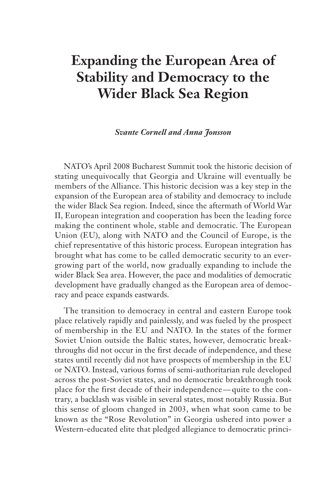# **Expanding the European Area of Stability and Democracy to the Wider Black Sea Region**

#### *Svante Cornell and Anna Jonsson*

NATO's April 2008 Bucharest Summit took the historic decision of stating unequivocally that Georgia and Ukraine will eventually be members of the Alliance. This historic decision was a key step in the expansion of the European area of stability and democracy to include the wider Black Sea region. Indeed, since the aftermath of World War II, European integration and cooperation has been the leading force making the continent whole, stable and democratic. The European Union (EU), along with NATO and the Council of Europe, is the chief representative of this historic process. European integration has brought what has come to be called democratic security to an evergrowing part of the world, now gradually expanding to include the wider Black Sea area. However, the pace and modalities of democratic development have gradually changed as the European area of democracy and peace expands eastwards.

The transition to democracy in central and eastern Europe took place relatively rapidly and painlessly, and was fueled by the prospect of membership in the EU and NATO. In the states of the former Soviet Union outside the Baltic states, however, democratic breakthroughs did not occur in the first decade of independence, and these states until recently did not have prospects of membership in the EU or NATO. Instead, various forms of semi-authoritarian rule developed across the post-Soviet states, and no democratic breakthrough took place for the first decade of their independence — quite to the contrary, a backlash was visible in several states, most notably Russia. But this sense of gloom changed in 2003, when what soon came to be known as the "Rose Revolution" in Georgia ushered into power a Western-educated elite that pledged allegiance to democratic princi-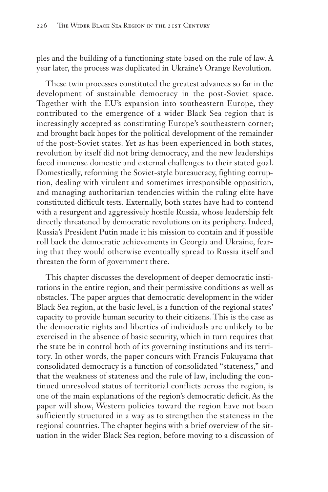ples and the building of a functioning state based on the rule of law. A year later, the process was duplicated in Ukraine's Orange Revolution.

These twin processes constituted the greatest advances so far in the development of sustainable democracy in the post-Soviet space. Together with the EU's expansion into southeastern Europe, they contributed to the emergence of a wider Black Sea region that is increasingly accepted as constituting Europe's southeastern corner; and brought back hopes for the political development of the remainder of the post-Soviet states. Yet as has been experienced in both states, revolution by itself did not bring democracy, and the new leaderships faced immense domestic and external challenges to their stated goal. Domestically, reforming the Soviet-style bureaucracy, fighting corruption, dealing with virulent and sometimes irresponsible opposition, and managing authoritarian tendencies within the ruling elite have constituted difficult tests. Externally, both states have had to contend with a resurgent and aggressively hostile Russia, whose leadership felt directly threatened by democratic revolutions on its periphery. Indeed, Russia's President Putin made it his mission to contain and if possible roll back the democratic achievements in Georgia and Ukraine, fearing that they would otherwise eventually spread to Russia itself and threaten the form of government there.

This chapter discusses the development of deeper democratic institutions in the entire region, and their permissive conditions as well as obstacles. The paper argues that democratic development in the wider Black Sea region, at the basic level, is a function of the regional states' capacity to provide human security to their citizens. This is the case as the democratic rights and liberties of individuals are unlikely to be exercised in the absence of basic security, which in turn requires that the state be in control both of its governing institutions and its territory. In other words, the paper concurs with Francis Fukuyama that consolidated democracy is a function of consolidated "stateness," and that the weakness of stateness and the rule of law, including the continued unresolved status of territorial conflicts across the region, is one of the main explanations of the region's democratic deficit. As the paper will show, Western policies toward the region have not been sufficiently structured in a way as to strengthen the stateness in the regional countries. The chapter begins with a brief overview of the situation in the wider Black Sea region, before moving to a discussion of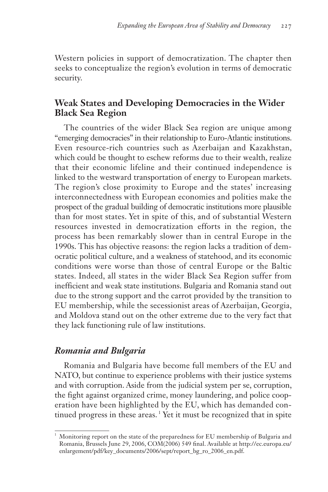Western policies in support of democratization. The chapter then seeks to conceptualize the region's evolution in terms of democratic security.

## **Weak States and Developing Democracies in the Wider Black Sea Region**

The countries of the wider Black Sea region are unique among "emerging democracies" in their relationship to Euro-Atlantic institutions. Even resource-rich countries such as Azerbaijan and Kazakhstan, which could be thought to eschew reforms due to their wealth, realize that their economic lifeline and their continued independence is linked to the westward transportation of energy to European markets. The region's close proximity to Europe and the states' increasing interconnectedness with European economies and polities make the prospect of the gradual building of democratic institutions more plausible than for most states. Yet in spite of this, and of substantial Western resources invested in democratization efforts in the region, the process has been remarkably slower than in central Europe in the 1990s. This has objective reasons: the region lacks a tradition of democratic political culture, and a weakness of statehood, and its economic conditions were worse than those of central Europe or the Baltic states. Indeed, all states in the wider Black Sea Region suffer from inefficient and weak state institutions. Bulgaria and Romania stand out due to the strong support and the carrot provided by the transition to EU membership, while the secessionist areas of Azerbaijan, Georgia, and Moldova stand out on the other extreme due to the very fact that they lack functioning rule of law institutions.

## *Romania and Bulgaria*

Romania and Bulgaria have become full members of the EU and NATO, but continue to experience problems with their justice systems and with corruption. Aside from the judicial system per se, corruption, the fight against organized crime, money laundering, and police cooperation have been highlighted by the EU, which has demanded continued progress in these areas.<sup>1</sup> Yet it must be recognized that in spite

<sup>1</sup> Monitoring report on the state of the preparedness for EU membership of Bulgaria and Romania, Brussels June 29, 2006, COM(2006) 549 final. Available at http://ec.europa.eu/ enlargement/pdf/key\_documents/2006/sept/report\_bg\_ro\_2006\_en.pdf.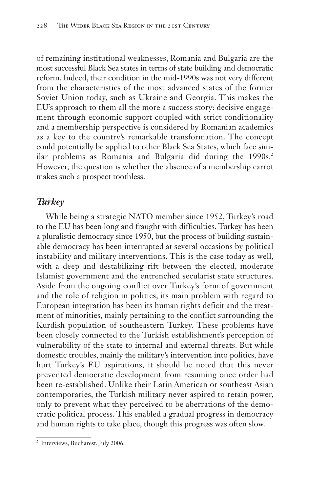of remaining institutional weaknesses, Romania and Bulgaria are the most successful Black Sea states in terms of state building and democratic reform. Indeed, their condition in the mid-1990s was not very different from the characteristics of the most advanced states of the former Soviet Union today, such as Ukraine and Georgia. This makes the EU's approach to them all the more a success story: decisive engagement through economic support coupled with strict conditionality and a membership perspective is considered by Romanian academics as a key to the country's remarkable transformation. The concept could potentially be applied to other Black Sea States, which face similar problems as Romania and Bulgaria did during the  $1990s<sup>2</sup>$ . However, the question is whether the absence of a membership carrot makes such a prospect toothless.

## *Turkey*

While being a strategic NATO member since 1952, Turkey's road to the EU has been long and fraught with difficulties. Turkey has been a pluralistic democracy since 1950, but the process of building sustainable democracy has been interrupted at several occasions by political instability and military interventions. This is the case today as well, with a deep and destabilizing rift between the elected, moderate Islamist government and the entrenched secularist state structures. Aside from the ongoing conflict over Turkey's form of government and the role of religion in politics, its main problem with regard to European integration has been its human rights deficit and the treatment of minorities, mainly pertaining to the conflict surrounding the Kurdish population of southeastern Turkey. These problems have been closely connected to the Turkish establishment's perception of vulnerability of the state to internal and external threats. But while domestic troubles, mainly the military's intervention into politics, have hurt Turkey's EU aspirations, it should be noted that this never prevented democratic development from resuming once order had been re-established. Unlike their Latin American or southeast Asian contemporaries, the Turkish military never aspired to retain power, only to prevent what they perceived to be aberrations of the democratic political process. This enabled a gradual progress in democracy and human rights to take place, though this progress was often slow.

<sup>&</sup>lt;sup>2</sup> Interviews, Bucharest, July 2006.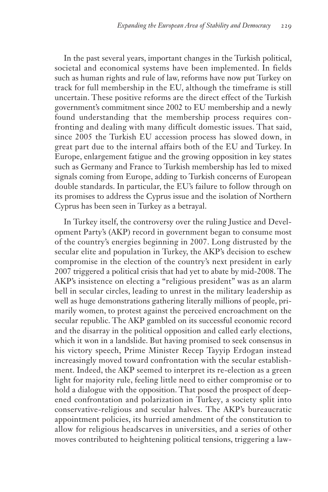In the past several years, important changes in the Turkish political, societal and economical systems have been implemented. In fields such as human rights and rule of law, reforms have now put Turkey on track for full membership in the EU, although the timeframe is still uncertain. These positive reforms are the direct effect of the Turkish government's commitment since 2002 to EU membership and a newly found understanding that the membership process requires confronting and dealing with many difficult domestic issues. That said, since 2005 the Turkish EU accession process has slowed down, in great part due to the internal affairs both of the EU and Turkey. In Europe, enlargement fatigue and the growing opposition in key states such as Germany and France to Turkish membership has led to mixed signals coming from Europe, adding to Turkish concerns of European double standards. In particular, the EU's failure to follow through on its promises to address the Cyprus issue and the isolation of Northern Cyprus has been seen in Turkey as a betrayal.

In Turkey itself, the controversy over the ruling Justice and Development Party's (AKP) record in government began to consume most of the country's energies beginning in 2007. Long distrusted by the secular elite and population in Turkey, the AKP's decision to eschew compromise in the election of the country's next president in early 2007 triggered a political crisis that had yet to abate by mid-2008. The AKP's insistence on electing a "religious president" was as an alarm bell in secular circles, leading to unrest in the military leadership as well as huge demonstrations gathering literally millions of people, primarily women, to protest against the perceived encroachment on the secular republic. The AKP gambled on its successful economic record and the disarray in the political opposition and called early elections, which it won in a landslide. But having promised to seek consensus in his victory speech, Prime Minister Recep Tayyip Erdogan instead increasingly moved toward confrontation with the secular establishment. Indeed, the AKP seemed to interpret its re-election as a green light for majority rule, feeling little need to either compromise or to hold a dialogue with the opposition. That posed the prospect of deepened confrontation and polarization in Turkey, a society split into conservative-religious and secular halves. The AKP's bureaucratic appointment policies, its hurried amendment of the constitution to allow for religious headscarves in universities, and a series of other moves contributed to heightening political tensions, triggering a law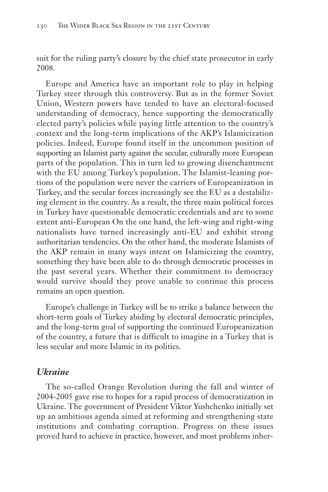suit for the ruling party's closure by the chief state prosecutor in early 2008.

Europe and America have an important role to play in helping Turkey steer through this controversy. But as in the former Soviet Union, Western powers have tended to have an electoral-focused understanding of democracy, hence supporting the democratically elected party's policies while paying little attention to the country's context and the long-term implications of the AKP's Islamicization policies. Indeed, Europe found itself in the uncommon position of supporting an Islamist party against the secular, culturally more European parts of the population. This in turn led to growing disenchantment with the EU among Turkey's population. The Islamist-leaning portions of the population were never the carriers of Europeanization in Turkey, and the secular forces increasingly see the EU as a destabilizing element in the country. As a result, the three main political forces in Turkey have questionable democratic credentials and are to some extent anti-European On the one hand, the left-wing and right-wing nationalists have turned increasingly anti-EU and exhibit strong authoritarian tendencies. On the other hand, the moderate Islamists of the AKP remain in many ways intent on Islamicizing the country, something they have been able to do through democratic processes in the past several years. Whether their commitment to democracy would survive should they prove unable to continue this process remains an open question.

Europe's challenge in Turkey will be to strike a balance between the short-term goals of Turkey abiding by electoral democratic principles, and the long-term goal of supporting the continued Europeanization of the country, a future that is difficult to imagine in a Turkey that is less secular and more Islamic in its politics.

### *Ukraine*

The so-called Orange Revolution during the fall and winter of 2004-2005 gave rise to hopes for a rapid process of democratization in Ukraine. The government of President Viktor Yushchenko initially set up an ambitious agenda aimed at reforming and strengthening state institutions and combating corruption. Progress on these issues proved hard to achieve in practice, however, and most problems inher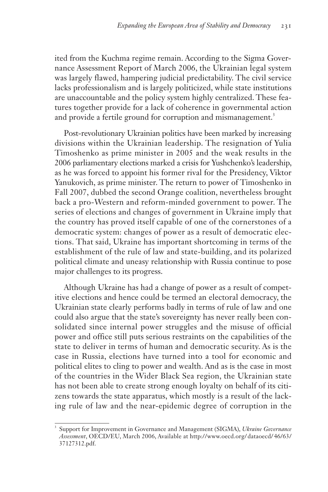ited from the Kuchma regime remain. According to the Sigma Governance Assessment Report of March 2006, the Ukrainian legal system was largely flawed, hampering judicial predictability. The civil service lacks professionalism and is largely politicized, while state institutions are unaccountable and the policy system highly centralized. These features together provide for a lack of coherence in governmental action and provide a fertile ground for corruption and mismanagement.<sup>3</sup>

Post-revolutionary Ukrainian politics have been marked by increasing divisions within the Ukrainian leadership. The resignation of Yulia Timoshenko as prime minister in 2005 and the weak results in the 2006 parliamentary elections marked a crisis for Yushchenko's leadership, as he was forced to appoint his former rival for the Presidency, Viktor Yanukovich, as prime minister. The return to power of Timoshenko in Fall 2007, dubbed the second Orange coalition, nevertheless brought back a pro-Western and reform-minded government to power. The series of elections and changes of government in Ukraine imply that the country has proved itself capable of one of the cornerstones of a democratic system: changes of power as a result of democratic elections. That said, Ukraine has important shortcoming in terms of the establishment of the rule of law and state-building, and its polarized political climate and uneasy relationship with Russia continue to pose major challenges to its progress.

Although Ukraine has had a change of power as a result of competitive elections and hence could be termed an electoral democracy, the Ukrainian state clearly performs badly in terms of rule of law and one could also argue that the state's sovereignty has never really been consolidated since internal power struggles and the misuse of official power and office still puts serious restraints on the capabilities of the state to deliver in terms of human and democratic security. As is the case in Russia, elections have turned into a tool for economic and political elites to cling to power and wealth. And as is the case in most of the countries in the Wider Black Sea region, the Ukrainian state has not been able to create strong enough loyalty on behalf of its citizens towards the state apparatus, which mostly is a result of the lacking rule of law and the near-epidemic degree of corruption in the

<sup>3</sup> Support for Improvement in Governance and Management (SIGMA), *Ukraine Governance Assessment*, OECD/EU, March 2006, Available at http://www.oecd.org/ dataoecd/ 46/63/ 37127312.pdf.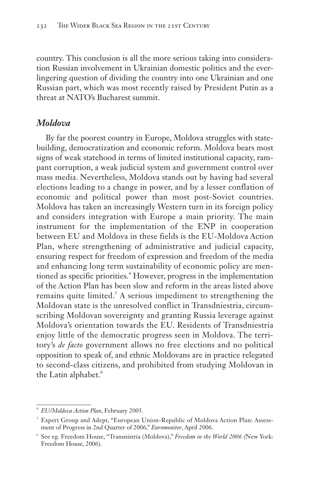country. This conclusion is all the more serious taking into consideration Russian involvement in Ukrainian domestic politics and the everlingering question of dividing the country into one Ukrainian and one Russian part, which was most recently raised by President Putin as a threat at NATO's Bucharest summit.

#### *Moldova*

By far the poorest country in Europe, Moldova struggles with statebuilding, democratization and economic reform. Moldova bears most signs of weak statehood in terms of limited institutional capacity, rampant corruption, a weak judicial system and government control over mass media. Nevertheless, Moldova stands out by having had several elections leading to a change in power, and by a lesser conflation of economic and political power than most post-Soviet countries. Moldova has taken an increasingly Western turn in its foreign policy and considers integration with Europe a main priority. The main instrument for the implementation of the ENP in cooperation between EU and Moldova in these fields is the EU-Moldova Action Plan, where strengthening of administrative and judicial capacity, ensuring respect for freedom of expression and freedom of the media and enhancing long term sustainability of economic policy are mentioned as specific priorities.<sup>4</sup> However, progress in the implementation of the Action Plan has been slow and reform in the areas listed above remains quite limited.<sup>5</sup> A serious impediment to strengthening the Moldovan state is the unresolved conflict in Transdniestria, circumscribing Moldovan sovereignty and granting Russia leverage against Moldova's orientation towards the EU. Residents of Transdniestria enjoy little of the democratic progress seen in Moldova. The territory's *de facto* government allows no free elections and no political opposition to speak of, and ethnic Moldovans are in practice relegated to second-class citizens, and prohibited from studying Moldovan in the Latin alphabet.<sup>6</sup>

<sup>4</sup> *EU/Moldova Action Plan*, February 2005.

<sup>&</sup>lt;sup>5</sup> Expert Group and Adept, "European Union-Republic of Moldova Action Plan: Assessment of Progress in 2nd Quarter of 2006," *Euromonitor*, April 2006.

<sup>6</sup> See eg. Freedom House, "Transnistria (Moldova)," *Freedom in the World 2006 (*New York: Freedom House, 2006).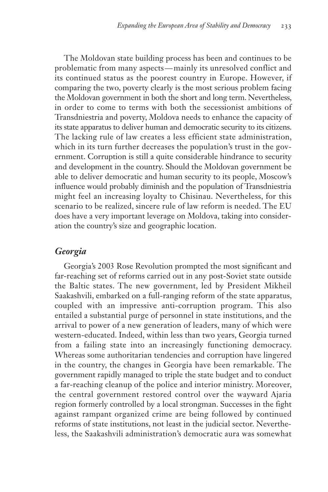The Moldovan state building process has been and continues to be problematic from many aspects — mainly its unresolved conflict and its continued status as the poorest country in Europe. However, if comparing the two, poverty clearly is the most serious problem facing the Moldovan government in both the short and long term. Nevertheless, in order to come to terms with both the secessionist ambitions of Transdniestria and poverty, Moldova needs to enhance the capacity of its state apparatus to deliver human and democratic security to its citizens. The lacking rule of law creates a less efficient state administration, which in its turn further decreases the population's trust in the government. Corruption is still a quite considerable hindrance to security and development in the country. Should the Moldovan government be able to deliver democratic and human security to its people, Moscow's influence would probably diminish and the population of Transdniestria might feel an increasing loyalty to Chisinau. Nevertheless, for this scenario to be realized, sincere rule of law reform is needed. The EU does have a very important leverage on Moldova, taking into consideration the country's size and geographic location.

### *Georgia*

Georgia's 2003 Rose Revolution prompted the most significant and far-reaching set of reforms carried out in any post-Soviet state outside the Baltic states. The new government, led by President Mikheil Saakashvili, embarked on a full-ranging reform of the state apparatus, coupled with an impressive anti-corruption program. This also entailed a substantial purge of personnel in state institutions, and the arrival to power of a new generation of leaders, many of which were western-educated. Indeed, within less than two years, Georgia turned from a failing state into an increasingly functioning democracy. Whereas some authoritarian tendencies and corruption have lingered in the country, the changes in Georgia have been remarkable. The government rapidly managed to triple the state budget and to conduct a far-reaching cleanup of the police and interior ministry. Moreover, the central government restored control over the wayward Ajaria region formerly controlled by a local strongman. Successes in the fight against rampant organized crime are being followed by continued reforms of state institutions, not least in the judicial sector. Nevertheless, the Saakashvili administration's democratic aura was somewhat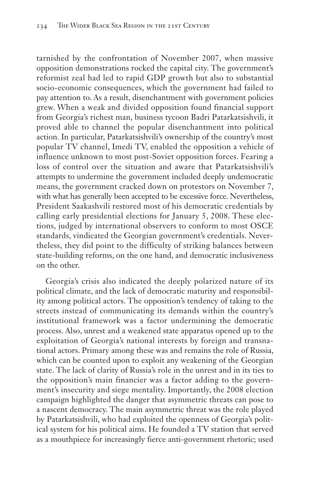tarnished by the confrontation of November 2007, when massive opposition demonstrations rocked the capital city. The government's reformist zeal had led to rapid GDP growth but also to substantial socio-economic consequences, which the government had failed to pay attention to. As a result, disenchantment with government policies grew. When a weak and divided opposition found financial support from Georgia's richest man, business tycoon Badri Patarkatsishvili, it proved able to channel the popular disenchantment into political action. In particular, Patarkatsishvili's ownership of the country's most popular TV channel, Imedi TV, enabled the opposition a vehicle of influence unknown to most post-Soviet opposition forces. Fearing a loss of control over the situation and aware that Patarkatsishvili's attempts to undermine the government included deeply undemocratic means, the government cracked down on protestors on November 7, with what has generally been accepted to be excessive force. Nevertheless, President Saakashvili restored most of his democratic credentials by calling early presidential elections for January 5, 2008. These elections, judged by international observers to conform to most OSCE standards, vindicated the Georgian government's credentials. Nevertheless, they did point to the difficulty of striking balances between state-building reforms, on the one hand, and democratic inclusiveness on the other.

Georgia's crisis also indicated the deeply polarized nature of its political climate, and the lack of democratic maturity and responsibility among political actors. The opposition's tendency of taking to the streets instead of communicating its demands within the country's institutional framework was a factor undermining the democratic process. Also, unrest and a weakened state apparatus opened up to the exploitation of Georgia's national interests by foreign and transnational actors. Primary among these was and remains the role of Russia, which can be counted upon to exploit any weakening of the Georgian state. The lack of clarity of Russia's role in the unrest and in its ties to the opposition's main financier was a factor adding to the government's insecurity and siege mentality. Importantly, the 2008 election campaign highlighted the danger that asymmetric threats can pose to a nascent democracy. The main asymmetric threat was the role played by Patarkatsishvili, who had exploited the openness of Georgia's political system for his political aims. He founded a TV station that served as a mouthpiece for increasingly fierce anti-government rhetoric; used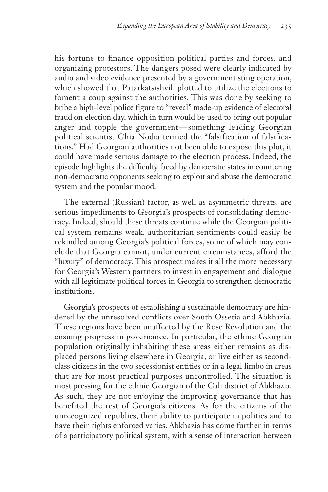his fortune to finance opposition political parties and forces, and organizing protestors. The dangers posed were clearly indicated by audio and video evidence presented by a government sting operation, which showed that Patarkatsishvili plotted to utilize the elections to foment a coup against the authorities. This was done by seeking to bribe a high-level police figure to "reveal" made-up evidence of electoral fraud on election day, which in turn would be used to bring out popular anger and topple the government — something leading Georgian political scientist Ghia Nodia termed the "falsification of falsifications." Had Georgian authorities not been able to expose this plot, it could have made serious damage to the election process. Indeed, the episode highlights the difficulty faced by democratic states in countering non-democratic opponents seeking to exploit and abuse the democratic system and the popular mood.

The external (Russian) factor, as well as asymmetric threats, are serious impediments to Georgia's prospects of consolidating democracy. Indeed, should these threats continue while the Georgian political system remains weak, authoritarian sentiments could easily be rekindled among Georgia's political forces, some of which may conclude that Georgia cannot, under current circumstances, afford the "luxury" of democracy. This prospect makes it all the more necessary for Georgia's Western partners to invest in engagement and dialogue with all legitimate political forces in Georgia to strengthen democratic institutions.

Georgia's prospects of establishing a sustainable democracy are hindered by the unresolved conflicts over South Ossetia and Abkhazia. These regions have been unaffected by the Rose Revolution and the ensuing progress in governance. In particular, the ethnic Georgian population originally inhabiting these areas either remains as displaced persons living elsewhere in Georgia, or live either as secondclass citizens in the two secessionist entities or in a legal limbo in areas that are for most practical purposes uncontrolled. The situation is most pressing for the ethnic Georgian of the Gali district of Abkhazia. As such, they are not enjoying the improving governance that has benefited the rest of Georgia's citizens. As for the citizens of the unrecognized republics, their ability to participate in politics and to have their rights enforced varies. Abkhazia has come further in terms of a participatory political system, with a sense of interaction between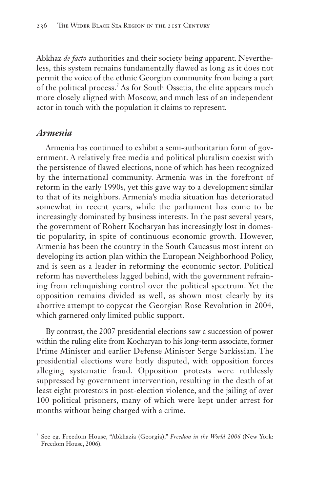Abkhaz *de facto* authorities and their society being apparent. Nevertheless, this system remains fundamentally flawed as long as it does not permit the voice of the ethnic Georgian community from being a part of the political process.<sup>7</sup> As for South Ossetia, the elite appears much more closely aligned with Moscow, and much less of an independent actor in touch with the population it claims to represent.

#### *Armenia*

Armenia has continued to exhibit a semi-authoritarian form of government. A relatively free media and political pluralism coexist with the persistence of flawed elections, none of which has been recognized by the international community. Armenia was in the forefront of reform in the early 1990s, yet this gave way to a development similar to that of its neighbors. Armenia's media situation has deteriorated somewhat in recent years, while the parliament has come to be increasingly dominated by business interests. In the past several years, the government of Robert Kocharyan has increasingly lost in domestic popularity, in spite of continuous economic growth. However, Armenia has been the country in the South Caucasus most intent on developing its action plan within the European Neighborhood Policy, and is seen as a leader in reforming the economic sector. Political reform has nevertheless lagged behind, with the government refraining from relinquishing control over the political spectrum. Yet the opposition remains divided as well, as shown most clearly by its abortive attempt to copycat the Georgian Rose Revolution in 2004, which garnered only limited public support.

By contrast, the 2007 presidential elections saw a succession of power within the ruling elite from Kocharyan to his long-term associate, former Prime Minister and earlier Defense Minister Serge Sarkissian. The presidential elections were hotly disputed, with opposition forces alleging systematic fraud. Opposition protests were ruthlessly suppressed by government intervention, resulting in the death of at least eight protestors in post-election violence, and the jailing of over 100 political prisoners, many of which were kept under arrest for months without being charged with a crime.

<sup>7</sup> See eg. Freedom House, "Abkhazia (Georgia)," *Freedom in the World 2006* (New York: Freedom House, 2006).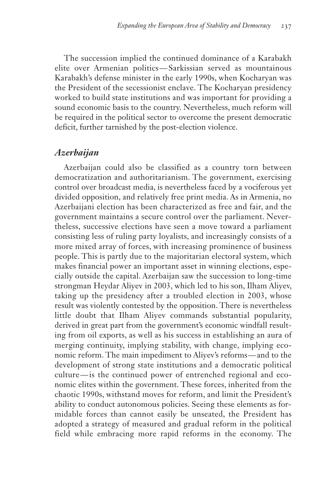The succession implied the continued dominance of a Karabakh elite over Armenian politics — Sarkissian served as mountainous Karabakh's defense minister in the early 1990s, when Kocharyan was the President of the secessionist enclave. The Kocharyan presidency worked to build state institutions and was important for providing a sound economic basis to the country. Nevertheless, much reform will be required in the political sector to overcome the present democratic deficit, further tarnished by the post-election violence.

#### *Azerbaijan*

Azerbaijan could also be classified as a country torn between democratization and authoritarianism. The government, exercising control over broadcast media, is nevertheless faced by a vociferous yet divided opposition, and relatively free print media. As in Armenia, no Azerbaijani election has been characterized as free and fair, and the government maintains a secure control over the parliament. Nevertheless, successive elections have seen a move toward a parliament consisting less of ruling party loyalists, and increasingly consists of a more mixed array of forces, with increasing prominence of business people. This is partly due to the majoritarian electoral system, which makes financial power an important asset in winning elections, especially outside the capital. Azerbaijan saw the succession to long-time strongman Heydar Aliyev in 2003, which led to his son, Ilham Aliyev, taking up the presidency after a troubled election in 2003, whose result was violently contested by the opposition. There is nevertheless little doubt that Ilham Aliyev commands substantial popularity, derived in great part from the government's economic windfall resulting from oil exports, as well as his success in establishing an aura of merging continuity, implying stability, with change, implying economic reform. The main impediment to Aliyev's reforms — and to the development of strong state institutions and a democratic political culture — is the continued power of entrenched regional and economic elites within the government. These forces, inherited from the chaotic 1990s, withstand moves for reform, and limit the President's ability to conduct autonomous policies. Seeing these elements as formidable forces than cannot easily be unseated, the President has adopted a strategy of measured and gradual reform in the political field while embracing more rapid reforms in the economy. The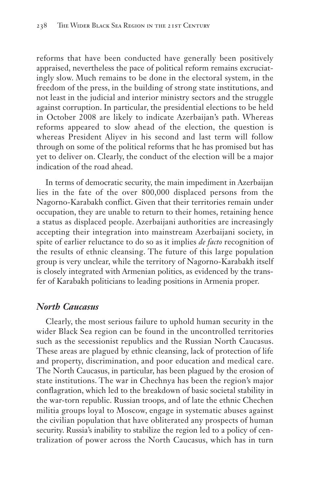reforms that have been conducted have generally been positively appraised, nevertheless the pace of political reform remains excruciatingly slow. Much remains to be done in the electoral system, in the freedom of the press, in the building of strong state institutions, and not least in the judicial and interior ministry sectors and the struggle against corruption. In particular, the presidential elections to be held in October 2008 are likely to indicate Azerbaijan's path. Whereas reforms appeared to slow ahead of the election, the question is whereas President Aliyev in his second and last term will follow through on some of the political reforms that he has promised but has yet to deliver on. Clearly, the conduct of the election will be a major indication of the road ahead.

In terms of democratic security, the main impediment in Azerbaijan lies in the fate of the over 800,000 displaced persons from the Nagorno-Karabakh conflict. Given that their territories remain under occupation, they are unable to return to their homes, retaining hence a status as displaced people. Azerbaijani authorities are increasingly accepting their integration into mainstream Azerbaijani society, in spite of earlier reluctance to do so as it implies *de facto* recognition of the results of ethnic cleansing. The future of this large population group is very unclear, while the territory of Nagorno-Karabakh itself is closely integrated with Armenian politics, as evidenced by the transfer of Karabakh politicians to leading positions in Armenia proper.

#### *North Caucasus*

Clearly, the most serious failure to uphold human security in the wider Black Sea region can be found in the uncontrolled territories such as the secessionist republics and the Russian North Caucasus. These areas are plagued by ethnic cleansing, lack of protection of life and property, discrimination, and poor education and medical care. The North Caucasus, in particular, has been plagued by the erosion of state institutions. The war in Chechnya has been the region's major conflagration, which led to the breakdown of basic societal stability in the war-torn republic. Russian troops, and of late the ethnic Chechen militia groups loyal to Moscow, engage in systematic abuses against the civilian population that have obliterated any prospects of human security. Russia's inability to stabilize the region led to a policy of centralization of power across the North Caucasus, which has in turn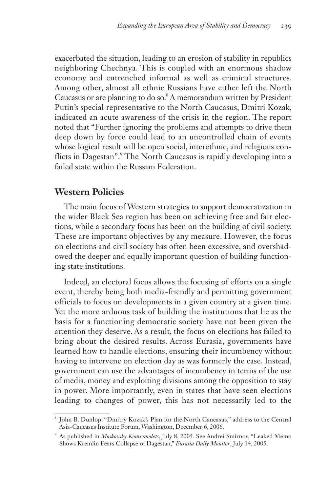exacerbated the situation, leading to an erosion of stability in republics neighboring Chechnya. This is coupled with an enormous shadow economy and entrenched informal as well as criminal structures. Among other, almost all ethnic Russians have either left the North Caucasus or are planning to do so.<sup>8</sup> A memorandum written by President Putin's special representative to the North Caucasus, Dmitri Kozak, indicated an acute awareness of the crisis in the region. The report noted that "Further ignoring the problems and attempts to drive them deep down by force could lead to an uncontrolled chain of events whose logical result will be open social, interethnic, and religious conflicts in Dagestan". The North Caucasus is rapidly developing into a failed state within the Russian Federation.

### **Western Policies**

The main focus of Western strategies to support democratization in the wider Black Sea region has been on achieving free and fair elections, while a secondary focus has been on the building of civil society. These are important objectives by any measure. However, the focus on elections and civil society has often been excessive, and overshadowed the deeper and equally important question of building functioning state institutions.

Indeed, an electoral focus allows the focusing of efforts on a single event, thereby being both media-friendly and permitting government officials to focus on developments in a given country at a given time. Yet the more arduous task of building the institutions that lie as the basis for a functioning democratic society have not been given the attention they deserve. As a result, the focus on elections has failed to bring about the desired results. Across Eurasia, governments have learned how to handle elections, ensuring their incumbency without having to intervene on election day as was formerly the case. Instead, government can use the advantages of incumbency in terms of the use of media, money and exploiting divisions among the opposition to stay in power. More importantly, even in states that have seen elections leading to changes of power, this has not necessarily led to the

<sup>8</sup> John B. Dunlop, "Dmitry Kozak's Plan for the North Caucasus," address to the Central Asia-Caucasus Institute Forum, Washington, December 6, 2006.

<sup>9</sup> As published in *Moskovsky Komsomolets*, July 8, 2005. See Andrei Smirnov, "Leaked Memo Shows Kremlin Fears Collapse of Dagestan," *Eurasia Daily Monitor*, July 14, 2005.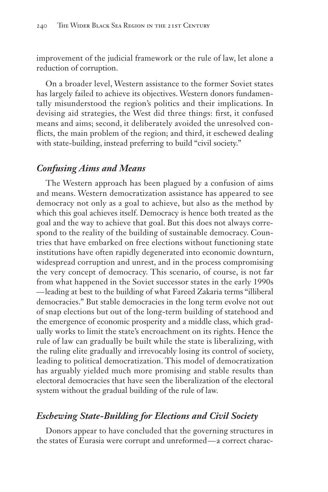improvement of the judicial framework or the rule of law, let alone a reduction of corruption.

On a broader level, Western assistance to the former Soviet states has largely failed to achieve its objectives. Western donors fundamentally misunderstood the region's politics and their implications. In devising aid strategies, the West did three things: first, it confused means and aims; second, it deliberately avoided the unresolved conflicts, the main problem of the region; and third, it eschewed dealing with state-building, instead preferring to build "civil society."

#### *Confusing Aims and Means*

The Western approach has been plagued by a confusion of aims and means. Western democratization assistance has appeared to see democracy not only as a goal to achieve, but also as the method by which this goal achieves itself. Democracy is hence both treated as the goal and the way to achieve that goal. But this does not always correspond to the reality of the building of sustainable democracy. Countries that have embarked on free elections without functioning state institutions have often rapidly degenerated into economic downturn, widespread corruption and unrest, and in the process compromising the very concept of democracy. This scenario, of course, is not far from what happened in the Soviet successor states in the early 1990s — leading at best to the building of what Fareed Zakaria terms "illiberal democracies." But stable democracies in the long term evolve not out of snap elections but out of the long-term building of statehood and the emergence of economic prosperity and a middle class, which gradually works to limit the state's encroachment on its rights. Hence the rule of law can gradually be built while the state is liberalizing, with the ruling elite gradually and irrevocably losing its control of society, leading to political democratization. This model of democratization has arguably yielded much more promising and stable results than electoral democracies that have seen the liberalization of the electoral system without the gradual building of the rule of law.

### *Eschewing State-Building for Elections and Civil Society*

Donors appear to have concluded that the governing structures in the states of Eurasia were corrupt and unreformed — a correct charac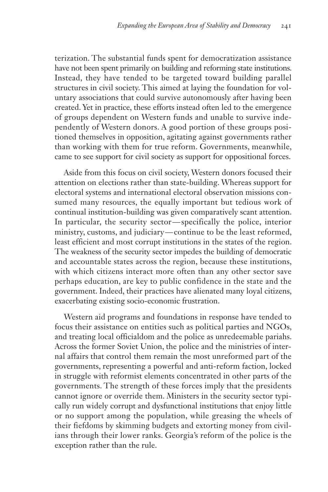terization. The substantial funds spent for democratization assistance have not been spent primarily on building and reforming state institutions. Instead, they have tended to be targeted toward building parallel structures in civil society. This aimed at laying the foundation for voluntary associations that could survive autonomously after having been created. Yet in practice, these efforts instead often led to the emergence of groups dependent on Western funds and unable to survive independently of Western donors. A good portion of these groups positioned themselves in opposition, agitating against governments rather than working with them for true reform. Governments, meanwhile, came to see support for civil society as support for oppositional forces.

Aside from this focus on civil society, Western donors focused their attention on elections rather than state-building. Whereas support for electoral systems and international electoral observation missions consumed many resources, the equally important but tedious work of continual institution-building was given comparatively scant attention. In particular, the security sector — specifically the police, interior ministry, customs, and judiciary — continue to be the least reformed, least efficient and most corrupt institutions in the states of the region. The weakness of the security sector impedes the building of democratic and accountable states across the region, because these institutions, with which citizens interact more often than any other sector save perhaps education, are key to public confidence in the state and the government. Indeed, their practices have alienated many loyal citizens, exacerbating existing socio-economic frustration.

Western aid programs and foundations in response have tended to focus their assistance on entities such as political parties and NGOs, and treating local officialdom and the police as unredeemable pariahs. Across the former Soviet Union, the police and the ministries of internal affairs that control them remain the most unreformed part of the governments, representing a powerful and anti-reform faction, locked in struggle with reformist elements concentrated in other parts of the governments. The strength of these forces imply that the presidents cannot ignore or override them. Ministers in the security sector typically run widely corrupt and dysfunctional institutions that enjoy little or no support among the population, while greasing the wheels of their fiefdoms by skimming budgets and extorting money from civilians through their lower ranks. Georgia's reform of the police is the exception rather than the rule.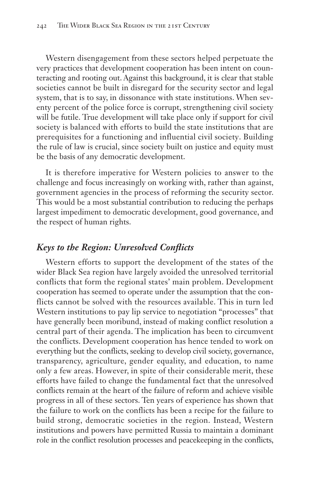Western disengagement from these sectors helped perpetuate the very practices that development cooperation has been intent on counteracting and rooting out. Against this background, it is clear that stable societies cannot be built in disregard for the security sector and legal system, that is to say, in dissonance with state institutions. When seventy percent of the police force is corrupt, strengthening civil society will be futile. True development will take place only if support for civil society is balanced with efforts to build the state institutions that are prerequisites for a functioning and influential civil society. Building the rule of law is crucial, since society built on justice and equity must be the basis of any democratic development.

It is therefore imperative for Western policies to answer to the challenge and focus increasingly on working with, rather than against, government agencies in the process of reforming the security sector. This would be a most substantial contribution to reducing the perhaps largest impediment to democratic development, good governance, and the respect of human rights.

#### *Keys to the Region: Unresolved Conflicts*

Western efforts to support the development of the states of the wider Black Sea region have largely avoided the unresolved territorial conflicts that form the regional states' main problem. Development cooperation has seemed to operate under the assumption that the conflicts cannot be solved with the resources available. This in turn led Western institutions to pay lip service to negotiation "processes" that have generally been moribund, instead of making conflict resolution a central part of their agenda. The implication has been to circumvent the conflicts. Development cooperation has hence tended to work on everything but the conflicts, seeking to develop civil society, governance, transparency, agriculture, gender equality, and education, to name only a few areas. However, in spite of their considerable merit, these efforts have failed to change the fundamental fact that the unresolved conflicts remain at the heart of the failure of reform and achieve visible progress in all of these sectors. Ten years of experience has shown that the failure to work on the conflicts has been a recipe for the failure to build strong, democratic societies in the region. Instead, Western institutions and powers have permitted Russia to maintain a dominant role in the conflict resolution processes and peacekeeping in the conflicts,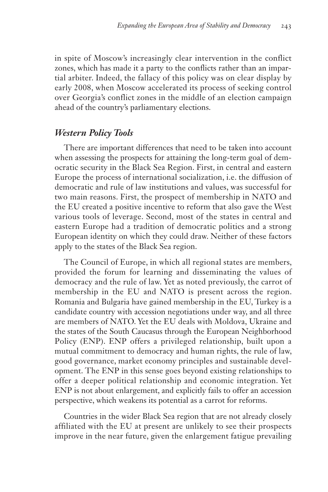in spite of Moscow's increasingly clear intervention in the conflict zones, which has made it a party to the conflicts rather than an impartial arbiter. Indeed, the fallacy of this policy was on clear display by early 2008, when Moscow accelerated its process of seeking control over Georgia's conflict zones in the middle of an election campaign ahead of the country's parliamentary elections.

#### *Western Policy Tools*

There are important differences that need to be taken into account when assessing the prospects for attaining the long-term goal of democratic security in the Black Sea Region. First, in central and eastern Europe the process of international socialization, i.e. the diffusion of democratic and rule of law institutions and values, was successful for two main reasons. First, the prospect of membership in NATO and the EU created a positive incentive to reform that also gave the West various tools of leverage. Second, most of the states in central and eastern Europe had a tradition of democratic politics and a strong European identity on which they could draw. Neither of these factors apply to the states of the Black Sea region.

The Council of Europe, in which all regional states are members, provided the forum for learning and disseminating the values of democracy and the rule of law. Yet as noted previously, the carrot of membership in the EU and NATO is present across the region. Romania and Bulgaria have gained membership in the EU, Turkey is a candidate country with accession negotiations under way, and all three are members of NATO. Yet the EU deals with Moldova, Ukraine and the states of the South Caucasus through the European Neighborhood Policy (ENP). ENP offers a privileged relationship, built upon a mutual commitment to democracy and human rights, the rule of law, good governance, market economy principles and sustainable development. The ENP in this sense goes beyond existing relationships to offer a deeper political relationship and economic integration. Yet ENP is not about enlargement, and explicitly fails to offer an accession perspective, which weakens its potential as a carrot for reforms.

Countries in the wider Black Sea region that are not already closely affiliated with the EU at present are unlikely to see their prospects improve in the near future, given the enlargement fatigue prevailing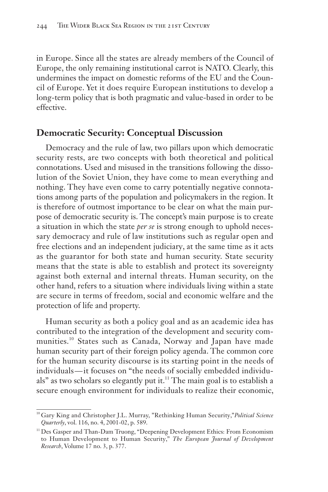in Europe. Since all the states are already members of the Council of Europe, the only remaining institutional carrot is NATO. Clearly, this undermines the impact on domestic reforms of the EU and the Council of Europe. Yet it does require European institutions to develop a long-term policy that is both pragmatic and value-based in order to be effective.

#### **Democratic Security: Conceptual Discussion**

Democracy and the rule of law, two pillars upon which democratic security rests, are two concepts with both theoretical and political connotations. Used and misused in the transitions following the dissolution of the Soviet Union, they have come to mean everything and nothing. They have even come to carry potentially negative connotations among parts of the population and policymakers in the region. It is therefore of outmost importance to be clear on what the main purpose of democratic security is. The concept's main purpose is to create a situation in which the state *per se* is strong enough to uphold necessary democracy and rule of law institutions such as regular open and free elections and an independent judiciary, at the same time as it acts as the guarantor for both state and human security. State security means that the state is able to establish and protect its sovereignty against both external and internal threats. Human security, on the other hand, refers to a situation where individuals living within a state are secure in terms of freedom, social and economic welfare and the protection of life and property.

Human security as both a policy goal and as an academic idea has contributed to the integration of the development and security communities.<sup>10</sup> States such as Canada, Norway and Japan have made human security part of their foreign policy agenda. The common core for the human security discourse is its starting point in the needs of individuals — it focuses on "the needs of socially embedded individuals" as two scholars so elegantly put it.<sup>11</sup> The main goal is to establish a secure enough environment for individuals to realize their economic,

<sup>10</sup> Gary King and Christopher J.L. Murray, "Rethinking Human Security,"*Political Science Quarterly*, vol. 116, no. 4, 2001-02, p. 589.

<sup>&</sup>lt;sup>11</sup> Des Gasper and Than-Dam Truong, "Deepening Development Ethics: From Economism to Human Development to Human Security," *The European Journal of Development Research*, Volume 17 no. 3, p. 377.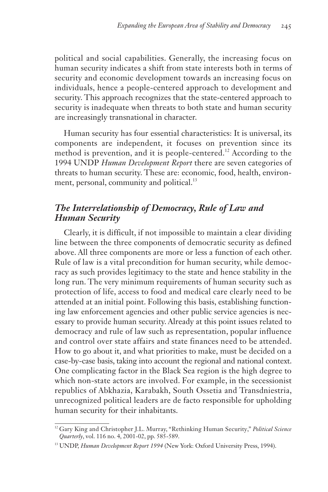political and social capabilities. Generally, the increasing focus on human security indicates a shift from state interests both in terms of security and economic development towards an increasing focus on individuals, hence a people-centered approach to development and security. This approach recognizes that the state-centered approach to security is inadequate when threats to both state and human security are increasingly transnational in character.

Human security has four essential characteristics: It is universal, its components are independent, it focuses on prevention since its method is prevention, and it is people-centered.<sup>12</sup> According to the 1994 UNDP *Human Development Report* there are seven categories of threats to human security. These are: economic, food, health, environment, personal, community and political.<sup>13</sup>

## *The Interrelationship of Democracy, Rule of Law and Human Security*

Clearly, it is difficult, if not impossible to maintain a clear dividing line between the three components of democratic security as defined above. All three components are more or less a function of each other. Rule of law is a vital precondition for human security, while democracy as such provides legitimacy to the state and hence stability in the long run. The very minimum requirements of human security such as protection of life, access to food and medical care clearly need to be attended at an initial point. Following this basis, establishing functioning law enforcement agencies and other public service agencies is necessary to provide human security. Already at this point issues related to democracy and rule of law such as representation, popular influence and control over state affairs and state finances need to be attended. How to go about it, and what priorities to make, must be decided on a case-by-case basis, taking into account the regional and national context. One complicating factor in the Black Sea region is the high degree to which non-state actors are involved. For example, in the secessionist republics of Abkhazia, Karabakh, South Ossetia and Transdniestria, unrecognized political leaders are de facto responsible for upholding human security for their inhabitants.

<sup>&</sup>lt;sup>12</sup> Gary King and Christopher J.L. Murray, "Rethinking Human Security," Political Science *Quarterly*, vol. 116 no. 4, 2001-02, pp. 585-589.

<sup>&</sup>lt;sup>13</sup> UNDP, *Human Development Report 1994* (New York: Oxford University Press, 1994).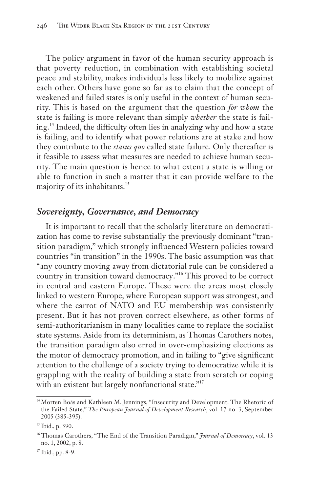The policy argument in favor of the human security approach is that poverty reduction, in combination with establishing societal peace and stability, makes individuals less likely to mobilize against each other. Others have gone so far as to claim that the concept of weakened and failed states is only useful in the context of human security. This is based on the argument that the question *for whom* the state is failing is more relevant than simply *whether* the state is failing.<sup>14</sup> Indeed, the difficulty often lies in analyzing why and how a state is failing, and to identify what power relations are at stake and how they contribute to the *status quo* called state failure. Only thereafter is it feasible to assess what measures are needed to achieve human security. The main question is hence to what extent a state is willing or able to function in such a matter that it can provide welfare to the majority of its inhabitants.<sup>15</sup>

#### *Sovereignty, Governance, and Democracy*

It is important to recall that the scholarly literature on democratization has come to revise substantially the previously dominant "transition paradigm," which strongly influenced Western policies toward countries "in transition" in the 1990s. The basic assumption was that "any country moving away from dictatorial rule can be considered a country in transition toward democracy."<sup>16</sup> This proved to be correct in central and eastern Europe. These were the areas most closely linked to western Europe, where European support was strongest, and where the carrot of NATO and EU membership was consistently present. But it has not proven correct elsewhere, as other forms of semi-authoritarianism in many localities came to replace the socialist state systems. Aside from its determinism, as Thomas Carothers notes, the transition paradigm also erred in over-emphasizing elections as the motor of democracy promotion, and in failing to "give significant attention to the challenge of a society trying to democratize while it is grappling with the reality of building a state from scratch or coping with an existent but largely nonfunctional state."<sup>17</sup>

<sup>&</sup>lt;sup>14</sup> Morten Boås and Kathleen M. Jennings, "Insecurity and Development: The Rhetoric of the Failed State," *The European Journal of Development Research*, vol. 17 no. 3, September 2005 (385-395).

 $15$  Ibid., p. 390.

<sup>&</sup>lt;sup>16</sup> Thomas Carothers, "The End of the Transition Paradigm," *Journal of Democracy*, vol. 13 no. 1, 2002, p. 8.

 $17$  Ibid., pp. 8-9.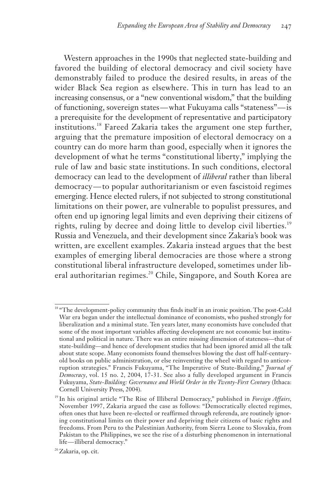Western approaches in the 1990s that neglected state-building and favored the building of electoral democracy and civil society have demonstrably failed to produce the desired results, in areas of the wider Black Sea region as elsewhere. This in turn has lead to an increasing consensus, or a "new conventional wisdom," that the building of functioning, sovereign states — what Fukuyama calls "stateness" — is a prerequisite for the development of representative and participatory institutions.<sup>18</sup> Fareed Zakaria takes the argument one step further, arguing that the premature imposition of electoral democracy on a country can do more harm than good, especially when it ignores the development of what he terms "constitutional liberty," implying the rule of law and basic state institutions. In such conditions, electoral democracy can lead to the development of *illiberal* rather than liberal democracy — to popular authoritarianism or even fascistoid regimes emerging. Hence elected rulers, if not subjected to strong constitutional limitations on their power, are vulnerable to populist pressures, and often end up ignoring legal limits and even depriving their citizens of rights, ruling by decree and doing little to develop civil liberties.<sup>19</sup> Russia and Venezuela, and their development since Zakaria's book was written, are excellent examples. Zakaria instead argues that the best examples of emerging liberal democracies are those where a strong constitutional liberal infrastructure developed, sometimes under liberal authoritarian regimes.<sup>20</sup> Chile, Singapore, and South Korea are

<sup>&</sup>lt;sup>18</sup> "The development-policy community thus finds itself in an ironic position. The post-Cold War era began under the intellectual dominance of economists, who pushed strongly for liberalization and a minimal state. Ten years later, many economists have concluded that some of the most important variables affecting development are not economic but institutional and political in nature. There was an entire missing dimension of stateness—that of state-building—and hence of development studies that had been ignored amid all the talk about state scope. Many economists found themselves blowing the dust off half-centuryold books on public administration, or else reinventing the wheel with regard to anticorruption strategies." Francis Fukuyama, "The Imperative of State-Building," *Journal of Democracy*, vol. 15 no. 2, 2004, 17-31. See also a fully developed argument in Francis Fukuyama, *State-Building: Governance and World Order in the Twenty-First Century* (Ithaca: Cornell University Press, 2004).

<sup>19</sup> In his original article "The Rise of Illiberal Democracy," published in *Foreign Affairs,* November 1997, Zakaria argued the case as follows: "Democratically elected regimes, often ones that have been re-elected or reaffirmed through referenda, are routinely ignoring constitutional limits on their power and depriving their citizens of basic rights and freedoms. From Peru to the Palestinian Authority, from Sierra Leone to Slovakia, from Pakistan to the Philippines, we see the rise of a disturbing phenomenon in international life — illiberal democracy."

<sup>&</sup>lt;sup>20</sup> Zakaria, op. cit.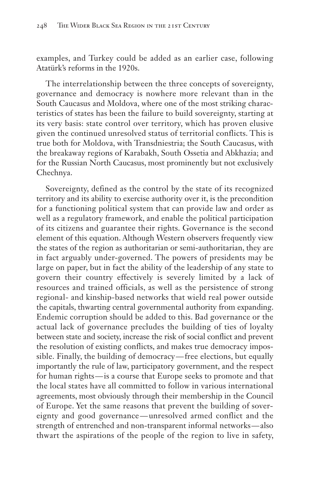examples, and Turkey could be added as an earlier case, following Atatürk's reforms in the 1920s.

The interrelationship between the three concepts of sovereignty, governance and democracy is nowhere more relevant than in the South Caucasus and Moldova, where one of the most striking characteristics of states has been the failure to build sovereignty, starting at its very basis: state control over territory, which has proven elusive given the continued unresolved status of territorial conflicts. This is true both for Moldova, with Transdniestria; the South Caucasus, with the breakaway regions of Karabakh, South Ossetia and Abkhazia; and for the Russian North Caucasus, most prominently but not exclusively Chechnya.

Sovereignty, defined as the control by the state of its recognized territory and its ability to exercise authority over it, is the precondition for a functioning political system that can provide law and order as well as a regulatory framework, and enable the political participation of its citizens and guarantee their rights. Governance is the second element of this equation. Although Western observers frequently view the states of the region as authoritarian or semi-authoritarian, they are in fact arguably under-governed. The powers of presidents may be large on paper, but in fact the ability of the leadership of any state to govern their country effectively is severely limited by a lack of resources and trained officials, as well as the persistence of strong regional- and kinship-based networks that wield real power outside the capitals, thwarting central governmental authority from expanding. Endemic corruption should be added to this. Bad governance or the actual lack of governance precludes the building of ties of loyalty between state and society, increase the risk of social conflict and prevent the resolution of existing conflicts, and makes true democracy impossible. Finally, the building of democracy — free elections, but equally importantly the rule of law, participatory government, and the respect for human rights — is a course that Europe seeks to promote and that the local states have all committed to follow in various international agreements, most obviously through their membership in the Council of Europe. Yet the same reasons that prevent the building of sovereignty and good governance — unresolved armed conflict and the strength of entrenched and non-transparent informal networks — also thwart the aspirations of the people of the region to live in safety,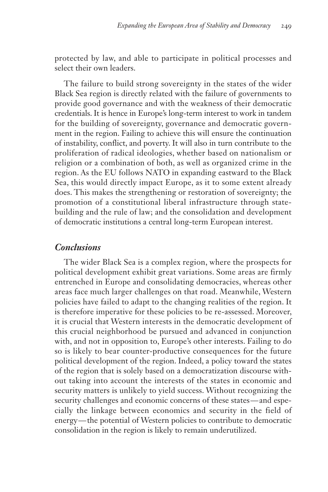protected by law, and able to participate in political processes and select their own leaders.

The failure to build strong sovereignty in the states of the wider Black Sea region is directly related with the failure of governments to provide good governance and with the weakness of their democratic credentials. It is hence in Europe's long-term interest to work in tandem for the building of sovereignty, governance and democratic government in the region. Failing to achieve this will ensure the continuation of instability, conflict, and poverty. It will also in turn contribute to the proliferation of radical ideologies, whether based on nationalism or religion or a combination of both, as well as organized crime in the region. As the EU follows NATO in expanding eastward to the Black Sea, this would directly impact Europe, as it to some extent already does. This makes the strengthening or restoration of sovereignty; the promotion of a constitutional liberal infrastructure through statebuilding and the rule of law; and the consolidation and development of democratic institutions a central long-term European interest.

#### *Conclusions*

The wider Black Sea is a complex region, where the prospects for political development exhibit great variations. Some areas are firmly entrenched in Europe and consolidating democracies, whereas other areas face much larger challenges on that road. Meanwhile, Western policies have failed to adapt to the changing realities of the region. It is therefore imperative for these policies to be re-assessed. Moreover, it is crucial that Western interests in the democratic development of this crucial neighborhood be pursued and advanced in conjunction with, and not in opposition to, Europe's other interests. Failing to do so is likely to bear counter-productive consequences for the future political development of the region. Indeed, a policy toward the states of the region that is solely based on a democratization discourse without taking into account the interests of the states in economic and security matters is unlikely to yield success. Without recognizing the security challenges and economic concerns of these states—and especially the linkage between economics and security in the field of energy— the potential of Western policies to contribute to democratic consolidation in the region is likely to remain underutilized.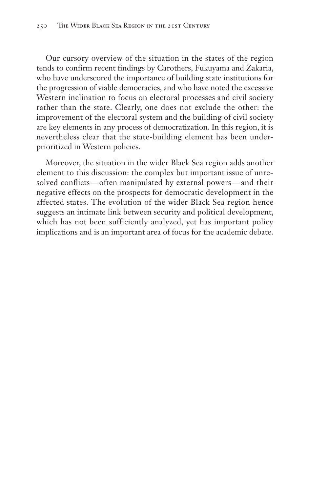Our cursory overview of the situation in the states of the region tends to confirm recent findings by Carothers, Fukuyama and Zakaria, who have underscored the importance of building state institutions for the progression of viable democracies, and who have noted the excessive Western inclination to focus on electoral processes and civil society rather than the state. Clearly, one does not exclude the other: the improvement of the electoral system and the building of civil society are key elements in any process of democratization. In this region, it is nevertheless clear that the state-building element has been underprioritized in Western policies.

Moreover, the situation in the wider Black Sea region adds another element to this discussion: the complex but important issue of unresolved conflicts—often manipulated by external powers—and their negative effects on the prospects for democratic development in the affected states. The evolution of the wider Black Sea region hence suggests an intimate link between security and political development, which has not been sufficiently analyzed, yet has important policy implications and is an important area of focus for the academic debate.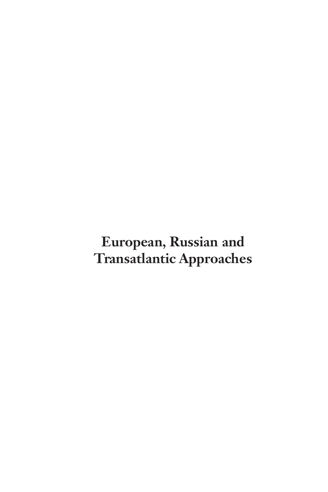# **European, Russian and Transatlantic Approaches**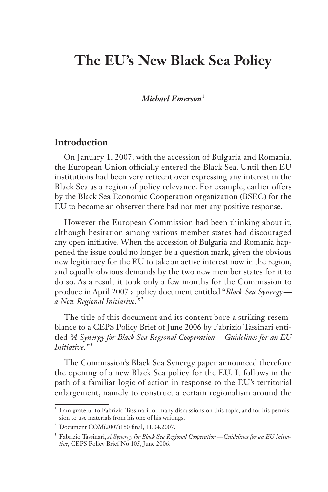## **The EU's New Black Sea Policy**

*Michael Emerson*<sup>1</sup>

## **Introduction**

On January 1, 2007, with the accession of Bulgaria and Romania, the European Union officially entered the Black Sea. Until then EU institutions had been very reticent over expressing any interest in the Black Sea as a region of policy relevance. For example, earlier offers by the Black Sea Economic Cooperation organization (BSEC) for the EU to become an observer there had not met any positive response.

However the European Commission had been thinking about it, although hesitation among various member states had discouraged any open initiative. When the accession of Bulgaria and Romania happened the issue could no longer be a question mark, given the obvious new legitimacy for the EU to take an active interest now in the region, and equally obvious demands by the two new member states for it to do so. As a result it took only a few months for the Commission to produce in April 2007 a policy document entitled "*Black Sea Synergy a New Regional Initiative."* <sup>2</sup>

The title of this document and its content bore a striking resemblance to a CEPS Policy Brief of June 2006 by Fabrizio Tassinari entitled *"A Synergy for Black Sea Regional Cooperation — Guidelines for an EU Initiative.*"<sup>3</sup>

The Commission's Black Sea Synergy paper announced therefore the opening of a new Black Sea policy for the EU. It follows in the path of a familiar logic of action in response to the EU's territorial enlargement, namely to construct a certain regionalism around the

<sup>&</sup>lt;sup>1</sup> I am grateful to Fabrizio Tassinari for many discussions on this topic, and for his permission to use materials from his one of his writings.

<sup>2</sup> Document COM(2007)160 final, 11.04.2007.

<sup>3</sup> Fabrizio Tassinari, *A Synergy for Black Sea Regional Cooperation — Guidelines for an EU Initiative,* CEPS Policy Brief No 105, June 2006.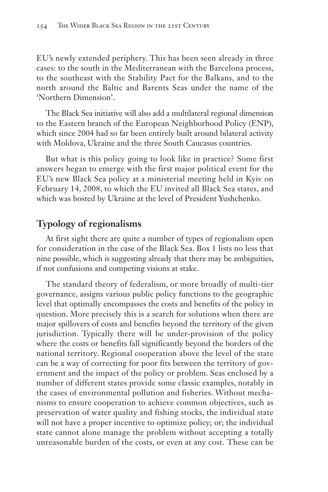EU's newly extended periphery. This has been seen already in three cases: to the south in the Mediterranean with the Barcelona process, to the southeast with the Stability Pact for the Balkans, and to the north around the Baltic and Barents Seas under the name of the 'Northern Dimension'.

The Black Sea initiative will also add a multilateral regional dimension to the Eastern branch of the European Neighborhood Policy (ENP), which since 2004 had so far been entirely built around bilateral activity with Moldova, Ukraine and the three South Caucasus countries.

But what is this policy going to look like in practice? Some first answers began to emerge with the first major political event for the EU's new Black Sea policy at a ministerial meeting held in Kyiv on February 14, 2008, to which the EU invited all Black Sea states, and which was hosted by Ukraine at the level of President Yushchenko.

## **Typology of regionalisms**

At first sight there are quite a number of types of regionalism open for consideration in the case of the Black Sea. Box 1 lists no less that nine possible, which is suggesting already that there may be ambiguities, if not confusions and competing visions at stake.

The standard theory of federalism, or more broadly of multi-tier governance, assigns various public policy functions to the geographic level that optimally encompasses the costs and benefits of the policy in question. More precisely this is a search for solutions when there are major spillovers of costs and benefits beyond the territory of the given jurisdiction. Typically there will be under-provision of the policy where the costs or benefits fall significantly beyond the borders of the national territory. Regional cooperation above the level of the state can be a way of correcting for poor fits between the territory of government and the impact of the policy or problem. Seas enclosed by a number of different states provide some classic examples, notably in the cases of environmental pollution and fisheries. Without mechanisms to ensure cooperation to achieve common objectives, such as preservation of water quality and fishing stocks, the individual state will not have a proper incentive to optimize policy; or; the individual state cannot alone manage the problem without accepting a totally unreasonable burden of the costs, or even at any cost. These can be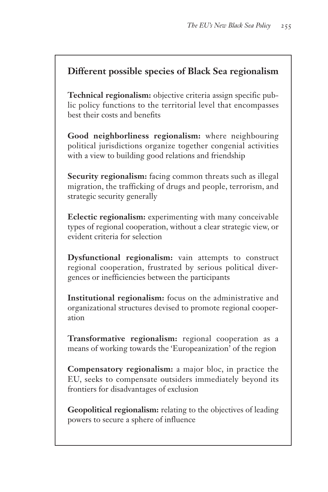## **Different possible species of Black Sea regionalism**

**Technical regionalism:** objective criteria assign specific public policy functions to the territorial level that encompasses best their costs and benefits

**Good neighborliness regionalism:** where neighbouring political jurisdictions organize together congenial activities with a view to building good relations and friendship

**Security regionalism:** facing common threats such as illegal migration, the trafficking of drugs and people, terrorism, and strategic security generally

**Eclectic regionalism:** experimenting with many conceivable types of regional cooperation, without a clear strategic view, or evident criteria for selection

**Dysfunctional regionalism:** vain attempts to construct regional cooperation, frustrated by serious political divergences or inefficiencies between the participants

**Institutional regionalism:** focus on the administrative and organizational structures devised to promote regional cooperation

**Transformative regionalism:** regional cooperation as a means of working towards the 'Europeanization' of the region

**Compensatory regionalism:** a major bloc, in practice the EU, seeks to compensate outsiders immediately beyond its frontiers for disadvantages of exclusion

**Geopolitical regionalism:** relating to the objectives of leading powers to secure a sphere of influence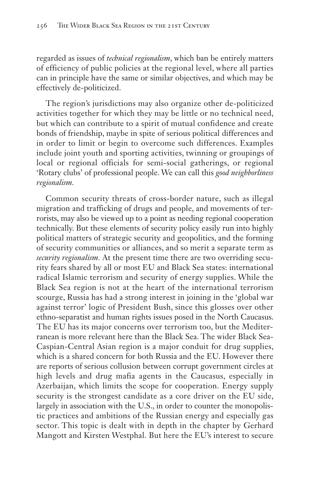regarded as issues of *technical regionalism*, which ban be entirely matters of efficiency of public policies at the regional level, where all parties can in principle have the same or similar objectives, and which may be effectively de-politicized.

The region's jurisdictions may also organize other de-politicized activities together for which they may be little or no technical need, but which can contribute to a spirit of mutual confidence and create bonds of friendship, maybe in spite of serious political differences and in order to limit or begin to overcome such differences. Examples include joint youth and sporting activities, twinning or groupings of local or regional officials for semi-social gatherings, or regional 'Rotary clubs' of professional people. We can call this *good neighborliness regionalism.*

Common security threats of cross-border nature, such as illegal migration and trafficking of drugs and people, and movements of terrorists, may also be viewed up to a point as needing regional cooperation technically. But these elements of security policy easily run into highly political matters of strategic security and geopolitics, and the forming of security communities or alliances, and so merit a separate term as *security regionalism.* At the present time there are two overriding security fears shared by all or most EU and Black Sea states: international radical Islamic terrorism and security of energy supplies. While the Black Sea region is not at the heart of the international terrorism scourge, Russia has had a strong interest in joining in the 'global war against terror' logic of President Bush, since this glosses over other ethno-separatist and human rights issues posed in the North Caucasus. The EU has its major concerns over terrorism too, but the Mediterranean is more relevant here than the Black Sea. The wider Black Sea-Caspian-Central Asian region is a major conduit for drug supplies, which is a shared concern for both Russia and the EU. However there are reports of serious collusion between corrupt government circles at high levels and drug mafia agents in the Caucasus, especially in Azerbaijan, which limits the scope for cooperation. Energy supply security is the strongest candidate as a core driver on the EU side, largely in association with the U.S., in order to counter the monopolistic practices and ambitions of the Russian energy and especially gas sector. This topic is dealt with in depth in the chapter by Gerhard Mangott and Kirsten Westphal. But here the EU's interest to secure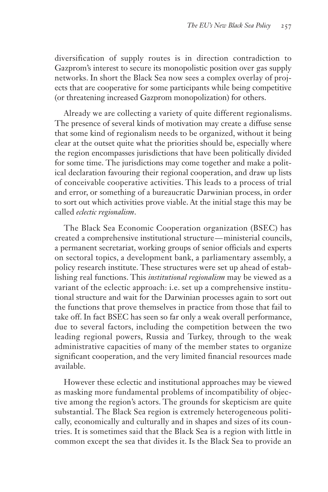diversification of supply routes is in direction contradiction to Gazprom's interest to secure its monopolistic position over gas supply networks. In short the Black Sea now sees a complex overlay of projects that are cooperative for some participants while being competitive (or threatening increased Gazprom monopolization) for others.

Already we are collecting a variety of quite different regionalisms. The presence of several kinds of motivation may create a diffuse sense that some kind of regionalism needs to be organized, without it being clear at the outset quite what the priorities should be, especially where the region encompasses jurisdictions that have been politically divided for some time. The jurisdictions may come together and make a political declaration favouring their regional cooperation, and draw up lists of conceivable cooperative activities. This leads to a process of trial and error, or something of a bureaucratic Darwinian process, in order to sort out which activities prove viable. At the initial stage this may be called *eclectic regionalism*.

The Black Sea Economic Cooperation organization (BSEC) has created a comprehensive institutional structure — ministerial councils, a permanent secretariat, working groups of senior officials and experts on sectoral topics, a development bank, a parliamentary assembly, a policy research institute. These structures were set up ahead of establishing real functions. This *institutional regionalism* may be viewed as a variant of the eclectic approach: i.e. set up a comprehensive institutional structure and wait for the Darwinian processes again to sort out the functions that prove themselves in practice from those that fail to take off. In fact BSEC has seen so far only a weak overall performance, due to several factors, including the competition between the two leading regional powers, Russia and Turkey, through to the weak administrative capacities of many of the member states to organize significant cooperation, and the very limited financial resources made available.

However these eclectic and institutional approaches may be viewed as masking more fundamental problems of incompatibility of objective among the region's actors. The grounds for skepticism are quite substantial. The Black Sea region is extremely heterogeneous politically, economically and culturally and in shapes and sizes of its countries. It is sometimes said that the Black Sea is a region with little in common except the sea that divides it. Is the Black Sea to provide an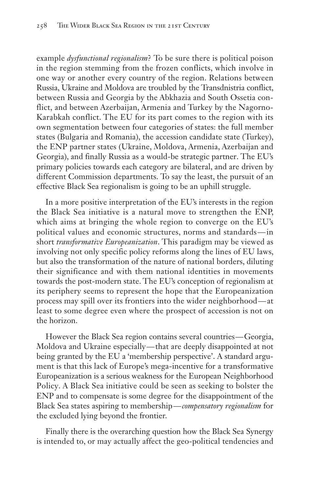example *dysfunctional regionalism*? To be sure there is political poison in the region stemming from the frozen conflicts, which involve in one way or another every country of the region. Relations between Russia, Ukraine and Moldova are troubled by the Transdnistria conflict, between Russia and Georgia by the Abkhazia and South Ossetia conflict, and between Azerbaijan, Armenia and Turkey by the Nagorno-Karabkah conflict. The EU for its part comes to the region with its own segmentation between four categories of states: the full member states (Bulgaria and Romania), the accession candidate state (Turkey), the ENP partner states (Ukraine, Moldova, Armenia, Azerbaijan and Georgia), and finally Russia as a would-be strategic partner. The EU's primary policies towards each category are bilateral, and are driven by different Commission departments. To say the least, the pursuit of an effective Black Sea regionalism is going to be an uphill struggle.

In a more positive interpretation of the EU's interests in the region the Black Sea initiative is a natural move to strengthen the ENP, which aims at bringing the whole region to converge on the EU's political values and economic structures, norms and standards — in short *transformative Europeanization*. This paradigm may be viewed as involving not only specific policy reforms along the lines of EU laws, but also the transformation of the nature of national borders, diluting their significance and with them national identities in movements towards the post-modern state. The EU's conception of regionalism at its periphery seems to represent the hope that the Europeanization process may spill over its frontiers into the wider neighborhood— at least to some degree even where the prospect of accession is not on the horizon.

However the Black Sea region contains several countries — Georgia, Moldova and Ukraine especially — that are deeply disappointed at not being granted by the EU a 'membership perspective'. A standard argument is that this lack of Europe's mega-incentive for a transformative Europeanization is a serious weakness for the European Neighborhood Policy. A Black Sea initiative could be seen as seeking to bolster the ENP and to compensate is some degree for the disappointment of the Black Sea states aspiring to membership — *compensatory regionalism* for the excluded lying beyond the frontier.

Finally there is the overarching question how the Black Sea Synergy is intended to, or may actually affect the geo-political tendencies and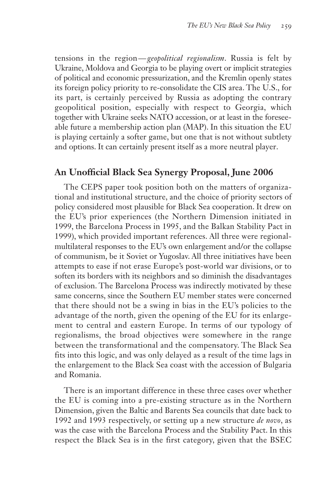tensions in the region— *geopolitical regionalism*. Russia is felt by Ukraine, Moldova and Georgia to be playing overt or implicit strategies of political and economic pressurization, and the Kremlin openly states its foreign policy priority to re-consolidate the CIS area. The U.S., for its part, is certainly perceived by Russia as adopting the contrary geopolitical position, especially with respect to Georgia, which together with Ukraine seeks NATO accession, or at least in the foreseeable future a membership action plan (MAP). In this situation the EU is playing certainly a softer game, but one that is not without subtlety and options. It can certainly present itself as a more neutral player.

## **An Unofficial Black Sea Synergy Proposal, June 2006**

The CEPS paper took position both on the matters of organizational and institutional structure, and the choice of priority sectors of policy considered most plausible for Black Sea cooperation. It drew on the EU's prior experiences (the Northern Dimension initiated in 1999, the Barcelona Process in 1995, and the Balkan Stability Pact in 1999), which provided important references. All three were regionalmultilateral responses to the EU's own enlargement and/or the collapse of communism, be it Soviet or Yugoslav. All three initiatives have been attempts to ease if not erase Europe's post-world war divisions, or to soften its borders with its neighbors and so diminish the disadvantages of exclusion. The Barcelona Process was indirectly motivated by these same concerns, since the Southern EU member states were concerned that there should not be a swing in bias in the EU's policies to the advantage of the north, given the opening of the EU for its enlargement to central and eastern Europe. In terms of our typology of regionalisms, the broad objectives were somewhere in the range between the transformational and the compensatory. The Black Sea fits into this logic, and was only delayed as a result of the time lags in the enlargement to the Black Sea coast with the accession of Bulgaria and Romania.

There is an important difference in these three cases over whether the EU is coming into a pre-existing structure as in the Northern Dimension, given the Baltic and Barents Sea councils that date back to 1992 and 1993 respectively, or setting up a new structure *de novo*, as was the case with the Barcelona Process and the Stability Pact. In this respect the Black Sea is in the first category, given that the BSEC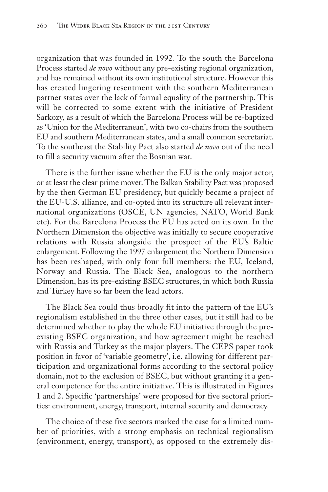organization that was founded in 1992. To the south the Barcelona Process started *de novo* without any pre-existing regional organization, and has remained without its own institutional structure. However this has created lingering resentment with the southern Mediterranean partner states over the lack of formal equality of the partnership. This will be corrected to some extent with the initiative of President Sarkozy, as a result of which the Barcelona Process will be re-baptized as 'Union for the Mediterranean', with two co-chairs from the southern EU and southern Mediterranean states, and a small common secretariat. To the southeast the Stability Pact also started *de novo* out of the need to fill a security vacuum after the Bosnian war.

There is the further issue whether the EU is the only major actor, or at least the clear prime mover. The Balkan Stability Pact was proposed by the then German EU presidency, but quickly became a project of the EU-U.S. alliance, and co-opted into its structure all relevant international organizations (OSCE, UN agencies, NATO, World Bank etc). For the Barcelona Process the EU has acted on its own. In the Northern Dimension the objective was initially to secure cooperative relations with Russia alongside the prospect of the EU's Baltic enlargement. Following the 1997 enlargement the Northern Dimension has been reshaped, with only four full members: the EU, Iceland, Norway and Russia. The Black Sea, analogous to the northern Dimension, has its pre-existing BSEC structures, in which both Russia and Turkey have so far been the lead actors.

The Black Sea could thus broadly fit into the pattern of the EU's regionalism established in the three other cases, but it still had to be determined whether to play the whole EU initiative through the preexisting BSEC organization, and how agreement might be reached with Russia and Turkey as the major players. The CEPS paper took position in favor of 'variable geometry', i.e. allowing for different participation and organizational forms according to the sectoral policy domain, not to the exclusion of BSEC, but without granting it a general competence for the entire initiative. This is illustrated in Figures 1 and 2. Specific 'partnerships' were proposed for five sectoral priorities: environment, energy, transport, internal security and democracy.

The choice of these five sectors marked the case for a limited number of priorities, with a strong emphasis on technical regionalism (environment, energy, transport), as opposed to the extremely dis-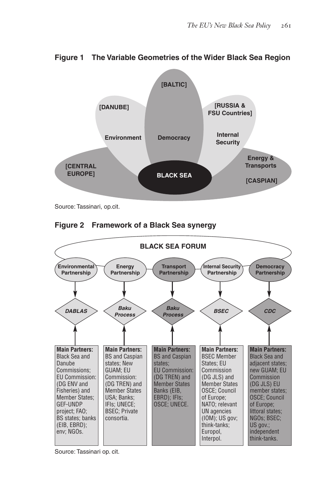

**Figure 1 The Variable Geometries of the Wider Black Sea Region**

Source: Tassinari, op.cit.





Source: Tassinari op. cit.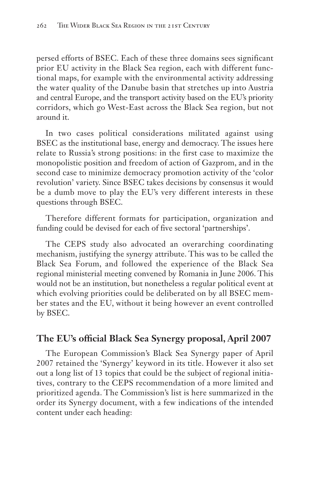persed efforts of BSEC. Each of these three domains sees significant prior EU activity in the Black Sea region, each with different functional maps, for example with the environmental activity addressing the water quality of the Danube basin that stretches up into Austria and central Europe, and the transport activity based on the EU's priority corridors, which go West-East across the Black Sea region, but not around it.

In two cases political considerations militated against using BSEC as the institutional base, energy and democracy. The issues here relate to Russia's strong positions: in the first case to maximize the monopolistic position and freedom of action of Gazprom, and in the second case to minimize democracy promotion activity of the 'color revolution' variety. Since BSEC takes decisions by consensus it would be a dumb move to play the EU's very different interests in these questions through BSEC.

Therefore different formats for participation, organization and funding could be devised for each of five sectoral 'partnerships'.

The CEPS study also advocated an overarching coordinating mechanism, justifying the synergy attribute. This was to be called the Black Sea Forum, and followed the experience of the Black Sea regional ministerial meeting convened by Romania in June 2006. This would not be an institution, but nonetheless a regular political event at which evolving priorities could be deliberated on by all BSEC member states and the EU, without it being however an event controlled by BSEC.

## **The EU's official Black Sea Synergy proposal, April 2007**

The European Commission's Black Sea Synergy paper of April 2007 retained the 'Synergy' keyword in its title. However it also set out a long list of 13 topics that could be the subject of regional initiatives, contrary to the CEPS recommendation of a more limited and prioritized agenda. The Commission's list is here summarized in the order its Synergy document, with a few indications of the intended content under each heading: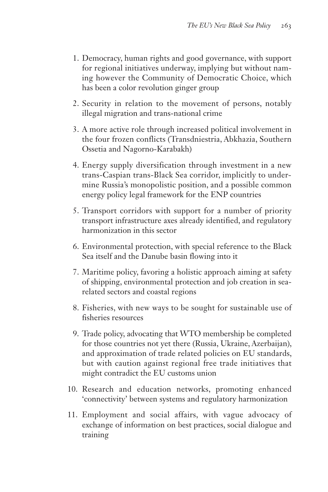- 1. Democracy, human rights and good governance, with support for regional initiatives underway, implying but without naming however the Community of Democratic Choice, which has been a color revolution ginger group
- 2. Security in relation to the movement of persons, notably illegal migration and trans-national crime
- 3. A more active role through increased political involvement in the four frozen conflicts (Transdniestria, Abkhazia, Southern Ossetia and Nagorno-Karabakh)
- 4. Energy supply diversification through investment in a new trans-Caspian trans-Black Sea corridor, implicitly to undermine Russia's monopolistic position, and a possible common energy policy legal framework for the ENP countries
- 5. Transport corridors with support for a number of priority transport infrastructure axes already identified, and regulatory harmonization in this sector
- 6. Environmental protection, with special reference to the Black Sea itself and the Danube basin flowing into it
- 7. Maritime policy, favoring a holistic approach aiming at safety of shipping, environmental protection and job creation in searelated sectors and coastal regions
- 8. Fisheries, with new ways to be sought for sustainable use of fisheries resources
- 9. Trade policy, advocating that WTO membership be completed for those countries not yet there (Russia, Ukraine, Azerbaijan), and approximation of trade related policies on EU standards, but with caution against regional free trade initiatives that might contradict the EU customs union
- 10. Research and education networks, promoting enhanced 'connectivity' between systems and regulatory harmonization
- 11. Employment and social affairs, with vague advocacy of exchange of information on best practices, social dialogue and training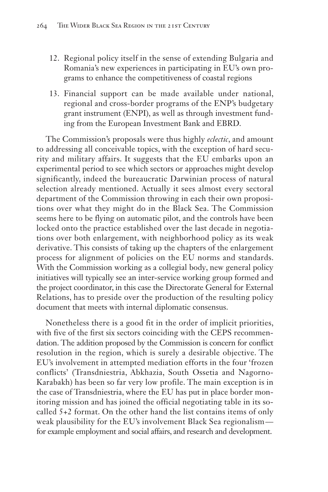- 12. Regional policy itself in the sense of extending Bulgaria and Romania's new experiences in participating in EU's own programs to enhance the competitiveness of coastal regions
- 13. Financial support can be made available under national, regional and cross-border programs of the ENP's budgetary grant instrument (ENPI), as well as through investment funding from the European Investment Bank and EBRD.

The Commission's proposals were thus highly *eclectic*, and amount to addressing all conceivable topics, with the exception of hard security and military affairs. It suggests that the EU embarks upon an experimental period to see which sectors or approaches might develop significantly, indeed the bureaucratic Darwinian process of natural selection already mentioned. Actually it sees almost every sectoral department of the Commission throwing in each their own propositions over what they might do in the Black Sea. The Commission seems here to be flying on automatic pilot, and the controls have been locked onto the practice established over the last decade in negotiations over both enlargement, with neighborhood policy as its weak derivative. This consists of taking up the chapters of the enlargement process for alignment of policies on the EU norms and standards. With the Commission working as a collegial body, new general policy initiatives will typically see an inter-service working group formed and the project coordinator, in this case the Directorate General for External Relations, has to preside over the production of the resulting policy document that meets with internal diplomatic consensus.

Nonetheless there is a good fit in the order of implicit priorities, with five of the first six sectors coinciding with the CEPS recommendation. The addition proposed by the Commission is concern for conflict resolution in the region, which is surely a desirable objective. The EU's involvement in attempted mediation efforts in the four 'frozen conflicts' (Transdniestria, Abkhazia, South Ossetia and Nagorno-Karabakh) has been so far very low profile. The main exception is in the case of Transdniestria, where the EU has put in place border monitoring mission and has joined the official negotiating table in its socalled 5+2 format. On the other hand the list contains items of only weak plausibility for the EU's involvement Black Sea regionalism for example employment and social affairs, and research and development.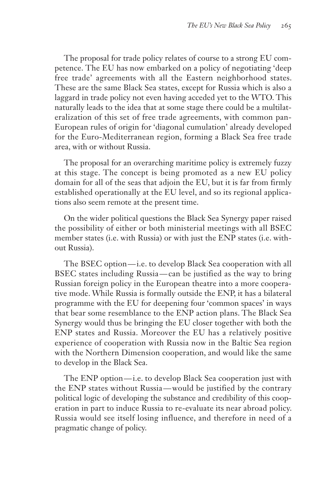The proposal for trade policy relates of course to a strong EU competence. The EU has now embarked on a policy of negotiating 'deep free trade' agreements with all the Eastern neighborhood states. These are the same Black Sea states, except for Russia which is also a laggard in trade policy not even having acceded yet to the WTO. This naturally leads to the idea that at some stage there could be a multilateralization of this set of free trade agreements, with common pan-European rules of origin for 'diagonal cumulation' already developed for the Euro-Mediterranean region, forming a Black Sea free trade area, with or without Russia.

The proposal for an overarching maritime policy is extremely fuzzy at this stage. The concept is being promoted as a new EU policy domain for all of the seas that adjoin the EU, but it is far from firmly established operationally at the EU level, and so its regional applications also seem remote at the present time.

On the wider political questions the Black Sea Synergy paper raised the possibility of either or both ministerial meetings with all BSEC member states (i.e. with Russia) or with just the ENP states (i.e. without Russia).

The BSEC option — i.e. to develop Black Sea cooperation with all BSEC states including Russia — can be justified as the way to bring Russian foreign policy in the European theatre into a more cooperative mode. While Russia is formally outside the ENP, it has a bilateral programme with the EU for deepening four 'common spaces' in ways that bear some resemblance to the ENP action plans. The Black Sea Synergy would thus be bringing the EU closer together with both the ENP states and Russia. Moreover the EU has a relatively positive experience of cooperation with Russia now in the Baltic Sea region with the Northern Dimension cooperation, and would like the same to develop in the Black Sea.

The ENP option — i.e. to develop Black Sea cooperation just with the ENP states without Russia — would be justified by the contrary political logic of developing the substance and credibility of this cooperation in part to induce Russia to re-evaluate its near abroad policy. Russia would see itself losing influence, and therefore in need of a pragmatic change of policy.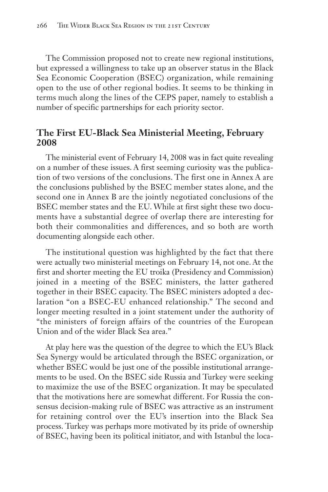The Commission proposed not to create new regional institutions, but expressed a willingness to take up an observer status in the Black Sea Economic Cooperation (BSEC) organization, while remaining open to the use of other regional bodies. It seems to be thinking in terms much along the lines of the CEPS paper, namely to establish a number of specific partnerships for each priority sector.

## **The First EU-Black Sea Ministerial Meeting, February 2008**

The ministerial event of February 14, 2008 was in fact quite revealing on a number of these issues. A first seeming curiosity was the publication of two versions of the conclusions. The first one in Annex A are the conclusions published by the BSEC member states alone, and the second one in Annex B are the jointly negotiated conclusions of the BSEC member states and the EU. While at first sight these two documents have a substantial degree of overlap there are interesting for both their commonalities and differences, and so both are worth documenting alongside each other.

The institutional question was highlighted by the fact that there were actually two ministerial meetings on February 14, not one. At the first and shorter meeting the EU troika (Presidency and Commission) joined in a meeting of the BSEC ministers, the latter gathered together in their BSEC capacity. The BSEC ministers adopted a declaration "on a BSEC-EU enhanced relationship." The second and longer meeting resulted in a joint statement under the authority of "the ministers of foreign affairs of the countries of the European Union and of the wider Black Sea area."

At play here was the question of the degree to which the EU's Black Sea Synergy would be articulated through the BSEC organization, or whether BSEC would be just one of the possible institutional arrangements to be used. On the BSEC side Russia and Turkey were seeking to maximize the use of the BSEC organization. It may be speculated that the motivations here are somewhat different. For Russia the consensus decision-making rule of BSEC was attractive as an instrument for retaining control over the EU's insertion into the Black Sea process. Turkey was perhaps more motivated by its pride of ownership of BSEC, having been its political initiator, and with Istanbul the loca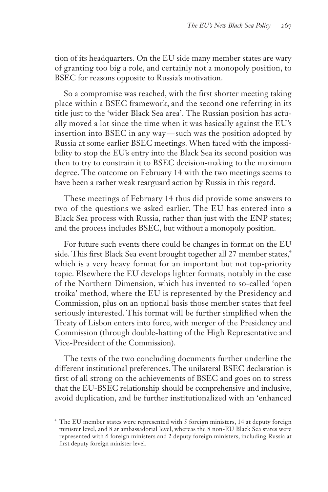tion of its headquarters. On the EU side many member states are wary of granting too big a role, and certainly not a monopoly position, to BSEC for reasons opposite to Russia's motivation.

So a compromise was reached, with the first shorter meeting taking place within a BSEC framework, and the second one referring in its title just to the 'wider Black Sea area'. The Russian position has actually moved a lot since the time when it was basically against the EU's insertion into BSEC in any way—such was the position adopted by Russia at some earlier BSEC meetings. When faced with the impossibility to stop the EU's entry into the Black Sea its second position was then to try to constrain it to BSEC decision-making to the maximum degree. The outcome on February 14 with the two meetings seems to have been a rather weak rearguard action by Russia in this regard.

These meetings of February 14 thus did provide some answers to two of the questions we asked earlier. The EU has entered into a Black Sea process with Russia, rather than just with the ENP states; and the process includes BSEC, but without a monopoly position.

For future such events there could be changes in format on the EU side. This first Black Sea event brought together all 27 member states, $4$ which is a very heavy format for an important but not top-priority topic. Elsewhere the EU develops lighter formats, notably in the case of the Northern Dimension, which has invented to so-called 'open troika' method, where the EU is represented by the Presidency and Commission, plus on an optional basis those member states that feel seriously interested. This format will be further simplified when the Treaty of Lisbon enters into force, with merger of the Presidency and Commission (through double-hatting of the High Representative and Vice-President of the Commission).

The texts of the two concluding documents further underline the different institutional preferences. The unilateral BSEC declaration is first of all strong on the achievements of BSEC and goes on to stress that the EU-BSEC relationship should be comprehensive and inclusive, avoid duplication, and be further institutionalized with an 'enhanced

The EU member states were represented with 5 foreign ministers, 14 at deputy foreign minister level, and 8 at ambassadorial level, whereas the 8 non-EU Black Sea states were represented with 6 foreign ministers and 2 deputy foreign ministers, including Russia at first deputy foreign minister level.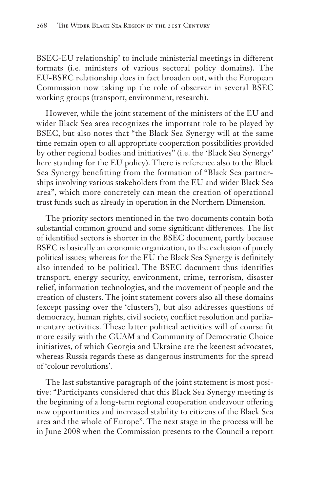BSEC-EU relationship' to include ministerial meetings in different formats (i.e. ministers of various sectoral policy domains). The EU-BSEC relationship does in fact broaden out, with the European Commission now taking up the role of observer in several BSEC working groups (transport, environment, research).

However, while the joint statement of the ministers of the EU and wider Black Sea area recognizes the important role to be played by BSEC, but also notes that "the Black Sea Synergy will at the same time remain open to all appropriate cooperation possibilities provided by other regional bodies and initiatives" (i.e. the 'Black Sea Synergy' here standing for the EU policy). There is reference also to the Black Sea Synergy benefitting from the formation of "Black Sea partnerships involving various stakeholders from the EU and wider Black Sea area", which more concretely can mean the creation of operational trust funds such as already in operation in the Northern Dimension.

The priority sectors mentioned in the two documents contain both substantial common ground and some significant differences. The list of identified sectors is shorter in the BSEC document, partly because BSEC is basically an economic organization, to the exclusion of purely political issues; whereas for the EU the Black Sea Synergy is definitely also intended to be political. The BSEC document thus identifies transport, energy security, environment, crime, terrorism, disaster relief, information technologies, and the movement of people and the creation of clusters. The joint statement covers also all these domains (except passing over the 'clusters'), but also addresses questions of democracy, human rights, civil society, conflict resolution and parliamentary activities. These latter political activities will of course fit more easily with the GUAM and Community of Democratic Choice initiatives, of which Georgia and Ukraine are the keenest advocates, whereas Russia regards these as dangerous instruments for the spread of 'colour revolutions'.

The last substantive paragraph of the joint statement is most positive: "Participants considered that this Black Sea Synergy meeting is the beginning of a long-term regional cooperation endeavour offering new opportunities and increased stability to citizens of the Black Sea area and the whole of Europe". The next stage in the process will be in June 2008 when the Commission presents to the Council a report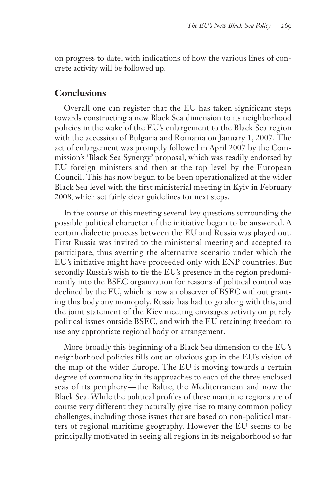on progress to date, with indications of how the various lines of concrete activity will be followed up.

## **Conclusions**

Overall one can register that the EU has taken significant steps towards constructing a new Black Sea dimension to its neighborhood policies in the wake of the EU's enlargement to the Black Sea region with the accession of Bulgaria and Romania on January 1, 2007. The act of enlargement was promptly followed in April 2007 by the Commission's 'Black Sea Synergy' proposal, which was readily endorsed by EU foreign ministers and then at the top level by the European Council. This has now begun to be been operationalized at the wider Black Sea level with the first ministerial meeting in Kyiv in February 2008, which set fairly clear guidelines for next steps.

In the course of this meeting several key questions surrounding the possible political character of the initiative began to be answered. A certain dialectic process between the EU and Russia was played out. First Russia was invited to the ministerial meeting and accepted to participate, thus averting the alternative scenario under which the EU's initiative might have proceeded only with ENP countries. But secondly Russia's wish to tie the EU's presence in the region predominantly into the BSEC organization for reasons of political control was declined by the EU, which is now an observer of BSEC without granting this body any monopoly. Russia has had to go along with this, and the joint statement of the Kiev meeting envisages activity on purely political issues outside BSEC, and with the EU retaining freedom to use any appropriate regional body or arrangement.

More broadly this beginning of a Black Sea dimension to the EU's neighborhood policies fills out an obvious gap in the EU's vision of the map of the wider Europe. The EU is moving towards a certain degree of commonality in its approaches to each of the three enclosed seas of its periphery — the Baltic, the Mediterranean and now the Black Sea. While the political profiles of these maritime regions are of course very different they naturally give rise to many common policy challenges, including those issues that are based on non-political matters of regional maritime geography. However the EU seems to be principally motivated in seeing all regions in its neighborhood so far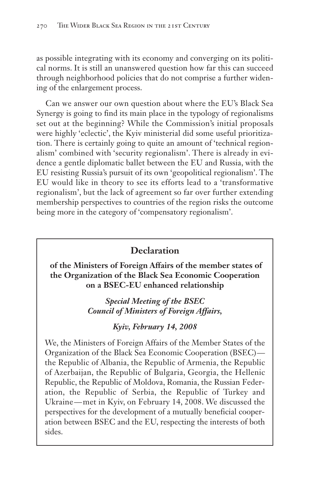as possible integrating with its economy and converging on its political norms. It is still an unanswered question how far this can succeed through neighborhood policies that do not comprise a further widening of the enlargement process.

Can we answer our own question about where the EU's Black Sea Synergy is going to find its main place in the typology of regionalisms set out at the beginning? While the Commission's initial proposals were highly 'eclectic', the Kyiv ministerial did some useful prioritization. There is certainly going to quite an amount of 'technical regionalism' combined with 'security regionalism'. There is already in evidence a gentle diplomatic ballet between the EU and Russia, with the EU resisting Russia's pursuit of its own 'geopolitical regionalism'. The EU would like in theory to see its efforts lead to a 'transformative regionalism', but the lack of agreement so far over further extending membership perspectives to countries of the region risks the outcome being more in the category of 'compensatory regionalism'.

## **Declaration**

**of the Ministers of Foreign Affairs of the member states of the Organization of the Black Sea Economic Cooperation on a BSEC-EU enhanced relationship**

> *Special Meeting of the BSEC Council of Ministers of Foreign Affairs,*

## *Kyiv, February 14, 2008*

We, the Ministers of Foreign Affairs of the Member States of the Organization of the Black Sea Economic Cooperation (BSEC) the Republic of Albania, the Republic of Armenia, the Republic of Azerbaijan, the Republic of Bulgaria, Georgia, the Hellenic Republic, the Republic of Moldova, Romania, the Russian Federation, the Republic of Serbia, the Republic of Turkey and Ukraine — met in Kyiv, on February 14, 2008. We discussed the perspectives for the development of a mutually beneficial cooperation between BSEC and the EU, respecting the interests of both sides.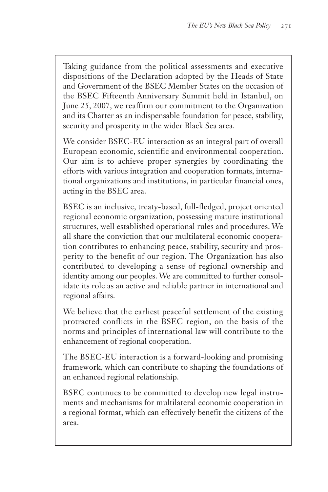Taking guidance from the political assessments and executive dispositions of the Declaration adopted by the Heads of State and Government of the BSEC Member States on the occasion of the BSEC Fifteenth Anniversary Summit held in Istanbul, on June 25, 2007, we reaffirm our commitment to the Organization and its Charter as an indispensable foundation for peace, stability, security and prosperity in the wider Black Sea area.

We consider BSEC-EU interaction as an integral part of overall European economic, scientific and environmental cooperation. Our aim is to achieve proper synergies by coordinating the efforts with various integration and cooperation formats, international organizations and institutions, in particular financial ones, acting in the BSEC area.

BSEC is an inclusive, treaty-based, full-fledged, project oriented regional economic organization, possessing mature institutional structures, well established operational rules and procedures. We all share the conviction that our multilateral economic cooperation contributes to enhancing peace, stability, security and prosperity to the benefit of our region. The Organization has also contributed to developing a sense of regional ownership and identity among our peoples. We are committed to further consolidate its role as an active and reliable partner in international and regional affairs.

We believe that the earliest peaceful settlement of the existing protracted conflicts in the BSEC region, on the basis of the norms and principles of international law will contribute to the enhancement of regional cooperation.

The BSEC-EU interaction is a forward-looking and promising framework, which can contribute to shaping the foundations of an enhanced regional relationship.

BSEC continues to be committed to develop new legal instruments and mechanisms for multilateral economic cooperation in a regional format, which can effectively benefit the citizens of the area.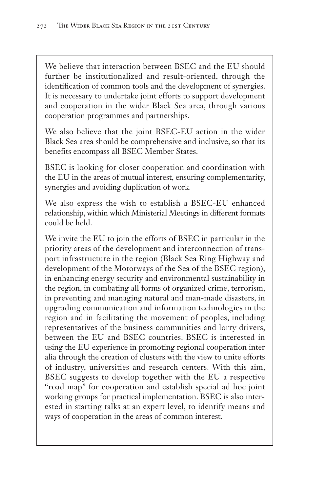We believe that interaction between BSEC and the EU should further be institutionalized and result-oriented, through the identification of common tools and the development of synergies. It is necessary to undertake joint efforts to support development and cooperation in the wider Black Sea area, through various cooperation programmes and partnerships.

We also believe that the joint BSEC-EU action in the wider Black Sea area should be comprehensive and inclusive, so that its benefits encompass all BSEC Member States.

BSEC is looking for closer cooperation and coordination with the EU in the areas of mutual interest, ensuring complementarity, synergies and avoiding duplication of work.

We also express the wish to establish a BSEC-EU enhanced relationship, within which Ministerial Meetings in different formats could be held.

We invite the EU to join the efforts of BSEC in particular in the priority areas of the development and interconnection of transport infrastructure in the region (Black Sea Ring Highway and development of the Motorways of the Sea of the BSEC region), in enhancing energy security and environmental sustainability in the region, in combating all forms of organized crime, terrorism, in preventing and managing natural and man-made disasters, in upgrading communication and information technologies in the region and in facilitating the movement of peoples, including representatives of the business communities and lorry drivers, between the EU and BSEC countries. BSEC is interested in using the EU experience in promoting regional cooperation inter alia through the creation of clusters with the view to unite efforts of industry, universities and research centers. With this aim, BSEC suggests to develop together with the EU a respective "road map" for cooperation and establish special ad hoc joint working groups for practical implementation. BSEC is also interested in starting talks at an expert level, to identify means and ways of cooperation in the areas of common interest.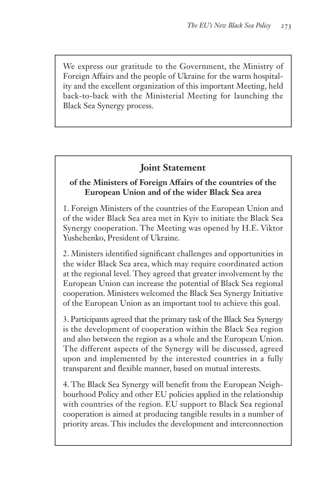We express our gratitude to the Government, the Ministry of Foreign Affairs and the people of Ukraine for the warm hospitality and the excellent organization of this important Meeting, held back-to-back with the Ministerial Meeting for launching the Black Sea Synergy process.

## **Joint Statement**

## **of the Ministers of Foreign Affairs of the countries of the European Union and of the wider Black Sea area**

1. Foreign Ministers of the countries of the European Union and of the wider Black Sea area met in Kyiv to initiate the Black Sea Synergy cooperation. The Meeting was opened by H.E. Viktor Yushchenko, President of Ukraine.

2. Ministers identified significant challenges and opportunities in the wider Black Sea area, which may require coordinated action at the regional level. They agreed that greater involvement by the European Union can increase the potential of Black Sea regional cooperation. Ministers welcomed the Black Sea Synergy Initiative of the European Union as an important tool to achieve this goal.

3. Participants agreed that the primary task of the Black Sea Synergy is the development of cooperation within the Black Sea region and also between the region as a whole and the European Union. The different aspects of the Synergy will be discussed, agreed upon and implemented by the interested countries in a fully transparent and flexible manner, based on mutual interests.

4. The Black Sea Synergy will benefit from the European Neighbourhood Policy and other EU policies applied in the relationship with countries of the region. EU support to Black Sea regional cooperation is aimed at producing tangible results in a number of priority areas. This includes the development and interconnection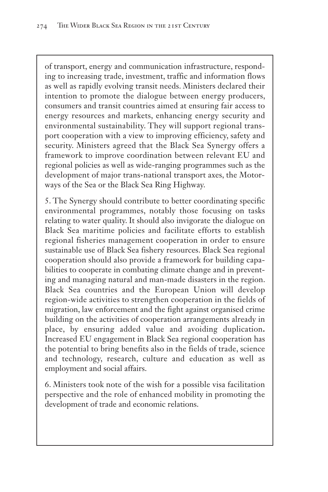of transport, energy and communication infrastructure, responding to increasing trade, investment, traffic and information flows as well as rapidly evolving transit needs. Ministers declared their intention to promote the dialogue between energy producers, consumers and transit countries aimed at ensuring fair access to energy resources and markets, enhancing energy security and environmental sustainability. They will support regional transport cooperation with a view to improving efficiency, safety and security. Ministers agreed that the Black Sea Synergy offers a framework to improve coordination between relevant EU and regional policies as well as wide-ranging programmes such as the development of major trans-national transport axes, the Motorways of the Sea or the Black Sea Ring Highway.

5. The Synergy should contribute to better coordinating specific environmental programmes, notably those focusing on tasks relating to water quality. It should also invigorate the dialogue on Black Sea maritime policies and facilitate efforts to establish regional fisheries management cooperation in order to ensure sustainable use of Black Sea fishery resources. Black Sea regional cooperation should also provide a framework for building capabilities to cooperate in combating climate change and in preventing and managing natural and man-made disasters in the region. Black Sea countries and the European Union will develop region-wide activities to strengthen cooperation in the fields of migration, law enforcement and the fight against organised crime building on the activities of cooperation arrangements already in place, by ensuring added value and avoiding duplication**.** Increased EU engagement in Black Sea regional cooperation has the potential to bring benefits also in the fields of trade, science and technology, research, culture and education as well as employment and social affairs.

6. Ministers took note of the wish for a possible visa facilitation perspective and the role of enhanced mobility in promoting the development of trade and economic relations.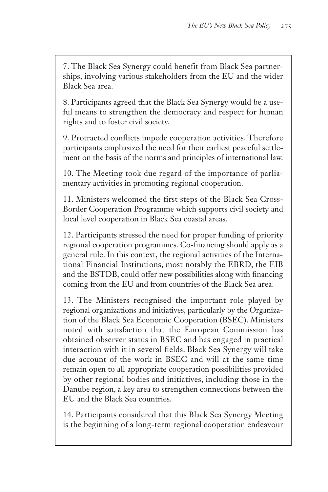7. The Black Sea Synergy could benefit from Black Sea partnerships, involving various stakeholders from the EU and the wider Black Sea area.

8. Participants agreed that the Black Sea Synergy would be a useful means to strengthen the democracy and respect for human rights and to foster civil society.

9. Protracted conflicts impede cooperation activities. Therefore participants emphasized the need for their earliest peaceful settlement on the basis of the norms and principles of international law.

10. The Meeting took due regard of the importance of parliamentary activities in promoting regional cooperation.

11. Ministers welcomed the first steps of the Black Sea Cross-Border Cooperation Programme which supports civil society and local level cooperation in Black Sea coastal areas.

12. Participants stressed the need for proper funding of priority regional cooperation programmes. Co-financing should apply as a general rule. In this context**,** the regional activities of the International Financial Institutions, most notably the EBRD, the EIB and the BSTDB, could offer new possibilities along with financing coming from the EU and from countries of the Black Sea area.

13. The Ministers recognised the important role played by regional organizations and initiatives, particularly by the Organization of the Black Sea Economic Cooperation (BSEC). Ministers noted with satisfaction that the European Commission has obtained observer status in BSEC and has engaged in practical interaction with it in several fields. Black Sea Synergy will take due account of the work in BSEC and will at the same time remain open to all appropriate cooperation possibilities provided by other regional bodies and initiatives, including those in the Danube region, a key area to strengthen connections between the EU and the Black Sea countries.

14. Participants considered that this Black Sea Synergy Meeting is the beginning of a long-term regional cooperation endeavour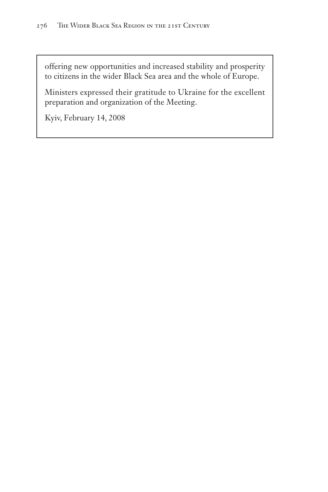offering new opportunities and increased stability and prosperity to citizens in the wider Black Sea area and the whole of Europe.

Ministers expressed their gratitude to Ukraine for the excellent preparation and organization of the Meeting.

Kyiv, February 14, 2008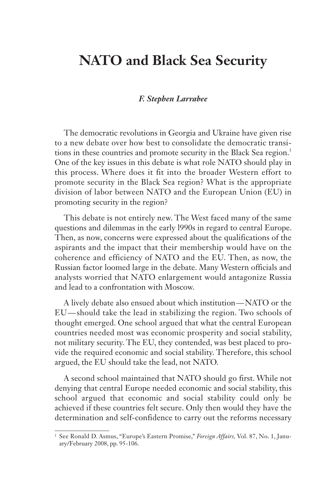## **NATO and Black Sea Security**

#### *F. Stephen Larrabee*

The democratic revolutions in Georgia and Ukraine have given rise to a new debate over how best to consolidate the democratic transitions in these countries and promote security in the Black Sea region.<sup>1</sup> One of the key issues in this debate is what role NATO should play in this process. Where does it fit into the broader Western effort to promote security in the Black Sea region? What is the appropriate division of labor between NATO and the European Union (EU) in promoting security in the region?

This debate is not entirely new. The West faced many of the same questions and dilemmas in the early l990s in regard to central Europe. Then, as now, concerns were expressed about the qualifications of the aspirants and the impact that their membership would have on the coherence and efficiency of NATO and the EU. Then, as now, the Russian factor loomed large in the debate. Many Western officials and analysts worried that NATO enlargement would antagonize Russia and lead to a confrontation with Moscow.

A lively debate also ensued about which institution — NATO or the EU — should take the lead in stabilizing the region. Two schools of thought emerged. One school argued that what the central European countries needed most was economic prosperity and social stability, not military security. The EU, they contended, was best placed to provide the required economic and social stability. Therefore, this school argued, the EU should take the lead, not NATO.

A second school maintained that NATO should go first. While not denying that central Europe needed economic and social stability, this school argued that economic and social stability could only be achieved if these countries felt secure. Only then would they have the determination and self-confidence to carry out the reforms necessary

<sup>1</sup> See Ronald D. Asmus, "Europe's Eastern Promise," *Foreign Affairs,* Vol. 87, No. 1, January/February 2008, pp. 95-106.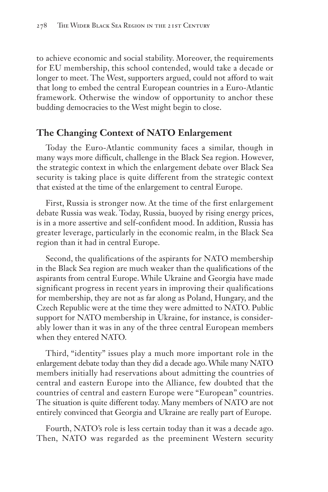to achieve economic and social stability. Moreover, the requirements for EU membership, this school contended, would take a decade or longer to meet. The West, supporters argued, could not afford to wait that long to embed the central European countries in a Euro-Atlantic framework. Otherwise the window of opportunity to anchor these budding democracies to the West might begin to close.

## **The Changing Context of NATO Enlargement**

Today the Euro-Atlantic community faces a similar, though in many ways more difficult, challenge in the Black Sea region. However, the strategic context in which the enlargement debate over Black Sea security is taking place is quite different from the strategic context that existed at the time of the enlargement to central Europe.

First, Russia is stronger now. At the time of the first enlargement debate Russia was weak. Today, Russia, buoyed by rising energy prices, is in a more assertive and self-confident mood. In addition, Russia has greater leverage, particularly in the economic realm, in the Black Sea region than it had in central Europe.

Second, the qualifications of the aspirants for NATO membership in the Black Sea region are much weaker than the qualifications of the aspirants from central Europe. While Ukraine and Georgia have made significant progress in recent years in improving their qualifications for membership, they are not as far along as Poland, Hungary, and the Czech Republic were at the time they were admitted to NATO. Public support for NATO membership in Ukraine, for instance, is considerably lower than it was in any of the three central European members when they entered NATO.

Third, "identity" issues play a much more important role in the enlargement debate today than they did a decade ago. While many NATO members initially had reservations about admitting the countries of central and eastern Europe into the Alliance, few doubted that the countries of central and eastern Europe were "European" countries. The situation is quite different today. Many members of NATO are not entirely convinced that Georgia and Ukraine are really part of Europe.

Fourth, NATO's role is less certain today than it was a decade ago. Then, NATO was regarded as the preeminent Western security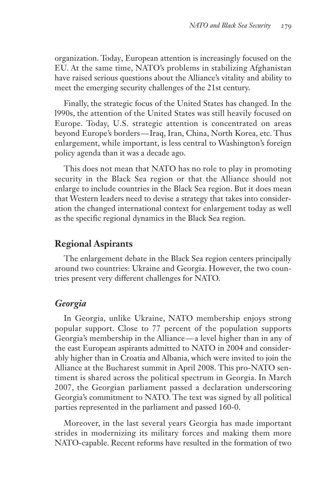organization. Today, European attention is increasingly focused on the EU. At the same time, NATO's problems in stabilizing Afghanistan have raised serious questions about the Alliance's vitality and ability to meet the emerging security challenges of the 21st century.

Finally, the strategic focus of the United States has changed. In the l990s, the attention of the United States was still heavily focused on Europe. Today, U.S. strategic attention is concentrated on areas beyond Europe's borders — Iraq, Iran, China, North Korea, etc. Thus enlargement, while important, is less central to Washington's foreign policy agenda than it was a decade ago.

This does not mean that NATO has no role to play in promoting security in the Black Sea region or that the Alliance should not enlarge to include countries in the Black Sea region. But it does mean that Western leaders need to devise a strategy that takes into consideration the changed international context for enlargement today as well as the specific regional dynamics in the Black Sea region.

## **Regional Aspirants**

The enlargement debate in the Black Sea region centers principally around two countries: Ukraine and Georgia. However, the two countries present very different challenges for NATO.

#### *Georgia*

In Georgia, unlike Ukraine, NATO membership enjoys strong popular support. Close to 77 percent of the population supports Georgia's membership in the Alliance — a level higher than in any of the east European aspirants admitted to NATO in 2004 and considerably higher than in Croatia and Albania, which were invited to join the Alliance at the Bucharest summit in April 2008. This pro-NATO sentiment is shared across the political spectrum in Georgia. In March 2007, the Georgian parliament passed a declaration underscoring Georgia's commitment to NATO. The text was signed by all political parties represented in the parliament and passed 160-0.

Moreover, in the last several years Georgia has made important strides in modernizing its military forces and making them more NATO-capable. Recent reforms have resulted in the formation of two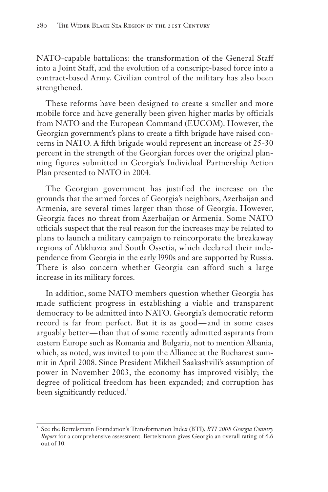NATO-capable battalions: the transformation of the General Staff into a Joint Staff, and the evolution of a conscript-based force into a contract-based Army. Civilian control of the military has also been strengthened.

These reforms have been designed to create a smaller and more mobile force and have generally been given higher marks by officials from NATO and the European Command (EUCOM). However, the Georgian government's plans to create a fifth brigade have raised concerns in NATO. A fifth brigade would represent an increase of 25-30 percent in the strength of the Georgian forces over the original planning figures submitted in Georgia's Individual Partnership Action Plan presented to NATO in 2004.

The Georgian government has justified the increase on the grounds that the armed forces of Georgia's neighbors, Azerbaijan and Armenia, are several times larger than those of Georgia. However, Georgia faces no threat from Azerbaijan or Armenia. Some NATO officials suspect that the real reason for the increases may be related to plans to launch a military campaign to reincorporate the breakaway regions of Abkhazia and South Ossetia, which declared their independence from Georgia in the early l990s and are supported by Russia. There is also concern whether Georgia can afford such a large increase in its military forces.

In addition, some NATO members question whether Georgia has made sufficient progress in establishing a viable and transparent democracy to be admitted into NATO. Georgia's democratic reform record is far from perfect. But it is as good—and in some cases arguably better — than that of some recently admitted aspirants from eastern Europe such as Romania and Bulgaria, not to mention Albania, which, as noted, was invited to join the Alliance at the Bucharest summit in April 2008. Since President Mikheil Saakashvili's assumption of power in November 2003, the economy has improved visibly; the degree of political freedom has been expanded; and corruption has been significantly reduced.<sup>2</sup>

<sup>2</sup> See the Bertelsmann Foundation's Transformation Index (BTI), *BTI 2008 Georgia Country Report* for a comprehensive assessment. Bertelsmann gives Georgia an overall rating of 6.6 out of 10.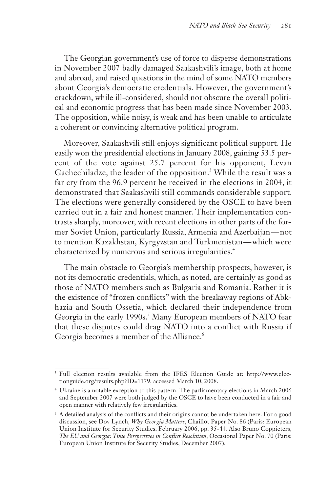The Georgian government's use of force to disperse demonstrations in November 2007 badly damaged Saakashvili's image, both at home and abroad, and raised questions in the mind of some NATO members about Georgia's democratic credentials. However, the government's crackdown, while ill-considered, should not obscure the overall political and economic progress that has been made since November 2003. The opposition, while noisy, is weak and has been unable to articulate a coherent or convincing alternative political program.

Moreover, Saakashvili still enjoys significant political support. He easily won the presidential elections in January 2008, gaining 53.5 percent of the vote against 25.7 percent for his opponent, Levan Gachechiladze, the leader of the opposition.<sup>3</sup> While the result was a far cry from the 96.9 percent he received in the elections in 2004, it demonstrated that Saakashvili still commands considerable support. The elections were generally considered by the OSCE to have been carried out in a fair and honest manner. Their implementation contrasts sharply, moreover, with recent elections in other parts of the former Soviet Union, particularly Russia, Armenia and Azerbaijan — not to mention Kazakhstan, Kyrgyzstan and Turkmenistan — which were characterized by numerous and serious irregularities.<sup>4</sup>

The main obstacle to Georgia's membership prospects, however, is not its democratic credentials, which, as noted, are certainly as good as those of NATO members such as Bulgaria and Romania. Rather it is the existence of "frozen conflicts" with the breakaway regions of Abkhazia and South Ossetia, which declared their independence from Georgia in the early 1990s.<sup>5</sup> Many European members of NATO fear that these disputes could drag NATO into a conflict with Russia if Georgia becomes a member of the Alliance.<sup>6</sup>

<sup>3</sup> Full election results available from the IFES Election Guide at: http://www.electionguide.org/results.php?ID=1179, accessed March 10, 2008.

<sup>4</sup> Ukraine is a notable exception to this pattern. The parliamentary elections in March 2006 and September 2007 were both judged by the OSCE to have been conducted in a fair and open manner with relatively few irregularities.

 $5$  A detailed analysis of the conflicts and their origins cannot be undertaken here. For a good discussion, see Dov Lynch, *Why Georgia Matters*, Chaillot Paper No. 86 (Paris: European Union Institute for Security Studies, February 2006, pp. 35-44. Also Bruno Coppieters, *The EU and Georgia: Time Perspectives in Conflict Resolution*, Occasional Paper No. 70 (Paris: European Union Institute for Security Studies, December 2007).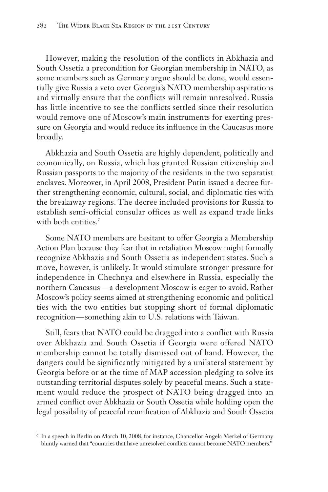However, making the resolution of the conflicts in Abkhazia and South Ossetia a precondition for Georgian membership in NATO, as some members such as Germany argue should be done, would essentially give Russia a veto over Georgia's NATO membership aspirations and virtually ensure that the conflicts will remain unresolved. Russia has little incentive to see the conflicts settled since their resolution would remove one of Moscow's main instruments for exerting pressure on Georgia and would reduce its influence in the Caucasus more broadly.

Abkhazia and South Ossetia are highly dependent, politically and economically, on Russia, which has granted Russian citizenship and Russian passports to the majority of the residents in the two separatist enclaves. Moreover, in April 2008, President Putin issued a decree further strengthening economic, cultural, social, and diplomatic ties with the breakaway regions. The decree included provisions for Russia to establish semi-official consular offices as well as expand trade links with both entities.<sup>7</sup>

Some NATO members are hesitant to offer Georgia a Membership Action Plan because they fear that in retaliation Moscow might formally recognize Abkhazia and South Ossetia as independent states. Such a move, however, is unlikely. It would stimulate stronger pressure for independence in Chechnya and elsewhere in Russia, especially the northern Caucasus — a development Moscow is eager to avoid. Rather Moscow's policy seems aimed at strengthening economic and political ties with the two entities but stopping short of formal diplomatic recognition — something akin to U.S. relations with Taiwan.

Still, fears that NATO could be dragged into a conflict with Russia over Abkhazia and South Ossetia if Georgia were offered NATO membership cannot be totally dismissed out of hand. However, the dangers could be significantly mitigated by a unilateral statement by Georgia before or at the time of MAP accession pledging to solve its outstanding territorial disputes solely by peaceful means. Such a statement would reduce the prospect of NATO being dragged into an armed conflict over Abkhazia or South Ossetia while holding open the legal possibility of peaceful reunification of Abkhazia and South Ossetia

<sup>6</sup> In a speech in Berlin on March 10, 2008, for instance, Chancellor Angela Merkel of Germany bluntly warned that "countries that have unresolved conflicts cannot become NATO members."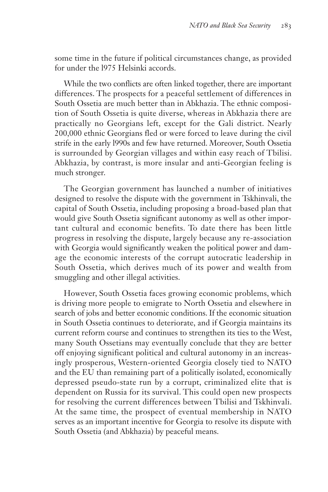some time in the future if political circumstances change, as provided for under the l975 Helsinki accords.

While the two conflicts are often linked together, there are important differences. The prospects for a peaceful settlement of differences in South Ossetia are much better than in Abkhazia. The ethnic composition of South Ossetia is quite diverse, whereas in Abkhazia there are practically no Georgians left, except for the Gali district. Nearly 200,000 ethnic Georgians fled or were forced to leave during the civil strife in the early l990s and few have returned. Moreover, South Ossetia is surrounded by Georgian villages and within easy reach of Tbilisi. Abkhazia, by contrast, is more insular and anti-Georgian feeling is much stronger.

The Georgian government has launched a number of initiatives designed to resolve the dispute with the government in Tskhinvali, the capital of South Ossetia, including proposing a broad-based plan that would give South Ossetia significant autonomy as well as other important cultural and economic benefits. To date there has been little progress in resolving the dispute, largely because any re-association with Georgia would significantly weaken the political power and damage the economic interests of the corrupt autocratic leadership in South Ossetia, which derives much of its power and wealth from smuggling and other illegal activities.

However, South Ossetia faces growing economic problems, which is driving more people to emigrate to North Ossetia and elsewhere in search of jobs and better economic conditions. If the economic situation in South Ossetia continues to deteriorate, and if Georgia maintains its current reform course and continues to strengthen its ties to the West, many South Ossetians may eventually conclude that they are better off enjoying significant political and cultural autonomy in an increasingly prosperous, Western-oriented Georgia closely tied to NATO and the EU than remaining part of a politically isolated, economically depressed pseudo-state run by a corrupt, criminalized elite that is dependent on Russia for its survival. This could open new prospects for resolving the current differences between Tbilisi and Tskhinvali. At the same time, the prospect of eventual membership in NATO serves as an important incentive for Georgia to resolve its dispute with South Ossetia (and Abkhazia) by peaceful means.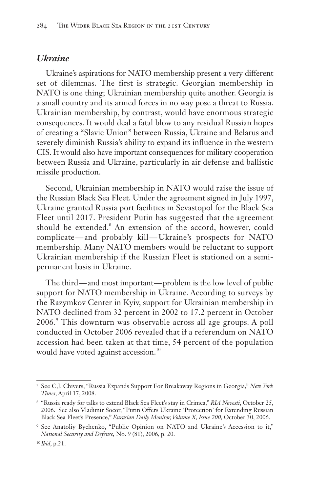#### *Ukraine*

Ukraine's aspirations for NATO membership present a very different set of dilemmas. The first is strategic. Georgian membership in NATO is one thing; Ukrainian membership quite another. Georgia is a small country and its armed forces in no way pose a threat to Russia. Ukrainian membership, by contrast, would have enormous strategic consequences. It would deal a fatal blow to any residual Russian hopes of creating a "Slavic Union" between Russia, Ukraine and Belarus and severely diminish Russia's ability to expand its influence in the western CIS. It would also have important consequences for military cooperation between Russia and Ukraine, particularly in air defense and ballistic missile production.

Second, Ukrainian membership in NATO would raise the issue of the Russian Black Sea Fleet. Under the agreement signed in July 1997, Ukraine granted Russia port facilities in Sevastopol for the Black Sea Fleet until 2017. President Putin has suggested that the agreement should be extended.<sup>8</sup> An extension of the accord, however, could complicate — and probably kill — Ukraine's prospects for NATO membership. Many NATO members would be reluctant to support Ukrainian membership if the Russian Fleet is stationed on a semipermanent basis in Ukraine.

The third—and most important—problem is the low level of public support for NATO membership in Ukraine. According to surveys by the Razymkov Center in Kyiv, support for Ukrainian membership in NATO declined from 32 percent in 2002 to 17.2 percent in October 2006.<sup>9</sup> This downturn was observable across all age groups. A poll conducted in October 2006 revealed that if a referendum on NATO accession had been taken at that time, 54 percent of the population would have voted against accession.<sup>10</sup>

<sup>7</sup> See C.J. Chivers, "Russia Expands Support For Breakaway Regions in Georgia," *New York Times*, April 17, 2008.

<sup>8</sup> "Russia ready for talks to extend Black Sea Fleet's stay in Crimea," *RIA Novosti*, October 25, 2006. See also Vladimir Socor, "Putin Offers Ukraine 'Protection' for Extending Russian Black Sea Fleet's Presence," *Eurasian Daily Monitor, Volume X, Issue 200,* October 30, 2006.

<sup>9</sup> See Anatoliy Bychenko, "Public Opinion on NATO and Ukraine's Accession to it," *National Security and Defense,* No. 9 (81), 2006, p. 20.

<sup>10</sup> *Ibid*, p.21.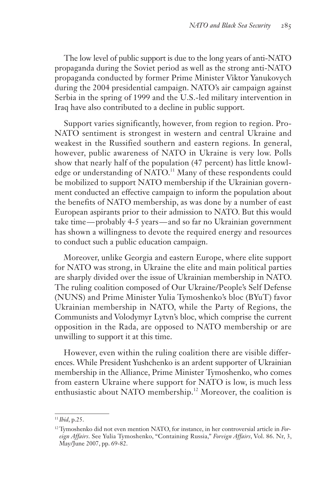The low level of public support is due to the long years of anti-NATO propaganda during the Soviet period as well as the strong anti-NATO propaganda conducted by former Prime Minister Viktor Yanukovych during the 2004 presidential campaign. NATO's air campaign against Serbia in the spring of 1999 and the U.S.-led military intervention in Iraq have also contributed to a decline in public support.

Support varies significantly, however, from region to region. Pro-NATO sentiment is strongest in western and central Ukraine and weakest in the Russified southern and eastern regions. In general, however, public awareness of NATO in Ukraine is very low. Polls show that nearly half of the population (47 percent) has little knowledge or understanding of NATO.<sup>11</sup> Many of these respondents could be mobilized to support NATO membership if the Ukrainian government conducted an effective campaign to inform the population about the benefits of NATO membership, as was done by a number of east European aspirants prior to their admission to NATO. But this would take time — probably 4-5 years — and so far no Ukrainian government has shown a willingness to devote the required energy and resources to conduct such a public education campaign.

Moreover, unlike Georgia and eastern Europe, where elite support for NATO was strong, in Ukraine the elite and main political parties are sharply divided over the issue of Ukrainian membership in NATO. The ruling coalition composed of Our Ukraine/People's Self Defense (NUNS) and Prime Minister Yulia Tymoshenko's bloc (BYuT) favor Ukrainian membership in NATO, while the Party of Regions, the Communists and Volodymyr Lytvn's bloc, which comprise the current opposition in the Rada, are opposed to NATO membership or are unwilling to support it at this time.

However, even within the ruling coalition there are visible differences. While President Yushchenko is an ardent supporter of Ukrainian membership in the Alliance, Prime Minister Tymoshenko, who comes from eastern Ukraine where support for NATO is low, is much less enthusiastic about NATO membership.<sup>12</sup> Moreover, the coalition is

<sup>11</sup> *Ibid*, p.25.

<sup>12</sup>Tymoshenko did not even mention NATO, for instance, in her controversial article in *Foreign Affairs*. See Yulia Tymoshenko, "Containing Russia," *Foreign Affairs*, Vol. 86. Nr, 3, May/June 2007, pp. 69-82.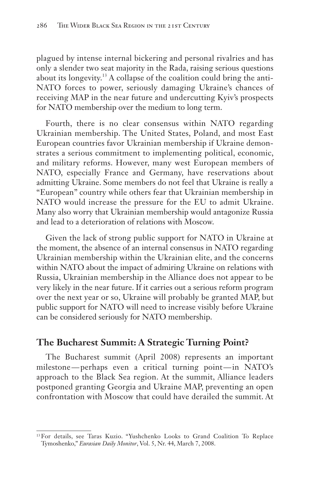plagued by intense internal bickering and personal rivalries and has only a slender two seat majority in the Rada, raising serious questions about its longevity.<sup>13</sup> A collapse of the coalition could bring the anti-NATO forces to power, seriously damaging Ukraine's chances of receiving MAP in the near future and undercutting Kyiv's prospects for NATO membership over the medium to long term.

Fourth, there is no clear consensus within NATO regarding Ukrainian membership. The United States, Poland, and most East European countries favor Ukrainian membership if Ukraine demonstrates a serious commitment to implementing political, economic, and military reforms. However, many west European members of NATO, especially France and Germany, have reservations about admitting Ukraine. Some members do not feel that Ukraine is really a "European" country while others fear that Ukrainian membership in NATO would increase the pressure for the EU to admit Ukraine. Many also worry that Ukrainian membership would antagonize Russia and lead to a deterioration of relations with Moscow.

Given the lack of strong public support for NATO in Ukraine at the moment, the absence of an internal consensus in NATO regarding Ukrainian membership within the Ukrainian elite, and the concerns within NATO about the impact of admiring Ukraine on relations with Russia, Ukrainian membership in the Alliance does not appear to be very likely in the near future. If it carries out a serious reform program over the next year or so, Ukraine will probably be granted MAP, but public support for NATO will need to increase visibly before Ukraine can be considered seriously for NATO membership.

# **The Bucharest Summit: A Strategic Turning Point?**

The Bucharest summit (April 2008) represents an important milestone — perhaps even a critical turning point — in NATO's approach to the Black Sea region. At the summit, Alliance leaders postponed granting Georgia and Ukraine MAP, preventing an open confrontation with Moscow that could have derailed the summit. At

<sup>13</sup>For details, see Taras Kuzio. "Yushchenko Looks to Grand Coalition To Replace Tymoshenko," *Eurasian Daily Monitor*, Vol. 5, Nr. 44, March 7, 2008.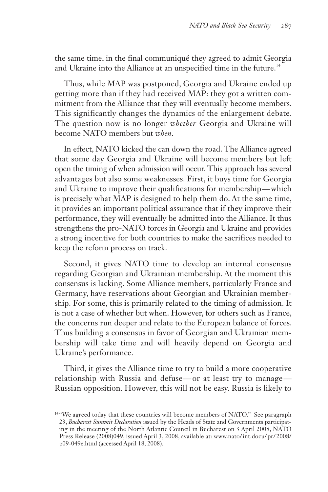the same time, in the final communiqué they agreed to admit Georgia and Ukraine into the Alliance at an unspecified time in the future.<sup>14</sup>

Thus, while MAP was postponed, Georgia and Ukraine ended up getting more than if they had received MAP: they got a written commitment from the Alliance that they will eventually become members. This significantly changes the dynamics of the enlargement debate. The question now is no longer *whether* Georgia and Ukraine will become NATO members but *when*.

In effect, NATO kicked the can down the road. The Alliance agreed that some day Georgia and Ukraine will become members but left open the timing of when admission will occur. This approach has several advantages but also some weaknesses. First, it buys time for Georgia and Ukraine to improve their qualifications for membership — which is precisely what MAP is designed to help them do. At the same time, it provides an important political assurance that if they improve their performance, they will eventually be admitted into the Alliance. It thus strengthens the pro-NATO forces in Georgia and Ukraine and provides a strong incentive for both countries to make the sacrifices needed to keep the reform process on track.

Second, it gives NATO time to develop an internal consensus regarding Georgian and Ukrainian membership. At the moment this consensus is lacking. Some Alliance members, particularly France and Germany, have reservations about Georgian and Ukrainian membership. For some, this is primarily related to the timing of admission. It is not a case of whether but when. However, for others such as France, the concerns run deeper and relate to the European balance of forces. Thus building a consensus in favor of Georgian and Ukrainian membership will take time and will heavily depend on Georgia and Ukraine's performance.

Third, it gives the Alliance time to try to build a more cooperative relationship with Russia and defuse — or at least try to manage — Russian opposition. However, this will not be easy. Russia is likely to

<sup>&</sup>lt;sup>14</sup> "We agreed today that these countries will become members of NATO." See paragraph 23, *Bucharest Summit Declaration* issued by the Heads of State and Governments participating in the meeting of the North Atlantic Council in Bucharest on 3 April 2008, NATO Press Release (2008)049, issued April 3, 2008, available at: www.nato/ int.docu/ pr/ 2008/ p09-049e.html (accessed April 18, 2008).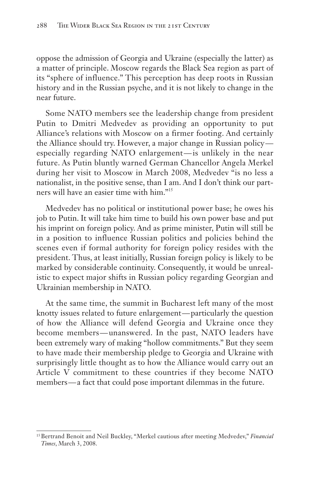oppose the admission of Georgia and Ukraine (especially the latter) as a matter of principle. Moscow regards the Black Sea region as part of its "sphere of influence." This perception has deep roots in Russian history and in the Russian psyche, and it is not likely to change in the near future.

Some NATO members see the leadership change from president Putin to Dmitri Medvedev as providing an opportunity to put Alliance's relations with Moscow on a firmer footing. And certainly the Alliance should try. However, a major change in Russian policy especially regarding NATO enlargement — is unlikely in the near future. As Putin bluntly warned German Chancellor Angela Merkel during her visit to Moscow in March 2008, Medvedev "is no less a nationalist, in the positive sense, than I am. And I don't think our partners will have an easier time with him."<sup>15</sup>

Medvedev has no political or institutional power base; he owes his job to Putin. It will take him time to build his own power base and put his imprint on foreign policy. And as prime minister, Putin will still be in a position to influence Russian politics and policies behind the scenes even if formal authority for foreign policy resides with the president. Thus, at least initially, Russian foreign policy is likely to be marked by considerable continuity. Consequently, it would be unrealistic to expect major shifts in Russian policy regarding Georgian and Ukrainian membership in NATO.

At the same time, the summit in Bucharest left many of the most knotty issues related to future enlargement — particularly the question of how the Alliance will defend Georgia and Ukraine once they become members — unanswered. In the past, NATO leaders have been extremely wary of making "hollow commitments." But they seem to have made their membership pledge to Georgia and Ukraine with surprisingly little thought as to how the Alliance would carry out an Article V commitment to these countries if they become NATO members—a fact that could pose important dilemmas in the future.

<sup>15</sup>Bertrand Benoit and Neil Buckley, "Merkel cautious after meeting Medvedev," *Financial Times*, March 3, 2008.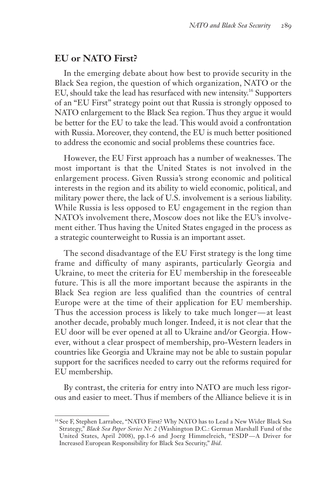# **EU or NATO First?**

In the emerging debate about how best to provide security in the Black Sea region, the question of which organization, NATO or the EU, should take the lead has resurfaced with new intensity.<sup>16</sup> Supporters of an "EU First" strategy point out that Russia is strongly opposed to NATO enlargement to the Black Sea region. Thus they argue it would be better for the EU to take the lead. This would avoid a confrontation with Russia. Moreover, they contend, the EU is much better positioned to address the economic and social problems these countries face.

However, the EU First approach has a number of weaknesses. The most important is that the United States is not involved in the enlargement process. Given Russia's strong economic and political interests in the region and its ability to wield economic, political, and military power there, the lack of U.S. involvement is a serious liability. While Russia is less opposed to EU engagement in the region than NATO's involvement there, Moscow does not like the EU's involvement either. Thus having the United States engaged in the process as a strategic counterweight to Russia is an important asset.

The second disadvantage of the EU First strategy is the long time frame and difficulty of many aspirants, particularly Georgia and Ukraine, to meet the criteria for EU membership in the foreseeable future. This is all the more important because the aspirants in the Black Sea region are less qualified than the countries of central Europe were at the time of their application for EU membership. Thus the accession process is likely to take much longer—at least another decade, probably much longer. Indeed, it is not clear that the EU door will be ever opened at all to Ukraine and/or Georgia. However, without a clear prospect of membership, pro-Western leaders in countries like Georgia and Ukraine may not be able to sustain popular support for the sacrifices needed to carry out the reforms required for EU membership.

By contrast, the criteria for entry into NATO are much less rigorous and easier to meet. Thus if members of the Alliance believe it is in

<sup>&</sup>lt;sup>16</sup> See F, Stephen Larrabee, "NATO First? Why NATO has to Lead a New Wider Black Sea Strategy," *Black Sea Paper Series Nr. 2* (Washington D.C.: German Marshall Fund of the United States, April 2008), pp.1-6 and Joerg Himmelreich, "ESDP — A Driver for Increased European Responsibility for Black Sea Security," *Ibid*.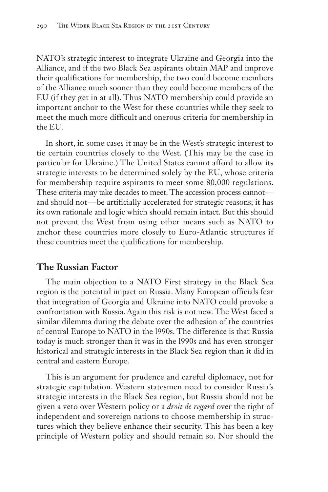NATO's strategic interest to integrate Ukraine and Georgia into the Alliance, and if the two Black Sea aspirants obtain MAP and improve their qualifications for membership, the two could become members of the Alliance much sooner than they could become members of the EU (if they get in at all). Thus NATO membership could provide an important anchor to the West for these countries while they seek to meet the much more difficult and onerous criteria for membership in the EU.

In short, in some cases it may be in the West's strategic interest to tie certain countries closely to the West. (This may be the case in particular for Ukraine.) The United States cannot afford to allow its strategic interests to be determined solely by the EU, whose criteria for membership require aspirants to meet some 80,000 regulations. These criteria may take decades to meet. The accession process cannot and should not — be artificially accelerated for strategic reasons; it has its own rationale and logic which should remain intact. But this should not prevent the West from using other means such as NATO to anchor these countries more closely to Euro-Atlantic structures if these countries meet the qualifications for membership.

#### **The Russian Factor**

The main objection to a NATO First strategy in the Black Sea region is the potential impact on Russia. Many European officials fear that integration of Georgia and Ukraine into NATO could provoke a confrontation with Russia. Again this risk is not new. The West faced a similar dilemma during the debate over the adhesion of the countries of central Europe to NATO in the l990s. The difference is that Russia today is much stronger than it was in the l990s and has even stronger historical and strategic interests in the Black Sea region than it did in central and eastern Europe.

This is an argument for prudence and careful diplomacy, not for strategic capitulation. Western statesmen need to consider Russia's strategic interests in the Black Sea region, but Russia should not be given a veto over Western policy or a *droit de regard* over the right of independent and sovereign nations to choose membership in structures which they believe enhance their security. This has been a key principle of Western policy and should remain so. Nor should the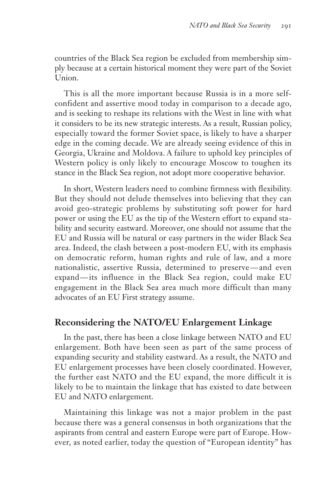countries of the Black Sea region be excluded from membership simply because at a certain historical moment they were part of the Soviet Union.

This is all the more important because Russia is in a more selfconfident and assertive mood today in comparison to a decade ago, and is seeking to reshape its relations with the West in line with what it considers to be its new strategic interests. As a result, Russian policy, especially toward the former Soviet space, is likely to have a sharper edge in the coming decade. We are already seeing evidence of this in Georgia, Ukraine and Moldova. A failure to uphold key principles of Western policy is only likely to encourage Moscow to toughen its stance in the Black Sea region, not adopt more cooperative behavior.

In short, Western leaders need to combine firmness with flexibility. But they should not delude themselves into believing that they can avoid geo-strategic problems by substituting soft power for hard power or using the EU as the tip of the Western effort to expand stability and security eastward. Moreover, one should not assume that the EU and Russia will be natural or easy partners in the wider Black Sea area. Indeed, the clash between a post-modern EU, with its emphasis on democratic reform, human rights and rule of law, and a more nationalistic, assertive Russia, determined to preserve — and even expand — its influence in the Black Sea region, could make EU engagement in the Black Sea area much more difficult than many advocates of an EU First strategy assume.

# **Reconsidering the NATO/EU Enlargement Linkage**

In the past, there has been a close linkage between NATO and EU enlargement. Both have been seen as part of the same process of expanding security and stability eastward. As a result, the NATO and EU enlargement processes have been closely coordinated. However, the further east NATO and the EU expand, the more difficult it is likely to be to maintain the linkage that has existed to date between EU and NATO enlargement.

Maintaining this linkage was not a major problem in the past because there was a general consensus in both organizations that the aspirants from central and eastern Europe were part of Europe. However, as noted earlier, today the question of "European identity" has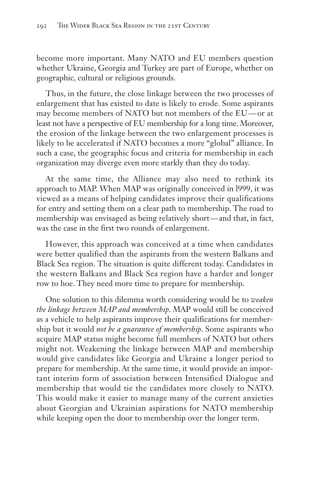become more important. Many NATO and EU members question whether Ukraine, Georgia and Turkey are part of Europe, whether on geographic, cultural or religious grounds.

Thus, in the future, the close linkage between the two processes of enlargement that has existed to date is likely to erode. Some aspirants may become members of NATO but not members of the EU—or at least not have a perspective of EU membership for a long time. Moreover, the erosion of the linkage between the two enlargement processes is likely to be accelerated if NATO becomes a more "global" alliance. In such a case, the geographic focus and criteria for membership in each organization may diverge even more starkly than they do today.

At the same time, the Alliance may also need to rethink its approach to MAP. When MAP was originally conceived in l999, it was viewed as a means of helping candidates improve their qualifications for entry and setting them on a clear path to membership. The road to membership was envisaged as being relatively short—and that, in fact, was the case in the first two rounds of enlargement.

However, this approach was conceived at a time when candidates were better qualified than the aspirants from the western Balkans and Black Sea region. The situation is quite different today. Candidates in the western Balkans and Black Sea region have a harder and longer row to hoe. They need more time to prepare for membership.

One solution to this dilemma worth considering would be to *weaken the linkage between MAP and membership*. MAP would still be conceived as a vehicle to help aspirants improve their qualifications for membership but it would *not be a guarantee of membership*. Some aspirants who acquire MAP status might become full members of NATO but others might not. Weakening the linkage between MAP and membership would give candidates like Georgia and Ukraine a longer period to prepare for membership. At the same time, it would provide an important interim form of association between Intensified Dialogue and membership that would tie the candidates more closely to NATO. This would make it easier to manage many of the current anxieties about Georgian and Ukrainian aspirations for NATO membership while keeping open the door to membership over the longer term.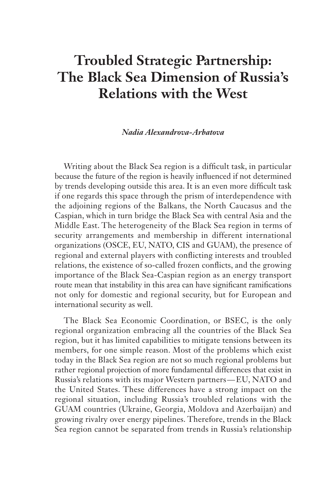# **Troubled Strategic Partnership: The Black Sea Dimension of Russia's Relations with the West**

#### *Nadia Alexandrova-Arbatova*

Writing about the Black Sea region is a difficult task, in particular because the future of the region is heavily influenced if not determined by trends developing outside this area. It is an even more difficult task if one regards this space through the prism of interdependence with the adjoining regions of the Balkans, the North Caucasus and the Caspian, which in turn bridge the Black Sea with central Asia and the Middle East. The heterogeneity of the Black Sea region in terms of security arrangements and membership in different international organizations (OSCE, EU, NATO, CIS and GUAM), the presence of regional and external players with conflicting interests and troubled relations, the existence of so-called frozen conflicts, and the growing importance of the Black Sea-Caspian region as an energy transport route mean that instability in this area can have significant ramifications not only for domestic and regional security, but for European and international security as well.

The Black Sea Economic Coordination, or BSEC, is the only regional organization embracing all the countries of the Black Sea region, but it has limited capabilities to mitigate tensions between its members, for one simple reason. Most of the problems which exist today in the Black Sea region are not so much regional problems but rather regional projection of more fundamental differences that exist in Russia's relations with its major Western partners — EU, NATO and the United States. These differences have a strong impact on the regional situation, including Russia's troubled relations with the GUAM countries (Ukraine, Georgia, Moldova and Azerbaijan) and growing rivalry over energy pipelines. Therefore, trends in the Black Sea region cannot be separated from trends in Russia's relationship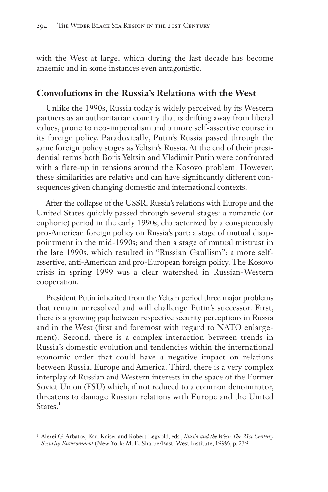with the West at large, which during the last decade has become anaemic and in some instances even antagonistic.

### **Convolutions in the Russia's Relations with the West**

Unlike the 1990s, Russia today is widely perceived by its Western partners as an authoritarian country that is drifting away from liberal values, prone to neo-imperialism and a more self-assertive course in its foreign policy. Paradoxically, Putin's Russia passed through the same foreign policy stages as Yeltsin's Russia. At the end of their presidential terms both Boris Yeltsin and Vladimir Putin were confronted with a flare-up in tensions around the Kosovo problem. However, these similarities are relative and can have significantly different consequences given changing domestic and international contexts.

After the collapse of the USSR, Russia's relations with Europe and the United States quickly passed through several stages: a romantic (or euphoric) period in the early 1990s, characterized by a conspicuously pro-American foreign policy on Russia's part; a stage of mutual disappointment in the mid-1990s; and then a stage of mutual mistrust in the late 1990s, which resulted in "Russian Gaullism": a more selfassertive, anti-American and pro-European foreign policy. The Kosovo crisis in spring 1999 was a clear watershed in Russian-Western cooperation.

President Putin inherited from the Yeltsin period three major problems that remain unresolved and will challenge Putin's successor. First, there is a growing gap between respective security perceptions in Russia and in the West (first and foremost with regard to NATO enlargement). Second, there is a complex interaction between trends in Russia's domestic evolution and tendencies within the international economic order that could have a negative impact on relations between Russia, Europe and America. Third, there is a very complex interplay of Russian and Western interests in the space of the Former Soviet Union (FSU) which, if not reduced to a common denominator, threatens to damage Russian relations with Europe and the United States.<sup>1</sup>

<sup>1</sup> Alexei G. Arbatov, Karl Kaiser and Robert Legvold, eds., *Russia and the West: The 21st Century Security Environment* (New York: M. E. Sharpe/East–West Institute, 1999), p. 239.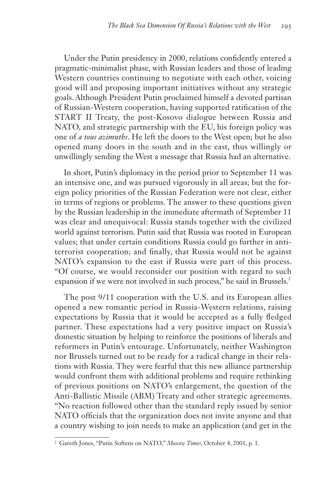Under the Putin presidency in 2000, relations confidently entered a pragmatic-minimalist phase, with Russian leaders and those of leading Western countries continuing to negotiate with each other, voicing good will and proposing important initiatives without any strategic goals. Although President Putin proclaimed himself a devoted partisan of Russian-Western cooperation, having supported ratification of the START II Treaty, the post-Kosovo dialogue between Russia and NATO, and strategic partnership with the EU, his foreign policy was one of *a tous azimuths*. He left the doors to the West open; but he also opened many doors in the south and in the east, thus willingly or unwillingly sending the West a message that Russia had an alternative.

In short, Putin's diplomacy in the period prior to September 11 was an intensive one, and was pursued vigorously in all areas; but the foreign policy priorities of the Russian Federation were not clear, either in terms of regions or problems. The answer to these questions given by the Russian leadership in the immediate aftermath of September 11 was clear and unequivocal: Russia stands together with the civilized world against terrorism. Putin said that Russia was rooted in European values; that under certain conditions Russia could go further in antiterrorist cooperation; and finally, that Russia would not be against NATO's expansion to the east if Russia were part of this process. "Of course, we would reconsider our position with regard to such expansion if we were not involved in such process," he said in Brussels.<sup>2</sup>

The post 9/11 cooperation with the U.S. and its European allies opened a new romantic period in Russia-Western relations, raising expectations by Russia that it would be accepted as a fully fledged partner. These expectations had a very positive impact on Russia's domestic situation by helping to reinforce the positions of liberals and reformers in Putin's entourage. Unfortunately, neither Washington nor Brussels turned out to be ready for a radical change in their relations with Russia. They were fearful that this new alliance partnership would confront them with additional problems and require rethinking of previous positions on NATO's enlargement, the question of the Anti-Ballistic Missile (ABM) Treaty and other strategic agreements. "No reaction followed other than the standard reply issued by senior NATO officials that the organization does not invite anyone and that a country wishing to join needs to make an application (and get in the

<sup>2</sup> Gareth Jones, "Putin Softens on NATO," *Moscow Times*, October 4, 2001, p. 1.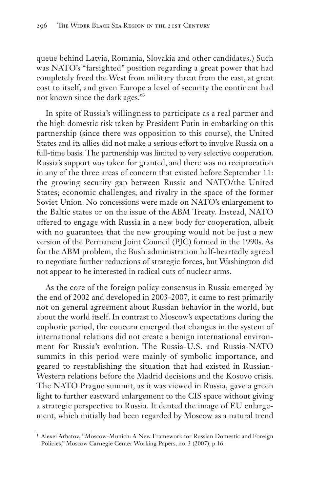queue behind Latvia, Romania, Slovakia and other candidates.) Such was NATO's "farsighted" position regarding a great power that had completely freed the West from military threat from the east, at great cost to itself, and given Europe a level of security the continent had not known since the dark ages."3

In spite of Russia's willingness to participate as a real partner and the high domestic risk taken by President Putin in embarking on this partnership (since there was opposition to this course), the United States and its allies did not make a serious effort to involve Russia on a full-time basis. The partnership was limited to very selective cooperation. Russia's support was taken for granted, and there was no reciprocation in any of the three areas of concern that existed before September 11: the growing security gap between Russia and NATO/the United States; economic challenges; and rivalry in the space of the former Soviet Union. No concessions were made on NATO's enlargement to the Baltic states or on the issue of the ABM Treaty. Instead, NATO offered to engage with Russia in a new body for cooperation, albeit with no guarantees that the new grouping would not be just a new version of the Permanent Joint Council (PJC) formed in the 1990s. As for the ABM problem, the Bush administration half-heartedly agreed to negotiate further reductions of strategic forces, but Washington did not appear to be interested in radical cuts of nuclear arms.

As the core of the foreign policy consensus in Russia emerged by the end of 2002 and developed in 2003-2007, it came to rest primarily not on general agreement about Russian behavior in the world, but about the world itself. In contrast to Moscow's expectations during the euphoric period, the concern emerged that changes in the system of international relations did not create a benign international environment for Russia's evolution. The Russia-U.S. and Russia-NATO summits in this period were mainly of symbolic importance, and geared to reestablishing the situation that had existed in Russian-Western relations before the Madrid decisions and the Kosovo crisis. The NATO Prague summit, as it was viewed in Russia, gave a green light to further eastward enlargement to the CIS space without giving a strategic perspective to Russia. It dented the image of EU enlargement, which initially had been regarded by Moscow as a natural trend

<sup>&</sup>lt;sup>3</sup> Alexei Arbatov, "Moscow-Munich: A New Framework for Russian Domestic and Foreign Policies," Moscow Carnegie Center Working Papers, no. 3 (2007), p.16.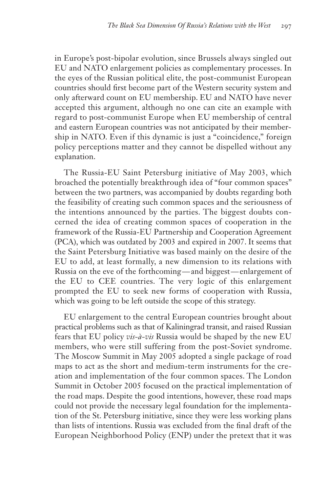in Europe's post-bipolar evolution, since Brussels always singled out EU and NATO enlargement policies as complementary processes. In the eyes of the Russian political elite, the post-communist European countries should first become part of the Western security system and only afterward count on EU membership. EU and NATO have never accepted this argument, although no one can cite an example with regard to post-communist Europe when EU membership of central and eastern European countries was not anticipated by their membership in NATO. Even if this dynamic is just a "coincidence," foreign policy perceptions matter and they cannot be dispelled without any explanation.

The Russia-EU Saint Petersburg initiative of May 2003, which broached the potentially breakthrough idea of "four common spaces" between the two partners, was accompanied by doubts regarding both the feasibility of creating such common spaces and the seriousness of the intentions announced by the parties. The biggest doubts concerned the idea of creating common spaces of cooperation in the framework of the Russia-EU Partnership and Cooperation Agreement (PCA), which was outdated by 2003 and expired in 2007. It seems that the Saint Petersburg Initiative was based mainly on the desire of the EU to add, at least formally, a new dimension to its relations with Russia on the eve of the forthcoming — and biggest — enlargement of the EU to CEE countries. The very logic of this enlargement prompted the EU to seek new forms of cooperation with Russia, which was going to be left outside the scope of this strategy.

EU enlargement to the central European countries brought about practical problems such as that of Kaliningrad transit, and raised Russian fears that EU policy *vis-à-vis* Russia would be shaped by the new EU members, who were still suffering from the post-Soviet syndrome. The Moscow Summit in May 2005 adopted a single package of road maps to act as the short and medium-term instruments for the creation and implementation of the four common spaces. The London Summit in October 2005 focused on the practical implementation of the road maps. Despite the good intentions, however, these road maps could not provide the necessary legal foundation for the implementation of the St. Petersburg initiative, since they were less working plans than lists of intentions. Russia was excluded from the final draft of the European Neighborhood Policy (ENP) under the pretext that it was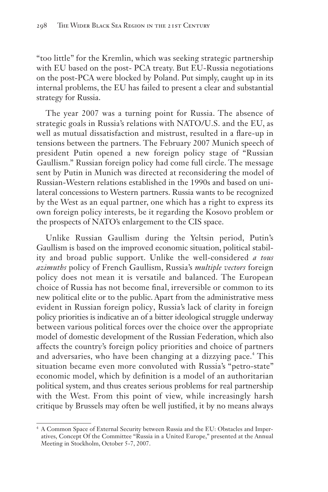"too little" for the Kremlin, which was seeking strategic partnership with EU based on the post- PCA treaty. But EU-Russia negotiations on the post-PCA were blocked by Poland. Put simply, caught up in its internal problems, the EU has failed to present a clear and substantial strategy for Russia.

The year 2007 was a turning point for Russia. The absence of strategic goals in Russia's relations with NATO/U.S. and the EU, as well as mutual dissatisfaction and mistrust, resulted in a flare-up in tensions between the partners. The February 2007 Munich speech of president Putin opened a new foreign policy stage of "Russian Gaullism." Russian foreign policy had come full circle. The message sent by Putin in Munich was directed at reconsidering the model of Russian-Western relations established in the 1990s and based on unilateral concessions to Western partners. Russia wants to be recognized by the West as an equal partner, one which has a right to express its own foreign policy interests, be it regarding the Kosovo problem or the prospects of NATO's enlargement to the CIS space.

Unlike Russian Gaullism during the Yeltsin period, Putin's Gaullism is based on the improved economic situation, political stability and broad public support. Unlike the well-considered *a tous azimuths* policy of French Gaullism, Russia's *multiple vectors* foreign policy does not mean it is versatile and balanced. The European choice of Russia has not become final, irreversible or common to its new political elite or to the public. Apart from the administrative mess evident in Russian foreign policy, Russia's lack of clarity in foreign policy priorities is indicative an of a bitter ideological struggle underway between various political forces over the choice over the appropriate model of domestic development of the Russian Federation, which also affects the country's foreign policy priorities and choice of partners and adversaries, who have been changing at a dizzying pace.<sup>4</sup> This situation became even more convoluted with Russia's "petro-state" economic model, which by definition is a model of an authoritarian political system, and thus creates serious problems for real partnership with the West. From this point of view, while increasingly harsh critique by Brussels may often be well justified, it by no means always

<sup>4</sup> A Common Space of External Security between Russia and the EU: Obstacles and Imperatives, Concept Of the Committee "Russia in a United Europe," presented at the Annual Meeting in Stockholm, October 5-7, 2007.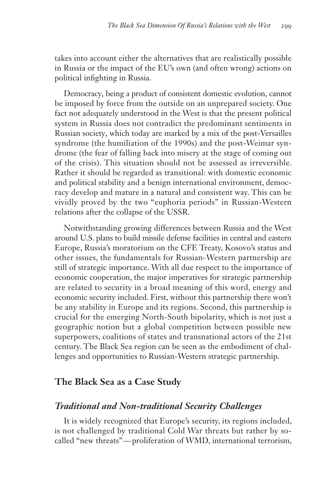takes into account either the alternatives that are realistically possible in Russia or the impact of the EU's own (and often wrong) actions on political infighting in Russia.

Democracy, being a product of consistent domestic evolution, cannot be imposed by force from the outside on an unprepared society. One fact not adequately understood in the West is that the present political system in Russia does not contradict the predominant sentiments in Russian society, which today are marked by a mix of the post-Versailles syndrome (the humiliation of the 1990s) and the post-Weimar syndrome (the fear of falling back into misery at the stage of coming out of the crisis). This situation should not be assessed as irreversible. Rather it should be regarded as transitional: with domestic economic and political stability and a benign international environment, democracy develop and mature in a natural and consistent way. This can be vividly proved by the two "euphoria periods" in Russian-Western relations after the collapse of the USSR.

Notwithstanding growing differences between Russia and the West around U.S. plans to build missile defense facilities in central and eastern Europe, Russia's moratorium on the CFE Treaty, Kosovo's status and other issues, the fundamentals for Russian-Western partnership are still of strategic importance. With all due respect to the importance of economic cooperation, the major imperatives for strategic partnership are related to security in a broad meaning of this word, energy and economic security included. First, without this partnership there won't be any stability in Europe and its regions. Second, this partnership is crucial for the emerging North-South bipolarity, which is not just a geographic notion but a global competition between possible new superpowers, coalitions of states and transnational actors of the 21st century. The Black Sea region can be seen as the embodiment of challenges and opportunities to Russian-Western strategic partnership.

#### **The Black Sea as a Case Study**

# *Traditional and Non-traditional Security Challenges*

It is widely recognized that Europe's security, its regions included, is not challenged by traditional Cold War threats but rather by socalled "new threats"— proliferation of WMD, international terrorism,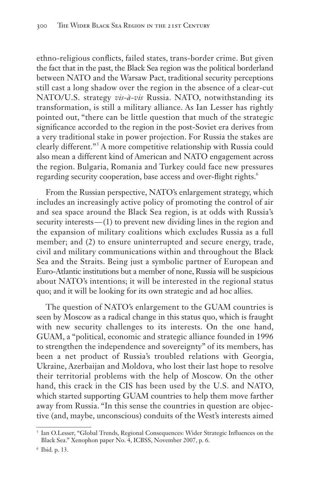ethno-religious conflicts, failed states, trans-border crime. But given the fact that in the past, the Black Sea region was the political borderland between NATO and the Warsaw Pact, traditional security perceptions still cast a long shadow over the region in the absence of a clear-cut NATO/U.S. strategy *vis-à-vis* Russia. NATO, notwithstanding its transformation, is still a military alliance. As Ian Lesser has rightly pointed out, "there can be little question that much of the strategic significance accorded to the region in the post-Soviet era derives from a very traditional stake in power projection. For Russia the stakes are clearly different."<sup>5</sup> A more competitive relationship with Russia could also mean a different kind of American and NATO engagement across the region. Bulgaria, Romania and Turkey could face new pressures regarding security cooperation, base access and over-flight rights.<sup>6</sup>

From the Russian perspective, NATO's enlargement strategy, which includes an increasingly active policy of promoting the control of air and sea space around the Black Sea region, is at odds with Russia's security interests — (1) to prevent new dividing lines in the region and the expansion of military coalitions which excludes Russia as a full member; and (2) to ensure uninterrupted and secure energy, trade, civil and military communications within and throughout the Black Sea and the Straits. Being just a symbolic partner of European and Euro-Atlantic institutions but a member of none, Russia will be suspicious about NATO's intentions; it will be interested in the regional status quo; and it will be looking for its own strategic and ad hoc allies.

The question of NATO's enlargement to the GUAM countries is seen by Moscow as a radical change in this status quo, which is fraught with new security challenges to its interests. On the one hand, GUAM, a "political, economic and strategic alliance founded in 1996 to strengthen the independence and sovereignty" of its members, has been a net product of Russia's troubled relations with Georgia, Ukraine, Azerbaijan and Moldova, who lost their last hope to resolve their territorial problems with the help of Moscow. On the other hand, this crack in the CIS has been used by the U.S. and NATO, which started supporting GUAM countries to help them move farther away from Russia. "In this sense the countries in question are objective (and, maybe, unconscious) conduits of the West's interests aimed

<sup>5</sup> Ian O.Lesser, "Global Trends, Regional Consequences: Wider Strategic Influences on the Black Sea." Xenophon paper No. 4, ICBSS, November 2007, p. 6.

<sup>6</sup> Ibid. p. 13.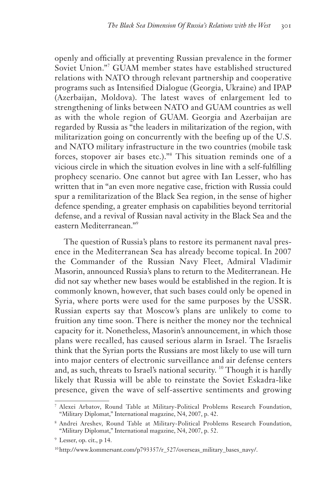openly and officially at preventing Russian prevalence in the former Soviet Union."<sup>7</sup> GUAM member states have established structured relations with NATO through relevant partnership and cooperative programs such as Intensified Dialogue (Georgia, Ukraine) and IPAP (Azerbaijan, Moldova). The latest waves of enlargement led to strengthening of links between NATO and GUAM countries as well as with the whole region of GUAM. Georgia and Azerbaijan are regarded by Russia as "the leaders in militarization of the region, with militarization going on concurrently with the beefing up of the U.S. and NATO military infrastructure in the two countries (mobile task forces, stopover air bases etc.)."<sup>8</sup> This situation reminds one of a vicious circle in which the situation evolves in line with a self-fulfilling prophecy scenario. One cannot but agree with Ian Lesser, who has written that in "an even more negative case, friction with Russia could spur a remilitarization of the Black Sea region, in the sense of higher defence spending, a greater emphasis on capabilities beyond territorial defense, and a revival of Russian naval activity in the Black Sea and the eastern Mediterranean."<sup>9</sup>

The question of Russia's plans to restore its permanent naval presence in the Mediterranean Sea has already become topical. In 2007 the Commander of the Russian Navy Fleet, Admiral Vladimir Masorin, announced Russia's plans to return to the Mediterranean. He did not say whether new bases would be established in the region. It is commonly known, however, that such bases could only be opened in Syria, where ports were used for the same purposes by the USSR. Russian experts say that Moscow's plans are unlikely to come to fruition any time soon. There is neither the money nor the technical capacity for it. Nonetheless, Masorin's announcement, in which those plans were recalled, has caused serious alarm in Israel. The Israelis think that the Syrian ports the Russians are most likely to use will turn into major centers of electronic surveillance and air defense centers and, as such, threats to Israel's national security. <sup>10</sup> Though it is hardly likely that Russia will be able to reinstate the Soviet Eskadra-like presence, given the wave of self-assertive sentiments and growing

<sup>7</sup> Alexei Arbatov, Round Table at Military-Political Problems Research Foundation, "Military Diplomat," International magazine, N4, 2007, p. 42.

<sup>8</sup> Andrei Areshev, Round Table at Military-Political Problems Research Foundation, "Military Diplomat," International magazine, N4, 2007, p. 52.

<sup>9</sup> Lesser, op. cit., p 14.

<sup>10</sup>http://www.kommersant.com/p793357/r\_527/overseas\_military\_bases\_navy/.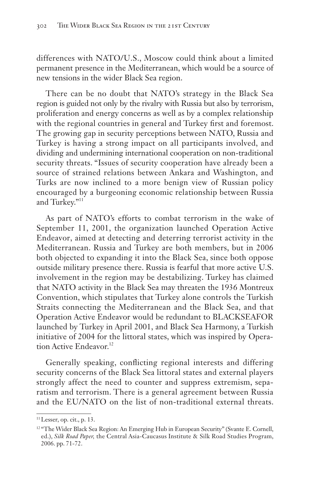differences with NATO/U.S., Moscow could think about a limited permanent presence in the Mediterranean, which would be a source of new tensions in the wider Black Sea region.

There can be no doubt that NATO's strategy in the Black Sea region is guided not only by the rivalry with Russia but also by terrorism, proliferation and energy concerns as well as by a complex relationship with the regional countries in general and Turkey first and foremost. The growing gap in security perceptions between NATO, Russia and Turkey is having a strong impact on all participants involved, and dividing and undermining international cooperation on non-traditional security threats. "Issues of security cooperation have already been a source of strained relations between Ankara and Washington, and Turks are now inclined to a more benign view of Russian policy encouraged by a burgeoning economic relationship between Russia and Turkey."<sup>11</sup>

As part of NATO's efforts to combat terrorism in the wake of September 11, 2001, the organization launched Operation Active Endeavor, aimed at detecting and deterring terrorist activity in the Mediterranean. Russia and Turkey are both members, but in 2006 both objected to expanding it into the Black Sea, since both oppose outside military presence there. Russia is fearful that more active U.S. involvement in the region may be destabilizing. Turkey has claimed that NATO activity in the Black Sea may threaten the 1936 Montreux Convention, which stipulates that Turkey alone controls the Turkish Straits connecting the Mediterranean and the Black Sea, and that Operation Active Endeavor would be redun dant to BLACKSEAFOR launched by Turkey in April 2001, and Black Sea Harmony, a Turkish initiative of 2004 for the littoral states, which was inspired by Operation Active Endeavor.<sup>12</sup>

Generally speaking, conflicting regional interests and differing security concerns of the Black Sea littoral states and external players strongly affect the need to counter and suppress extremism, separatism and terrorism. There is a general agreement between Russia and the EU/NATO on the list of non-traditional external threats.

<sup>11</sup>Lesser, op. cit., p. 13.

<sup>&</sup>lt;sup>12 "The Wider Black Sea Region: An Emerging Hub in European Security" (Svante E. Cornell,</sup> ed.), *Silk Road Paper,* the Central Asia-Caucasus Institute & Silk Road Studies Program, 2006. pp. 71-72.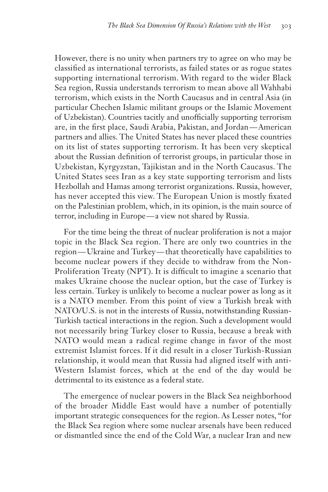However, there is no unity when partners try to agree on who may be classified as international terrorists, as failed states or as rogue states supporting international terrorism. With regard to the wider Black Sea region, Russia understands terrorism to mean above all Wahhabi terrorism, which exists in the North Caucasus and in central Asia (in particular Chechen Islamic militant groups or the Islamic Movement of Uzbekistan). Countries tacitly and unofficially supporting terrorism are, in the first place, Saudi Arabia, Pakistan, and Jordan— American partners and allies. The United States has never placed these countries on its list of states supporting terrorism. It has been very skeptical about the Russian definition of terrorist groups, in particular those in Uzbekistan, Kyrgyzstan, Tajikistan and in the North Caucasus. The United States sees Iran as a key state supporting terrorism and lists Hezbollah and Hamas among terrorist organizations. Russia, however, has never accepted this view. The European Union is mostly fixated on the Palestinian problem, which, in its opinion, is the main source of terror, including in Europe — a view not shared by Russia.

For the time being the threat of nuclear proliferation is not a major topic in the Black Sea region. There are only two countries in the region — Ukraine and Turkey — that theoretically have capabilities to become nuclear powers if they decide to withdraw from the Non-Proliferation Treaty (NPT). It is difficult to imagine a scenario that makes Ukraine choose the nuclear option, but the case of Turkey is less certain. Turkey is unlikely to become a nuclear power as long as it is a NATO member. From this point of view a Turkish break with NATO/U.S. is not in the interests of Russia, notwithstanding Russian-Turkish tactical interactions in the region. Such a development would not necessarily bring Turkey closer to Russia, because a break with NATO would mean a radical regime change in favor of the most extremist Islamist forces. If it did result in a closer Turkish-Russian relationship, it would mean that Russia had aligned itself with anti-Western Islamist forces, which at the end of the day would be detrimental to its existence as a federal state.

The emergence of nuclear powers in the Black Sea neighborhood of the broader Middle East would have a number of potentially important strategic consequences for the region. As Lesser notes, "for the Black Sea region where some nuclear arsenals have been reduced or dismantled since the end of the Cold War, a nuclear Iran and new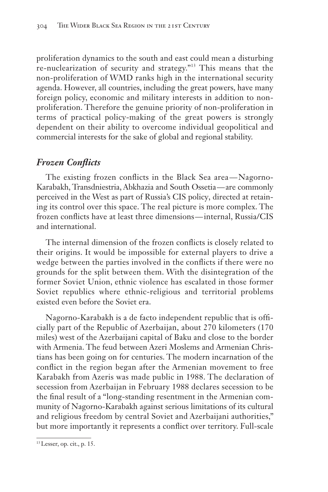proliferation dynamics to the south and east could mean a disturbing re-nuclearization of security and strategy."<sup>13</sup> This means that the non-proliferation of WMD ranks high in the international security agenda. However, all countries, including the great powers, have many foreign policy, economic and military interests in addition to nonproliferation. Therefore the genuine priority of non-proliferation in terms of practical policy-making of the great powers is strongly dependent on their ability to overcome individual geopolitical and commercial interests for the sake of global and regional stability.

# *Frozen Conflicts*

The existing frozen conflicts in the Black Sea area—Nagorno-Karabakh, Transdniestria, Abkhazia and South Ossetia — are commonly perceived in the West as part of Russia's CIS policy, directed at retaining its control over this space. The real picture is more complex. The frozen conflicts have at least three dimensions — internal, Russia/CIS and international.

The internal dimension of the frozen conflicts is closely related to their origins. It would be impossible for external players to drive a wedge between the parties involved in the conflicts if there were no grounds for the split between them. With the disintegration of the former Soviet Union, ethnic violence has escalated in those former Soviet republics where ethnic-religious and territorial problems existed even before the Soviet era.

Nagorno-Karabakh is a de facto independent republic that is officially part of the Republic of Azerbaijan, about 270 kilometers (170 miles) west of the Azerbaijani capital of Baku and close to the border with Armenia. The feud between Azeri Moslems and Armenian Christians has been going on for centuries. The modern incarnation of the conflict in the region began after the Armenian movement to free Karabakh from Azeris was made public in 1988. The declaration of secession from Azerbaijan in February 1988 declares secession to be the final result of a "long-standing resentment in the Armenian community of Nagorno-Karabakh against serious limitations of its cultural and religious freedom by central Soviet and Azerbaijani authorities," but more importantly it represents a conflict over territory. Full-scale

<sup>13</sup>Lesser, op. cit., p. 15.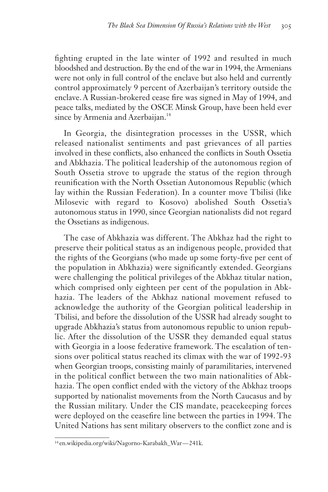fighting erupted in the late winter of 1992 and resulted in much bloodshed and destruction. By the end of the war in 1994, the Armenians were not only in full control of the enclave but also held and currently control approximately 9 percent of Azerbaijan's territory outside the enclave. A Russian-brokered cease fire was signed in May of 1994, and peace talks, mediated by the OSCE Minsk Group, have been held ever since by Armenia and Azerbaijan.<sup>14</sup>

In Georgia, the disintegration processes in the USSR, which released nationalist sentiments and past grievances of all parties involved in these conflicts, also enhanced the conflicts in South Ossetia and Abkhazia. The political leadership of the autonomous region of South Ossetia strove to upgrade the status of the region through reunification with the North Ossetian Autonomous Republic (which lay within the Russian Federation). In a counter move Tbilisi (like Milosevic with regard to Kosovo) abolished South Ossetia's autonomous status in 1990, since Georgian nationalists did not regard the Ossetians as indigenous.

The case of Abkhazia was different. The Abkhaz had the right to preserve their political status as an indigenous people, provided that the rights of the Georgians (who made up some forty-five per cent of the population in Abkhazia) were significantly extended. Georgians were challenging the political privileges of the Abkhaz titular nation, which comprised only eighteen per cent of the population in Abkhazia. The leaders of the Abkhaz national movement refused to acknowledge the authority of the Georgian political leadership in Tbilisi, and before the dissolution of the USSR had already sought to upgrade Abkhazia's status from autonomous republic to union republic. After the dissolution of the USSR they demanded equal status with Georgia in a loose federative framework. The escalation of tensions over political status reached its climax with the war of 1992-93 when Georgian troops, consisting mainly of paramilitaries, intervened in the political conflict between the two main nationalities of Abkhazia. The open conflict ended with the victory of the Abkhaz troops supported by nationalist movements from the North Caucasus and by the Russian military. Under the CIS mandate, peacekeeping forces were deployed on the ceasefire line between the parties in 1994. The United Nations has sent military observers to the conflict zone and is

<sup>14</sup> en.wikipedia.org/wiki/Nagorno-Karabakh\_War — 241k.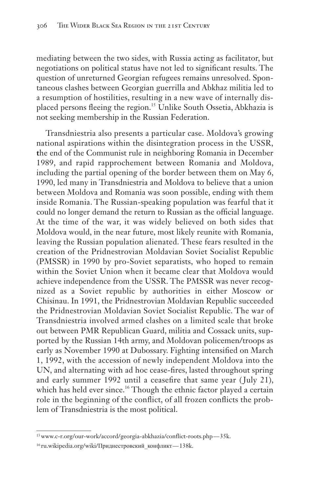mediating between the two sides, with Russia acting as facilitator, but negotiations on political status have not led to significant results. The question of unreturned Georgian refugees remains unresolved. Spontaneous clashes between Georgian guerrilla and Abkhaz militia led to a resumption of hostilities, resulting in a new wave of internally displaced persons fleeing the region.<sup>15</sup> Unlike South Ossetia, Abkhazia is not seeking membership in the Russian Federation.

Transdniestria also presents a particular case. Moldova's growing national aspirations within the disintegration process in the USSR, **t**he end of the Communist rule in neighboring Romania in December 1989, and rapid rapprochement between Romania and Moldova, including the partial opening of the border between them on May 6, 1990, led many in Transdniestria and Moldova to believe that a union between Moldova and Romania was soon possible, ending with them inside Romania. The Russian-speaking population was fearful that it could no longer demand the return to Russian as the official language. At the time of the war, it was widely believed on both sides that Moldova would, in the near future, most likely reunite with Romania, leaving the Russian population alienated. These fears resulted in the creation of the Pridnestrovian Moldavian Soviet Socialist Republic (PMSSR) in 1990 by pro-Soviet separatists, who hoped to remain within the Soviet Union when it became clear that Moldova would achieve independence from the USSR. The PMSSR was never recognized as a Soviet republic by authorities in either Moscow or Chisinau. In 1991, the Pridnestrovian Moldavian Republic succeeded the Pridnestrovian Moldavian Soviet Socialist Republic. The war of Transdniestria involved armed clashes on a limited scale that broke out between PMR Republican Guard, militia and Cossack units, supported by the Russian 14th army, and Moldovan policemen/troops as early as November 1990 at Dubossary. Fighting intensified on March 1, 1992, with the accession of newly independent Moldova into the UN, and alternating with ad hoc cease-fires, lasted throughout spring and early summer 1992 until a ceasefire that same year (July 21), which has held ever since.<sup>16</sup> Though the ethnic factor played a certain role in the beginning of the conflict, of all frozen conflicts the problem of Transdniestria is the most political.

<sup>15</sup>www.c-r.org/our-work/accord/georgia-abkhazia/conflict-roots.php — 35k.

<sup>16</sup> ru.wikipedia.org/wiki/Приднестровский\_конфликт — 138k.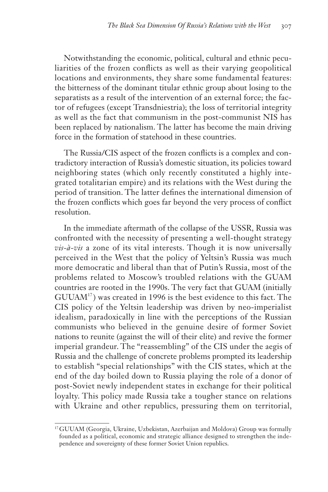Notwithstanding the economic, political, cultural and ethnic peculiarities of the frozen conflicts as well as their varying geopolitical locations and environments, they share some fundamental features: the bitterness of the dominant titular ethnic group about losing to the separatists as a result of the intervention of an external force; the factor of refugees (except Transdniestria); the loss of territorial integrity as well as the fact that communism in the post-communist NIS has been replaced by nationalism. The latter has become the main driving force in the formation of statehood in these countries.

The Russia/CIS aspect of the frozen conflicts is a complex and contradictory interaction of Russia's domestic situation, its policies toward neighboring states (which only recently constituted a highly integrated totalitarian empire) and its relations with the West during the period of transition. The latter defines the international dimension of the frozen conflicts which goes far beyond the very process of conflict resolution.

In the immediate aftermath of the collapse of the USSR, Russia was confronted with the necessity of presenting a well-thought strategy *vis-à-vis* a zone of its vital interests. Though it is now universally perceived in the West that the policy of Yeltsin's Russia was much more democratic and liberal than that of Putin's Russia, most of the problems related to Moscow's troubled relations with the GUAM countries are rooted in the 1990s. The very fact that GUAM (initially  $GUUAM<sup>17</sup>$ ) was created in 1996 is the best evidence to this fact. The CIS policy of the Yeltsin leadership was driven by neo-imperialist idealism, paradoxically in line with the perceptions of the Russian communists who believed in the genuine desire of former Soviet nations to reunite (against the will of their elite) and revive the former imperial grandeur. The "reassembling" of the CIS under the aegis of Russia and the challenge of concrete problems prompted its leadership to establish "special relationships" with the CIS states, which at the end of the day boiled down to Russia playing the role of a donor of post-Soviet newly independent states in exchange for their political loyalty. This policy made Russia take a tougher stance on relations with Ukraine and other republics, pressuring them on territorial,

<sup>17</sup>GUUAM (Georgia, Ukraine, Uzbekistan, Azerbaijan and Moldova) Group was formally founded as a political, economic and strategic alliance designed to strengthen the independence and sovereignty of these former Soviet Union republics.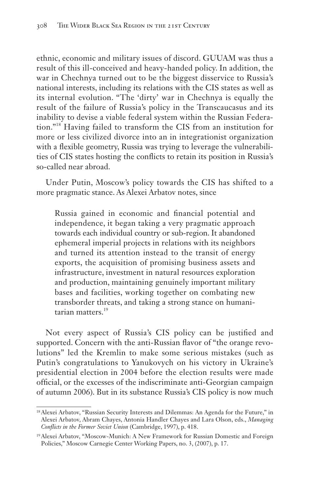ethnic, economic and military issues of discord. GUUAM was thus a result of this ill-conceived and heavy-handed policy. In addition, the war in Chechnya turned out to be the biggest disservice to Russia's national interests, including its relations with the CIS states as well as its internal evolution. "The 'dirty' war in Chechnya is equally the result of the failure of Russia's policy in the Transcaucasus and its inability to devise a viable federal system within the Russian Federation."<sup>18</sup> Having failed to transform the CIS from an institution for more or less civilized divorce into an in integrationist organization with a flexible geometry, Russia was trying to leverage the vulnerabilities of CIS states hosting the conflicts to retain its position in Russia's so-called near abroad.

Under Putin, Moscow's policy towards the CIS has shifted to a more pragmatic stance. As Alexei Arbatov notes, since

Russia gained in economic and financial potential and independence, it began taking a very pragmatic approach towards each individual country or sub-region. It abandoned ephemeral imperial projects in relations with its neighbors and turned its attention instead to the transit of energy exports, the acquisition of promising business assets and infrastructure, investment in natural resources exploration and production, maintaining genuinely important military bases and facilities, working together on combating new transborder threats, and taking a strong stance on humanitarian matters.<sup>19</sup>

Not every aspect of Russia's CIS policy can be justified and supported. Concern with the anti-Russian flavor of "the orange revolutions" led the Kremlin to make some serious mistakes (such as Putin's congratulations to Yanukovych on his victory in Ukraine's presidential election in 2004 before the election results were made official, or the excesses of the indiscriminate anti-Georgian campaign of autumn 2006). But in its substance Russia's CIS policy is now much

<sup>18</sup>Alexei Arbatov, "Russian Security Interests and Dilemmas: An Agenda for the Future," in Alexei Arbatov, Abram Chayes, Antonia Handler Chayes and Lara Olson, eds., *Managing Conflicts in the Former Soviet Union* (Cambridge, 1997), p. 418.

<sup>19</sup>Alexei Arbatov, "Moscow-Munich: A New Framework for Russian Domestic and Foreign Policies," Moscow Carnegie Center Working Papers, no. 3, (2007), p. 17.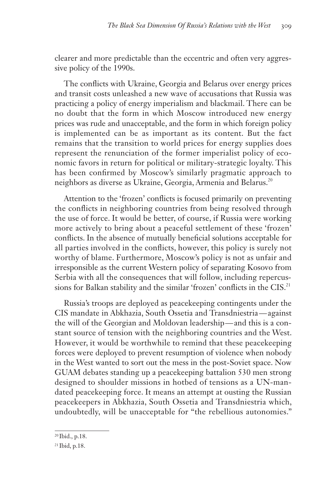clearer and more predictable than the eccentric and often very aggressive policy of the 1990s.

The conflicts with Ukraine, Georgia and Belarus over energy prices and transit costs unleashed a new wave of accusations that Russia was practicing a policy of energy imperialism and blackmail. There can be no doubt that the form in which Moscow introduced new energy prices was rude and unacceptable, and the form in which foreign policy is implemented can be as important as its content. But the fact remains that the transition to world prices for energy supplies does represent the renunciation of the former imperialist policy of economic favors in return for political or military-strategic loyalty. This has been confirmed by Moscow's similarly pragmatic approach to neighbors as diverse as Ukraine, Georgia, Armenia and Belarus.<sup>20</sup>

Attention to the 'frozen' conflicts is focused primarily on preventing the conflicts in neighboring countries from being resolved through the use of force. It would be better, of course, if Russia were working more actively to bring about a peaceful settlement of these 'frozen' conflicts. In the absence of mutually beneficial solutions acceptable for all parties involved in the conflicts, however, this policy is surely not worthy of blame. Furthermore, Moscow's policy is not as unfair and irresponsible as the current Western policy of separating Kosovo from Serbia with all the consequences that will follow, including repercussions for Balkan stability and the similar 'frozen' conflicts in the CIS.<sup>21</sup>

Russia's troops are deployed as peacekeeping contingents under the CIS mandate in Abkhazia, South Ossetia and Transdniestria — against the will of the Georgian and Moldovan leadership — and this is a constant source of tension with the neighboring countries and the West. However, it would be worthwhile to remind that these peacekeeping forces were deployed to prevent resumption of violence when nobody in the West wanted to sort out the mess in the post-Soviet space. Now GUAM debates standing up a peacekeeping battalion 530 men strong designed to shoulder missions in hotbed of tensions as a UN-mandated peacekeeping force. It means an attempt at ousting the Russian peacekeepers in Abkhazia, South Ossetia and Transdniestria which, undoubtedly, will be unacceptable for "the rebellious autonomies."

<sup>20</sup> Ibid., p.18.

<sup>21</sup> Ibid, p.18.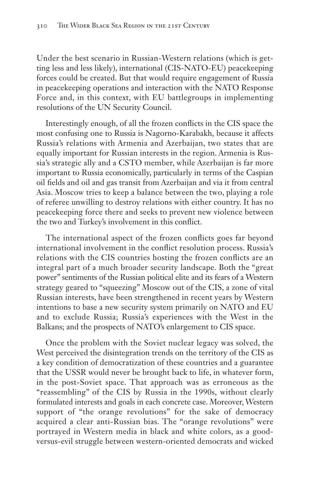Under the best scenario in Russian-Western relations (which is getting less and less likely), international (CIS-NATO-EU) peacekeeping forces could be created. But that would require engagement of Russia in peacekeeping operations and interaction with the NATO Response Force and, in this context, with EU battlegroups in implementing resolutions of the UN Security Council.

Interestingly enough, of all the frozen conflicts in the CIS space the most confusing one to Russia is Nagorno-Karabakh, because it affects Russia's relations with Armenia and Azerbaijan, two states that are equally important for Russian interests in the region. Armenia is Russia's strategic ally and a CSTO member, while Azerbaijan is far more important to Russia economically, particularly in terms of the Caspian oil fields and oil and gas transit from Azerbaijan and via it from central Asia. Moscow tries to keep a balance between the two, playing a role of referee unwilling to destroy relations with either country. It has no peacekeeping force there and seeks to prevent new violence between the two and Turkey's involvement in this conflict.

The international aspect of the frozen conflicts goes far beyond international involvement in the conflict resolution process. Russia's relations with the CIS countries hosting the frozen conflicts are an integral part of a much broader security landscape. Both the "great power" sentiments of the Russian political elite and its fears of a Western strategy geared to "squeezing" Moscow out of the CIS, a zone of vital Russian interests, have been strengthened in recent years by Western intentions to base a new security system primarily on NATO and EU and to exclude Russia; Russia's experiences with the West in the Balkans; and the prospects of NATO's enlargement to CIS space.

Once the problem with the Soviet nuclear legacy was solved, the West perceived the disintegration trends on the territory of the CIS as a key condition of democratization of these countries and a guarantee that the USSR would never be brought back to life, in whatever form, in the post-Soviet space. That approach was as erroneous as the "reassembling" of the CIS by Russia in the 1990s, without clearly formulated interests and goals in each concrete case. Moreover, Western support of "the orange revolutions" for the sake of democracy acquired a clear anti-Russian bias. The "orange revolutions" were portrayed in Western media in black and white colors, as a goodversus-evil struggle between western-oriented democrats and wicked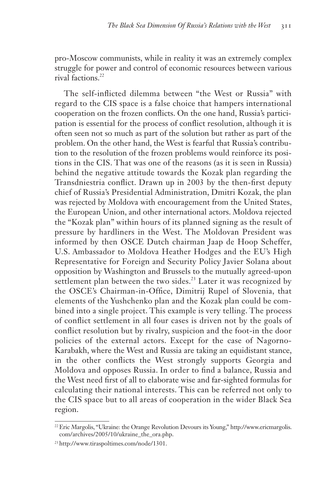pro-Moscow communists, while in reality it was an extremely complex struggle for power and control of economic resources between various rival factions.22

The self-inflicted dilemma between "the West or Russia" with regard to the CIS space is a false choice that hampers international cooperation on the frozen conflicts. On the one hand, Russia's participation is essential for the process of conflict resolution, although it is often seen not so much as part of the solution but rather as part of the problem. On the other hand, the West is fearful that Russia's contribution to the resolution of the frozen problems would reinforce its positions in the CIS. That was one of the reasons (as it is seen in Russia) behind the negative attitude towards the Kozak plan regarding the Transdniestria conflict. Drawn up in 2003 by the then-first deputy chief of Russia's Presidential Administration, Dmitri Kozak, the plan was rejected by Moldova with encouragement from the United States, the European Union, and other international actors. Moldova rejected the "Kozak plan" within hours of its planned signing as the result of pressure by hardliners in the West. The Moldovan President was informed by then OSCE Dutch chairman Jaap de Hoop Scheffer, U.S. Ambassador to Moldova Heather Hodges and the EU's High Representative for Foreign and Security Policy Javier Solana about opposition by Washington and Brussels to the mutually agreed-upon settlement plan between the two sides.<sup>23</sup> Later it was recognized by the OSCE's Chairman-in-Office, Dimitrij Rupel of Slovenia, that elements of the Yushchenko plan and the Kozak plan could be combined into a single project. This example is very telling. The process of conflict settlement in all four cases is driven not by the goals of conflict resolution but by rivalry, suspicion and the foot-in the door policies of the external actors. Except for the case of Nagorno-Karabakh, where the West and Russia are taking an equidistant stance, in the other conflicts the West strongly supports Georgia and Moldova and opposes Russia. In order to find a balance, Russia and the West need first of all to elaborate wise and far-sighted formulas for calculating their national interests. This can be referred not only to the CIS space but to all areas of cooperation in the wider Black Sea region.

<sup>22</sup>Eric Margolis, "Ukraine: the Orange Revolution Devours its Young," http://www.ericmargolis. com/archives/2005/10/ukraine\_the\_ora.php.

<sup>23</sup>http://www.tiraspoltimes.com/node/1301.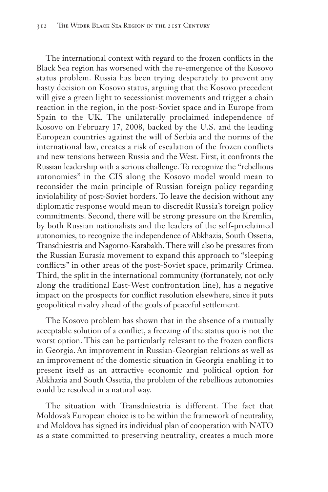The international context with regard to the frozen conflicts in the Black Sea region has worsened with the re-emergence of the Kosovo status problem. Russia has been trying desperately to prevent any hasty decision on Kosovo status, arguing that the Kosovo precedent will give a green light to secessionist movements and trigger a chain reaction in the region, in the post-Soviet space and in Europe from Spain to the UK. The unilaterally proclaimed independence of Kosovo on February 17, 2008, backed by the U.S. and the leading European countries against the will of Serbia and the norms of the international law, creates a risk of escalation of the frozen conflicts and new tensions between Russia and the West. First, it confronts the Russian leadership with a serious challenge. To recognize the "rebellious autonomies" in the CIS along the Kosovo model would mean to reconsider the main principle of Russian foreign policy regarding inviolability of post-Soviet borders. To leave the decision without any diplomatic response would mean to discredit Russia's foreign policy commitments. Second, there will be strong pressure on the Kremlin, by both Russian nationalists and the leaders of the self-proclaimed autonomies, to recognize the independence of Abkhazia, South Ossetia, Transdniestria and Nagorno-Karabakh. There will also be pressures from the Russian Eurasia movement to expand this approach to "sleeping conflicts" in other areas of the post-Soviet space, primarily Crimea. Third, the split in the international community (fortunately, not only along the traditional East-West confrontation line), has a negative impact on the prospects for conflict resolution elsewhere, since it puts geopolitical rivalry ahead of the goals of peaceful settlement.

The Kosovo problem has shown that in the absence of a mutually acceptable solution of a conflict, a freezing of the status quo is not the worst option. This can be particularly relevant to the frozen conflicts in Georgia. An improvement in Russian-Georgian relations as well as an improvement of the domestic situation in Georgia enabling it to present itself as an attractive economic and political option for Abkhazia and South Ossetia, the problem of the rebellious autonomies could be resolved in a natural way.

The situation with Transdniestria is different. The fact that Moldova's European choice is to be within the framework of neutrality, and Moldova has signed its individual plan of cooperation with NATO as a state committed to preserving neutrality, creates a much more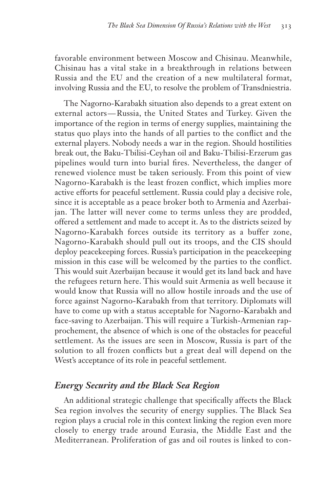favorable environment between Moscow and Chisinau. Meanwhile, Chisinau has a vital stake in a breakthrough in relations between Russia and the EU and the creation of a new multilateral format, involving Russia and the EU, to resolve the problem of Transdniestria.

The Nagorno-Karabakh situation also depends to a great extent on external actors — Russia, the United States and Turkey. Given the importance of the region in terms of energy supplies, maintaining the status quo plays into the hands of all parties to the conflict and the external players. Nobody needs a war in the region. Should hostilities break out, the Baku-Tbilisi-Ceyhan oil and Baku-Tbilisi-Erzerum gas pipelines would turn into burial fires. Nevertheless, the danger of renewed violence must be taken seriously. From this point of view Nagorno-Karabakh is the least frozen conflict, which implies more active efforts for peaceful settlement. Russia could play a decisive role, since it is acceptable as a peace broker both to Armenia and Azerbaijan. The latter will never come to terms unless they are prodded, offered a settlement and made to accept it. As to the districts seized by Nagorno-Karabakh forces outside its territory as a buffer zone, Nagorno-Karabakh should pull out its troops, and the CIS should deploy peacekeeping forces. Russia's participation in the peacekeeping mission in this case will be welcomed by the parties to the conflict. This would suit Azerbaijan because it would get its land back and have the refugees return here. This would suit Armenia as well because it would know that Russia will no allow hostile inroads and the use of force against Nagorno-Karabakh from that territory. Diplomats will have to come up with a status acceptable for Nagorno-Karabakh and face-saving to Azerbaijan. This will require a Turkish-Armenian rapprochement, the absence of which is one of the obstacles for peaceful settlement. As the issues are seen in Moscow, Russia is part of the solution to all frozen conflicts but a great deal will depend on the West's acceptance of its role in peaceful settlement.

### *Energy Security and the Black Sea Region*

An additional strategic challenge that specifically affects the Black Sea region involves the security of energy supplies. The Black Sea region plays a crucial role in this context linking the region even more closely to energy trade around Eurasia, the Middle East and the Mediterranean. Proliferation of gas and oil routes is linked to con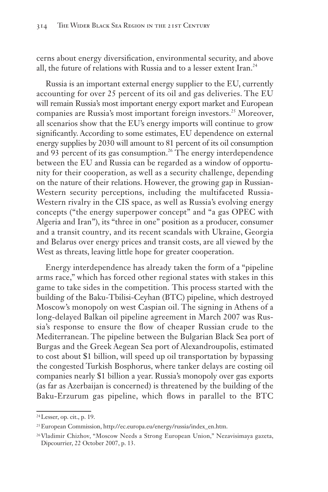cerns about energy diversification, environmental security, and above all, the future of relations with Russia and to a lesser extent Iran.<sup>24</sup>

Russia is an important external energy supplier to the EU, currently accounting for over 25 percent of its oil and gas deliveries. The EU will remain Russia's most important energy export market and European companies are Russia's most important foreign investors.<sup>25</sup> Moreover, all scenarios show that the EU's energy imports will continue to grow significantly. According to some estimates, EU dependence on external energy supplies by 2030 will amount to 81 percent of its oil consumption and 93 percent of its gas consumption.<sup>26</sup> The energy interdependence between the EU and Russia can be regarded as a window of opportunity for their cooperation, as well as a security challenge, depending on the nature of their relations. However, the growing gap in Russian-Western security perceptions, including the multifaceted Russia-Western rivalry in the CIS space, as well as Russia's evolving energy concepts ("the energy superpower concept" and "a gas OPEC with Algeria and Iran"), its "three in one" position as a producer, consumer and a transit country, and its recent scandals with Ukraine, Georgia and Belarus over energy prices and transit costs, are all viewed by the West as threats, leaving little hope for greater cooperation.

Energy interdependence has already taken the form of a "pipeline arms race," which has forced other regional states with stakes in this game to take sides in the competition. This process started with the building of the Baku-Tbilisi-Ceyhan (BTC) pipeline, which destroyed Moscow's monopoly on west Caspian oil. The signing in Athens of a long-delayed Balkan oil pipeline agreement in March 2007 was Russia's response to ensure the flow of cheaper Russian crude to the Mediterranean. The pipeline between the Bulgarian Black Sea port of Burgas and the Greek Aegean Sea port of Alexandroupolis, estimated to cost about \$1 billion, will speed up oil transportation by bypassing the congested Turkish Bosphorus, where tanker delays are costing oil companies nearly \$1 billion a year. Russia's monopoly over gas exports (as far as Azerbaijan is concerned) is threatened by the building of the Baku-Erzurum gas pipeline, which flows in parallel to the BTC

<sup>24</sup>Lesser, op. cit., p. 19.

<sup>25</sup>European Commission, http://ec.europa.eu/energy/russia/index\_en.htm.

<sup>26</sup>Vladimir Chizhov, "Moscow Needs a Strong European Union," Nezavisimaya gazeta, Dipcourrier, 22 October 2007, p. 13.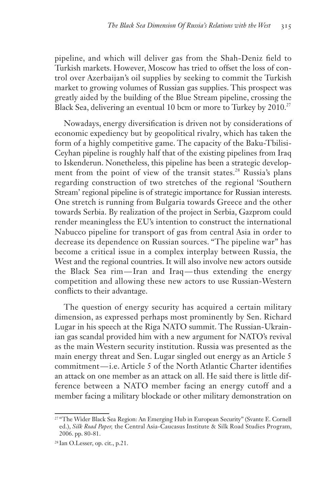pipeline, and which will deliver gas from the Shah-Deniz field to Turkish markets. However, Moscow has tried to offset the loss of control over Azerbaijan's oil supplies by seeking to commit the Turkish market to growing volumes of Russian gas supplies. This prospect was greatly aided by the building of the Blue Stream pipeline, crossing the Black Sea, delivering an eventual 10 bcm or more to Turkey by 2010.<sup>27</sup>

Nowadays, energy diversification is driven not by considerations of economic expediency but by geopolitical rivalry, which has taken the form of a highly competitive game. The capacity of the Baku-Tbilisi-Ceyhan pipeline is roughly half that of the existing pipelines from Iraq to Iskenderun. Nonetheless, this pipeline has been a strategic development from the point of view of the transit states.<sup>28</sup> Russia's plans regarding construction of two stretches of the regional 'Southern Stream' regional pipeline is of strategic importance for Russian interests. One stretch is running from Bulgaria towards Greece and the other towards Serbia. By realization of the project in Serbia, Gazprom could render meaningless the EU's intention to construct the international Nabucco pipeline for transport of gas from central Asia in order to decrease its dependence on Russian sources. "The pipeline war" has become a critical issue in a complex interplay between Russia, the West and the regional countries. It will also involve new actors outside the Black Sea rim— Iran and Iraq — thus extending the energy competition and allowing these new actors to use Russian-Western conflicts to their advantage.

The question of energy security has acquired a certain military dimension, as expressed perhaps most prominently by Sen. Richard Lugar in his speech at the Riga NATO summit. The Russian-Ukrainian gas scandal provided him with a new argument for NATO's revival as the main Western security institution. Russia was presented as the main energy threat and Sen. Lugar singled out energy as an Article 5 commitment — i.e. Article 5 of the North Atlantic Charter identifies an attack on one member as an attack on all. He said there is little difference between a NATO member facing an energy cutoff and a member facing a military blockade or other military demonstration on

<sup>&</sup>lt;sup>27</sup> "The Wider Black Sea Region: An Emerging Hub in European Security" (Svante E. Cornell ed.), *Silk Road Paper,* the Central Asia-Caucasus Institute & Silk Road Studies Program, 2006. pp. 80-81.

<sup>28</sup> Ian O.Lesser, op. cit., p.21.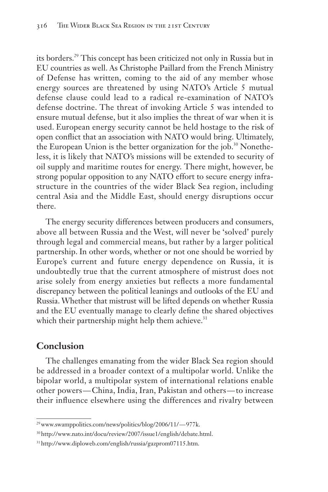its borders.29 This concept has been criticized not only in Russia but in EU countries as well. As Christophe Paillard from the French Ministry of Defense has written, coming to the aid of any member whose energy sources are threatened by using NATO's Article 5 mutual defense clause could lead to a radical re-examination of NATO's defense doctrine. The threat of invoking Article 5 was intended to ensure mutual defense, but it also implies the threat of war when it is used. European energy security cannot be held hostage to the risk of open conflict that an association with NATO would bring. Ultimately, the European Union is the better organization for the job.<sup>30</sup> Nonetheless, it is likely that NATO's missions will be extended to security of oil supply and maritime routes for energy. There might, however, be strong popular opposition to any NATO effort to secure energy infrastructure in the countries of the wider Black Sea region, including central Asia and the Middle East, should energy disruptions occur there.

The energy security differences between producers and consumers, above all between Russia and the West, will never be 'solved' purely through legal and commercial means, but rather by a larger political partnership. In other words, whether or not one should be worried by Europe's current and future energy dependence on Russia, it is undoubtedly true that the current atmosphere of mistrust does not arise solely from energy anxieties but reflects a more fundamental discrepancy between the political leanings and outlooks of the EU and Russia. Whether that mistrust will be lifted depends on whether Russia and the EU eventually manage to clearly define the shared objectives which their partnership might help them achieve. $31$ 

# **Conclusion**

The challenges emanating from the wider Black Sea region should be addressed in a broader context of a multipolar world. Unlike the bipolar world, a multipolar system of international relations enable other powers— China, India, Iran, Pakistan and others — to increase their influence elsewhere using the differences and rivalry between

<sup>&</sup>lt;sup>29</sup>www.swamppolitics.com/news/politics/blog/2006/11/-977k.

<sup>30</sup>http://www.nato.int/docu/review/2007/issue1/english/debate.html.

<sup>31</sup>http://www.diploweb.com/english/russia/gazprom07115.htm.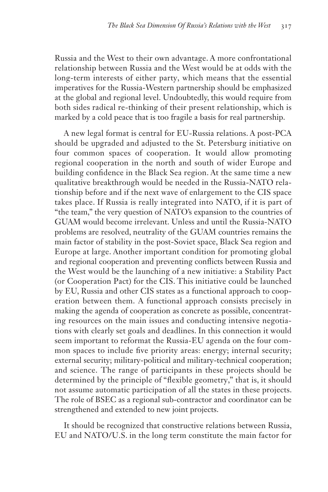Russia and the West to their own advantage. A more confrontational relationship between Russia and the West would be at odds with the long-term interests of either party, which means that the essential imperatives for the Russia-Western partnership should be emphasized at the global and regional level. Undoubtedly, this would require from both sides radical re-thinking of their present relationship, which is marked by a cold peace that is too fragile a basis for real partnership.

A new legal format is central for EU-Russia relations. A post-PCA should be upgraded and adjusted to the St. Petersburg initiative on four common spaces of cooperation. It would allow promoting regional cooperation in the north and south of wider Europe and building confidence in the Black Sea region. At the same time a new qualitative breakthrough would be needed in the Russia-NATO relationship before and if the next wave of enlargement to the CIS space takes place. If Russia is really integrated into NATO, if it is part of "the team," the very question of NATO's expansion to the countries of GUAM would become irrelevant. Unless and until the Russia-NATO problems are resolved, neutrality of the GUAM countries remains the main factor of stability in the post-Soviet space, Black Sea region and Europe at large. Another important condition for promoting global and regional cooperation and preventing conflicts between Russia and the West would be the launching of a new initiative: a Stability Pact (or Cooperation Pact) for the CIS. This initiative could be launched by EU, Russia and other CIS states as a functional approach to cooperation between them. A functional approach consists precisely in making the agenda of cooperation as concrete as possible, concentrating resources on the main issues and conducting intensive negotiations with clearly set goals and deadlines. In this connection it would seem important to reformat the Russia-EU agenda on the four common spaces to include five priority areas: energy; internal security; external security; military-political and military-technical cooperation; and science. The range of participants in these projects should be determined by the principle of "flexible geometry," that is, it should not assume automatic participation of all the states in these projects. The role of BSEC as a regional sub-contractor and coordinator can be strengthened and extended to new joint projects.

It should be recognized that constructive relations between Russia, EU and NATO/U.S. in the long term constitute the main factor for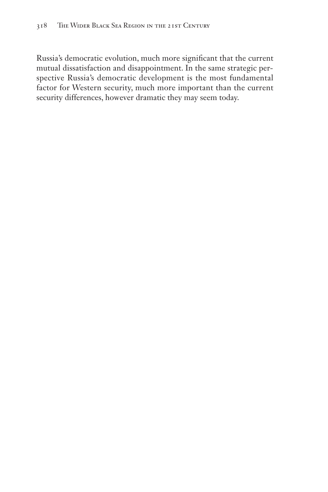Russia's democratic evolution, much more significant that the current mutual dissatisfaction and disappointment. In the same strategic perspective Russia's democratic development is the most fundamental factor for Western security, much more important than the current security differences, however dramatic they may seem today.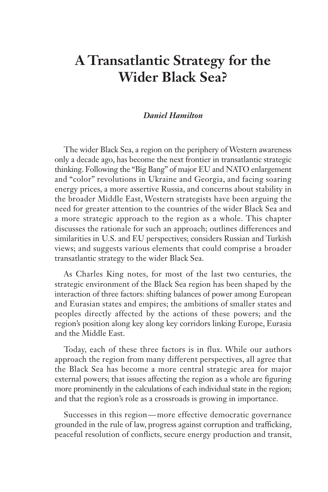# **A Transatlantic Strategy for the Wider Black Sea?**

#### *Daniel Hamilton*

The wider Black Sea, a region on the periphery of Western awareness only a decade ago, has become the next frontier in transatlantic strategic thinking. Following the "Big Bang" of major EU and NATO enlargement and "color" revolutions in Ukraine and Georgia, and facing soaring energy prices, a more assertive Russia, and concerns about stability in the broader Middle East, Western strategists have been arguing the need for greater attention to the countries of the wider Black Sea and a more strategic approach to the region as a whole. This chapter discusses the rationale for such an approach; outlines differences and similarities in U.S. and EU perspectives; considers Russian and Turkish views; and suggests various elements that could comprise a broader transatlantic strategy to the wider Black Sea.

As Charles King notes, for most of the last two centuries, the strategic environment of the Black Sea region has been shaped by the interaction of three factors: shifting balances of power among European and Eurasian states and empires; the ambitions of smaller states and peoples directly affected by the actions of these powers; and the region's position along key along key corridors linking Europe, Eurasia and the Middle East.

Today, each of these three factors is in flux. While our authors approach the region from many different perspectives, all agree that the Black Sea has become a more central strategic area for major external powers; that issues affecting the region as a whole are figuring more prominently in the calculations of each individual state in the region; and that the region's role as a crossroads is growing in importance.

Successes in this region — more effective democratic governance grounded in the rule of law, progress against corruption and trafficking, peaceful resolution of conflicts, secure energy production and transit,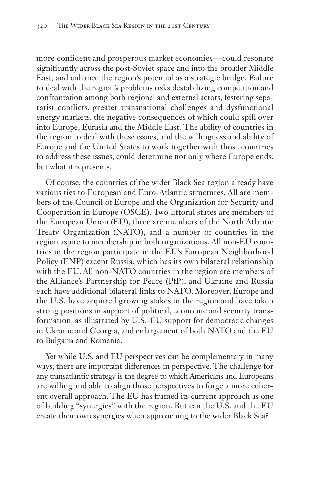more confident and prosperous market economies—could resonate significantly across the post-Soviet space and into the broader Middle East, and enhance the region's potential as a strategic bridge. Failure to deal with the region's problems risks destabilizing competition and confrontation among both regional and external actors, festering separatist conflicts, greater transnational challenges and dysfunctional energy markets, the negative consequences of which could spill over into Europe, Eurasia and the Middle East. The ability of countries in the region to deal with these issues, and the willingness and ability of Europe and the United States to work together with those countries to address these issues, could determine not only where Europe ends, but what it represents.

Of course, the countries of the wider Black Sea region already have various ties to European and Euro-Atlantic structures. All are members of the Council of Europe and the Organization for Security and Cooperation in Europe (OSCE). Two littoral states are members of the European Union (EU), three are members of the North Atlantic Treaty Organization (NATO), and a number of countries in the region aspire to membership in both organizations. All non-EU countries in the region participate in the EU's European Neighborhood Policy (ENP) except Russia, which has its own bilateral relationship with the EU. All non-NATO countries in the region are members of the Alliance's Partnership for Peace (PfP), and Ukraine and Russia each have additional bilateral links to NATO. Moreover, Europe and the U.S. have acquired growing stakes in the region and have taken strong positions in support of political, economic and security transformation, as illustrated by U.S.-EU support for democratic changes in Ukraine and Georgia, and enlargement of both NATO and the EU to Bulgaria and Romania.

Yet while U.S. and EU perspectives can be complementary in many ways, there are important differences in perspective. The challenge for any transatlantic strategy is the degree to which Americans and Europeans are willing and able to align those perspectives to forge a more coherent overall approach. The EU has framed its current approach as one of building "synergies" with the region. But can the U.S. and the EU create their own synergies when approaching to the wider Black Sea?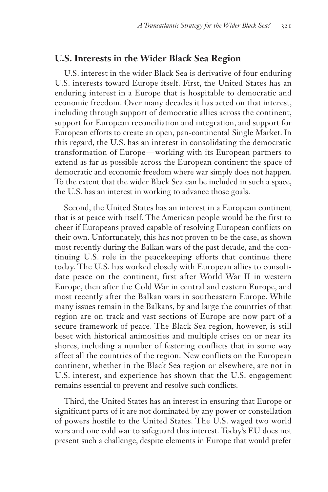### **U.S. Interests in the Wider Black Sea Region**

U.S. interest in the wider Black Sea is derivative of four enduring U.S. interests toward Europe itself. First, the United States has an enduring interest in a Europe that is hospitable to democratic and economic freedom. Over many decades it has acted on that interest, including through support of democratic allies across the continent, support for European reconciliation and integration, and support for European efforts to create an open, pan-continental Single Market. In this regard, the U.S. has an interest in consolidating the democratic transformation of Europe — working with its European partners to extend as far as possible across the European continent the space of democratic and economic freedom where war simply does not happen. To the extent that the wider Black Sea can be included in such a space, the U.S. has an interest in working to advance those goals.

Second, the United States has an interest in a European continent that is at peace with itself. The American people would be the first to cheer if Europeans proved capable of resolving European conflicts on their own. Unfortunately, this has not proven to be the case, as shown most recently during the Balkan wars of the past decade, and the continuing U.S. role in the peacekeeping efforts that continue there today. The U.S. has worked closely with European allies to consolidate peace on the continent, first after World War II in western Europe, then after the Cold War in central and eastern Europe, and most recently after the Balkan wars in southeastern Europe. While many issues remain in the Balkans, by and large the countries of that region are on track and vast sections of Europe are now part of a secure framework of peace. The Black Sea region, however, is still beset with historical animosities and multiple crises on or near its shores, including a number of festering conflicts that in some way affect all the countries of the region. New conflicts on the European continent, whether in the Black Sea region or elsewhere, are not in U.S. interest, and experience has shown that the U.S. engagement remains essential to prevent and resolve such conflicts.

Third, the United States has an interest in ensuring that Europe or significant parts of it are not dominated by any power or constellation of powers hostile to the United States. The U.S. waged two world wars and one cold war to safeguard this interest. Today's EU does not present such a challenge, despite elements in Europe that would prefer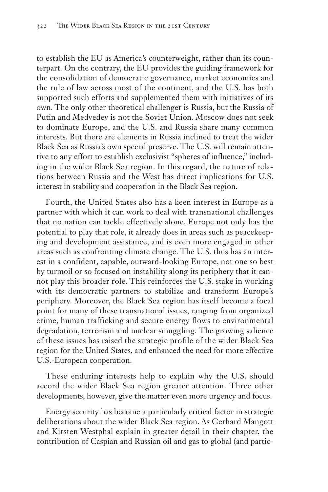to establish the EU as America's counterweight, rather than its counterpart. On the contrary, the EU provides the guiding framework for the consolidation of democratic governance, market economies and the rule of law across most of the continent, and the U.S. has both supported such efforts and supplemented them with initiatives of its own. The only other theoretical challenger is Russia, but the Russia of Putin and Medvedev is not the Soviet Union. Moscow does not seek to dominate Europe, and the U.S. and Russia share many common interests. But there are elements in Russia inclined to treat the wider Black Sea as Russia's own special preserve. The U.S. will remain attentive to any effort to establish exclusivist "spheres of influence," including in the wider Black Sea region. In this regard, the nature of relations between Russia and the West has direct implications for U.S. interest in stability and cooperation in the Black Sea region.

Fourth, the United States also has a keen interest in Europe as a partner with which it can work to deal with transnational challenges that no nation can tackle effectively alone. Europe not only has the potential to play that role, it already does in areas such as peacekeeping and development assistance, and is even more engaged in other areas such as confronting climate change. The U.S. thus has an interest in a confident, capable, outward-looking Europe, not one so best by turmoil or so focused on instability along its periphery that it cannot play this broader role. This reinforces the U.S. stake in working with its democratic partners to stabilize and transform Europe's periphery. Moreover, the Black Sea region has itself become a focal point for many of these transnational issues, ranging from organized crime, human trafficking and secure energy flows to environmental degradation, terrorism and nuclear smuggling. The growing salience of these issues has raised the strategic profile of the wider Black Sea region for the United States, and enhanced the need for more effective U.S.-European cooperation.

These enduring interests help to explain why the U.S. should accord the wider Black Sea region greater attention. Three other developments, however, give the matter even more urgency and focus.

Energy security has become a particularly critical factor in strategic deliberations about the wider Black Sea region. As Gerhard Mangott and Kirsten Westphal explain in greater detail in their chapter, the contribution of Caspian and Russian oil and gas to global (and partic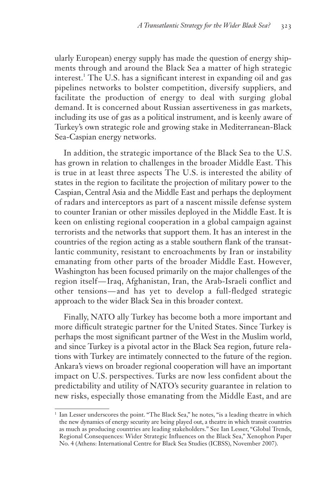ularly European) energy supply has made the question of energy shipments through and around the Black Sea a matter of high strategic interest.<sup>1</sup> The U.S. has a significant interest in expanding oil and gas pipelines networks to bolster competition, diversify suppliers, and facilitate the production of energy to deal with surging global demand. It is concerned about Russian assertiveness in gas markets, including its use of gas as a political instrument, and is keenly aware of Turkey's own strategic role and growing stake in Mediterranean-Black Sea-Caspian energy networks.

In addition, the strategic importance of the Black Sea to the U.S. has grown in relation to challenges in the broader Middle East. This is true in at least three aspects The U.S. is interested the ability of states in the region to facilitate the projection of military power to the Caspian, Central Asia and the Middle East and perhaps the deployment of radars and interceptors as part of a nascent missile defense system to counter Iranian or other missiles deployed in the Middle East. It is keen on enlisting regional cooperation in a global campaign against terrorists and the networks that support them. It has an interest in the countries of the region acting as a stable southern flank of the transatlantic community, resistant to encroachments by Iran or instability emanating from other parts of the broader Middle East. However, Washington has been focused primarily on the major challenges of the region itself-Iraq, Afghanistan, Iran, the Arab-Israeli conflict and other tensions — and has yet to develop a full-fledged strategic approach to the wider Black Sea in this broader context.

Finally, NATO ally Turkey has become both a more important and more difficult strategic partner for the United States. Since Turkey is perhaps the most significant partner of the West in the Muslim world, and since Turkey is a pivotal actor in the Black Sea region, future relations with Turkey are intimately connected to the future of the region. Ankara's views on broader regional cooperation will have an important impact on U.S. perspectives. Turks are now less confident about the predictability and utility of NATO's security guarantee in relation to new risks, especially those emanating from the Middle East, and are

<sup>&</sup>lt;sup>1</sup> Ian Lesser underscores the point. "The Black Sea," he notes, "is a leading theatre in which the new dynamics of energy security are being played out, a theatre in which transit countries as much as producing countries are leading stakeholders." See Ian Lesser, "Global Trends, Regional Consequences: Wider Strategic Influences on the Black Sea," Xenophon Paper No. 4 (Athens: International Centre for Black Sea Studies (ICBSS), November 2007).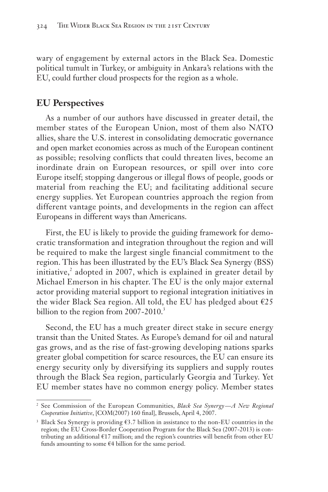wary of engagement by external actors in the Black Sea. Domestic political tumult in Turkey, or ambiguity in Ankara's relations with the EU, could further cloud prospects for the region as a whole.

#### **EU Perspectives**

As a number of our authors have discussed in greater detail, the member states of the European Union, most of them also NATO allies, share the U.S. interest in consolidating democratic governance and open market economies across as much of the European continent as possible; resolving conflicts that could threaten lives, become an inordinate drain on European resources, or spill over into core Europe itself; stopping dangerous or illegal flows of people, goods or material from reaching the EU; and facilitating additional secure energy supplies. Yet European countries approach the region from different vantage points, and developments in the region can affect Europeans in different ways than Americans.

First, the EU is likely to provide the guiding framework for democratic transformation and integration throughout the region and will be required to make the largest single financial commitment to the region. This has been illustrated by the EU's Black Sea Synergy (BSS) initiative, $^{2}$  adopted in 2007, which is explained in greater detail by Michael Emerson in his chapter. The EU is the only major external actor providing material support to regional integration initiatives in the wider Black Sea region. All told, the EU has pledged about  $\epsilon$ 25 billion to the region from 2007-2010.<sup>3</sup>

Second, the EU has a much greater direct stake in secure energy transit than the United States. As Europe's demand for oil and natural gas grows, and as the rise of fast-growing developing nations sparks greater global competition for scarce resources, the EU can ensure its energy security only by diversifying its suppliers and supply routes through the Black Sea region, particularly Georgia and Turkey. Yet EU member states have no common energy policy. Member states

<sup>2</sup> See Commission of the European Communities, *Black Sea Synergy — A New Regional Cooperation Initiative*, [COM(2007) 160 final], Brussels, April 4, 2007.

<sup>3</sup> Black Sea Synergy is providing €3.7 billion in assistance to the non-EU countries in the region; the EU Cross-Border Cooperation Program for the Black Sea (2007-2013) is contributing an additional €17 million; and the region's countries will benefit from other EU funds amounting to some €4 billion for the same period.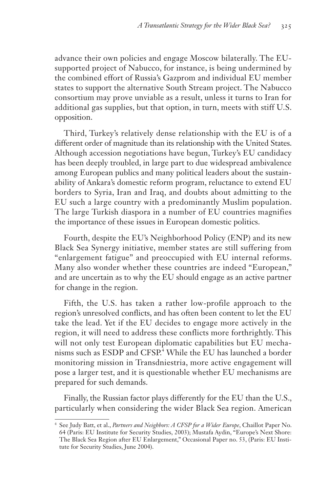advance their own policies and engage Moscow bilaterally. The EUsupported project of Nabucco, for instance, is being undermined by the combined effort of Russia's Gazprom and individual EU member states to support the alternative South Stream project. The Nabucco consortium may prove unviable as a result, unless it turns to Iran for additional gas supplies, but that option, in turn, meets with stiff U.S. opposition.

Third, Turkey's relatively dense relationship with the EU is of a different order of magnitude than its relationship with the United States. Although accession negotiations have begun, Turkey's EU candidacy has been deeply troubled, in large part to due widespread ambivalence among European publics and many political leaders about the sustainability of Ankara's domestic reform program, reluctance to extend EU borders to Syria, Iran and Iraq, and doubts about admitting to the EU such a large country with a predominantly Muslim population. The large Turkish diaspora in a number of EU countries magnifies the importance of these issues in European domestic politics.

Fourth, despite the EU's Neighborhood Policy (ENP) and its new Black Sea Synergy initiative, member states are still suffering from "enlargement fatigue" and preoccupied with EU internal reforms. Many also wonder whether these countries are indeed "European," and are uncertain as to why the EU should engage as an active partner for change in the region.

Fifth, the U.S. has taken a rather low-profile approach to the region's unresolved conflicts, and has often been content to let the EU take the lead. Yet if the EU decides to engage more actively in the region, it will need to address these conflicts more forthrightly. This will not only test European diplomatic capabilities but EU mechanisms such as ESDP and CFSP.<sup>4</sup> While the EU has launched a border monitoring mission in Transdniestria, more active engagement will pose a larger test, and it is questionable whether EU mechanisms are prepared for such demands.

Finally, the Russian factor plays differently for the EU than the U.S., particularly when considering the wider Black Sea region. American

<sup>&</sup>lt;sup>4</sup> See Judy Batt, et al., *Partners and Neighbors: A CFSP for a Wider Europe*, Chaillot Paper No. 64 (Paris: EU Institute for Security Studies, 2003); Mustafa Aydin, "Europe's Next Shore: The Black Sea Region after EU Enlargement," Occasional Paper no. 53, (Paris: EU Institute for Security Studies, June 2004).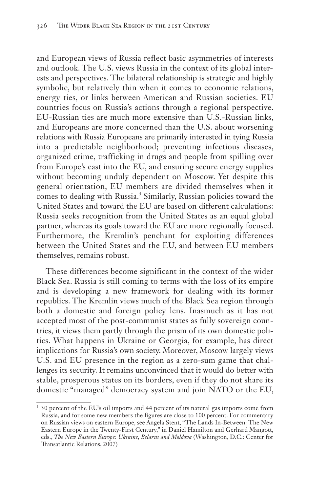and European views of Russia reflect basic asymmetries of interests and outlook. The U.S. views Russia in the context of its global interests and perspectives. The bilateral relationship is strategic and highly symbolic, but relatively thin when it comes to economic relations, energy ties, or links between American and Russian societies. EU countries focus on Russia's actions through a regional perspective. EU-Russian ties are much more extensive than U.S.-Russian links, and Europeans are more concerned than the U.S. about worsening relations with Russia Europeans are primarily interested in tying Russia into a predictable neighborhood; preventing infectious diseases, organized crime, trafficking in drugs and people from spilling over from Europe's east into the EU, and ensuring secure energy supplies without becoming unduly dependent on Moscow. Yet despite this general orientation, EU members are divided themselves when it comes to dealing with Russia.<sup>5</sup> Similarly, Russian policies toward the United States and toward the EU are based on different calculations: Russia seeks recognition from the United States as an equal global partner, whereas its goals toward the EU are more regionally focused. Furthermore, the Kremlin's penchant for exploiting differences between the United States and the EU, and between EU members themselves, remains robust.

These differences become significant in the context of the wider Black Sea. Russia is still coming to terms with the loss of its empire and is developing a new framework for dealing with its former republics. The Kremlin views much of the Black Sea region through both a domestic and foreign policy lens. Inasmuch as it has not accepted most of the post-communist states as fully sovereign countries, it views them partly through the prism of its own domestic politics. What happens in Ukraine or Georgia, for example, has direct implications for Russia's own society. Moreover, Moscow largely views U.S. and EU presence in the region as a zero-sum game that challenges its security. It remains unconvinced that it would do better with stable, prosperous states on its borders, even if they do not share its domestic "managed" democracy system and join NATO or the EU,

<sup>5</sup> 30 percent of the EU's oil imports and 44 percent of its natural gas imports come from Russia, and for some new members the figures are close to 100 percent. For commentary on Russian views on eastern Europe, see Angela Stent, "The Lands In-Between: The New Eastern Europe in the Twenty-First Century," in Daniel Hamilton and Gerhard Mangott, eds., *The New Eastern Europe: Ukraine, Belarus and Moldova* (Washington, D.C.: Center for Transatlantic Relations, 2007)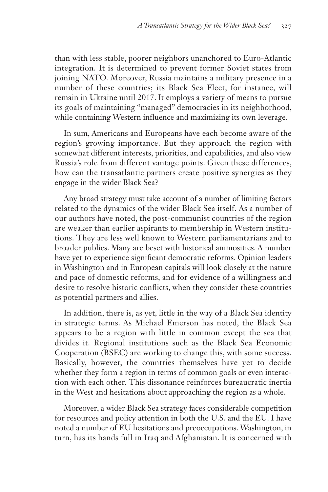than with less stable, poorer neighbors unanchored to Euro-Atlantic integration. It is determined to prevent former Soviet states from joining NATO. Moreover, Russia maintains a military presence in a number of these countries; its Black Sea Fleet, for instance, will remain in Ukraine until 2017. It employs a variety of means to pursue its goals of maintaining "managed" democracies in its neighborhood, while containing Western influence and maximizing its own leverage.

In sum, Americans and Europeans have each become aware of the region's growing importance. But they approach the region with somewhat different interests, priorities, and capabilities, and also view Russia's role from different vantage points. Given these differences, how can the transatlantic partners create positive synergies as they engage in the wider Black Sea?

Any broad strategy must take account of a number of limiting factors related to the dynamics of the wider Black Sea itself. As a number of our authors have noted, the post-communist countries of the region are weaker than earlier aspirants to membership in Western institutions. They are less well known to Western parliamentarians and to broader publics. Many are beset with historical animosities. A number have yet to experience significant democratic reforms. Opinion leaders in Washington and in European capitals will look closely at the nature and pace of domestic reforms, and for evidence of a willingness and desire to resolve historic conflicts, when they consider these countries as potential partners and allies.

In addition, there is, as yet, little in the way of a Black Sea identity in strategic terms. As Michael Emerson has noted, the Black Sea appears to be a region with little in common except the sea that divides it. Regional institutions such as the Black Sea Economic Cooperation (BSEC) are working to change this, with some success. Basically, however, the countries themselves have yet to decide whether they form a region in terms of common goals or even interaction with each other. This dissonance reinforces bureaucratic inertia in the West and hesitations about approaching the region as a whole.

Moreover, a wider Black Sea strategy faces considerable competition for resources and policy attention in both the U.S. and the EU. I have noted a number of EU hesitations and preoccupations. Washington, in turn, has its hands full in Iraq and Afghanistan. It is concerned with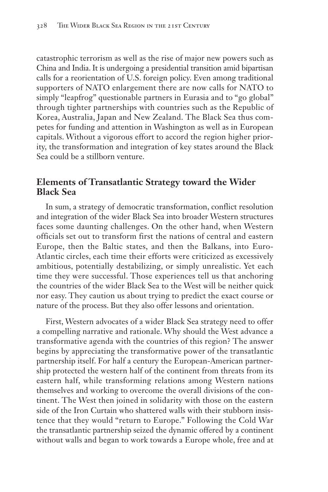catastrophic terrorism as well as the rise of major new powers such as China and India. It is undergoing a presidential transition amid bipartisan calls for a reorientation of U.S. foreign policy. Even among traditional supporters of NATO enlargement there are now calls for NATO to simply "leapfrog" questionable partners in Eurasia and to "go global" through tighter partnerships with countries such as the Republic of Korea, Australia, Japan and New Zealand. The Black Sea thus competes for funding and attention in Washington as well as in European capitals. Without a vigorous effort to accord the region higher priority, the transformation and integration of key states around the Black Sea could be a stillborn venture.

#### **Elements of Transatlantic Strategy toward the Wider Black Sea**

In sum, a strategy of democratic transformation, conflict resolution and integration of the wider Black Sea into broader Western structures faces some daunting challenges. On the other hand, when Western officials set out to transform first the nations of central and eastern Europe, then the Baltic states, and then the Balkans, into Euro-Atlantic circles, each time their efforts were criticized as excessively ambitious, potentially destabilizing, or simply unrealistic. Yet each time they were successful. Those experiences tell us that anchoring the countries of the wider Black Sea to the West will be neither quick nor easy. They caution us about trying to predict the exact course or nature of the process. But they also offer lessons and orientation.

First, Western advocates of a wider Black Sea strategy need to offer a compelling narrative and rationale. Why should the West advance a transformative agenda with the countries of this region? The answer begins by appreciating the transformative power of the transatlantic partnership itself. For half a century the European-American partnership protected the western half of the continent from threats from its eastern half, while transforming relations among Western nations themselves and working to overcome the overall divisions of the continent. The West then joined in solidarity with those on the eastern side of the Iron Curtain who shattered walls with their stubborn insistence that they would "return to Europe." Following the Cold War the transatlantic partnership seized the dynamic offered by a continent without walls and began to work towards a Europe whole, free and at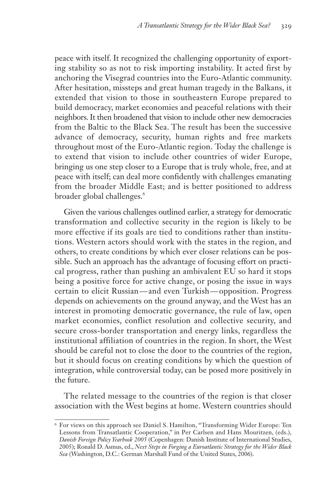peace with itself. It recognized the challenging opportunity of exporting stability so as not to risk importing instability. It acted first by anchoring the Visegrad countries into the Euro-Atlantic community. After hesitation, missteps and great human tragedy in the Balkans, it extended that vision to those in southeastern Europe prepared to build democracy, market economies and peaceful relations with their neighbors. It then broadened that vision to include other new democracies from the Baltic to the Black Sea. The result has been the successive advance of democracy, security, human rights and free markets throughout most of the Euro-Atlantic region. Today the challenge is to extend that vision to include other countries of wider Europe, bringing us one step closer to a Europe that is truly whole, free, and at peace with itself; can deal more confidently with challenges emanating from the broader Middle East; and is better positioned to address broader global challenges.<sup>6</sup>

Given the various challenges outlined earlier, a strategy for democratic transformation and collective security in the region is likely to be more effective if its goals are tied to conditions rather than institutions. Western actors should work with the states in the region, and others, to create conditions by which ever closer relations can be possible. Such an approach has the advantage of focusing effort on practical progress, rather than pushing an ambivalent EU so hard it stops being a positive force for active change, or posing the issue in ways certain to elicit Russian — and even Turkish — opposition. Progress depends on achievements on the ground anyway, and the West has an interest in promoting democratic governance, the rule of law, open market economies, conflict resolution and collective security, and secure cross-border transportation and energy links, regardless the institutional affiliation of countries in the region. In short, the West should be careful not to close the door to the countries of the region, but it should focus on creating conditions by which the question of integration, while controversial today, can be posed more positively in the future.

The related message to the countries of the region is that closer association with the West begins at home. Western countries should

<sup>6</sup> For views on this approach see Daniel S. Hamilton, "Transforming Wider Europe: Ten Lessons from Transatlantic Cooperation," in Per Carlsen and Hans Mouritzen, (eds.), *Danish Foreign Policy Yearbook 2005* (Copenhagen: Danish Institute of International Studies, 2005); Ronald D. Asmus, ed., *Next Steps in Forging a Euroatlantic Strategy for the Wider Black Sea* (Washington, D.C.: German Marshall Fund of the United States, 2006).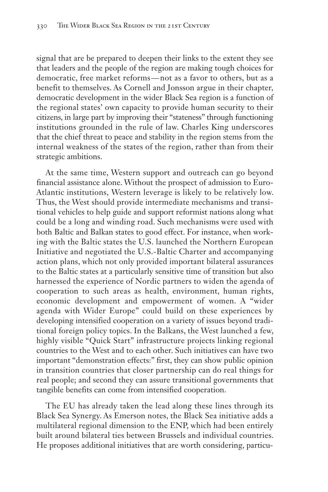signal that are be prepared to deepen their links to the extent they see that leaders and the people of the region are making tough choices for democratic, free market reforms — not as a favor to others, but as a benefit to themselves. As Cornell and Jonsson argue in their chapter, democratic development in the wider Black Sea region is a function of the regional states' own capacity to provide human security to their citizens, in large part by improving their "stateness" through functioning institutions grounded in the rule of law. Charles King underscores that the chief threat to peace and stability in the region stems from the internal weakness of the states of the region, rather than from their strategic ambitions.

At the same time, Western support and outreach can go beyond financial assistance alone. Without the prospect of admission to Euro-Atlantic institutions, Western leverage is likely to be relatively low. Thus, the West should provide intermediate mechanisms and transitional vehicles to help guide and support reformist nations along what could be a long and winding road. Such mechanisms were used with both Baltic and Balkan states to good effect. For instance, when working with the Baltic states the U.S. launched the Northern European Initiative and negotiated the U.S.-Baltic Charter and accompanying action plans, which not only provided important bilateral assurances to the Baltic states at a particularly sensitive time of transition but also harnessed the experience of Nordic partners to widen the agenda of cooperation to such areas as health, environment, human rights, economic development and empowerment of women. A "wider agenda with Wider Europe" could build on these experiences by developing intensified cooperation on a variety of issues beyond traditional foreign policy topics. In the Balkans, the West launched a few, highly visible "Quick Start" infrastructure projects linking regional countries to the West and to each other. Such initiatives can have two important "demonstration effects:" first, they can show public opinion in transition countries that closer partnership can do real things for real people; and second they can assure transitional governments that tangible benefits can come from intensified cooperation.

The EU has already taken the lead along these lines through its Black Sea Synergy. As Emerson notes, the Black Sea initiative adds a multilateral regional dimension to the ENP, which had been entirely built around bilateral ties between Brussels and individual countries. He proposes additional initiatives that are worth considering, particu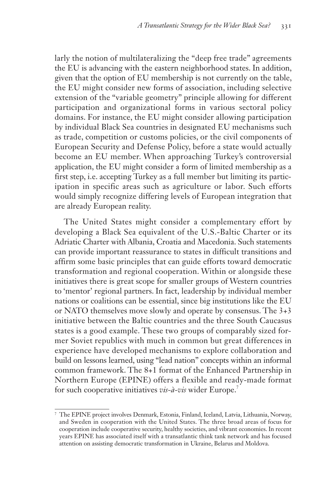larly the notion of multilateralizing the "deep free trade" agreements the EU is advancing with the eastern neighborhood states. In addition, given that the option of EU membership is not currently on the table, the EU might consider new forms of association, including selective extension of the "variable geometry" principle allowing for different participation and organizational forms in various sectoral policy domains. For instance, the EU might consider allowing participation by individual Black Sea countries in designated EU mechanisms such as trade, competition or customs policies, or the civil components of European Security and Defense Policy, before a state would actually become an EU member. When approaching Turkey's controversial application, the EU might consider a form of limited membership as a first step, i.e. accepting Turkey as a full member but limiting its participation in specific areas such as agriculture or labor. Such efforts would simply recognize differing levels of European integration that are already European reality.

The United States might consider a complementary effort by developing a Black Sea equivalent of the U.S.-Baltic Charter or its Adriatic Charter with Albania, Croatia and Macedonia. Such statements can provide important reassurance to states in difficult transitions and affirm some basic principles that can guide efforts toward democratic transformation and regional cooperation. Within or alongside these initiatives there is great scope for smaller groups of Western countries to 'mentor' regional partners. In fact, leadership by individual member nations or coalitions can be essential, since big institutions like the EU or NATO themselves move slowly and operate by consensus. The 3+3 initiative between the Baltic countries and the three South Caucasus states is a good example. These two groups of comparably sized former Soviet republics with much in common but great differences in experience have developed mechanisms to explore collaboration and build on lessons learned, using "lead nation" concepts within an informal common framework. The 8+1 format of the Enhanced Partnership in Northern Europe (EPINE) offers a flexible and ready-made format for such cooperative initiatives *vis-à-vis* wider Europe.7

<sup>7</sup> The EPINE project involves Denmark, Estonia, Finland, Iceland, Latvia, Lithuania, Norway, and Sweden in cooperation with the United States. The three broad areas of focus for cooperation include cooperative security, healthy societies, and vibrant economies. In recent years EPINE has associated itself with a transatlantic think tank network and has focused attention on assisting democratic transformation in Ukraine, Belarus and Moldova.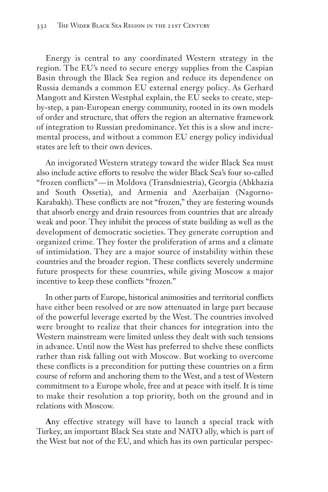Energy is central to any coordinated Western strategy in the region. The EU's need to secure energy supplies from the Caspian Basin through the Black Sea region and reduce its dependence on Russia demands a common EU external energy policy. As Gerhard Mangott and Kirsten Westphal explain, the EU seeks to create, stepby-step, a pan-European energy community, rooted in its own models of order and structure, that offers the region an alternative framework of integration to Russian predominance. Yet this is a slow and incremental process, and without a common EU energy policy individual states are left to their own devices.

An invigorated Western strategy toward the wider Black Sea must also include active efforts to resolve the wider Black Sea's four so-called "frozen conflicts" — in Moldova (Transdniestria), Georgia (Abkhazia and South Ossetia), and Armenia and Azerbaijan (Nagorno-Karabakh). These conflicts are not "frozen," they are festering wounds that absorb energy and drain resources from countries that are already weak and poor. They inhibit the process of state building as well as the development of democratic societies. They generate corruption and organized crime. They foster the proliferation of arms and a climate of intimidation. They are a major source of instability within these countries and the broader region. These conflicts severely undermine future prospects for these countries, while giving Moscow a major incentive to keep these conflicts "frozen."

In other parts of Europe, historical animosities and territorial conflicts have either been resolved or are now attenuated in large part because of the powerful leverage exerted by the West. The countries involved were brought to realize that their chances for integration into the Western mainstream were limited unless they dealt with such tensions in advance. Until now the West has preferred to shelve these conflicts rather than risk falling out with Moscow. But working to overcome these conflicts is a precondition for putting these countries on a firm course of reform and anchoring them to the West, and a test of Western commitment to a Europe whole, free and at peace with itself. It is time to make their resolution a top priority, both on the ground and in relations with Moscow.

**A**ny effective strategy will have to launch a special track with Turkey, an important Black Sea state and NATO ally, which is part of the West but not of the EU, and which has its own particular perspec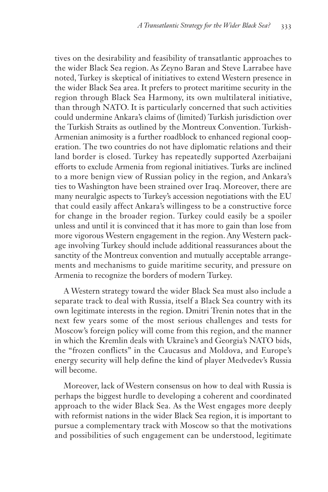tives on the desirability and feasibility of transatlantic approaches to the wider Black Sea region. As Zeyno Baran and Steve Larrabee have noted, Turkey is skeptical of initiatives to extend Western presence in the wider Black Sea area. It prefers to protect maritime security in the region through Black Sea Harmony, its own multilateral initiative, than through NATO. It is particularly concerned that such activities could undermine Ankara's claims of (limited) Turkish jurisdiction over the Turkish Straits as outlined by the Montreux Convention. Turkish-Armenian animosity is a further roadblock to enhanced regional cooperation. The two countries do not have diplomatic relations and their land border is closed. Turkey has repeatedly supported Azerbaijani efforts to exclude Armenia from regional initiatives. Turks are inclined to a more benign view of Russian policy in the region, and Ankara's ties to Washington have been strained over Iraq. Moreover, there are many neuralgic aspects to Turkey's accession negotiations with the EU that could easily affect Ankara's willingess to be a constructive force for change in the broader region. Turkey could easily be a spoiler unless and until it is convinced that it has more to gain than lose from more vigorous Western engagement in the region. Any Western package involving Turkey should include additional reassurances about the sanctity of the Montreux convention and mutually acceptable arrangements and mechanisms to guide maritime security, and pressure on Armenia to recognize the borders of modern Turkey.

A Western strategy toward the wider Black Sea must also include a separate track to deal with Russia, itself a Black Sea country with its own legitimate interests in the region. Dmitri Trenin notes that in the next few years some of the most serious challenges and tests for Moscow's foreign policy will come from this region, and the manner in which the Kremlin deals with Ukraine's and Georgia's NATO bids, the "frozen conflicts" in the Caucasus and Moldova, and Europe's energy security will help define the kind of player Medvedev's Russia will become.

Moreover, lack of Western consensus on how to deal with Russia is perhaps the biggest hurdle to developing a coherent and coordinated approach to the wider Black Sea. As the West engages more deeply with reformist nations in the wider Black Sea region, it is important to pursue a complementary track with Moscow so that the motivations and possibilities of such engagement can be understood, legitimate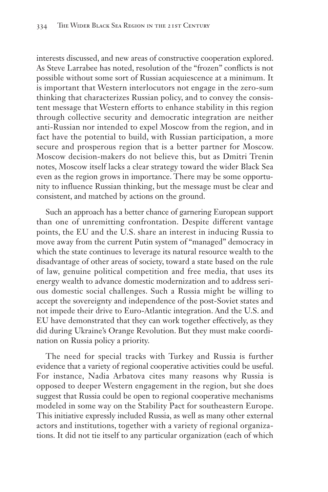interests discussed, and new areas of constructive cooperation explored. As Steve Larrabee has noted, resolution of the "frozen" conflicts is not possible without some sort of Russian acquiescence at a minimum. It is important that Western interlocutors not engage in the zero-sum thinking that characterizes Russian policy, and to convey the consistent message that Western efforts to enhance stability in this region through collective security and democratic integration are neither anti-Russian nor intended to expel Moscow from the region, and in fact have the potential to build, with Russian participation, a more secure and prosperous region that is a better partner for Moscow. Moscow decision-makers do not believe this, but as Dmitri Trenin notes, Moscow itself lacks a clear strategy toward the wider Black Sea even as the region grows in importance. There may be some opportunity to influence Russian thinking, but the message must be clear and consistent, and matched by actions on the ground.

Such an approach has a better chance of garnering European support than one of unremitting confrontation. Despite different vantage points, the EU and the U.S. share an interest in inducing Russia to move away from the current Putin system of "managed" democracy in which the state continues to leverage its natural resource wealth to the disadvantage of other areas of society, toward a state based on the rule of law, genuine political competition and free media, that uses its energy wealth to advance domestic modernization and to address serious domestic social challenges. Such a Russia might be willing to accept the sovereignty and independence of the post-Soviet states and not impede their drive to Euro-Atlantic integration. And the U.S. and EU have demonstrated that they can work together effectively, as they did during Ukraine's Orange Revolution. But they must make coordination on Russia policy a priority.

The need for special tracks with Turkey and Russia is further evidence that a variety of regional cooperative activities could be useful. For instance, Nadia Arbatova cites many reasons why Russia is opposed to deeper Western engagement in the region, but she does suggest that Russia could be open to regional cooperative mechanisms modeled in some way on the Stability Pact for southeastern Europe. This initiative expressly included Russia, as well as many other external actors and institutions, together with a variety of regional organizations. It did not tie itself to any particular organization (each of which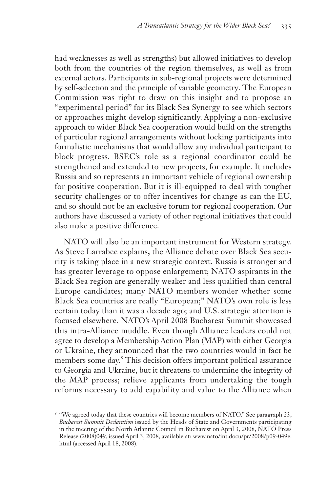had weaknesses as well as strengths) but allowed initiatives to develop both from the countries of the region themselves, as well as from external actors. Participants in sub-regional projects were determined by self-selection and the principle of variable geometry. The European Commission was right to draw on this insight and to propose an "experimental period" for its Black Sea Synergy to see which sectors or approaches might develop significantly. Applying a non-exclusive approach to wider Black Sea cooperation would build on the strengths of particular regional arrangements without locking participants into formalistic mechanisms that would allow any individual participant to block progress. BSEC's role as a regional coordinator could be strengthened and extended to new projects, for example. It includes Russia and so represents an important vehicle of regional ownership for positive cooperation. But it is ill-equipped to deal with tougher security challenges or to offer incentives for change as can the EU, and so should not be an exclusive forum for regional cooperation. Our authors have discussed a variety of other regional initiatives that could also make a positive difference.

NATO will also be an important instrument for Western strategy. As Steve Larrabee explains**,** the Alliance debate over Black Sea security is taking place in a new strategic context. Russia is stronger and has greater leverage to oppose enlargement; NATO aspirants in the Black Sea region are generally weaker and less qualified than central Europe candidates; many NATO members wonder whether some Black Sea countries are really "European;" NATO's own role is less certain today than it was a decade ago; and U.S. strategic attention is focused elsewhere. NATO's April 2008 Bucharest Summit showcased this intra-Alliance muddle. Even though Alliance leaders could not agree to develop a Membership Action Plan (MAP) with either Georgia or Ukraine, they announced that the two countries would in fact be members some day.<sup>8</sup> This decision offers important political assurance to Georgia and Ukraine, but it threatens to undermine the integrity of the MAP process; relieve applicants from undertaking the tough reforms necessary to add capability and value to the Alliance when

<sup>&</sup>lt;sup>8</sup> "We agreed today that these countries will become members of NATO." See paragraph 23, *Bucharest Summit Declaration* issued by the Heads of State and Governments participating in the meeting of the North Atlantic Council in Bucharest on April 3, 2008, NATO Press Release (2008)049, issued April 3, 2008, available at: www.nato/int.docu/pr/2008/p09-049e. html (accessed April 18, 2008).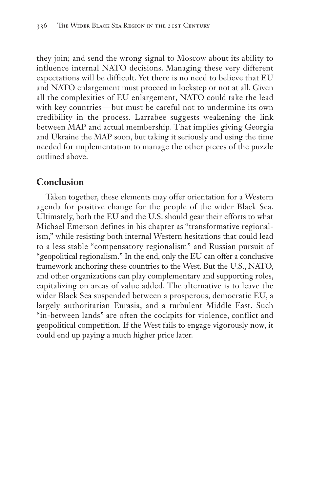they join; and send the wrong signal to Moscow about its ability to influence internal NATO decisions. Managing these very different expectations will be difficult. Yet there is no need to believe that EU and NATO enlargement must proceed in lockstep or not at all. Given all the complexities of EU enlargement, NATO could take the lead with key countries — but must be careful not to undermine its own credibility in the process. Larrabee suggests weakening the link between MAP and actual membership. That implies giving Georgia and Ukraine the MAP soon, but taking it seriously and using the time needed for implementation to manage the other pieces of the puzzle outlined above.

#### **Conclusion**

Taken together, these elements may offer orientation for a Western agenda for positive change for the people of the wider Black Sea. Ultimately, both the EU and the U.S. should gear their efforts to what Michael Emerson defines in his chapter as "transformative regionalism," while resisting both internal Western hesitations that could lead to a less stable "compensatory regionalism" and Russian pursuit of "geopolitical regionalism." In the end, only the EU can offer a conclusive framework anchoring these countries to the West. But the U.S., NATO, and other organizations can play complementary and supporting roles, capitalizing on areas of value added. The alternative is to leave the wider Black Sea suspended between a prosperous, democratic EU, a largely authoritarian Eurasia, and a turbulent Middle East. Such "in-between lands" are often the cockpits for violence, conflict and geopolitical competition. If the West fails to engage vigorously now, it could end up paying a much higher price later.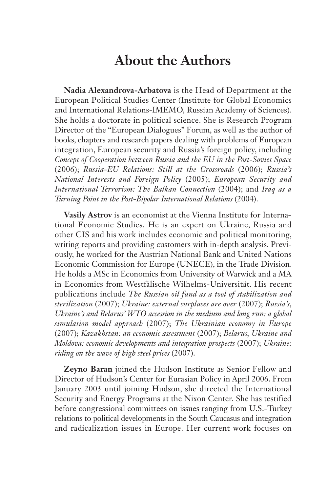## **About the Authors**

**Nadia Alexandrova-Arbatova** is the Head of Department at the European Political Studies Center (Institute for Global Economics and International Relations-IMEMO, Russian Academy of Sciences). She holds a doctorate in political science. She is Research Program Director of the "European Dialogues" Forum, as well as the author of books, chapters and research papers dealing with problems of European integration, European security and Russia's foreign policy, including *Concept of Cooperation between Russia and the EU in the Post-Soviet Space* (2006); *Russia-EU Relations: Still at the Crossroads* (2006); *Russia's National Interests and Foreign Policy* (2005); *European Security and International Terrorism: The Balkan Connection* (2004); and *Iraq as a Turning Point in the Post-Bipolar International Relations* (2004).

**Vasily Astrov** is an economist at the Vienna Institute for International Economic Studies. He is an expert on Ukraine, Russia and other CIS and his work includes economic and political monitoring, writing reports and providing customers with in-depth analysis. Previously, he worked for the Austrian National Bank and United Nations Economic Commission for Europe (UNECE), in the Trade Division. He holds a MSc in Economics from University of Warwick and a MA in Economics from Westfälische Wilhelms-Universität. His recent publications include *The Russian oil fund as a tool of stabilization and sterilization* (2007); *Ukraine: external surpluses are over* (2007); *Russia's, Ukraine's and Belarus' WTO accession in the medium and long run: a global simulation model approach* (2007); *The Ukrainian economy in Europe* (2007); *Kazakhstan: an economic assessment* (2007); *Belarus, Ukraine and Moldova: economic developments and integration prospects* (2007); *Ukraine: riding on the wave of high steel prices* (2007).

**Zeyno Baran** joined the Hudson Institute as Senior Fellow and Director of Hudson's Center for Eurasian Policy in April 2006. From January 2003 until joining Hudson, she directed the International Security and Energy Programs at the Nixon Center. She has testified before congressional committees on issues ranging from U.S.-Turkey relations to political developments in the South Caucasus and integration and radicalization issues in Europe. Her current work focuses on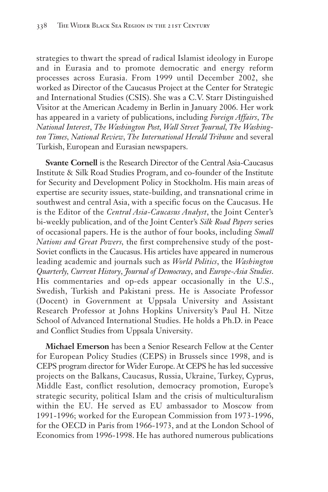strategies to thwart the spread of radical Islamist ideology in Europe and in Eurasia and to promote democratic and energy reform processes across Eurasia. From 1999 until December 2002, she worked as Director of the Caucasus Project at the Center for Strategic and International Studies (CSIS). She was a C.V. Starr Distinguished Visitor at the American Academy in Berlin in January 2006. Her work has appeared in a variety of publications, including *Foreign Affairs*, *The National Interest*, *The Washington Post, Wall Street Journal, The Washington Times, National Review, The International Herald Tribune* and several Turkish, European and Eurasian newspapers.

**Svante Cornell** is the Research Director of the Central Asia-Caucasus Institute & Silk Road Studies Program, and co-founder of the Institute for Security and Development Policy in Stockholm. His main areas of expertise are security issues, state-building, and transnational crime in southwest and central Asia, with a specific focus on the Caucasus. He is the Editor of the *Central Asia-Caucasus Analyst*, the Joint Center's bi-weekly publication, and of the Joint Center's *Silk Road Papers* series of occasional papers. He is the author of four books, including *Small Nations and Great Powers,* the first comprehensive study of the post-Soviet conflicts in the Caucasus. His articles have appeared in numerous leading academic and journals such as *World Politics*, the *Washington Quarterly, Current History*, *Journal of Democracy*, and *Europe-Asia Studies*. His commentaries and op-eds appear occasionally in the U.S., Swedish, Turkish and Pakistani press. He is Associate Professor (Docent) in Government at Uppsala University and Assistant Research Professor at Johns Hopkins University's Paul H. Nitze School of Advanced International Studies. He holds a Ph.D. in Peace and Conflict Studies from Uppsala University.

**Michael Emerson** has been a Senior Research Fellow at the Center for European Policy Studies (CEPS) in Brussels since 1998, and is CEPS program director for Wider Europe. At CEPS he has led successive projects on the Balkans, Caucasus, Russia, Ukraine, Turkey, Cyprus, Middle East, conflict resolution, democracy promotion, Europe's strategic security, political Islam and the crisis of multiculturalism within the EU. He served as EU ambassador to Moscow from 1991-1996; worked for the European Commission from 1973-1996, for the OECD in Paris from 1966-1973, and at the London School of Economics from 1996-1998. He has authored numerous publications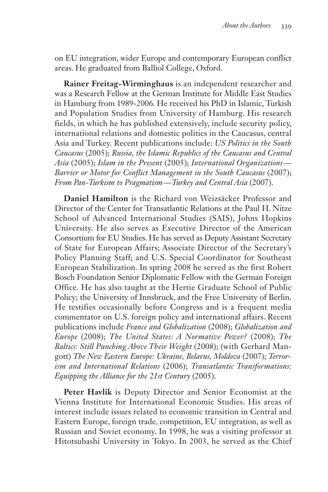on EU integration, wider Europe and contemporary European conflict areas. He graduated from Balliol College, Oxford.

**Rainer Freitag-Wirminghaus** is an independent researcher and was a Research Fellow at the German Institute for Middle East Studies in Hamburg from 1989-2006. He received his PhD in Islamic, Turkish and Population Studies from University of Hamburg. His research fields, in which he has published extensively, include security policy, international relations and domestic politics in the Caucasus, central Asia and Turkey. Recent publications include: *US Politics in the South Caucasus* (2005); *Russia, the Islamic Republics of the Caucasus and Central Asia* (2005); *Islam in the Present* (2005); *International Organizations — Barrier or Motor for Conflict Management in the South Caucasus* (2007); *From Pan-Turkism to Pragmatism — Turkey and Central Asia* (2007).

**Daniel Hamilton** is the Richard von Weizsäcker Professor and Director of the Center for Transatlantic Relations at the Paul H. Nitze School of Advanced International Studies (SAIS), Johns Hopkins University. He also serves as Executive Director of the American Consortium for EU Studies. He has served as Deputy Assistant Secretary of State for European Affairs; Associate Director of the Secretary's Policy Planning Staff; and U.S. Special Coordinator for Southeast European Stabilization. In spring 2008 he served as the first Robert Bosch Foundation Senior Diplomatic Fellow with the German Foreign Office. He has also taught at the Hertie Graduate School of Public Policy; the University of Innsbruck, and the Free University of Berlin. He testifies occasionally before Congress and is a frequent media commentator on U.S. foreign policy and international affairs. Recent publications include *France and Globalization* (2008); *Globalization and Europe* (2008); *The United States: A Normative Power?* (2008); *The Baltics: Still Punching Above Their Weight* (2008); (with Gerhard Mangott) *The New Eastern Europe: Ukraine, Belarus, Moldova* (2007); *Terrorism and International Relations* (2006); *Transatlantic Transformations: Equipping the Alliance for the 21st Century* (2005).

**Peter Havlik** is Deputy Director and Senior Economist at the Vienna Institute for International Economic Studies. His areas of interest include issues related to economic transition in Central and Eastern Europe, foreign trade, competition, EU integration, as well as Russian and Soviet economy. In 1998, he was a visiting professor at Hitotsubashi University in Tokyo. In 2003, he served as the Chief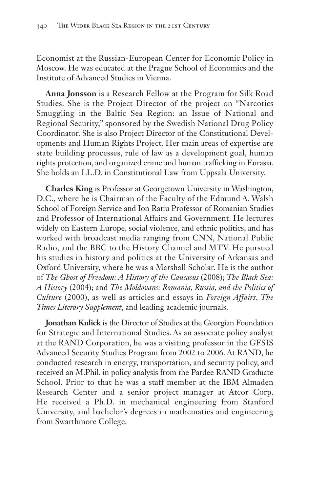Economist at the Russian-European Center for Economic Policy in Moscow. He was educated at the Prague School of Economics and the Institute of Advanced Studies in Vienna.

**Anna Jonsson** is a Research Fellow at the Program for Silk Road Studies. She is the Project Director of the project on "Narcotics Smuggling in the Baltic Sea Region: an Issue of National and Regional Security," sponsored by the Swedish National Drug Policy Coordinator. She is also Project Director of the Constitutional Developments and Human Rights Project. Her main areas of expertise are state building processes, rule of law as a development goal, human rights protection, and organized crime and human trafficking in Eurasia. She holds an LL.D. in Constitutional Law from Uppsala University.

**Charles King** is Professor at Georgetown University in Washington, D.C., where he is Chairman of the Faculty of the Edmund A. Walsh School of Foreign Service and Ion Ratiu Professor of Romanian Studies and Professor of International Affairs and Government. He lectures widely on Eastern Europe, social violence, and ethnic politics, and has worked with broadcast media ranging from CNN, National Public Radio, and the BBC to the History Channel and MTV. He pursued his studies in history and politics at the University of Arkansas and Oxford University, where he was a Marshall Scholar. He is the author of *The Ghost of Freedom: A History of the Caucasus* (2008); *The Black Sea: A History* (2004); and *The Moldovans: Romania, Russia, and the Politics of Culture* (2000), as well as articles and essays in *Foreign Affairs*, *The Times Literary Supplement*, and leading academic journals.

**Jonathan Kulick** is the Director of Studies at the Georgian Foundation for Strategic and International Studies. As an associate policy analyst at the RAND Corporation, he was a visiting professor in the GFSIS Advanced Security Studies Program from 2002 to 2006. At RAND, he conducted research in energy, transportation, and security policy, and received an M.Phil. in policy analysis from the Pardee RAND Graduate School. Prior to that he was a staff member at the IBM Almaden Research Center and a senior project manager at Atcor Corp. He received a Ph.D. in mechanical engineering from Stanford University, and bachelor's degrees in mathematics and engineering from Swarthmore College.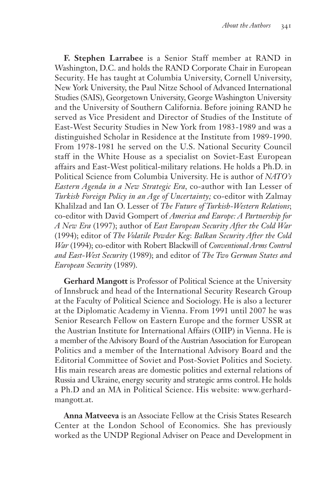**F. Stephen Larrabee** is a Senior Staff member at RAND in Washington, D.C. and holds the RAND Corporate Chair in European Security. He has taught at Columbia University, Cornell University, New York University, the Paul Nitze School of Advanced International Studies (SAIS), Georgetown University, George Washington University and the University of Southern California. Before joining RAND he served as Vice President and Director of Studies of the Institute of East-West Security Studies in New York from 1983-1989 and was a distinguished Scholar in Residence at the Institute from 1989-1990. From 1978-1981 he served on the U.S. National Security Council staff in the White House as a specialist on Soviet-East European affairs and East-West political-military relations. He holds a Ph.D. in Political Science from Columbia University. He is author of *NATO's Eastern Agenda in a New Strategic Era,* co-author with Ian Lesser of *Turkish Foreign Policy in an Age of Uncertainty;* co-editor with Zalmay Khalilzad and Ian O. Lesser of *The Future of Turkish-Western Relations*; co-editor with David Gompert of *America and Europe: A Partnership for A New Era* (1997); author of *East European Security After the Cold War* (1994); editor of *The Volatile Powder Keg*: *Balkan Security After the Cold War* (1994); co-editor with Robert Blackwill of *Conventional Arms Control and East-West Security* (1989); and editor of *The Two German States and European Security* (1989).

**Gerhard Mangott** is Professor of Political Science at the University of Innsbruck and head of the International Security Research Group at the Faculty of Political Science and Sociology. He is also a lecturer at the Diplomatic Academy in Vienna. From 1991 until 2007 he was Senior Research Fellow on Eastern Europe and the former USSR at the Austrian Institute for International Affairs (OIIP) in Vienna. He is a member of the Advisory Board of the Austrian Association for European Politics and a member of the International Advisory Board and the Editorial Committee of Soviet and Post-Soviet Politics and Society. His main research areas are domestic politics and external relations of Russia and Ukraine, energy security and strategic arms control. He holds a Ph.D and an MA in Political Science. His website: www.gerhardmangott.at.

**Anna Matveeva** is an Associate Fellow at the Crisis States Research Center at the London School of Economics. She has previously worked as the UNDP Regional Adviser on Peace and Development in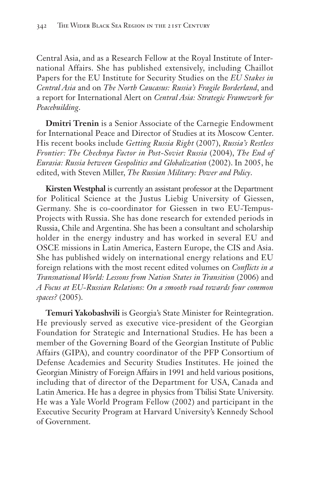Central Asia, and as a Research Fellow at the Royal Institute of International Affairs. She has published extensively, including Chaillot Papers for the EU Institute for Security Studies on the *EU Stakes in Central Asia* and on *The North Caucasus: Russia's Fragile Borderland*, and a report for International Alert on *Central Asia: Strategic Framework for Peacebuilding*.

**Dmitri Trenin** is a Senior Associate of the Carnegie Endowment for International Peace and Director of Studies at its Moscow Center. His recent books include *Getting Russia Right* (2007), *Russia's Restless Frontier: The Chechnya Factor in Post-Soviet Russia* (2004), *The End of Eurasia: Russia between Geopolitics and Globalization* (2002). In 2005, he edited, with Steven Miller, *The Russian Military: Power and Policy*.

**Kirsten Westphal** is currently an assistant professor at the Department for Political Science at the Justus Liebig University of Giessen, Germany. She is co-coordinator for Giessen in two EU-Tempus-Projects with Russia. She has done research for extended periods in Russia, Chile and Argentina. She has been a consultant and scholarship holder in the energy industry and has worked in several EU and OSCE missions in Latin America, Eastern Europe, the CIS and Asia. She has published widely on international energy relations and EU foreign relations with the most recent edited volumes on *Conflicts in a Transnational World: Lessons from Nation States in Transition* (2006) and *A Focus at EU-Russian Relations: On a smooth road towards four common spaces?* (2005).

**Temuri Yakobashvili** is Georgia's State Minister for Reintegration. He previously served as executive vice-president of the Georgian Foundation for Strategic and International Studies. He has been a member of the Governing Board of the Georgian Institute of Public Affairs (GIPA), and country coordinator of the PFP Consortium of Defense Academies and Security Studies Institutes. He joined the Georgian Ministry of Foreign Affairs in 1991 and held various positions, including that of director of the Department for USA, Canada and Latin America. He has a degree in physics from Tbilisi State University. He was a Yale World Program Fellow (2002) and participant in the Executive Security Program at Harvard University's Kennedy School of Government.